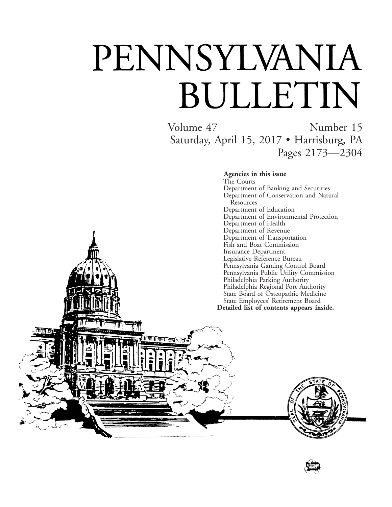# PENNSYLVANIA BULLETIN

गान

Volume 47 Number 15 Saturday, April 15, 2017 • Harrisburg, PA Pages 2173—2304

**Agencies in this issue**

The Courts Department of Banking and Securities Department of Conservation and Natural Resources Department of Education Department of Environmental Protection Department of Health Department of Revenue Department of Transportation Fish and Boat Commission Insurance Department Legislative Reference Bureau Pennsylvania Gaming Control Board Pennsylvania Public Utility Commission Philadelphia Parking Authority Philadelphia Regional Port Authority State Board of Osteopathic Medicine State Employees' Retirement Board **Detailed list of contents appears inside.**



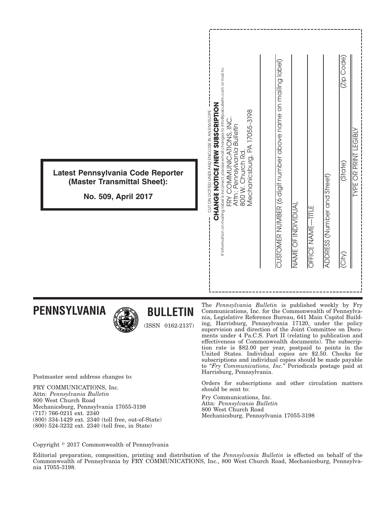|                                                                                         | If information on mailing label is incorrect, please email changes to info@pabulletin.com or mail to:<br><b>CHANGE NOTICE/NEW SUBSCRIPTION</b><br>Mechanicsburg, PA 17055-3198<br>CUT ON DOTTED LINES AND ENCLOSE IN AN ENVELOPE<br>FRY COMMUNICATIONS, INC.<br>Attn: Pennsylvania Bulletin | CUSTOMER NUMBER (6 digit number above name on mailing label) | (Zip Code<br><b>SIBL</b><br>LĪ.                                              |
|-----------------------------------------------------------------------------------------|---------------------------------------------------------------------------------------------------------------------------------------------------------------------------------------------------------------------------------------------------------------------------------------------|--------------------------------------------------------------|------------------------------------------------------------------------------|
| Latest Pennsylvania Code Reporter<br>(Master Transmittal Sheet):<br>No. 509, April 2017 | 800 W. Church Rd.                                                                                                                                                                                                                                                                           |                                                              | <b>LNINLE OR BRINT</b><br>(State)                                            |
|                                                                                         |                                                                                                                                                                                                                                                                                             | NAME OF INDIVIDUAI                                           | ADDRESS (Number and Street)<br>OFFICE NAME-TITLE<br>$\overline{\text{City}}$ |

**PENNSYLVANIA**



**BULLETIN**

Postmaster send address changes to:

FRY COMMUNICATIONS, Inc. Attn: *Pennsylvania Bulletin* 800 West Church Road Mechanicsburg, Pennsylvania 17055-3198 (717) 766-0211 ext. 2340 (800) 334-1429 ext. 2340 (toll free, out-of-State) (800) 524-3232 ext. 2340 (toll free, in State)

The *Pennsylvania Bulletin* is published weekly by Fry Communications, Inc. for the Commonwealth of Pennsylvania, Legislative Reference Bureau, 641 Main Capitol Building, Harrisburg, Pennsylvania 17120, under the policy supervision and direction of the Joint Committee on Documents under 4 Pa.C.S. Part II (relating to publication and effectiveness of Commonwealth documents). The subscription rate is \$82.00 per year, postpaid to points in the United States. Individual copies are \$2.50. Checks for subscriptions and individual copies should be made payable to "*Fry Communications, Inc.*" Periodicals postage paid at Harrisburg, Pennsylvania.

Orders for subscriptions and other circulation matters should be sent to:

Fry Communications, Inc. Attn: *Pennsylvania Bulletin* 800 West Church Road Mechanicsburg, Pennsylvania 17055-3198

Copyright © 2017 Commonwealth of Pennsylvania

Editorial preparation, composition, printing and distribution of the *Pennsylvania Bulletin* is effected on behalf of the Commonwealth of Pennsylvania by FRY COMMUNICATIONS, Inc., 800 West Church Road, Mechanicsburg, Pennsylvania 17055-3198.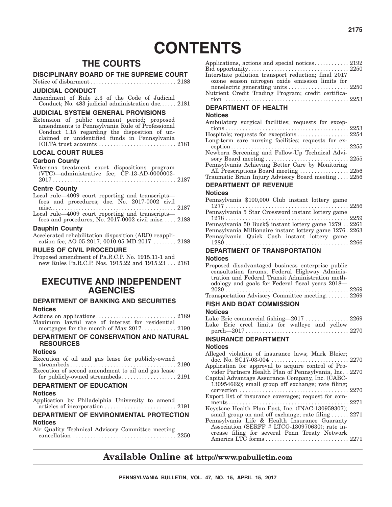## **CONTENTS**

### **THE COURTS**

#### **DISCIPLINARY BOARD OF THE SUPREME COURT**

Notice of disbarment.............................. 2188

#### **JUDICIAL CONDUCT**

Amendment of Rule 2.3 of the Code of Judicial Conduct; No. 483 judicial administration doc...... 2181

#### **JUDICIAL SYSTEM GENERAL PROVISIONS**

Extension of public comment period; proposed amendments to Pennsylvania Rule of Professional Conduct 1.15 regarding the disposition of unclaimed or unidentified funds in Pennsylvania IOLTA trust accounts ........................... 2181

#### **LOCAL COURT RULES**

#### **Carbon County**

|  | Veterans treatment court dispositions program |  |
|--|-----------------------------------------------|--|
|  | (VTC)—administrative fee; CP-13-AD-0000003-   |  |
|  |                                               |  |

#### **Centre County**

| Local rule—4009 court reporting and transcripts—     |  |
|------------------------------------------------------|--|
| fees and procedures; doc. No. 2017-0002 civil        |  |
|                                                      |  |
| Local rule—4009 court reporting and transcripts—     |  |
| fees and procedures; No. 2017-0002 civil misc $2188$ |  |
|                                                      |  |

#### **Dauphin County**

Accelerated rehabilitation disposition (ARD) reapplication fee; AO-05-2017; 0010-05-MD-2017 ........ 2188

#### **RULES OF CIVIL PROCEDURE**

Proposed amendment of Pa.R.C.P. No. 1915.11-1 and new Rules Pa.R.C.P. Nos. 1915.22 and 1915.23 . . . 2181

#### **EXECUTIVE AND INDEPENDENT AGENCIES**

#### **DEPARTMENT OF BANKING AND SECURITIES Notices**

Actions on applications............................ 2189 Maximum lawful rate of interest for residential mortgages for the month of May 2017............ 2190

#### **DEPARTMENT OF CONSERVATION AND NATURAL RESOURCES**

#### **Notices**

Execution of oil and gas lease for publicly-owned

streambeds ..................................... 2190 Execution of second amendment to oil and gas lease for publicly-owned streambeds ........................... 2191

#### **DEPARTMENT OF EDUCATION**

#### **Notices**

Application by Philadelphia University to amend articles of incorporation ......................... 2191

#### **DEPARTMENT OF ENVIRONMENTAL PROTECTION Notices**

Air Quality Technical Advisory Committee meeting cancellation .................................... 2250

| Interstate pollution transport reduction; final 2017                          |  |
|-------------------------------------------------------------------------------|--|
| ozone season nitrogen oxide emission limits for                               |  |
| nonelectric generating units $\dots \dots \dots \dots \dots \dots \dots 2250$ |  |
| Nutrient Credit Trading Program; credit certifica-                            |  |
|                                                                               |  |

#### **DEPARTMENT OF HEALTH**

#### **Notices**

| Ambulatory surgical facilities; requests for excep- |  |
|-----------------------------------------------------|--|
|                                                     |  |
| Hospitals; requests for exceptions  2254            |  |
| Long-term care nursing facilities; requests for ex- |  |
|                                                     |  |
| Newborn Screening and Follow-Up Technical Advi-     |  |
|                                                     |  |
| Pennsylvania Achieving Better Care by Monitoring    |  |
| All Prescriptions Board meeting  2256               |  |
| Traumatic Brain Injury Advisory Board meeting 2256  |  |
|                                                     |  |

#### **DEPARTMENT OF REVENUE**

#### **Notices**

| Pennsylvania \$100,000 Club instant lottery game         |  |
|----------------------------------------------------------|--|
| Pennsylvania 5 Star Crossword instant lottery game       |  |
|                                                          |  |
| Pennsylvania 50 Buck\$ instant lottery game 12792261     |  |
| Pennsylvania Millionaire instant lottery game 1276. 2263 |  |
| Pennsylvania Quick Cash instant lottery game             |  |
|                                                          |  |
|                                                          |  |

#### **DEPARTMENT OF TRANSPORTATION**

#### **Notices**

| Proposed disadvantaged business enterprise public |
|---------------------------------------------------|
| consultation forums; Federal Highway Adminis-     |
| tration and Federal Transit Administration meth-  |
| odology and goals for Federal fiscal years 2018—  |
|                                                   |
| Transportation Advisory Committee meeting 2269    |
| FISH AND BOAT COMMISSION                          |
|                                                   |

#### **Notices**

|  |  | Lake Erie commercial fishing-2017  2269       |  |  |
|--|--|-----------------------------------------------|--|--|
|  |  | Lake Erie creel limits for walleye and yellow |  |  |
|  |  |                                               |  |  |

#### **INSURANCE DEPARTMENT**

#### **Notices**

| Alleged violation of insurance laws; Mark Bleier;          |  |
|------------------------------------------------------------|--|
|                                                            |  |
| Application for approval to acquire control of Pro-        |  |
| vider Partners Health Plan of Pennsylvania, Inc. . 2270    |  |
| Capital Advantage Assurance Company, Inc. (CABC-           |  |
| 130954662); small group off exchange; rate filing;         |  |
|                                                            |  |
| Export list of insurance coverages; request for com-       |  |
|                                                            |  |
| Keystone Health Plan East, Inc. (INAC-130959307);          |  |
| small group on and off exchange; rate filing $\ldots$ 2271 |  |
| Pennsylvania Life & Health Insurance Guaranty              |  |
| Association (SERFF # LTCG-130970630); rate in-             |  |
| crease filing for several Penn Treaty Network              |  |
|                                                            |  |
|                                                            |  |

### **Available Online at http://www.pabulletin.com**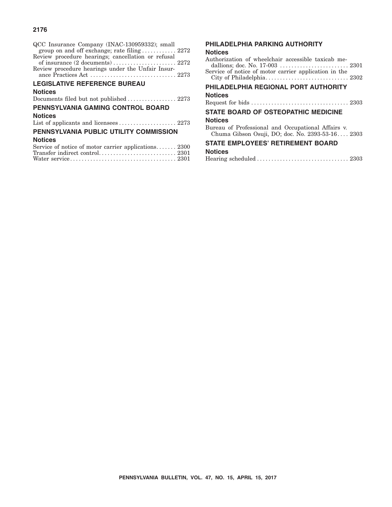#### **2176**

| QCC Insurance Company (INAC-130959332); small<br>group on and off exchange; rate filing  2272<br>Review procedure hearings; cancellation or refusal<br>Review procedure hearings under the Unfair Insur- |
|----------------------------------------------------------------------------------------------------------------------------------------------------------------------------------------------------------|
| <b>LEGISLATIVE REFERENCE BUREAU</b>                                                                                                                                                                      |
| <b>Notices</b>                                                                                                                                                                                           |
|                                                                                                                                                                                                          |
| <b>PENNSYLVANIA GAMING CONTROL BOARD</b>                                                                                                                                                                 |
| <b>Notices</b>                                                                                                                                                                                           |
|                                                                                                                                                                                                          |
| PENNSYLVANIA PUBLIC UTILITY COMMISSION                                                                                                                                                                   |
| <b>Notices</b>                                                                                                                                                                                           |
|                                                                                                                                                                                                          |

| Service of notice of motor carrier applications 2300 |  |
|------------------------------------------------------|--|
|                                                      |  |
|                                                      |  |

#### **PHILADELPHIA PARKING AUTHORITY**

#### **Notices**

| Authorization of wheelchair accessible taxicab me-<br>dallions; doc. No. 17-003  2301                  |
|--------------------------------------------------------------------------------------------------------|
| Service of notice of motor carrier application in the                                                  |
|                                                                                                        |
| PHILADELPHIA REGIONAL PORT AUTHORITY                                                                   |
| <b>Notices</b>                                                                                         |
|                                                                                                        |
| <b>STATE BOARD OF OSTEOPATHIC MEDICINE</b>                                                             |
| <b>Notices</b>                                                                                         |
| Bureau of Professional and Occupational Affairs v.<br>Chuma Gibson Osuji, DO; doc. No. 2393-53-16 2303 |
| IDI AVEFALDETIDEMENT DAAD                                                                              |

#### **STATE EMPLOYEES' RETIREMENT BOARD Notid**

| <b>Notices</b> |  |
|----------------|--|
|                |  |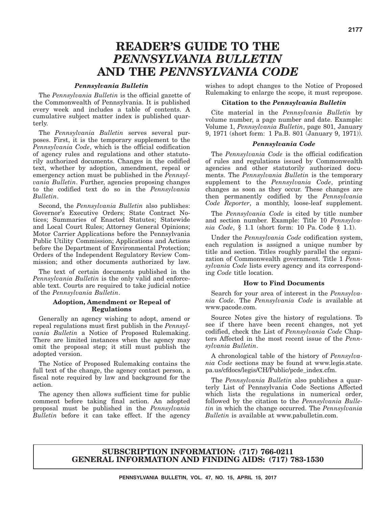## **READER'S GUIDE TO THE** *PENNSYLVANIA BULLETIN* **AND THE** *PENNSYLVANIA CODE*

#### *Pennsylvania Bulletin*

The *Pennsylvania Bulletin* is the official gazette of the Commonwealth of Pennsylvania. It is published every week and includes a table of contents. A cumulative subject matter index is published quarterly.

The *Pennsylvania Bulletin* serves several purposes. First, it is the temporary supplement to the *Pennsylvania Code*, which is the official codification of agency rules and regulations and other statutorily authorized documents. Changes in the codified text, whether by adoption, amendment, repeal or emergency action must be published in the *Pennsylvania Bulletin*. Further, agencies proposing changes to the codified text do so in the *Pennsylvania Bulletin*.

Second, the *Pennsylvania Bulletin* also publishes: Governor's Executive Orders; State Contract Notices; Summaries of Enacted Statutes; Statewide and Local Court Rules; Attorney General Opinions; Motor Carrier Applications before the Pennsylvania Public Utility Commission; Applications and Actions before the Department of Environmental Protection; Orders of the Independent Regulatory Review Commission; and other documents authorized by law.

The text of certain documents published in the *Pennsylvania Bulletin* is the only valid and enforceable text. Courts are required to take judicial notice of the *Pennsylvania Bulletin*.

#### **Adoption, Amendment or Repeal of Regulations**

Generally an agency wishing to adopt, amend or repeal regulations must first publish in the *Pennsylvania Bulletin* a Notice of Proposed Rulemaking. There are limited instances when the agency may omit the proposal step; it still must publish the adopted version.

The Notice of Proposed Rulemaking contains the full text of the change, the agency contact person, a fiscal note required by law and background for the action.

The agency then allows sufficient time for public comment before taking final action. An adopted proposal must be published in the *Pennsylvania Bulletin* before it can take effect. If the agency

wishes to adopt changes to the Notice of Proposed Rulemaking to enlarge the scope, it must repropose.

#### **Citation to the** *Pennsylvania Bulletin*

Cite material in the *Pennsylvania Bulletin* by volume number, a page number and date. Example: Volume 1, *Pennsylvania Bulletin*, page 801, January 9, 1971 (short form: 1 Pa.B. 801 (January 9, 1971)).

#### *Pennsylvania Code*

The *Pennsylvania Code* is the official codification of rules and regulations issued by Commonwealth agencies and other statutorily authorized documents. The *Pennsylvania Bulletin* is the temporary supplement to the *Pennsylvania Code*, printing changes as soon as they occur. These changes are then permanently codified by the *Pennsylvania Code Reporter*, a monthly, loose-leaf supplement.

The *Pennsylvania Code* is cited by title number and section number. Example: Title 10 *Pennsylvania Code*, § 1.1 (short form: 10 Pa. Code § 1.1).

Under the *Pennsylvania Code* codification system, each regulation is assigned a unique number by title and section. Titles roughly parallel the organization of Commonwealth government. Title 1 *Pennsylvania Code* lists every agency and its corresponding *Code* title location.

#### **How to Find Documents**

Search for your area of interest in the *Pennsylvania Code*. The *Pennsylvania Code* is available at www.pacode.com.

Source Notes give the history of regulations. To see if there have been recent changes, not yet codified, check the List of *Pennsylvania Code* Chapters Affected in the most recent issue of the *Pennsylvania Bulletin*.

A chronological table of the history of *Pennsylvania Code* sections may be found at www.legis.state. pa.us/cfdocs/legis/CH/Public/pcde\_index.cfm.

The *Pennsylvania Bulletin* also publishes a quarterly List of Pennsylvania Code Sections Affected which lists the regulations in numerical order, followed by the citation to the *Pennsylvania Bulletin* in which the change occurred. The *Pennsylvania Bulletin* is available at www.pabulletin.com.

#### **SUBSCRIPTION INFORMATION: (717) 766-0211 GENERAL INFORMATION AND FINDING AIDS: (717) 783-1530**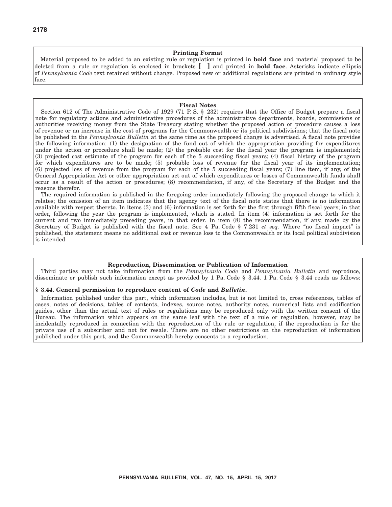#### **Printing Format**

Material proposed to be added to an existing rule or regulation is printed in **bold face** and material proposed to be deleted from a rule or regulation is enclosed in brackets **[ ]** and printed in **bold face**. Asterisks indicate ellipsis of *Pennsylvania Code* text retained without change. Proposed new or additional regulations are printed in ordinary style face.

#### **Fiscal Notes**

Section 612 of The Administrative Code of 1929 (71 P. S. § 232) requires that the Office of Budget prepare a fiscal note for regulatory actions and administrative procedures of the administrative departments, boards, commissions or authorities receiving money from the State Treasury stating whether the proposed action or procedure causes a loss of revenue or an increase in the cost of programs for the Commonwealth or its political subdivisions; that the fiscal note be published in the *Pennsylvania Bulletin* at the same time as the proposed change is advertised. A fiscal note provides the following information: (1) the designation of the fund out of which the appropriation providing for expenditures under the action or procedure shall be made; (2) the probable cost for the fiscal year the program is implemented; (3) projected cost estimate of the program for each of the 5 succeeding fiscal years; (4) fiscal history of the program for which expenditures are to be made; (5) probable loss of revenue for the fiscal year of its implementation; (6) projected loss of revenue from the program for each of the 5 succeeding fiscal years; (7) line item, if any, of the General Appropriation Act or other appropriation act out of which expenditures or losses of Commonwealth funds shall occur as a result of the action or procedures; (8) recommendation, if any, of the Secretary of the Budget and the reasons therefor.

The required information is published in the foregoing order immediately following the proposed change to which it relates; the omission of an item indicates that the agency text of the fiscal note states that there is no information available with respect thereto. In items (3) and (6) information is set forth for the first through fifth fiscal years; in that order, following the year the program is implemented, which is stated. In item (4) information is set forth for the current and two immediately preceding years, in that order. In item (8) the recommendation, if any, made by the Secretary of Budget is published with the fiscal note. See 4 Pa. Code § 7.231 *et seq.* Where "no fiscal impact" is published, the statement means no additional cost or revenue loss to the Commonwealth or its local political subdivision is intended.

#### **Reproduction, Dissemination or Publication of Information**

Third parties may not take information from the *Pennsylvania Code* and *Pennsylvania Bulletin* and reproduce, disseminate or publish such information except as provided by 1 Pa. Code § 3.44. 1 Pa. Code § 3.44 reads as follows:

#### **§ 3.44. General permission to reproduce content of** *Code* **and** *Bulletin***.**

Information published under this part, which information includes, but is not limited to, cross references, tables of cases, notes of decisions, tables of contents, indexes, source notes, authority notes, numerical lists and codification guides, other than the actual text of rules or regulations may be reproduced only with the written consent of the Bureau. The information which appears on the same leaf with the text of a rule or regulation, however, may be incidentally reproduced in connection with the reproduction of the rule or regulation, if the reproduction is for the private use of a subscriber and not for resale. There are no other restrictions on the reproduction of information published under this part, and the Commonwealth hereby consents to a reproduction.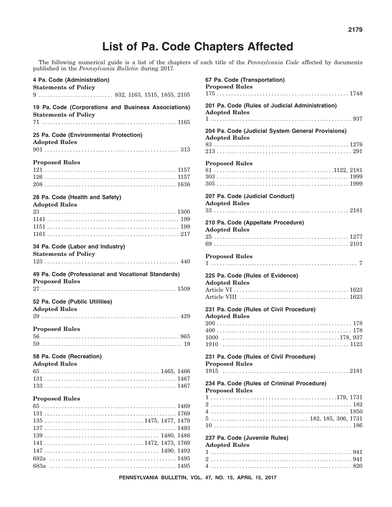## **List of Pa. Code Chapters Affected**

The following numerical guide is a list of the chapters of each title of the *Pennsylvania Code* affected by documents published in the *Pennsylvania Bulletin* during 2017.

| 4 Pa. Code (Administration)<br><b>Statements of Policy</b>                                                 |  |
|------------------------------------------------------------------------------------------------------------|--|
|                                                                                                            |  |
| 19 Pa. Code (Corporations and Business Associations)<br><b>Statements of Policy</b>                        |  |
|                                                                                                            |  |
| 25 Pa. Code (Environmental Protection)<br><b>Adopted Rules</b>                                             |  |
|                                                                                                            |  |
| <b>Proposed Rules</b>                                                                                      |  |
|                                                                                                            |  |
|                                                                                                            |  |
| 28 Pa. Code (Health and Safety)                                                                            |  |
| <b>Adopted Rules</b>                                                                                       |  |
|                                                                                                            |  |
|                                                                                                            |  |
|                                                                                                            |  |
| 34 Pa. Code (Labor and Industry)<br><b>Statements of Policy</b>                                            |  |
| 49 Pa. Code (Professional and Vocational Standards)<br><b>Proposed Rules</b>                               |  |
|                                                                                                            |  |
| 52 Pa. Code (Public Utilities)<br><b>Adopted Rules</b>                                                     |  |
|                                                                                                            |  |
| <b>Proposed Rules</b>                                                                                      |  |
|                                                                                                            |  |
|                                                                                                            |  |
| 58 Pa. Code (Recreation)<br><b>Adopted Rules</b>                                                           |  |
|                                                                                                            |  |
|                                                                                                            |  |
|                                                                                                            |  |
|                                                                                                            |  |
| <b>Proposed Rules</b>                                                                                      |  |
|                                                                                                            |  |
|                                                                                                            |  |
| $135 \ldots \ldots \ldots \ldots \ldots \ldots \ldots \ldots \ldots \ldots \ldots \ldots 1475, 1477, 1479$ |  |
|                                                                                                            |  |
|                                                                                                            |  |
| $141 \ldots \ldots \ldots \ldots \ldots \ldots \ldots \ldots \ldots \ldots \ldots \ldots 1472, 1473, 1769$ |  |
|                                                                                                            |  |
|                                                                                                            |  |

| 67 Pa. Code (Transportation)<br><b>Proposed Rules</b>                                  |
|----------------------------------------------------------------------------------------|
| 201 Pa. Code (Rules of Judicial Administration)<br><b>Adopted Rules</b>                |
|                                                                                        |
| 204 Pa. Code (Judicial System General Provisions)<br><b>Adopted Rules</b>              |
|                                                                                        |
| <b>Proposed Rules</b>                                                                  |
|                                                                                        |
|                                                                                        |
|                                                                                        |
| 207 Pa. Code (Judicial Conduct)<br><b>Adopted Rules</b>                                |
|                                                                                        |
| 210 Pa. Code (Appellate Procedure)<br><b>Adopted Rules</b>                             |
| $25\,\dots\dots\dots\dots\dots\dots\dots\dots\dots\dots\dots\dots\dots\dots\dots 1277$ |
|                                                                                        |
| <b>Proposed Rules</b>                                                                  |
| 225 Pa. Code (Rules of Evidence)<br><b>Adopted Rules</b>                               |
|                                                                                        |
| 231 Pa. Code (Rules of Civil Procedure)<br><b>Adopted Rules</b>                        |
|                                                                                        |
|                                                                                        |
|                                                                                        |
|                                                                                        |
| 231 Pa. Code (Rules of Civil Procedure)<br><b>Proposed Rules</b>                       |
|                                                                                        |
| 234 Pa. Code (Rules of Criminal Procedure)                                             |
| <b>Proposed Rules</b>                                                                  |
|                                                                                        |
|                                                                                        |
|                                                                                        |
|                                                                                        |
| 237 Pa. Code (Juvenile Rules)<br><b>Adopted Rules</b>                                  |
|                                                                                        |
|                                                                                        |
|                                                                                        |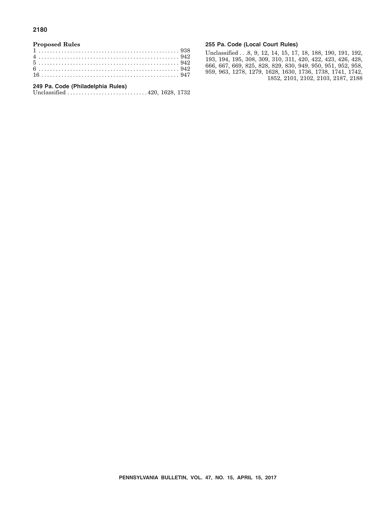#### **2180**

#### **Proposed Rules**

#### **249 Pa. Code (Philadelphia Rules)**

Unclassified ............................ 420, 1628, 1732

#### **255 Pa. Code (Local Court Rules)**

Unclassified . . .8, 9, 12, 14, 15, 17, 18, 188, 190, 191, 192, 193, 194, 195, 308, 309, 310, 311, 420, 422, 423, 426, 428, 666, 667, 669, 825, 828, 829, 830, 949, 950, 951, 952, 958, 959, 963, 1278, 1279, 1628, 1630, 1736, 1738, 1741, 1742, 1852, 2101, 2102, 2103, 2187, 2188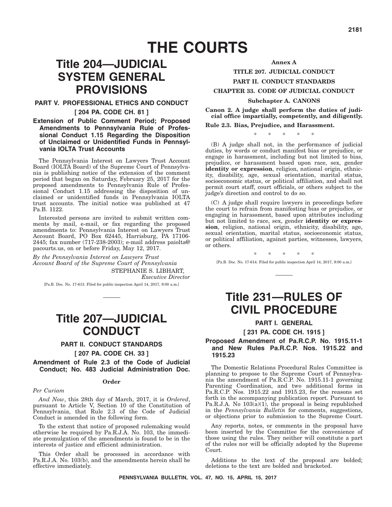## **Title 204—JUDICIAL SYSTEM GENERAL PROVISIONS**

#### **PART V. PROFESSIONAL ETHICS AND CONDUCT**

#### **[ 204 PA. CODE CH. 81 ]**

#### **Extension of Public Comment Period; Proposed Amendments to Pennsylvania Rule of Professional Conduct 1.15 Regarding the Disposition of Unclaimed or Unidentified Funds in Pennsylvania IOLTA Trust Accounts**

The Pennsylvania Interest on Lawyers Trust Account Board (IOLTA Board) of the Supreme Court of Pennsylvania is publishing notice of the extension of the comment period that began on Saturday, February 25, 2017 for the proposed amendments to Pennsylvania Rule of Professional Conduct 1.15 addressing the disposition of unclaimed or unidentified funds in Pennsylvania IOLTA trust accounts. The initial notice was published at 47 Pa.B. 1122.

Interested persons are invited to submit written comments by mail, e-mail, or fax regarding the proposed amendments to: Pennsylvania Interest on Lawyers Trust Account Board, PO Box 62445, Harrisburg, PA 17106- 2445; fax number (717-238-2003); e-mail address paiolta@ pacourts.us, on or before Friday, May 12, 2017.

*By the Pennsylvania Interest on Lawyers Trust Account Board of the Supreme Court of Pennsylvania* STEPHANIE S. LIBHART,

*Executive Director*

[Pa.B. Doc. No. 17-613. Filed for public inspection April 14, 2017, 9:00 a.m.]

## **Title 207—JUDICIAL CONDUCT**

#### **PART II. CONDUCT STANDARDS**

#### **[ 207 PA. CODE CH. 33 ]**

**Amendment of Rule 2.3 of the Code of Judicial Conduct; No. 483 Judicial Administration Doc.**

#### **Order**

#### *Per Curiam*

*And Now*, this 28th day of March, 2017, it is *Ordered*, pursuant to Article V, Section 10 of the Constitution of Pennsylvania, that Rule 2.3 of the Code of Judicial Conduct is amended in the following form.

To the extent that notice of proposed rulemaking would otherwise be required by Pa.R.J.A. No. 103, the immediate promulgation of the amendments is found to be in the interests of justice and efficient administration.

This Order shall be processed in accordance with Pa.R.J.A. No. 103(b), and the amendments herein shall be effective immediately.

## **Annex A TITLE 207. JUDICIAL CONDUCT**

#### **PART II. CONDUCT STANDARDS**

#### **CHAPTER 33. CODE OF JUDICIAL CONDUCT**

#### **Subchapter A. CANONS**

**Canon 2. A judge shall perform the duties of judicial office impartially, competently, and diligently.**

#### **Rule 2.3. Bias, Prejudice, and Harassment.**

 $*$  \* \*

(B) A judge shall not, in the performance of judicial duties, by words or conduct manifest bias or prejudice, or engage in harassment, including but not limited to bias, prejudice, or harassment based upon race, sex, gender **identity or expression**, religion, national origin, ethnicity, disability, age, sexual orientation, marital status, socioeconomic status, or political affiliation, and shall not permit court staff, court officials, or others subject to the judge's direction and control to do so.

(C) A judge shall require lawyers in proceedings before the court to refrain from manifesting bias or prejudice, or engaging in harassment, based upon attributes including but not limited to race, sex, gender **identity or expression**, religion, national origin, ethnicity, disability, age, sexual orientation, marital status, socioeconomic status, or political affiliation, against parties, witnesses, lawyers, or others.

[Pa.B. Doc. No. 17-614. Filed for public inspection April 14, 2017, 9:00 a.m.]

\*\*\*\*\*

## **Title 231—RULES OF CIVIL PROCEDURE**

#### **PART I. GENERAL [ 231 PA. CODE CH. 1915 ]**

#### **Proposed Amendment of Pa.R.C.P. No. 1915.11-1 and New Rules Pa.R.C.P. Nos. 1915.22 and 1915.23**

The Domestic Relations Procedural Rules Committee is planning to propose to the Supreme Court of Pennsylvania the amendment of Pa.R.C.P. No. 1915.11-1 governing Parenting Coordination, and two additional forms in Pa.R.C.P. Nos. 1915.22 and 1915.23, for the reasons set forth in the accompanying publication report. Pursuant to Pa.R.J.A. No  $103(a)(1)$ , the proposal is being republished in the *Pennsylvania Bulletin* for comments, suggestions, or objections prior to submission to the Supreme Court.

Any reports, notes, or comments in the proposal have been inserted by the Committee for the convenience of those using the rules. They neither will constitute a part of the rules nor will be officially adopted by the Supreme Court.

Additions to the text of the proposal are bolded; deletions to the text are bolded and bracketed.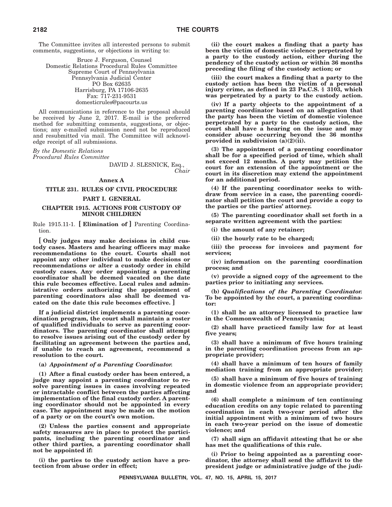The Committee invites all interested persons to submit comments, suggestions, or objections in writing to:

Bruce J. Ferguson, Counsel Domestic Relations Procedural Rules Committee Supreme Court of Pennsylvania Pennsylvania Judicial Center PO Box 62635 Harrisburg, PA 17106-2635 Fax: 717-231-9531 domesticrules@pacourts.us

All communications in reference to the proposal should be received by June 2, 2017. E-mail is the preferred method for submitting comments, suggestions, or objections; any e-mailed submission need not be reproduced and resubmitted via mail. The Committee will acknowledge receipt of all submissions.

*By the Domestic Relations Procedural Rules Committee*

> DAVID J. SLESNICK, Esq., *Chair*

#### **Annex A**

#### **TITLE 231. RULES OF CIVIL PROCEDURE PART I. GENERAL**

#### **CHAPTER 1915. ACTIONS FOR CUSTODY OF MINOR CHILDREN**

Rule 1915.11-1. **[ Elimination of ]** Parenting Coordination.

**[ Only judges may make decisions in child custody cases. Masters and hearing officers may make recommendations to the court. Courts shall not appoint any other individual to make decisions or recommendations or alter a custody order in child custody cases. Any order appointing a parenting coordinator shall be deemed vacated on the date this rule becomes effective. Local rules and administrative orders authorizing the appointment of parenting coordinators also shall be deemed vacated on the date this rule becomes effective. ]**

**If a judicial district implements a parenting coordination program, the court shall maintain a roster of qualified individuals to serve as parenting coordinators. The parenting coordinator shall attempt to resolve issues arising out of the custody order by facilitating an agreement between the parties and, if unable to reach an agreement, recommend a resolution to the court.**

#### **(a)** *Appointment of a Parenting Coordinator.*

**(1) After a final custody order has been entered, a judge may appoint a parenting coordinator to resolve parenting issues in cases involving repeated or intractable conflict between the parties affecting implementation of the final custody order. A parenting coordinator should not be appointed in every case. The appointment may be made on the motion of a party or on the court's own motion.**

**(2) Unless the parties consent and appropriate safety measures are in place to protect the participants, including the parenting coordinator and other third parties, a parenting coordinator shall not be appointed if:**

**(i) the parties to the custody action have a protection from abuse order in effect;**

**(ii) the court makes a finding that a party has been the victim of domestic violence perpetrated by a party to the custody action, either during the pendency of the custody action or within 36 months preceding the filing of the custody action; or**

**(iii) the court makes a finding that a party to the custody action has been the victim of a personal injury crime, as defined in 23 Pa.C.S. § 3103, which was perpetrated by a party to the custody action.**

**(iv) If a party objects to the appointment of a parenting coordinator based on an allegation that the party has been the victim of domestic violence perpetrated by a party to the custody action, the court shall have a hearing on the issue and may consider abuse occurring beyond the 36 months provided in subdivision (a)(2)(ii).**

**(3) The appointment of a parenting coordinator shall be for a specified period of time, which shall not exceed 12 months. A party may petition the court for an extension of the appointment or the court in its discretion may extend the appointment for an additional period.**

**(4) If the parenting coordinator seeks to withdraw from service in a case, the parenting coordinator shall petition the court and provide a copy to the parties or the parties' attorney.**

**(5) The parenting coordinator shall set forth in a separate written agreement with the parties:**

**(i) the amount of any retainer;**

**(ii) the hourly rate to be charged;**

**(iii) the process for invoices and payment for services;**

**(iv) information on the parenting coordination process; and**

**(v) provide a signed copy of the agreement to the parties prior to initiating any services.**

**(b)** *Qualifications of the Parenting Coordinator.* **To be appointed by the court, a parenting coordinator:**

**(1) shall be an attorney licensed to practice law in the Commonwealth of Pennsylvania;**

**(2) shall have practiced family law for at least five years;**

**(3) shall have a minimum of five hours training in the parenting coordination process from an appropriate provider;**

**(4) shall have a minimum of ten hours of family mediation training from an appropriate provider;**

**(5) shall have a minimum of five hours of training in domestic violence from an appropriate provider; and**

**(6) shall complete a minimum of ten continuing education credits on any topic related to parenting coordination in each two-year period after the initial appointment with a minimum of two hours in each two-year period on the issue of domestic violence; and**

**(7) shall sign an affidavit attesting that he or she has met the qualifications of this rule.**

**(i) Prior to being appointed as a parenting coordinator, the attorney shall send the affidavit to the president judge or administrative judge of the judi-**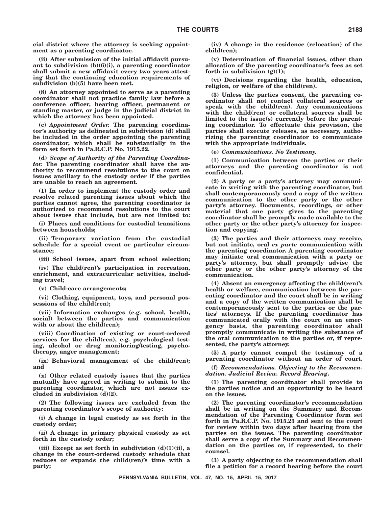**cial district where the attorney is seeking appointment as a parenting coordinator.**

**(ii) After submission of the initial affidavit pursuant to subdivision (b)(6)(i), a parenting coordinator shall submit a new affidavit every two years attesting that the continuing education requirements of subdivision (b)(5) have been met.**

**(8) An attorney appointed to serve as a parenting coordinator shall not practice family law before a conference officer, hearing officer, permanent or standing master, or judge in the judicial district in which the attorney has been appointed.**

**(c)** *Appointment Order.* **The parenting coordinator's authority as delineated in subdivision (d) shall be included in the order appointing the parenting coordinator, which shall be substantially in the form set forth in Pa.R.C.P. No. 1915.22.**

**(d)** *Scope of Authority of the Parenting Coordinator.* **The parenting coordinator shall have the authority to recommend resolutions to the court on issues ancillary to the custody order if the parties are unable to reach an agreement.**

**(1) In order to implement the custody order and resolve related parenting issues about which the parties cannot agree, the parenting coordinator is authorized to recommend resolutions to the court about issues that include, but are not limited to:**

**(i) Places and conditions for custodial transitions between households;**

**(ii) Temporary variation from the custodial schedule for a special event or particular circumstance;**

**(iii) School issues, apart from school selection;**

**(iv) The child(ren)'s participation in recreation, enrichment, and extracurricular activities, including travel;**

**(v) Child-care arrangements;**

**(vi) Clothing, equipment, toys, and personal possessions of the child(ren);**

**(vii) Information exchanges (e.g. school, health, social) between the parties and communication with or about the child(ren);**

**(viii) Coordination of existing or court-ordered services for the child(ren), e.g. psychological testing, alcohol or drug monitoring/testing, psychotherapy, anger management;**

**(ix) Behavioral management of the child(ren); and**

**(x) Other related custody issues that the parties mutually have agreed in writing to submit to the parenting coordinator, which are not issues excluded in subdivision (d)(2).**

**(2) The following issues are excluded from the parenting coordinator's scope of authority:**

**(i) A change in legal custody as set forth in the custody order;**

**(ii) A change in primary physical custody as set forth in the custody order;**

**(iii) Except as set forth in subdivision (d)(1)(ii), a change in the court-ordered custody schedule that reduces or expands the child(ren)'s time with a party;**

**(iv) A change in the residence (relocation) of the child(ren);**

**(v) Determination of financial issues, other than allocation of the parenting coordinator's fees as set forth in subdivision (g)(1);**

**(vi) Decisions regarding the health, education, religion, or welfare of the child(ren).**

**(3) Unless the parties consent, the parenting coordinator shall not contact collateral sources or speak with the child(ren). Any communications with the child(ren) or collateral sources shall be limited to the issue(s) currently before the parenting coordinator. To effectuate this provision, the parties shall execute releases, as necessary, authorizing the parenting coordinator to communicate with the appropriate individuals.**

**(e)** *Communications. No Testimony.*

**(1) Communication between the parties or their attorneys and the parenting coordinator is not confidential.**

**(2) A party or a party's attorney may communicate in writing with the parenting coordinator, but shall contemporaneously send a copy of the written communication to the other party or the other party's attorney. Documents, recordings, or other material that one party gives to the parenting coordinator shall be promptly made available to the other party or the other party's attorney for inspection and copying.**

**(3) The parties and their attorneys may receive, but not initiate, oral** *ex parte* **communication with the parenting coordinator. A parenting coordinator may initiate oral communication with a party or party's attorney, but shall promptly advise the other party or the other party's attorney of the communication.**

**(4) Absent an emergency affecting the child(ren)'s health or welfare, communication between the parenting coordinator and the court shall be in writing and a copy of the written communication shall be contemporaneously sent to the parties or the parties' attorneys. If the parenting coordinator has communicated orally with the court on an emergency basis, the parenting coordinator shall promptly communicate in writing the substance of the oral communication to the parties or, if represented, the party's attorney.**

**(5) A party cannot compel the testimony of a parenting coordinator without an order of court.**

**(f)** *Recommendations. Objecting to the Recommendation. Judicial Review. Record Hearing***.**

**(1) The parenting coordinator shall provide to the parties notice and an opportunity to be heard on the issues.**

**(2) The parenting coordinator's recommendation shall be in writing on the Summary and Recommendation of the Parenting Coordinator form set forth in Pa.R.C.P. No. 1915.23 and sent to the court for review within two days after hearing from the parties on the issues. The parenting coordinator shall serve a copy of the Summary and Recommendation on the parties or, if represented, to their counsel.**

**(3) A party objecting to the recommendation shall file a petition for a record hearing before the court**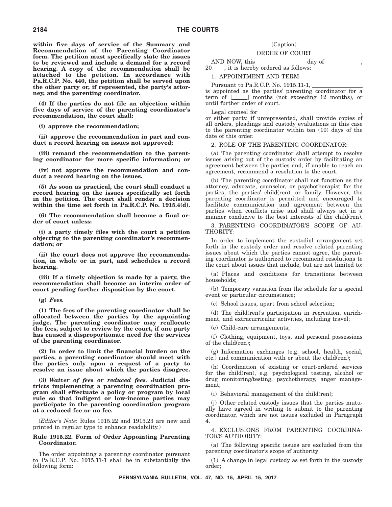**within five days of service of the Summary and Recommendation of the Parenting Coordinator form. The petition must specifically state the issues to be reviewed and include a demand for a record hearing. A copy of the recommendation shall be attached to the petition. In accordance with Pa.R.C.P. No. 440, the petition shall be served upon the other party or, if represented, the party's attorney, and the parenting coordinator.**

**(4) If the parties do not file an objection within five days of service of the parenting coordinator's recommendation, the court shall:**

**(i) approve the recommendation;**

**(ii) approve the recommendation in part and conduct a record hearing on issues not approved;**

**(iii) remand the recommendation to the parenting coordinator for more specific information; or**

**(iv) not approve the recommendation and conduct a record hearing on the issues.**

**(5) As soon as practical, the court shall conduct a record hearing on the issues specifically set forth in the petition. The court shall render a decision within the time set forth in Pa.R.C.P. No. 1915.4(d).**

**(6) The recommendation shall become a final order of court unless:**

**(i) a party timely files with the court a petition objecting to the parenting coordinator's recommendation; or**

**(ii) the court does not approve the recommendation, in whole or in part, and schedules a record hearing.**

**(iii) If a timely objection is made by a party, the recommendation shall become an interim order of court pending further disposition by the court.**

**(g)** *Fees.*

**(1) The fees of the parenting coordinator shall be allocated between the parties by the appointing judge. The parenting coordinator may reallocate the fees, subject to review by the court, if one party has caused a disproportionate need for the services of the parenting coordinator.**

**(2) In order to limit the financial burden on the parties, a parenting coordinator should meet with the parties only upon a request of a party to resolve an issue about which the parties disagree.**

**(3)** *Waiver of fees or reduced fees.* **Judicial districts implementing a parenting coordination program shall effectuate a policy or program by local rule so that indigent or low-income parties may participate in the parenting coordination program at a reduced fee or no fee.**

(*Editor's Note*: Rules 1915.22 and 1915.23 are new and printed in regular type to enhance readability.)

#### **Rule 1915.22. Form of Order Appointing Parenting Coordinator.**

The order appointing a parenting coordinator pursuant to Pa.R.C.P. No. 1915.11-1 shall be in substantially the following form:

#### (Caption) ORDER OF COURT

AND NOW, this  $\_\_\_\_\_\_\_\_\_\$  day of  $\_\_\_\_\$ 20\_\_\_\_, it is hereby ordered as follows:

1. APPOINTMENT AND TERM:

Pursuant to Pa.R.C.P. No. 1915.11-1,

is appointed as the parties' parenting coordinator for a term of  $[\_\_\]$  months (not exceeding 12 months), or until further order of court.

Legal counsel for ,

or either party, if unrepresented, shall provide copies of all orders, pleadings and custody evaluations in this case to the parenting coordinator within ten (10) days of the date of this order.

#### 2. ROLE OF THE PARENTING COORDINATOR:

(a) The parenting coordinator shall attempt to resolve issues arising out of the custody order by facilitating an agreement between the parties and, if unable to reach an agreement, recommend a resolution to the court.

(b) The parenting coordinator shall not function as the attorney, advocate, counselor, or psychotherapist for the parties, the parties' child(ren), or family. However, the parenting coordinator is permitted and encouraged to facilitate communication and agreement between the parties when conflicts arise and shall always act in a manner conducive to the best interests of the child(ren).

3. PARENTING COORDINATOR'S SCOPE OF AU-THORITY:

In order to implement the custodial arrangement set forth in the custody order and resolve related parenting issues about which the parties cannot agree, the parenting coordinator is authorized to recommend resolutions to the court about issues that include, but are not limited to:

(a) Places and conditions for transitions between households;

(b) Temporary variation from the schedule for a special event or particular circumstance;

(c) School issues, apart from school selection;

(d) The child(ren)'s participation in recreation, enrichment, and extracurricular activities, including travel;

(e) Child-care arrangements;

(f) Clothing, equipment, toys, and personal possessions of the child(ren);

(g) Information exchanges (e.g. school, health, social, etc.) and communication with or about the child(ren);

(h) Coordination of existing or court-ordered services for the child(ren), e.g. psychological testing, alcohol or drug monitoring/testing, psychotherapy, anger management;

(i) Behavioral management of the child(ren);

(j) Other related custody issues that the parties mutually have agreed in writing to submit to the parenting coordinator, which are not issues excluded in Paragraph 4.

4. EXCLUSIONS FROM PARENTING COORDINA-TOR'S AUTHORITY:

(a) The following specific issues are excluded from the parenting coordinator's scope of authority:

(1) A change in legal custody as set forth in the custody order;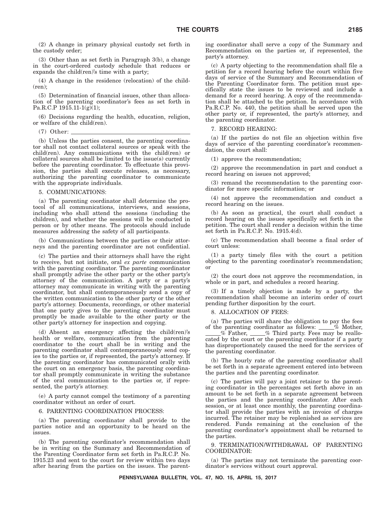(2) A change in primary physical custody set forth in the custody order;

(3) Other than as set forth in Paragraph 3(b), a change in the court-ordered custody schedule that reduces or expands the child(ren)'s time with a party;

(4) A change in the residence (relocation) of the child-  $(ren):$ 

(5) Determination of financial issues, other than allocation of the parenting coordinator's fees as set forth in Pa.R.C.P 1915.11-1(g)(1);

(6) Decisions regarding the health, education, religion, or welfare of the child(ren).

(7) Other:

(b) Unless the parties consent, the parenting coordinator shall not contact collateral sources or speak with the child(ren). Any communications with the child(ren) or collateral sources shall be limited to the issue(s) currently before the parenting coordinator. To effectuate this provision, the parties shall execute releases, as necessary, authorizing the parenting coordinator to communicate with the appropriate individuals.

5. COMMUNICATIONS:

(a) The parenting coordinator shall determine the protocol of all communications, interviews, and sessions, including who shall attend the sessions (including the children), and whether the sessions will be conducted in person or by other means. The protocols should include measures addressing the safety of all participants.

(b) Communications between the parties or their attorneys and the parenting coordinator are not confidential.

(c) The parties and their attorneys shall have the right to receive, but not initiate, oral *ex parte* communication with the parenting coordinator. The parenting coordinator shall promptly advise the other party or the other party's attorney of the communication. A party or a party's attorney may communicate in writing with the parenting coordinator, but shall contemporaneously send a copy of the written communication to the other party or the other party's attorney. Documents, recordings, or other material that one party gives to the parenting coordinator must promptly be made available to the other party or the other party's attorney for inspection and copying.

(d) Absent an emergency affecting the child(ren)'s health or welfare, communication from the parenting coordinator to the court shall be in writing and the parenting coordinator shall contemporaneously send copies to the parties or, if represented, the party's attorney. If the parenting coordinator has communicated orally with the court on an emergency basis, the parenting coordinator shall promptly communicate in writing the substance of the oral communication to the parties or, if represented, the party's attorney.

(e) A party cannot compel the testimony of a parenting coordinator without an order of court.

6. PARENTING COORDINATION PROCESS:

(a) The parenting coordinator shall provide to the parties notice and an opportunity to be heard on the issues.

(b) The parenting coordinator's recommendation shall be in writing on the Summary and Recommendation of the Parenting Coordinator form set forth in Pa.R.C.P. No. 1915.23 and sent to the court for review within two days after hearing from the parties on the issues. The parenting coordinator shall serve a copy of the Summary and Recommendation on the parties or, if represented, the party's attorney.

(c) A party objecting to the recommendation shall file a petition for a record hearing before the court within five days of service of the Summary and Recommendation of the Parenting Coordinator form. The petition must specifically state the issues to be reviewed and include a demand for a record hearing. A copy of the recommendation shall be attached to the petition. In accordance with Pa.R.C.P. No. 440, the petition shall be served upon the other party or, if represented, the party's attorney, and the parenting coordinator.

7. RECORD HEARING:

(a) If the parties do not file an objection within five days of service of the parenting coordinator's recommendation, the court shall:

(1) approve the recommendation;

(2) approve the recommendation in part and conduct a record hearing on issues not approved;

(3) remand the recommendation to the parenting coordinator for more specific information; or

(4) not approve the recommendation and conduct a record hearing on the issues.

(b) As soon as practical, the court shall conduct a record hearing on the issues specifically set forth in the petition. The court shall render a decision within the time set forth in Pa.R.C.P. No. 1915.4(d).

(c) The recommendation shall become a final order of court unless:

(1) a party timely files with the court a petition objecting to the parenting coordinator's recommendation; or

(2) the court does not approve the recommendation, in whole or in part, and schedules a record hearing.

(3) If a timely objection is made by a party, the recommendation shall become an interim order of court pending further disposition by the court.

8. ALLOCATION OF FEES:

(a) The parties will share the obligation to pay the fees of the parenting coordinator as follows:  $\_\_\_\%$  Mother,  $\%$  Father,  $\frac{1}{2}$  Third party. Fees may be reallocated by the court or the parenting coordinator if a party has disproportionately caused the need for the services of the parenting coordinator.

(b) The hourly rate of the parenting coordinator shall be set forth in a separate agreement entered into between the parties and the parenting coordinator.

(c) The parties will pay a joint retainer to the parenting coordinator in the percentages set forth above in an amount to be set forth in a separate agreement between the parties and the parenting coordinator. After each session, or at least once monthly, the parenting coordinator shall provide the parties with an invoice of charges incurred. The retainer may be replenished as services are rendered. Funds remaining at the conclusion of the parenting coordinator's appointment shall be returned to the parties.

9. TERMINATION/WITHDRAWAL OF PARENTING COORDINATOR:

(a) The parties may not terminate the parenting coordinator's services without court approval.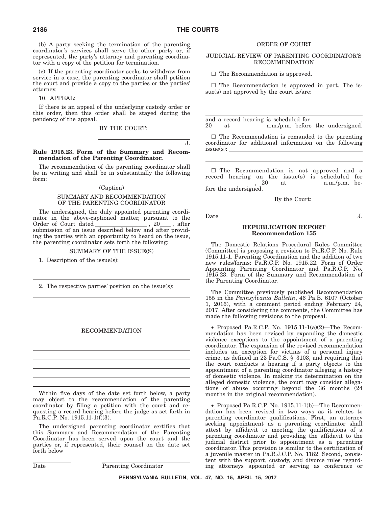(b) A party seeking the termination of the parenting coordinator's services shall serve the other party or, if represented, the party's attorney and parenting coordinator with a copy of the petition for termination.

(c) If the parenting coordinator seeks to withdraw from service in a case, the parenting coordinator shall petition the court and provide a copy to the parties or the parties' attorney.

10. APPEAL:

If there is an appeal of the underlying custody order or this order, then this order shall be stayed during the pendency of the appeal.

#### BY THE COURT:

J.

#### **Rule 1915.23. Form of the Summary and Recommendation of the Parenting Coordinator.**

The recommendation of the parenting coordinator shall be in writing and shall be in substantially the following form:

#### (Caption)

#### SUMMARY AND RECOMMENDATION OF THE PARENTING COORDINATOR

The undersigned, the duly appointed parenting coordinator in the above-captioned matter, pursuant to the Order of Court dated \_\_\_\_\_\_\_\_\_\_\_\_\_\_\_\_, 20\_\_\_, after submission of an issue described below and after providing the parties with an opportunity to heard on the issue, the parenting coordinator sets forth the following:

#### SUMMARY OF THE ISSUE(S)

1. Description of the issue(s):

2. The respective parties' position on the issue(s):

#### RECOMMENDATION

Within five days of the date set forth below, a party may object to the recommendation of the parenting coordinator by filing a petition with the court and requesting a record hearing before the judge as set forth in  $\tilde{Pa}$ .R.C.P. No. 1915.11-1(f)(3).

The undersigned parenting coordinator certifies that this Summary and Recommendation of the Parenting Coordinator has been served upon the court and the parties or, if represented, their counsel on the date set forth below

Date Parenting Coordinator

#### ORDER OF COURT

#### JUDICIAL REVIEW OF PARENTING COORDINATOR'S RECOMMENDATION

 $\Box$  The Recommendation is approved.

 $\Box$  The Recommendation is approved in part. The issue(s) not approved by the court is/are:

and a record hearing is scheduled for  $\equiv$ 20 at a.m./p.m. before the undersigned.

 $\Box$  The Recommendation is remanded to the parenting coordinator for additional information on the following  $issue(s):$   $\_\_$ 

- The Recommendation is not approved and a record hearing on the  $issue(s)$  is scheduled for  $\frac{1}{20}$ , 20 at  $\frac{1}{20}$  a.m./p.m. before the undersigned.

By the Court:

Date J.

#### **REPUBLICATION REPORT Recommendation 155**

The Domestic Relations Procedural Rules Committee (Committee) is proposing a revision to Pa.R.C.P. No. Rule 1915.11-1. Parenting Coordination and the addition of two new rules/forms: Pa.R.C.P. No. 1915.22. Form of Order Appointing Parenting Coordinator and Pa.R.C.P. No. 1915.23. Form of the Summary and Recommendation of the Parenting Coordinator.

The Committee previously published Recommendation 155 in the *Pennsylvania Bulletin*, 46 Pa.B. 6107 (October 1, 2016), with a comment period ending February 24, 2017. After considering the comments, the Committee has made the following revisions to the proposal.

• Proposed Pa.R.C.P. No. 1915.11-1(a)(2)—The Recommendation has been revised by expanding the domestic violence exceptions to the appointment of a parenting coordinator. The expansion of the revised recommendation includes an exception for victims of a personal injury crime, as defined in 23 Pa.C.S. § 3103, and requiring that the court conducts a hearing if a party objects to the appointment of a parenting coordinator alleging a history of domestic violence. In making its determination on the alleged domestic violence, the court may consider allegations of abuse occurring beyond the 36 months (24 months in the original recommendation).

• Proposed Pa.R.C.P. No. 1915.11-1(b)—The Recommendation has been revised in two ways as it relates to parenting coordinator qualifications. First, an attorney seeking appointment as a parenting coordinator shall attest by affidavit to meeting the qualifications of a parenting coordinator and providing the affidavit to the judicial district prior to appointment as a parenting coordinator. This provision is similar to the certification of a juvenile master in Pa.R.J.C.P. No. 1182. Second, consistent with the support, custody, and divorce rules regarding attorneys appointed or serving as conference or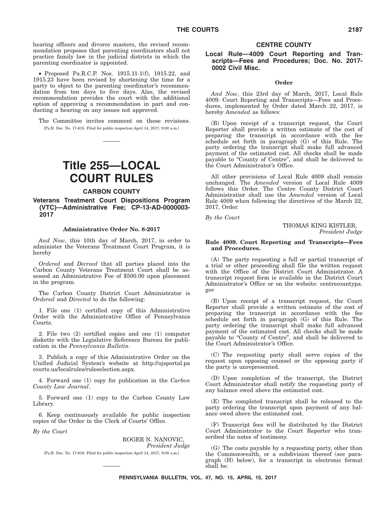hearing officers and divorce masters, the revised recommendation proposes that parenting coordinators shall not practice family law in the judicial districts in which the parenting coordinator is appointed.

• Proposed Pa.R.C.P. Nos. 1915.11-1(f), 1915.22, and 1915.23 have been revised by shortening the time for a party to object to the parenting coordinator's recommendation from ten days to five days. Also, the revised recommendation provides the court with the additional option of approving a recommendation in part and conducting a hearing on any issues not approved.

The Committee invites comment on these revisions. [Pa.B. Doc. No. 17-615. Filed for public inspection April 14, 2017, 9:00 a.m.]

## **Title 255—LOCAL COURT RULES**

#### **CARBON COUNTY**

#### **Veterans Treatment Court Dispositions Program (VTC)—Administrative Fee; CP-13-AD-0000003- 2017**

#### **Administrative Order No. 8-2017**

*And Now*, this 10th day of March, 2017, in order to administer the Veterans Treatment Court Program, it is hereby

*Ordered* and *Decreed* that all parties placed into the Carbon County Veterans Treatment Court shall be assessed an Administrative Fee of \$500.00 upon placement in the program.

The Carbon County District Court Administrator is *Ordered* and *Directed* to do the following:

1. File one (1) certified copy of this Administrative Order with the Administrative Office of Pennsylvania Courts.

2. File two (2) certified copies and one (1) computer diskette with the Legislative Reference Bureau for publication in the *Pennsylvania Bulletin*.

3. Publish a copy of this Administrative Order on the Unified Judicial System's website at http://ujsportal.pa courts.us/localrules/ruleselection.aspx.

4. Forward one (1) copy for publication in the *Carbon County Law Journal*.

5. Forward one (1) copy to the Carbon County Law Library.

6. Keep continuously available for public inspection copies of the Order in the Clerk of Courts' Office.

*By the Court*

ROGER N. NANOVIC, *President Judge* [Pa.B. Doc. No. 17-616. Filed for public inspection April 14, 2017, 9:00 a.m.]

#### **CENTRE COUNTY**

#### **Local Rule—4009 Court Reporting and Transcripts—Fees and Procedures; Doc. No. 2017- 0002 Civil Misc.**

#### **Order**

*And Now*, this 23rd day of March, 2017, Local Rule 4009: Court Reporting and Transcripts—Fees and Procedures, implemented by Order dated March 22, 2017, is hereby *Amended* as follows:

(B) Upon receipt of a transcript request, the Court Reporter shall provide a written estimate of the cost of preparing the transcript in accordance with the fee schedule set forth in paragraph (G) of this Rule. The party ordering the transcript shall make full advanced payment of the estimated cost. All checks shall be made payable to ''County of Centre'', and shall be delivered to the Court Administrator's Office.

All other provisions of Local Rule 4009 shall remain unchanged. The *Amended* version of Local Rule 4009 follows this Order. The Centre County District Court Administratior shall use the *Amended* version of Local Rule 4009 when following the directives of the March 22, 2017, Order.

*By the Court*

THOMAS KING KISTLER, *President Judge*

#### **Rule 4009. Court Reporting and Transcripts—Fees and Procedures.**

(A) The party requesting a full or partial transcript of a trial or other proceeding shall file the written request with the Office of the District Court Administrator. A transcript request form is available in the District Court Administrator's Office or on the website: centrecountypa. gov

(B) Upon receipt of a transcript request, the Court Reporter shall provide a written estimate of the cost of preparing the transcript in accordance with the fee schedule set forth in paragraph (G) of this Rule. The party ordering the transcript shall make full advanced payment of the estimated cost. All checks shall be made payable to ''County of Centre'', and shall be delivered to the Court Administrator's Office.

(C) The requesting party shall serve copies of the request upon opposing counsel or the opposing party if the party is unrepresented.

(D) Upon completion of the transcript, the District Court Administrator shall notify the requesting party of any balance owed above the estimated cost.

(E) The completed transcript shall be released to the party ordering the transcript upon payment of any balance owed above the estimated cost.

(F) Transcript fees will be distributed by the District Court Administrator to the Court Reporter who transcribed the notes of testimony.

(G) The costs payable by a requesting party, other than the Commonwealth, or a subdivision thereof (see paragraph (H) below), for a transcript in electronic format shall be: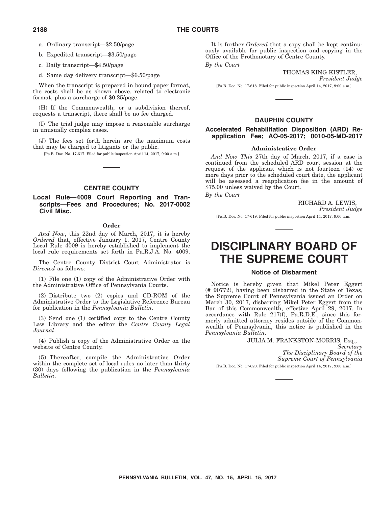b. Expedited transcript—\$3.50/page

c. Daily transcript—\$4.50/page

d. Same day delivery transcript—\$6.50/page

When the transcript is prepared in bound paper format, the costs shall be as shown above, related to electronic format, plus a surcharge of \$0.25/page.

(H) If the Commonwealth, or a subdivision thereof, requests a transcript, there shall be no fee charged.

(I) The trial judge may impose a reasonable surcharge in unusually complex cases.

(J) The fees set forth herein are the maximum costs that may be charged to litigants or the public.

[Pa.B. Doc. No. 17-617. Filed for public inspection April 14, 2017, 9:00 a.m.]

#### **CENTRE COUNTY**

#### **Local Rule—4009 Court Reporting and Transcripts—Fees and Procedures; No. 2017-0002 Civil Misc.**

#### **Order**

*And Now*, this 22nd day of March, 2017, it is hereby *Ordered* that, effective January 1, 2017, Centre County Local Rule 4009 is hereby established to implement the local rule requirements set forth in Pa.R.J.A. No. 4009.

The Centre County District Court Administrator is *Directed* as follows:

(1) File one (1) copy of the Administrative Order with the Administrative Office of Pennsylvania Courts.

(2) Distribute two (2) copies and CD-ROM of the Administrative Order to the Legislative Reference Bureau for publication in the *Pennsylvania Bulletin*.

(3) Send one (1) certified copy to the Centre County Law Library and the editor the *Centre County Legal Journal*.

(4) Publish a copy of the Administrative Order on the website of Centre County.

(5) Thereafter, compile the Administrative Order within the complete set of local rules no later than thirty (30) days following the publication in the *Pennsylvania Bulletin*.

It is further *Ordered* that a copy shall be kept continuously available for public inspection and copying in the Office of the Prothonotary of Centre County.

*By the Court*

THOMAS KING KISTLER, *President Judge*

[Pa.B. Doc. No. 17-618. Filed for public inspection April 14, 2017, 9:00 a.m.]

#### **DAUPHIN COUNTY**

#### **Accelerated Rehabilitation Disposition (ARD) Reapplication Fee; AO-05-2017; 0010-05-MD-2017**

#### **Administrative Order**

*And Now This* 27th day of March, 2017, if a case is continued from the scheduled ARD court session at the request of the applicant which is not fourteen (14) or more days prior to the scheduled court date, the applicant will be assessed a reapplication fee in the amount of \$75.00 unless waived by the Court.

*By the Court*

RICHARD A. LEWIS, *President Judge* [Pa.B. Doc. No. 17-619. Filed for public inspection April 14, 2017, 9:00 a.m.]

## **DISCIPLINARY BOARD OF THE SUPREME COURT**

#### **Notice of Disbarment**

Notice is hereby given that Mikel Peter Eggert (# 90772), having been disbarred in the State of Texas, the Supreme Court of Pennsylvania issued an Order on March 30, 2017, disbarring Mikel Peter Eggert from the Bar of this Commonwealth, effective April 29, 2017. In accordance with Rule 217(f), Pa.R.D.E., since this formerly admitted attorney resides outside of the Commonwealth of Pennsylvania, this notice is published in the *Pennsylvania Bulletin*.

#### JULIA M. FRANKSTON-MORRIS, Esq.,

*Secretary The Disciplinary Board of the Supreme Court of Pennsylvania* [Pa.B. Doc. No. 17-620. Filed for public inspection April 14, 2017, 9:00 a.m.]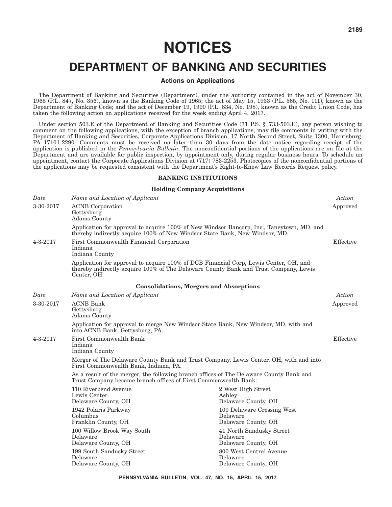## **DEPARTMENT OF BANKING AND SECURITIES**

#### **Actions on Applications**

The Department of Banking and Securities (Department), under the authority contained in the act of November 30, 1965 (P.L. 847, No. 356), known as the Banking Code of 1965; the act of May 15, 1933 (P.L. 565, No. 111), known as the Department of Banking Code; and the act of December 19, 1990 (P.L. 834, No. 198), known as the Credit Union Code, has taken the following action on applications received for the week ending April 4, 2017.

Under section 503.E of the Department of Banking and Securities Code (71 P.S. § 733-503.E), any person wishing to comment on the following applications, with the exception of branch applications, may file comments in writing with the Department of Banking and Securities, Corporate Applications Division, 17 North Second Street, Suite 1300, Harrisburg, PA 17101-2290. Comments must be received no later than 30 days from the date notice regarding receipt of the application is published in the *Pennsylvania Bulletin*. The nonconfidential portions of the applications are on file at the Department and are available for public inspection, by appointment only, during regular business hours. To schedule an appointment, contact the Corporate Applications Division at (717) 783-2253. Photocopies of the nonconfidential portions of the applications may be requested consistent with the Department's Right-to-Know Law Records Request policy.

#### **BANKING INSTITUTIONS**

#### **Holding Company Acquisitions**

| Name and Location of Applicant                                        |                                                               | Action                                                                                                                                                                                                                                                                                                                                                                                                                                                                                                                                                                                                                                                                                                                                                    |
|-----------------------------------------------------------------------|---------------------------------------------------------------|-----------------------------------------------------------------------------------------------------------------------------------------------------------------------------------------------------------------------------------------------------------------------------------------------------------------------------------------------------------------------------------------------------------------------------------------------------------------------------------------------------------------------------------------------------------------------------------------------------------------------------------------------------------------------------------------------------------------------------------------------------------|
| <b>ACNB</b> Corporation<br>Gettysburg<br>Adams County                 |                                                               | Approved                                                                                                                                                                                                                                                                                                                                                                                                                                                                                                                                                                                                                                                                                                                                                  |
|                                                                       |                                                               |                                                                                                                                                                                                                                                                                                                                                                                                                                                                                                                                                                                                                                                                                                                                                           |
| First Commonwealth Financial Corporation<br>Indiana<br>Indiana County |                                                               | Effective                                                                                                                                                                                                                                                                                                                                                                                                                                                                                                                                                                                                                                                                                                                                                 |
| Center, OH.                                                           |                                                               |                                                                                                                                                                                                                                                                                                                                                                                                                                                                                                                                                                                                                                                                                                                                                           |
|                                                                       |                                                               |                                                                                                                                                                                                                                                                                                                                                                                                                                                                                                                                                                                                                                                                                                                                                           |
| Name and Location of Applicant                                        |                                                               | Action                                                                                                                                                                                                                                                                                                                                                                                                                                                                                                                                                                                                                                                                                                                                                    |
| <b>ACNB</b> Bank<br>Gettysburg<br><b>Adams County</b>                 |                                                               | Approved                                                                                                                                                                                                                                                                                                                                                                                                                                                                                                                                                                                                                                                                                                                                                  |
| into ACNB Bank, Gettysburg, PA.                                       |                                                               |                                                                                                                                                                                                                                                                                                                                                                                                                                                                                                                                                                                                                                                                                                                                                           |
| <b>First Commonwealth Bank</b><br>Indiana<br>Indiana County           |                                                               | Effective                                                                                                                                                                                                                                                                                                                                                                                                                                                                                                                                                                                                                                                                                                                                                 |
| First Commonwealth Bank, Indiana, PA.                                 |                                                               |                                                                                                                                                                                                                                                                                                                                                                                                                                                                                                                                                                                                                                                                                                                                                           |
|                                                                       |                                                               |                                                                                                                                                                                                                                                                                                                                                                                                                                                                                                                                                                                                                                                                                                                                                           |
| 110 Riverbend Avenue<br>Lewis Center<br>Delaware County, OH           | 2 West High Street<br>Ashley<br>Delaware County, OH           |                                                                                                                                                                                                                                                                                                                                                                                                                                                                                                                                                                                                                                                                                                                                                           |
| 1942 Polaris Parkway<br>Columbus<br>Franklin County, OH               | 100 Delaware Crossing West<br>Delaware<br>Delaware County, OH |                                                                                                                                                                                                                                                                                                                                                                                                                                                                                                                                                                                                                                                                                                                                                           |
| 100 Willow Brook Way South<br>Delaware<br>Delaware County, OH         | 41 North Sandusky Street<br>Delaware<br>Delaware County, OH   |                                                                                                                                                                                                                                                                                                                                                                                                                                                                                                                                                                                                                                                                                                                                                           |
| 199 South Sandusky Street<br>Delaware<br>Delaware County, OH          | 800 West Central Avenue<br>Delaware<br>Delaware County, OH    |                                                                                                                                                                                                                                                                                                                                                                                                                                                                                                                                                                                                                                                                                                                                                           |
|                                                                       |                                                               | Application for approval to acquire 100% of New Windsor Bancorp, Inc., Taneytown, MD, and<br>thereby indirectly acquire 100% of New Windsor State Bank, New Windsor, MD.<br>Application for approval to acquire 100% of DCB Financial Corp, Lewis Center, OH, and<br>thereby indirectly acquire 100% of The Delaware County Bank and Trust Company, Lewis<br><b>Consolidations, Mergers and Absorptions</b><br>Application for approval to merge New Windsor State Bank, New Windsor, MD, with and<br>Merger of The Delaware County Bank and Trust Company, Lewis Center, OH, with and into<br>As a result of the merger, the following branch offices of The Delaware County Bank and<br>Trust Company became branch offices of First Commonwealth Bank: |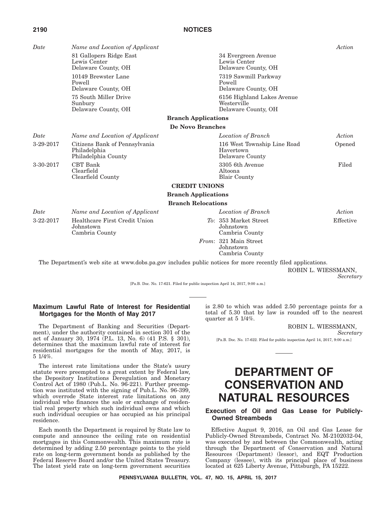| ${\it Date}$ | Name and Location of Applicant                                       |                                                                  | Action    |
|--------------|----------------------------------------------------------------------|------------------------------------------------------------------|-----------|
|              | 81 Gallopers Ridge East<br>Lewis Center<br>Delaware County, OH       | 34 Evergreen Avenue<br>Lewis Center<br>Delaware County, OH       |           |
|              | 10149 Brewster Lane<br>Powell<br>Delaware County, OH                 | 7319 Sawmill Parkway<br>Powell<br>Delaware County, OH            |           |
|              | 75 South Miller Drive<br>Sunbury<br>Delaware County, OH              | 6156 Highland Lakes Avenue<br>Westerville<br>Delaware County, OH |           |
|              |                                                                      | <b>Branch Applications</b>                                       |           |
|              |                                                                      | De Novo Branches                                                 |           |
| Date         | Name and Location of Applicant                                       | Location of Branch                                               | Action    |
| 3-29-2017    | Citizens Bank of Pennsylvania<br>Philadelphia<br>Philadelphia County | 116 West Township Line Road<br>Havertown<br>Delaware County      | Opened    |
| 3-30-2017    | <b>CBT</b> Bank<br>Clearfield<br>Clearfield County                   | 3305 6th Avenue<br>Altoona<br><b>Blair County</b>                | Filed     |
|              |                                                                      | <b>CREDIT UNIONS</b>                                             |           |
|              |                                                                      | <b>Branch Applications</b>                                       |           |
|              |                                                                      | <b>Branch Relocations</b>                                        |           |
| Date         | Name and Location of Applicant                                       | Location of Branch                                               | Action    |
| 3-22-2017    | Healthcare First Credit Union<br>Johnstown<br>Cambria County         | To: 353 Market Street<br>Johnstown<br>Cambria County             | Effective |
|              |                                                                      | From: 321 Main Street<br>Johnstown<br>Cambria County             |           |

The Department's web site at www.dobs.pa.gov includes public notices for more recently filed applications. ROBIN L. WIESSMANN,

*Secretary*

[Pa.B. Doc. No. 17-621. Filed for public inspection April 14, 2017, 9:00 a.m.]

#### **Maximum Lawful Rate of Interest for Residential Mortgages for the Month of May 2017**

The Department of Banking and Securities (Department), under the authority contained in section 301 of the act of January 30, 1974 (P.L. 13, No. 6) (41 P.S. § 301), determines that the maximum lawful rate of interest for residential mortgages for the month of May, 2017, is 5 1/4%.

The interest rate limitations under the State's usury statute were preempted to a great extent by Federal law, the Depository Institutions Deregulation and Monetary Control Act of 1980 (Pub.L. No. 96-221). Further preemption was instituted with the signing of Pub.L. No. 96-399, which overrode State interest rate limitations on any individual who finances the sale or exchange of residential real property which such individual owns and which such individual occupies or has occupied as his principal residence.

Each month the Department is required by State law to compute and announce the ceiling rate on residential mortgages in this Commonwealth. This maximum rate is determined by adding 2.50 percentage points to the yield rate on long-term government bonds as published by the Federal Reserve Board and/or the United States Treasury. The latest yield rate on long-term government securities is 2.80 to which was added 2.50 percentage points for a total of 5.30 that by law is rounded off to the nearest quarter at 5 1/4%.

> ROBIN L. WIESSMANN, *Secretary*

[Pa.B. Doc. No. 17-622. Filed for public inspection April 14, 2017, 9:00 a.m.]

## **DEPARTMENT OF CONSERVATION AND NATURAL RESOURCES**

#### **Execution of Oil and Gas Lease for Publicly-Owned Streambeds**

Effective August 9, 2016, an Oil and Gas Lease for Publicly-Owned Streambeds, Contract No. M-2102032-04, was executed by and between the Commonwealth, acting through the Department of Conservation and Natural Resources (Department) (lessor), and EQT Production Company (lessee), with its principal place of business located at 625 Liberty Avenue, Pittsburgh, PA 15222.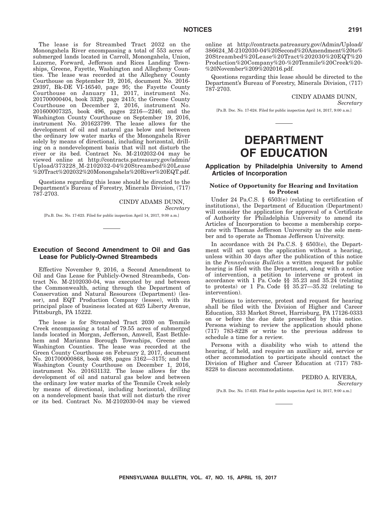The lease is for Streambed Tract 2032 on the Monongahela River encompassing a total of 553 acres of submerged lands located in Carroll, Monongahela, Union, Luzerne, Forward, Jefferson and Rices Landing Townships, Greene, Fayette, Washington and Allegheny Counties. The lease was recorded at the Allegheny County Courthouse on September 19, 2016, document No. 2016- 29397, Bk-DE VI-16540, page 95; the Fayette County Courthouse on January 11, 2017, instrument No. 201700000404, book 3329, page 2415; the Greene County Courthouse on December 2, 2016, instrument No. 201600007325, book 496, pages 2216—2246; and the Washington County Courthouse on September 19, 2016, instrument No. 201623799. The lease allows for the development of oil and natural gas below and between the ordinary low water marks of the Monongahela River solely by means of directional, including horizontal, drilling on a nondevelopment basis that will not disturb the river or its bed. Contract No. M-2102032-04 may be viewed online at http://contracts.patreasury.gov/admin/ Upload/373228\_M-2102032-04%20Streambed%20Lease %20Tract%202032%20Monongahela%20River%20EQT.pdf.

Questions regarding this lease should be directed to the Department's Bureau of Forestry, Minerals Division, (717) 787-2703.

CINDY ADAMS DUNN,

*Secretary*

[Pa.B. Doc. No. 17-623. Filed for public inspection April 14, 2017, 9:00 a.m.]

#### **Execution of Second Amendment to Oil and Gas Lease for Publicly-Owned Streambeds**

Effective November 9, 2016, a Second Amendment to Oil and Gas Lease for Publicly-Owned Streambeds, Contract No. M-2102030-04, was executed by and between the Commonwealth, acting through the Department of Conservation and Natural Resources (Department) (lessor), and EQT Production Company (lessee), with its principal place of business located at 625 Liberty Avenue, Pittsburgh, PA 15222.

The lease is for Streambed Tract 2030 on Tenmile Creek encompassing a total of 79.55 acres of submerged lands located in Morgan, Jefferson, Amwell, East Bethlehem and Marianna Borough Townships, Greene and Washington Counties. The lease was recorded at the Green County Courthouse on February 2, 2017, document No. 201700000868, book 498, pages 3162—3175; and the Washington County Courthouse on December 1, 2016, instrument No. 201631132. The lease allows for the development of oil and natural gas below and between the ordinary low water marks of the Tenmile Creek solely by means of directional, including horizontal, drilling on a nondevelopment basis that will not disturb the river or its bed. Contract No. M-2102030-04 may be viewed

online at http://contracts.patreasury.gov/Admin/Upload/ 386624\_M-2102030-04%20Second%20Amendment%20to% 20Streambed%20Lease%20Tract%202030%20EQT%20 Production%20Company%20-%20Tenmile%20Creek%20- %20November%209%202016.pdf.

Questions regarding this lease should be directed to the Department's Bureau of Forestry, Minerals Division, (717) 787-2703.

> CINDY ADAMS DUNN, *Secretary*

[Pa.B. Doc. No. 17-624. Filed for public inspection April 14, 2017, 9:00 a.m.]

## **DEPARTMENT OF EDUCATION**

#### **Application by Philadelphia University to Amend Articles of Incorporation**

#### **Notice of Opportunity for Hearing and Invitation to Protest**

Under 24 Pa.C.S. § 6503(e) (relating to certification of institutions), the Department of Education (Department) will consider the application for approval of a Certificate of Authority for Philadelphia University to amend its Articles of Incorporation to become a membership corporate with Thomas Jefferson University as the sole member and to operate as Thomas Jefferson University.

In accordance with 24 Pa.C.S. § 6503(e), the Department will act upon the application without a hearing, unless within 30 days after the publication of this notice in the *Pennsylvania Bulletin* a written request for public hearing is filed with the Department, along with a notice of intervention, a petition to intervene or protest in accordance with 1 Pa. Code §§ 35.23 and 35.24 (relating to protests) or 1 Pa. Code §§ 35.27—35.32 (relating to intervention).

Petitions to intervene, protest and request for hearing shall be filed with the Division of Higher and Career Education, 333 Market Street, Harrisburg, PA 17126-0333 on or before the due date prescribed by this notice. Persons wishing to review the application should phone (717) 783-8228 or write to the previous address to schedule a time for a review.

Persons with a disability who wish to attend the hearing, if held, and require an auxiliary aid, service or other accommodation to participate should contact the Division of Higher and Career Education at (717) 783- 8228 to discuss accommodations.

> PEDRO A. RIVERA, *Secretary*

[Pa.B. Doc. No. 17-625. Filed for public inspection April 14, 2017, 9:00 a.m.]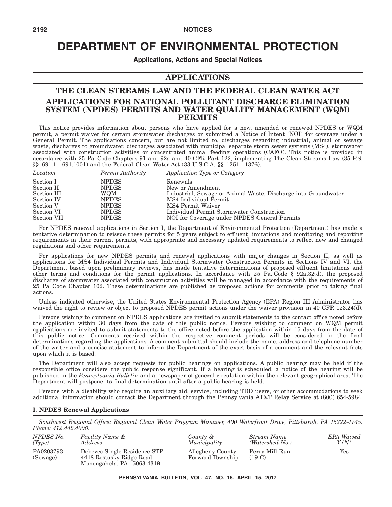## **DEPARTMENT OF ENVIRONMENTAL PROTECTION**

**Applications, Actions and Special Notices**

#### **APPLICATIONS**

#### **THE CLEAN STREAMS LAW AND THE FEDERAL CLEAN WATER ACT APPLICATIONS FOR NATIONAL POLLUTANT DISCHARGE ELIMINATION SYSTEM (NPDES) PERMITS AND WATER QUALITY MANAGEMENT (WQM) PERMITS**

This notice provides information about persons who have applied for a new, amended or renewed NPDES or WQM permit, a permit waiver for certain stormwater discharges or submitted a Notice of Intent (NOI) for coverage under a General Permit. The applications concern, but are not limited to, discharges regarding industrial, animal or sewage waste, discharges to groundwater, discharges associated with municipal separate storm sewer systems (MS4), stormwater associated with construction activities or concentrated animal feeding operations (CAFO). This notice is provided in accordance with 25 Pa. Code Chapters 91 and 92a and 40 CFR Part 122, implementing The Clean Streams Law (35 P.S. §§ 691.1—691.1001) and the Federal Clean Water Act (33 U.S.C.A. §§ 1251—1376).

| Location    | Permit Authority | Application Type or Category                                   |
|-------------|------------------|----------------------------------------------------------------|
| Section I   | <b>NPDES</b>     | Renewals                                                       |
| Section II  | <b>NPDES</b>     | New or Amendment                                               |
| Section III | WQM              | Industrial, Sewage or Animal Waste; Discharge into Groundwater |
| Section IV  | <b>NPDES</b>     | MS4 Individual Permit                                          |
| Section V   | <b>NPDES</b>     | MS4 Permit Waiver                                              |
| Section VI  | <b>NPDES</b>     | Individual Permit Stormwater Construction                      |
| Section VII | <b>NPDES</b>     | NOI for Coverage under NPDES General Permits                   |

For NPDES renewal applications in Section I, the Department of Environmental Protection (Department) has made a tentative determination to reissue these permits for 5 years subject to effluent limitations and monitoring and reporting requirements in their current permits, with appropriate and necessary updated requirements to reflect new and changed regulations and other requirements.

For applications for new NPDES permits and renewal applications with major changes in Section II, as well as applications for MS4 Individual Permits and Individual Stormwater Construction Permits in Sections IV and VI, the Department, based upon preliminary reviews, has made tentative determinations of proposed effluent limitations and other terms and conditions for the permit applications. In accordance with 25 Pa. Code § 92a.32(d), the proposed discharge of stormwater associated with construction activities will be managed in accordance with the requirements of 25 Pa. Code Chapter 102. These determinations are published as proposed actions for comments prior to taking final actions.

Unless indicated otherwise, the United States Environmental Protection Agency (EPA) Region III Administrator has waived the right to review or object to proposed NPDES permit actions under the waiver provision in 40 CFR 123.24(d).

Persons wishing to comment on NPDES applications are invited to submit statements to the contact office noted before the application within 30 days from the date of this public notice. Persons wishing to comment on WQM permit applications are invited to submit statements to the office noted before the application within 15 days from the date of this public notice. Comments received within the respective comment periods will be considered in the final determinations regarding the applications. A comment submittal should include the name, address and telephone number of the writer and a concise statement to inform the Department of the exact basis of a comment and the relevant facts upon which it is based.

The Department will also accept requests for public hearings on applications. A public hearing may be held if the responsible office considers the public response significant. If a hearing is scheduled, a notice of the hearing will be published in the *Pennsylvania Bulletin* and a newspaper of general circulation within the relevant geographical area. The Department will postpone its final determination until after a public hearing is held.

Persons with a disability who require an auxiliary aid, service, including TDD users, or other accommodations to seek additional information should contact the Department through the Pennsylvania AT&T Relay Service at (800) 654-5984.

#### **I. NPDES Renewal Applications**

*Southwest Regional Office: Regional Clean Water Program Manager, 400 Waterfront Drive, Pittsburgh, PA 15222-4745. Phone: 412.442.4000.*

| NPDES No.             | Facility Name &                                                                        | County &                             | Stream Name                | <b>EPA</b> Waived |
|-----------------------|----------------------------------------------------------------------------------------|--------------------------------------|----------------------------|-------------------|
| (Tvpe)                | Address                                                                                | Municipality                         | (Watershed No.)            | $Y/N$ ?           |
| PA0203793<br>(Sewage) | Debevec Single Residence STP<br>4418 Rostosky Ridge Road<br>Monongahela, PA 15063-4319 | Allegheny County<br>Forward Township | Perry Mill Run<br>$(19-C)$ | Yes               |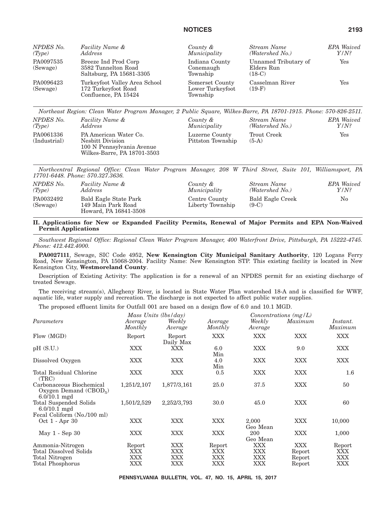| NPDES No.<br>(Tvpe)   | Facility Name &<br><i>Address</i>                                            | County &<br>Municipality                        | Stream Name<br>(Watershed No.)                 | <b>EPA</b> Waived<br>$Y/N$ ? |
|-----------------------|------------------------------------------------------------------------------|-------------------------------------------------|------------------------------------------------|------------------------------|
| PA0097535<br>(Sewage) | Breeze Ind Prod Corp<br>3582 Tunnelton Road<br>Saltsburg, PA 15681-3305      | Indiana County<br>Conemaugh<br>Township         | Unnamed Tributary of<br>Elders Run<br>$(18-C)$ | Yes                          |
| PA0096423<br>(Sewage) | Turkeyfoot Valley Area School<br>172 Turkeyfoot Road<br>Confluence, PA 15424 | Somerset County<br>Lower Turkeyfoot<br>Township | Casselman River<br>$(19-F)$                    | Yes                          |

*Northeast Region: Clean Water Program Manager, 2 Public Square, Wilkes-Barre, PA 18701-1915. Phone: 570-826-2511. NPDES No. (Type) Facility Name & Address County & Municipality Stream Name (Watershed No.) EPA Waived Y/N?* PA0061336 (Industrial) PA American Water Co. Nesbitt Division 100 N Pennsylvania Avenue Wilkes-Barre, PA 18701-3503 Luzerne County Pittston Township Trout Creek (5-A) Yes

*Northcentral Regional Office: Clean Water Program Manager, 208 W Third Street, Suite 101, Williamsport, PA 17701-6448. Phone: 570.327.3636.*

| NPDES No.             | Facility Name &                                                      | County &                          | Stream Name                 | <b>EPA</b> Waived |
|-----------------------|----------------------------------------------------------------------|-----------------------------------|-----------------------------|-------------------|
| (Tvpe)                | Address                                                              | Municipality                      | (Watershed No.)             | Y/N?              |
| PA0032492<br>(Sewage) | Bald Eagle State Park<br>149 Main Park Road<br>Howard, PA 16841-3508 | Centre County<br>Liberty Township | Bald Eagle Creek<br>$(9-C)$ | No                |

#### **II. Applications for New or Expanded Facility Permits, Renewal of Major Permits and EPA Non-Waived Permit Applications**

*Southwest Regional Office: Regional Clean Water Program Manager, 400 Waterfront Drive, Pittsburgh, PA 15222-4745. Phone: 412.442.4000.*

**PA0027111**, Sewage, SIC Code 4952, **New Kensington City Municipal Sanitary Authority**, 120 Logans Ferry Road, New Kensington, PA 15068-2004. Facility Name: New Kensington STP. This existing facility is located in New Kensington City, **Westmoreland County**.

Description of Existing Activity: The application is for a renewal of an NPDES permit for an existing discharge of treated Sewage.

The receiving stream(s), Allegheny River, is located in State Water Plan watershed 18-A and is classified for WWF, aquatic life, water supply and recreation. The discharge is not expected to affect public water supplies.

The proposed effluent limits for Outfall 001 are based on a design flow of 6.0 and 10.1 MGD.

| Average<br>Monthly          | Weekly<br>Average                             | Average<br>Monthly                 | Weekly<br>Average        | Maximum                           | Instant.<br>Maximum         |
|-----------------------------|-----------------------------------------------|------------------------------------|--------------------------|-----------------------------------|-----------------------------|
| Report                      | Report<br>Daily Max                           | <b>XXX</b>                         | XXX                      | XXX                               | <b>XXX</b>                  |
| <b>XXX</b>                  | XXX                                           | 6.0<br>Min                         | XXX                      | 9.0                               | XXX                         |
| <b>XXX</b>                  | <b>XXX</b>                                    | 4.0<br>Min                         | XXX                      | XXX                               | XXX                         |
| XXX                         | <b>XXX</b>                                    | 0.5                                | XXX                      | XXX                               | 1.6                         |
| 1,251/2,107                 | 1,877/3,161                                   | 25.0                               | 37.5                     | XXX                               | 50                          |
| 1,501/2,529                 | 2,252/3,793                                   | 30.0                               | 45.0                     | XXX                               | 60                          |
| XXX                         | <b>XXX</b>                                    | <b>XXX</b>                         | 2,000<br>Geo Mean        | XXX                               | 10,000                      |
| XXX                         | <b>XXX</b>                                    | XXX                                | 200<br>Geo Mean          | XXX                               | 1,000                       |
| Report<br>XXX<br>XXX<br>XXX | XXX<br><b>XXX</b><br><b>XXX</b><br><b>XXX</b> | Report<br>XXX<br><b>XXX</b><br>XXX | XXX<br>XXX<br>XXX<br>XXX | XXX<br>Report<br>Report<br>Report | Report<br>XXX<br>XXX<br>XXX |
|                             |                                               | Mass Units (lbs/day)               |                          |                                   | Concentrations $(mg/L)$     |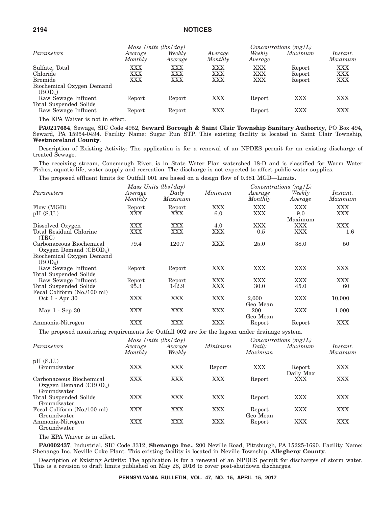|                                                  |                    | Mass Units $(lbs/day)$ |                    |                   | $Concentrations$ (mg/L) |                     |
|--------------------------------------------------|--------------------|------------------------|--------------------|-------------------|-------------------------|---------------------|
| Parameters                                       | Average<br>Monthly | Weekly<br>Average      | Average<br>Monthly | Weekly<br>Average | Maximum                 | Instant.<br>Maximum |
| Sulfate, Total                                   | XXX                | <b>XXX</b>             | <b>XXX</b>         | <b>XXX</b>        | Report                  | XXX                 |
| Chloride                                         | XXX                | XXX                    | XXX                | XXX               | Report                  | XXX                 |
| <b>Bromide</b>                                   | XXX                | XXX                    | XXX                | XXX               | Report                  | XXX                 |
| Biochemical Oxygen Demand<br>(BOD <sub>5</sub> ) |                    |                        |                    |                   |                         |                     |
| Raw Sewage Influent                              | Report             | Report                 | XXX                | Report            | XXX                     | XXX                 |
| Total Suspended Solids<br>Raw Sewage Influent    | Report             | Report                 | XXX                | Report            | XXX                     | XXX                 |
|                                                  |                    |                        |                    |                   |                         |                     |

The EPA Waiver is not in effect.

**PA0217654**, Sewage, SIC Code 4952, **Seward Borough & Saint Clair Township Sanitary Authority**, PO Box 494, Seward, PA 15954-0494. Facility Name: Sugar Run STP. This existing facility is located in Saint Clair Township, **Westmoreland County**.

Description of Existing Activity: The application is for a renewal of an NPDES permit for an existing discharge of treated Sewage.

The receiving stream, Conemaugh River, is in State Water Plan watershed 18-D and is classified for Warm Water Fishes, aquatic life, water supply and recreation. The discharge is not expected to affect public water supplies.

The proposed effluent limits for Outfall 001 are based on a design flow of 0.381 MGD—Limits.

|                                                     |                    | Mass Units (lbs/day) |         | Concentrations $(mg/L)$ |                   |                     |
|-----------------------------------------------------|--------------------|----------------------|---------|-------------------------|-------------------|---------------------|
| Parameters                                          | Average<br>Monthly | Daily<br>Maximum     | Minimum | Average<br>Monthly      | Weekly<br>Average | Instant.<br>Maximum |
| Flow (MGD)                                          | Report             | Report               | XXX     | XXX                     | XXX               | XXX                 |
| pH (S.U.)                                           | XXX                | XXX                  | 6.0     | XXX                     | 9.0<br>Maximum    | XXX                 |
| Dissolved Oxygen                                    | XXX                | <b>XXX</b>           | 4.0     | XXX                     | XXX               | <b>XXX</b>          |
| Total Residual Chlorine<br>(TRC)                    | XXX                | <b>XXX</b>           | XXX     | 0.5                     | XXX               | $1.6\,$             |
| Carbonaceous Biochemical<br>Oxygen Demand $(CBOD5)$ | 79.4               | 120.7                | XXX     | 25.0                    | 38.0              | 50                  |
| Biochemical Oxygen Demand<br>(BOD <sub>5</sub> )    |                    |                      |         |                         |                   |                     |
| Raw Sewage Influent                                 | Report             | Report               | XXX     | XXX                     | XXX               | XXX                 |
| Total Suspended Solids                              |                    |                      |         |                         |                   |                     |
| Raw Sewage Influent                                 | Report             | Report               | XXX     | XXX                     | XXX               | XXX                 |
| Total Suspended Solids                              | 95.3               | 142.9                | XXX     | 30.0                    | 45.0              | 60                  |
| Fecal Coliform (No./100 ml)                         |                    |                      |         |                         |                   |                     |
| Oct 1 - Apr 30                                      | XXX                | <b>XXX</b>           | XXX     | 2,000<br>Geo Mean       | <b>XXX</b>        | 10,000              |
| May 1 - Sep 30                                      | XXX                | XXX                  | XXX     | 200<br>Geo Mean         | XXX               | 1,000               |
| Ammonia-Nitrogen                                    | XXX                | XXX                  | XXX     | Report                  | Report            | XXX                 |

The proposed monitoring requirements for Outfall 002 are for the lagoon under drainage system.

|                                                                    |                    | Mass Units (lbs/day) |            |                    | Concentrations $(mg/L)$ |                     |  |
|--------------------------------------------------------------------|--------------------|----------------------|------------|--------------------|-------------------------|---------------------|--|
| Parameters                                                         | Average<br>Monthly | Average<br>Weekly    | Minimum    | Daily<br>Maximum   | Maximum                 | Instant.<br>Maximum |  |
| pH(S.U.)                                                           |                    |                      |            |                    |                         |                     |  |
| Groundwater                                                        | <b>XXX</b>         | <b>XXX</b>           | Report     | XXX                | Report<br>Daily Max     | XXX                 |  |
| Carbonaceous Biochemical<br>Oxygen Demand $(CBOD5)$<br>Groundwater | <b>XXX</b>         | <b>XXX</b>           | <b>XXX</b> | Report             | XXX                     | <b>XXX</b>          |  |
| Total Suspended Solids<br>Groundwater                              | <b>XXX</b>         | <b>XXX</b>           | <b>XXX</b> | Report             | XXX                     | XXX                 |  |
| Fecal Coliform (No./100 ml)<br>Groundwater                         | <b>XXX</b>         | <b>XXX</b>           | <b>XXX</b> | Report<br>Geo Mean | <b>XXX</b>              | XXX                 |  |
| Ammonia-Nitrogen<br>Groundwater                                    | <b>XXX</b>         | <b>XXX</b>           | XXX        | Report             | XXX                     | XXX                 |  |

The EPA Waiver is in effect.

**PA0002437**, Industrial, SIC Code 3312, **Shenango Inc.**, 200 Neville Road, Pittsburgh, PA 15225-1690. Facility Name: Shenango Inc. Neville Coke Plant. This existing facility is located in Neville Township, **Allegheny County**.

Description of Existing Activity: The application is for a renewal of an NPDES permit for discharges of storm water. This is a revision to draft limits published on May 28, 2016 to cover post-shutdown discharges.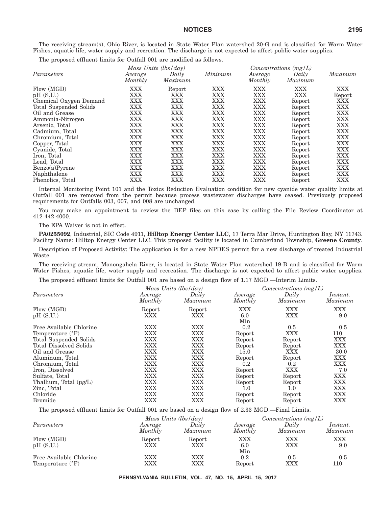The receiving stream(s), Ohio River, is located in State Water Plan watershed 20-G and is classified for Warm Water Fishes, aquatic life, water supply and recreation. The discharge is not expected to affect public water supplies.

The proposed effluent limits for Outfall 001 are modified as follows.

|                                    |                    | Mass Units (lbs/day)     |            |                    | Concentrations $(mg/L)$ |               |  |
|------------------------------------|--------------------|--------------------------|------------|--------------------|-------------------------|---------------|--|
| Parameters                         | Average<br>Monthly | Daily<br>Maximum         | Minimum    | Average<br>Monthly | Daily<br>Maximum        | Maximum       |  |
| Flow (MGD)                         | XXX                | Report                   | XXX        | XXX                | XXX                     | <b>XXX</b>    |  |
| pH(S.U.)<br>Chemical Oxygen Demand | XXX<br>XXX         | <b>XXX</b><br><b>XXX</b> | XXX<br>XXX | XXX<br>XXX         | XXX<br>Report           | Report<br>XXX |  |
| Total Suspended Solids             | <b>XXX</b>         | <b>XXX</b>               | XXX        | <b>XXX</b>         | Report                  | <b>XXX</b>    |  |
| Oil and Grease                     | XXX                | <b>XXX</b>               | XXX        | <b>XXX</b>         | Report                  | <b>XXX</b>    |  |
| Ammonia-Nitrogen                   | <b>XXX</b>         | <b>XXX</b>               | XXX        | <b>XXX</b>         | Report                  | <b>XXX</b>    |  |
| Arsenic, Total                     | <b>XXX</b>         | <b>XXX</b>               | XXX        | <b>XXX</b>         | Report                  | <b>XXX</b>    |  |
| Cadmium, Total                     | <b>XXX</b>         | <b>XXX</b>               | XXX        | <b>XXX</b>         | Report                  | <b>XXX</b>    |  |
| Chromium, Total                    | <b>XXX</b>         | XXX                      | XXX        | <b>XXX</b>         | Report                  | <b>XXX</b>    |  |
| Copper, Total                      | <b>XXX</b>         | <b>XXX</b>               | XXX        | <b>XXX</b>         | Report                  | <b>XXX</b>    |  |
| Cyanide, Total                     | <b>XXX</b>         | XXX                      | XXX        | XXX                | Report                  | <b>XXX</b>    |  |
| Iron, Total                        | <b>XXX</b>         | XXX                      | XXX        | XXX                | Report                  | <b>XXX</b>    |  |
| Lead, Total                        | <b>XXX</b>         | XXX                      | XXX        | XXX                | Report                  | <b>XXX</b>    |  |
| Benzo(a)Pyrene                     | XXX                | XXX                      | XXX        | XXX                | Report                  | <b>XXX</b>    |  |
| Naphthalene                        | <b>XXX</b>         | <b>XXX</b>               | XXX        | <b>XXX</b>         | Report                  | <b>XXX</b>    |  |
| Phenolics, Total                   | XXX                | XXX                      | XXX        | XXX                | Report                  | <b>XXX</b>    |  |

Internal Monitoring Point 101 and the Toxics Reduction Evaluation condition for new cyanide water quality limits at Outfall 001 are removed from the permit because process wastewater discharges have ceased. Previously proposed requirements for Outfalls 003, 007, and 008 are unchanged.

You may make an appointment to review the DEP files on this case by calling the File Review Coordinator at 412-442-4000.

The EPA Waiver is not in effect.

**PA0255092**, Industrial, SIC Code 4911, **Hilltop Energy Center LLC**, 17 Terra Mar Drive, Huntington Bay, NY 11743. Facility Name: Hilltop Energy Center LLC. This proposed facility is located in Cumberland Township, **Greene County**.

Description of Proposed Activity: The application is for a new NPDES permit for a new discharge of treated Industrial Waste.

The receiving stream, Monongahela River, is located in State Water Plan watershed 19-B and is classified for Warm Water Fishes, aquatic life, water supply and recreation. The discharge is not expected to affect public water supplies.

The proposed effluent limits for Outfall 001 are based on a design flow of 1.17 MGD.—Interim Limits.

|                               |               | Mass Units $(lbs/day)$ |                          | Concentrations $(mg/L)$  |                   |  |
|-------------------------------|---------------|------------------------|--------------------------|--------------------------|-------------------|--|
| Parameters                    | Average       | Daily                  | Average                  | Daily                    | Instant.          |  |
|                               | Monthly       | Maximum                | Monthly                  | Maximum                  | Maximum           |  |
| Flow (MGD)<br>pH(S.U.)        | Report<br>XXX | Report<br>XXX          | <b>XXX</b><br>6.0<br>Min | <b>XXX</b><br><b>XXX</b> | <b>XXX</b><br>9.0 |  |
| Free Available Chlorine       | XXX           | XXX                    | 0.2                      | 0.5                      | 0.5               |  |
| Temperature $({}^{\circ}F)$   | XXX           | XXX                    | Report                   | XXX                      | 110               |  |
| Total Suspended Solids        | XXX           | XXX                    | Report                   | Report                   | XXX               |  |
| <b>Total Dissolved Solids</b> | <b>XXX</b>    | XXX                    | Report                   | Report                   | <b>XXX</b>        |  |
| Oil and Grease                | <b>XXX</b>    | XXX                    | 15.0                     | XXX                      | 30.0              |  |
| Aluminum, Total               | XXX           | XXX                    | Report                   | Report                   | XXX               |  |
| Chromium, Total               | <b>XXX</b>    | XXX                    | 0.2                      | $0.2\,$                  | XXX               |  |
| Iron, Dissolved               | <b>XXX</b>    | <b>XXX</b>             | Report                   | XXX                      | 7.0               |  |
| Sulfate, Total                | <b>XXX</b>    | <b>XXX</b>             | Report                   | Report                   | <b>XXX</b>        |  |
| Thallium, Total $(\mu g/L)$   | XXX           | XXX                    | Report                   | Report                   | XXX               |  |
| Zinc, Total                   | XXX           | XXX                    | $1.0\,$                  | $1.0\,$                  | XXX               |  |
| Chloride                      | XXX           | XXX                    | Report                   | Report                   | XXX               |  |
| <b>Bromide</b>                | <b>XXX</b>    | XXX                    | Report                   | Report                   | <b>XXX</b>        |  |

The proposed effluent limits for Outfall 001 are based on a design flow of 2.33 MGD.—Final Limits.

|                             |               | Mass Units (lbs/day) |                   | Concentrations $(mg/L)$ |            |  |  |
|-----------------------------|---------------|----------------------|-------------------|-------------------------|------------|--|--|
| Parameters                  | Average       | Daily                | Average           | Daily                   | Instant.   |  |  |
|                             | Monthly       | Maximum              | Monthly           | Maximum                 | Maximum    |  |  |
| Flow (MGD)<br>pH(S.U.)      | Report<br>XXX | Report<br>XXX        | XXX<br>6.0<br>Min | XXX<br>XXX              | XXX<br>9.0 |  |  |
| Free Available Chlorine     | XXX           | XXX                  | 0.2               | 0.5                     | 0.5        |  |  |
| Temperature $({}^{\circ}F)$ | XXX           | XXX                  | Report            | XXX                     | 110        |  |  |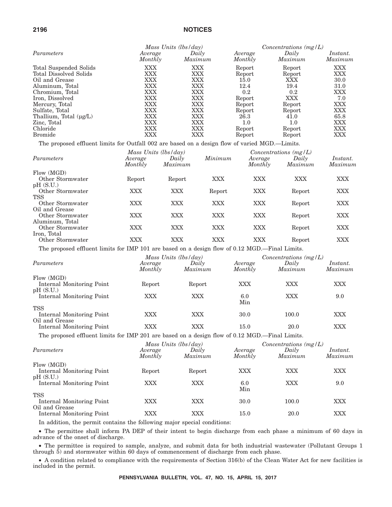|                               | Mass Units (lbs/day) |                  |                    | Concentrations $(mg/L)$ |                     |  |
|-------------------------------|----------------------|------------------|--------------------|-------------------------|---------------------|--|
| Parameters                    | Average<br>Monthly   | Daily<br>Maximum | Average<br>Monthly | Daily<br>Maximum        | Instant.<br>Maximum |  |
| Total Suspended Solids        | XXX                  | XXX              | Report             | Report                  | XXX                 |  |
| <b>Total Dissolved Solids</b> | XXX                  | XXX              | Report             | Report                  | XXX                 |  |
| Oil and Grease                | XXX                  | XXX              | 15.0               | XXX                     | 30.0                |  |
| Aluminum, Total               | XXX                  | XXX              | 12.4               | 19.4                    | 31.0                |  |
| Chromium, Total               | XXX                  | XXX              | 0.2                | 0.2                     | XXX                 |  |
| Iron, Dissolved               | XXX                  | XXX              | Report             | XXX                     | 7.0                 |  |
| Mercury, Total                | XXX                  | XXX              | Report             | Report                  | XXX                 |  |
| Sulfate, Total                | XXX                  | XXX              | Report             | Report                  | XXX                 |  |
| Thallium, Total $(\mu g/L)$   | XXX                  | XXX              | 26.3               | 41.0                    | 65.8                |  |
| Zinc, Total                   | XXX                  | XXX              | $1.0\,$            | 1.0                     | XXX                 |  |
| Chloride                      | XXX                  | XXX              | Report             | Report                  | <b>XXX</b>          |  |
| <b>Bromide</b>                | XXX                  | XXX              | Report             | Report                  | XXX                 |  |

The proposed effluent limits for Outfall 002 are based on a design flow of varied MGD.—Limits.

|                  |                    | Mass Units $(lbs/day)$ |         |                    | Concentrations $(mg/L)$ |                     |  |  |
|------------------|--------------------|------------------------|---------|--------------------|-------------------------|---------------------|--|--|
| Parameters       | Average<br>Monthly | Daily<br>Maximum       | Minimum | Average<br>Monthly | Daily<br>Maximum        | Instant.<br>Maximum |  |  |
| Flow (MGD)       |                    |                        |         |                    |                         |                     |  |  |
| Other Stormwater | Report             | Report                 | XXX     | XXX                | XXX                     | XXX                 |  |  |
| pH(S.U.)         |                    |                        |         |                    |                         |                     |  |  |
| Other Stormwater | XXX                | XXX                    | Report  | XXX                | Report                  | XXX                 |  |  |
| <b>TSS</b>       |                    |                        |         |                    |                         |                     |  |  |
| Other Stormwater | XXX                | XXX                    | XXX     | XXX                | Report                  | XXX                 |  |  |
| Oil and Grease   |                    |                        |         |                    |                         |                     |  |  |
| Other Stormwater | XXX                | XXX                    | XXX     | XXX                | Report                  | XXX                 |  |  |
| Aluminum, Total  |                    |                        |         |                    |                         |                     |  |  |
| Other Stormwater | <b>XXX</b>         | XXX                    | XXX     | XXX                | Report                  | XXX                 |  |  |
| Iron, Total      |                    |                        |         |                    |                         |                     |  |  |
| Other Stormwater | XXX                | XXX                    | XXX     | XXX                | Report                  | XXX                 |  |  |

The proposed effluent limits for IMP 101 are based on a design flow of 0.12 MGD.—Final Limits.

|                                             | Mass Units (lbs/day) |                  |                    | Concentrations $(mg/L)$ |                     |  |
|---------------------------------------------|----------------------|------------------|--------------------|-------------------------|---------------------|--|
| Parameters                                  | Average<br>Monthly   | Daily<br>Maximum | Average<br>Monthly | Daily<br>Maximum        | Instant.<br>Maximum |  |
| Flow (MGD)                                  |                      |                  |                    |                         |                     |  |
| Internal Monitoring Point<br>pH(S.U.)       | Report               | Report           | <b>XXX</b>         | <b>XXX</b>              | XXX                 |  |
| Internal Monitoring Point                   | <b>XXX</b>           | XXX              | 6.0<br>Min         | <b>XXX</b>              | 9.0                 |  |
| <b>TSS</b>                                  |                      |                  |                    |                         |                     |  |
| Internal Monitoring Point<br>Oil and Grease | <b>XXX</b>           | XXX              | 30.0               | 100.0                   | XXX                 |  |
| Internal Monitoring Point                   | XXX                  | XXX              | 15.0               | 20.0                    | <b>XXX</b>          |  |

The proposed effluent limits for IMP 201 are based on a design flow of 0.12 MGD.—Final Limits.

|                                             |                    | Mass Units $(lbs/day)$ |                    |                  | $Concentrations$ (mg/L) |
|---------------------------------------------|--------------------|------------------------|--------------------|------------------|-------------------------|
| Parameters                                  | Average<br>Monthly | Daily<br>Maximum       | Average<br>Monthly | Daily<br>Maximum | Instant.<br>Maximum     |
| Flow (MGD)                                  |                    |                        |                    |                  |                         |
| Internal Monitoring Point<br>pH(S.U.)       | Report             | Report                 | <b>XXX</b>         | XXX              | XXX                     |
| Internal Monitoring Point                   | <b>XXX</b>         | XXX                    | 6.0<br>Min         | XXX              | 9.0                     |
| <b>TSS</b>                                  |                    |                        |                    |                  |                         |
| Internal Monitoring Point<br>Oil and Grease | <b>XXX</b>         | XXX                    | 30.0               | 100.0            | XXX                     |
| Internal Monitoring Point                   | XXX                | XXX                    | 15.0               | 20.0             | XXX                     |

In addition, the permit contains the following major special conditions:

• The permittee shall inform PA DEP of their intent to begin discharge from each phase a minimum of 60 days in advance of the onset of discharge.

• The permittee is required to sample, analyze, and submit data for both industrial wastewater (Pollutant Groups 1 through 5) and stormwater within 60 days of commencement of discharge from each phase.

• A condition related to compliance with the requirements of Section 316(b) of the Clean Water Act for new facilities is included in the permit.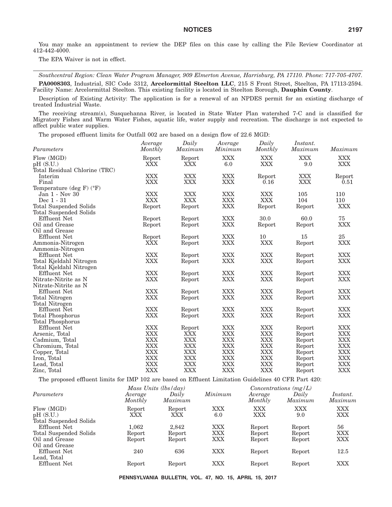You may make an appointment to review the DEP files on this case by calling the File Review Coordinator at 412-442-4000.

The EPA Waiver is not in effect.

*Southcentral Region: Clean Water Program Manager, 909 Elmerton Avenue, Harrisburg, PA 17110. Phone: 717-705-4707.* **PA0008303**, Industrial, SIC Code 3312, **Arcelormittal Steelton LLC**, 215 S Front Street, Steelton, PA 17113-2594. Facility Name: Arcelormittal Steelton. This existing facility is located in Steelton Borough, **Dauphin County**.

Description of Existing Activity: The application is for a renewal of an NPDES permit for an existing discharge of treated Industrial Waste.

The receiving stream(s), Susquehanna River, is located in State Water Plan watershed 7-C and is classified for Migratory Fishes and Warm Water Fishes, aquatic life, water supply and recreation. The discharge is not expected to affect public water supplies.

The proposed effluent limits for Outfall 002 are based on a design flow of 22.6 MGD:

| Parameters                               | Average<br>Monthly | Daily<br>Maximum | Average<br>Minimum | Daily<br>Monthly | Instant.<br>Maximum | Maximum    |
|------------------------------------------|--------------------|------------------|--------------------|------------------|---------------------|------------|
| Flow (MGD)                               | Report             | Report           | <b>XXX</b>         | <b>XXX</b>       | <b>XXX</b>          | <b>XXX</b> |
| pH(S.U.)                                 | <b>XXX</b>         | XXX              | 6.0                | XXX              | 9.0                 | XXX        |
| Total Residual Chlorine (TRC)            |                    |                  |                    |                  |                     |            |
| Interim                                  | <b>XXX</b>         | <b>XXX</b>       | <b>XXX</b>         | Report           | <b>XXX</b>          | Report     |
| Final                                    | <b>XXX</b>         | <b>XXX</b>       | <b>XXX</b>         | 0.16             | <b>XXX</b>          | 0.51       |
| Temperature (deg $F$ ) ( ${}^{\circ}F$ ) |                    |                  |                    |                  |                     |            |
| Jan 1 - Nov 30                           | <b>XXX</b>         | <b>XXX</b>       | <b>XXX</b>         | <b>XXX</b>       | 105                 | 110        |
| Dec 1 - 31                               | <b>XXX</b>         | <b>XXX</b>       | <b>XXX</b>         | <b>XXX</b>       | 104                 | 110        |
| <b>Total Suspended Solids</b>            | Report             | Report           | XXX                | Report           | Report              | <b>XXX</b> |
| Total Suspended Solids                   |                    |                  |                    |                  |                     |            |
| Effluent Net                             | Report             | Report           | XXX                | 30.0             | 60.0                | 75         |
| Oil and Grease                           | Report             | Report           | XXX                | Report           | Report              | <b>XXX</b> |
| Oil and Grease                           |                    |                  |                    |                  |                     |            |
| <b>Effluent Net</b>                      | Report             | Report           | <b>XXX</b>         | 10               | 15                  | 25         |
| Ammonia-Nitrogen                         | <b>XXX</b>         | Report           | XXX                | <b>XXX</b>       | Report              | <b>XXX</b> |
| Ammonia-Nitrogen                         |                    |                  |                    |                  |                     |            |
| <b>Effluent Net</b>                      | <b>XXX</b>         | Report           | <b>XXX</b>         | <b>XXX</b>       | Report              | <b>XXX</b> |
| Total Kjeldahl Nitrogen                  | <b>XXX</b>         | Report           | <b>XXX</b>         | <b>XXX</b>       | Report              | <b>XXX</b> |
| Total Kjeldahl Nitrogen                  |                    |                  |                    |                  |                     |            |
| <b>Effluent Net</b>                      | <b>XXX</b>         | Report           | XXX                | <b>XXX</b>       | Report              | <b>XXX</b> |
| Nitrate-Nitrite as N                     | <b>XXX</b>         | Report           | <b>XXX</b>         | <b>XXX</b>       | Report              | <b>XXX</b> |
| Nitrate-Nitrite as N                     |                    |                  |                    |                  |                     |            |
| Effluent Net                             | <b>XXX</b>         | Report           | <b>XXX</b>         | <b>XXX</b>       | Report              | <b>XXX</b> |
| Total Nitrogen                           | <b>XXX</b>         | Report           | <b>XXX</b>         | <b>XXX</b>       | Report              | <b>XXX</b> |
| <b>Total Nitrogen</b>                    |                    |                  |                    |                  |                     |            |
| <b>Effluent Net</b>                      | <b>XXX</b>         | Report           | <b>XXX</b>         | <b>XXX</b>       | Report              | <b>XXX</b> |
| <b>Total Phosphorus</b>                  | <b>XXX</b>         | Report           | <b>XXX</b>         | <b>XXX</b>       | Report              | <b>XXX</b> |
| Total Phosphorus                         |                    |                  |                    |                  |                     |            |
| <b>Effluent Net</b>                      | <b>XXX</b>         | Report           | XXX                | <b>XXX</b>       | Report              | <b>XXX</b> |
| Arsenic, Total                           | <b>XXX</b>         | <b>XXX</b>       | <b>XXX</b>         | <b>XXX</b>       | Report              | <b>XXX</b> |
| Cadmium, Total                           | <b>XXX</b>         | <b>XXX</b>       | <b>XXX</b>         | <b>XXX</b>       | Report              | <b>XXX</b> |
| Chromium, Total                          | <b>XXX</b>         | <b>XXX</b>       | <b>XXX</b>         | <b>XXX</b>       | Report              | <b>XXX</b> |
| Copper, Total                            | <b>XXX</b>         | XXX              | XXX                | <b>XXX</b>       | Report              | <b>XXX</b> |
| Iron, Total                              | <b>XXX</b>         | <b>XXX</b>       | <b>XXX</b>         | <b>XXX</b>       | Report              | <b>XXX</b> |
| Lead, Total                              | <b>XXX</b>         | <b>XXX</b>       | <b>XXX</b>         | <b>XXX</b>       | Report              | <b>XXX</b> |
| Zinc, Total                              | <b>XXX</b>         | <b>XXX</b>       | XXX                | <b>XXX</b>       | Report              | <b>XXX</b> |

The proposed effluent limits for IMP 102 are based on Effluent Limitation Guidelines 40 CFR Part 420:

|                                                  |                     | Mass Units $(lbs/day)$ |                   |                          | Concentrations $(mg/L)$ |                     |  |  |
|--------------------------------------------------|---------------------|------------------------|-------------------|--------------------------|-------------------------|---------------------|--|--|
| Parameters                                       | Average<br>Monthly  | Daily<br>Maximum       | Minimum           | Average<br>Monthly       | Daily<br>Maximum        | Instant.<br>Maximum |  |  |
| Flow (MGD)<br>pH(S.U.)<br>Total Suspended Solids | Report<br>XXX       | Report<br>XXX          | XXX<br>6.0        | <b>XXX</b><br><b>XXX</b> | <b>XXX</b><br>9.0       | XXX<br>XXX          |  |  |
| Effluent Net<br>Total Suspended Solids           | $1.062\,$<br>Report | 2.842<br>Report        | XXX<br><b>XXX</b> | Report<br>Report         | Report<br>Report        | 56<br>XXX           |  |  |
| Oil and Grease<br>Oil and Grease<br>Effluent Net | Report<br>240       | Report<br>636          | XXX<br>XXX        | Report                   | Report                  | XXX<br>12.5         |  |  |
| Lead, Total<br>Effluent Net                      | Report              | Report                 | XXX               | Report<br>Report         | Report<br>Report        | XXX                 |  |  |
|                                                  |                     |                        |                   |                          |                         |                     |  |  |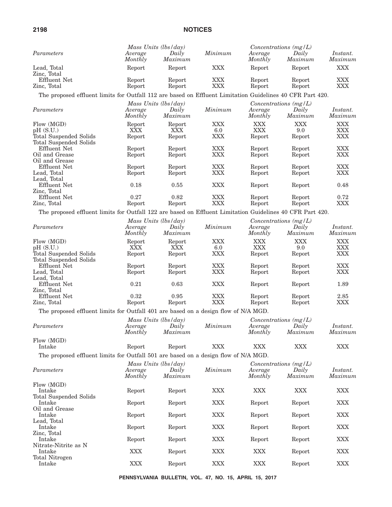|                                                                                                           | Mass Units (lbs/day) |                  |                   |                          | Concentrations $(mg/L)$ |                            |
|-----------------------------------------------------------------------------------------------------------|----------------------|------------------|-------------------|--------------------------|-------------------------|----------------------------|
| Parameters                                                                                                | Average<br>Monthly   | Daily<br>Maximum | Minimum           | Average<br>Monthly       | Daily<br>Maximum        | Instant.<br>Maximum        |
| Lead, Total<br>Zinc, Total                                                                                | Report               | Report           | <b>XXX</b>        | Report                   | Report                  | <b>XXX</b>                 |
| <b>Effluent Net</b><br>Zinc, Total                                                                        | Report<br>Report     | Report<br>Report | <b>XXX</b><br>XXX | Report<br>Report         | Report<br>Report        | <b>XXX</b><br><b>XXX</b>   |
| The proposed effluent limits for Outfall 112 are based on Effluent Limitation Guidelines 40 CFR Part 420. |                      |                  |                   |                          |                         |                            |
|                                                                                                           | Mass Units (lbs/day) |                  |                   |                          | Concentrations (mg/L)   |                            |
| Parameters                                                                                                | Average<br>Monthly   | Daily<br>Maximum | Minimum           | Average<br>Monthly       | Daily<br>Maximum        | <i>Instant.</i><br>Maximum |
| Flow (MGD)<br>pH(S.U.)                                                                                    | Report<br>XXX        | Report<br>XXX    | <b>XXX</b><br>6.0 | <b>XXX</b><br><b>XXX</b> | <b>XXX</b><br>9.0       | <b>XXX</b><br><b>XXX</b>   |
| Total Suspended Solids                                                                                    | Report               | Report           | <b>XXX</b>        | Report                   | Report                  | <b>XXX</b>                 |
| Total Suspended Solids<br><b>Effluent Net</b>                                                             | Report               | Report           | <b>XXX</b>        | Report                   | Report                  | <b>XXX</b>                 |
| Oil and Grease                                                                                            | Report               | Report           | <b>XXX</b>        | Report                   | Report                  | <b>XXX</b>                 |
| Oil and Grease                                                                                            |                      |                  |                   |                          |                         |                            |
| <b>Effluent Net</b>                                                                                       | Report               | Report           | XXX               | Report                   | Report                  | <b>XXX</b>                 |
| Lead, Total<br>Lead, Total                                                                                | Report               | Report           | <b>XXX</b>        | Report                   | Report                  | <b>XXX</b>                 |
| Effluent Net<br>Zinc, Total                                                                               | 0.18                 | 0.55             | <b>XXX</b>        | Report                   | Report                  | 0.48                       |
| <b>Effluent Net</b>                                                                                       | 0.27                 | 0.82             | XXX               | Report                   | Report                  | 0.72                       |
| Zinc, Total                                                                                               | Report               | Report           | <b>XXX</b>        | Report                   | Report                  | <b>XXX</b>                 |
| The proposed effluent limits for Outfall 122 are based on Effluent Limitation Guidelines 40 CFR Part 420. |                      |                  |                   |                          |                         |                            |
|                                                                                                           | Mass Units (lbs/day) |                  |                   |                          | Concentrations $(mg/L)$ |                            |
| Parameters                                                                                                | Average              | Daily            | Minimum           | Average                  | Daily                   | Instant.                   |
|                                                                                                           | Monthly              | Maximum          |                   | Monthly                  | Maximum                 | Maximum                    |
| Flow (MGD)                                                                                                | Report               | Report           | XXX               | <b>XXX</b>               | <b>XXX</b>              | <b>XXX</b>                 |
| pH(S.U.)                                                                                                  | XXX                  | XXX              | 6.0               | <b>XXX</b>               | 9.0                     | <b>XXX</b>                 |
| Total Suspended Solids                                                                                    | Report               | Report           | <b>XXX</b>        | Report                   | Report                  | <b>XXX</b>                 |
| Total Suspended Solids<br>Effluent Net                                                                    | Report               | Report           | XXX               | Report                   | Report                  | <b>XXX</b>                 |
| Lead, Total                                                                                               | Report               | Report           | <b>XXX</b>        | Report                   | Report                  | <b>XXX</b>                 |
| Lead, Total                                                                                               |                      |                  |                   |                          |                         |                            |
| <b>Effluent Net</b><br>Zinc, Total                                                                        | 0.21                 | 0.63             | XXX               | Report                   | Report                  | 1.89                       |
| Effluent Net                                                                                              | 0.32                 | 0.95             | XXX               | Report                   | Report                  | 2.85                       |
| Zinc, Total                                                                                               | Report               | Report           | <b>XXX</b>        | Report                   | Report                  | XXX                        |
| The proposed effluent limits for Outfall 401 are based on a design flow of N/A MGD.                       |                      |                  |                   |                          |                         |                            |
|                                                                                                           | Mass Units (lbs/day) |                  |                   |                          | Concentrations $(mg/L)$ |                            |
| Parameters                                                                                                | Average              | Daily            | Minimum           | Average                  | Daily                   | <i>Instant.</i>            |
|                                                                                                           | Monthly              | Maximum          |                   | Monthly                  | Maximum                 | $\it Maximum$              |
| Flow (MGD)                                                                                                |                      |                  |                   |                          |                         |                            |
| Intake                                                                                                    | Report               | Report           | <b>XXX</b>        | <b>XXX</b>               | <b>XXX</b>              | <b>XXX</b>                 |
| The proposed effluent limits for Outfall 501 are based on a design flow of N/A MGD.                       |                      |                  |                   |                          |                         |                            |
|                                                                                                           | Mass Units (lbs/day) |                  |                   |                          | Concentrations $(mg/L)$ |                            |
| Parameters                                                                                                | Average              | Daily            | Minimum           | Average                  | Daily                   | Instant.                   |
|                                                                                                           | Monthly              | Maximum          |                   | Monthly                  | Maximum                 | Maximum                    |
| Flow (MGD)                                                                                                |                      |                  |                   |                          |                         |                            |
| Intake                                                                                                    | Report               | Report           | <b>XXX</b>        | <b>XXX</b>               | <b>XXX</b>              | <b>XXX</b>                 |
| <b>Total Suspended Solids</b><br>Intake                                                                   | Report               | Report           | <b>XXX</b>        | Report                   | Report                  | <b>XXX</b>                 |
| Oil and Grease                                                                                            |                      |                  |                   |                          |                         |                            |
| Intake<br>Lead, Total                                                                                     | Report               | Report           | <b>XXX</b>        | Report                   | Report                  | <b>XXX</b>                 |
| Intake                                                                                                    | Report               | Report           | <b>XXX</b>        | Report                   | Report                  | <b>XXX</b>                 |
| Zinc, Total<br>Intake                                                                                     | Report               | Report           | <b>XXX</b>        | Report                   | Report                  | <b>XXX</b>                 |
| Nitrate-Nitrite as N<br>Intake                                                                            | XXX                  | Report           | XXX               | <b>XXX</b>               | Report                  | <b>XXX</b>                 |
| Total Nitrogen<br>Intake                                                                                  | <b>XXX</b>           | Report           | <b>XXX</b>        | <b>XXX</b>               | Report                  | <b>XXX</b>                 |
|                                                                                                           |                      |                  |                   |                          |                         |                            |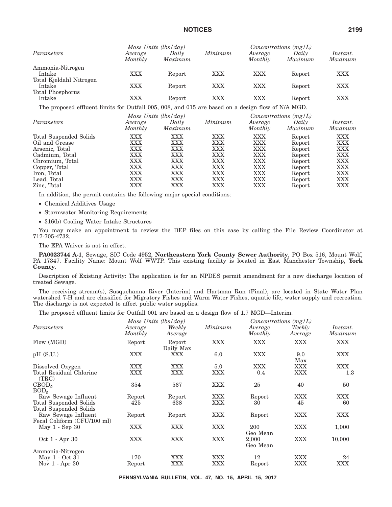|                                   | Mass Units (lbs/day) |                  |            | Concentrations $(mg/L)$ |                  |                     |  |
|-----------------------------------|----------------------|------------------|------------|-------------------------|------------------|---------------------|--|
| Parameters                        | Average<br>Monthly   | Daily<br>Maximum | Minimum    | Average<br>Monthly      | Daily<br>Maximum | Instant.<br>Maximum |  |
| Ammonia-Nitrogen<br>Intake        | XXX                  | Report           | <b>XXX</b> | XXX                     | Report           | XXX                 |  |
| Total Kjeldahl Nitrogen<br>Intake | XXX                  | Report           | <b>XXX</b> | XXX                     | Report           | XXX                 |  |
| Total Phosphorus<br>Intake        | XXX                  | Report           | XXX        | XXX                     | Report           | XXX                 |  |

The proposed effluent limits for Outfall 005, 008, and 015 are based on a design flow of N/A MGD.

|                        |                    | Mass Units (lbs/day) |            |                    | Concentrations $(mg/L)$ |                     |
|------------------------|--------------------|----------------------|------------|--------------------|-------------------------|---------------------|
| Parameters             | Average<br>Monthly | Daily<br>Maximum     | Minimum    | Average<br>Monthly | Daily<br>Maximum        | Instant.<br>Maximum |
| Total Suspended Solids | XXX                | XXX                  | XXX        | <b>XXX</b>         | Report                  | XXX                 |
| Oil and Grease         | XXX                | XXX                  | <b>XXX</b> | <b>XXX</b>         | Report                  | XXX                 |
| Arsenic, Total         | XXX                | XXX                  | XXX        | XXX                | Report                  | XXX                 |
| Cadmium, Total         | XXX                | XXX                  | XXX        | XXX                | Report                  | XXX                 |
| Chromium, Total        | XXX                | XXX                  | XXX        | <b>XXX</b>         | Report                  | <b>XXX</b>          |
| Copper, Total          | XXX                | XXX                  | XXX        | XXX                | Report                  | XXX                 |
| Iron, Total            | XXX                | XXX                  | XXX        | XXX                | Report                  | XXX                 |
| Lead, Total            | XXX                | XXX                  | XXX        | XXX                | Report                  | XXX                 |
| Zinc, Total            | XXX                | XXX                  | XXX        | <b>XXX</b>         | Report                  | XXX                 |

In addition, the permit contains the following major special conditions:

- Chemical Additives Usage
- Stormwater Monitoring Requirements
- 316(b) Cooling Water Intake Structures

You may make an appointment to review the DEP files on this case by calling the File Review Coordinator at 717-705-4732.

The EPA Waiver is not in effect.

**PA0023744 A-1**, Sewage, SIC Code 4952, **Northeastern York County Sewer Authority**, PO Box 516, Mount Wolf, PA 17347. Facility Name: Mount Wolf WWTP. This existing facility is located in East Manchester Township, **York County**.

Description of Existing Activity: The application is for an NPDES permit amendment for a new discharge location of treated Sewage.

The receiving stream(s), Susquehanna River (Interim) and Hartman Run (Final), are located in State Water Plan watershed 7-H and are classified for Migratory Fishes and Warm Water Fishes, aquatic life, water supply and recreation. The discharge is not expected to affect public water supplies.

The proposed effluent limits for Outfall 001 are based on a design flow of 1.7 MGD—Interim.

|                                  |                    | Mass Units $(lbs/day)$ |            |                    | Concentrations $(mg/L)$ |                     |
|----------------------------------|--------------------|------------------------|------------|--------------------|-------------------------|---------------------|
| Parameters                       | Average<br>Monthly | Weekly<br>Average      | Minimum    | Average<br>Monthly | Weekly<br>Average       | Instant.<br>Maximum |
| Flow (MGD)                       | Report             | Report<br>Daily Max    | <b>XXX</b> | XXX                | XXX                     | <b>XXX</b>          |
| pH(S.U.)                         | XXX                | XXX                    | 6.0        | <b>XXX</b>         | 9.0<br>Max              | XXX                 |
| Dissolved Oxygen                 | XXX                | <b>XXX</b>             | 5.0        | <b>XXX</b>         | <b>XXX</b>              | <b>XXX</b>          |
| Total Residual Chlorine<br>(TRC) | XXX                | <b>XXX</b>             | XXX        | 0.4                | XXX                     | $1.3\phantom{0}$    |
| CBOD <sub>5</sub>                | 354                | 567                    | XXX        | 25                 | 40                      | 50                  |
| BOD <sub>5</sub>                 |                    |                        |            |                    |                         |                     |
| Raw Sewage Influent              | Report             | Report                 | XXX        | Report             | XXX                     | XXX                 |
| Total Suspended Solids           | 425                | 638                    | XXX        | 30                 | 45                      | 60                  |
| <b>Total Suspended Solids</b>    |                    |                        |            |                    |                         |                     |
| Raw Sewage Influent              | Report             | Report                 | XXX        | Report             | <b>XXX</b>              | XXX                 |
| Fecal Coliform (CFU/100 ml)      |                    |                        |            |                    |                         |                     |
| May 1 - Sep 30                   | XXX                | <b>XXX</b>             | XXX        | 200<br>Geo Mean    | <b>XXX</b>              | 1,000               |
| Oct 1 - Apr 30                   | XXX                | <b>XXX</b>             | XXX        | 2,000<br>Geo Mean  | <b>XXX</b>              | 10,000              |
| Ammonia-Nitrogen                 |                    |                        |            |                    |                         |                     |
| May 1 - Oct 31                   | 170                | <b>XXX</b>             | XXX        | 12                 | <b>XXX</b>              | 24                  |
| Nov $1 -$ Apr $30$               | Report             | XXX                    | XXX        | Report             | XXX                     | XXX                 |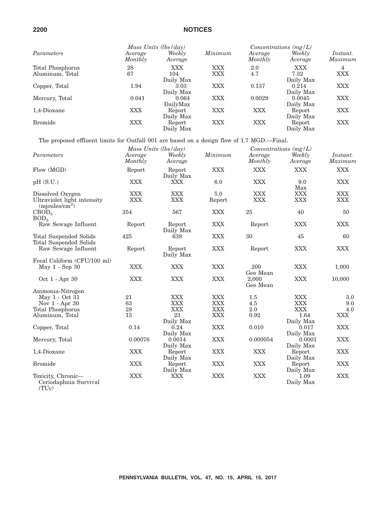|                                     |                    | Mass Units $(lbs/day)$         |                   |                    | $Concentrations$ (mg/L)         |                            |
|-------------------------------------|--------------------|--------------------------------|-------------------|--------------------|---------------------------------|----------------------------|
| Parameters                          | Average<br>Monthly | Weekly<br>Average              | Minimum           | Average<br>Monthly | Weekly<br>Average               | <i>Instant.</i><br>Maximum |
| Total Phosphorus<br>Aluminum, Total | 28<br>67           | <b>XXX</b><br>104<br>Daily Max | XXX<br><b>XXX</b> | 2.0<br>4.7         | <b>XXX</b><br>7.32<br>Daily Max | 4<br>XXX                   |
| Copper, Total                       | 1.94               | 3.03<br>Daily Max              | <b>XXX</b>        | 0.137              | 0.214<br>Daily Max              | XXX                        |
| Mercury, Total                      | 0.041              | 0.064<br>DailyMax              | <b>XXX</b>        | 0.0029             | 0.0045<br>Daily Max             | XXX                        |
| 1,4-Dioxane                         | XXX                | Report<br>Daily Max            | XXX               | XXX                | Report<br>Daily Max             | XXX                        |
| <b>Bromide</b>                      | XXX                | Report<br>Daily Max            | XXX               | XXX                | Report<br>Daily Max             | XXX                        |

The proposed effluent limits for Outfall 001 are based on a design flow of 1.7 MGD.—Final.

|                                                                               |                    | Mass Units (lbs/day)     |               |                          | Concentrations $(mg/L)$  |                          |
|-------------------------------------------------------------------------------|--------------------|--------------------------|---------------|--------------------------|--------------------------|--------------------------|
| Parameters                                                                    | Average<br>Monthly | Weekly<br>Average        | Minimum       | Average<br>Monthly       | Weekly<br>Average        | Instant.<br>Maximum      |
| Flow (MGD)                                                                    | Report             | Report<br>Daily Max      | <b>XXX</b>    | <b>XXX</b>               | <b>XXX</b>               | <b>XXX</b>               |
| pH(S.U.)                                                                      | <b>XXX</b>         | <b>XXX</b>               | 6.0           | <b>XXX</b>               | 9.0<br>Max               | <b>XXX</b>               |
| Dissolved Oxygen<br>Ultraviolet light intensity<br>(mjoules/cm <sup>2</sup> ) | XXX<br><b>XXX</b>  | <b>XXX</b><br><b>XXX</b> | 5.0<br>Report | <b>XXX</b><br><b>XXX</b> | <b>XXX</b><br><b>XXX</b> | <b>XXX</b><br><b>XXX</b> |
| CBOD <sub>5</sub><br>BOD <sub>5</sub>                                         | 354                | 567                      | <b>XXX</b>    | 25                       | 40                       | 50                       |
| Raw Sewage Influent                                                           | Report             | Report<br>Daily Max      | <b>XXX</b>    | Report                   | <b>XXX</b>               | <b>XXX</b>               |
| Total Suspended Solids<br>Total Suspended Solids                              | 425                | 638                      | <b>XXX</b>    | 30                       | 45                       | 60                       |
| Raw Sewage Influent                                                           | Report             | Report<br>Daily Max      | <b>XXX</b>    | Report                   | <b>XXX</b>               | <b>XXX</b>               |
| Fecal Coliform (CFU/100 ml)<br>May 1 - Sep 30                                 | <b>XXX</b>         | <b>XXX</b>               | <b>XXX</b>    | 200<br>Geo Mean          | <b>XXX</b>               | 1,000                    |
| Oct 1 - Apr 30                                                                | <b>XXX</b>         | <b>XXX</b>               | <b>XXX</b>    | 2,000<br>Geo Mean        | <b>XXX</b>               | 10,000                   |
| Ammonia-Nitrogen                                                              |                    |                          |               |                          |                          |                          |
| May 1 - Oct 31                                                                | 21                 | <b>XXX</b>               | <b>XXX</b>    | 1.5                      | <b>XXX</b>               | 3.0                      |
| Nov $1 -$ Apr 30                                                              | 63                 | <b>XXX</b>               | <b>XXX</b>    | 4.5                      | <b>XXX</b>               | 9.0                      |
| Total Phosphorus                                                              | 28                 | <b>XXX</b>               | <b>XXX</b>    | 2.0                      | <b>XXX</b>               | 4.0                      |
| Aluminum, Total                                                               | 13                 | 23                       | <b>XXX</b>    | 0.92                     | 1.64                     | <b>XXX</b>               |
|                                                                               |                    | Daily Max                |               |                          | Daily Max                |                          |
| Copper, Total                                                                 | 0.14               | 0.24<br>Daily Max        | <b>XXX</b>    | 0.010                    | 0.017<br>Daily Max       | <b>XXX</b>               |
| Mercury, Total                                                                | 0.00076            | 0.0014<br>Daily Max      | <b>XXX</b>    | 0.000054                 | 0.0001<br>Daily Max      | <b>XXX</b>               |
| 1,4-Dioxane                                                                   | <b>XXX</b>         | Report<br>Daily Max      | <b>XXX</b>    | <b>XXX</b>               | Report<br>Daily Max      | <b>XXX</b>               |
| <b>Bromide</b>                                                                | <b>XXX</b>         | Report<br>Daily Max      | <b>XXX</b>    | <b>XXX</b>               | Report<br>Daily Max      | <b>XXX</b>               |
| Toxicity, Chronic-<br>Ceriodaphnia Survival                                   | <b>XXX</b>         | <b>XXX</b>               | <b>XXX</b>    | <b>XXX</b>               | 1.09<br>Daily Max        | <b>XXX</b>               |

(TUc)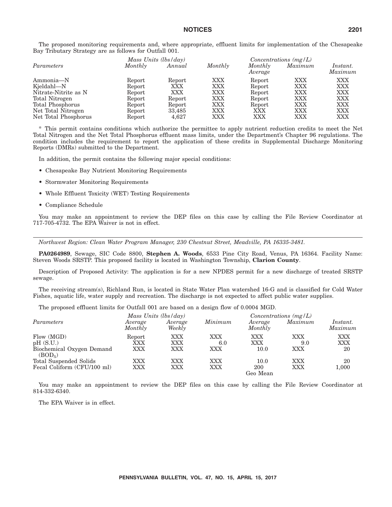The proposed monitoring requirements and, where appropriate, effluent limits for implementation of the Chesapeake Bay Tributary Strategy are as follows for Outfall 001.

|                      |         | Mass Units $(lbs/day)$ | Concentrations $(mg/L)$ |                    |            |                     |
|----------------------|---------|------------------------|-------------------------|--------------------|------------|---------------------|
| Parameters           | Monthly | Annual                 | Monthly                 | Monthly<br>Average | Maximum    | Instant.<br>Maximum |
| Ammonia-N            | Report  | Report                 | <b>XXX</b>              | Report             | <b>XXX</b> | <b>XXX</b>          |
| Kjeldahl-N           | Report  | XXX                    | <b>XXX</b>              | Report             | <b>XXX</b> | <b>XXX</b>          |
| Nitrate-Nitrite as N | Report  | XXX                    | XXX                     | Report             | XXX        | XXX                 |
| Total Nitrogen       | Report  | Report                 | XXX                     | Report             | XXX        | <b>XXX</b>          |
| Total Phosphorus     | Report  | Report                 | XXX                     | Report             | XXX        | <b>XXX</b>          |
| Net Total Nitrogen   | Report  | 33,485                 | XXX                     | XXX                | XXX        | <b>XXX</b>          |
| Net Total Phosphorus | Report  | 4.627                  | XXX                     | XXX                | XXX        | <b>XXX</b>          |

\* This permit contains conditions which authorize the permittee to apply nutrient reduction credits to meet the Net Total Nitrogen and the Net Total Phosphorus effluent mass limits, under the Department's Chapter 96 regulations. The condition includes the requirement to report the application of these credits in Supplemental Discharge Monitoring Reports (DMRs) submitted to the Department.

In addition, the permit contains the following major special conditions:

- Chesapeake Bay Nutrient Monitoring Requirements
- Stormwater Monitoring Requirements
- Whole Effluent Toxicity (WET) Testing Requirements
- Compliance Schedule

You may make an appointment to review the DEP files on this case by calling the File Review Coordinator at 717-705-4732. The EPA Waiver is not in effect.

*Northwest Region: Clean Water Program Manager, 230 Chestnut Street, Meadville, PA 16335-3481.*

**PA0264989**, Sewage, SIC Code 8800, **Stephen A. Woods**, 6533 Pine City Road, Venus, PA 16364. Facility Name: Steven Woods SRSTP. This proposed facility is located in Washington Township, **Clarion County**.

Description of Proposed Activity: The application is for a new NPDES permit for a new discharge of treated SRSTP sewage.

The receiving stream(s), Richland Run, is located in State Water Plan watershed 16-G and is classified for Cold Water Fishes, aquatic life, water supply and recreation. The discharge is not expected to affect public water supplies.

The proposed effluent limits for Outfall 001 are based on a design flow of 0.0004 MGD.

|                                                  |                    | Mass Units (lbs/day) |            |                    | Concentrations $(mg/L)$ |                     |
|--------------------------------------------------|--------------------|----------------------|------------|--------------------|-------------------------|---------------------|
| Parameters                                       | Average<br>Monthly | Average<br>Weekly    | Minimum    | Average<br>Monthly | Maximum                 | Instant.<br>Maximum |
| Flow (MGD)                                       | Report             | XXX                  | <b>XXX</b> | XXX                | XXX                     | XXX                 |
| pH(S.U.)                                         | XXX                | XXX                  | 6.0        | XXX                | 9.0                     | XXX                 |
| Biochemical Oxygen Demand<br>(BOD <sub>5</sub> ) | XXX                | XXX                  | XXX        | 10.0               | XXX                     | 20                  |
| Total Suspended Solids                           | XXX                | XXX                  | XXX        | 10.0               | XXX                     | 20                  |
| Fecal Coliform (CFU/100 ml)                      | XXX                | XXX                  | XXX        | 200<br>Geo Mean    | XXX                     | 1,000               |

You may make an appointment to review the DEP files on this case by calling the File Review Coordinator at 814-332-6340.

The EPA Waiver is in effect.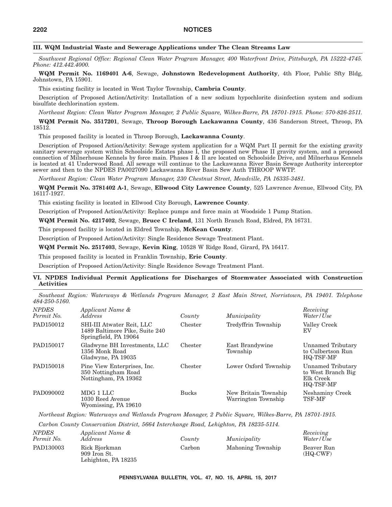#### **III. WQM Industrial Waste and Sewerage Applications under The Clean Streams Law**

*Southwest Regional Office: Regional Clean Water Program Manager, 400 Waterfront Drive, Pittsburgh, PA 15222-4745. Phone: 412.442.4000.*

**WQM Permit No. 1169401 A-6**, Sewage, **Johnstown Redevelopment Authority**, 4th Floor, Public Sfty Bldg, Johnstown, PA 15901.

This existing facility is located in West Taylor Township, **Cambria County**.

Description of Proposed Action/Activity: Installation of a new sodium hypochlorite disinfection system and sodium bisulfate dechlorination system.

*Northeast Region: Clean Water Program Manager, 2 Public Square, Wilkes-Barre, PA 18701-1915. Phone: 570-826-2511.*

**WQM Permit No. 3517201**, Sewage, **Throop Borough Lackawanna County**, 436 Sanderson Street, Throop, PA 18512.

This proposed facility is located in Throop Borough, **Lackawanna County**.

Description of Proposed Action/Activity: Sewage system application for a WQM Part II permit for the existing gravity sanitary sewerage system within Schoolside Estates phase I, the proposed new Phase II gravity system, and a proposed connection of Milnerhouse Kennels by force main. Phases I & Il are located on Schoolside Drive, and Milnerhaus Kennels is located at 41 Underwood Road. All sewage will continue to the Lackawanna River Basin Sewage Authority interceptor sewer and then to the NPDES PA0027090 Lackawanna River Basin Sew Auth THROOP WWTP.

*Northwest Region: Clean Water Program Manager, 230 Chestnut Street, Meadville, PA 16335-3481.*

**WQM Permit No. 3781402 A-1**, Sewage, **Ellwood City Lawrence County**, 525 Lawrence Avenue, Ellwood City, PA 16117-1927.

This existing facility is located in Ellwood City Borough, **Lawrence County**.

Description of Proposed Action/Activity: Replace pumps and force main at Woodside 1 Pump Station.

**WQM Permit No. 4217402**, Sewage, **Bruce C Ireland**, 131 North Branch Road, Eldred, PA 16731.

This proposed facility is located in Eldred Township, **McKean County**.

Description of Proposed Action/Activity: Single Residence Sewage Treatment Plant.

**WQM Permit No. 2517403**, Sewage, **Kevin King**, 10528 W Ridge Road, Girard, PA 16417.

This proposed facility is located in Franklin Township, **Erie County**.

Description of Proposed Action/Activity: Single Residence Sewage Treatment Plant.

#### **VI. NPDES Individual Permit Applications for Discharges of Stormwater Associated with Construction Activities**

*Southeast Region: Waterways & Wetlands Program Manager, 2 East Main Street, Norristown, PA 19401. Telephone 484-250-5160.*

| <b>NPDES</b><br>Permit No. | Applicant Name &<br><i>Address</i>                                                   | County       | Municipality                                | Receiving<br>Water/Use                                            |
|----------------------------|--------------------------------------------------------------------------------------|--------------|---------------------------------------------|-------------------------------------------------------------------|
| PAD150012                  | SHI-III Atwater Reit, LLC<br>1489 Baltimore Pike, Suite 240<br>Springfield, PA 19064 | Chester      | Tredyffrin Township                         | Valley Creek<br>EV                                                |
| PAD150017                  | Gladwyne BH Investments, LLC<br>1356 Monk Road<br>Gladwyne, PA 19035                 | Chester      | East Brandywine<br>Township                 | Unnamed Tributary<br>to Culbertson Run<br>HQ-TSF-MF               |
| PAD150018                  | Pine View Enterprises, Inc.<br>350 Nottingham Road<br>Nottingham, PA 19362           | Chester      | Lower Oxford Township                       | Unnamed Tributary<br>to West Branch Big<br>Elk Creek<br>HQ-TSF-MF |
| PAD090002                  | MDG 1 LLC<br>1030 Reed Avenue<br>Wyomissing, PA 19610                                | <b>Bucks</b> | New Britain Township<br>Warrington Township | Neshaminy Creek<br><b>TSF-MF</b>                                  |

*Northeast Region: Waterways and Wetlands Program Manager, 2 Public Square, Wilkes-Barre, PA 18701-1915.*

*Carbon County Conservation District, 5664 Interchange Road, Lehighton, PA 18235-5114.*

| <b>NPDES</b><br>Permit No. | Applicant Name &<br>Address                          | County | Municipality      | Receiving<br>Water/Use   |
|----------------------------|------------------------------------------------------|--------|-------------------|--------------------------|
| PAD130003                  | Rick Bjorkman<br>909 Iron St.<br>Lehighton, PA 18235 | Carbon | Mahoning Township | Beaver Run<br>$(HQ-CWF)$ |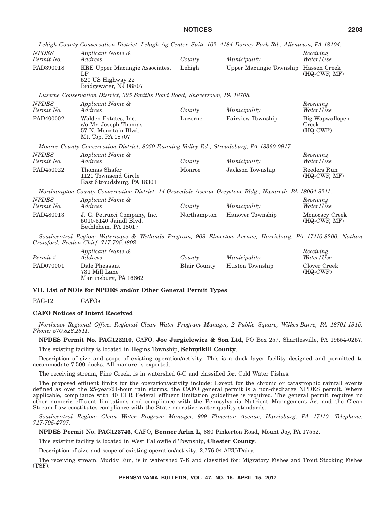| Applicant Name &<br>Address<br>KRE Upper Macungie Associates,<br>LP<br>520 US Highway 22<br>Bridgewater, NJ 08807<br>Luzerne Conservation District, 325 Smiths Pond Road, Shavertown, PA 18708.<br>Applicant Name &<br>Address<br>Walden Estates, Inc.<br>c/o Mr. Joseph Thomas | County<br>Lehigh<br>County | Municipality<br>Upper Macungie Township Hassen Creek<br>Municipality         | Receiving<br>Water/Use<br>$(HQ-CWF, MF)$<br>Receiving                                                                                                                                                                                                                                                             |
|---------------------------------------------------------------------------------------------------------------------------------------------------------------------------------------------------------------------------------------------------------------------------------|----------------------------|------------------------------------------------------------------------------|-------------------------------------------------------------------------------------------------------------------------------------------------------------------------------------------------------------------------------------------------------------------------------------------------------------------|
|                                                                                                                                                                                                                                                                                 |                            |                                                                              |                                                                                                                                                                                                                                                                                                                   |
|                                                                                                                                                                                                                                                                                 |                            |                                                                              |                                                                                                                                                                                                                                                                                                                   |
|                                                                                                                                                                                                                                                                                 |                            |                                                                              |                                                                                                                                                                                                                                                                                                                   |
|                                                                                                                                                                                                                                                                                 |                            |                                                                              | Water/Use                                                                                                                                                                                                                                                                                                         |
| 57 N. Mountain Blvd.<br>Mt. Top, PA 18707                                                                                                                                                                                                                                       | Luzerne                    | Fairview Township                                                            | Big Wapwallopen<br>Creek<br>$(HQ-CWF)$                                                                                                                                                                                                                                                                            |
|                                                                                                                                                                                                                                                                                 |                            |                                                                              |                                                                                                                                                                                                                                                                                                                   |
| Applicant Name &<br>Address                                                                                                                                                                                                                                                     | County                     | Municipality                                                                 | Receiving<br>Water/Use                                                                                                                                                                                                                                                                                            |
| Thomas Shafer<br>1121 Townsend Circle<br>East Stroudsburg, PA 18301                                                                                                                                                                                                             | Monroe                     | Jackson Township                                                             | Reeders Run<br>$(HQ-CWF, MF)$                                                                                                                                                                                                                                                                                     |
|                                                                                                                                                                                                                                                                                 |                            |                                                                              |                                                                                                                                                                                                                                                                                                                   |
| Applicant Name &<br>Address                                                                                                                                                                                                                                                     | County                     | Municipality                                                                 | Receiving<br>Water/Use                                                                                                                                                                                                                                                                                            |
| J. G. Petrucci Company, Inc.<br>5010-5140 Jaindl Blvd.<br>Bethlehem, PA 18017                                                                                                                                                                                                   |                            | Hanover Township                                                             | Monocacy Creek<br>$(HQ-CWF, MF)$                                                                                                                                                                                                                                                                                  |
| Crawford, Section Chief, 717.705.4802.                                                                                                                                                                                                                                          |                            |                                                                              |                                                                                                                                                                                                                                                                                                                   |
| Applicant Name &<br>Address                                                                                                                                                                                                                                                     | County                     | Municipality                                                                 | Receiving<br>Water / Use                                                                                                                                                                                                                                                                                          |
| Dale Pheasant<br>731 Mill Lane<br>Martinsburg, PA 16662                                                                                                                                                                                                                         | <b>Blair County</b>        | Huston Township                                                              | Clover Creek<br>$(HQ-CWF)$                                                                                                                                                                                                                                                                                        |
|                                                                                                                                                                                                                                                                                 |                            | Northampton<br>VII. List of NOIs for NPDES and/or Other General Permit Types | Monroe County Conservation District, 8050 Running Valley Rd., Stroudsburg, PA 18360-0917.<br>Northampton County Conservation District, 14 Gracedale Avenue Greystone Bldg., Nazareth, PA 18064-9211.<br>Southcentral Region: Waterways & Wetlands Program, 909 Elmerton Avenue, Harrisburg, PA 17110-8200, Nathan |

#### PAG-12 CAFOs

#### **CAFO Notices of Intent Received**

*Northeast Regional Office: Regional Clean Water Program Manager, 2 Public Square, Wilkes-Barre, PA 18701-1915. Phone: 570.826.2511.*

**NPDES Permit No. PAG122210**, CAFO, **Joe Jurgielewicz & Son Ltd**, PO Box 257, Shartlesville, PA 19554-0257.

This existing facility is located in Hegins Township, **Schuylkill County**.

Description of size and scope of existing operation/activity: This is a duck layer facility designed and permitted to accommodate 7,500 ducks. All manure is exported.

The receiving stream, Pine Creek, is in watershed 6-C and classified for: Cold Water Fishes.

The proposed effluent limits for the operation/activity include: Except for the chronic or catastrophic rainfall events defined as over the 25-year/24-hour rain storms, the CAFO general permit is a non-discharge NPDES permit. Where applicable, compliance with 40 CFR Federal effluent limitation guidelines is required. The general permit requires no other numeric effluent limitations and compliance with the Pennsylvania Nutrient Management Act and the Clean Stream Law constitutes compliance with the State narrative water quality standards.

*Southcentral Region: Clean Water Program Manager, 909 Elmerton Avenue, Harrisburg, PA 17110. Telephone: 717-705-4707.*

**NPDES Permit No. PAG123746**, CAFO, **Benner Arlin L**, 880 Pinkerton Road, Mount Joy, PA 17552.

This existing facility is located in West Fallowfield Township, **Chester County**.

Description of size and scope of existing operation/activity: 2,776.04 AEU/Dairy.

The receiving stream, Muddy Run, is in watershed 7-K and classified for: Migratory Fishes and Trout Stocking Fishes (TSF).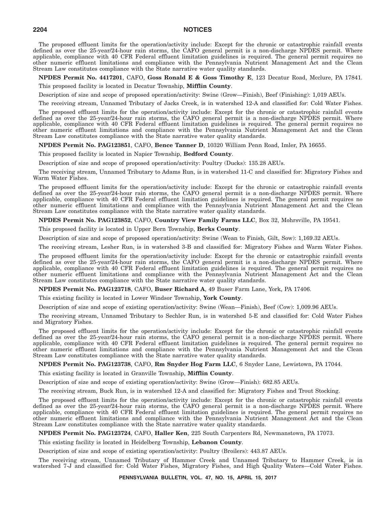The proposed effluent limits for the operation/activity include: Except for the chronic or catastrophic rainfall events defined as over the 25-year/24-hour rain storms, the CAFO general permit is a non-discharge NPDES permit. Where applicable, compliance with 40 CFR Federal effluent limitation guidelines is required. The general permit requires no other numeric effluent limitations and compliance with the Pennsylvania Nutrient Management Act and the Clean Stream Law constitutes compliance with the State narrative water quality standards.

**NPDES Permit No. 4417201**, CAFO, **Goss Ronald E & Goss Timothy E**, 123 Decatur Road, Mcclure, PA 17841.

This proposed facility is located in Decatur Township, **Mifflin County**.

Description of size and scope of proposed operation/activity: Swine (Grow—Finish), Beef (Finishing): 1,019 AEUs.

The receiving stream, Unnamed Tributary of Jacks Creek, is in watershed 12-A and classified for: Cold Water Fishes.

The proposed effluent limits for the operation/activity include: Except for the chronic or catastrophic rainfall events defined as over the 25-year/24-hour rain storms, the CAFO general permit is a non-discharge NPDES permit. Where applicable, compliance with 40 CFR Federal effluent limitation guidelines is required. The general permit requires no other numeric effluent limitations and compliance with the Pennsylvania Nutrient Management Act and the Clean Stream Law constitutes compliance with the State narrative water quality standards.

**NPDES Permit No. PAG123851**, CAFO, **Bence Tanner D**, 10320 William Penn Road, Imler, PA 16655.

This proposed facility is located in Napier Township, **Bedford County**.

Description of size and scope of proposed operation/activity: Poultry (Ducks): 135.28 AEUs.

The receiving stream, Unnamed Tributary to Adams Run, is in watershed 11-C and classified for: Migratory Fishes and Warm Water Fishes.

The proposed effluent limits for the operation/activity include: Except for the chronic or catastrophic rainfall events defined as over the 25-year/24-hour rain storms, the CAFO general permit is a non-discharge NPDES permit. Where applicable, compliance with 40 CFR Federal effluent limitation guidelines is required. The general permit requires no other numeric effluent limitations and compliance with the Pennsylvania Nutrient Management Act and the Clean Stream Law constitutes compliance with the State narrative water quality standards.

**NPDES Permit No. PAG123852**, CAFO, **Country View Family Farms LLC**, Box 32, Mohrsville, PA 19541.

This proposed facility is located in Upper Bern Township, **Berks County**.

Description of size and scope of proposed operation/activity: Swine (Wean to Finish, Gilt, Sow): 1,169.32 AEUs.

The receiving stream, Lesher Run, is in watershed 3-B and classified for: Migratory Fishes and Warm Water Fishes.

The proposed effluent limits for the operation/activity include: Except for the chronic or catastrophic rainfall events defined as over the 25-year/24-hour rain storms, the CAFO general permit is a non-discharge NPDES permit. Where applicable, compliance with 40 CFR Federal effluent limitation guidelines is required. The general permit requires no other numeric effluent limitations and compliance with the Pennsylvania Nutrient Management Act and the Clean Stream Law constitutes compliance with the State narrative water quality standards.

**NPDES Permit No. PAG123718**, CAFO, **Buser Richard A**, 49 Buser Farm Lane, York, PA 17406.

This existing facility is located in Lower Windsor Township, **York County**.

Description of size and scope of existing operation/activity: Swine (Wean—Finish), Beef (Cow): 1,009.96 AEUs.

The receiving stream, Unnamed Tributary to Sechler Run, is in watershed 5-E and classified for: Cold Water Fishes and Migratory Fishes.

The proposed effluent limits for the operation/activity include: Except for the chronic or catastrophic rainfall events defined as over the 25-year/24-hour rain storms, the CAFO general permit is a non-discharge NPDES permit. Where applicable, compliance with 40 CFR Federal effluent limitation guidelines is required. The general permit requires no other numeric effluent limitations and compliance with the Pennsylvania Nutrient Management Act and the Clean Stream Law constitutes compliance with the State narrative water quality standards.

#### **NPDES Permit No. PAG123738**, CAFO, **Rm Snyder Hog Farm LLC**, 6 Snyder Lane, Lewistown, PA 17044.

This existing facility is located in Granville Township, **Mifflin County**.

Description of size and scope of existing operation/activity: Swine (Grow—Finish): 682.85 AEUs.

The receiving stream, Buck Run, is in watershed 12-A and classified for: Migratory Fishes and Trout Stocking.

The proposed effluent limits for the operation/activity include: Except for the chronic or catastrophic rainfall events defined as over the 25-year/24-hour rain storms, the CAFO general permit is a non-discharge NPDES permit. Where applicable, compliance with 40 CFR Federal effluent limitation guidelines is required. The general permit requires no other numeric effluent limitations and compliance with the Pennsylvania Nutrient Management Act and the Clean Stream Law constitutes compliance with the State narrative water quality standards.

**NPDES Permit No. PAG123724**, CAFO, **Haller Ken**, 225 South Carpenters Rd, Newmanstown, PA 17073.

This existing facility is located in Heidelberg Township, **Lebanon County**.

Description of size and scope of existing operation/activity: Poultry (Broilers): 443.87 AEUs.

The receiving stream, Unnamed Tributary of Hammer Creek and Unnamed Tributary to Hammer Creek, is in watershed 7-J and classified for: Cold Water Fishes, Migratory Fishes, and High Quality Waters—Cold Water Fishes.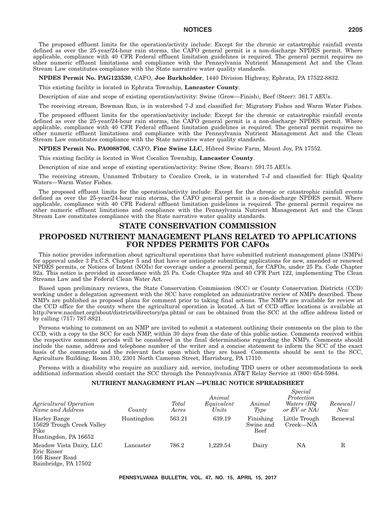The proposed effluent limits for the operation/activity include: Except for the chronic or catastrophic rainfall events defined as over the 25-year/24-hour rain storms, the CAFO general permit is a non-discharge NPDES permit. Where applicable, compliance with 40 CFR Federal effluent limitation guidelines is required. The general permit requires no other numeric effluent limitations and compliance with the Pennsylvania Nutrient Management Act and the Clean Stream Law constitutes compliance with the State narrative water quality standards.

**NPDES Permit No. PAG123530**, CAFO, **Joe Burkholder**, 1440 Division Highway, Ephrata, PA 17522-8832.

This existing facility is located in Ephrata Township, **Lancaster County**.

Description of size and scope of existing operation/activity: Swine (Grow—Finish), Beef (Steer): 361.7 AEUs.

The receiving stream, Bowman Run, is in watershed 7-J and classified for: Migratory Fishes and Warm Water Fishes.

The proposed effluent limits for the operation/activity include: Except for the chronic or catastrophic rainfall events defined as over the 25-year/24-hour rain storms, the CAFO general permit is a non-discharge NPDES permit. Where applicable, compliance with 40 CFR Federal effluent limitation guidelines is required. The general permit requires no other numeric effluent limitations and compliance with the Pennsylvania Nutrient Management Act and the Clean Stream Law constitutes compliance with the State narrative water quality standards.

#### **NPDES Permit No. PA0088706**, CAFO, **Fine Swine LLC**, Hibred Swine Farm, Mount Joy, PA 17552.

This existing facility is located in West Cocalico Township, **Lancaster County**.

Description of size and scope of existing operation/activity: Swine (Sow, Boars): 591.75 AEUs.

The receiving stream, Unnamed Tributary to Cocalico Creek, is in watershed 7-J and classified for: High Quality Waters—Warm Water Fishes.

The proposed effluent limits for the operation/activity include: Except for the chronic or catastrophic rainfall events defined as over the 25-year/24-hour rain storms, the CAFO general permit is a non-discharge NPDES permit. Where applicable, compliance with 40 CFR Federal effluent limitation guidelines is required. The general permit requires no other numeric effluent limitations and compliance with the Pennsylvania Nutrient Management Act and the Clean Stream Law constitutes compliance with the State narrative water quality standards.

#### **STATE CONSERVATION COMMISSION**

#### **PROPOSED NUTRIENT MANAGEMENT PLANS RELATED TO APPLICATIONS FOR NPDES PERMITS FOR CAFOs**

This notice provides information about agricultural operations that have submitted nutrient management plans (NMPs) for approval under 3 Pa.C.S. Chapter 5 and that have or anticipate submitting applications for new, amended or renewed NPDES permits, or Notices of Intent (NOIs) for coverage under a general permit, for CAFOs, under 25 Pa. Code Chapter 92a. This notice is provided in accordance with 25 Pa. Code Chapter 92a and 40 CFR Part 122, implementing The Clean Streams Law and the Federal Clean Water Act.

Based upon preliminary reviews, the State Conservation Commission (SCC) or County Conservation Districts (CCD) working under a delegation agreement with the SCC have completed an administrative review of NMPs described. These NMPs are published as proposed plans for comment prior to taking final actions. The NMPs are available for review at the CCD office for the county where the agricultural operation is located. A list of CCD office locations is available at http://www.nacdnet.org/about/districts/directory/pa.phtml or can be obtained from the SCC at the office address listed or by calling (717) 787-8821.

Persons wishing to comment on an NMP are invited to submit a statement outlining their comments on the plan to the CCD, with a copy to the SCC for each NMP, within 30 days from the date of this public notice. Comments received within the respective comment periods will be considered in the final determinations regarding the NMPs. Comments should include the name, address and telephone number of the writer and a concise statement to inform the SCC of the exact basis of the comments and the relevant facts upon which they are based. Comments should be sent to the SCC, Agriculture Building, Room 310, 2301 North Cameron Street, Harrisburg, PA 17110.

Persons with a disability who require an auxiliary aid, service, including TDD users or other accommodations to seek additional information should contact the SCC through the Pennsylvania AT&T Relay Service at (800) 654-5984.

#### **NUTRIENT MANAGEMENT PLAN —PUBLIC NOTICE SPREADSHEET**

| Agricultural Operation<br>Name and Address                                        | County     | Total<br>Acres | Animal<br>Equivalent<br>Units | Animal<br>Type                        | Special<br>Protection<br>Waters (HQ<br>or EV or NA | Renewal/<br>New |
|-----------------------------------------------------------------------------------|------------|----------------|-------------------------------|---------------------------------------|----------------------------------------------------|-----------------|
| Harley Bange<br>15629 Trough Creek Valley<br>Pike<br>Huntingdon, PA 16652         | Huntingdon | 563.21         | 639.19                        | Finishing<br>Swine and<br><b>Beef</b> | Little Trough<br>Creek-N/A                         | Renewal         |
| Meadow Vista Dairy, LLC<br>Eric Risser<br>166 Risser Road<br>Bainbridge, PA 17502 | Lancaster  | 786.2          | 1.229.54                      | Dairy                                 | NA                                                 | R               |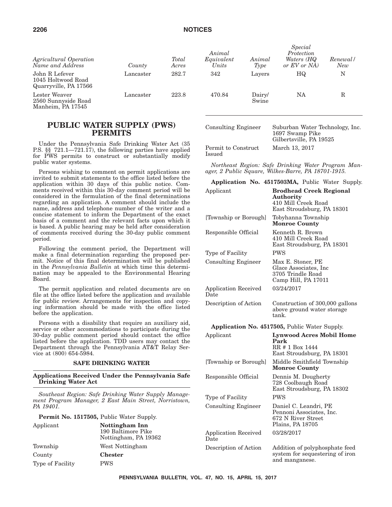| Agricultural Operation<br>Name and Address                    | County    | Total<br>Acres | Animal<br>Equivalent<br>Units | Animal<br>Type  | Special<br>Protection<br>Waters (HQ<br>or EV or NA | Renewal/<br>New |
|---------------------------------------------------------------|-----------|----------------|-------------------------------|-----------------|----------------------------------------------------|-----------------|
| John R Lefever<br>1045 Holtwood Road<br>Quarryville, PA 17566 | Lancaster | 282.7          | 342                           | Layers          | HQ                                                 | N               |
| Lester Weaver<br>2560 Sunnyside Road<br>Manheim, PA 17545     | Lancaster | 223.8          | 470.84                        | Dairy/<br>Swine | NA                                                 | $_{\rm R}$      |

#### **PUBLIC WATER SUPPLY (PWS) PERMITS**

Under the Pennsylvania Safe Drinking Water Act (35 P.S. §§ 721.1—721.17), the following parties have applied for PWS permits to construct or substantially modify public water systems.

Persons wishing to comment on permit applications are invited to submit statements to the office listed before the application within 30 days of this public notice. Comments received within this 30-day comment period will be considered in the formulation of the final determinations regarding an application. A comment should include the name, address and telephone number of the writer and a concise statement to inform the Department of the exact basis of a comment and the relevant facts upon which it is based. A public hearing may be held after consideration of comments received during the 30-day public comment period.

Following the comment period, the Department will make a final determination regarding the proposed permit. Notice of this final determination will be published in the *Pennsylvania Bulletin* at which time this determination may be appealed to the Environmental Hearing Board.

The permit application and related documents are on file at the office listed before the application and available for public review. Arrangements for inspection and copying information should be made with the office listed before the application.

Persons with a disability that require an auxiliary aid, service or other accommodations to participate during the 30-day public comment period should contact the office listed before the application. TDD users may contact the Department through the Pennsylvania AT&T Relay Service at (800) 654-5984.

#### **SAFE DRINKING WATER**

**Applications Received Under the Pennsylvania Safe Drinking Water Act**

*Southeast Region: Safe Drinking Water Supply Management Program Manager, 2 East Main Street, Norristown, PA 19401.*

**Permit No. 1517505,** Public Water Supply.

| Applicant        | Nottingham Inn<br>190 Baltimore Pike<br>Nottingham, PA 19362 | <b>Application Received</b><br>Date |
|------------------|--------------------------------------------------------------|-------------------------------------|
| Township         | West Nottingham                                              | Description of Action               |
| County           | <b>Chester</b>                                               |                                     |
| Type of Facility | <b>PWS</b>                                                   |                                     |

| Consulting Engineer           | Suburban Water Technology, Inc.<br>1697 Swamp Pike<br>Gilbertsville, PA 19525 |
|-------------------------------|-------------------------------------------------------------------------------|
| Permit to Construct<br>Issued | March 13, 2017                                                                |

*Northeast Region: Safe Drinking Water Program Manager, 2 Public Square, Wilkes-Barre, PA 18701-1915.*

|                                     | Application No. 4517503MA, Public Water Supply.                                                  |  |  |  |
|-------------------------------------|--------------------------------------------------------------------------------------------------|--|--|--|
| Applicant                           | <b>Brodhead Creek Regional</b><br>Authority<br>410 Mill Creek Road<br>East Stroudsburg, PA 18301 |  |  |  |
| [Township or Borough]               | Tobyhanna Township<br><b>Monroe County</b>                                                       |  |  |  |
| Responsible Official                | Kenneth R. Brown<br>410 Mill Creek Road<br>East Stroudsburg, PA 18301                            |  |  |  |
| Type of Facility                    | <b>PWS</b>                                                                                       |  |  |  |
| <b>Consulting Engineer</b>          | Max E. Stoner, PE<br>Glace Associates, Inc.<br>3705 Trindle Road<br>Camp Hill, PA 17011          |  |  |  |
| <b>Application Received</b><br>Date | 03/24/2017                                                                                       |  |  |  |
| Description of Action               | Construction of 300,000 gallons<br>above ground water storage<br>tank.                           |  |  |  |
|                                     | Application No. 4517505, Public Water Supply.                                                    |  |  |  |
| Applicant                           | Lynwood Acres Mobil Home<br>Park<br>RR # 1 Box 1444<br>East Stroudsburg, PA 18301                |  |  |  |
| [Township or Borough]               | Middle Smithfield Township<br><b>Monroe County</b>                                               |  |  |  |
| Responsible Official                | Dennis M. Dougherty<br>728 Coolbaugh Road<br>East Stroudsburg, PA 18302                          |  |  |  |
| Type of Facility                    | <b>PWS</b>                                                                                       |  |  |  |
| <b>Consulting Engineer</b>          | Daniel C. Leandri, PE<br>Pennoni Associates, Inc.<br>672 N River Street<br>Plains, PA 18705      |  |  |  |
| <b>Application Received</b><br>Date | 03/28/2017                                                                                       |  |  |  |
| Description of Action               | Addition of polyphosphate feed<br>system for sequestering of iron<br>and manganese.              |  |  |  |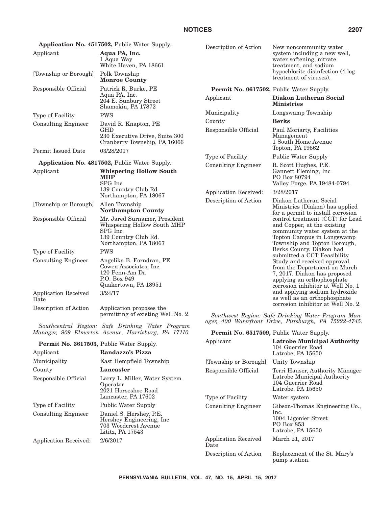|                                                                                                         | Application No. 4517502, Public Water Supply.                                                                             | Description of Action                    | New noncommunity water                                                                                                                                         |  |  |
|---------------------------------------------------------------------------------------------------------|---------------------------------------------------------------------------------------------------------------------------|------------------------------------------|----------------------------------------------------------------------------------------------------------------------------------------------------------------|--|--|
| Applicant                                                                                               | Aqua PA, Inc.<br>1 Aqua Way<br>White Haven, PA 18661                                                                      |                                          | system including a new well,<br>water softening, nitrate<br>treatment, and sodium                                                                              |  |  |
| [Township or Borough]                                                                                   | Polk Township<br><b>Monroe County</b>                                                                                     |                                          | hypochlorite disinfection (4-log<br>treatment of viruses).                                                                                                     |  |  |
| Responsible Official                                                                                    | Patrick R. Burke, PE                                                                                                      | Permit No. 0617502, Public Water Supply. |                                                                                                                                                                |  |  |
|                                                                                                         | Aqua PA, Inc.<br>204 E. Sunbury Street<br>Shamokin, PA 17872                                                              | Applicant                                | Diakon Lutheran Social<br><b>Ministries</b>                                                                                                                    |  |  |
| Type of Facility                                                                                        | <b>PWS</b>                                                                                                                | Municipality                             | Longswamp Township                                                                                                                                             |  |  |
| <b>Consulting Engineer</b>                                                                              | David R. Knapton, PE                                                                                                      | County                                   | <b>Berks</b>                                                                                                                                                   |  |  |
|                                                                                                         | GHD<br>230 Executive Drive, Suite 300<br>Cranberry Township, PA 16066                                                     | Responsible Official                     | Paul Moriarty, Facilities<br>Management<br>1 South Home Avenue<br>Topton, PA 19562                                                                             |  |  |
| Permit Issued Date                                                                                      | 03/28/2017                                                                                                                | Type of Facility                         | <b>Public Water Supply</b>                                                                                                                                     |  |  |
|                                                                                                         | <b>Application No. 4817502, Public Water Supply.</b>                                                                      | <b>Consulting Engineer</b>               | R. Scott Hughes, P.E.<br>Gannett Fleming, Inc.<br>PO Box 80794<br>Valley Forge, PA 19484-0794                                                                  |  |  |
| Applicant                                                                                               | <b>Whispering Hollow South</b><br><b>MHP</b><br>SPG Inc.                                                                  |                                          |                                                                                                                                                                |  |  |
|                                                                                                         | 139 Country Club Rd.<br>Northampton, PA 18067                                                                             | Application Received:                    | 3/28/2017                                                                                                                                                      |  |  |
| [Township or Borough]                                                                                   | Allen Township<br><b>Northampton County</b>                                                                               | Description of Action                    | Diakon Lutheran Social<br>Ministries (Diakon) has applied<br>for a permit to install corrosion                                                                 |  |  |
| Responsible Official                                                                                    | Mr. Jared Surnamer, President<br>Whispering Hollow South MHP<br>SPG Inc.<br>139 Country Club Rd.<br>Northampton, PA 18067 |                                          | control treatment (CCT) for Lead<br>and Copper, at the existing<br>community water system at the<br>Topton Campus in Longswamp<br>Township and Topton Borough, |  |  |
| Type of Facility                                                                                        | <b>PWS</b>                                                                                                                |                                          | Berks County. Diakon had<br>submitted a CCT Feasibility                                                                                                        |  |  |
| <b>Consulting Engineer</b>                                                                              | Angelika B. Forndran, PE<br>Cowen Associates, Inc.<br>120 Penn-Am Dr.<br>P.O. Box 949<br>Quakertown, PA 18951             |                                          | Study and received approval<br>from the Department on March<br>7, 2017. Diakon has proposed<br>applying an orthophosphate<br>corrosion inhibitor at Well No. 1 |  |  |
| <b>Application Received</b><br>Date                                                                     | 3/24/17                                                                                                                   |                                          | and applying sodium hydroxide<br>as well as an orthophosphate<br>corrosion inhibitor at Well No. 2.                                                            |  |  |
| Description of Action                                                                                   | Application proposes the<br>permitting of existing Well No. 2.                                                            |                                          | Southwest Region: Safe Drinking Water Program Man-<br>ager, 400 Waterfront Drive, Pittsburgh, PA 15222-4745.                                                   |  |  |
| Southcentral Region: Safe Drinking Water Program<br>Manager, 909 Elmerton Avenue, Harrisburg, PA 17110. |                                                                                                                           | Permit No. 6517509, Public Water Supply. |                                                                                                                                                                |  |  |
| <b>Permit No. 3617503, Public Water Supply.</b>                                                         |                                                                                                                           | Applicant                                | <b>Latrobe Municipal Authority</b>                                                                                                                             |  |  |
| Applicant                                                                                               | Randazzo's Pizza                                                                                                          |                                          | 104 Guerrier Road<br>Latrobe, PA 15650                                                                                                                         |  |  |
| Municipality                                                                                            | East Hempfield Township                                                                                                   | [Township or Borough]                    | Unity Township                                                                                                                                                 |  |  |
| County                                                                                                  | Lancaster                                                                                                                 | Responsible Official                     | Terri Hauser, Authority Manager<br>Latrobe Municipal Authority<br>104 Guerrier Road<br>Latrobe, PA 15650                                                       |  |  |
| Responsible Official                                                                                    | Larry L. Miller, Water System<br>Operator<br>2021 Horseshoe Road                                                          |                                          |                                                                                                                                                                |  |  |
|                                                                                                         | Lancaster, PA 17602                                                                                                       | Type of Facility                         | Water system                                                                                                                                                   |  |  |
| Type of Facility                                                                                        | <b>Public Water Supply</b>                                                                                                | <b>Consulting Engineer</b>               | Gibson-Thomas Engineering Co.,                                                                                                                                 |  |  |
| <b>Consulting Engineer</b>                                                                              | Daniel S. Hershey, P.E.<br>Hershey Engineering, Inc.<br>703 Woodcrest Avenue<br>Lititz, PA 17543                          |                                          | lnc.<br>1004 Ligonier Street<br>PO Box 853<br>Latrobe, PA 15650                                                                                                |  |  |

Application Received: 2/6/2017

Description of Action Replacement of the St. Mary's pump station.

March 21, 2017

Date

Application Received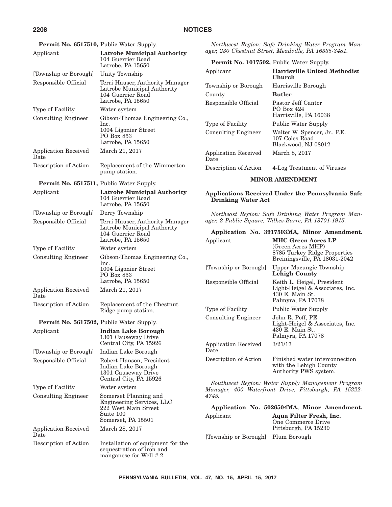|                                                                                                    | <b>Permit No. 6517510, Public Water Supply.</b>                                                               |                                                               | Northwest Region: Safe Drinking Water Program Man-                                 |  |
|----------------------------------------------------------------------------------------------------|---------------------------------------------------------------------------------------------------------------|---------------------------------------------------------------|------------------------------------------------------------------------------------|--|
| Applicant                                                                                          | <b>Latrobe Municipal Authority</b>                                                                            | ager, 230 Chestnut Street, Meadville, PA 16335-3481.          |                                                                                    |  |
|                                                                                                    | 104 Guerrier Road<br>Latrobe, PA 15650                                                                        |                                                               | Permit No. 1017502, Public Water Supply.                                           |  |
| [Township or Borough]                                                                              | Unity Township                                                                                                | Applicant                                                     | <b>Harrisville United Methodist</b><br>Church                                      |  |
| Responsible Official                                                                               | Terri Hauser, Authority Manager<br>Latrobe Municipal Authority<br>104 Guerrier Road                           | Township or Borough                                           | Harrisville Borough                                                                |  |
|                                                                                                    |                                                                                                               | County                                                        | <b>Butler</b>                                                                      |  |
|                                                                                                    | Latrobe, PA 15650                                                                                             | Responsible Official                                          | Pastor Jeff Cantor                                                                 |  |
| Type of Facility                                                                                   | Water system                                                                                                  |                                                               | PO Box 424<br>Harrisville, PA 16038                                                |  |
| <b>Consulting Engineer</b>                                                                         | Gibson-Thomas Engineering Co.,<br>Inc.                                                                        | Type of Facility                                              | Public Water Supply                                                                |  |
|                                                                                                    | 1004 Ligonier Street<br>PO Box 853<br>Latrobe, PA 15650                                                       | <b>Consulting Engineer</b>                                    | Walter W. Spencer, Jr., P.E.<br>107 Coles Road                                     |  |
| <b>Application Received</b><br>Date                                                                | March 21, 2017                                                                                                | <b>Application Received</b><br>Date                           | Blackwood, NJ 08012<br>March 8, 2017                                               |  |
| Description of Action                                                                              | Replacement of the Wimmerton<br>pump station.                                                                 | Description of Action                                         | 4-Log Treatment of Viruses                                                         |  |
|                                                                                                    |                                                                                                               |                                                               | <b>MINOR AMENDMENT</b>                                                             |  |
| <b>Permit No. 6517511, Public Water Supply.</b><br>Applicant<br><b>Latrobe Municipal Authority</b> |                                                                                                               | Applications Received Under the Pennsylvania Safe             |                                                                                    |  |
|                                                                                                    | 104 Guerrier Road<br>Latrobe, PA 15650                                                                        | <b>Drinking Water Act</b>                                     |                                                                                    |  |
| [Township or Borough]                                                                              | Derry Township                                                                                                |                                                               | Northeast Region: Safe Drinking Water Program Man-                                 |  |
| Responsible Official                                                                               | Terri Hauser, Authority Manager<br>Latrobe Municipal Authority<br>104 Guerrier Road                           | ager, 2 Public Square, Wilkes-Barre, PA 18701-1915.           |                                                                                    |  |
|                                                                                                    |                                                                                                               | Application No. 3917503MA, Minor Amendment.                   |                                                                                    |  |
|                                                                                                    | Latrobe, PA 15650                                                                                             | Applicant                                                     | <b>MHC Green Acres LP</b>                                                          |  |
| Type of Facility<br><b>Consulting Engineer</b>                                                     | Water system<br>Gibson-Thomas Engineering Co.,                                                                |                                                               | (Green Acres MHP)<br>8785 Turkey Ridge Properties<br>Breiningsville, PA 18031-2042 |  |
|                                                                                                    | Inc.<br>1004 Ligonier Street<br>PO Box 853                                                                    | [Township or Borough]                                         | Upper Macungie Township                                                            |  |
|                                                                                                    |                                                                                                               |                                                               | <b>Lehigh County</b>                                                               |  |
|                                                                                                    | Latrobe, PA 15650                                                                                             | Responsible Official                                          | Keith L. Heigel, President                                                         |  |
| Application Received<br>Date                                                                       | March 21, 2017                                                                                                |                                                               | Light-Heigel & Associates, Inc.<br>430 E. Main St.<br>Palmyra, PA 17078            |  |
| Description of Action                                                                              | Replacement of the Chestnut<br>Ridge pump station.                                                            | Type of Facility                                              | Public Water Supply                                                                |  |
|                                                                                                    |                                                                                                               | <b>Consulting Engineer</b>                                    | John R. Poff, PE                                                                   |  |
|                                                                                                    | Permit No. 5617502, Public Water Supply.                                                                      |                                                               | Light-Heigel & Associates, Inc.<br>430 E. Main St.                                 |  |
| Applicant                                                                                          | <b>Indian Lake Borough</b><br>1301 Causeway Drive                                                             |                                                               | Palmyra, PA 17078                                                                  |  |
|                                                                                                    | Central City, PA 15926                                                                                        | <b>Application Received</b>                                   | 3/21/17                                                                            |  |
| [Township or Borough]                                                                              | Indian Lake Borough                                                                                           | Date                                                          |                                                                                    |  |
| Responsible Official                                                                               | Robert Hanson, President<br>Indian Lake Borough<br>1301 Causeway Drive<br>Central City, PA 15926              | Description of Action                                         | Finished water interconnection<br>with the Lehigh County<br>Authority PWS system.  |  |
| Type of Facility                                                                                   | Water system                                                                                                  |                                                               | Southwest Region: Water Supply Management Program                                  |  |
| <b>Consulting Engineer</b>                                                                         | Somerset Planning and<br>Engineering Services, LLC<br>222 West Main Street<br>Suite 100<br>Somerset, PA 15501 | Manager, 400 Waterfront Drive, Pittsburgh, PA 15222-<br>4745. |                                                                                    |  |
|                                                                                                    |                                                                                                               |                                                               | Application No. 5026504MA, Minor Amendment.                                        |  |
|                                                                                                    |                                                                                                               | Applicant                                                     | Aqua Filter Fresh, Inc.<br>One Commerce Drive                                      |  |
| Application Received                                                                               | March 28, 2017                                                                                                |                                                               | Pittsburgh, PA 15239                                                               |  |
| Date                                                                                               |                                                                                                               | [Township or Borough]<br>Plum Borough                         |                                                                                    |  |
| Description of Action                                                                              | Installation of equipment for the<br>sequestration of iron and<br>manganese for Well # 2.                     |                                                               |                                                                                    |  |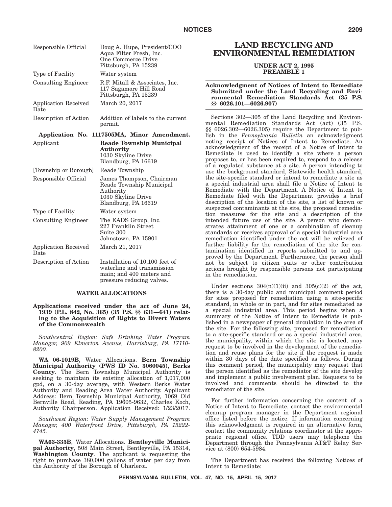| Responsible Official                | Doug A. Hupe, President/COO<br>Aqua Filter Fresh, Inc.<br>One Commerce Drive<br>Pittsburgh, PA 15239                  |
|-------------------------------------|-----------------------------------------------------------------------------------------------------------------------|
| Type of Facility                    | Water system                                                                                                          |
| <b>Consulting Engineer</b>          | R.F. Mitall & Associates, Inc.<br>117 Sagamore Hill Road<br>Pittsburgh, PA 15239                                      |
| <b>Application Received</b><br>Date | March 20, 2017                                                                                                        |
| Description of Action               | Addition of labels to the current<br>permit.                                                                          |
|                                     | Application No. 1117505MA, Minor Amendment.                                                                           |
| Applicant                           | <b>Reade Township Municipal</b><br>Authority<br>1030 Skyline Drive<br>Blandburg, PA 16619                             |
| [Township or Borough]               | Reade Township                                                                                                        |
| Responsible Official                | James Thompson, Chairman<br>Reade Township Municipal<br>Authority<br>1030 Skyline Drive<br>Blandburg, PA 16619        |
| Type of Facility                    | Water system                                                                                                          |
| <b>Consulting Engineer</b>          | The EADS Group, Inc.<br>227 Franklin Street<br>Suite 300<br>Johnstown, PA 15901                                       |
| Application Received<br>Date        | March 21, 2017                                                                                                        |
| Description of Action               | Installation of 10,100 feet of<br>waterline and transmission<br>main; and 400 meters and<br>pressure reducing valves. |

#### **WATER ALLOCATIONS**

**Applications received under the act of June 24, 1939 (P.L. 842, No. 365) (35 P.S. §§ 631—641) relating to the Acquisition of Rights to Divert Waters of the Commonwealth**

*Southcentral Region: Safe Drinking Water Program Manager, 909 Elmerton Avenue, Harrisburg, PA 17110- 8200.*

**WA 06-1019B**, Water Allocations. **Bern Township Municipal Authority (PWS ID No. 3060045), Berks County**. The Bern Township Municipal Authority is seeking to maintain its existing allocation of 1,017,000 gpd, on a 30-day average, with Western Berks Water Authority and Reading Area Water Authority. Applicant Address: Bern Township Municipal Authority, 1069 Old Bernville Road, Reading, PA 19605-9632, Charles Koch, Authority Chairperson. Application Received: 1/23/2017.

*Southwest Region: Water Supply Management Program Manager, 400 Waterfront Drive, Pittsburgh, PA 15222- 4745.*

**WA63-335B**, Water Allocations. **Bentleyville Municipal Authority**, 508 Main Street, Bentleyville, PA 15314, **Washington County**. The applicant is requesting the right to purchase 380,000 gallons of water per day from the Authority of the Borough of Charleroi.

# **LAND RECYCLING AND ENVIRONMENTAL REMEDIATION**

#### **UNDER ACT 2, 1995 PREAMBLE 1**

#### **Acknowledgment of Notices of Intent to Remediate Submitted under the Land Recycling and Environmental Remediation Standards Act (35 P.S. §§ 6026.101—6026.907)**

Sections 302—305 of the Land Recycling and Environmental Remediation Standards Act (act) (35 P.S. §§ 6026.302—6026.305) require the Department to publish in the *Pennsylvania Bulletin* an acknowledgment noting receipt of Notices of Intent to Remediate. An acknowledgment of the receipt of a Notice of Intent to Remediate is used to identify a site where a person proposes to, or has been required to, respond to a release of a regulated substance at a site. A person intending to use the background standard, Statewide health standard, the site-specific standard or intend to remediate a site as a special industrial area shall file a Notice of Intent to Remediate with the Department. A Notice of Intent to Remediate filed with the Department provides a brief description of the location of the site, a list of known or suspected contaminants at the site, the proposed remediation measures for the site and a description of the intended future use of the site. A person who demonstrates attainment of one or a combination of cleanup standards or receives approval of a special industrial area remediation identified under the act will be relieved of further liability for the remediation of the site for contamination identified in reports submitted to and approved by the Department. Furthermore, the person shall not be subject to citizen suits or other contribution actions brought by responsible persons not participating in the remediation.

Under sections  $304(n)(1)(ii)$  and  $305(c)(2)$  of the act, there is a 30-day public and municipal comment period for sites proposed for remediation using a site-specific standard, in whole or in part, and for sites remediated as a special industrial area. This period begins when a summary of the Notice of Intent to Remediate is published in a newspaper of general circulation in the area of the site. For the following site, proposed for remediation to a site-specific standard or as a special industrial area, the municipality, within which the site is located, may request to be involved in the development of the remediation and reuse plans for the site if the request is made within 30 days of the date specified as follows. During this comment period, the municipality may request that the person identified as the remediator of the site develop and implement a public involvement plan. Requests to be involved and comments should be directed to the remediator of the site.

For further information concerning the content of a Notice of Intent to Remediate, contact the environmental cleanup program manager in the Department regional office listed before the notice. If information concerning this acknowledgment is required in an alternative form, contact the community relations coordinator at the appropriate regional office. TDD users may telephone the Department through the Pennsylvania AT&T Relay Service at (800) 654-5984.

The Department has received the following Notices of Intent to Remediate: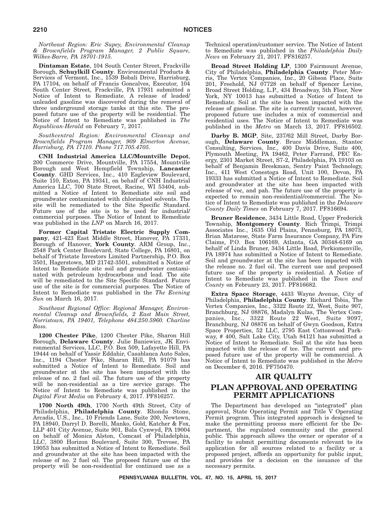*Northeast Region: Eric Supey, Environmental Cleanup & Brownfields Program Manager, 2 Public Square, Wilkes-Barre, PA 18701-1915.*

**Dintaman Estate**, 104 South Center Street, Frackville Borough, **Schuylkill County**. Environmental Products & Services of Vermont, Inc., 1539 Bobali Drive, Harrisburg, PA 17104, on behalf of Francis Goncalves, Executor, 104 South Center Street, Frackville, PA 17931 submitted a Notice of Intent to Remediate. A release of leaded/ unleaded gasoline was discovered during the removal of three underground storage tanks at this site. The proposed future use of the property will be residential. The Notice of Intent to Remediate was published in *The Republican-Herald* on February 7, 2017.

*Southcentral Region: Environmental Cleanup and Brownfields Program Manager, 909 Elmerton Avenue, Harrisburg, PA 17110. Phone 717.705.4705.*

**CNH Industrial America LLC/Mountville Depot**, 200 Commerce Drive, Mountville, PA 17554, Mountville Borough and West Hempfield Township, **Lancaster County**. GHD Services, Inc., 410 Eagleview Boulevard, Suite 110, Exton, PA 19341, on behalf of CNH Industrial America LLC, 700 State Street, Racine, WI 53404, submitted a Notice of Intent to Remediate site soil and groundwater contaminated with chlorinated solvents. The site will be remediated to the Site Specific Standard. Future use of the site is to be used for industrial/ commercial purposes. The Notice of Intent to Remediate was published in the *LNP* on March 16, 2017.

**Former Capital Tristate Electric Supply Company**, 421-423 East Middle Street, Hanover, PA 17331, Borough of Hanover, **York County**. ARM Group, Inc., 2548 Park Center Boulevard, State College, PA 16801, on behalf of Tristate Investors Limited Partnership, P.O. Box 3501, Hagerstown, MD 21742-3501, submitted a Notice of Intent to Remediate site soil and groundwater contaminated with petroleum hydrocarbons and lead. The site will be remediated to the Site Specific Standard. Future use of the site is for commercial purposes. The Notice of Intent to Remediate was published in the *The Evening Sun* on March 16, 2017.

*Southeast Regional Office: Regional Manager, Environmental Cleanup and Brownfields, 2 East Main Street, Norristown, PA 19401, Telephone 484.250.5960. Charline Bass.*

**1200 Chester Pike**, 1200 Chester Pike, Sharon Hill Borough, **Delaware County**. Julie Baniewicz, JK Environmental Services, LLC, P.O. Box 509, Lafayette Hill, PA 19444 on behalf of Yassir Eddahir, Casablanca Auto Sales, Inc., 1194 Chester Pike, Sharan Hill, PA 91079 has submitted a Notice of Intent to Remediate. Soil and groundwater at the site has been impacted with the release of no. 2 fuel oil. The future use of the property will be non-residential as a tire service garage. The Notice of Intent to Remediate was published in the *Digital First Media* on February 4, 2017. PF816257.

**1700 North 49th**, 1700 North 49th Street, City of Philadelphia, **Philadelphia County**. Rhonda Stone, Arcadis, U.S., Inc., 10 Friends Lane, Suite 200, Newtown, PA 18940, Darryl D. Borelli, Manko, Gold, Katcher & Fox, LLP 401 City Avenue, Suite 901, Bala Cynwyd, PA 19004 on behalf of Monica Alston, Comcast of Philadelphia, LLC, 3800 Horizon Boulevard, Suite 300, Trevose, PA 19053 has submitted a Notice of Intent to Remediate. Soil and groundwater at the site has been impacted with the release of no. 2 fuel oil. The proposed future use of the property will be non-residential for continued use as a

Technical operation/customer service. The Notice of Intent to Remediate was published in the *Philadelphia Daily News* on February 21, 2017. PF816257.

**Broad Street Holding LP**, 1300 Fairmount Avenue, City of Philadelphia, **Philadelphia County**. Peter Morris, The Vertex Companies, Inc., 20 Gibson Place, Suite 201, Freehold, NJ 07728 on behalf of Spencer Levine, Broad Street Holding, L.P., 434 Broadway, 5th Floor, New York, NY 10013 has submitted a Notice of Intent to Remediate. Soil at the site has been impacted with the release of gasoline. The site is currently vacant, however, proposed future use includes a mix of commercial and residential uses. The Notice of Intent to Remediate was published in the *Metro* on March 13, 2017. PF816502.

**Darby B. MGP**, Site, 237/62 Mill Street, Darby Borough, **Delaware County**. Bruce Middleman, Stantec Consulting, Services, Inc., 400 Davis Drive, Suite 400, Plymouth Meeting, PA 19462, Peter Farrand, PEC Energy, 2301 Market Street, S7-2, Philadelphia, PA 19103 on behalf of Benjamin Breskman, Sentry Paint Technology, Inc., 411 West Conestoga Road, Unit 100, Devon, PA 19333 has submitted a Notice of Intent to Remediate. Soil and groundwater at the site has been impacted with release of voc, and pah. The future use of the property is expected to remain non-residential/commercial. The Notice of Intent to Remediate was published in the *Delaware County Daily Times* on February 7, 2017. PF816694.

**Bruner Residence**, 3434 Little Road, Upper Frederick Township, **Montgomery County**. Rich Trimpi, Trimpi Associates Inc., 1635 Old Plains, Pennsburg, PA 18073, Brian Matarese, State Farm Insurance Company, PA Fire Claims, P.O. Box 106169, Atlanta, GA 30348-6169 on behalf of Linda Bruner, 3434 Little Road, Perkiomenville, PA 18974 has submitted a Notice of Intent to Remediate. Soil and groundwater at the site has been impacted with the release no. 2 fuel oil. The current use and proposed future use of the property is residential. A Notice of Intent to Remediate was published in the *Town and County* on February 23, 2017. PF816682.

**Extra Space Storage**, 4433 Wayne Avenue, City of Philadelphia, **Philadelphia County**. Richard Tobia, The Vertex Companies, Inc., 3322 Route 22, West, Suite 907, Branchburg, NJ 08876, Madalyn Kulas, The Vertex Companies, Inc., 3322 Route 22 West, Suite 9097, Branchburg, NJ 08876 on behalf of Gwyn Goodson, Extra Space Properties, 52 LLC, 2795 East Cottonwood Parkway, # 400, Salt Lake City, Utah 84121 has submitted a Notice of Intent to Remediate. Soil at the site has been impacted with the release of tce. The current and proposed future use of the property will be commercial. A Notice of Intent to Remediate was published in the *Metro* on December 6, 2016. PF750470.

# **AIR QUALITY PLAN APPROVAL AND OPERATING PERMIT APPLICATIONS**

The Department has developed an "integrated" plan approval, State Operating Permit and Title V Operating Permit program. This integrated approach is designed to make the permitting process more efficient for the Department, the regulated community and the general public. This approach allows the owner or operator of a facility to submit permitting documents relevant to its application for all sources related to a facility or a proposed project, affords an opportunity for public input, and provides for a decision on the issuance of the necessary permits.

**PENNSYLVANIA BULLETIN, VOL. 47, NO. 15, APRIL 15, 2017**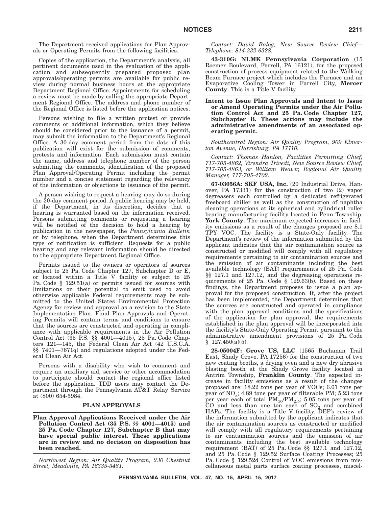The Department received applications for Plan Approvals or Operating Permits from the following facilities.

Copies of the application, the Department's analysis, all pertinent documents used in the evaluation of the application and subsequently prepared proposed plan approvals/operating permits are available for public review during normal business hours at the appropriate Department Regional Office. Appointments for scheduling a review must be made by calling the appropriate Department Regional Office. The address and phone number of the Regional Office is listed before the application notices.

Persons wishing to file a written protest or provide comments or additional information, which they believe should be considered prior to the issuance of a permit, may submit the information to the Department's Regional Office. A 30-day comment period from the date of this publication will exist for the submission of comments, protests and information. Each submission must contain the name, address and telephone number of the person submitting the comments, identification of the proposed Plan Approval/Operating Permit including the permit number and a concise statement regarding the relevancy of the information or objections to issuance of the permit.

A person wishing to request a hearing may do so during the 30-day comment period. A public hearing may be held, if the Department, in its discretion, decides that a hearing is warranted based on the information received. Persons submitting comments or requesting a hearing will be notified of the decision to hold a hearing by publication in the newspaper, the *Pennsylvania Bulletin* or by telephone, when the Department determines this type of notification is sufficient. Requests for a public hearing and any relevant information should be directed to the appropriate Department Regional Office.

Permits issued to the owners or operators of sources subject to 25 Pa. Code Chapter 127, Subchapter D or E, or located within a Title V facility or subject to 25 Pa. Code § 129.51(a) or permits issued for sources with limitations on their potential to emit used to avoid otherwise applicable Federal requirements may be submitted to the United States Environmental Protection Agency for review and approval as a revision to the State Implementation Plan. Final Plan Approvals and Operating Permits will contain terms and conditions to ensure that the sources are constructed and operating in compliance with applicable requirements in the Air Pollution Control Act (35 P.S. §§ 4001—4015), 25 Pa. Code Chapters 121—145, the Federal Clean Air Act (42 U.S.C.A. §§ 7401—7671q) and regulations adopted under the Federal Clean Air Act.

Persons with a disability who wish to comment and require an auxiliary aid, service or other accommodation to participate should contact the regional office listed before the application. TDD users may contact the Department through the Pennsylvania AT&T Relay Service at (800) 654-5984.

## **PLAN APPROVALS**

## **Plan Approval Applications Received under the Air Pollution Control Act (35 P.S. §§ 4001—4015) and 25 Pa. Code Chapter 127, Subchapter B that may have special public interest. These applications are in review and no decision on disposition has been reached.**

*Northwest Region: Air Quality Program, 230 Chestnut Street, Meadville, PA 16335-3481.*

*Contact: David Balog, New Source Review Chief— Telephone: 814-332-6328.*

**43-310G: NLMK Pennsylvania Corporation** (15 Roemer Boulevard, Farrell, PA 16121), for the proposed construction of process equipment related to the Walking Beam Furnace project which includes the Furnace and an Evaporative Cooling Tower in Farrell City, **Mercer County**. This is a Title V facility.

**Intent to Issue Plan Approvals and Intent to Issue or Amend Operating Permits under the Air Pollution Control Act and 25 Pa. Code Chapter 127, Subchapter B. These actions may include the administrative amendments of an associated operating permit.**

*Southcentral Region: Air Quality Program, 909 Elmerton Avenue, Harrisburg, PA 17110.*

*Contact: Thomas Hanlon, Facilities Permitting Chief, 717-705-4862, Virendra Trivedi, New Source Review Chief, 717-705-4863, or William Weaver, Regional Air Quality Manager, 717-705-4702.*

**67-03056A: SKF USA, Inc.** (20 Industrial Drive, Hanover, PA 17331) for the construction of two (2) vapor degreasers each controlled by a dedicated refrigerated freeboard chiller as well as the construction of naphtha cleaning operations at its spherical and cylindrical roller bearing manufacturing facility located in Penn Township, **York County**. The maximum expected increases in facility emissions as a result of the changes proposed are 8.1 TPY VOC. The facility is a State-Only facility. The Department's review of the information submitted by the applicant indicates that the air contamination source as constructed or modified will comply with all regulatory requirements pertaining to air contamination sources and the emission of air contaminants including the best available technology (BAT) requirements of 25 Pa. Code §§ 127.1 and 127.12, and the degreasing operations requirements of 25 Pa. Code § 129.63(b). Based on these findings, the Department proposes to issue a plan approval for the proposed construction. If, after the project has been implemented, the Department determines that the sources are constructed and operated in compliance with the plan approval conditions and the specifications of the application for plan approval, the requirements established in the plan approval will be incorporated into the facility's State-Only Operating Permit pursuant to the administrative amendment provisions of 25 Pa. Code  $$127.450(a)(5).$ 

**28-05004F: Grove US, LLC** (1565 Buchanan Trail East, Shady Grove, PA 17256) for the construction of two new coating booths, a drying oven and a new dry abrasive blasting booth at the Shady Grove facility located in Antrim Township, **Franklin County**. The expected increase in facility emissions as a result of the changes proposed are: 18.22 tons per year of VOCs; 6.01 tons per year of  $NO_x$ ; 4.89 tons per year of filterable PM; 5.23 tons per year each of total  $PM_{10}/PM_{2.5}$ ; 5.05 tons per year of CO and less than one ton each of  $SO_2$  and combined HAPs. The facility is a Title V facility. DEP's review of the information submitted by the applicant indicates that the air contamination sources as constructed or modified will comply with all regulatory requirements pertaining to air contamination sources and the emission of air contaminants including the best available technology requirement (BAT) of  $\overline{25}$  Pa. Code §§ 127.1 and 127.12, and 25 Pa. Code § 129.52 Surface Coating Processes; 25 Pa. Code § 129.52d Control of VOC emissions from miscellaneous metal parts surface coating processes, miscel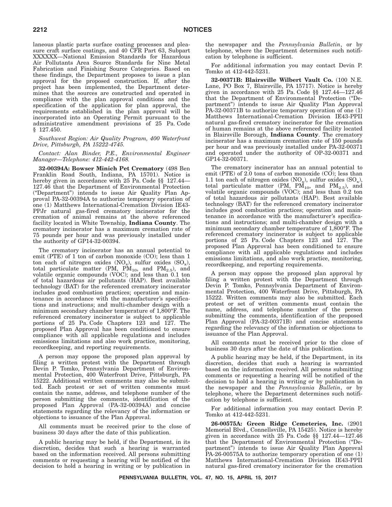laneous plastic parts surface coating processes and pleasure craft surface coatings, and 40 CFR Part 63, Subpart XXXXXX—National Emission Standards for Hazardous Air Pollutants Area Source Standards for Nine Metal Fabrication and Finishing Source Categories. Based on these findings, the Department proposes to issue a plan approval for the proposed construction. If, after the project has been implemented, the Department determines that the sources are constructed and operated in compliance with the plan approval conditions and the specification of the application for plan approval, the requirements established in the plan approval will be incorporated into an Operating Permit pursuant to the administrative amendment provisions of 25 Pa. Code § 127.450.

## *Southwest Region: Air Quality Program, 400 Waterfront Drive, Pittsburgh, PA 15222-4745.*

## *Contact: Alan Binder, P.E., Environmental Engineer Manager—Telephone: 412-442-4168.*

**32-00394A: Bowser Minich Pet Crematory** (498 Ben Franklin Road South, Indiana, PA 15701). Notice is hereby given in accordance with 25 Pa. Code §§ 127.44— 127.46 that the Department of Environmental Protection ("Department") intends to issue Air Quality Plan Approval PA-32-00394A to authorize temporary operation of one (1) Matthews International-Cremation Division IE43- PPJr natural gas-fired crematory incinerator for the cremation of animal remains at the above referenced facility located in White Township, **Indiana County**. The crematory incinerator has a maximum cremation rate of 75 pounds per hour and was previously installed under the authority of GP14-32-00394.

The crematory incinerator has an annual potential to emit (PTE) of 1 ton of carbon monoxide (CO); less than 1 ton each of nitrogen oxides  $(NO_x)$ , sulfur oxides  $(SO_x)$ , total particulate matter (PM,  $\hat{PM}_{10}$ , and  $\hat{PM}_{2.5}$ ), and volatile organic compounds (VOC); and less than 0.1 ton of total hazardous air pollutants (HAP). Best available technology (BAT) for the referenced crematory incinerator includes good combustion practices; operation and maintenance in accordance with the manufacturer's specifications and instructions; and multi-chamber design with a minimum secondary chamber temperature of 1,800°F. The referenced crematory incinerator is subject to applicable portions of 25 Pa. Code Chapters 123 and 127. The proposed Plan Approval has been conditioned to ensure compliance with all applicable regulations and includes emissions limitations and also work practice, monitoring, recordkeeping, and reporting requirements.

A person may oppose the proposed plan approval by filing a written protest with the Department through Devin P. Tomko, Pennsylvania Department of Environmental Protection, 400 Waterfront Drive, Pittsburgh, PA 15222. Additional written comments may also be submitted. Each protest or set of written comments must contain the name, address, and telephone number of the person submitting the comments, identification of the proposed Plan Approval (PA-32-00394A) and concise statements regarding the relevancy of the information or objections to issuance of the Plan Approval.

All comments must be received prior to the close of business 30 days after the date of this publication.

A public hearing may be held, if the Department, in its discretion, decides that such a hearing is warranted based on the information received. All persons submitting comments or requesting a hearing will be notified of the decision to hold a hearing in writing or by publication in the newspaper and the *Pennsylvania Bulletin*, or by telephone, where the Department determines such notification by telephone is sufficient.

For additional information you may contact Devin P. Tomko at 412-442-5231.

**32-00371B: Blairsville Wilbert Vault Co.** (100 N.E. Lane, PO Box 7, Blairsville, PA 15717). Notice is hereby given in accordance with 25 Pa. Code §§ 127.44—127.46 that the Department of Environmental Protection ("Department") intends to issue Air Quality Plan Approval PA-32-00371B to authorize temporary operation of one (1) Matthews International-Cremation Division IE43-PPII natural gas-fired crematory incinerator for the cremation of human remains at the above referenced facility located in Blairsville Borough, **Indiana County**. The crematory incinerator has a maximum cremation rate of 150 pounds per hour and was previously installed under PA-32-00371 and operated under the authority of OP-32-00371 and GP14-32-00371.

The crematory incinerator has an annual potential to emit (PTE) of 2.0 tons of carbon monoxide (CO); less than 1.1 ton each of nitrogen oxides  $NO_x$ ), sulfur oxides  $(SO_x)$ , total particulate matter (PM,  $PM_{10}$ , and  $PM_{2.5}$ ), and volatile organic compounds (VOC); and less than 0.2 ton of total hazardous air pollutants (HAP). Best available technology (BAT) for the referenced crematory incinerator includes good combustion practices; operation and maintenance in accordance with the manufacturer's specifications and instructions; and multi-chamber design with a minimum secondary chamber temperature of 1,800°F. The referenced crematory incinerator is subject to applicable portions of 25 Pa. Code Chapters 123 and 127. The proposed Plan Approval has been conditioned to ensure compliance with all applicable regulations and includes emissions limitations, and also work practice, monitoring, recordkeeping, and reporting requirements.

A person may oppose the proposed plan approval by filing a written protest with the Department through Devin P. Tomko, Pennsylvania Department of Environmental Protection, 400 Waterfront Drive, Pittsburgh, PA 15222. Written comments may also be submitted. Each protest or set of written comments must contain the name, address, and telephone number of the person submitting the comments, identification of the proposed Plan Approval (PA-32-00371B) and concise statements regarding the relevancy of the information or objections to issuance of the Plan Approval.

All comments must be received prior to the close of business 30 days after the date of this publication.

A public hearing may be held, if the Department, in its discretion, decides that such a hearing is warranted based on the information received. All persons submitting comments or requesting a hearing will be notified of the decision to hold a hearing in writing or by publication in the newspaper and the *Pennsylvania Bulletin*, or by telephone, where the Department determines such notification by telephone is sufficient.

For additional information you may contact Devin P. Tomko at 412-442-5231.

**26-00575A: Green Ridge Cemeteries, Inc.** (2901 Memorial Blvd., Connellsville, PA 15425). Notice is hereby given in accordance with 25 Pa. Code §§ 127.44—127.46 that the Department of Environmental Protection ("Department") intends to issue Air Quality Plan Approval PA-26-00575A to authorize temporary operation of one (1) Matthews International-Cremation Division IE43-PPII natural gas-fired crematory incinerator for the cremation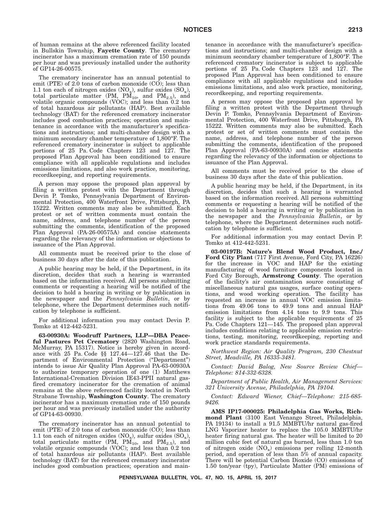of human remains at the above referenced facility located in Bullskin Township, **Fayette County**. The crematory incinerator has a maximum cremation rate of 150 pounds per hour and was previously installed under the authority of GP14-26-00575.

The crematory incinerator has an annual potential to emit (PTE) of 2.0 tons of carbon monoxide (CO); less than 1.1 ton each of nitrogen oxides  $(NO_x)$ , sulfur oxides  $(SO_x)$ , total particulate matter (PM,  $PM_{10}$ , and  $PM_{2.5}$ ), and volatile organic compounds (VOC); and less than 0.2 ton of total hazardous air pollutants (HAP). Best available technology (BAT) for the referenced crematory incinerator includes good combustion practices; operation and maintenance in accordance with the manufacturer's specifications and instructions; and multi-chamber design with a minimum secondary chamber temperature of 1,800°F. The referenced crematory incinerator is subject to applicable portions of 25 Pa. Code Chapters 123 and 127. The proposed Plan Approval has been conditioned to ensure compliance with all applicable regulations and includes emissions limitations, and also work practice, monitoring, recordkeeping, and reporting requirements.

A person may oppose the proposed plan approval by filing a written protest with the Department through Devin P. Tomko, Pennsylvania Department of Environmental Protection, 400 Waterfront Drive, Pittsburgh, PA 15222. Written comments may also be submitted. Each protest or set of written comments must contain the name, address, and telephone number of the person submitting the comments, identification of the proposed Plan Approval (PA-26-00575A) and concise statements regarding the relevancy of the information or objections to issuance of the Plan Approval.

All comments must be received prior to the close of business 30 days after the date of this publication.

A public hearing may be held, if the Department, in its discretion, decides that such a hearing is warranted based on the information received. All persons submitting comments or requesting a hearing will be notified of the decision to hold a hearing in writing or by publication in the newspaper and the *Pennsylvania Bulletin*, or by telephone, where the Department determines such notification by telephone is sufficient.

For additional information you may contact Devin P. Tomko at 412-442-5231.

**63-00930A: Woodruff Partners, LLP—DBA Peaceful Pastures Pet Crematory** (2820 Washington Road, McMurray, PA 15317). Notice is hereby given in accordance with 25 Pa. Code §§ 127.44—127.46 that the Department of Environmental Protection ("Department") intends to issue Air Quality Plan Approval PA-63-00930A to authorize temporary operation of one (1) Matthews International-Cremation Division IE43-PPII natural gasfired crematory incinerator for the cremation of animal remains at the above referenced facility located in North Strabane Township, **Washington County**. The crematory incinerator has a maximum cremation rate of 150 pounds per hour and was previously installed under the authority of GP14-63-00930.

The crematory incinerator has an annual potential to emit (PTE) of 2.0 tons of carbon monoxide (CO); less than 1.1 ton each of nitrogen oxides  $(NO_x)$ , sulfur oxides  $(SO_x)$ , total particulate matter  $(PM, PM_{10}, and PM_{2.5})$ , and volatile organic compounds (VOC); and less than 0.2 ton of total hazardous air pollutants (HAP). Best available technology (BAT) for the referenced crematory incinerator includes good combustion practices; operation and maintenance in accordance with the manufacturer's specifications and instructions; and multi-chamber design with a minimum secondary chamber temperature of 1,800°F. The referenced crematory incinerator is subject to applicable portions of 25 Pa. Code Chapters 123 and 127. The proposed Plan Approval has been conditioned to ensure compliance with all applicable regulations and includes emissions limitations, and also work practice, monitoring, recordkeeping, and reporting requirements.

A person may oppose the proposed plan approval by filing a written protest with the Department through Devin P. Tomko, Pennsylvania Department of Environmental Protection, 400 Waterfront Drive, Pittsburgh, PA 15222. Written comments may also be submitted. Each protest or set of written comments must contain the name, address, and telephone number of the person submitting the comments, identification of the proposed Plan Approval (PA-63-00930A) and concise statements regarding the relevancy of the information or objections to issuance of the Plan Approval.

All comments must be received prior to the close of business 30 days after the date of this publication.

A public hearing may be held, if the Department, in its discretion, decides that such a hearing is warranted based on the information received. All persons submitting comments or requesting a hearing will be notified of the decision to hold a hearing in writing or by publication in the newspaper and the *Pennsylvania Bulletin*, or by telephone, where the Department determines such notification by telephone is sufficient.

For additional information you may contact Devin P. Tomko at 412-442-5231.

**03-00197B: Nature's Blend Wood Product, Inc./ Ford City Plant** (717 First Avenue, Ford City, PA 16226) for the increase in VOC and HAP for the existing manufacturing of wood furniture components located in Ford City Borough, **Armstrong County**. The operation of the facility's air contamination source consisting of miscellaneous natural gas usages, surface coating operations, and wood working operation. The facility has requested an increase in annual VOC emission limitations from 49.06 tons to 49.9 tons and annual HAP emission limitations from 4.14 tons to 9.9 tons. This facility is subject to the applicable requirements of 25 Pa. Code Chapters 121—145. The proposed plan approval includes conditions relating to applicable emission restrictions, testing, monitoring, recordkeeping, reporting and work practice standards requirements.

*Northwest Region: Air Quality Program, 230 Chestnut Street, Meadville, PA 16335-3481.*

*Contact: David Balog, New Source Review Chief— Telephone: 814-332-6328.*

*Department of Public Health, Air Management Services: 321 University Avenue, Philadelphia, PA 19104.*

*Contact: Edward Wiener, Chief—Telephone: 215-685- 9426.*

**AMS IP17-000025: Philadelphia Gas Works, Richmond Plant** (3100 East Venango Street, Philadelphia, PA 19134) to install a 91.5 MMBTU/hr natural gas-fired LNG Vaporizer heater to replace the 105.0 MMBTU/hr heater firing natural gas. The heater will be limited to 20 million cubic feet of natural gas burned, less than 1.0 ton of nitrogen oxide  $(NO<sub>x</sub>)$  emissions per rolling 12-month period, and operation of less than 5% of annual capacity. There will be potential Carbon Dioxide (CO) emissions of 1.50 ton/year (tpy), Particulate Matter (PM) emissions of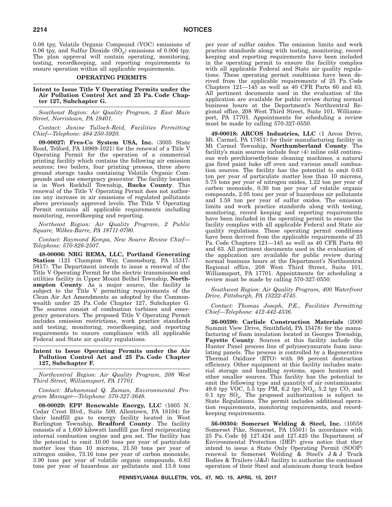0.08 tpy, Volatile Organic Compound (VOC) emissions of 0.06 tpy, and Sulfur Dioxide  $(SO_2)$  emissions of 0.006 tpy. The plan approval will contain operating, monitoring, testing, recordkeeping, and reporting requirements to ensure operation within all applicable requirements.

## **OPERATING PERMITS**

## **Intent to Issue Title V Operating Permits under the Air Pollution Control Act and 25 Pa. Code Chapter 127, Subchapter G.**

*Southeast Region: Air Quality Program, 2 East Main Street, Norristown, PA 19401.*

*Contact: Janine Tulloch-Reid, Facilities Permitting Chief—Telephone: 484-250-5920.*

**09-00027: Fres-Co System USA, Inc.** (3005 State Road, Telford, PA 18969-1021) for the renewal of a Title V Operating Permit for the operation of a commercial printing facility which contains the following air emission sources; two boilers, four printing presses, three above ground storage tanks containing Volatile Organic Compounds and one emergency generator. The facility location is in West Rockhill Township, **Bucks County**. This renewal of the Title V Operating Permit does not authorize any increase in air emissions of regulated pollutants above previously approved levels. The Title V Operating Permit contains all applicable requirements including monitoring, recordkeeping and reporting.

*Northeast Region: Air Quality Program, 2 Public Square, Wilkes-Barre, PA 18711-0790.*

*Contact: Raymond Kempa, New Source Review Chief— Telephone: 570-826-2507.*

**48-00006: NRG REMA, LLC, Portland Generating Station** (121 Champion Way, Canonsburg, PA 15317- 5817). The Department intends to issue a renewal of the Title V Operating Permit for the electric transmission and utilities facility in Upper Mount Bethel Township, **Northampton County**. As a major source, the facility is subject to the Title V permitting requirements of the Clean Air Act Amendments as adopted by the Commonwealth under 25 Pa. Code Chapter 127, Subchapter G. The sources consist of combustion turbines and emergency generators. The proposed Title V Operating Permit includes emission restrictions, work practice standards and testing, monitoring, recordkeeping, and reporting requirements to ensure compliance with all applicable Federal and State air quality regulations.

## **Intent to Issue Operating Permits under the Air Pollution Control Act and 25 Pa. Code Chapter 127, Subchapter F.**

*Northcentral Region: Air Quality Program, 208 West Third Street, Williamsport, PA 17701.*

*Contact: Muhammad Q. Zaman, Environmental Program Manager—Telephone: 570-327-3648.*

**08-00029: EPP Renewable Energy, LLC** (1605 N. Cedar Crest Blvd., Suite 509, Allentown, PA 18104) for their landfill gas to energy facility located in West Burlington Township, **Bradford County**. The facility consists of a 1,600 kilowatt landfill gas fired reciprocating internal combustion engine and gen set. The facility has the potential to emit 10.00 tons per year of particulate matter less than 10 microns, 21.50 tons per year of nitrogen oxides, 73.16 tons per year of carbon monoxide, 3.90 tons per year of volatile organic compounds, 6.83 tons per year of hazardous air pollutants and 13.8 tons

per year of sulfur oxides. The emission limits and work practice standards along with testing, monitoring, record keeping and reporting requirements have been included in the operating permit to ensure the facility complies with all applicable Federal and State air quality regulations. These operating permit conditions have been derived from the applicable requirements of 25 Pa. Code Chapters  $121-145$  as well as 40 CFR Parts 60 and 63. All pertinent documents used in the evaluation of the application are available for public review during normal business hours at the Department's Northcentral Regional office, 208 West Third Street, Suite 101, Williamsport, PA 17701. Appointments for scheduling a review must be made by calling 570-327-0550.

**49-00018: ARCOS Industries, LLC** (1 Arcos Drive, Mt. Carmel, PA 17851) for their manufacturing facility in Mt Carmel Township, **Northumberland County**. The facility's main sources include four (4) inline cold continuous web perchloroethylene cleaning machines, a natural gas fired paint bake off oven and various small combustion sources. The facility has the potential to emit 0.63 ton per year of particulate matter less than 10 microns, 5.75 tons per year of nitrogen oxides, 1.22 ton per year of carbon monoxide, 0.30 ton per year of volatile organic compounds, 2.05 tons per year of hazardous air pollutants and 1.58 ton per year of sulfur oxides. The emission limits and work practice standards along with testing, monitoring, record keeping and reporting requirements have been included in the operating permit to ensure the facility complies with all applicable Federal and State air quality regulations. These operating permit conditions have been derived from the applicable requirements of 25 Pa. Code Chapters 121—145 as well as 40 CFR Parts 60 and 63. All pertinent documents used in the evaluation of the application are available for public review during normal business hours at the Department's Northcentral Regional office, 208 West Third Street, Suite 101, Williamsport, PA 17701. Appointments for scheduling a review must be made by calling 570-327-0550.

*Southwest Region: Air Quality Program, 400 Waterfront Drive, Pittsburgh, PA 15222-4745.*

*Contact: Thomas Joseph, P.E., Facilities Permitting Chief—Telephone: 412-442-4336.*

**26-00590: Carlisle Construction Materials** (2000 Summit View Drive, Smithfield, PA 15478) for the manufacturing of foam insulation located in Georges Township, **Fayette County**. Sources at this facility include the Hunter Panel process line of polyisocyanurate foam insulating panels. The process is controlled by a Regenerative Thermal Oxidizer (RTO) with 98 percent destruction efficiency. Other equipment at this facility includes material storage and handling systems, space heaters and other smaller sources. This facility has the potential to emit the following type and quantity of air contaminants: 49.6 tpy VOC, 5.5 tpy PM, 6.2 tpy  $NO_x$ , 5.2 tpy CO, and 0.1 tpy  $SO_x$ . The proposed authorization is subject to State Regulations. The permit includes additional operation requirements, monitoring requirements, and recordkeeping requirements.

**56-00304: Somerset Welding & Steel, Inc.** (10558 Somerset Pike, Somerset, PA 15501) In accordance with 25 Pa. Code §§ 127.424 and 127.425 the Department of Environmental Protection (DEP) gives notice that they intend to issue a State Only Operating Permit (SOOP) renewal to Somerset Welding & Steel's J & J Truck Bodies & Trailers (J&J) facility to authorize the continued operation of their Steel and aluminum dump truck bodies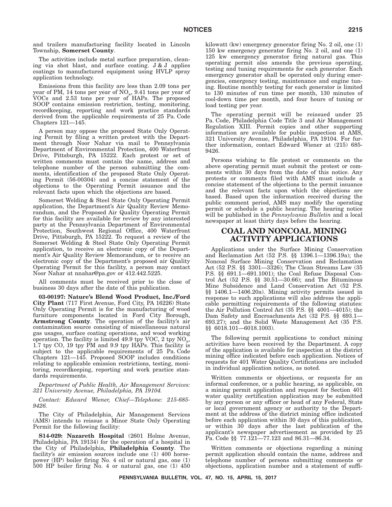and trailers manufacturing facility located in Lincoln Township, **Somerset County**.

The activities include metal surface preparation, cleaning via shot blast, and surface coating. J & J applies coatings to manufactured equipment using HVLP spray application technology.

Emissions from this facility are less than 2.09 tons per year of PM, 14 tons per year of NO<sub>x</sub>, 9.41 tons per year of VOCs and 2.53 tons per year of HAPs. The proposed SOOP contains emission restriction, testing, monitoring, recordkeeping, reporting and work practice standards derived from the applicable requirements of 25 Pa. Code Chapters 121—145.

A person may oppose the proposed State Only Operating Permit by filing a written protest with the Department through Noor Nahar via mail to Pennsylvania Department of Environmental Protection, 400 Waterfront Drive, Pittsburgh, PA 15222. Each protest or set of written comments must contain the name, address and telephone number of the person submitting the comments, identification of the proposed State Only Operating Permit (56-00304) and a concise statement of the objections to the Operating Permit issuance and the relevant facts upon which the objections are based.

Somerset Welding & Steel State Only Operating Permit application, the Department's Air Quality Review Memorandum, and the Proposed Air Quality Operating Permit for this facility are available for review by any interested party at the Pennsylvania Department of Environmental Protection, Southwest Regional Office, 400 Waterfront Drive, Pittsburgh, PA 15222. To request a review of the Somerset Welding & Steel State Only Operating Permit application, to receive an electronic copy of the Department's Air Quality Review Memorandum, or to receive an electronic copy of the Department's proposed air Quality Operating Permit for this facility, a person may contact Noor Nahar at nnahar@pa.gov or 412.442.5225.

All comments must be received prior to the close of business 30 days after the date of this publication.

**03-00197: Nature's Blend Wood Product, Inc./Ford City Plant** (717 First Avenue, Ford City, PA 16226) State Only Operating Permit is for the manufacturing of wood furniture components located in Ford City Borough, **Armstrong County**. The operation of the facility's air contamination source consisting of miscellaneous natural gas usages, surface coating operations, and wood working operation. The facility is limited 49.9 tpy VOC,  $2$  tpy NO<sub>y</sub>, 1.7 tpy CO, 19 tpy PM and 9.9 tpy HAPs. This facility is subject to the applicable requirements of 25 Pa. Code Chapters 121—145. Proposed SOOP includes conditions relating to applicable emission restrictions, testing, monitoring, recordkeeping, reporting and work practice standards requirements.

*Department of Public Health, Air Management Services: 321 University Avenue, Philadelphia, PA 19104.*

*Contact: Edward Wiener, Chief—Telephone: 215-685- 9426.*

The City of Philadelphia, Air Management Services (AMS) intends to reissue a Minor State Only Operating Permit for the following facility:

**S14-029: Nazareth Hospital** (2601 Holme Avenue, Philadelphia, PA 19134) for the operation of a hospital in the City of Philadelphia, **Philadelphia County**. The facility's air emission sources include one (1) 400 horsepower (HP) boiler firing No. 4 oil or natural gas, one (1) 500 HP boiler firing No. 4 or natural gas, one (1) 450 kilowatt (kw) emergency generator firing No. 2 oil, one (1) 150 kw emergency generator firing No. 2 oil, and one (1) 125 kw emergency generator firing natural gas. This operating permit also amends the previous operating, testing and tuning requirements for each generator. Each emergency generator shall be operated only during emergencies, emergency testing, maintenance and engine tuning. Routine monthly testing for each generator is limited to 130 minutes of run time per month, 130 minutes of cool-down time per month, and four hours of tuning or load testing per year.

The operating permit will be reissued under 25 Pa. Code, Philadelphia Code Title 3 and Air Management Regulation XIII. Permit copies and other supporting information are available for public inspection at AMS, 321 University Avenue, Philadelphia, PA 19104. For further information, contact Edward Wiener at (215) 685- 9426.

Persons wishing to file protest or comments on the above operating permit must submit the protest or comments within 30 days from the date of this notice. Any protests or comments filed with AMS must include a concise statement of the objections to the permit issuance and the relevant facts upon which the objections are based. Based upon the information received during the public comment period, AMS may modify the operating permit or schedule a public hearing. The hearing notice will be published in the *Pennsylvania Bulletin* and a local newspaper at least thirty days before the hearing.

## **COAL AND NONCOAL MINING ACTIVITY APPLICATIONS**

Applications under the Surface Mining Conservation and Reclamation Act (52 P.S. §§ 1396.1—1396.19a); the Noncoal Surface Mining Conservation and Reclamation Act (52 P.S. §§ 3301—3326); The Clean Streams Law (35 P.S. §§ 691.1—691.1001); the Coal Refuse Disposal Control Act (52 P.S. §§ 30.51—30.66); and The Bituminous Mine Subsidence and Land Conservation Act (52 P.S. §§ 1406.1—1406.20a). Mining activity permits issued in response to such applications will also address the applicable permitting requirements of the following statutes: the Air Pollution Control Act (35 P.S. §§ 4001—4015); the Dam Safety and Encroachments Act (32 P.S. §§ 693.1— 693.27); and the Solid Waste Management Act (35 P.S. §§ 6018.101—6018.1003).

The following permit applications to conduct mining activities have been received by the Department. A copy of the application is available for inspection at the district mining office indicated before each application. Notices of requests for 401 Water Quality Certifications are included in individual application notices, as noted.

Written comments or objections, or requests for an informal conference, or a public hearing, as applicable, on a mining permit application and request for Section 401 water quality certification application may be submitted by any person or any officer or head of any Federal, State or local government agency or authority to the Department at the address of the district mining office indicated before each application within 30 days of this publication, or within 30 days after the last publication of the applicant's newspaper advertisement as provided by 25 Pa. Code §§ 77.121—77.123 and 86.31—86.34.

Written comments or objections regarding a mining permit application should contain the name, address and telephone number of persons submitting comments or objections, application number and a statement of suffi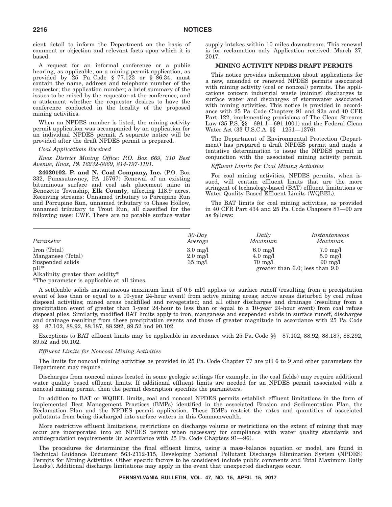cient detail to inform the Department on the basis of comment or objection and relevant facts upon which it is based.

A request for an informal conference or a public hearing, as applicable, on a mining permit application, as provided by 25 Pa. Code § 77.123 or § 86.34, must contain the name, address and telephone number of the requestor; the application number; a brief summary of the issues to be raised by the requestor at the conference; and a statement whether the requestor desires to have the conference conducted in the locality of the proposed mining activities.

When an NPDES number is listed, the mining activity permit application was accompanied by an application for an individual NPDES permit. A separate notice will be provided after the draft NPDES permit is prepared.

#### *Coal Applications Received*

*Knox District Mining Office: P.O. Box 669, 310 Best Avenue, Knox, PA 16232-0669, 814-797-1191.*

**24020102. P. and N. Coal Company, Inc.** (P.O. Box 332, Punxsutawney, PA 15767) Renewal of an existing bituminous surface and coal ash placement mine in Benezette Township, **Elk County**, affecting 118.9 acres. Receiving streams: Unnamed tributary to Porcupine Run and Porcupine Run, unnamed tributary to Chase Hollow, unnamed tributary to Trout Run, all classified for the following uses: CWF. There are no potable surface water supply intakes within 10 miles downstream. This renewal is for reclamation only. Application received: March 27, 2017.

#### **MINING ACTIVITY NPDES DRAFT PERMITS**

This notice provides information about applications for a new, amended or renewed NPDES permits associated with mining activity (coal or noncoal) permits. The applications concern industrial waste (mining) discharges to surface water and discharges of stormwater associated with mining activities. This notice is provided in accordance with 25 Pa. Code Chapters 91 and 92a and 40 CFR Part 122, implementing provisions of The Clean Streams Law (35 P.S. §§ 691.1—691.1001) and the Federal Clean Water Act (33 U.S.C.A. §§ 1251—1376).

The Department of Environmental Protection (Department) has prepared a draft NPDES permit and made a tentative determination to issue the NPDES permit in conjunction with the associated mining activity permit.

## *Effluent Limits for Coal Mining Activities*

For coal mining activities, NPDES permits, when issued, will contain effluent limits that are the more stringent of technology-based (BAT) effluent limitations or Water Quality Based Effluent Limits (WQBEL).

The BAT limits for coal mining activities, as provided in 40 CFR Part 434 and 25 Pa. Code Chapters 87—90 are as follows:

| Parameter                        | $30$ -Day<br>Average | Daily<br>Maximum   | Instantaneous<br>Maximum             |
|----------------------------------|----------------------|--------------------|--------------------------------------|
| Iron (Total)                     | $3.0 \text{ mg}/1$   | $6.0 \text{ mg}/1$ | $7.0 \text{ mg}/1$                   |
| Manganese (Total)                | $2.0 \text{ mg}/1$   | $4.0 \text{ mg}/l$ | $5.0 \text{ mg}/l$                   |
| Suspended solids                 | $35 \text{ mg}/1$    | $70 \text{ mg}/1$  | $90 \text{ mg}/1$                    |
| $pH^*$                           |                      |                    | greater than $6.0$ ; less than $9.0$ |
| Alkalinity greater than acidity* |                      |                    |                                      |

\*The parameter is applicable at all times.

A settleable solids instantaneous maximum limit of 0.5 ml/l applies to: surface runoff (resulting from a precipitation event of less than or equal to a 10-year 24-hour event) from active mining areas; active areas disturbed by coal refuse disposal activities; mined areas backfilled and revegetated; and all other discharges and drainage (resulting from a precipitation event of greater than 1-year 24-hour to less than or equal to a 10-year 24-hour event) from coal refuse disposal piles. Similarly, modified BAT limits apply to iron, manganese and suspended solids in surface runoff, discharges and drainage resulting from these precipitation events and those of greater magnitude in accordance with 25 Pa. Code §§ 87.102, 88.92, 88.187, 88.292, 89.52 and 90.102.

Exceptions to BAT effluent limits may be applicable in accordance with 25 Pa. Code §§ 87.102, 88.92, 88.187, 88.292, 89.52 and 90.102.

## *Effluent Limits for Noncoal Mining Activities*

The limits for noncoal mining activities as provided in 25 Pa. Code Chapter 77 are pH 6 to 9 and other parameters the Department may require.

Discharges from noncoal mines located in some geologic settings (for example, in the coal fields) may require additional water quality based effluent limits. If additional effluent limits are needed for an NPDES permit associated with a noncoal mining permit, then the permit description specifies the parameters.

In addition to BAT or WQBEL limits, coal and noncoal NPDES permits establish effluent limitations in the form of implemented Best Management Practices (BMPs) identified in the associated Erosion and Sedimentation Plan, the Reclamation Plan and the NPDES permit application. These BMPs restrict the rates and quantities of associated pollutants from being discharged into surface waters in this Commonwealth.

More restrictive effluent limitations, restrictions on discharge volume or restrictions on the extent of mining that may occur are incorporated into an NPDES permit when necessary for compliance with water quality standards and antidegradation requirements (in accordance with 25 Pa. Code Chapters 91—96).

The procedures for determining the final effluent limits, using a mass-balance equation or model, are found in Technical Guidance Document 563-2112-115, Developing National Pollutant Discharge Elimination System (NPDES) Permits for Mining Activities. Other specific factors to be considered include public comments and Total Maximum Daily Load(s). Additional discharge limitations may apply in the event that unexpected discharges occur.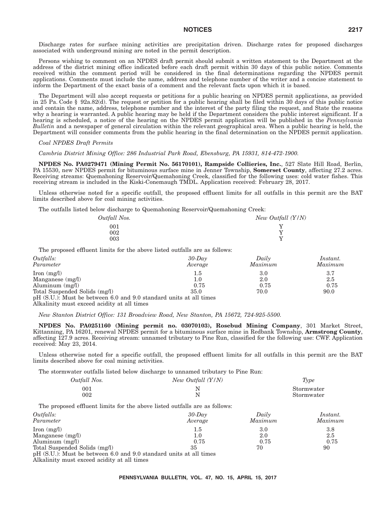Discharge rates for surface mining activities are precipitation driven. Discharge rates for proposed discharges associated with underground mining are noted in the permit description.

Persons wishing to comment on an NPDES draft permit should submit a written statement to the Department at the address of the district mining office indicated before each draft permit within 30 days of this public notice. Comments received within the comment period will be considered in the final determinations regarding the NPDES permit applications. Comments must include the name, address and telephone number of the writer and a concise statement to inform the Department of the exact basis of a comment and the relevant facts upon which it is based.

The Department will also accept requests or petitions for a public hearing on NPDES permit applications, as provided in 25 Pa. Code § 92a.82(d). The request or petition for a public hearing shall be filed within 30 days of this public notice and contain the name, address, telephone number and the interest of the party filing the request, and State the reasons why a hearing is warranted. A public hearing may be held if the Department considers the public interest significant. If a hearing is scheduled, a notice of the hearing on the NPDES permit application will be published in the *Pennsylvania Bulletin* and a newspaper of general circulation within the relevant geographical area. When a public hearing is held, the Department will consider comments from the public hearing in the final determination on the NPDES permit application.

## *Coal NPDES Draft Permits*

*Cambria District Mining Office: 286 Industrial Park Road, Ebensburg, PA 15931, 814-472-1900.*

**NPDES No. PA0279471 (Mining Permit No. 56170101), Rampside Collieries, Inc.**, 527 Slate Hill Road, Berlin, PA 15530, new NPDES permit for bituminous surface mine in Jenner Township, **Somerset County**, affecting 27.2 acres. Receiving streams: Quemahoning Reservoir/Quemahoning Creek, classified for the following uses: cold water fishes. This receiving stream is included in the Kiski-Conemaugh TMDL. Application received: February 28, 2017.

Unless otherwise noted for a specific outfall, the proposed effluent limits for all outfalls in this permit are the BAT limits described above for coal mining activities.

The outfalls listed below discharge to Quemahoning Reservoir/Quemahoning Creek:

| New Outfall $(Y/N)$ |
|---------------------|
|                     |
|                     |
|                     |
|                     |

The proposed effluent limits for the above listed outfalls are as follows:

| Outfalls:                                                          | $30$ -Day | Daily   | Instant. |
|--------------------------------------------------------------------|-----------|---------|----------|
| Parameter                                                          | Average   | Maximum | Maximum  |
| $\text{Iron} \text{ (mg/l)}$                                       | 1.5       | 3.0     | 3.7      |
| Manganese $(mg/l)$                                                 | 1.0       | 2.0     | 2.5      |
| Aluminum $(mg/l)$                                                  | 0.75      | 0.75    | 0.75     |
| Total Suspended Solids (mg/l)                                      | 35.0      | 70.0    | 90.0     |
| pH (S.U.): Must be between 6.0 and 9.0 standard units at all times |           |         |          |

Alkalinity must exceed acidity at all times

*New Stanton District Office: 131 Broadview Road, New Stanton, PA 15672, 724-925-5500.*

**NPDES No. PA0251160 (Mining permit no. 03070103), Rosebud Mining Company**, 301 Market Street, Kittanning, PA 16201, renewal NPDES permit for a bituminous surface mine in Redbank Township, **Armstrong County**, affecting 127.9 acres. Receiving stream: unnamed tributary to Pine Run, classified for the following use: CWF. Application received: May 23, 2014.

Unless otherwise noted for a specific outfall, the proposed effluent limits for all outfalls in this permit are the BAT limits described above for coal mining activities.

The stormwater outfalls listed below discharge to unnamed tributary to Pine Run:

| Outfall Nos. | New Outfall (Y/N) | Type       |
|--------------|-------------------|------------|
| 001          |                   | Stormwater |
| 002          |                   | Stormwater |

The proposed effluent limits for the above listed outfalls are as follows:

| Outfalls:                                                          | $30$ -Day | Daily   | Instant. |
|--------------------------------------------------------------------|-----------|---------|----------|
| Parameter                                                          | Average   | Maximum | Maximum  |
| $\text{Iron} \text{ (mg/l)}$                                       | 1.5       | 3.0     | 3.8      |
| Manganese $(mg/l)$                                                 | $1.0\,$   | 2.0     | 2.5      |
| Aluminum $(mg/l)$                                                  | 0.75      | 0.75    | 0.75     |
| Total Suspended Solids (mg/l)                                      | 35        | 70      | 90       |
| pH (S.U.): Must be between 6.0 and 9.0 standard units at all times |           |         |          |

Alkalinity must exceed acidity at all times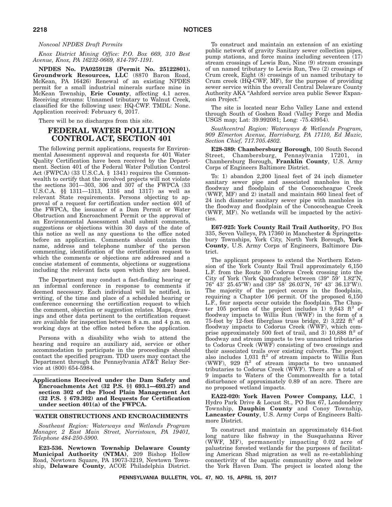## *Noncoal NPDES Draft Permits*

*Knox District Mining Office: P.O. Box 669, 310 Best Avenue, Knox, PA 16232-0669, 814-797-1191.*

**NPDES No. PA0259128 (Permit No. 25122801). Groundwork Resources, LLC** (8870 Baron Road, McKean, PA 16426) Renewal of an existing NPDES permit for a small industrial minerals surface mine in McKean Township, **Erie County**, affecting 4.1 acres. Receiving streams: Unnamed tributary to Walnut Creek, classified for the following uses: HQ-CWF. TMDL: None. Application received: February 6, 2017.

There will be no discharges from this site.

# **FEDERAL WATER POLLUTION CONTROL ACT, SECTION 401**

The following permit applications, requests for Environmental Assessment approval and requests for 401 Water Quality Certification have been received by the Department. Section 401 of the Federal Water Pollution Control Act (FWPCA) (33 U.S.C.A. § 1341) requires the Commonwealth to certify that the involved projects will not violate the sections 301—303, 306 and 307 of the FWPCA (33 U.S.C.A. §§ 1311—1313, 1316 and 1317) as well as relevant State requirements. Persons objecting to approval of a request for certification under section 401 of the FWPCA, the issuance of a Dam Permit or Water Obstruction and Encroachment Permit or the approval of an Environmental Assessment shall submit comments, suggestions or objections within 30 days of the date of this notice as well as any questions to the office noted before an application. Comments should contain the name, address and telephone number of the person commenting, identification of the certification request to which the comments or objections are addressed and a concise statement of comments, objections or suggestions including the relevant facts upon which they are based.

The Department may conduct a fact-finding hearing or an informal conference in response to comments if deemed necessary. Each individual will be notified, in writing, of the time and place of a scheduled hearing or conference concerning the certification request to which the comment, objection or suggestion relates. Maps, drawings and other data pertinent to the certification request are available for inspection between 8 a.m. and 4 p.m. on working days at the office noted before the application.

Persons with a disability who wish to attend the hearing and require an auxiliary aid, service or other accommodation to participate in the proceedings should contact the specified program. TDD users may contact the Department through the Pennsylvania AT&T Relay Service at (800) 654-5984.

**Applications Received under the Dam Safety and Encroachments Act (32 P.S. §§ 693.1—693.27) and section 302 of the Flood Plain Management Act (32 P.S. § 679.302) and Requests for Certification under section 401(a) of the FWPCA.**

## **WATER OBSTRUCTIONS AND ENCROACHMENTS**

*Southeast Region: Waterways and Wetlands Program Manager, 2 East Main Street, Norristown, PA 19401, Telephone 484-250-5900.*

**E23-536. Newtown Township Delaware County Municipal Authority (NTMA)**, 209 Bishop Hollow Road, Newtown Square, PA 19073-3219, Newtown Township, **Delaware County**, ACOE Philadelphia District.

To construct and maintain an extension of an existing public network of gravity Sanitary sewer collection pipes, pump stations, and force mains including seventeen (17) stream crossings of Lewis Run, Nine (9) stream crossings of un named tributary to Lewis Run, Two (2) crossings of Crum creek, Eight (8) crossings of un named tributary to Crum creek (HQ-CWF, MF), for the purpose of providing sewer service within the overall Central Delaware County Authority AKA "Ashford service area public Sewer Expansion Project.''

The site is located near Echo Valley Lane and extend through South of Goshen Road (Valley Forge and Media USGS map; Lat: 39.992081; Long: -75.43954).

*Southcentral Region: Waterways & Wetlands Program, 909 Elmerton Avenue, Harrisburg, PA 17110, Ed Muzic, Section Chief, 717.705.4802.*

**E28-389: Chambersburg Borough**, 100 South Second Street, Chambersburg, Pennsylvania 17201, in Chambersburg Borough, **Franklin County**, U.S. Army Corps of Engineers Baltimore District.

To: 1) abandon 2,200 lineal feet of 24 inch diameter sanitary sewer pipe and associated manholes in the floodway and floodplain of the Conococheague Creek (WWF, MF) and 2) install and maintain 860 lineal feet of 24 inch diameter sanitary sewer pipe with manholes in the floodway and floodplain of the Conococheague Creek (WWF, MF). No wetlands will be impacted by the activities.

**E67-925: York County Rail Trail Authority**, PO Box 335, Seven Valleys, PA 17360 in Manchester & Springettsbury Townships, York City, North York Borough, **York County**, U.S. Army Corps of Engineers, Baltimore District.

The applicant proposes to extend the Northern Extension of the York County Rail Trail approximately 6,150 L.F. from the Route 30 Codorus Creek crossing into the City of York (York Quadrangle between  $(39^{\circ}$  59'  $1.82^{\prime\prime}$ N,  $76^{\circ}$  43' 25.45"W) and  $(39^{\circ}$  58' 26.03"N, 76° 43' 36.13"W)). The majority of the project occurs in the floodplain, requiring a Chapter 106 permit. Of the proposed 6,150 L.F., four aspects occur outside the floodplain. The Chapter 105 portion of the project includes 1) 9,643 ft<sup>2</sup> of floodway impacts to Willis Run (WWF) in the form of a 75-foot by 12-foot fiberglass truss bridge, 2) 3,222  $ft^2$  of floodway impacts to Codorus Creek (WWF), which comprise approximately 500 feet of trail, and 3) 10,888 ft<sup>2</sup> of floodway and stream impacts to two unnamed tributaries to Codorus Creek (WWF) consisting of two crossings and their associated trails over existing culverts. The project also includes  $1,031 \text{ ft}^2$  of stream impacts to Willis Run (WWF), 929  $ft^2$  of stream impacts to two unnamed tributaries to Codorus Creek (WWF). There are a total of 9 impacts to Waters of the Commonwealth for a total disturbance of approximately 0.89 of an acre. There are no proposed wetland impacts.

**EA22-020: York Haven Power Company, LLC**, 1 Hydro Park Drive & Locust St., PO Box 67, Londonderry Township, **Dauphin County** and Conoy Township, **Lancaster County**, U.S. Army Corps of Engineers Baltimore District.

To construct and maintain an approximately 614-foot long nature like fishway in the Susquehanna River (WWF, MF), permanently impacting 0.02 acre of palustrine forested wetlands for the purposes of facilitating American Shad migration as well as re-establishing connectivity of the aquatic community above and below the York Haven Dam. The project is located along the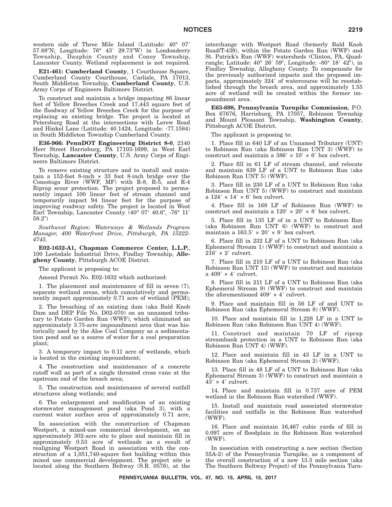western side of Three Mile Island (Latitude: 40° 07- 57.88"N; Longitude: 76° 43' 29.73"W) in Londonderry Township, Dauphin County and Conoy Township, Lancaster County. Wetland replacement is not required.

**E21-461: Cumberland County**, 1 Courthouse Square, Cumberland County Courthouse, Carlisle, PA 17013, South Middleton Township, **Cumberland County**, U.S. Army Corps of Engineers Baltimore District.

To construct and maintain a bridge impacting 86 linear feet of Yellow Breeches Creek and 17,443 square feet of the floodway of Yellow Breeches Creek for the purpose of replacing an existing bridge. The project is located at Petersburg Road at the intersections with Lerew Road and Hinkel Lane (Latitude: 40.1424, Longitude: -77.1584) in South Middleton Township Cumberland County.

**E36-966: PennDOT Engineering District 8-0**, 2140 Herr Street Harrisburg, PA 17103-1699, in West Earl Township, **Lancaster County**, U.S. Army Corps of Engineers Baltimore District.

To remove existing structure and to install and maintain a 152-foot 8-inch × 33 foot 8-inch bridge over the Conestoga River (WWF, MF) with R-8, R-5, and R-4 Riprap scour protection. The project proposed to permanently impact 100 linear feet of stream channel and temporarily impact 94 linear feet for the purpose of improving roadway safety. The project is located in West Earl Township, Lancaster County.  $(40^{\circ}$  07'  $40.6^{\prime\prime}$ , -76 $^{\circ}$  11' 58.2")

*Southwest Region: Waterways & Wetlands Program Manager, 400 Waterfront Drive, Pittsburgh, PA 15222- 4745.*

**E02-1632-A1, Chapman Commerce Center, L.L.P.**, 100 Leetsdale Industrial Drive, Findlay Township, **Allegheny County**, Pittsburgh ACOE District.

The applicant is proposing to:

Amend Permit No. E02-1632 which authorized:

1. The placement and maintenance of fill in seven (7), separate wetland areas, which cumulatively and permanently impact approximately 0.71 acre of wetland (PEM);

2. The breaching of an existing dam (aka Bald Knob Dam and DEP File No. D02-070) on an unnamed tributary to Potato Garden Run (WWF), which eliminated an approximately 3.75-acre impoundment area that was historically used by the Aloe Coal Company as a sedimentation pond and as a source of water for a coal preparation plant;

3. A temporary impact to 0.11 acre of wetlands, which is located in the existing impoundment;

4. The construction and maintenance of a concrete cutoff wall as part of a single throated cross vane at the upstream end of the breach area;

5. The construction and maintenance of several outfall structures along wetlands; and

6. The enlargement and modification of an existing stormwater management pond (aka Pond 3), with a current water surface area of approximately 0.71 acre,

In association with the construction of Chapman Westport, a mixed-use commercial development, on an approximately 302-acre site to place and maintain fill in approximately 0.53 acre of wetlands as a result of realigning Westport Road in association with the construction of a 1,051,740-square foot building within this mixed use commercial development. The project site is located along the Southern Beltway (S.R. 0576), at the

interchange with Westport Road (formerly Bald Knob Road/T-439), within the Potato Garden Run (WWF) and St. Patrick's Run (WWF) watersheds (Clinton, PA, Quadrangle; Latitude: 40° 26′ 59″, Longitude: -80° 18′ 42″), in Findlay Township, Allegheny County. To compensate for the previously authorized impacts and the proposed impacts, approximately 324' of watercourse will be reestablished through the breach area, and approximately 1.55 acre of wetland will be created within the former impoundment area.

**E63-698, Pennsylvania Turnpike Commission**, P.O. Box 67676, Harrisburg, PA 17057, Robinson Township and Mount Pleasant Township, **Washington County**, Pittsburgh ACOE District.

The applicant is proposing to:

1. Place fill in 640 LF of an Unnamed Tributary (UNT) to Robinson Run (aka Robinson Run UNT 3) (WWF) to construct and maintain a  $386' \times 10' \times 6'$  box culvert.

2. Place fill in 61 LF of stream channel, and relocate and maintain 839 LF of a UNT to Robinson Run (aka Robinson Run UNT 5) (WWF).

3. Place fill in 230 LF of a UNT to Robinson Run (aka Robinson Run UNT 5) (WWF) to construct and maintain  $a 124' \times 14' \times 6'$  box culvert.

4. Place fill in 168 LF of Robinson Run (WWF) to construct and maintain a  $120' \times 20' \times 8'$  box culvert.

5. Place fill in 135 LF of in a UNT to Robinson Run (aka Robinson Run UNT 6) (WWF) to construct and maintain a  $163.5' \times 20' \times 8'$  box culvert.

6. Place fill in 232 LF of a UNT to Robinson Run (aka Ephemeral Stream 1) (WWF) to construct and maintain a  $216' \times 2'$  culvert.

7. Place fill in 210 LF of a UNT to Robinson Run (aka Robinson Run UNT 13) (WWF) to construct and maintain  $a\ 409' \times 4'$  culvert.

8. Place fill in 211 LF of a UNT to Robinson Run (aka Ephemeral Stream 9) (WWF) to construct and maintain the aforementioned  $409' \times 4'$  culvert.

9. Place and maintain fill in 56 LF of and UNT to Robinson Run (aka Ephemeral Stream 8) (WWF).

10. Place and maintain fill in 1,228 LF in a UNT to Robinson Run (aka Robinson Run UNT 4) (WWF).

11. Construct and maintain 70 LF of riprap streambank protection in a UNT to Robinson Run (aka Robinson Run UNT 4) (WWF).

12. Place and maintain fill in 43 LF in a UNT to Robinson Run (aka Ephemeral Stream 2) (WWF).

13. Place fill in 48 LF of a UNT to Robinson Run (aka Ephemeral Stream 3) (WWF) to construct and maintain a  $43' \times 4'$  culvert.

14. Place and maintain fill in 0.737 acre of PEM wetland in the Robinson Run watershed (WWF).

15. Install and maintain road associated stormwater facilities and outfalls in the Robinson Run watershed (WWF).

16. Place and maintain 16,467 cubic yards of fill in 0.097 acre of floodplain in the Robinson Run watershed (WWF).

In association with constructing a new section (Section 55A-2) of the Pennsylvania Turnpike, as a component of the overall construction of a new 13.3 mile section (aka The Southern Beltway Project) of the Pennsylvania Turn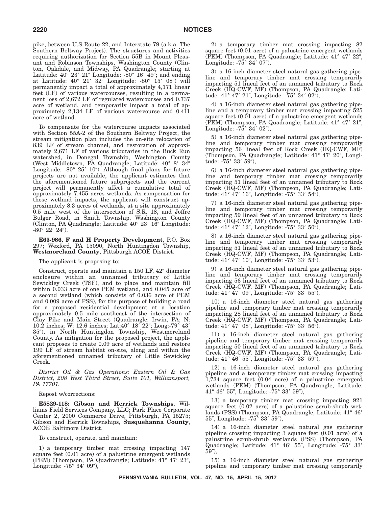pike, between U.S Route 22, and Interstate 79 (a.k.a. The Southern Beltway Project). The structures and activities requiring authorization for Section 55B in Mount Pleasant and Robinson Townships, Washington County (Clinton, Oakdale, and Midway, PA Quadrangle; starting at Latitude: 40° 23′ 21″ Longitude: -80° 16′ 49″; and ending at Latitude: 40° 21' 32" Longitude: -80° 15' 08") will permanently impact a total of approximately 4,171 linear feet (LF) of various watercourses, resulting in a permanent loss of 2,672 LF of regulated watercourses and 0.737 acre of wetland, and temporarily impact a total of approximately 2,134 LF of various watercourse and 0.411 acre of wetland.

To compensate for the watercourse impacts associated with Section 55A-2 of the Southern Beltway Project, the stream mitigation plan includes the on-site relocation of 839 LF of stream channel, and restoration of approximately 2,671 LF of various tributaries in the Buck Run watershed, in Donegal Township, Washington County (West Middletown, PA Quadrangle; Latitude: 40° 8′ 34″ Longitude: -80° 25' 10"). Although final plans for future projects are not available, the applicant estimates that the aforementioned future subprojects and the current project will permanently affect a cumulative total of approximately 7.455 acres wetlands. As compensation for these wetland impacts, the applicant will construct approximately 8.3 acres of wetlands, at a site approximately 0.5 mile west of the intersection of S.R. 18, and Joffre Bulger Road, in Smith Township, Washington County (Clinton, PA Quadrangle; Latitude: 40° 23' 16" Longitude:  $-80^{\circ}$  22' 24").

**E65-986, F and H Property Development**, P.O. Box 297; Wexford, PA 15090, North Huntingdon Township, **Westmoreland County**, Pittsburgh ACOE District.

#### The applicant is proposing to:

Construct, operate and maintain a 150 LF, 42" diameter enclosure within an unnamed tributary of Little Sewickley Creek (TSF), and to place and maintain fill within 0.033 acre of one PEM wetland, and 0.045 acre of a second wetland (which consists of 0.036 acre of PEM and 0.009 acre of PSS), for the purpose of building a road for a proposed residential development at a location approximately 0.5 mile southeast of the intersection of Clay Pike and Main Street (Quadrangle: Irwin, PA; N: 10.2 inches; W: 12.6 inches; Lat:40° 18' 22"; Long:-79° 43' 35), in North Huntingdon Township, Westmoreland County. As mitigation for the proposed project, the applicant proposes to create 0.09 acre of wetlands and restore 199 LF of stream habitat on-site, along and within the aforementioned unnamed tributary of Little Sewickley Creek.

*District Oil & Gas Operations: Eastern Oil & Gas District, 208 West Third Street, Suite 101, Williamsport, PA 17701.*

## Repost w/corrections:

**E5829-118: Gibson and Herrick Townships**, Williams Field Services Company, LLC; Park Place Corporate Center 2, 2000 Commerce Drive, Pittsburgh, PA 15275; Gibson and Herrick Townships, **Susquehanna County**, ACOE Baltimore District.

To construct, operate, and maintain:

1) a temporary timber mat crossing impacting 147 square feet (0.01 acre) of a palustrine emergent wetlands (PEM) (Thompson, PA Quadrangle; Latitude: 41° 47′ 23", Longitude: -75° 34′ 09″),

2) a temporary timber mat crossing impacting 82 square feet (0.01 acre) of a palustrine emergent wetlands (PEM) (Thompson, PA Quadrangle; Latitude: 41° 47' 22", Longitude: -75° 34′ 07″),

3) a 16-inch diameter steel natural gas gathering pipeline and temporary timber mat crossing temporarily impacting 51 lineal feet of an unnamed tributary to Rock Creek (HQ-CWF, MF) (Thompson, PA Quadrangle; Latitude: 41° 47′ 21″, Longitude: -75° 34′ 02″),

4) a 16-inch diameter steel natural gas gathering pipeline and a temporary timber mat crossing impacting 525 square feet (0.01 acre) of a palustrine emergent wetlands (PEM) (Thompson, PA Quadrangle; Latitude: 41° 47' 21", Longitude: -75° 34′ 02″),

5) a 16-inch diameter steel natural gas gathering pipeline and temporary timber mat crossing temporarily impacting 56 lineal feet of Rock Creek (HQ-CWF, MF) (Thompson, PA Quadrangle; Latitude: 41° 47' 20", Longitude: -75° 33′ 59″),

6) a 16-inch diameter steel natural gas gathering pipeline and temporary timber mat crossing temporarily impacting 51 lineal feet of an unnamed tributary to Rock Creek (HQ-CWF, MF) (Thompson, PA Quadrangle; Latitude: 41° 47′ 16″, Longitude: -75° 33′ 54″),

7) a 16-inch diameter steel natural gas gathering pipeline and temporary timber mat crossing temporarily impacting 59 lineal feet of an unnamed tributary to Rock Creek (HQ-CWF, MF) (Thompson, PA Quadrangle; Latitude: 41° 47′ 12″, Longitude: -75° 33′ 50″),

8) a 16-inch diameter steel natural gas gathering pipeline and temporary timber mat crossing temporarily impacting 51 lineal feet of an unnamed tributary to Rock Creek (HQ-CWF, MF) (Thompson, PA Quadrangle; Latitude: 41° 47′ 10″, Longitude: -75° 33′ 53″),

9) a 16-inch diameter steel natural gas gathering pipeline and temporary timber mat crossing temporarily impacting 56 lineal feet of an unnamed tributary to Rock Creek (HQ-CWF, MF) (Thompson, PA Quadrangle; Latitude: 41° 47′ 09″, Longitude: -75° 33′ 55″),

10) a 16-inch diameter steel natural gas gathering pipeline and temporary timber mat crossing temporarily impacting 28 lineal feet of an unnamed tributary to Rock Creek (HQ-CWF, MF) (Thompson, PA Quadrangle; Latitude: 41° 47′ 08″, Longitude: -75° 33′ 56″),

11) a 16-inch diameter steel natural gas gathering pipeline and temporary timber mat crossing temporarily impacting 50 lineal feet of an unnamed tributary to Rock Creek (HQ-CWF, MF) (Thompson, PA Quadrangle; Latitude: 41° 46′ 55″, Longitude: -75° 33′ 59″),

12) a 16-inch diameter steel natural gas gathering pipeline and a temporary timber mat crossing impacting 1,734 square feet (0.04 acre) of a palustrine emergent wetlands (PEM) (Thompson, PA Quadrangle; Latitude: 41° 46′ 55″, Longitude: -75° 33′ 59″),

13) a temporary timber mat crossing impacting 921 square feet (0.02 acre) of a palustrine scrub-shrub wetlands (PSS) (Thompson, PA Quadrangle; Latitude: 41° 46' 55″, Longitude: -75° 33′ 59″),

14) a 16-inch diameter steel natural gas gathering pipeline crossing impacting 3 square feet (0.01 acre) of a palustrine scrub-shrub wetlands (PSS) (Thompson, PA Quadrangle; Latitude: 41° 46' 55", Longitude: -75° 33' 59"),

15) a 16-inch diameter steel natural gas gathering pipeline and temporary timber mat crossing temporarily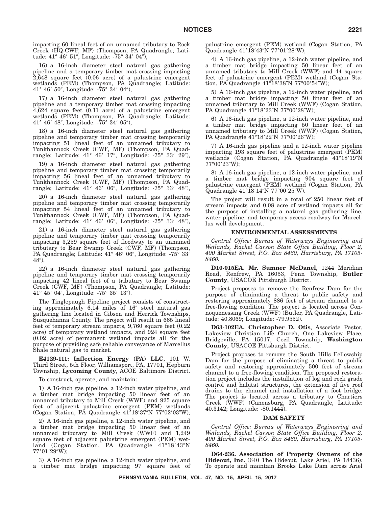impacting 60 lineal feet of an unnamed tributary to Rock Creek (HQ-CWF, MF) (Thompson, PA Quadrangle; Latitude: 41° 46′ 51″, Longitude: -75° 34′ 04″),

16) a 16-inch diameter steel natural gas gathering pipeline and a temporary timber mat crossing impacting 2,648 square feet (0.06 acre) of a palustrine emergent wetlands (PEM) (Thompson, PA Quadrangle; Latitude: 41° 46′ 50″, Longitude: -75° 34′ 04″),

17) a 16-inch diameter steel natural gas gathering pipeline and a temporary timber mat crossing impacting 4,624 square feet (0.11 acre) of a palustrine emergent wetlands (PEM) (Thompson, PA Quadrangle; Latitude: 41° 46' 48", Longitude: -75° 34' 05"),

18) a 16-inch diameter steel natural gas gathering pipeline and temporary timber mat crossing temporarily impacting 51 lineal feet of an unnamed tributary to Tunkhannock Creek (CWF, MF) (Thompson, PA Quadrangle; Latitude: 41° 46' 17", Longitude: -75° 33' 29"),

19) a 16-inch diameter steel natural gas gathering pipeline and temporary timber mat crossing temporarily impacting 56 lineal feet of an unnamed tributary to Tunkhannock Creek (CWF, MF) (Thompson, PA Quadrangle; Latitude: 41° 46' 06", Longitude: -75° 33' 48"),

20) a 16-inch diameter steel natural gas gathering pipeline and temporary timber mat crossing temporarily impacting 54 lineal feet of an unnamed tributary to Tunkhannock Creek (CWF, MF) (Thompson, PA Quadrangle; Latitude: 41° 46' 06", Longitude: -75° 33' 48"),

21) a 16-inch diameter steel natural gas gathering pipeline and temporary timber mat crossing temporarily impacting 3,259 square feet of floodway to an unnamed tributary to Bear Swamp Creek (CWF, MF) (Thompson, PA Quadrangle; Latitude: 41° 46' 06", Longitude: -75° 33'  $48$ <sup>"</sup>),

22) a 16-inch diameter steel natural gas gathering pipeline and temporary timber mat crossing temporarily impacting 42 lineal feet of a tributary to Bear Swamp Creek (CWF, MF) (Thompson, PA Quadrangle; Latitude: 41° 45′ 04″, Longitude: -75° 35′ 13″).

The Tinglepaugh Pipeline project consists of constructing approximately  $6.14$  miles of  $16''$  steel natural gas gathering line located in Gibson and Herrick Townships, Susquehanna County. The project will result in 665 lineal feet of temporary stream impacts, 9,760 square feet (0.22 acre) of temporary wetland impacts, and 924 square feet (0.02 acre) of permanent wetland impacts all for the purpose of providing safe reliable conveyance of Marcellus Shale natural gas to market.

**E4129-111: Inflection Energy (PA) LLC**, 101 W. Third Street, 5th Floor, Williamsport, PA, 17701, Hepburn Township, **Lycoming County**, ACOE Baltimore District.

To construct, operate, and maintain:

1) A 16-inch gas pipeline, a 12-inch water pipeline, and a timber mat bridge impacting 50 linear feet of an unnamed tributary to Mill Creek (WWF) and 925 square feet of adjacent palustrine emergent (PEM) wetlands (Cogan Station, PA Quadrangle 41°18'37"N 77°02'03"W);

2) A 16-inch gas pipeline, a 12-inch water pipeline, and a timber mat bridge impacting 50 linear feet of an unnamed tributary to Mill Creek (WWF) and 1,249 square feet of adjacent palustrine emergent (PEM) wetland (Cogan Station, PA Quadrangle 41°18'43"N 77°01′29″W);

3) A 16-inch gas pipeline, a 12-inch water pipeline, and a timber mat bridge impacting 97 square feet of palustrine emergent (PEM) wetland (Cogan Station, PA Quadrangle 41°18'43"N 77°01'28"W);

4) A 16-inch gas pipeline, a 12-inch water pipeline, and a timber mat bridge impacting 50 linear feet of an unnamed tributary to Mill Creek (WWF) and 44 square feet of palustrine emergent (PEM) wetland (Cogan Station, PA Quadrangle 41°18′38"N 77°00′54"W);

5) A 16-inch gas pipeline, a 12-inch water pipeline, and a timber mat bridge impacting 50 linear feet of an unnamed tributary to Mill Creek (WWF) (Cogan Station, PA Quadrangle 41°18′23″N 77°00′28″W);

6) A 16-inch gas pipeline, a 12-inch water pipeline, and a timber mat bridge impacting 50 linear feet of an unnamed tributary to Mill Creek (WWF) (Cogan Station, PA Quadrangle 41°18'22"N 77°00'26"W);

7) A 16-inch gas pipeline and a 12-inch water pipeline impacting 193 square feet of palustrine emergent (PEM) wetlands (Cogan Station, PA Quadrangle 41°18'19"N 77°00′23″W);

8) A 16-inch gas pipeline, a 12-inch water pipeline, and a timber mat bridge impacting 904 square feet of palustrine emergent (PEM) wetland (Cogan Station, PA Quadrangle 41°18'14"N 77°00'25"W).

The project will result in a total of 250 linear feet of stream impacts and 0.08 acre of wetland impacts all for the purpose of installing a natural gas gathering line, water pipeline, and temporary access roadway for Marcellus well development.

## **ENVIRONMENTAL ASSESSMENTS**

*Central Office: Bureau of Waterways Engineering and Wetlands, Rachel Carson State Office Building, Floor 2, 400 Market Street, P.O. Box 8460, Harrisburg, PA 17105- 8460.*

**D10-015EA. Mr. Sumner McDanel**, 1244 Meridian Road, Renfrew, PA 16053, Penn Township, **Butler County**, USACOE Pittsburgh District.

Project proposes to remove the Renfrew Dam for the purpose of eliminating a threat to public safety and restoring approximately 886 feet of stream channel to a free-flowing condition. The project is located across Connoquenessing Creek (WWF) (Butler, PA Quadrangle, Latitude: 40.8069; Longitude: -79.9552).

**D63-102EA. Christopher D. Otis**, Associate Pastor, Lakeview Christian Life Church, One Lakeview Place, Bridgeville, PA 15017, Cecil Township, **Washington County**, USACOE Pittsburgh District.

Project proposes to remove the South Hills Fellowship Dam for the purpose of eliminating a threat to public safety and restoring approximately 500 feet of stream channel to a free-flowing condition. The proposed restoration project includes the installation of log and rock grade control and habitat structures, the extension of five roof drains to the channel and installation of a foot bridge. The project is located across a tributary to Chartiers Creek (WWF) (Canonsburg, PA Quadrangle, Latitude: 40.3142; Longitude: -80.1444).

## **DAM SAFETY**

*Central Office: Bureau of Waterways Engineering and Wetlands, Rachel Carson State Office Building, Floor 2, 400 Market Street, P.O. Box 8460, Harrisburg, PA 17105- 8460.*

**D64-236. Association of Property Owners of the Hideout, Inc.** (640 The Hideout, Lake Ariel, PA 18436). To operate and maintain Brooks Lake Dam across Ariel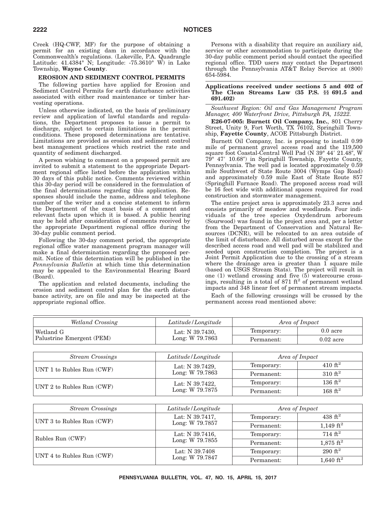Creek (HQ-CWF, MF) for the purpose of obtaining a permit for an existing dam in accordance with the Commonwealth's regulations. (Lakeville, P.A. Quadrangle Latitude:  $41.4384^\circ$  N; Longitude:  $-75.3610^\circ$  W) in Lake Township, **Wayne County**.

## **EROSION AND SEDIMENT CONTROL PERMITS**

The following parties have applied for Erosion and Sediment Control Permits for earth disturbance activities associated with either road maintenance or timber harvesting operations.

Unless otherwise indicated, on the basis of preliminary review and application of lawful standards and regulations, the Department proposes to issue a permit to discharge, subject to certain limitations in the permit conditions. These proposed determinations are tentative. Limitations are provided as erosion and sediment control best management practices which restrict the rate and quantity of sediment discharged.

A person wishing to comment on a proposed permit are invited to submit a statement to the appropriate Department regional office listed before the application within 30 days of this public notice. Comments reviewed within this 30-day period will be considered in the formulation of the final determinations regarding this application. Responses should include the name, address and telephone number of the writer and a concise statement to inform the Department of the exact basis of a comment and relevant facts upon which it is based. A public hearing may be held after consideration of comments received by the appropriate Department regional office during the 30-day public comment period.

Following the 30-day comment period, the appropriate regional office water management program manager will make a final determination regarding the proposed permit. Notice of this determination will be published in the *Pennsylvania Bulletin* at which time this determination may be appealed to the Environmental Hearing Board (Board).

The application and related documents, including the erosion and sediment control plan for the earth disturbance activity, are on file and may be inspected at the appropriate regional office.

Persons with a disability that require an auxiliary aid, service or other accommodation to participate during the 30-day public comment period should contact the specified regional office. TDD users may contact the Department through the Pennsylvania AT&T Relay Service at (800) 654-5984.

## **Applications received under sections 5 and 402 of The Clean Streams Law (35 P.S. §§ 691.5 and 691.402)**

*Southwest Region: Oil and Gas Management Program Manager, 400 Waterfront Drive, Pittsburgh PA, 15222.*

**E26-07-005: Burnett Oil Company, Inc.**, 801 Cherry Street, Unity 9, Fort Worth, TX 76102, Springhill Township, **Fayette County**, ACOE Pittsburgh District.

Burnett Oil Company, Inc. is proposing to install 0.99 mile of permanent gravel access road and the 119,500 square foot Coastal-Central Well Pad (N 39° 44′ 21.48″, W 79° 47′ 10.68″) in Springhill Township, Fayette County, Pennsylvania. The well pad is located approximately 0.59 mile Southwest of State Route 3004 (Wymps Gap Road) and approximately 0.59 mile East of State Route 857 (Springhill Furnace Road). The proposed access road will be 16 feet wide with additional spaces required for road construction and stormwater management.

The entire project area is approximately 23.3 acres and consists primarily of meadow and woodlands. Four individuals of the tree species Oxydendrum arboreum (Sourwood) was found in the project area and, per a letter from the Department of Conservation and Natural Resources (DCNR), will be relocated to an area outside of the limit of disturbance. All disturbed areas except for the described access road and well pad will be stabilized and seeded upon construction completion. The project is a Joint Permit Application due to the crossing of a stream where the drainage area is greater than  $1$  square mile (based on USGS Stream Stats). The project will result in one (1) wetland crossing and five  $(5)$  watercourse cross-<br>ings, resulting in a total of 871 ft<sup>2</sup> of permanent wetland impacts and 348 linear feet of permanent stream impacts.

Each of the following crossings will be crossed by the permanent access road mentioned above:

| Wetland Crossing          | Latitude/Longitude                 | Area of Impact |                    |
|---------------------------|------------------------------------|----------------|--------------------|
| Wetland G                 | Lat: N 39.7430,                    | Temporary:     | $0.0$ acre         |
| Palustrine Emergent (PEM) | Long: W 79.7863                    | Permanent:     | $0.02$ acre        |
|                           |                                    |                |                    |
| <b>Stream Crossings</b>   | Latitude/Longitude                 |                | Area of Impact     |
| UNT 1 to Rubles Run (CWF) | Lat: N 39.7429,<br>Long: W 79.7863 | Temporary:     | $410 \text{ ft}^2$ |
|                           |                                    | Permanent:     | 310 $ft^2$         |
| UNT 2 to Rubles Run (CWF) | Lat: N 39.7422,                    | Temporary:     | $136 \text{ ft}^2$ |
|                           | Long: W 79.7875                    | Permanent:     | $168 \text{ ft}^2$ |
|                           |                                    |                |                    |

| <b>Stream Crossings</b>   | Latitude/Longitude                 | Area of Impact |                       |
|---------------------------|------------------------------------|----------------|-----------------------|
|                           | Lat: N 39.7417,<br>Long: W 79.7857 | Temporary:     | $438 \text{ ft}^2$    |
| UNT 3 to Rubles Run (CWF) |                                    | Permanent:     | 1,149 $\mathrm{ft}^2$ |
| Rubles Run (CWF)          | Lat: N 39.7416,<br>Long: W 79.7855 | Temporary:     | $714 \text{ ft}^2$    |
|                           |                                    | Permanent:     | $1,875 \text{ ft}^2$  |
| UNT 4 to Rubles Run (CWF) | Lat: N 39.7408                     | Temporary:     | $290 \text{ ft}^2$    |
|                           | Long: W 79.7847                    | Permanent:     | 1,640 ft <sup>2</sup> |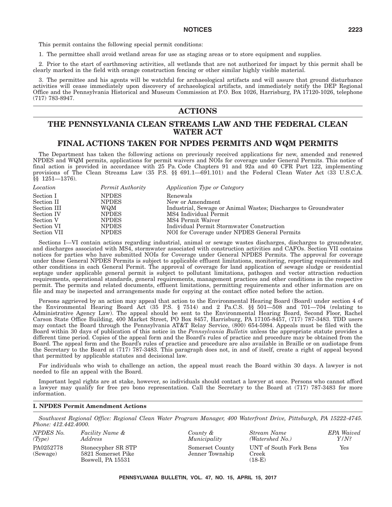This permit contains the following special permit conditions:

1. The permittee shall avoid wetland areas for use as staging areas or to store equipment and supplies.

2. Prior to the start of earthmoving activities, all wetlands that are not authorized for impact by this permit shall be clearly marked in the field with orange construction fencing or other similar highly visible material.

3. The permittee and his agents will be watchful for archaeological artifacts and will assure that ground disturbance activities will cease immediately upon discovery of archaeological artifacts, and immediately notify the DEP Regional Office and the Pennsylvania Historical and Museum Commission at P.O. Box 1026, Harrisburg, PA 17120-1026, telephone (717) 783-8947.

# **ACTIONS**

# **THE PENNSYLVANIA CLEAN STREAMS LAW AND THE FEDERAL CLEAN WATER ACT**

## **FINAL ACTIONS TAKEN FOR NPDES PERMITS AND WQM PERMITS**

The Department has taken the following actions on previously received applications for new, amended and renewed NPDES and WQM permits, applications for permit waivers and NOIs for coverage under General Permits. This notice of final action is provided in accordance with 25 Pa. Code Chapters 91 and 92a and 40 CFR Part 122, implementing provisions of The Clean Streams Law (35 P.S. §§ 691.1-691.101) and the Federal Clean Water Act (33 U.S.C.A. §§ 1251—1376).

| Location    | Permit Authority | Application Type or Category                                   |
|-------------|------------------|----------------------------------------------------------------|
| Section I   | <b>NPDES</b>     | Renewals                                                       |
| Section II  | <b>NPDES</b>     | New or Amendment                                               |
| Section III | WQM              | Industrial, Sewage or Animal Wastes; Discharges to Groundwater |
| Section IV  | <b>NPDES</b>     | MS4 Individual Permit                                          |
| Section V   | <b>NPDES</b>     | MS4 Permit Waiver                                              |
| Section VI  | <b>NPDES</b>     | Individual Permit Stormwater Construction                      |
| Section VII | <b>NPDES</b>     | NOI for Coverage under NPDES General Permits                   |

Sections I—VI contain actions regarding industrial, animal or sewage wastes discharges, discharges to groundwater, and discharges associated with MS4, stormwater associated with construction activities and CAFOs. Section VII contains notices for parties who have submitted NOIs for Coverage under General NPDES Permits. The approval for coverage under these General NPDES Permits is subject to applicable effluent limitations, monitoring, reporting requirements and other conditions in each General Permit. The approval of coverage for land application of sewage sludge or residential septage under applicable general permit is subject to pollutant limitations, pathogen and vector attraction reduction requirements, operational standards, general requirements, management practices and other conditions in the respective permit. The permits and related documents, effluent limitations, permitting requirements and other information are on file and may be inspected and arrangements made for copying at the contact office noted before the action.

Persons aggrieved by an action may appeal that action to the Environmental Hearing Board (Board) under section 4 of the Environmental Hearing Board Act (35 P.S. § 7514) and 2 Pa.C.S. §§ 501—508 and 701—704 (relating to Administrative Agency Law). The appeal should be sent to the Environmental Hearing Board, Second Floor, Rachel Carson State Office Building, 400 Market Street, PO Box 8457, Harrisburg, PA 17105-8457, (717) 787-3483. TDD users may contact the Board through the Pennsylvania AT&T Relay Service, (800) 654-5984. Appeals must be filed with the Board within 30 days of publication of this notice in the *Pennsylvania Bulletin* unless the appropriate statute provides a different time period. Copies of the appeal form and the Board's rules of practice and procedure may be obtained from the Board. The appeal form and the Board's rules of practice and procedure are also available in Braille or on audiotape from the Secretary to the Board at (717) 787-3483. This paragraph does not, in and of itself, create a right of appeal beyond that permitted by applicable statutes and decisional law.

For individuals who wish to challenge an action, the appeal must reach the Board within 30 days. A lawyer is not needed to file an appeal with the Board.

Important legal rights are at stake, however, so individuals should contact a lawyer at once. Persons who cannot afford a lawyer may qualify for free pro bono representation. Call the Secretary to the Board at (717) 787-3483 for more information.

## **I. NPDES Permit Amendment Actions**

*Southwest Regional Office: Regional Clean Water Program Manager, 400 Waterfront Drive, Pittsburgh, PA 15222-4745. Phone: 412.442.4000.*

| NPDES No. | Facility Name &    |
|-----------|--------------------|
| (Tvpe)    | Address            |
| PA0252778 | Stonecypher SR STP |
| (Sewage)  | 5821 Somerset Pike |
|           | Boswell, PA 15531  |

*County & Municipality* Somerset County Jenner Township *Stream Name (Watershed No.) EPA Waived Y/N?* UNT of South Fork Bens Creek  $(18-E)$ Yes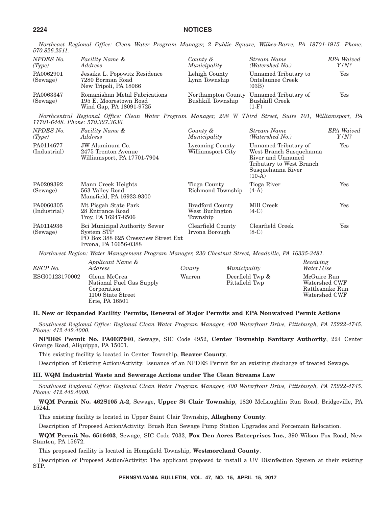*Northeast Regional Office: Clean Water Program Manager, 2 Public Square, Wilkes-Barre, PA 18701-1915. Phone: 570.826.2511.*

| NPDES No.<br>(Tvpe)   | Facility Name &<br><i>Address</i>                                                                                                                                                                                                                                                                                               | County &<br>Municipality       | <b>Stream Name</b><br>(Watershed No.)                                | <b>EPA</b> Waived<br>$Y/N$ ? |
|-----------------------|---------------------------------------------------------------------------------------------------------------------------------------------------------------------------------------------------------------------------------------------------------------------------------------------------------------------------------|--------------------------------|----------------------------------------------------------------------|------------------------------|
| PA0062901<br>(Sewage) | Jessika L. Popowitz Residence<br>7280 Borman Road<br>New Tripoli, PA 18066                                                                                                                                                                                                                                                      | Lehigh County<br>Lynn Township | Unnamed Tributary to<br>Ontelaunee Creek<br>(03B)                    | Yes                          |
| PA0063347<br>(Sewage) | Romanishan Metal Fabrications<br>195 E. Moorestown Road<br>Wind Gap, PA 18091-9725                                                                                                                                                                                                                                              | Bushkill Township              | Northampton County Unnamed Tributary of<br>Bushkill Creek<br>$(1-F)$ | Yes                          |
|                       | $\mathcal{M}$ , $\mathcal{U}$ , $\mathcal{U}$ , $\mathcal{U}$ , $\mathcal{U}$ , $\mathcal{U}$ , $\mathcal{U}$ , $\mathcal{U}$ , $\mathcal{U}$ , $\mathcal{U}$ , $\mathcal{U}$ , $\mathcal{U}$ , $\mathcal{U}$ , $\mathcal{U}$ , $\mathcal{U}$ , $\mathcal{U}$ , $\mathcal{U}$ , $\mathcal{U}$ , $\mathcal{U}$ , $\mathcal{U}$ , |                                |                                                                      |                              |

*Northcentral Regional Office: Clean Water Program Manager, 208 W Third Street, Suite 101, Williamsport, PA 17701-6448. Phone: 570.327.3636.*

| NPDES <sub>No.</sub><br>(Type) | Facility Name &<br>Address                                                         | County &<br>Municipality                              | Stream Name<br>(Watershed No.)                                                                                                    | <b>EPA</b> Waived<br>$Y/N$ ? |
|--------------------------------|------------------------------------------------------------------------------------|-------------------------------------------------------|-----------------------------------------------------------------------------------------------------------------------------------|------------------------------|
| PA0114677<br>(Industrial)      | JW Aluminum Co.<br>2475 Trenton Avenue<br>Williamsport, PA 17701-7904              | Lycoming County<br>Williamsport City                  | Unnamed Tributary of<br>West Branch Susquehanna<br>River and Unnamed<br>Tributary to West Branch<br>Susquehanna River<br>$(10-A)$ | Yes                          |
| PA0209392<br>(Sewage)          | Mann Creek Heights<br>563 Valley Road<br>Mansfield, PA 16933-9300                  | Tioga County<br>Richmond Township                     | Tioga River<br>$(4-A)$                                                                                                            | $\operatorname{Yes}$         |
| PA0060305<br>(Industrial)      | Mt Pisgah State Park<br>28 Entrance Road<br>Troy, PA 16947-8506                    | <b>Bradford County</b><br>West Burlington<br>Township | Mill Creek<br>$(4-C)$                                                                                                             | Yes                          |
| PA0114936<br>(Sewage)          | Bci Municipal Authority Sewer<br>System STP<br>PO Box 388 625 Cressview Street Ext | Clearfield County<br>Irvona Borough                   | Clearfield Creek<br>$(8-C)$                                                                                                       | Yes                          |

Irvona, PA 16656-0388

*Northwest Region: Water Management Program Manager, 230 Chestnut Street, Meadville, PA 16335-3481.*

| ESCP No.       | Applicant Name &<br>Address                                                                    | County | Municipality                      | Receiving<br>Water/Use                                           |
|----------------|------------------------------------------------------------------------------------------------|--------|-----------------------------------|------------------------------------------------------------------|
| ESG00123170002 | Glenn McCrea<br>National Fuel Gas Supply<br>Corporation<br>1100 State Street<br>Erie, PA 16501 | Warren | Deerfield Twp &<br>Pittsfield Twp | McGuire Run<br>Watershed CWF<br>Rattlesnake Run<br>Watershed CWF |

**II. New or Expanded Facility Permits, Renewal of Major Permits and EPA Nonwaived Permit Actions**

*Southwest Regional Office: Regional Clean Water Program Manager, 400 Waterfront Drive, Pittsburgh, PA 15222-4745. Phone: 412.442.4000.*

**NPDES Permit No. PA0037940**, Sewage, SIC Code 4952, **Center Township Sanitary Authority**, 224 Center Grange Road, Aliquippa, PA 15001.

This existing facility is located in Center Township, **Beaver County**.

Description of Existing Action/Activity: Issuance of an NPDES Permit for an existing discharge of treated Sewage.

## **III. WQM Industrial Waste and Sewerage Actions under The Clean Streams Law**

*Southwest Regional Office: Regional Clean Water Program Manager, 400 Waterfront Drive, Pittsburgh, PA 15222-4745. Phone: 412.442.4000.*

**WQM Permit No. 462S105 A-2**, Sewage, **Upper St Clair Township**, 1820 McLaughlin Run Road, Bridgeville, PA 15241.

This existing facility is located in Upper Saint Clair Township, **Allegheny County**.

Description of Proposed Action/Activity: Brush Run Sewage Pump Station Upgrades and Forcemain Relocation.

**WQM Permit No. 6516403**, Sewage, SIC Code 7033, **Fox Den Acres Enterprises Inc.**, 390 Wilson Fox Road, New Stanton, PA 15672.

This proposed facility is located in Hempfield Township, **Westmoreland County**.

Description of Proposed Action/Activity: The applicant proposed to install a UV Disinfection System at their existing STP.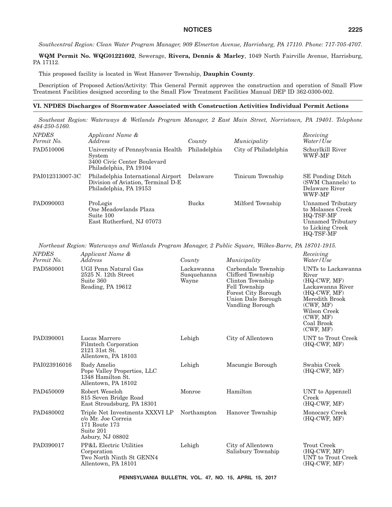*Southcentral Region: Clean Water Program Manager, 909 Elmerton Avenue, Harrisburg, PA 17110. Phone: 717-705-4707.*

**WQM Permit No. WQG01221602**, Sewerage, **Rivera, Dennis & Marley**, 1049 North Fairville Avenue, Harrisburg, PA 17112.

This proposed facility is located in West Hanover Township, **Dauphin County**.

Description of Proposed Action/Activity: This General Permit approves the construction and operation of Small Flow Treatment Facilities designed according to the Small Flow Treatment Facilities Manual DEP ID 362-0300-002.

# **VI. NPDES Discharges of Stormwater Associated with Construction Activities Individual Permit Actions**

*Southeast Region: Waterways & Wetlands Program Manager, 2 East Main Street, Norristown, PA 19401. Telephone 484-250-5160.*

| <b>NPDES</b><br>Permit No. | Applicant Name &<br><i>Address</i>                                                                   | County       | Municipality         | Receiving<br>Water/Use                                                                                           |
|----------------------------|------------------------------------------------------------------------------------------------------|--------------|----------------------|------------------------------------------------------------------------------------------------------------------|
| PAD510006                  | University of Pennsylvania Health<br>System<br>3400 Civic Center Boulevard<br>Philadelphia, PA 19104 | Philadelphia | City of Philadelphia | Schuylkill River<br>WWF-MF                                                                                       |
| PAI012313007-3C            | Philadelphia International Airport<br>Division of Aviation, Terminal D-E<br>Philadelphia, PA 19153   | Delaware     | Tinicum Township     | <b>SE</b> Ponding Ditch<br>(SWM Channels) to<br>Delaware River<br>WWF-MF                                         |
| PAD090003                  | ProLogis<br>One Meadowlands Plaza<br>Suite 100<br>East Rutherford, NJ 07073                          | <b>Bucks</b> | Milford Township     | Unnamed Tributary<br>to Molasses Creek<br>HQ-TSF-MF<br>Unnamed Tributary<br>to Licking Creek<br><b>HQ-TSF-MF</b> |

*Northeast Region: Waterways and Wetlands Program Manager, 2 Public Square, Wilkes-Barre, PA 18701-1915.*

| <b>NPDES</b><br>Permit No. | Applicant Name &<br>Address                                                                              | County                             | Municipality                                                                                                                                          | Receiving<br>Water / Use                                                                                                                                                   |
|----------------------------|----------------------------------------------------------------------------------------------------------|------------------------------------|-------------------------------------------------------------------------------------------------------------------------------------------------------|----------------------------------------------------------------------------------------------------------------------------------------------------------------------------|
| PAD580001                  | UGI Penn Natural Gas<br>2525 N. 12th Street<br>Suite 360<br>Reading, PA 19612                            | Lackawanna<br>Susquehanna<br>Wayne | Carbondale Township<br>Clifford Township<br>Clinton Township<br>Fell Township<br><b>Forest City Borough</b><br>Union Dale Borough<br>Vandling Borough | UNTs to Lackawanna<br>River<br>$(HQ-CWF, MF)$<br>Lackawanna River<br>$(HQ-CWF, MF)$<br>Meredith Brook<br>(CWF, MF)<br>Wilson Creek<br>(CWF, MF)<br>Coal Brook<br>(CWF, MF) |
| PAD390001                  | Lucas Marrero<br>Filmtech Corporation<br>2121 31st St.<br>Allentown, PA 18103                            | Lehigh                             | City of Allentown                                                                                                                                     | UNT to Trout Creek<br>$(HQ-CWF, MF)$                                                                                                                                       |
| PAI023916016               | Rudy Amelio<br>Pope Valley Properties, LLC<br>1348 Hamilton St.<br>Allentown, PA 18102                   | Lehigh                             | Macungie Borough                                                                                                                                      | Swabia Creek<br>$(HQ-CWF, MF)$                                                                                                                                             |
| PAD450009                  | Robert Weseloh<br>815 Seven Bridge Road<br>East Stroudsburg, PA 18301                                    | Monroe                             | Hamilton                                                                                                                                              | UNT to Appenzell<br>Creek<br>$(HQ-CWF, MF)$                                                                                                                                |
| PAD480002                  | Triple Net Investments XXXVI LP<br>c/o Mr. Joe Correia<br>171 Route 173<br>Suite 201<br>Asbury, NJ 08802 | Northampton                        | Hanover Township                                                                                                                                      | Monocacy Creek<br>$(HQ-CWF, MF)$                                                                                                                                           |
| PAD390017                  | <b>PP&amp;L Electric Utilities</b><br>Corporation<br>Two North Ninth St GENN4<br>Allentown, PA 18101     | Lehigh                             | City of Allentown<br>Salisbury Township                                                                                                               | <b>Trout Creek</b><br>(HQ-CWF, MF)<br>UNT to Trout Creek<br>$(HQ-CWF, MF)$                                                                                                 |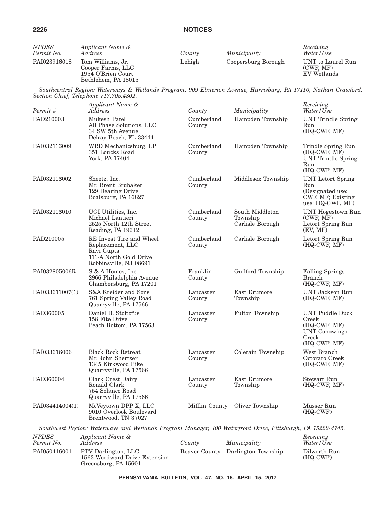| <b>NPDES</b><br>Permit No. | Applicant Name &<br><i>Address</i>                                                                                                                       | County               | Municipality                                    | Receiving<br>Water/Use                                                                             |
|----------------------------|----------------------------------------------------------------------------------------------------------------------------------------------------------|----------------------|-------------------------------------------------|----------------------------------------------------------------------------------------------------|
| PAI023916018               | Tom Williams, Jr.<br>Cooper Farms, LLC<br>1954 O'Brien Court<br>Bethlehem, PA 18015                                                                      | Lehigh               | Coopersburg Borough                             | UNT to Laurel Run<br>(CWF, MF)<br>EV Wetlands                                                      |
|                            | Southcentral Region: Waterways & Wetlands Program, 909 Elmerton Avenue, Harrisburg, PA 17110, Nathan Crawford,<br>Section Chief, Telephone 717.705.4802. |                      |                                                 |                                                                                                    |
| Permit #                   | Applicant Name &<br>Address                                                                                                                              | County               | Municipality                                    | Receiving<br>Water/Use                                                                             |
| PAD210003                  | Mukesh Patel<br>All Phase Solutions, LLC<br>34 SW 5th Avenue<br>Delray Beach, FL 33444                                                                   | Cumberland<br>County | Hampden Township                                | <b>UNT</b> Trindle Spring<br>Run<br>(HQ-CWF, MF)                                                   |
| PAI032116009               | WRD Mechanicsburg, LP<br>351 Loucks Road<br>York, PA 17404                                                                                               | Cumberland<br>County | Hampden Township                                | Trindle Spring Run<br>$(HQ-CWF, MF)$<br><b>UNT Trindle Spring</b><br>Run<br>(HQ-CWF, MF)           |
| PAI032116002               | Sheetz, Inc.<br>Mr. Brent Brubaker<br>129 Dearing Drive<br>Boalsburg, PA 16827                                                                           | Cumberland<br>County | Middlesex Township                              | <b>UNT</b> Letort Spring<br>Run<br>(Designated use:<br>CWF, MF; Existing<br>use: $HQ-CWF$ , $MF$ ) |
| PAI032116010               | UGI Utilities, Inc.<br>Michael Lantieri<br>2525 North 12th Street<br>Reading, PA 19612                                                                   | Cumberland<br>County | South Middleton<br>Township<br>Carlisle Borough | <b>UNT Hogestown Run</b><br>(CWF, MF)<br>Letort Spring Run<br>(EV, MF)                             |
| PAD210005                  | RE Invest Tire and Wheel<br>Replacement, LLC<br>Ravi Gupta<br>111-A North Gold Drive<br>Robbinsville, NJ 08691                                           | Cumberland<br>County | Carlisle Borough                                | Letort Spring Run<br>$(HQ-CWF, MF)$                                                                |
| PAI032805006R              | S & A Homes, Inc.<br>2966 Philadelphia Avenue<br>Chambersburg, PA 17201                                                                                  | Franklin<br>County   | Guilford Township                               | <b>Falling Springs</b><br><b>Branch</b><br>(HQ-CWF, MF)                                            |
| PAI033611007(1)            | S&A Kreider and Sons<br>761 Spring Valley Road<br>Quarryville, PA 17566                                                                                  | Lancaster<br>County  | East Drumore<br>Township                        | <b>UNT Jackson Run</b><br>(HQ-CWF, MF)                                                             |
| PAD360005                  | Daniel B. Stoltzfus<br>158 Fite Drive<br>Peach Bottom, PA 17563                                                                                          | Lancaster<br>County  | Fulton Township                                 | <b>UNT Puddle Duck</b><br>Creek<br>(HQ-CWF, MF)<br>UNT Conowingo<br>Creek<br>$(HQ-CWF, MF)$        |
| PAI033616006               | <b>Black Rock Retreat</b><br>Mr. John Shertzer<br>1345 Kirkwood Pike<br>Quarryville, PA 17566                                                            | Lancaster<br>County  | Colerain Township                               | West Branch<br>Octoraro Creek<br>(HQ-CWF, MF)                                                      |
| PAD360004                  | Clark Crest Dairy<br>Ronald Clark<br>754 Solanco Road<br>Quarryville, PA 17566                                                                           | Lancaster<br>County  | East Drumore<br>Township                        | Stewart Run<br>(HQ-CWF, MF)                                                                        |
| PAI034414004(1)            | McVeytown DPP X, LLC<br>9010 Overlook Boulevard<br>Brentwood, TN 37027                                                                                   | Mifflin County       | Oliver Township                                 | Musser Run<br>$(HQ-CWF)$                                                                           |
|                            | Southwest Region: Waterways and Wetlands Program Manager, 400 Waterfront Drive, Pittsburgh, PA 15222-4745.                                               |                      |                                                 |                                                                                                    |
| <b>NPDES</b><br>Permit No. | Applicant Name &<br>Address                                                                                                                              | County               | Municipality                                    | Receiving<br>Water/Use                                                                             |
| PAI050416001               | PTV Darlington, LLC<br>1563 Woodward Drive Extension<br>Greensburg, PA 15601                                                                             | Beaver County        | Darlington Township                             | Dilworth Run<br>$(HQ-CWF)$                                                                         |

**PENNSYLVANIA BULLETIN, VOL. 47, NO. 15, APRIL 15, 2017**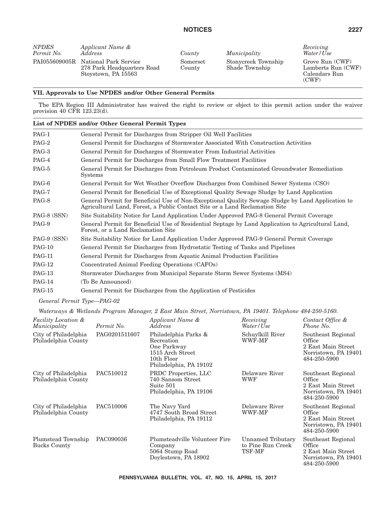| <i>NPDES</i> | Applicant Name &                                                                         |                    |
|--------------|------------------------------------------------------------------------------------------|--------------------|
| Permit No.   | Address                                                                                  | County             |
|              | PAI055609005R National Park Service<br>278 Park Headquarters Road<br>Stoystown, PA 15563 | Somerset<br>County |

*Address County Municipality* Stonycreek Township Shade Township

*Receiving Water/Use*

Grove Run (CWF) Lamberts Run (CWF) Calendars Run (CWF)

## **VII. Approvals to Use NPDES and/or Other General Permits**

The EPA Region III Administrator has waived the right to review or object to this permit action under the waiver provision 40 CFR 123.23(d).

# **List of NPDES and/or Other General Permit Types**

| PAG-1         | General Permit for Discharges from Stripper Oil Well Facilities                                                                                                                  |
|---------------|----------------------------------------------------------------------------------------------------------------------------------------------------------------------------------|
| PAG-2         | General Permit for Discharges of Stormwater Associated With Construction Activities                                                                                              |
| PAG-3         | General Permit for Discharges of Stormwater From Industrial Activities                                                                                                           |
| PAG-4         | General Permit for Discharges from Small Flow Treatment Facilities                                                                                                               |
| PAG-5         | General Permit for Discharges from Petroleum Product Contaminated Groundwater Remediation<br><b>Systems</b>                                                                      |
| PAG-6         | General Permit for Wet Weather Overflow Discharges from Combined Sewer Systems (CSO)                                                                                             |
| PAG-7         | General Permit for Beneficial Use of Exceptional Quality Sewage Sludge by Land Application                                                                                       |
| PAG-8         | General Permit for Beneficial Use of Non-Exceptional Quality Sewage Sludge by Land Application to<br>Agricultural Land, Forest, a Public Contact Site or a Land Reclamation Site |
| PAG-8 (SSN)   | Site Suitability Notice for Land Application Under Approved PAG-8 General Permit Coverage                                                                                        |
| PAG-9         | General Permit for Beneficial Use of Residential Septage by Land Application to Agricultural Land,<br>Forest, or a Land Reclamation Site                                         |
| PAG-9 (SSN)   | Site Suitability Notice for Land Application Under Approved PAG-9 General Permit Coverage                                                                                        |
| <b>PAG-10</b> | General Permit for Discharges from Hydrostatic Testing of Tanks and Pipelines                                                                                                    |
| <b>PAG-11</b> | General Permit for Discharges from Aquatic Animal Production Facilities                                                                                                          |
| <b>PAG-12</b> | Concentrated Animal Feeding Operations (CAFOs)                                                                                                                                   |
| $PAG-13$      | Stormwater Discharges from Municipal Separate Storm Sewer Systems (MS4)                                                                                                          |
| <b>PAG-14</b> | (To Be Announced)                                                                                                                                                                |
| <b>PAG-15</b> | General Permit for Discharges from the Application of Pesticides                                                                                                                 |

## *General Permit Type—PAG-02*

*Waterways & Wetlands Program Manager, 2 East Main Street, Norristown, PA 19401. Telephone 484-250-5160.*

| <b>Facility Location &amp;</b><br>Municipality | Permit No.    | Applicant Name &<br>Address                                                                                   | Receiving<br>Water/Use                           | Contact Office &<br>Phone No.                                                              |
|------------------------------------------------|---------------|---------------------------------------------------------------------------------------------------------------|--------------------------------------------------|--------------------------------------------------------------------------------------------|
| City of Philadelphia<br>Philadelphia County    | PAG0201511607 | Philadelphia Parks &<br>Recreation<br>One Parkway<br>1515 Arch Street<br>10th Floor<br>Philadelphia, PA 19102 | Schuylkill River<br>WWF-MF                       | Southeast Regional<br>Office<br>2 East Main Street<br>Norristown, PA 19401<br>484-250-5900 |
| City of Philadelphia<br>Philadelphia County    | PAC510012     | PRDC Properties, LLC<br>740 Sansom Street<br>Suite 501<br>Philadelphia, PA 19106                              | Delaware River<br><b>WWF</b>                     | Southeast Regional<br>Office<br>2 East Main Street<br>Norristown, PA 19401<br>484-250-5900 |
| City of Philadelphia<br>Philadelphia County    | PAC510006     | The Navy Yard<br>4747 South Broad Street<br>Philadelphia, PA 19112                                            | Delaware River<br>WWF-MF                         | Southeast Regional<br>Office<br>2 East Main Street<br>Norristown, PA 19401<br>484-250-5900 |
| Plumstead Township<br>Bucks County             | PAC090036     | Plumsteadville Volunteer Fire<br>Company<br>5064 Stump Road<br>Doylestown, PA 18902                           | Unnamed Tributary<br>to Pine Run Creek<br>TSF-MF | Southeast Regional<br>Office<br>2 East Main Street<br>Norristown, PA 19401<br>484-250-5900 |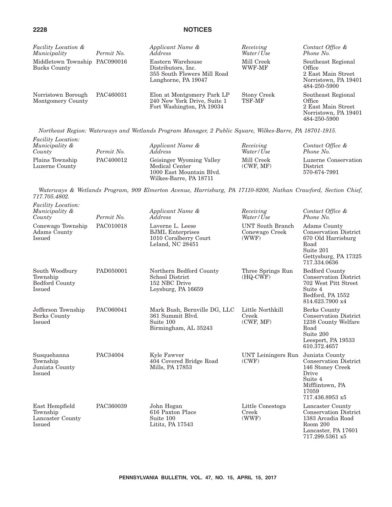| <b>Facility Location &amp;</b><br>Municipality | Permit No. | Applicant Name &<br><i>Address</i>                                                            | Receiving<br>Water/Use | Contact Office &<br>Phone No.                                                              |
|------------------------------------------------|------------|-----------------------------------------------------------------------------------------------|------------------------|--------------------------------------------------------------------------------------------|
| Middletown Township PAC090016<br>Bucks County  |            | Eastern Warehouse<br>Distributors, Inc.<br>355 South Flowers Mill Road<br>Langhorne, PA 19047 | Mill Creek<br>WWF-MF   | Southeast Regional<br>Office<br>2 East Main Street<br>Norristown, PA 19401<br>484-250-5900 |
| Norristown Borough<br>Montgomery County        | PAC460031  | Elon at Montgomery Park LP<br>240 New York Drive, Suite 1<br>Fort Washington, PA 19034        | Stony Creek<br>TSF-MF  | Southeast Regional<br>Office<br>2 East Main Street<br>Norristown, PA 19401<br>484-250-5900 |

*Northeast Region: Waterways and Wetlands Program Manager, 2 Public Square, Wilkes-Barre, PA 18701-1915.*

| <i>Facility Location:</i><br>Municipality &<br>County | Permit No. | Applicant Name &<br><i>Address</i>                                                               | Receiving<br>Water/Use  | Contact Office &<br>Phone No.                           |
|-------------------------------------------------------|------------|--------------------------------------------------------------------------------------------------|-------------------------|---------------------------------------------------------|
| Plains Township<br>Luzerne County                     | PAC400012  | Geisinger Wyoming Valley<br>Medical Center<br>1000 East Mountain Blvd.<br>Wilkes-Barre, PA 18711 | Mill Creek<br>(CWF, MF) | Luzerne Conservation<br><b>District</b><br>570-674-7991 |

*Waterways & Wetlands Program, 909 Elmerton Avenue, Harrisburg, PA 17110-8200, Nathan Crawford, Section Chief, 717.705.4802.*

| <i>Facility Location:</i><br>Municipality &<br>County         | Permit No. | Applicant Name &<br>Address                                                              | Receiving<br>Water/Use                             | Contact Office &<br>Phone No.                                                                                                         |
|---------------------------------------------------------------|------------|------------------------------------------------------------------------------------------|----------------------------------------------------|---------------------------------------------------------------------------------------------------------------------------------------|
| Conewago Township<br>Adams County<br>Issued                   | PAC010018  | Laverne L. Leese<br><b>BJML</b> Enterprises<br>1010 Coralberry Court<br>Leland, NC 28451 | <b>UNT</b> South Branch<br>Conewago Creek<br>(WWF) | Adams County<br><b>Conservation District</b><br>670 Old Harrisburg<br>Road<br>Suite 201<br>Gettysburg, PA 17325<br>717.334.0636       |
| South Woodbury<br>Township<br><b>Bedford County</b><br>Issued | PAD050001  | Northern Bedford County<br><b>School District</b><br>152 NBC Drive<br>Loysburg, PA 16659 | Three Springs Run<br>$(HQ-CWF)$                    | <b>Bedford County</b><br><b>Conservation District</b><br>702 West Pitt Street<br>Suite 4<br>Bedford, PA 1552<br>814.623.7900 x4       |
| Jefferson Township<br>Berks County<br>Issued                  | PAC060041  | Mark Bush, Bernville DG, LLC<br>361 Summit Blvd.<br>Suite 100<br>Birmingham, AL 35243    | Little Northkill<br>Creek<br>(CWF, MF)             | <b>Berks County</b><br><b>Conservation District</b><br>1238 County Welfare<br>Road<br>Suite 200<br>Leesport, PA 19533<br>610.372.4657 |
| Susquehanna<br>Township<br>Juniata County<br><b>Issued</b>    | PAC34004   | Kyle Fawver<br>404 Covered Bridge Road<br>Mills, PA 17853                                | UNT Leiningers Run<br>(CWF)                        | Juniata County<br><b>Conservation District</b><br>146 Stoney Creek<br>Drive<br>Suite 4<br>Mifflintown, PA<br>17059<br>717.436.8953 x5 |
| East Hempfield<br>Township<br>Lancaster County<br>Issued      | PAC360039  | John Hogan<br>616 Paxton Place<br>Suite 100<br>Lititz, PA 17543                          | Little Conestoga<br>Creek<br>(WWF)                 | Lancaster County<br><b>Conservation District</b><br>1383 Arcadia Road<br>Room 200<br>Lancaster, PA 17601<br>717.299.5361 x5           |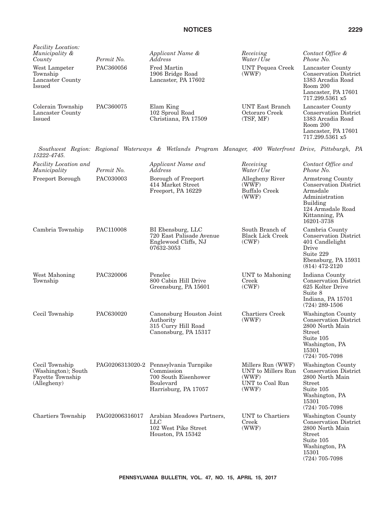| <i>Facility Location:</i><br>Municipality &<br>County                    | Permit No.     | Applicant Name &<br>Address                                                                                             | Receiving<br>Water/Use                                                       | Contact Office &<br>Phone No.                                                                                                                       |
|--------------------------------------------------------------------------|----------------|-------------------------------------------------------------------------------------------------------------------------|------------------------------------------------------------------------------|-----------------------------------------------------------------------------------------------------------------------------------------------------|
| West Lampeter<br>Township<br>Lancaster County<br>Issued                  | PAC360056      | <b>Fred Martin</b><br>1906 Bridge Road<br>Lancaster, PA 17602                                                           | <b>UNT Pequea Creek</b><br>(WWF)                                             | Lancaster County<br><b>Conservation District</b><br>1383 Arcadia Road<br>Room 200<br>Lancaster, PA 17601<br>717.299.5361 x5                         |
| Colerain Township<br>Lancaster County<br><b>Issued</b>                   | PAC360075      | Elam King<br>102 Sproul Road<br>Christiana, PA 17509                                                                    | UNT East Branch<br>Octoraro Creek<br>(TSF, MF)                               | Lancaster County<br><b>Conservation District</b><br>1383 Arcadia Road<br>Room 200<br>Lancaster, PA 17601<br>717.299.5361 x5                         |
| 15222-4745.                                                              |                | Southwest Region: Regional Waterways & Wetlands Program Manager, 400 Waterfront Drive, Pittsburgh, PA                   |                                                                              |                                                                                                                                                     |
| Facility Location and<br>Municipality                                    | Permit No.     | Applicant Name and<br>Address                                                                                           | Receiving<br>Water/Use                                                       | Contact Office and<br>Phone No.                                                                                                                     |
| Freeport Borough                                                         | PAC030003      | Borough of Freeport<br>414 Market Street<br>Freeport, PA 16229                                                          | Allegheny River<br>(WWF)<br><b>Buffalo Creek</b><br>(WWF)                    | Armstrong County<br><b>Conservation District</b><br>Armsdale<br>Administration<br>Building<br>124 Armsdale Road<br>Kittanning, PA<br>16201-3738     |
| Cambria Township                                                         | PAC110008      | BI Ebensburg, LLC<br>720 East Palisade Avenue<br>Englewood Cliffs, NJ<br>07632-3053                                     | South Branch of<br><b>Black Lick Creek</b><br>(CWF)                          | Cambria County<br><b>Conservation District</b><br>401 Candlelight<br>Drive<br>Suite 229<br>Ebensburg, PA 15931<br>$(814)$ 472-2120                  |
| West Mahoning<br>Township                                                | PAC320006      | Penelec<br>800 Cabin Hill Drive<br>Greensburg, PA 15601                                                                 | UNT to Mahoning<br>Creek<br>(CWF)                                            | Indiana County<br>Conservation District<br>625 Kolter Drive<br>Suite 8<br>Indiana, PA 15701<br>$(724)$ 289-1506                                     |
| Cecil Township                                                           | PAC630020      | Canonsburg Houston Joint<br>Authority<br>315 Curry Hill Road<br>Canonsburg, PA 15317                                    | <b>Chartiers Creek</b><br>(WWF)                                              | Washington County<br><b>Conservation District</b><br>2800 North Main<br>Street<br>Suite 105<br>Washington, PA<br>15301<br>$(724)$ $705-7098$        |
| Cecil Township<br>(Washington); South<br>Fayette Township<br>(Allegheny) |                | PAG0206313020-2 Pennsylvania Turnpike<br>Commission<br>700 South Eisenhower<br><b>Boulevard</b><br>Harrisburg, PA 17057 | Millers Run (WWF)<br>UNT to Millers Run<br>(WWF)<br>UNT to Coal Run<br>(WWF) | Washington County<br><b>Conservation District</b><br>2800 North Main<br><b>Street</b><br>Suite 105<br>Washington, PA<br>15301<br>$(724)$ 705-7098   |
| Chartiers Township                                                       | PAG02006316017 | Arabian Meadows Partners,<br><b>LLC</b><br>102 West Pike Street<br>Houston, PA 15342                                    | UNT to Chartiers<br>Creek<br>(WWF)                                           | Washington County<br><b>Conservation District</b><br>2800 North Main<br><b>Street</b><br>Suite 105<br>Washington, PA<br>15301<br>$(724)$ $705-7098$ |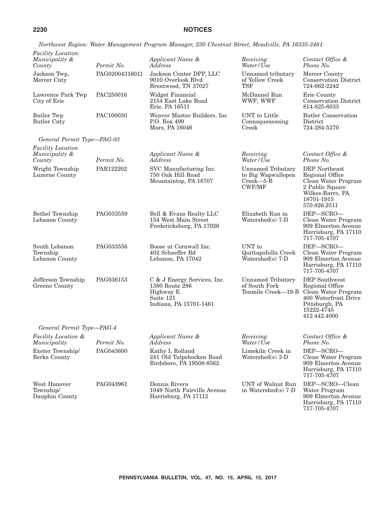*Northwest Region: Water Management Program Manager, 230 Chestnut Street, Meadville, PA 16335-3481.*

| Facility Location:<br>Municipality &<br>County       | Permit No.     | Applicant Name &<br>Address                                                                       | Receiving<br>Water/Use                                                          | Contact Office &<br>Phone No.                                                                                                                             |
|------------------------------------------------------|----------------|---------------------------------------------------------------------------------------------------|---------------------------------------------------------------------------------|-----------------------------------------------------------------------------------------------------------------------------------------------------------|
| Jackson Twp,<br>Mercer Cnty                          | PAG02004316011 | Jackson Center DPP, LLC<br>9010 Overlook Blvd<br>Brentwood, TN 37027                              | Unnamed tributary<br>of Yellow Creek<br><b>TSF</b>                              | Mercer County<br><b>Conservation District</b><br>724-662-2242                                                                                             |
| Lawrence Park Twp<br>City of Erie                    | PAC250016      | Widget Financial<br>2154 East Lake Road<br>Erie, PA 16511                                         | McDannel Run<br>WWF; WWF                                                        | Erie County<br><b>Conservation District</b><br>814-825-6033                                                                                               |
| <b>Butler Twp</b><br><b>Butler Cnty</b>              | PAC100030      | Weaver Master Builders, Inc<br>P.O. Box 499<br>Mars, PA 16046                                     | UNT to Little<br>Connoquenessing<br>Creek                                       | <b>Butler Conservation</b><br>District<br>724-284-5270                                                                                                    |
| General Permit Type-PAG-03                           |                |                                                                                                   |                                                                                 |                                                                                                                                                           |
| <b>Facility Location</b><br>Municipality &<br>County | Permit No.     | Applicant Name &<br>Address                                                                       | Receiving<br>Water/Use                                                          | Contact Office &<br>Phone No.                                                                                                                             |
| Wright Township<br>Luzerne County                    | PAR122202      | SVC Manufacturing Inc.<br>750 Oak Hill Road<br>Mountaintop, PA 18707                              | <b>Unnamed Tributary</b><br>to Big Wapwallopen<br>$Creek$ -5-B<br><b>CWF/MF</b> | DEP Northeast<br>Regional Office<br>Clean Water Program<br>2 Public Square<br>Wilkes-Barre, PA<br>18701-1915<br>570.826.2511                              |
| <b>Bethel Township</b><br>Lebanon County             | PAG033559      | Bell & Evans Realty LLC<br>154 West Main Street<br>Fredericksburg, PA 17026                       | Elizabeth Run in<br>Watershed $(s)$ 7-D                                         | DEP-SCRO-<br>Clean Water Program<br>909 Elmerton Avenue<br>Harrisburg, PA 17110<br>717-705-4707                                                           |
| South Lebanon<br>Township<br>Lebanon County          | PAG033556      | Boose at Cornwall Inc.<br>402 Schaeffer Rd<br>Lebanon, PA 17042                                   | UNT to<br>Quittapahilla Creek<br>Watershed $(s)$ 7-D                            | DEP-SCRO-<br>Clean Water Program<br>909 Elmerton Avenue<br>Harrisburg, PA 17110<br>717-705-4707                                                           |
| Jefferson Township<br>Greene County                  | PAG036153      | C & J Energy Services, Inc.<br>1380 Route 286<br>Highway E<br>Suite 121<br>Indiana, PA 15701-1461 | Unnamed Tributary<br>of South Fork                                              | <b>DEP</b> Southwest<br>Regional Office<br>Tenmile Creek-19-B Clean Water Program<br>400 Waterfront Drive<br>Pittsburgh, PA<br>15222-4745<br>412.442.4000 |
| General Permit Type-PAG-4                            |                |                                                                                                   |                                                                                 |                                                                                                                                                           |
| Facility Location &<br>Municipality                  | Permit No.     | Applicant Name &<br>Address                                                                       | Receiving<br>Water/Use                                                          | Contact Office &<br>Phone No.                                                                                                                             |
| Exeter Township/<br>Berks County                     | PAG043600      | Kathy L Rolland<br>241 Old Tulpehocken Road<br>Birdsboro, PA 19508-8562                           | Limekiln Creek in<br>Watershed $(s)$ 3-D                                        | DEP-SCRO-<br>Clean Water Program<br>909 Elmerton Avenue<br>Harrisburg, PA 17110<br>717-705-4707                                                           |
| West Hanover<br>Township/<br>Dauphin County          | PAG043961      | Dennis Rivera<br>1049 North Fairville Avenue<br>Harrisburg, PA 17112                              | UNT of Walnut Run<br>in Watershed(s) $7-D$                                      | DEP-SCRO-Clean<br>Water Program<br>909 Elmerton Avenue<br>Harrisburg, PA 17110                                                                            |

717-705-4707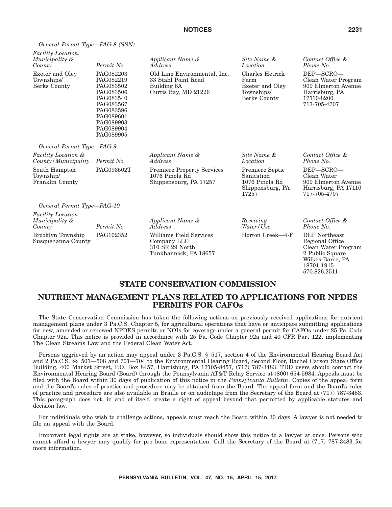*Applicant Name &*

33 Stahl Point Road

Curtis Bay, MD 21226

*Address*

Building 6A

*Facility Location: Municipality & County Permit No.* Exeter and Oley Townships/ Berks County PAG082203

PAG082219 PAG083502 PAG083506 PAG083540 PAG083567 PAG083596 PAG089601 PAG089903 PAG089904 PAG089905

*Applicant Name & Address* PAG093502T Premiere Property Services 1076 Pinola Rd Shippensburg, PA 17257

*Site Name & Location* Old Line Environmental, Inc. Farm Townships/

Charles Hetrick Exeter and Oley Berks County

*Contact Office & Phone No.*

DEP—SCRO— Clean Water Program 909 Elmerton Avenue Harrisburg, PA 17110-8200 717-705-4707

*Contact Office & Phone No.* DEP—SCRO— Clean Water 909 Elmerton Avenue Harrisburg, PA 17110 717-705-4707

*General Permit Type—PAG-10*

*General Permit Type—PAG-9*

*County/Municipality Permit No.*

*Facility Location &*

South Hampton Township/ Franklin County

*Facility Location Municipality &* Permit No. Brooklyn Township Susquehanna County

*Applicant Name & Address* PAG102352 Williams Field Services Company LLC 310 SR 29 North Tunkhannock, PA 18657 *Receiving Water/Use*

17257

*Site Name & Location*

Premiere Septic Sanitation 1076 Pinola Rd Shippensburg, PA

Horton Creek—4-F DEP Northeast

*Contact Office & Phone No.*

Regional Office Clean Water Program 2 Public Square Wilkes-Barre, PA 18701-1915 570.826.2511

## **STATE CONSERVATION COMMISSION**

# **NUTRIENT MANAGEMENT PLANS RELATED TO APPLICATIONS FOR NPDES PERMITS FOR CAFOs**

The State Conservation Commission has taken the following actions on previously received applications for nutrient management plans under 3 Pa.C.S. Chapter 5, for agricultural operations that have or anticipate submitting applications for new, amended or renewed NPDES permits or NOIs for coverage under a general permit for CAFOs under 25 Pa. Code Chapter 92a. This notice is provided in accordance with 25 Pa. Code Chapter 92a and 40 CFR Part 122, implementing The Clean Streams Law and the Federal Clean Water Act.

Persons aggrieved by an action may appeal under 3 Pa.C.S. § 517, section 4 of the Environmental Hearing Board Act and 2 Pa.C.S. §§ 501—508 and 701—704 to the Environmental Hearing Board, Second Floor, Rachel Carson State Office Building, 400 Market Street, P.O. Box 8457, Harrisburg, PA 17105-8457, (717) 787-3483. TDD users should contact the Environmental Hearing Board (Board) through the Pennsylvania AT&T Relay Service at (800) 654-5984. Appeals must be filed with the Board within 30 days of publication of this notice in the *Pennsylvania Bulletin*. Copies of the appeal form and the Board's rules of practice and procedure may be obtained from the Board. The appeal form and the Board's rules of practice and procedure are also available in Braille or on audiotape from the Secretary of the Board at (717) 787-3483. This paragraph does not, in and of itself, create a right of appeal beyond that permitted by applicable statutes and decision law.

For individuals who wish to challenge actions, appeals must reach the Board within 30 days. A lawyer is not needed to file an appeal with the Board.

Important legal rights are at stake, however, so individuals should show this notice to a lawyer at once. Persons who cannot afford a lawyer may qualify for pro bono representation. Call the Secretary of the Board at (717) 787-3483 for more information.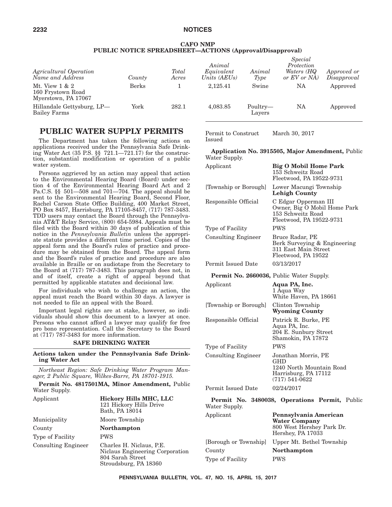## **CAFO NMP PUBLIC NOTICE SPREADSHEET—ACTIONS (Approval/Disapproval)**

| Agricultural Operation<br>Name and Address                   | County       | Total<br>Acres | Animal<br>Equivalent<br>Units (AEUs) | Animal<br>Type     | Special<br>Protection<br>Waters (HQ<br>or EV or NA | Approved or<br>Disapproval |
|--------------------------------------------------------------|--------------|----------------|--------------------------------------|--------------------|----------------------------------------------------|----------------------------|
| Mt. View $1 & 2$<br>160 Frystown Road<br>Myerstown, PA 17067 | <b>Berks</b> |                | 2.125.41                             | Swine              | NA                                                 | Approved                   |
| Hillandale Gettysburg, LP-<br>Bailey Farms                   | York         | 282.1          | 4,083.85                             | Poultry-<br>Layers | <b>NA</b>                                          | Approved                   |

# **PUBLIC WATER SUPPLY PERMITS**

The Department has taken the following actions on applications received under the Pennsylvania Safe Drinking Water Act (35 P.S. §§ 721.1—721.17) for the construction, substantial modification or operation of a public water system.

Persons aggrieved by an action may appeal that action to the Environmental Hearing Board (Board) under section 4 of the Environmental Hearing Board Act and 2 Pa.C.S. §§ 501—508 and 701—704. The appeal should be sent to the Environmental Hearing Board, Second Floor, Rachel Carson State Office Building, 400 Market Street, PO Box 8457, Harrisburg, PA 17105-8457, (717) 787-3483. TDD users may contact the Board through the Pennsylvania AT&T Relay Service, (800) 654-5984. Appeals must be filed with the Board within 30 days of publication of this notice in the *Pennsylvania Bulletin* unless the appropriate statute provides a different time period. Copies of the appeal form and the Board's rules of practice and procedure may be obtained from the Board. The appeal form and the Board's rules of practice and procedure are also available in Braille or on audiotape from the Secretary to the Board at (717) 787-3483. This paragraph does not, in and of itself, create a right of appeal beyond that permitted by applicable statutes and decisional law.

For individuals who wish to challenge an action, the appeal must reach the Board within 30 days. A lawyer is not needed to file an appeal with the Board.

Important legal rights are at stake, however, so individuals should show this document to a lawyer at once. Persons who cannot afford a lawyer may qualify for free pro bono representation. Call the Secretary to the Board at (717) 787-3483 for more information.

## **SAFE DRINKING WATER**

**Actions taken under the Pennsylvania Safe Drinking Water Act**

*Northeast Region: Safe Drinking Water Program Manager, 2 Public Square, Wilkes-Barre, PA 18701-1915.*

**Permit No. 4817501MA, Minor Amendment,** Public Water Supply.

| Applicant           | Hickory Hills MHC, LLC<br>121 Hickory Hills Drive<br>Bath, PA 18014                                      |
|---------------------|----------------------------------------------------------------------------------------------------------|
| Municipality        | Moore Township                                                                                           |
| County              | <b>Northampton</b>                                                                                       |
| Type of Facility    | <b>PWS</b>                                                                                               |
| Consulting Engineer | Charles H. Niclaus, P.E.<br>Niclaus Engineering Corporation<br>804 Sarah Street<br>Stroudsburg, PA 18360 |

Permit to Construct Issued March 30, 2017

**Application No. 3915505, Major Amendment,** Public Water Supply.

| Applicant                  | <b>Big O Mobil Home Park</b><br>153 Schweitz Road<br>Fleetwood, PA 19522-9731                               |
|----------------------------|-------------------------------------------------------------------------------------------------------------|
| [Township or Borough]      | Lower Macungi Township<br>Lehigh County                                                                     |
| Responsible Official       | C Edgar Opperman III<br>Owner, Big O Mobil Home Park<br>153 Schweitz Road<br>Fleetwood, PA 19522-9731       |
| Type of Facility           | <b>PWS</b>                                                                                                  |
| Consulting Engineer        | Bruce Radar, PE<br>Berk Surveying & Engineering<br>311 East Main Street<br>Fleetwood, PA 19522              |
| Permit Issued Date         | 03/13/2017                                                                                                  |
|                            | <b>Permit No. 2660036, Public Water Supply.</b>                                                             |
|                            |                                                                                                             |
| Applicant                  | Aqua PA, Inc.<br>1 Aqua Way<br>White Haven, PA 18661                                                        |
| [Township or Borough]      | Clinton Township<br><b>Wyoming County</b>                                                                   |
| Responsible Official       | Patrick R. Burke, PE<br>Aqua PA, Inc.<br>204 E. Sunbury Street<br>Shamokin, PA 17872                        |
| Type of Facility           | <b>PWS</b>                                                                                                  |
| <b>Consulting Engineer</b> | Jonathan Morris, PE<br><b>GHD</b><br>1240 North Mountain Road<br>Harrisburg, PA 17112<br>$(717) 541 - 0622$ |
| Permit Issued Date         | 02/24/2017                                                                                                  |

**Permit No. 3480038, Operations Permit,** Public Water Supply. Applicant **Pennsylvania American Water Company**

|                       | 800 West Hershey Park Dr.<br>Hershey, PA 17033 |
|-----------------------|------------------------------------------------|
| [Borough or Township] | Upper Mt. Bethel Township                      |
| County                | <b>Northampton</b>                             |
| Type of Facility      | <b>PWS</b>                                     |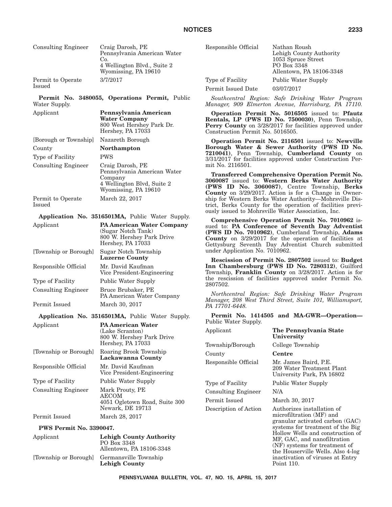|                             | NOTI                                                                                                             |
|-----------------------------|------------------------------------------------------------------------------------------------------------------|
| <b>Consulting Engineer</b>  | Craig Darosh, PE<br>Pennsylvania American Water<br>Co.<br>4 Wellington Blvd., Suite 2<br>Wyomissing, PA 19610    |
| Permit to Operate<br>Issued | 3/7/2017                                                                                                         |
| Permit No.<br>Water Supply. | 3480055, Operations Permit, Public                                                                               |
| Applicant                   | Pennsylvania American<br><b>Water Company</b><br>800 West Hershey Park Dr.<br>Hershey, PA 17033                  |
| [Borough or Township]       | Nazareth Borough                                                                                                 |
| County                      | <b>Northampton</b>                                                                                               |
| Type of Facility            | <b>PWS</b>                                                                                                       |
| <b>Consulting Engineer</b>  | Craig Darosh, PE<br>Pennsylvania American Water<br>Company<br>4 Wellington Blvd, Suite 2<br>Wyomissing, PA 19610 |
| Permit to Operate<br>Issued | March 22, 2017                                                                                                   |
|                             | Application No. 3516501MA, Public Water Supply.                                                                  |
| Applicant                   | <b>PA American Water Company</b><br>(Sugar Notch Tank)<br>800 W. Hershey Park Drive<br>Hershey, PA 17033         |
| [Township or Borough]       | Sugar Notch Township<br><b>Luzerne County</b>                                                                    |
| Responsible Official        | Mr. David Kaufman<br>Vice President-Engineering                                                                  |
| Type of Facility            | Public Water Supply                                                                                              |
| <b>Consulting Engineer</b>  | Bruce Brubaker, PE<br>PA American Water Company                                                                  |
| Permit Issued               | March 30, 2017                                                                                                   |
|                             | Application No. 3516501MA, Public Water Supply.                                                                  |
| Applicant                   | <b>PA American Water</b>                                                                                         |
|                             | (Lake Scranton)<br>800 W. Hershey Park Drive<br>Hershey, PA 17033                                                |
| [Township or Borough]       | Roaring Brook Township                                                                                           |

**Lackawanna County**

Newark, DE 19713

Vice President-Engineering

4051 Ogletown Road, Suite 300

Responsible Official Mr. David Kaufman

Type of Facility Public Water Supply Consulting Engineer Mark Prouty, PE

Permit Issued March 28, 2017

AECOM

| Responsible Official | Nathan Roush<br>Lehigh County Authority<br>1053 Spruce Street<br>PO Box 3348<br>Allentown, PA 18106-3348 |
|----------------------|----------------------------------------------------------------------------------------------------------|
| Type of Facility     | Public Water Supply                                                                                      |
| Permit Issued Date   | 03/07/2017                                                                                               |

*Southcentral Region: Safe Drinking Water Program Manager, 909 Elmerton Avenue, Harrisburg, PA 17110.*

**Operation Permit No. 5016505** issued to: **Pfautz Rentals, LP (PWS ID No. 7500030)**, Penn Township, Perry County on  $3/28/2017$  for facilities approved under Construction Permit No. 5016505.

**Operation Permit No. 2116501** issued to: **Newville Borough Water & Sewer Authority (PWS ID No. 7210041)**, Penn Township, **Cumberland County** on 3/31/2017 for facilities approved under Construction Permit No. 2116501.

**Transferred Comprehensive Operation Permit No. 3060087** issued to: **Western Berks Water Authority (PWS ID No. 3060087)**, Centre Township, **Berks County** on 3/29/2017. Action is for a Change in Ownership for Western Berks Water Authority—Mohrsville District, Berks County for the operation of facilities previously issued to Mohrsville Water Association, Inc.

**Comprehensive Operation Permit No. 7010962** issued to: **PA Conference of Seventh Day Adventist (PWS ID No. 7010962)**, Cumberland Township, **Adams County** on 3/29/2017 for the operation of facilities at Gettysburg Seventh Day Adventist Church submitted under Application No. 7010962.

**Rescission of Permit No. 2807502** issued to: **Budget Inn Chambersburg (PWS ID No. 7280312)**, Guilford Township, **Franklin County** on 3/28/2017. Action is for the rescission of facilities approved under Permit No. 2807502.

*Northcentral Region: Safe Drinking Water Program Manager, 208 West Third Street, Suite 101, Williamsport, PA 17701-6448.*

**Permit No. 1414505 and MA-GWR—Operation—** Public Water Supply.

| Applicant                  | The Pennsylvania State<br>University                                                                                                                                                                                                                                                                                     |
|----------------------------|--------------------------------------------------------------------------------------------------------------------------------------------------------------------------------------------------------------------------------------------------------------------------------------------------------------------------|
| Township/Borough           | College Township                                                                                                                                                                                                                                                                                                         |
| County                     | Centre                                                                                                                                                                                                                                                                                                                   |
| Responsible Official       | Mr. James Baird, P.E.<br>209 Water Treatment Plant<br>University Park, PA 16802                                                                                                                                                                                                                                          |
| Type of Facility           | <b>Public Water Supply</b>                                                                                                                                                                                                                                                                                               |
| <b>Consulting Engineer</b> | N/A                                                                                                                                                                                                                                                                                                                      |
| Permit Issued              | March 30, 2017                                                                                                                                                                                                                                                                                                           |
| Description of Action      | Authorizes installation of<br>microfiltration (MF) and<br>granular activated carbon (GAC)<br>systems for treatment of the Big<br>Hollow Wells and construction of<br>MF, GAC, and nanofiltration<br>(NF) systems for treatment of<br>the Houserville Wells. Also 4-log<br>inactivation of viruses at Entry<br>Point 110. |

# **PWS Permit No. 3390047.**

| Applicant | <b>Lehigh County Authority</b><br>PO Box 3348<br>Allentown, PA 18106-3348 | Hollow Wel<br>MF, GAC, $\varepsilon$<br>$(NF)$ system<br>the Houser<br>inactivation<br>Point 110. |
|-----------|---------------------------------------------------------------------------|---------------------------------------------------------------------------------------------------|
|           | [Township or Borough] Germansville Township<br>Lehigh County              |                                                                                                   |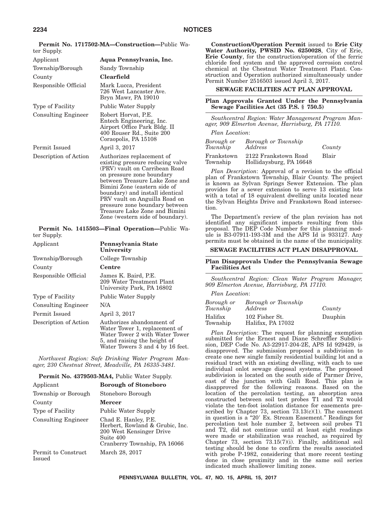| ter Supply.                |                                                                                                                                                                                                                                                                                                                                                                          |
|----------------------------|--------------------------------------------------------------------------------------------------------------------------------------------------------------------------------------------------------------------------------------------------------------------------------------------------------------------------------------------------------------------------|
| Applicant                  | Aqua Pennsylvania, Inc.                                                                                                                                                                                                                                                                                                                                                  |
| Township/Borough           | Sandy Township                                                                                                                                                                                                                                                                                                                                                           |
| County                     | <b>Clearfield</b>                                                                                                                                                                                                                                                                                                                                                        |
| Responsible Official       | Mark Lucca, President<br>726 West Lancaster Ave.<br>Bryn Mawr, PA 19010                                                                                                                                                                                                                                                                                                  |
| Type of Facility           | Public Water Supply                                                                                                                                                                                                                                                                                                                                                      |
| <b>Consulting Engineer</b> | Robert Horvat, P.E.<br>Entech Engineering, Inc.<br>Airport Office Park Bldg. II<br>400 Rouser Rd., Suite 200<br>Coraopolis, PA 15108                                                                                                                                                                                                                                     |
| Permit Issued              | April 3, 2017                                                                                                                                                                                                                                                                                                                                                            |
| Description of Action      | Authorizes replacement of<br>existing pressure reducing valve<br>(PRV) vault on Carribean Road<br>on pressure zone boundary<br>between Treasure Lake Zone and<br>Bimini Zone (eastern side of<br>boundary) and install identical<br>PRV vault on Anguilla Road on<br>pressure zone boundary between<br>Treasure Lake Zone and Bimini<br>Zone (western side of boundary). |

**Permit No. 1717502-MA—Construction—**Public Wa-

**Permit No. 1415503—Final Operation—**Public Water Supply.

| Applicant                  | Pennsylvania State<br>University                                                                                                                                 |
|----------------------------|------------------------------------------------------------------------------------------------------------------------------------------------------------------|
| Township/Borough           | College Township                                                                                                                                                 |
| County                     | Centre                                                                                                                                                           |
| Responsible Official       | James K. Baird, P.E.<br>209 Water Treatment Plant<br>University Park, PA 16802                                                                                   |
| Type of Facility           | Public Water Supply                                                                                                                                              |
| <b>Consulting Engineer</b> | N/A                                                                                                                                                              |
| Permit Issued              | April 3, 2017                                                                                                                                                    |
| Description of Action      | Authorizes abandonment of<br>Water Tower 1, replacement of<br>Water Tower 2 with Water Tower<br>5, and raising the height of<br>Water Towers 3 and 4 by 16 feet. |

*Northwest Region: Safe Drinking Water Program Manager, 230 Chestnut Street, Meadville, PA 16335-3481.*

## **Permit No. 4379503-MA4,** Public Water Supply.

| Applicant                     | <b>Borough of Stoneboro</b>                                                                                                      |
|-------------------------------|----------------------------------------------------------------------------------------------------------------------------------|
| Township or Borough           | Stoneboro Borough                                                                                                                |
| County                        | <b>Mercer</b>                                                                                                                    |
| Type of Facility              | Public Water Supply                                                                                                              |
| <b>Consulting Engineer</b>    | Chad E. Hanley, P.E.<br>Herbert, Rowland & Grubic, Inc.<br>200 West Kensinger Drive<br>Suite 400<br>Cranberry Township, PA 16066 |
| Permit to Construct<br>Issued | March 28, 2017                                                                                                                   |

**Construction/Operation Permit** issued to **Erie City Water Authority, PWSID No. 6250028**, City of Erie, **Erie County**, for the construction/operation of the ferric chloride feed system and the approved corrosion control chemical at the Chestnut Water Treatment Plant. Construction and Operation authorized simultaneously under Permit Number 2516503 issued April 3, 2017.

## **SEWAGE FACILITIES ACT PLAN APPROVAL**

## **Plan Approvals Granted Under the Pennsylvania Sewage Facilities Act (35 P.S. § 750.5)**

*Southcentral Region: Water Management Program Manager, 909 Elmerton Avenue, Harrisburg, PA 17110.*

*Plan Location*:

| Borough or<br>Township | Borough or Township<br>Address                  | County |
|------------------------|-------------------------------------------------|--------|
| Frankstown<br>Township | 2122 Frankstown Road<br>Hollidaysburg, PA 16648 | Blair  |

*Plan Description*: Approval of a revision to the official plan of Frankstown Township, Blair County. The project is known as Sylvan Springs Sewer Extension. The plan provides for a sewer extension to serve 13 existing lots with a total of 18 equivalent dwelling units located near the Sylvan Heights Drive and Frankstown Road intersection.

The Department's review of the plan revision has not identified any significant impacts resulting from this proposal. The DEP Code Number for this planning module is B3-07911-193-3M and the APS Id is 933127. Any permits must be obtained in the name of the municipality.

## **SEWAGE FACILITIES ACT PLAN DISAPPROVAL**

## **Plan Disapprovals Under the Pennsylvania Sewage Facilities Act**

*Southcentral Region: Clean Water Program Manager, 909 Elmerton Avenue, Harrisburg, PA 17110.*

*Plan Location*:

| Borough or<br>Township | Borough or Township<br>Address      | County  |
|------------------------|-------------------------------------|---------|
| Halifax<br>Township    | 102 Fisher St.<br>Halifax, PA 17032 | Dauphin |

*Plan Description*: The request for planning exemption submitted for the Ernest and Diane Schreffler Subdivision, DEP Code No. A3-22917-204-2E, APS Id 929429, is disapproved. The submission proposed a subdivision to create one new single family residential building lot and a residual tract with an existing dwelling, with each to use individual onlot sewage disposal systems. The proposed subdivision is located on the south side of Parmer Drive, east of the junction with Galli Road. This plan is disapproved for the following reasons. Based on the location of the percolation testing, an absorption area constructed between soil test probes T1 and T2 would violate the ten-foot isolation distance for easements prescribed by Chapter 73, section 73.13(c)(1). The easement in question is a "20' Ex. Stream Easement." Readings for percolation test hole number 2, between soil probes T1 and T2, did not continue until at least eight readings were made or stabilization was reached, as required by Chapter 73, section 73.15(7)(i). Finally, additional soil testing should be done to confirm the results associated with probe P-1982, considering that more recent testing done in close proximity and in the same soil series indicated much shallower limiting zones.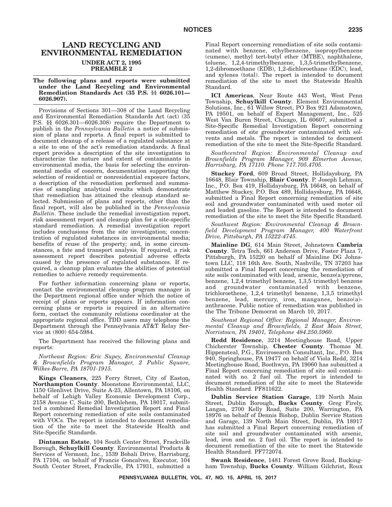# **LAND RECYCLING AND ENVIRONMENTAL REMEDIATION UNDER ACT 2, 1995**

**PREAMBLE 2**

#### **The following plans and reports were submitted under the Land Recycling and Environmental Remediation Standards Act (35 P.S. §§ 6026.101— 6026.907).**

Provisions of Sections 301—308 of the Land Recycling and Environmental Remediation Standards Act (act) (35 P.S. §§ 6026.301—6026.308) require the Department to publish in the *Pennsylvania Bulletin* a notice of submission of plans and reports. A final report is submitted to document cleanup of a release of a regulated substance at a site to one of the act's remediation standards. A final report provides a description of the site investigation to characterize the nature and extent of contaminants in environmental media, the basis for selecting the environmental media of concern, documentation supporting the selection of residential or nonresidential exposure factors, a description of the remediation performed and summaries of sampling analytical results which demonstrate that remediation has attained the cleanup standard selected. Submission of plans and reports, other than the final report, will also be published in the *Pennsylvania Bulletin*. These include the remedial investigation report, risk assessment report and cleanup plan for a site-specific standard remediation. A remedial investigation report includes conclusions from the site investigation; concentration of regulated substances in environmental media; benefits of reuse of the property; and, in some circumstances, a fate and transport analysis. If required, a risk assessment report describes potential adverse effects caused by the presence of regulated substances. If required, a cleanup plan evaluates the abilities of potential remedies to achieve remedy requirements.

For further information concerning plans or reports, contact the environmental cleanup program manager in the Department regional office under which the notice of receipt of plans or reports appears. If information concerning plans or reports is required in an alternative form, contact the community relations coordinator at the appropriate regional office. TDD users may telephone the Department through the Pennsylvania AT&T Relay Service at (800) 654-5984.

The Department has received the following plans and reports:

*Northeast Region: Eric Supey, Environmental Cleanup & Brownfields Program Manager, 2 Public Square, Wilkes-Barre, PA 18701-1915.*

**Kings Cleaners**, 225 Ferry Street, City of Easton, **Northampton County**. Moonstone Environmental, LLC, 1150 Glenlivet Drive, Suite A-23, Allentown, PA 18106, on behalf of Lehigh Valley Economic Development Corp., 2158 Avenue C, Suite 200, Bethlehem, PA 18017, submitted a combined Remedial Investigation Report and Final Report concerning remediation of site soils contaminated with VOCs. The report is intended to document remediation of the site to meet the Statewide Health and Site-Specific Standards.

**Dintaman Estate**, 104 South Center Street, Frackville Borough, **Schuylkill County**. Environmental Products & Services of Vermont, Inc., 1539 Bobali Drive, Harrisburg, PA 17104, on behalf of Francis Goncalves, Executor, 104 South Center Street, Frackville, PA 17931, submitted a Final Report concerning remediation of site soils contaminated with benzene, ethylbenzene, isopropylbenzene (cumene), methyl tert-butyl ether (MTBE), naphthalene, toluene, 1,2,4-trimethylbenzene, 1,3,5-trimethylbenzene, 1,2-dibromoethane (EDB), 1,2-dichloroethane (EDC), lead, and xylenes (total). The report is intended to document remediation of the site to meet the Statewide Health Standard.

**ICI Americas**, Near Route 443 West, West Penn Township, **Schuylkill County**. Element Environmental Solutions, Inc., 61 Willow Street, PO Box 921 Adamstown, PA 19501, on behalf of Expert Management, Inc., 525 West Van Buren Street, Chicago, IL 60607, submitted a Site-Specific Remedial Investigation Report concerning remediation of site groundwater contaminated with solvents and metals. The report is intended to document remediation of the site to meet the Site-Specific Standard.

*Southcentral Region: Environmental Cleanup and Brownfields Program Manager, 909 Elmerton Avenue, Harrisburg, PA 17110. Phone 717.705.4705.*

**Stuckey Ford**, 609 Broad Street, Hollidaysburg, PA 16648, Blair Township, **Blair County**. P. Joseph Lehman, Inc., P.O. Box 419, Hollidaysburg, PA 16648, on behalf of Matthew Stuckey, P.O. Box 489, Hollidaysburg, PA 16648, submitted a Final Report concerning remediation of site soil and groundwater contaminated with used motor oil and leaded gasoline. The Report is intended to document remediation of the site to meet the Site Specific Standard.

*Southwest Region: Environmental Cleanup & Brownfield Development Program Manager, 400 Waterfront Drive, Pittsburgh, PA 15222-4745.*

**Mainline DG**, 614 Main Street, Johnstown **Cambria County**. Tetra Tech, 661 Anderson Drive, Foster Plaza 7, Pittsburgh, PA 15220 on behalf of Mainline DG Johnstown LLC, 118 16th Ave. South, Nashville, TN 37203 has submitted a Final Report concerning the remediation of site soils contaminated with lead, arsenic, benzo(a)pyrene, benzene, 1,2,4 trimethyl benzene, 1,3,5 trimethyl benzene and groundwater contaminated with benzene, trichloroethene, 1,2,4 trimethyl benzene, 1,3,5 trimethyl benzene, lead, mercury, iron, manganes, benzo(a) anthracene. Public notice of remediation was published in the The Tribune Democrat on March 10, 2017.

*Southeast Regional Office: Regional Manager, Environmental Cleanup and Brownfields, 2 East Main Street, Norristown, PA 19401, Telephone 484.250.5960.*

**Redd Residence**, 3214 Meetinghouse Road, Upper Chicherster Township, **Chester County**. Thomas M. Hippensteal, P.G., Envirosearch Consultant, Inc., P.O. Box 940, Springhouse, PA 19477 on behalf of Viola Redd, 3214 Meetinghouse Road, Boothwyn, PA 19060 has submitted a Final Report concerning remediation of site soil contaminated with no. 2 fuel oil. The report is intended to document remediation of the site to meet the Statewide Health Standard. PF811622.

**Dublin Service Station Garage**, 139 North Main Street, Dublin Borough, **Bucks County**. Greg Firely, Langan, 2700 Kelly Road, Suite 200, Warrington, PA 18976 on behalf of Dennis Bishop, Dublin Service Station and Garage, 139 North Main Street, Dublin, PA 18917 has submitted a Final Report concerning remediation of site soil and groundwater contaminated with arsenic, lead, iron and no. 2 fuel oil. The report is intended to document remediation of the site to meet the Statewide Health Standard. PF772074.

**Swank Residence**, 1481 Forest Grove Road, Buckingham Township, **Bucks County**. William Gilchrist, Roux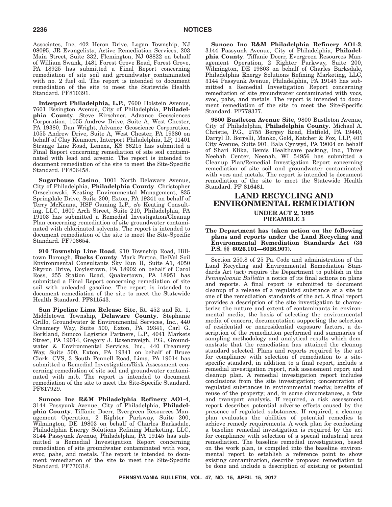Associates, Inc, 402 Heron Drive, Logan Township, NJ 08095, JR Evangelista, Active Remediation Services, 203 Main Street, Suite 332, Flemington, NJ 08822 on behalf of William Swank, 1481 Forest Grove Road, Forest Grove, PA 18925 has submitted a Final Report concerning remediation of site soil and groundwater contaminated with no. 2 fuel oil. The report is intended to document remediation of the site to meet the Statewide Health Standard. PF810391.

**Interport Philadelphia, L.P.**, 7600 Holstein Avenue, 7601 Essington Avenue, City of Philadelphia, **Philadelphia County**. Steve Kirschner, Advance Geosciences Corporation, 1055 Andrew Drive, Suite A, West Chester, PA 19380, Dan Wright, Advance Geoscience Corporation, 1055 Andrew Drive, Suite A, West Chester, PA 19380 on behalf of Clay Kenmore, Interport Philadelphia, LP, 11401 Strange Line Road, Lenexa, KS 66215 has submitted a Final Report concerning remediation of site soil contaminated with lead and arsenic. The report is intended to document remediation of the site to meet the Site-Specific Standard. PF806458.

**Sugarhouse Casino**, 1001 North Delaware Avenue, City of Philadelphia, **Philadelphia County**. Christopher Orzechowski, Keating Environmental Management, 835 Springdale Drive, Suite 200, Exton, PA 19341 on behalf of Terry McKenna, HSP Gaming L.P., c/o Keating Consulting, LLC, 1600 Arch Street, Suite 210, Philadelphia, PA 19103 has submitted a Remedial Investigation/Cleanup Plan concerning remediation of site groundwater contaminated with chlorinated solvents. The report is intended to document remediation of the site to meet the Site-Specific Standard. PF706654.

**910 Township Line Road**, 910 Township Road, Hilltown Borough, **Bucks County**. Mark Fortna, DelVal Soil Environmental Consultants Sky Run II, Suite A1, 4050 Skyron Drive, Doylestown, PA 18902 on behalf of Carol Ross, 255 Station Road, Quakertown, PA 18951 has submitted a Final Report concerning remediation of site soil with unleaded gasoline. The report is intended to document remediation of the site to meet the Statewide Health Standard. PF811543.

**Sun Pipeline Lima Release Site**, Rt. 452 and Rt. 1, Middletown Township, **Delaware County**. Stephanie Grillo, Groundwater & Environmental Services, Inc., 440 Creamery Way, Suite 500, Exton, PA 19341, Carl G. Borkland, Sunoco Logistics Partners, L.P., 4041 Markets Street, PA 19014, Gregory J. Rosenzweigh, P.G., Groundwater & Environmental Services, Inc., 440 Creamery Way, Suite 500, Exton, PA 19341 on behalf of Bruce Clark, CVS, 3 South Pennell Road, Lima, PA 19014 has submitted a Remedial Investigation/Risk Assessment concerning remediation of site soil and groundwater contaminated with mtb. The report is intended to document remediation of the site to meet the Site-Specific Standard. PF617929.

**Sunoco Inc R&M Philadelphia Refinery AO1-4**, 3144 Passyunk Avenue, City of Philadelphia, **Philadelphia County**. Tiffanie Doerr, Evergreen Resources Management Operation, 2 Righter Parkway, Suite 200, Wilmington, DE 19803 on behalf of Charles Barksdale, Philadelphia Energy Solutions Refining Marketing, LLC, 3144 Passyunk Avenue, Philadelphia, PA 19145 has submitted a Remedial Investigation Report concerning remediation of site groundwater contaminated with vocs, svoc, pahs, and metals. The report is intended to document remediation of the site to meet the Site-Specific Standard. PF770318.

**Sunoco Inc R&M Philadelphia Refinery AO1-3**, 3144 Passyunk Avenue, City of Philadelphia, **Philadelphia County**. Tiffanie Doerr, Evergreen Resources Management Operation, 2 Righter Parkway, Suite 200, Wilmington, DE 19803 on behalf of Charles Barksdale, Philadelphia Energy Solutions Refining Marketing, LLC, 3144 Passyunk Avenue, Philadelphia, PA 19145 has submitted a Remedial Investigation Report concerning remediation of site groundwater contaminated with vocs, svoc, pahs, and metals. The report is intended to document remediation of the site to meet the Site-Specific Standard. PF778377.

**9800 Bustleton Avenue Site**, 9800 Bustleton Avenue, City of Philadelphia, **Philadelphia County**. Michael A. Christie, P.G., 2755 Bergey Road, Hatfield, PA 19440, Darryl D. Borrelli, Manko, Gold, Katcher & Fox, LLP, 401 City Avenue, Suite 901, Bala Cynwyd, PA 19004 on behalf of Shari Klika, Bemis Healthcare packing, Inc., Three Neehah Center, Neenah, WI 54956 has submitted a Cleanup Plan/Remedial Investigation Report concerning remediation of site soil and groundwater contaminated with vocs and metals. The report is intended to document remediation of the site to meet the Statewide Health Standard. PF 816461.

## **LAND RECYCLING AND ENVIRONMENTAL REMEDIATION UNDER ACT 2, 1995 PREAMBLE 3**

**The Department has taken action on the following plans and reports under the Land Recycling and Environmental Remediation Standards Act (35 P.S. §§ 6026.101—6026.907).**

Section 250.8 of 25 Pa. Code and administration of the Land Recycling and Environmental Remediation Standards Act (act) require the Department to publish in the *Pennsylvania Bulletin* a notice of its final actions on plans and reports. A final report is submitted to document cleanup of a release of a regulated substance at a site to one of the remediation standards of the act. A final report provides a description of the site investigation to characterize the nature and extent of contaminants in environmental media, the basis of selecting the environmental media of concern, documentation supporting the selection of residential or nonresidential exposure factors, a description of the remediation performed and summaries of sampling methodology and analytical results which demonstrate that the remediation has attained the cleanup standard selected. Plans and reports required by the act for compliance with selection of remediation to a sitespecific standard, in addition to a final report, include a remedial investigation report, risk assessment report and cleanup plan. A remedial investigation report includes conclusions from the site investigation; concentration of regulated substances in environmental media; benefits of reuse of the property; and, in some circumstances, a fate and transport analysis. If required, a risk assessment report describes potential adverse effects caused by the presence of regulated substances. If required, a cleanup plan evaluates the abilities of potential remedies to achieve remedy requirements. A work plan for conducting a baseline remedial investigation is required by the act for compliance with selection of a special industrial area remediation. The baseline remedial investigation, based on the work plan, is compiled into the baseline environmental report to establish a reference point to show existing contamination, describe proposed remediation to be done and include a description of existing or potential

**PENNSYLVANIA BULLETIN, VOL. 47, NO. 15, APRIL 15, 2017**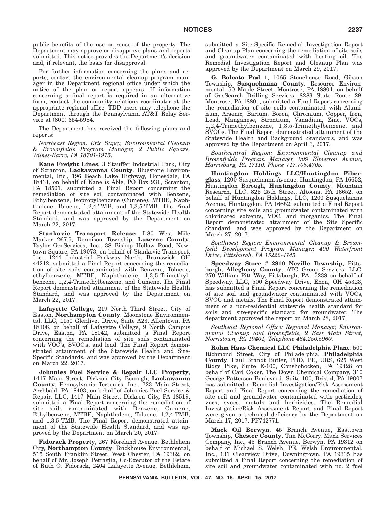public benefits of the use or reuse of the property. The Department may approve or disapprove plans and reports submitted. This notice provides the Department's decision and, if relevant, the basis for disapproval.

For further information concerning the plans and reports, contact the environmental cleanup program manager in the Department regional office under which the notice of the plan or report appears. If information concerning a final report is required in an alternative form, contact the community relations coordinator at the appropriate regional office. TDD users may telephone the Department through the Pennsylvania AT&T Relay Service at (800) 654-5984.

The Department has received the following plans and reports:

*Northeast Region: Eric Supey, Environmental Cleanup & Brownfields Program Manager, 2 Public Square, Wilkes-Barre, PA 18701-1915.*

**Kane Freight Lines**, 3 Stauffer Industrial Park, City of Scranton, **Lackawanna County**. Bluestone Environmental, Inc., 196 Beach Lake Highway, Honesdale, PA 18431, on behalf of Kane is Able, PO Box 931, Scranton, PA 18501, submitted a Final Report concerning the remediation of site soil contaminated with Benzene, Ethylbenzene, Isopropylbenzene (Cumene), MTBE, Naphthalene, Toluene, 1,2,4-TMB, and 1,3,5-TMB. The Final Report demonstrated attainment of the Statewide Health Standard, and was approved by the Department on March 22, 2017.

**Stankovic Transport Release**, I-80 West Mile Marker 267.5, Dennison Township, **Luzerne County**. Taylor GeoServices, Inc., 38 Bishop Hollow Road, Newtown Square, PA 19073, on behalf of Stankovic Transport, Inc., 1244 Industrial Parkway North, Brunswick, OH 44212, submitted a Final Report concerning the remediation of site soils contaminated with Benzene, Toluene, ethylbenzene, MTBE, Naphthalene, 1,3,5-Trimethylbenzene, 1,2,4-Trimethylbenzene, and Cumene. The Final Report demonstrated attainment of the Statewide Health Standard, and was approved by the Department on March 22, 2017.

**Lafayette College**, 219 North Third Street, City of Easton, **Northampton County**. Moonstone Environmental, LLC, 1150 Glenlivet Drive, Suite A23, Allentown, PA 18106, on behalf of Lafayette College, 9 North Campus Drive, Easton, PA 18042, submitted a Final Report concerning the remediation of site soils contaminated with VOC's, SVOC's, and lead. The Final Report demonstrated attainment of the Statewide Health and Site-Specific Standards, and was approved by the Department on March 22, 2017.

**Johnnies Fuel Service & Repair LLC Property**, 1417 Main Street, Dickson City Borough, **Lackawanna County**. Pennsylvania Tectonics, Inc., 723 Main Street, Archbald, PA 18403, on behalf of Johnnies Fuel Service & Repair, LLC, 1417 Main Street, Dickson City, PA 18519, submitted a Final Report concerning the remediation of site soils contaminated with Benzene, Cumene, Ethylbenzene, MTBE, Naphthalene, Toluene, 1,2,4-TMB, and 1,3,5-TMB. The Final Report demonstrated attainment of the Statewide Health Standard, and was approved by the Department on March 20, 2017.

**Fidorack Property**, 267 Moreland Avenue, Bethlehem City, **Northampton County**. Brickhouse Environmental, 515 South Franklin Street, West Chester, PA 19382, on behalf of Mr. Joseph Petraglia, Co-Executor of the Estate of Ruth O. Fidorack, 2404 Lafayette Avenue, Bethlehem, submitted a Site-Specific Remedial Investigation Report and Cleanup Plan concerning the remediation of site soils and groundwater contaminated with heating oil. The Remedial Investigation Report and Cleanup Plan was approved by the Department on March 29, 2017.

**G. Bolcato Pad 1**, 1065 Stonehouse Road, Gibson Township, **Susquehanna County**. Resource Environmental, 50 Maple Street, Montrose, PA 18801, on behalf of GasSearch Drilling Services, 8283 State Route 29, Montrose, PA 18801, submitted a Final Report concerning the remediation of site soils contaminated with Aluminum, Arsenic, Barium, Boron, Chromium, Copper, Iron, Lead, Manganese, Strontium, Vanadium, Zinc, VOCs, 1,2,4-Trimethylbenzene, 1,3,5-Trimethylbenzene, and SVOCs. The Final Report demonstrated attainment of the Statewide Health and Background Standards, and was approved by the Department on April 3, 2017.

*Southcentral Region: Environmental Cleanup and Brownfields Program Manager, 909 Elmerton Avenue, Harrisburg, PA 17110. Phone 717.705.4705.*

**Huntingdon Holdings LLC/Huntingdon Fiberglass**, 1200 Susquehanna Avenue, Huntingdon, PA 16652, Huntingdon Borough, **Huntingdon County**. Mountain Research, LLC, 825 25th Street, Altoona, PA 16652, on behalf of Huntingdon Holdings, LLC, 1200 Susquehanna Avenue, Huntingdon, PA 16652, submitted a Final Report concerning site soils and groundwater contaminated with chlorinated solvents, VOC, and inorganics. The Final Report demonstrated attainment of the Site Specific Standard, and was approved by the Department on March 27, 2017.

*Southwest Region: Environmental Cleanup & Brownfield Development Program Manager, 400 Waterfront Drive, Pittsburgh, PA 15222-4745.*

**Speedway Store # 2910 Neville Township**, Pittsburgh, **Allegheny County**. ATC Group Services, LLC, 270 William Pitt Way, Pittsburgh, PA 15238 on behalf of Speedway, LLC, 500 Speedway Drive, Enon, OH 45323, has submitted a Final Report concerning the remediation of site soil and groundwater contaminated with VOCs, SVOC and metals. The Final Report demonstrated attainment of a non-residential statewide health standard for soils and site-specific standard for groundwater. The department approved the report on March 28, 2017.

*Southeast Regional Office: Regional Manager, Environmental Cleanup and Brownfields, 2 East Main Street, Norristown, PA 19401, Telephone 484.250.5960.*

**Rohm Haas Chemical LLC Philadelphia Plant**, 500 Richmond Street, City of Philadelphia, **Philadelphia County**. Paul Brandt Butler, PHD, PE, URS, 625 West Ridge Pike, Suite E-100, Conshohocken, PA 19428 on behalf of Carl Coker, The Down Chemical Company, 310 George Patterson Boulevard, Suite 100, Bristol, PA 19007 has submitted a Remedial Investigation/Risk Assessment Report and Final Report concerning the remediation of site soil and groundwater contaminated with pesticides, vocs, svocs, metals and herbicides. The Remedial Investigation/Risk Assessment Report and Final Report were given a technical deficiency by the Department on March 17, 2017. PF742771.

**Mack Oil Berwyn**, 45 Branch Avenue, Easttown Township, **Chester County**. Tim McCorry, Mack Services Company, Inc., 45 Branch Avenue, Berwyn, PA 19312 on behalf of Michael S. Welsh, PE, Welsh Environmental, Inc., 131 Clearview Drive, Downingtown, PA 19335 has submitted a Final Report concerning the remediation of site soil and groundwater contaminated with no. 2 fuel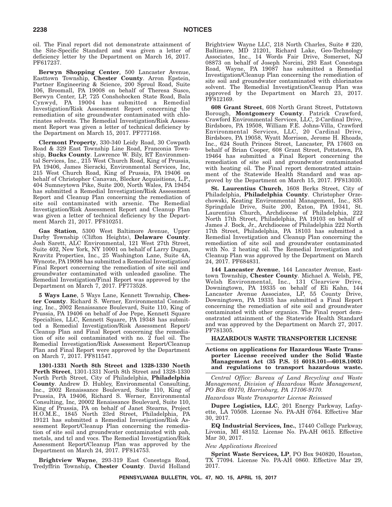oil. The Final report did not demonstrate attainment of the Site-Specific Standard and was given a letter of deficiency letter by the Department on March 16, 2017. PF617237.

**Berwyn Shopping Center**, 500 Lancaster Avenue, Easttown Township, **Chester County**. Arron Epstein, Partner Engineering & Science, 200 Sproul Road, Suite 106, Broomall, PA 19008 on behalf of Theresa Susco, Berwyn Center, LP, 725 Conshohocken State Road, Bala Cynwyd, PA 19004 has submitted a Remedial Investigation/Risk Assessment Report concerning the remediation of site groundwater contaminated with chlorinates solvents. The Remedial Investigation/Risk Assessment Report was given a letter of technical deficiency by the Department on March 15, 2017. PF777168.

**Clermont Property**, 330-340 Leidy Road, 30 Cowpath Road & 329 East Township Line Road, Franconia Township, **Bucks County**. Lawrence W. Bily, RT Environmental Services, Inc., 215 West Church Road, King of Prussia, PA 19406, James Sieracki, Environmental Services, Inc, 215 West Church Road, King of Prussia, PA 19406 on behalf of Christopher Canavan, Blecker Acquisitions, L.P., 404 Sumneytown Pike, Suite 200, North Wales, PA 19454 has submitted a Remedial Investigation/Risk Assessment Report and Cleanup Plan concerning the remediation of site soil contaminated with arsenic. The Remedial Investigation/Risk Assessment Report and Cleanup Plan was given a letter of technical deficiency by the Department March 21, 2017. PF810251.

**Gas Station**, 5300 West Baltimore Avenue, Upper Darby Township (Clifton Heights), **Delaware County**. Josh Sarett, ALC Environmental, 121 West 27th Street, Suite 402, New York, NY 10001 on behalf of Larry Dugan, Kravitz Properties, Inc., 25 Washington Lane, Suite 4A, Wyncote, PA 19098 has submitted a Remedial Investigation/ Final Report concerning the remediation of site soil and groundwater contaminated with unleaded gasoline. The Remedial Investigation/Final Report was approved by the Department on March 7, 2017. PF773528.

**5 Ways Lane**, 5 Ways Lane, Kennett Township, **Chester County**. Richard S. Werner, Environmental Consulting, Inc., 2002 Renaissance Boulevard, Suite 110, King of Prussia, PA 19406 on behalf of Joe Pepe, Kennett Square Specialties, LLC, Kennett Square, PA 19348 has submitted a Remedial Investigation/Risk Assessment Report/ Cleanup Plan and Final Report concerning the remediation of site soil contaminated with no. 2 fuel oil. The Remedial Investigation/Risk Assessment Report/Cleanup Plan and Final Report were approved by the Department on March 7, 2017. PF811547.

**1301-1331 North 8th Street and 1328-1330 North Perth Street**, 1301-1331 North 8th Street and 1328-1330 North Perth Street, City of Philadelphia, **Philadelphia County**. Andrew D. Hubley, Environmental Consulting, Inc., 2002 Renaissance Boulevard, Suite 110, King of Prussia, PA 19406, Richard S. Werner, Environmental Consulting, Inc, 20002 Renaissance Boulevard, Suite 110, King of Prussia, PA on behalf of Janet Stearns, Project H.O.M.E., 1845 North 23rd Street, Philadelphia, PA 19121 has submitted a Remedial Investigation/Risk Assessment Report/Cleanup Plan concerning the remediation of site soil and groundwater contaminated with pah, metals, and tcl and vocs. The Remedial Investigation/Risk Assessment Report/Cleanup Plan was approved by the Department on March 24, 2017. PF814753.

**Brightview Wayne**, 293-319 East Conestoga Road, Tredyffrin Township, **Chester County**. David Holland

Brightview Wayne LLC, 218 North Charles, Suite # 220, Baltimore, MD 21201, Richard Lake, Geo-Technology Associates, Inc., 14 Words Fair Drive, Somerset, NJ 08873 on behalf of Joseph Norcini, 293 East Conestoga Road, Wayne, PA 19087 has submitted a Remedial Investigation/Cleanup Plan concerning the remediation of site soil and groundwater contaminated with chlorinates solvent. The Remedial Investigation/Cleanup Plan was approved by the Department on March 23, 2017. PF812169.

**608 Grant Street**, 608 North Grant Street, Pottstown Borough, **Montgomery County**. Patrick Crawford, Crawford Environmental Services, LLC, 2-Cardinal Drive, Birdsboro, PA 19508, William F.E. Johns-Villa, Crawford Environmental Services, LLC, 20 Cardinal Drive, Birdsboro, PA 19058, Wyatt Morrison, Jerome H. Rhoads, Inc., 624 South Princes Street, Lancaster, PA 17603 on behalf of Brian Cooper, 608 Grant Street, Pottstown, PA 19464 has submitted a Final Report concerning the remediation of site soil and groundwater contaminated with heating oil. The Final report demonstrated attainment of the Statewide Health Standard and was approved by the Department on March 15, 2017. PF813030.

**St. Laurentius Church**, 1608 Berks Street, City of Philadelphia, **Philadelphia County**. Christopher Orzechowski, Keating Environmental Management, Inc., 835 Springdale Drive, Suite 200, Exton, PA 19341, St. Laurentius Church, Archdiocese of Philadelphia, 222 North 17th Street, Philadelphia, PA 19103 on behalf of James J. Bock, Jr., Archdiocese of Philadelphia 222 North 17th Street, Philadelphia, PA 18103 has submitted a Remedial Investigation and Cleanup Plan concerning the remediation of site soil and groundwater contaminated with No. 2 heating oil. The Remedial Investigation and Cleanup Plan was approved by the Department on March 24, 2017. PF684831.

**144 Lancaster Avenue**, 144 Lancaster Avenue, Easttown Township, **Chester County**. Michael A. Welsh, PE, Welsh Environmental, Inc., 131 Clearview Drive, Downingtown, PA 19335 on behalf of Eli Kahn, 144 Lancaster Avenue Associates, LP, 55 County Drive, Downingtown, PA 19335 has submitted a Final Report concerning the remediation of site soil and groundwater contaminated with other organics. The Final report demonstrated attainment of the Statewide Health Standard and was approved by the Department on March 27, 2017. PF781305.

## **HAZARDOUS WASTE TRANSPORTER LICENSE**

## **Actions on applications for Hazardous Waste Transporter License received under the Solid Waste Management Act (35 P.S. §§ 6018.101—6018.1003) and regulations to transport hazardous waste.**

*Central Office: Bureau of Land Recycling and Waste Management, Division of Hazardous Waste Management, PO Box 69170, Harrisburg, PA 17106-9170.*

*Hazardous Waste Transporter License Reissued*

**Dupre Logistics, LLC**, 201 Energy Parkway, Lafayette, LA 70508. License No. PA-AH 0764. Effective Mar 30, 2017.

**EQ Industrial Services, Inc.**, 17440 College Parkway, Livonia, MI 48152. License No. PA-AH 0615. Effective Mar 30, 2017.

## *New Applications Received*

**Sprint Waste Services, LP**, PO Box 940820, Houston, TX 77094. License No. PA-AH 0860. Effective Mar 29, 2017.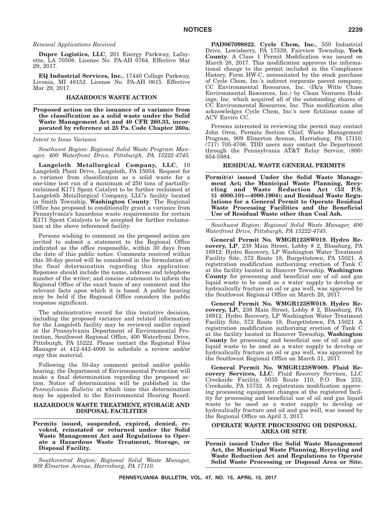## *Renewal Applications Received*

**Dupre Logistics, LLC**, 201 Energy Parkway, Lafayette, LA 70508. License No. PA-AH 0764. Effective Mar 29, 2017.

**EQ Industrial Services, Inc.**, 17440 College Parkway, Livonia, MI 48152. License No. PA-AH 0615. Effective Mar 29, 2017.

## **HAZARDOUS WASTE ACTION**

**Proposed action on the issuance of a variance from the classification as a solid waste under the Solid Waste Management Act and 40 CFR 260.33, incorporated by reference at 25 Pa. Code Chapter 260a.**

*Intent to Issue Variance*

*Southwest Region: Regional Solid Waste Program Manager, 400 Waterfront Drive, Pittsburgh, PA 15222-4745.*

**Langeloth Metallurgical Company, LLC**, 10 Langeloth Plant Drive, Langeloth, PA 15054. Request for a variance from classification as a solid waste for a one-time test run of a maximum of 250 tons of partiallyreclaimed K171 Spent Catalyst to be further reclaimed at Langeloth Metallurgical Company, LLC's facility located in Smith Township, **Washington County**. The Regional Office has proposed to conditionally grant a variance from Pennsylvania's hazardous waste requirements for certain K171 Spent Catalysts to be accepted for further reclamation at the above referenced facility.

Persons wishing to comment on the proposed action are invited to submit a statement to the Regional Office indicated as the office responsible, within 30 days from the date of this public notice. Comments received within this 30-day period will be considered in the formulation of the final determination regarding this application. Reponses should include the name, address and telephone number of the writer; and concise statement to inform the Regional Office of the exact basis of any comment and the relevant facts upon which it is based. A public hearing may be held if the Regional Office considers the public response significant.

The administrative record for this tentative decision, including the proposed variance and related information for the Langeloth facility may be reviewed and/or copied at the Pennsylvania Department of Environmental Protection, Southwest Regional Office, 400 Waterfront Drive, Pittsburgh, PA 15222. Please contact the Regional Files Manager at 412-442-4000 to schedule a review and/or copy this material.

Following the 30-day comment period and/or public hearing, the Department of Environmental Protection will make a final determination regarding the proposed action. Notice of determination will be published in the *Pennsylvania Bulletin* at which time this determination may be appealed to the Environmental Hearing Board.

## **HAZARDOUS WASTE TREATMENT, STORAGE AND DISPOSAL FACILITIES**

## **Permits issued, suspended, expired, denied, revoked, reinstated or returned under the Solid Waste Management Act and Regulations to Operate a Hazardous Waste Treatment, Storage, or Disposal Facility.**

*Southcentral Region: Regional Solid Waste Manager, 909 Elmerton Avenue, Harrisburg, PA 17110.*

**PAD067098822. Cycle Chem, Inc.**, 550 Industrial Drive, Lewisberry, PA 17339, Fairview Township, **York County**. A Class 1 Permit Modification was issued on March 28, 2017. This modification approves the informational change to the permit included in the Compliance History, Form HW-C, necessitated by the stock purchase of Cycle Chem, Inc.'s indirect corporate parent company, CC Environmental Resources, Inc. (f/k/a Witte Chase Environmental Resources, Inc.) by Clean Ventures Holdings, Inc. which acquired all of the outstanding shares of CC Environmental Resources, Inc. This modification also acknowledges Cycle Chem, Inc.'s new fictitious name of ACV Enviro CC.

Persons interested in reviewing the permit may contact John Oren, Permits Section Chief, Waste Management Program, 909 Elmerton Avenue, Harrisburg, PA 17110, (717) 705-4706. TDD users may contact the Department through the Pennsylvania AT&T Relay Service, (800) 654-5984.

## **RESIDUAL WASTE GENERAL PERMITS**

**Permit(s) issued Under the Solid Waste Management Act; the Municipal Waste Planning, Recycling and Waste Reduction Act (53 P.S. §§ 4000.101—4000.1904); and Residual Waste Regulations for a General Permit to Operate Residual Waste Processing Facilities and the Beneficial Use of Residual Waste other than Coal Ash.**

*Southwest Region: Regional Solid Waste Manager, 400 Waterfront Drive, Pittsburgh, PA 15222-4745.*

**General Permit No. WMGR123SW019. Hydro Recovery, LP**, 238 Main Street, Lobby # 2, Blossburg, PA 16912; Hydro Recovery, LP Washington Water Treatment Facility Site, 572 Route 18, Burgettstown, PA 15021. A registration modification authorizing erection of Tank C at the facility located in Hanover Township, **Washington County** for processing and beneficial use of oil and gas liquid waste to be used as a water supply to develop or hydraulically fracture an oil or gas well, was approved by the Southwest Regional Office on March 28, 2017.

**General Permit No. WMGR123SW019. Hydro Recovery, LP.**, 238 Main Street, Lobby # 2, Blossburg, PA 16912; Hydro Recovery, LP Washington Water Treatment Facility Site, 572 Route 18, Burgettstown, PA 15021. A registration modification authorizing erection of Tank C at the facility located in Hanover Township, **Washington County** for processing and beneficial use of oil and gas liquid waste to be used as a water supply to develop or hydraulically fracture an oil or gas well, was approved by the Southwest Regional Office on March 31, 2017.

**General Permit No. WMGR123SW009. Fluid Recovery Services, LLC**; Fluid Recovery Services, LLC Creekside Facility, 5035 Route 110, P.O. Box 232, Creekside, PA 15732. A registration modification approving processing equipment changes at the registered facility for processing and beneficial use of oil and gas liquid waste to be used as a water supply to develop or hydraulically fracture and oil and gas well, was issued by the Regional Office on April 3, 2017.

## **OPERATE WASTE PROCESSING OR DISPOSAL AREA OR SITE**

**Permit issued Under the Solid Waste Management Act, the Municipal Waste Planning, Recycling and Waste Reduction Act and Regulations to Operate Solid Waste Processing or Disposal Area or Site.**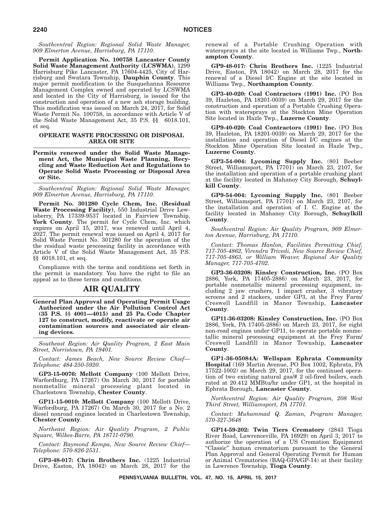*Southcentral Region: Regional Solid Waste Manager, 909 Elmerton Avenue, Harrisburg, PA 17110.*

**Permit Application No. 100758 Lancaster County Solid Waste Management Authority (LCSWMA)**, 1299 Harrisburg Pike Lancaster, PA 17604-4425, City of Harrisburg and Swatara Township, **Dauphin County**. This major permit modification to the Susquehanna Resource Management Complex owned and operated by LCSWMA and located in the City of Harrisburg, is issued for the construction and operation of a new ash storage building. This modification was issued on March 24, 2017, for Solid Waste Permit No. 100758, in accordance with Article V of the Solid Waste Management Act, 35 P.S. §§ 6018.101, et seq.

## **OPERATE WASTE PROCESSING OR DISPOSAL AREA OR SITE**

**Permits renewed under the Solid Waste Management Act, the Municipal Waste Planning, Recycling and Waste Reduction Act and Regulations to Operate Solid Waste Processing or Disposal Area or Site.**

*Southcentral Region: Regional Solid Waste Manager, 909 Elmerton Avenue, Harrisburg, PA 17110.*

**Permit No. 301280 Cycle Chem, Inc. (Residual Waste Processing Facility)**, 550 Industrial Drive Lewisberry, PA 17339-9537 located in Fairview Township, York County. The permit for Cycle Chem, Inc. which expires on April 15, 2017, was renewed until April 4, 2027. The permit renewal was issued on April 4, 2017 for Solid Waste Permit No. 301280 for the operation of the the residual waste processing facility in accordance with Article V of the Solid Waste Management Act, 35 P.S. §§ 6018.101, et seq.

Compliance with the terms and conditions set forth in the permit is mandatory. You have the right to file an appeal as to these terms and conditions.

## **AIR QUALITY**

**General Plan Approval and Operating Permit Usage Authorized under the Air Pollution Control Act (35 P.S. §§ 4001—4015) and 25 Pa. Code Chapter 127 to construct, modify, reactivate or operate air contamination sources and associated air cleaning devices.**

*Southeast Region: Air Quality Program, 2 East Main Street, Norristown, PA 19401.*

*Contact: James Beach, New Source Review Chief— Telephone: 484-250-5920.*

**GP3-15-0076: Mellott Company** (100 Mellott Drive, Warfordburg, PA 17267) On March 30, 2017 for portable nonmetallic mineral processing plant located in Charlestown Township, **Chester County**.

**GP11-15-0010: Mellott Company** (100 Mellott Drive, Warfordburg, PA 17267) On March 30, 2017 for a No. 2 diesel nonroad engines located in Charlestown Township, **Chester County**.

*Northeast Region: Air Quality Program, 2 Public Square, Wilkes-Barre, PA 18711-0790.*

*Contact: Raymond Kempa, New Source Review Chief— Telephone: 570-826-2531.*

**GP3-48-017: Chrin Brothers Inc.** (1225 Industrial Drive, Easton, PA 18042) on March 28, 2017 for the renewal of a Portable Crushing Operation with watersprays at the site located in Williams Twp., **Northampton County**.

**GP9-48-017: Chrin Brothers Inc.** (1225 Industrial Drive, Easton, PA 18042) on March 28, 2017 for the renewal of a Diesel I/C Engine at the site located in Williams Twp., **Northampton County**.

**GP3-40-020: Coal Contractors (1991) Inc.** (PO Box 39, Hazleton, PA 18201-0039) on March 29, 2017 for the construction and operation of a Portable Crushing Operation with watersprays at the Stockton Mine Operation Site located in Hazle Twp., **Luzerne County**.

**GP9-40-020: Coal Contractors (1991) Inc.** (PO Box 39, Hazleton, PA 18201-0039) on March 29, 2017 for the installation and operation of Diesel I/C engines at the Stockton Mine Operation Site located in Hazle Twp., **Luzerne County**.

**GP3-54-004: Lycoming Supply Inc.** (801 Beeber Street, Williamsport, PA 17701) on March 23, 2107, for the installation and operation of a portable crushing plant at the facility located in Mahanoy City Borough, **Schuylkill County**.

**GP9-54-004: Lycoming Supply Inc.** (801 Beeber Street, Williamsport, PA 17701) on March 23, 2107, for the installation and operation of I. C. Engine at the facility located in Mahanoy City Borough, **Schuylkill County**.

*Southcentral Region: Air Quality Program, 909 Elmerton Avenue, Harrisburg, PA 17110.*

*Contact: Thomas Hanlon, Facilities Permitting Chief, 717-705-4862, Virendra Trivedi, New Source Review Chief, 717-705-4863, or William Weaver, Regional Air Quality Manager, 717-705-4702.*

**GP3-36-03208: Kinsley Construction, Inc.** (PO Box 2886, York, PA 17405-2886) on March 23, 2017, for portable nonmetallic mineral processing equipment, including 2 jaw crushers, 1 impact crusher, 3 vibratory screens and 2 stackers, under GP3, at the Frey Farm/ Creswell Landfill in Manor Township, **Lancaster County**.

**GP11-36-03208: Kinsley Construction, Inc.** (PO Box 2886, York, PA 17405-2886) on March 23, 2017, for eight non-road engines under GP11, to operate portable nonmetallic mineral processing equipment at the Frey Farm/ Creswell Landfill in Manor Township, **Lancaster County**.

**GP1-36-05084A: Wellspan Ephrata Community Hospital** (169 Martin Avenue, PO Box 1002, Ephrata, PA 17522-1002) on March 29, 2017, for the continued operation of two existing natural gas/# 2 oil-fired boilers, each rated at 20.412 MMBtu/hr under GP1, at the hospital in Ephrata Borough, **Lancaster County**.

*Northcentral Region: Air Quality Program, 208 West Third Street, Williamsport, PA 17701.*

*Contact: Muhammad Q. Zaman, Program Manager, 570-327-3648*

**GP14-59-202: Twin Tiers Crematory** (2843 Tioga River Road, Lawrenceville, PA 16929) on April 3, 2017 to authorize the operation of a US Cremation Equipment "Classic" human crematorium pursuant to the General Plan Approval and General Operating Permit for Human or Animal Crematories (BAQ-GPA/GP-14) at their facility in Lawrence Township, **Tioga County**.

**PENNSYLVANIA BULLETIN, VOL. 47, NO. 15, APRIL 15, 2017**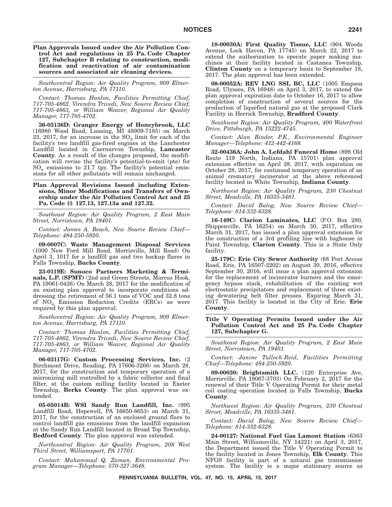**Plan Approvals Issued under the Air Pollution Control Act and regulations in 25 Pa. Code Chapter 127, Subchapter B relating to construction, modification and reactivation of air contamination sources and associated air cleaning devices.**

*Southcentral Region: Air Quality Program, 909 Elmerton Avenue, Harrisburg, PA 17110.*

*Contact: Thomas Hanlon, Facilities Permitting Chief, 717-705-4862, Virendra Trivedi, New Source Review Chief, 717-705-4863, or William Weaver, Regional Air Quality Manager, 717-705-4702.*

**36-05136D: Granger Energy of Honeybrook, LLC** (16980 Wood Road, Lansing, MI 48909-7185) on March 23, 2017, for an increase in the  $SO_2$  limit for each of the facility's two landfill gas-fired engines at the Lanchester Landfill located in Caernarvon Township, **Lancaster County**. As a result of the changes proposed, the modification will revise the facility's potential-to-emit (pte) for  $SO_x$  emissions to 21.7 tpy. The facility's potential emissions for all other pollutants will remain unchanged.

## **Plan Approval Revisions Issued including Extensions, Minor Modifications and Transfers of Ownership under the Air Pollution Control Act and 25 Pa. Code §§ 127.13, 127.13a and 127.32.**

*Southeast Region: Air Quality Program, 2 East Main Street, Norristown, PA 19401.*

*Contact: James A. Beach, New Source Review Chief— Telephone: 484-250-5920.*

**09-0007C: Waste Management Disposal Services** (1000 New Ford Mill Road, Morrisville, Mill Road) On April 3, 1017 for a landfill gas and two backup flares in Falls Township, **Bucks County**.

**23-0119E: Sunoco Partners Marketing & Terminals, L.P. (SPMT)** (2nd and Green Streets, Marcus Hook, PA 19061-0426) On March 28, 2017 for the modification of an existing plan approval to incorporate conditions addressing the retirement of 56.1 tons of VOC and 32.8 tons of  $NO_x$  Emission Reduction Credits (ERCs) as were required by this plan approval.

*Southcentral Region: Air Quality Program, 909 Elmerton Avenue, Harrisburg, PA 17110.*

*Contact: Thomas Hanlon, Facilities Permitting Chief, 717-705-4862, Virendra Trivedi, New Source Review Chief, 717-705-4863, or William Weaver, Regional Air Quality Manager, 717-705-4702.*

**06-03117G: Custom Processing Services, Inc.** (2 Birchmont Drive, Reading, PA 17606-3266) on March 28, 2017, for the construction and temporary operation of a micronizing mill controlled by a fabric collector and final filter, at the custom milling facility located in Exeter Township, **Berks County**. The plan approval was extended.

**05-05014B: WSI Sandy Run Landfill, Inc.** (995 Landfill Road, Hopewell, PA 16650-8653) on March 31, 2017, for the construction of an enclosed ground flare to control landfill gas emissions from the landfill expansion at the Sandy Run Landfill located in Broad Top Township, **Bedford County**. The plan approval was extended.

*Northcentral Region: Air Quality Program, 208 West Third Street, Williamsport, PA 17701.*

*Contact: Muhammad Q. Zaman, Environmental Program Manager—Telephone: 570-327-3648.*

**18-00030A: First Quality Tissue, LLC** (904 Woods Avenue, Lock Haven, PA 17745) on March 22, 2017 to extend the authorization to operate paper making machines at their facility located in Castanea Township, **Clinton County** on a temporary basis to September 18, 2017. The plan approval has been extended.

**08-00052A: REV LNG SSL BC, LLC** (1005 Empson Road, Ulysses, PA 16948) on April 3, 2017, to extend the plan approval expiration date to October 16, 2017 to allow completion of construction of several sources for the production of liquefied natural gas at the proposed Clark Facility in Herrick Township, **Bradford County**.

*Southwest Region: Air Quality Program, 400 Waterfront Drive, Pittsburgh, PA 15222-4745.*

*Contact: Alan Binder, P.E., Environmental Engineer Manager—Telephone: 412-442-4168.*

**32-00436A: John A. Lefdahl Funeral Home** (898 Old Route 119 North, Indiana, PA 15701) plan approval extension effective on April 28, 2017, with expiration on October 28, 2017, for continued temporary operation of an animal crematory incinerator at the above referenced facility located in White Township, **Indiana County**.

*Northwest Region: Air Quality Program, 230 Chestnut Street, Meadville, PA 16335-3481.*

*Contact: David Balog, New Source Review Chief— Telephone: 814-332-6328.*

**16-149C: Clarion Laminates, LLC** (P.O. Box 280, Shippenville, PA 16254) on March 30, 2017, effective March 31, 2017, has issued a plan approval extension for the construction of a 3rd profiling line with baghouse in Paint Township, **Clarion County**. This is a State Only facility.

**25-179C: Erie City Sewer Authority** (68 Port Access Road, Erie, PA 16507-2202) on August 30, 2016, effective September 30, 2016, will issue a plan approval extension for the replacement of incinerator burners and the emergency bypass stack, rehabilitation of the existing wet electrostatic precipitators and replacement of three existing dewatering belt filter presses. Expiring March 31, 2017. This facility is located in the City of Erie, **Erie County**.

## **Title V Operating Permits Issued under the Air Pollution Control Act and 25 Pa. Code Chapter 127, Subchapter G.**

*Southeast Region: Air Quality Program, 2 East Main Street, Norristown, PA 19401.*

*Contact: Janine Tulloch-Reid, Facilities Permitting Chief—Telephone: 484-250-5920.*

**09-00030: Brightsmith LLC.** (120 Enterprise Ave, Morrisville, PA 19067-3703) On February 2, 2017 for the renewal of their Title V Operating Permit for their metal coil coating operation located in Falls Township, **Bucks County**.

*Northwest Region: Air Quality Program, 230 Chestnut Street, Meadville, PA 16335-3481.*

*Contact: David Balog, New Source Review Chief— Telephone: 814-332-6328.*

**24-00127: National Fuel Gas Lamont Station** (6363 Main Street, Williamsville, NY 14221) on April 3, 2017, the Department issued the Title V Operating Permit to the facility located in Jones Township, **Elk County**. This NFGS facility is part of a natural gas transmission system. The facility is a major stationary source as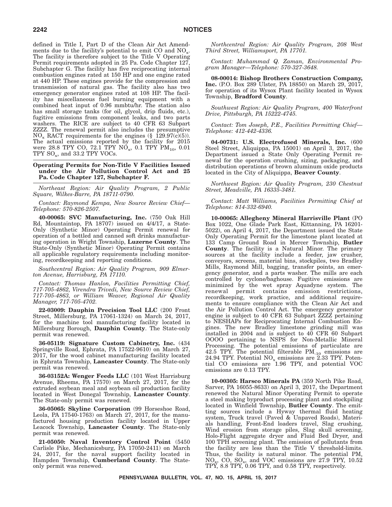defined in Title I, Part D of the Clean Air Act Amendments due to the facility's potential to emit CO and  $NO_x$ . The facility is therefore subject to the Title V Operating Permit requirements adopted in 25 Pa. Code Chapter 127, Subchapter G. The facility has five reciprocating internal combustion engines rated at 150 HP and one engine rated at 440 HP. These engines provide for the compression and transmission of natural gas. The facility also has two emergency generator engines rated at 108 HP. The facility has miscellaneous fuel burning equipment with a combined heat input of 0.96 mmbtu/hr. The station also has small storage tanks (for oil, glycol, drip fluids, etc.), fugitive emissions from component leaks, and two parts washers. The RICE are subject to 40 CFR 63 Subpart ZZZZ. The renewal permit also includes the presumptive  $NO<sub>x</sub>$  RACT requirements for the engines (§ 129.97(c)(5)). The actual emissions reported by the facility for 2015 were 28.8 TPY CO, 72.1 TPY  $NO_x$ , 0.1 TPY  $PM_{10}$ , 0.01  $TPY$  SO<sub>x</sub>, and 33.2 TPY VOCs.

**Operating Permits for Non-Title V Facilities Issued under the Air Pollution Control Act and 25 Pa. Code Chapter 127, Subchapter F.**

*Northeast Region: Air Quality Program, 2 Public Square, Wilkes-Barre, PA 18711-0790.*

*Contact: Raymond Kempa, New Source Review Chief— Telephone: 570-826-2507.*

**40-00065: SVC Manufacturing, Inc.** (750 Oak Hill Rd, Mountaintop, PA 18707) issued on 4/4/17, a State-Only (Synthetic Minor) Operating Permit renewal for operation of a bottled and canned soft drinks manufacturing operation in Wright Township, **Luzerne County**. The State-Only (Synthetic Minor) Operating Permit contains all applicable regulatory requirements including monitoring, recordkeeping and reporting conditions.

*Southcentral Region: Air Quality Program, 909 Elmerton Avenue, Harrisburg, PA 17110.*

*Contact: Thomas Hanlon, Facilities Permitting Chief, 717-705-4862, Virendra Trivedi, New Source Review Chief, 717-705-4863, or William Weaver, Regional Air Quality Manager, 717-705-4702.*

**22-03009: Dauphin Precision Tool LLC** (200 Front Street, Millersburg, PA 17061-1324) on March 24, 2017, for the machine tool manufacturing facility located in Millersburg Borough, **Dauphin County**. The State-only permit was renewed.

**36-05119: Signature Custom Cabinetry, Inc.** (434 Springville Road, Ephrata, PA 17522-9610) on March 27, 2017, for the wood cabinet manufacturing facility located in Ephrata Township, **Lancaster County**. The State-only permit was renewed.

**36-03152A: Wenger Feeds LLC** (101 West Harrisburg Avenue, Rheems, PA 17570) on March 27, 2017, for the extruded soybean meal and soybean oil production facility located in West Donegal Township, **Lancaster County**. The State-only permit was renewed.

**36-05065: Skyline Corporation** (99 Horseshoe Road, Leola, PA 17540-1763) on March 27, 2017, for the manufactured housing production facility located in Upper Leacock Township, **Lancaster County**. The State-only permit was renewed.

**21-05050: Naval Inventory Control Point** (5450 Carlisle Pike, Mechanicsburg, PA 17050-2411) on March 24, 2017, for the naval support facility located in Hampden Township, **Cumberland County**. The Stateonly permit was renewed.

*Northcentral Region: Air Quality Program, 208 West Third Street, Williamsport, PA 17701.*

*Contact: Muhammad Q. Zaman, Environmental Program Manager—Telephone: 570-327-3648.*

**08-00014: Bishop Brothers Construction Company, Inc.** (P.O. Box 289 Ulster, PA 18850) on March 29, 2017, for operation of its Wysox Plant facility located in Wysox Township, **Bradford County**.

*Southwest Region: Air Quality Program, 400 Waterfront Drive, Pittsburgh, PA 15222-4745.*

*Contact: Tom Joseph, P.E., Facilities Permitting Chief— Telephone: 412-442-4336.*

**04-00731: U.S. Electrofused Minerals, Inc.** (600 Steel Street, Aliquippa, PA 15001) on April 3, 2017, the Department issued a State Only Operating Permit renewal for the operation crushing, sizing, packaging, and distribution operations of brown aluminum oxide products located in the City of Aliquippa, **Beaver County**.

*Northwest Region: Air Quality Program, 230 Chestnut Street, Meadville, PA 16335-3481.*

*Contact: Matt Williams, Facilities Permitting Chief at Telephone: 814-332-6940.*

**10-00065: Allegheny Mineral Harrisville Plant** (PO Box 1022, One Glade Park East, Kittanning, PA 16201- 5022), on April 4, 2017, the Department issued the State Only Operating Permit for the limestone plant located at 133 Camp Ground Road in Mercer Township, **Butler County**. The facility is a Natural Minor. The primary sources at the facility include a feeder, jaw crusher, conveyors, screens, material bins, stockpiles, two Bradley Mills, Raymond Mill, bagging, transfer points, an emergency generator, and a parts washer. The mills are each controlled by cyclone/baghouse. Fugitive emissions are minimized by the wet spray Aquadyne system. The renewal permit contains emission restrictions, recordkeeping, work practice, and additional requirements to ensure compliance with the Clean Air Act and the Air Pollution Control Act. The emergency generator engine is subject to 40 CFR 63 Subpart ZZZZ pertaining to NESHAPs for Reciprocating Internal Combustion Engines. The new Bradley limestone grinding mill was installed in 2004 and is subject to 40 CFR 60 Subpart OOOO pertaining to NSPS for Non-Metallic Mineral Processing. The potential emissions of particulate are  $42.5$  TPY. The potential filterable PM<sub>-10</sub> emissions are 24.94 TPY. Potential NO<sub>x</sub> emissions are 2.33 TPY. Potential CO emissions are 1.96 TPY, and potential VOC emissions are 0.13 TPY.

**10-00305: Harsco Minerals PA** (359 North Pike Road, Sarver, PA 16055-8633) on April 3, 2017, the Department renewed the Natural Minor Operating Permit to operate a steel making byproduct processing plant and stockpiling located in Winfield Township, **Butler County**. The emitting sources include a Hyway thermal fluid heating system, Truck travel (Paved & Unpaved Roads), Materials handling, Front-End loaders travel, Slag crushing, Wind erosion from storage piles, Slag skull screening, Holo-Flight aggregate dryer and Fluid Bed Dryer, and 100 TPH screening plant. The emission of pollutants from the facility are less than the Title V threshold-limits. Thus, the facility is natural minor. The potential PM, NOx, CO, SOx, and VOC emissions are 27.9 TPY, 10.52 TPY, 8.8 TPY, 0.06 TPY, and 0.58 TPY, respectively.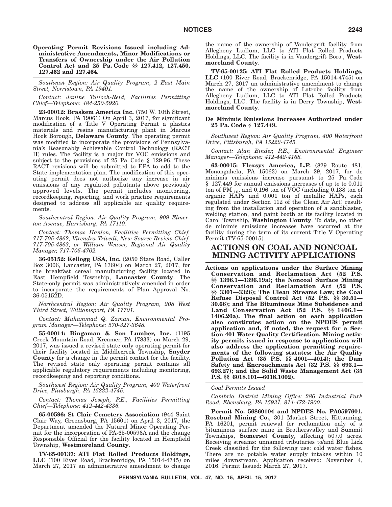**Operating Permit Revisions Issued including Administrative Amendments, Minor Modifications or Transfers of Ownership under the Air Pollution Control Act and 25 Pa. Code §§ 127.412, 127.450, 127.462 and 127.464.**

*Southeast Region: Air Quality Program, 2 East Main Street, Norristown, PA 19401.*

*Contact: Janine Tulloch-Reid, Facilities Permitting Chief—Telephone: 484-250-5920.*

**23-00012: Braskem America Inc.** (750 W. 10th Street, Marcus Hook, PA 19061) On April 3, 2017, for significant modification of a Title V Operating Permit a plastics materials and resins manufacturing plant in Marcus Hook Borough, **Delaware County**. The operating permit was modified to incorporate the provisions of Pennsylvania's Reasonably Achievable Control Technology (RACT II) rules. The facility is a major for VOC emissions and subject to the provisions of 25 Pa. Code § 129.96. These RACT revisions will be submitted to EPA to add to the State implementation plan. The modification of this operating permit does not authorize any increase in air emissions of any regulated pollutants above previously approved levels. The permit includes monitoring, recordkeeping, reporting, and work practice requirements designed to address all applicable air quality requirements.

*Southcentral Region: Air Quality Program, 909 Elmerton Avenue, Harrisburg, PA 17110.*

*Contact: Thomas Hanlon, Facilities Permitting Chief, 717-705-4862, Virendra Trivedi, New Source Review Chief, 717-705-4863, or William Weaver, Regional Air Quality Manager, 717-705-4702.*

**36-05152: Kellogg USA, Inc.** (2050 State Road, Caller Box 3006, Lancaster, PA 17604) on March 27, 2017, for the breakfast cereal manufacturing facility located in East Hempfield Township, **Lancaster County**. The State-only permit was administratively amended in order to incorporate the requirements of Plan Approval No. 36-05152D.

*Northcentral Region: Air Quality Program, 208 West Third Street, Williamsport, PA 17701.*

*Contact: Muhammad Q. Zaman, Environmental Program Manager—Telephone: 570-327-3648.*

**55-00014: Bingaman & Son Lumber, Inc.** (1195 Creek Mountain Road, Kreamer, PA 17833) on March 29, 2017, was issued a revised state only operating permit for their facility located in Middlecreek Township, **Snyder County** for a change in the permit contact for the facility. The revised state only operating permit contains all applicable regulatory requirements including monitoring, recordkeeping and reporting conditions.

*Southwest Region: Air Quality Program, 400 Waterfront Drive, Pittsburgh, PA 15222-4745.*

*Contact: Thomas Joseph, P.E., Facilities Permitting Chief—Telephone: 412-442-4336.*

**65-00596: St Clair Cemetery Association** (944 Saint Clair Way, Greensburg, PA 15601) on April 3, 2017, the Department amended the Natural Minor Operating Permit for the incorporation of PA-65-00596A and the change Responsible Official for the facility located in Hempfield Township, **Westmoreland County**.

**TV-65-00137: ATI Flat Rolled Products Holdings, LLC** (100 River Road, Brackenridge, PA 15014-4745) on March 27, 2017 an administrative amendment to change the name of the ownership of Vandergrift facility from Allegheny Ludlum, LLC to ATI Flat Rolled Products Holdings, LLC. The facility is in Vandergrift Boro., **Westmoreland County**.

**TV-65-00125: ATI Flat Rolled Products Holdings, LLC** (100 River Road, Brackenridge, PA 15014-4745) on March 27, 2017 an administrative amendment to change the name of the ownership of Latrobe facility from Allegheny Ludlum, LLC to ATI Flat Rolled Products Holdings, LLC. The facility is in Derry Township, **Westmoreland County**.

**De Minimis Emissions Increases Authorized under 25 Pa. Code § 127.449.**

*Southwest Region: Air Quality Program, 400 Waterfront Drive, Pittsburgh, PA 15222-4745.*

*Contact: Alan Binder, P.E., Environmental Engineer Manager—Telephone: 412-442-4168.*

**63-00015: Flexsys America, L.P.** (829 Route 481, Monongahela, PA 15063) on March 29, 2017, for de minimis emissions increase pursuant to 25 Pa. Code § 127.449 for annual emissions increases of up to to 0.011 ton of  $PM_{-10}$ , and 0.196 ton of VOC (including 0.138 ton of organic HAPs and 0.001 ton of metallic HAPs, each regulated under Section 112 of the Clean Air Act) resulting from the installation and operation of a sandblaster, welding station, and paint booth at its facility located in Carol Township, **Washington County**. To date, no other de minimis emissions increases have occurred at the facility during the term of its current Title V Operating Permit (TV-65-00015).

## **ACTIONS ON COAL AND NONCOAL MINING ACTIVITY APPLICATIONS**

**Actions on applications under the Surface Mining Conservation and Reclamation Act (52 P.S. §§ 1396.1—1396.19a); the Noncoal Surface Mining Conservation and Reclamation Act (52 P.S. §§ 3301—3326); The Clean Streams Law; the Coal Refuse Disposal Control Act (52 P.S. §§ 30.51— 30.66); and The Bituminous Mine Subsidence and Land Conservation Act (52 P.S. §§ 1406.1— 1406.20a). The final action on each application also constitutes action on the NPDES permit application and, if noted, the request for a Section 401 Water Quality Certification. Mining activity permits issued in response to applications will also address the application permitting requirements of the following statutes: the Air Quality Pollution Act (35 P.S. §§ 4001—4014); the Dam Safety and Encroachments Act (32 P.S. §§ 693.1— 693.27); and the Solid Waste Management Act (35 P.S. §§ 6018.101—6018.1002).**

*Coal Permits Issued*

*Cambria District Mining Office: 286 Industrial Park Road, Ebensburg, PA 15931, 814-472-1900.*

**Permit No. 56860104 and NPDES No. PA0597601. Rosebud Mining Co.**, 301 Market Street, Kittanning, PA 16201, permit renewal for reclamation only of a bituminous surface mine in Brothersvalley and Summit Townships, **Somerset County**, affecting 507.0 acres. Receiving streams: unnamed tributaries to/and Blue Lick Creek classified for the following use: cold water fishes. There are no potable water supply intakes within 10 miles downstream. Application received: November 4, 2016. Permit Issued: March 27, 2017.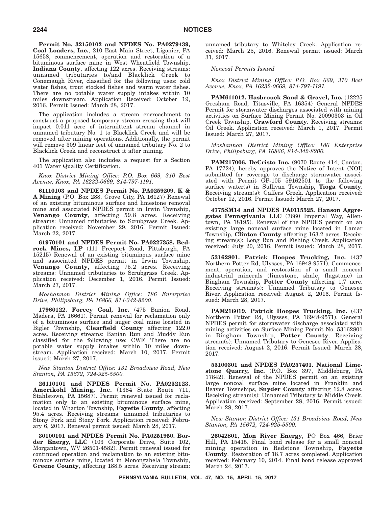**Permit No. 32150102 and NPDES No. PA0279439, Coal Loaders, Inc.**, 210 East Main Street, Ligonier, PA 15658, commencement, operation and restoration of a bituminous surface mine in West Wheatfield Township, **Indiana County**, affecting 122 acres. Receiving streams: unnamed tributaries to/and Blacklick Creek to Conemaugh River, classified for the following uses: cold water fishes, trout stocked fishes and warm water fishes. There are no potable water supply intakes within 10 miles downstream. Application Received: October 19, 2016. Permit Issued: March 28, 2017.

The application includes a stream encroachment to construct a proposed temporary stream crossing that will impact 0.011 acre of intermittent stream channel in unnamed tributary No. 1 to Blacklick Creek and will be removed after mining operations. Additionally, the permit will remove 309 linear feet of unnamed tributary No. 2 to Blacklick Creek and reconstruct it after mining.

The application also includes a request for a Section 401 Water Quality Certification.

*Knox District Mining Office: P.O. Box 669, 310 Best Avenue, Knox, PA 16232-0669, 814-797-1191.*

**61110103 and NPDES Permit No. PA0259209. K & A Mining** (P.O. Box 288, Grove City, PA 16127) Renewal of an existing bituminous surface and limestone removal mine and associated NPDES permit in Irwin Township, **Venango County**, affecting 59.8 acres. Receiving streams: Unnamed tributaries to Scrubgrass Creek. Application received: November 29, 2016. Permit Issued: March 22, 2017.

**61970101 and NPDES Permit No. PA0227358. Bedrock Mines, LP** (111 Freeport Road, Pittsburgh, PA 15215) Renewal of an existing bituminous surface mine and associated NPDES permit in Irwin Township, **Venango County**, affecting 75.2 acres. Receiving streams: Unnamed tributaries to Scrubgrass Creek. Application received: December 1, 2016. Permit Issued: March 27, 2017.

## *Moshannon District Mining Office: 186 Enterprise Drive, Philipsburg, PA 16866, 814-342-8200.*

**17960122. Forcey Coal, Inc.** (475 Banion Road, Madera, PA 16661). Permit renewal for reclamation only of a bituminous surface and auger coal mine located in Bigler Township, **Clearfield County** affecting 122.0 acres. Receiving streams: Banian Run and Muddy Run classified for the following use: CWF. There are no potable water supply intakes within 10 miles downstream. Application received: March 10, 2017. Permit issued: March 27, 2017.

*New Stanton District Office: 131 Broadview Road, New Stanton, PA 15672, 724-925-5500.*

**26110101 and NPDES Permit No. PA0252123. Amerikohl Mining, Inc.** (1384 State Route 711, Stahlstown, PA 15687). Permit renewal issued for reclamation only to an existing bituminous surface mine, located in Wharton Township, **Fayette County**, affecting 95.4 acres. Receiving streams: unnamed tributaries to Stony Fork and Stony Fork. Application received: February 6, 2017. Renewal permit issued: March 28, 2017.

**30100101 and NPDES Permit No. PA0251950. Border Energy, LLC** (103 Corporate Drive, Suite 102, Morgantown, WV 26501-4582). Permit renewal issued for continued operation and reclamation to an existing bituminous surface mine, located in Monongahela Township, **Greene County**, affecting 188.5 acres. Receiving stream: unnamed tributary to Whiteley Creek. Application received: March 25, 2016. Renewal permit issued: March 31, 2017.

*Noncoal Permits Issued*

*Knox District Mining Office: P.O. Box 669, 310 Best Avenue, Knox, PA 16232-0669, 814-797-1191.*

**PAM611012. Hasbrouck Sand & Gravel, Inc.** (12225 Gresham Road, Titusville, PA 16354) General NPDES Permit for stormwater discharges associated with mining activities on Surface Mining Permit No. 20090303 in Oil Creek Township, **Crawford County**. Receiving streams: Oil Creek. Application received: March 1, 2017. Permit Issued: March 27, 2017.

*Moshannon District Mining Office: 186 Enterprise Drive, Philipsburg, PA 16866, 814-342-8200.*

**PAM217006. DeCristo Inc.** (9070 Route 414, Canton, PA 17724), hereby approves the Notice of Intent (NOI) submitted for coverage to discharge stormwater associated with Permit GP-105 59162501 to the following surface water(s) in Sullivan Township, **Tioga County**. Receiving stream(s): Gaffers Creek. Application received: October 12, 2016. Permit Issued: March 27, 2017.

**4775SM14 and NPDES PA0115525. Hanson Aggregates Pennsylvania LLC** (7660 Imperial Way, Allentown, PA 18195). Renewal of the NPDES permit on an existing large noncoal surface mine located in Lamar Township, **Clinton County** affecting 163.2 acres. Receiving stream(s): Long Run and Fishing Creek. Application received: July 20, 2016. Permit issued: March 28, 2017.

**53162801. Patrick Hoopes Trucking, Inc.** (437 Northern Potter Rd, Ulysses, PA 16948-9571). Commencement, operation, and restoration of a small noncoal industrial minerals (limestone, shale, flagstone) in Bingham Township, **Potter County** affecting 1.7 acre. Receiving stream(s): Unnamed Tributary to Genesee River. Application received: August 2, 2016. Permit Issued: March 28, 2017.

**PAM216019. Patrick Hoopes Trucking, Inc.** (437 Northern Potter Rd, Ulysses, PA 16948-9571). General NPDES permit for stormwater discharge associated with mining activities on Surface Mining Permit No. 53162801 in Bingham Township, **Potter County**. Receiving stream(s): Unnamed Tributary to Genesee River. Application received: August 2, 2016. Permit Issued: March 28, 2017.

**55100301 and NPDES PA0257401. National Limestone Quarry, Inc.** (P.O. Box 397, Middleburg, PA 17842). Renewal of the NPDES permit on an existing large noncoal surface mine located in Franklin and Beaver Townships, **Snyder County** affecting 12.8 acres. Receiving stream(s): Unnamed Tributary to Middle Creek. Application received: September 28, 2016. Permit issued: March 28, 2017.

*New Stanton District Office: 131 Broadview Road, New Stanton, PA 15672, 724-925-5500.*

**26042801, Mon River Energy**, PO Box 466, Brier Hill, PA 15415. Final bond release for a small noncoal mining operation in Redstone Township, **Fayette County**. Restoration of 18.7 acres completed. Application received: February 10, 2014. Final bond release approved March 24, 2017.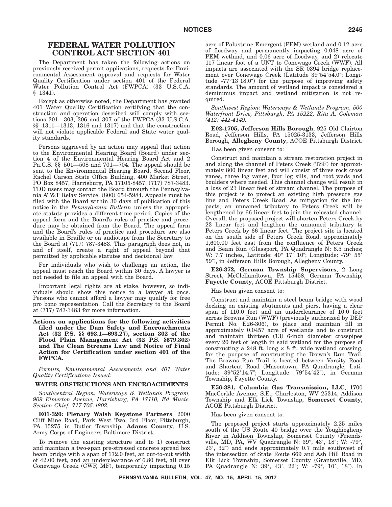# **FEDERAL WATER POLLUTION CONTROL ACT SECTION 401**

The Department has taken the following actions on previously received permit applications, requests for Environmental Assessment approval and requests for Water Quality Certification under section 401 of the Federal Water Pollution Control Act (FWPCA) (33 U.S.C.A. § 1341).

Except as otherwise noted, the Department has granted 401 Water Quality Certification certifying that the construction and operation described will comply with sections 301—303, 306 and 307 of the FWPCA (33 U.S.C.A. §§ 1311—1313, 1316 and 1317) and that the construction will not violate applicable Federal and State water quality standards.

Persons aggrieved by an action may appeal that action to the Environmental Hearing Board (Board) under section 4 of the Environmental Hearing Board Act and 2 Pa.C.S. §§ 501—508 and 701—704. The appeal should be sent to the Environmental Hearing Board, Second Floor, Rachel Carson State Office Building, 400 Market Street, PO Box 8457, Harrisburg, PA 17105-8457, (717) 787-3483. TDD users may contact the Board through the Pennsylvania AT&T Relay Service, (800) 654-5984. Appeals must be filed with the Board within 30 days of publication of this notice in the *Pennsylvania Bulletin* unless the appropriate statute provides a different time period. Copies of the appeal form and the Board's rules of practice and procedure may be obtained from the Board. The appeal form and the Board's rules of practice and procedure are also available in Braille or on audiotape from the Secretary to the Board at (717) 787-3483. This paragraph does not, in and of itself, create a right of appeal beyond that permitted by applicable statutes and decisional law.

For individuals who wish to challenge an action, the appeal must reach the Board within 30 days. A lawyer is not needed to file an appeal with the Board.

Important legal rights are at stake, however, so individuals should show this notice to a lawyer at once. Persons who cannot afford a lawyer may qualify for free pro bono representation. Call the Secretary to the Board at (717) 787-3483 for more information.

**Actions on applications for the following activities filed under the Dam Safety and Encroachments Act (32 P.S. §§ 693.1—693.27), section 302 of the Flood Plain Management Act (32 P.S. §679.302) and The Clean Streams Law and Notice of Final Action for Certification under section 401 of the FWPCA.**

*Permits, Environmental Assessments and 401 Water Quality Certifications Issued:*

#### **WATER OBSTRUCTIONS AND ENCROACHMENTS**

*Southcentral Region: Waterways & Wetlands Program, 909 Elmerton Avenue, Harrisburg, PA 17110, Ed Muzic, Section Chief, 717.705.4802.*

**E01-320: Plenary Walsh Keystone Partners**, 2000 Cliff Mine Road, Park West Two, 3rd Floor, Pittsburgh, PA 15275 in Butler Township, **Adams County**, U.S. Army Corps of Engineers Baltimore District.

To remove the existing structure and to 1) construct and maintain a two-span pre-stressed concrete spread box beam bridge with a span of 172.0 feet, an out-to-out width of 42.00 feet, and an underclearance of 6.80 feet, all over Conewago Creek (CWF, MF), temporarily impacting 0.15

acre of Palustrine Emergent (PEM) wetland and 0.12 acre of floodway and permanently impacting 0.048 acre of PEM wetland, and 0.06 acre of floodway, and 2) relocate 117 linear foot of a UNT to Conewago Creek (WWF). All impacts are associated with the SR 0394 bridge replacement over Conewago Creek (Latitude 39°54'54.0"; Longitude -77°13'18.0") for the purpose of improving safety standards. The amount of wetland impact is considered a deminimus impact and wetland mitigation is not required.

*Southwest Region: Waterways & Wetlands Program, 500 Waterfront Drive, Pittsburgh, PA 15222, Rita A. Coleman (412) 442-4149.*

**E02-1705, Jefferson Hills Borough**, 925 Old Clairton Road, Jefferson Hills, PA 15025-3133, Jefferson Hills Borough, **Allegheny County**, ACOE Pittsburgh District.

Has been given consent to:

Construct and maintain a stream restoration project in and along the channel of Peters Creek (TSF) for approximately 800 linear feet and will consist of three rock cross vanes, three log vanes, four log sills, and root wads and boulders where needed. This channel change will result in a loss of 23 linear feet of stream channel. The purpose of this project is to protect an existing high pressure gas line and Peters Creek Road. As mitigation for the impacts, an unnamed tributary to Peters Creek will be lengthened by 66 linear feet to join the relocated channel. Overall, the proposed project will shorten Peters Creek by 23 linear feet and lengthen the unnamed tributary to Peters Creek by 66 linear feet. The project site is located on the south side of Peters Creek Road, approximately 1,600.00 feet east from the confluence of Peters Creek and Beam Run (Glassport, PA Quadrangle N: 6.5 inches; W: 7.7 inches, Latitude: 40° 17' 10"; Longitude: -79° 55' 59), in Jefferson Hills Borough, Allegheny County.

**E26-372, German Township Supervisors**, 2 Long Street, McClellandtown, PA 15458, German Township, **Fayette County**, ACOE Pittsburgh District.

Has been given consent to:

Construct and maintain a steel beam bridge with wood decking on existing abutments and piers, having a clear span of 110.0 feet and an underclearance of 10.0 feet across Browns Run (WWF) (previously authorized by DEP Permit No. E26-306), to place and maintain fill in approximately 0.0457 acre of wetlands and to construct and maintain thirteen (13) 6-inch diameter crosspipes every 20 feet of length in said wetland for the purpose of constructing a 248 ft. long  $\times$  8 ft. wide wetland crossing, for the purpose of constructing the Brown's Run Trail. The Browns Run Trail is located between Varsity Road and Shortcut Road (Masontown, PA Quadrangle; Latitude: 39°52'14.7"; Longitude: 79°54'42"), in German Township, Fayette County.

**E56-381, Columbia Gas Transmission, LLC**, 1700 MacCorkle Avenue, S.E., Charleston, WV 25314, Addison Township and Elk Lick Township, **Somerset County**, ACOE Pittsburgh District.

Has been given consent to:

The proposed project starts approximately 2.25 miles south of the US Route 40 bridge over the Youghiogheny River in Addison Township, Somerset County (Friendsville, MD, PA, WV Quadrangle N: 39°, 43′, 18″; W: -79°, 23', 32") and ends approximately 0.7 mile southwest of the intersection of State Route 669 and Ash Hill Road in Elk Lick Township, Somerset County (Grantsville, MD, PA Quadrangle N: 39°, 43′, 22″; W: -79°, 10′, 18″). In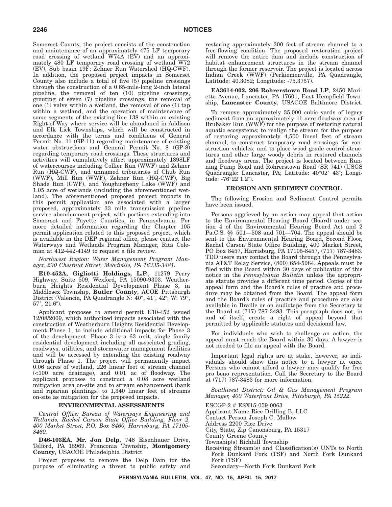Somerset County, the project consists of the construction and maintenance of an approximately 475 LF temporary road crossing of wetland W74A (EV) and an approximately 480 LF temporary road crossing of wetland W72 (EV), Sub basin 19F; Zehner Run Watershed (HQ-CWF). In addition, the proposed project impacts in Somerset County also include a total of five (5) pipeline crossings through the construction of a 0.65-mile-long 2-inch lateral pipeline, the removal of ten (10) pipeline crossings, grouting of seven (7) pipeline crossings, the removal of one (1) valve within a wetland, the removal of one (1) tap within a wetland, and the operation of maintenance of some segments of the existing line 138 within an existing Right-of-Way where service will be abandoned in Addison and Elk Lick Townships, which will be constructed in accordance with the terms and conditions of General Permit No. 11 (GP-11) regarding maintenance of existing water obstructions and General Permit No. 8 (GP-8) regarding temporary road crossings. These structures and activities will cumulatively affect approximately 1898LF of watercourses including Collier Run (WWF) and Zehner Run (HQ-CWF), and unnamed tributaries of Chub Run (WWF), Mill Run (WWF), Zehner Run (HQ-CWF), Big Shade Run (CWF), and Youghiogheny Lake (WWF) and 1.05 acre of wetlands (including the aforementioned wetland). The aforementioned proposed project impacts in this permit application are associated with a larger proposed, approximately 33 mile transmission pipeline service abandonment project, with portions extending into Somerset and Fayette Counties, in Pennsylvania. For more detailed information regarding the Chapter 105 permit application related to this proposed project, which is available in the DEP regional office, please contact the Waterways and Wetlands Program Manager, Rita Coleman at 412-442-4149 to request a file review.

*Northwest Region: Water Management Program Manager, 230 Chestnut Street, Meadville, PA 16335-3481.*

**E10-452A, Gigliotti Holdings, L.P.**, 11279 Perry Highway, Suite 509, Wexford, PA 15090-9303. Weatherburn Heights Residential Development Phase 3, in Middlesex Township, **Butler County**, ACOE Pittsburgh District (Valencia, PA Quadrangle N: 40°, 41', 42"; W: 79°,  $57', 21.6'$ ).

Applicant proposes to amend permit E10-452 issued 12/08/2009, which authorized impacts associated with the construction of Weatherburn Heights Residential Development Phase 1, to include additional impacts for Phase 3 of the development. Phase 3 is a 63 unit, single family residential development including all associated grading, roadways, utilities, and stormwater management facilities and will be accessed by extending the existing roadway through Phase 1. The project will permanently impact 0.06 acres of wetland, 226 linear feet of stream channel (<100 acre drainage), and 0.01 ac of floodway. The applicant proposes to construct a 0.08 acre wetland mitigation area on-site and to stream enhancement (bank and riparian plantings) to 1,340 linear feet of streams on-site as mitigation for the proposed impacts.

# **ENVIRONMENTAL ASSESSMENTS**

*Central Office: Bureau of Waterways Engineering and Wetlands, Rachel Carson State Office Building, Floor 2, 400 Market Street, P.O. Box 8460, Harrisburg, PA 17105- 8460.*

**D46-103EA. Mr. Jon Delp**, 746 Eisenhauer Drive, Telford, PA 18969. Franconia Township, **Montgomery County**, USACOE Philadelphia District.

Project proposes to remove the Delp Dam for the purpose of eliminating a threat to public safety and restoring approximately 300 feet of stream channel to a free-flowing condition. The proposed restoration project will remove the entire dam and include construction of habitat enhancement structures in the stream channel through the former reservoir. The project is located across Indian Creek (WWF) (Perkiomenville, PA Quadrangle, Latitude: 40.3082; Longitude: -75.3757).

**EA3614-002. 206 Rohrerstown Road LP**, 2450 Marietta Avenue, Lancaster, PA 17601, East Hempfield Township, **Lancaster County**, USACOE Baltimore District.

To remove approximately 35,000 cubic yards of legacy sediment from an approximately 11 acre floodway area of Brubaker Run (WWF) for the purpose of restoring natural aquatic ecosystems; to realign the stream for the purpose of restoring approximately 4,500 lineal feet of stream channel; to construct temporary road crossings for construction vehicles; and to place wood grade control structures and other large woody debris in restored channels and floodway areas. The project is located between Running Pump Road and Rohrerstown Road (SR 741) (USGS Quadrangle: Lancaster, PA; Latitude: 40°02' 43"; Longitude: -76°22′1.2″).

# **EROSION AND SEDIMENT CONTROL**

The following Erosion and Sediment Control permits have been issued.

Persons aggrieved by an action may appeal that action to the Environmental Hearing Board (Board) under section 4 of the Environmental Hearing Board Act and 2 Pa.C.S. §§ 501—508 and 701—704. The appeal should be sent to the Environmental Hearing Board, Second Floor, Rachel Carson State Office Building, 400 Market Street, PO Box 8457, Harrisburg, PA 17105-8457, (717) 787-3483. TDD users may contact the Board through the Pennsylvania AT&T Relay Service, (800) 654-5984. Appeals must be filed with the Board within 30 days of publication of this notice in the *Pennsylvania Bulletin* unless the appropriate statute provides a different time period. Copies of the appeal form and the Board's rules of practice and procedure may be obtained from the Board. The appeal form and the Board's rules of practice and procedure are also available in Braille or on audiotape from the Secretary to the Board at (717) 787-3483. This paragraph does not, in and of itself, create a right of appeal beyond that permitted by applicable statutes and decisional law.

For individuals who wish to challenge an action, the appeal must reach the Board within 30 days. A lawyer is not needed to file an appeal with the Board.

Important legal rights are at stake, however, so individuals should show this notice to a lawyer at once. Persons who cannot afford a lawyer may qualify for free pro bono representation. Call the Secretary to the Board at (717) 787-3483 for more information.

*Southwest District: Oil & Gas Management Program Manager, 400 Waterfront Drive, Pittsburgh, PA 15222.*

ESCGP-2 # ESX15-059-0063

- Applicant Name Rice Drilling B, LLC
- Contact Person Joseph C. Mallow
- Address 2200 Rice Drive
- City, State, Zip Canonsburg, PA 15317
- County Greene County
- Township(s) Richhill Township
- Receiving Stream(s) and Classification(s) UNTs to North Fork Dunkard Fork (TSF) and North Fork Dunkard Fork (TSF)

Secondary—North Fork Dunkard Fork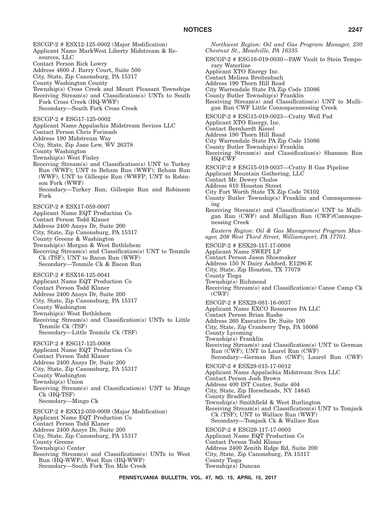ESCGP-2 # ESX12-125-0002 (Major Modification) Applicant Name MarkWest Liberty Midstream & Resources, LLC Contact Person Rick Lowry Address 4600 J. Barry Court, Suite 500 City, State, Zip Canonsburg, PA 15317 County Washington County Township(s) Cross Creek and Mount Pleasant Townships Receiving Stream(s) and Classification(s) UNTs to South Fork Cross Creek (HQ-WWF) Secondary—South Fork Cross Creek ESCGP-2 # ESG17-125-0002 Applicant Name Appalachia Midstream Sevices LLC Contact Person Chris Forinash Address 190 Midstream Way City, State, Zip Jane Lew, WV 26378 County Washington Township(s) West Finley Receiving Stream(s) and Classification(s) UNT to Turkey Run (WWF); UNT to Beham Run (WWF); Beham Run (WWF); UNT to Gillespie Run (WWFP; UNT to Robinson Fork (WWF) Secondary—Turkey Run; Gillespie Run and Robinson Fork ESCGP-2 # ESX17-059-0007 Applicant Name EQT Production Co Contact Person Todd Klaner Address 2400 Ansys Dr, Suite 200 City, State, Zip Canonsburg, PA 15317 County Greene & Washington Township(s) Morgan & West Bethlehem Receiving Stream(s) and Classification(s) UNT to Tenmile Ck (TSF); UNT to Bacon Run (WWF) Secondary—Tenmile Ck & Bacon Run ESCGP-2 # ESX16-125-0041 Applicant Name EQT Production Co Contact Person Todd Klaner Address 2400 Ansys Dr, Suite 200 City, State, Zip Canonsburg, PA 15317 County Washington Township(s) West Bethlehem Receiving Stream(s) and Classification(s) UNTs to Little Tenmile Ck (TSF) Secondary—Little Tenmile Ck (TSF) ESCGP-2 # ESG17-125-0008 Applicant Name EQT Production Co Contact Person Todd Klaner Address 2400 Ansys Dr, Suite 200 City, State, Zip Canonsburg, PA 15317 County Washington Township(s) Union Receiving Stream(s) and Classification(s) UNT to Mingo Ck (HQ-TSF) Secondary—Mingo Ck ESCGP-2 # ESX12-059-0009 (Major Modification) Applicant Name EQT Production Co Contact Person Todd Klaner Address 2400 Ansys Dr, Suite 200 City, State, Zip Canonsburg, PA 15317 County Greene Township(s) Center Receiving Stream(s) and Classification(s) UNTs to West Run (HQ-WWF), West Run (HQ-WWF) Secondary—South Fork Ten Mile Creek

*Northwest Region: Oil and Gas Program Manager, 230 Chestnut St., Meadville, PA 16335.* ESCGP-2 # ESG16-019-0030—PAW Vault to Stein Temporary Waterline Applicant XTO Energy Inc. Contact Melissa Breitenbach Address 190 Thorn Hill Road City Warrendale State PA Zip Code 15086 County Butler Township(s) Franklin Receiving Stream(s) and Classification(s) UNT to Mulligan Run CWF Little Connoquennessing Creek ESCGP-2 # ESG15-019-0023—Cratty Well Pad Applicant XTO Energy, Inc. Contact Bernhardt Kissel Address 190 Thorn Hill Road City Warrendale State PA Zip Code 15086 County Butler Township(s) Franklin Receiving Stream(s) and Classification(s) Shannon Run HQ-CWF ESCGP-2 # ESG15-019-0037—Cratty B Gas Pipeline Applicant Mountain Gathering, LLC Contact Mr. Dewey Chalos Address 810 Houston Street City Fort Worth State TX Zip Code 76102 County Butler Township(s) Franklin and Connoquenessing Receiving Stream(s) and Classification(s) UNT to Mulligan Run (CWF) and Mulligan Run (CWF)/Connoquenessing Creek *Eastern Region: Oil & Gas Management Program Manager, 208 West Third Street, Williamsport, PA 17701.* ESCGP-2 # ESX29-117-17-0008 Applicant Name SWEPI LP Contact Person Jason Shoemaker Address 150 N Dairy Ashford, E1296-E City, State, Zip Houston, TX 77079 County Tioga Township(s) Richmond Receiving Stream(s) and Classification(s) Canoe Camp Ck  $(CWF)$ ESCGP-2 # ESX29-081-16-0037 Applicant Name EXCO Resources PA LLC Contact Person Brian Rushe Address 260 Executive Dr, Suite 100 City, State, Zip Cranberry Twp, PA 16066 County Lycoming Township(s) Franklin Receiving Stream(s) and Classification(s) UNT to German Run (CWF); UNT to Laurel Run (CWF) Secondary—German Run (CWF); Laurel Run (CWF) ESCGP-2 # ESX29-015-17-0012 Applicant Name Appalachia Midstream Svcs LLC Contact Person Josh Brown Address 400 IST Center, Suite 404 City, State, Zip Horseheads, NY 14845 County Bradford Township(s) Smithfield & West Burlington Receiving Stream(s) and Classification(s) UNT to Tomjack Ck (TSF); UNT to Wallace Run (WWF) Secondary—Tomjack Ck & Wallace Run ESCGP-2 # ESG29-117-17-0003 Applicant Name EQT Production Co Contact Person Todd Klaner Address 2400 Zenith Ridge Rd, Suite 200 City, State, Zip Canonsburg, PA 15317 County Tioga

Township(s) Duncan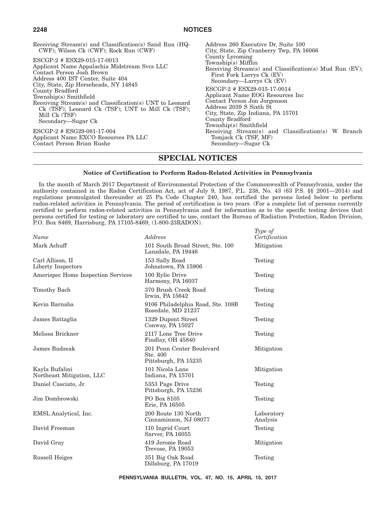| Receiving Stream(s) and Classification(s) Sand Run (HQ-                                                                                                                                           | Address 260 Executive Dr. Suite 100                                                                                                                                                                            |
|---------------------------------------------------------------------------------------------------------------------------------------------------------------------------------------------------|----------------------------------------------------------------------------------------------------------------------------------------------------------------------------------------------------------------|
| CWF); Wilson Ck (CWF); Rock Run (CWF)                                                                                                                                                             | City, State, Zip Cranberry Twp, PA 16066                                                                                                                                                                       |
| ESCGP-2 # ESX29-015-17-0013                                                                                                                                                                       | County Lycoming                                                                                                                                                                                                |
| Applicant Name Appalachia Midstream Sycs LLC                                                                                                                                                      | $Township(s)$ Mifflin                                                                                                                                                                                          |
| Contact Person Josh Brown                                                                                                                                                                         | Receiving Stream(s) and Classification(s) Mud Run (EV);                                                                                                                                                        |
| Address 400 IST Center, Suite 404                                                                                                                                                                 | First Fork Larrys Ck (EV)                                                                                                                                                                                      |
| City, State, Zip Horseheads, NY 14845                                                                                                                                                             | Secondary-Larrys Ck (EV)                                                                                                                                                                                       |
| County Bradford<br>Township(s) Smithfield<br>Receiving Stream(s) and Classification(s) UNT to Leonard<br>Ck (TSF); Leonard Ck (TSF); UNT to Mill Ck (TSF);<br>Mill Ck (TSF)<br>Secondary—Sugar Ck | ESCGP-2 # ESX29-015-17-0014<br>Applicant Name EOG Resources Inc.<br>Contact Person Jon Jorgenson<br>Address 2039 S Sixth St<br>City, State, Zip Indiana, PA 15701<br>County Bradford<br>Township(s) Smithfield |
| ESCGP-2 # ESG29-081-17-004                                                                                                                                                                        | Receiving Stream(s) and Classification(s) W Branch                                                                                                                                                             |
| Applicant Name EXCO Resources PA LLC                                                                                                                                                              | Tomjack Ck (TSF, MF)                                                                                                                                                                                           |
| Contact Person Brian Rushe                                                                                                                                                                        | Secondary—Sugar Ck                                                                                                                                                                                             |

# **SPECIAL NOTICES**

# **Notice of Certification to Perform Radon-Related Activities in Pennsylvania**

In the month of March 2017 Department of Environmental Protection of the Commonwealth of Pennsylvania, under the authority contained in the Radon Certification Act, act of July 9, 1987, P.L. 238, No. 43 (63 P.S. §§ 2001—2014) and regulations promulgated thereunder at 25 Pa. Code Chapter 240, has certified the persons listed below to perform radon-related activities in Pennsylvania. The period of certification is two years. (For a complete list of persons currently certified to perform radon-related activities in Pennsylvania and for information as to the specific testing devices that persons certified for testing or laboratory are certified to use, contact the Bureau of Radiation Protection, Radon Division, P.O. Box 8469, Harrisburg, PA 17105-8469, (1-800-23RADON).

| Name                                        | Address                                                       | Type of<br>Certification |
|---------------------------------------------|---------------------------------------------------------------|--------------------------|
| Mark Achuff                                 | 101 South Broad Street, Ste. 100<br>Lansdale, PA 19446        | Mitigation               |
| Carl Allison, II<br>Liberty Inspectors      | 153 Sally Road<br>Johnstown, PA 15906                         | Testing                  |
| Amerispec Home Inspection Services          | 100 Rylie Drive<br>Harmony, PA 16037                          | Testing                  |
| Timothy Bach                                | 370 Brush Creek Road<br>Irwin, PA 15642                       | Testing                  |
| Kevin Barnaba                               | 9106 Philadelphia Road, Ste. 108B<br>Rosedale, MD 21237       | Testing                  |
| James Battaglia                             | 1329 Dupont Street<br>Conway, PA 15027                        | Testing                  |
| Melissa Brickner                            | 2117 Lone Tree Drive<br>Findlay, OH 45840                     | Testing                  |
| James Budzeak                               | 201 Penn Center Boulevard<br>Ste. 400<br>Pittsburgh, PA 15235 | Mitigation               |
| Kayla Bufalini<br>Northeast Mitigation, LLC | 101 Nicola Lane<br>Indiana, PA 15701                          | Mitigation               |
| Daniel Casciato, Jr.                        | 5353 Page Drive<br>Pittsburgh, PA 15236                       | Testing                  |
| Jim Dombrowski                              | PO Box 8105<br>Erie, PA 16505                                 | Testing                  |
| EMSL Analytical, Inc.                       | 200 Route 130 North<br>Cinnaminson, NJ 08077                  | Laboratory<br>Analysis   |
| David Freeman                               | 110 Ingrid Court<br>Sarver, PA 16055                          | Testing                  |
| David Gray                                  | 419 Jerome Road<br>Trevose, PA 19053                          | Mitigation               |
| Russell Heiges                              | 351 Big Oak Road<br>Dillsburg, PA 17019                       | Testing                  |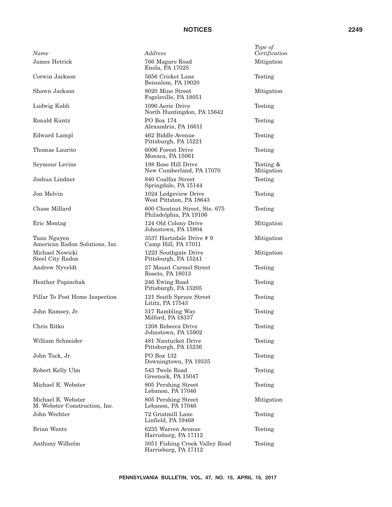| Name                                                | Address                                                 | Type of<br>Certification |
|-----------------------------------------------------|---------------------------------------------------------|--------------------------|
| <b>James Hetrick</b>                                | 766 Magaro Road<br>Enola, PA 17025                      | Mitigation               |
| Corwin Jackson                                      | 5656 Cricket Lane<br>Bensalem, PA 19020                 | Testing                  |
| Shawn Jackson                                       | 8020 Mine Street<br>Fogelsville, PA 18051               | Mitigation               |
| Ludwig Kubli                                        | 1090 Aerie Drive<br>North Huntingdon, PA 15642          | Testing                  |
| <b>Ronald Kuntz</b>                                 | PO Box 174<br>Alexandria, PA 16611                      | Testing                  |
| <b>Edward Lampl</b>                                 | 462 Biddle Avenue<br>Pittsburgh, PA 15221               | Testing                  |
| Thomas Laurito                                      | 6006 Forest Drive<br>Monaca, PA 15061                   | Testing                  |
| Seymour Levine                                      | 198 Rose Hill Drive<br>New Cumberland, PA 17070         | Testing &<br>Mitigation  |
| Joshua Lindner                                      | 840 Coalfax Street<br>Springdale, PA 15144              | Testing                  |
| Jon Melvin                                          | 1024 Ledgeview Drive<br>West Pittston, PA 18643         | Testing                  |
| Chase Millard                                       | 600 Chestnut Street, Ste. 675<br>Philadelphia, PA 19106 | Testing                  |
| Eric Montag                                         | 124 Old Colony Drive<br>Johnstown, PA 15904             | Mitigation               |
| Tuan Nguyen<br>American Radon Solutions, Inc.       | 3537 Hartzdale Drive # 9<br>Camp Hill, PA 17011         | Mitigation               |
| Michael Nowicki<br>Steel City Radon                 | 1223 Southgate Drive<br>Pittsburgh, PA 15241            | Mitigation               |
| Andrew Nyveldt                                      | 27 Mount Carmel Street<br>Roseto, PA 18013              | Testing                  |
| Heather Papinchak                                   | 246 Ewing Road<br>Pittsburgh, PA 15205                  | Testing                  |
| Pillar To Post Home Inspection                      | 121 South Spruce Street<br>Lititz, PA 17543             | Testing                  |
| John Ramsey, Jr.                                    | 317 Rambling Way<br>Milford, PA 18337                   | Testing                  |
| Chris Ritko                                         | 1208 Rebecca Drive<br>Johnstown, PA 15902               | Testing                  |
| William Schneider                                   | 481 Nantucket Drive<br>Pittsburgh, PA 15236             | Testing                  |
| John Tuck, Jr.                                      | PO Box 132<br>Downingtown, PA 19335                     | Testing                  |
| Robert Kelly Ulm                                    | 543 Twele Road<br>Greenock, PA 15047                    | Testing                  |
| Michael R. Webster                                  | 805 Pershing Street<br>Lebanon, PA 17046                | Testing                  |
| Michael R. Webster<br>M. Webster Construction, Inc. | 805 Pershing Street<br>Lebanon, PA 17046                | Mitigation               |
| John Wechter                                        | 72 Gristmill Lane<br>Linfield, PA 19468                 | Testing                  |
| Brian Wentz                                         | 6235 Warren Avenue<br>Harrisburg, PA 17112              | Testing                  |
| Anthony Wilhelm                                     | 3051 Fishing Creek Valley Road<br>Harrisburg, PA 17112  | Testing                  |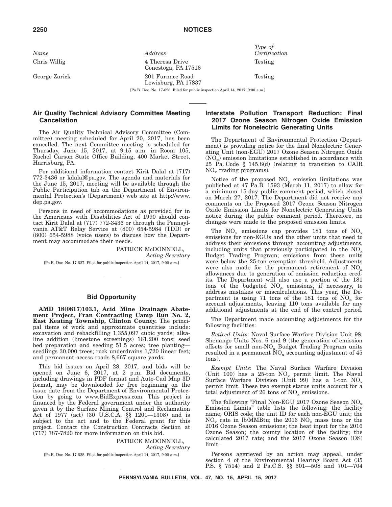*Name Address*

George Zarick 201 Furnace Road

Chris Willig 4 Theresa Drive Conestoga, PA 17516 Lewisburg, PA 17837 *Type of Certification* Testing

Testing

[Pa.B. Doc. No. 17-626. Filed for public inspection April 14, 2017, 9:00 a.m.]

# **Air Quality Technical Advisory Committee Meeting Cancellation**

The Air Quality Technical Advisory Committee (Committee) meeting scheduled for April 20, 2017, has been cancelled. The next Committee meeting is scheduled for Thursday, June 15, 2017, at 9:15 a.m. in Room 105, Rachel Carson State Office Building, 400 Market Street, Harrisburg, PA.

For additional information contact Kirit Dalal at (717) 772-3436 or kdalal@pa.gov. The agenda and materials for the June 15, 2017, meeting will be available through the Public Participation tab on the Department of Environmental Protection's (Department) web site at http://www. dep.pa.gov.

Persons in need of accommodations as provided for in the Americans with Disabilities Act of 1990 should contact Kirit Dalal at (717) 772-3436 or through the Pennsylvania AT&T Relay Service at (800) 654-5984 (TDD) or (800) 654-5988 (voice users) to discuss how the Department may accommodate their needs.

> PATRICK McDONNELL, *Acting Secretary*

[Pa.B. Doc. No. 17-627. Filed for public inspection April 14, 2017, 9:00 a.m.]

# **Bid Opportunity**

**AMD 18(0817)103.1, Acid Mine Drainage Abatement Project, Fran Contracting Camp Run No. 2, East Keating Township, Clinton County.** The principal items of work and approximate quantities include: excavation and rebackfilling 1,355,097 cubic yards; alkaline addition (limestone screenings) 161,200 tons; seed bed preparation and seeding 51.5 acres; tree planting seedlings 30,000 trees; rock underdrains 1,720 linear feet; and permanent access roads 8,667 square yards.

This bid issues on April 28, 2017, and bids will be opened on June 6, 2017, at 2 p.m. Bid documents, including drawings in PDF format and Auto-Cad Map 3D format, may be downloaded for free beginning on the issue date from the Department of Environmental Protection by going to www.BidExpress.com. This project is financed by the Federal government under the authority given it by the Surface Mining Control and Reclamation Act of 1977 (act) (30 U.S.C.A. §§ 1201—1308) and is subject to the act and to the Federal grant for this project. Contact the Construction Contracts Section at (717) 787-7820 for more information on this bid.

> PATRICK McDONNELL, *Acting Secretary*

[Pa.B. Doc. No. 17-628. Filed for public inspection April 14, 2017, 9:00 a.m.]

# **Interstate Pollution Transport Reduction; Final 2017 Ozone Season Nitrogen Oxide Emission Limits for Nonelectric Generating Units**

The Department of Environmental Protection (Department) is providing notice for the final Nonelectric Generating Unit (non-EGU) 2017 Ozone Season Nitrogen Oxide  $(NO<sub>x</sub>)$  emission limitations established in accordance with 25 Pa. Code § 145.8(d) (relating to transition to CAIR  $NO<sub>x</sub>$  trading programs).

Notice of the proposed  $NO_x$  emission limitations was published at 47 Pa.B. 1593 (March 11, 2017) to allow for a minimum 15-day public comment period, which closed on March 27, 2017. The Department did not receive any comments on the Proposed 2017 Ozone Season Nitrogen Oxide Emission Limits for Nonelectric Generating Units notice during the public comment period. Therefore, no changes were made to the proposed emission limits.

The  $NO_x$  emissions cap provides 181 tons of  $NO_x$ emissions for non-EGUs and the other units that need to address their emissions through accounting adjustments, including units that previously participated in the  $NO<sub>x</sub>$ Budget Trading Program; emissions from these units were below the 25-ton exemption threshold. Adjustments were also made for the permanent retirement of  $NO_x$ allowances due to generation of emission reduction credits. The Department will also use a portion of the 181 tons of the budgeted  $NO_x$  emissions, if necessary, to address mistakes or miscalculations. This year, the Department is using 71 tons of the 181 tons of  $NO_x$  for account adjustments, leaving 110 tons available for any additional adjustments at the end of the control period.

The Department made accounting adjustments for the following facilities:

*Retired Units*: Naval Surface Warfare Division Unit 98; Shenango Units Nos. 6 and 9 (the generation of emission offsets for small non- $NO_x$  Budget Trading Program units resulted in a permanent  $NO<sub>x</sub>$  accounting adjustment of 45 tons).

*Exempt Units*: The Naval Surface Warfare Division (Unit 100) has a 25-ton  $NO_x$  permit limit. The Naval Surface Warfare Division (Unit 99) has a 1-ton  $NO<sub>x</sub>$ permit limit. These two exempt status units account for a total adjustment of 26 tons of  $NO_x$  emissions.

The following "Final Non-EGU 2017 Ozone Season  $NO_x$ Emission Limits'' table lists the following: the facility name; ORIS code; the unit ID for each non-EGU unit; the  $NO<sub>x</sub>$  rate in lb/MMBtu; the 2016  $NO<sub>x</sub>$  mass tons or the 2016 Ozone Season emissions; the heat input for the 2016 Ozone Season; the county location of the facility; the calculated 2017 rate; and the 2017 Ozone Season (OS) limit.

Persons aggrieved by an action may appeal, under section 4 of the Environmental Hearing Board Act (35 P.S. § 7514) and 2 Pa.C.S. §§ 501—508 and 701—704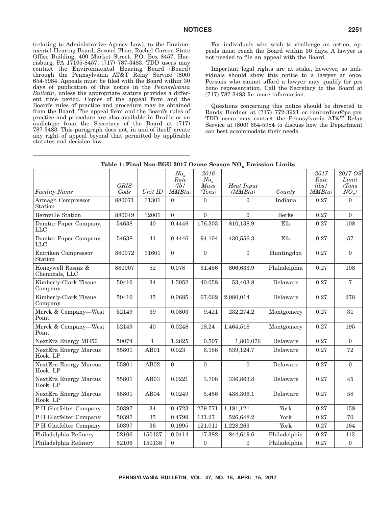(relating to Administrative Agency Law), to the Environmental Hearing Board, Second Floor, Rachel Carson State Office Building, 400 Market Street, P.O. Box 8457, Harrisburg, PA 17105-8457, (717) 787-3483. TDD users may contact the Environmental Hearing Board (Board) through the Pennsylvania AT&T Relay Service (800) 654-5984. Appeals must be filed with the Board within 30 days of publication of this notice in the *Pennsylvania Bulletin*, unless the appropriate statute provides a different time period. Copies of the appeal form and the Board's rules of practice and procedure may be obtained from the Board. The appeal form and the Board's rules of practice and procedure are also available in Braille or on audiotape from the Secretary of the Board at (717) 787-3483. This paragraph does not, in and of itself, create any right of appeal beyond that permitted by applicable statutes and decision law.

For individuals who wish to challenge an action, appeals must reach the Board within 30 days. A lawyer is not needed to file an appeal with the Board.

Important legal rights are at stake, however, so individuals should show this notice to a lawyer at once. Persons who cannot afford a lawyer may qualify for pro bono representation. Call the Secretary to the Board at (717) 787-3483 for more information.

Questions concerning this notice should be directed to Randy Bordner at (717) 772-3921 or ranbordner@pa.gov. TDD users may contact the Pennsylvania AT&T Relay Service at (800) 654-5984 to discuss how the Department can best accommodate their needs.

|        |                     | $N o_x$      | 2016                             |                          |                              | 2017   | 2017 OS                 |
|--------|---------------------|--------------|----------------------------------|--------------------------|------------------------------|--------|-------------------------|
|        |                     |              |                                  |                          |                              |        | Limit                   |
|        |                     |              |                                  |                          |                              |        | (Tons)                  |
|        |                     |              |                                  |                          |                              |        | $NO_{x}$                |
| 880071 | 31301               | $\Omega$     | $\Omega$                         | $\Omega$                 | Indiana                      | 0.27   | $\Omega$                |
| 880049 | 32001               | $\Omega$     | $\Omega$                         | $\Omega$                 | <b>Berks</b>                 | 0.27   | $\Omega$                |
| 54638  | 40                  | 0.4446       | 176.303                          | 810,138.9                | Elk                          | 0.27   | 108                     |
| 54638  | 41                  | 0.4446       | 94.104                           | 430,556.3                | Elk                          | 0.27   | 57                      |
| 880072 | 31601               | $\theta$     | $\mathbf{0}$                     | $\mathbf{0}$             | Huntingdon                   | 0.27   | $\theta$                |
| 880007 | 52                  | 0.078        | 31.456                           | 806,633.9                | Philadelphia                 | 0.27   | 108                     |
| 50410  | 34                  | 1.5052       | 40.058                           | 53,403.8                 | Delaware                     | 0.27   | $\mathbf 7$             |
| 50410  | 35                  | 0.0685       | 67.062                           | 2,080,014                | Delaware                     | 0.27   | 278                     |
| 52149  | 39                  | 0.0803       | 9.421                            | 232,274.2                | Montgomery                   | 0.27   | 31                      |
| 52149  | 40                  | 0.0248       | 18.24                            | 1,464,518                | Montgomery                   | 0.27   | 195                     |
| 50074  | $\mathbf{1}$        | 1.2625       | 0.507                            | 1,806.076                | Delaware                     | 0.27   | $\theta$                |
| 55801  | AB01                | 0.023        | 6.188                            | 539,124.7                | Delaware                     | 0.27   | 72                      |
| 55801  | AB02                | $\Omega$     | $\theta$                         | $\Omega$                 | Delaware                     | 0.27   | $\theta$                |
| 55801  | AB03                | 0.0221       | 3.708                            | 336,863.8                | Delaware                     | 0.27   | 45                      |
| 55801  | AB04                | 0.0249       | 5.456                            | 438,306.1                | Delaware                     | 0.27   | 58                      |
| 50397  | 34                  | 0.4723       | 279.771                          | 1,181,121                | York                         | 0.27   | 158                     |
| 50397  | 35                  | 0.4799       | 131.27                           | 526,648.2                | York                         | 0.27   | 70                      |
| 50397  | 36                  | 0.1995       | 121.011                          | 1,228,263                | York                         | 0.27   | 164                     |
| 52106  | 150137              | 0.0414       | 17.382                           | 844,619.6                | Philadelphia                 | 0.27   | 113                     |
| 52106  | 150138              | $\mathbf{0}$ | $\mathbf{0}$                     | $\boldsymbol{0}$         | Philadelphia                 | 0.27   | $\boldsymbol{0}$        |
|        | <b>ORIS</b><br>Code | Unit ID      | Rate<br>$\frac{db}{ }$<br>MMBtu) | $No_x$<br>Mass<br>(Tons) | <b>Heat Input</b><br>(MMBtu) | County | Rate<br>(lbs)<br>MMBtu) |

| Table 1: Final Non-EGU 2017 Ozone Season $NO_x$ Emission Limits |
|-----------------------------------------------------------------|
|-----------------------------------------------------------------|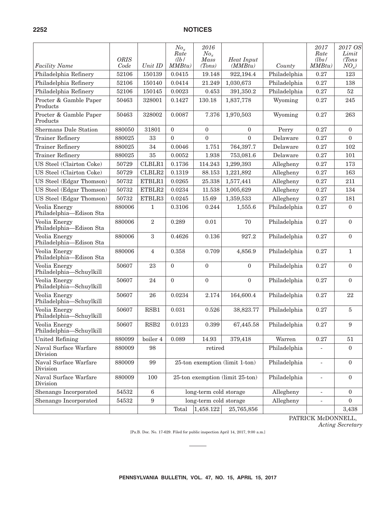|                                          | <b>ORIS</b> |                  | $No_x$<br>Rate<br>$\frac{db}{b}$ | 2016<br>$No_x$<br>Mass | Heat Input                      |              | 2017<br>Rate<br>(lbs /   | 2017 OS<br>Limit<br>(Tons) |
|------------------------------------------|-------------|------------------|----------------------------------|------------------------|---------------------------------|--------------|--------------------------|----------------------------|
| <b>Facility Name</b>                     | Code        | Unit ID          | MMBtu)                           | (Tons)                 | (MMBtu)                         | County       | MMBtu)                   | $NO_x$ )                   |
| Philadelphia Refinery                    | 52106       | 150139           | 0.0415                           | 19.148                 | 922,194.4                       | Philadelphia | 0.27                     | 123                        |
| Philadelphia Refinery                    | 52106       | 150140           | 0.0414                           | 21.249                 | 1,030,673                       | Philadelphia | 0.27                     | 138                        |
| Philadelphia Refinery                    | 52106       | 150145           | 0.0023                           | 0.453                  | 391,350.2                       | Philadelphia | 0.27                     | 52                         |
| Procter & Gamble Paper<br>Products       | 50463       | 328001           | 0.1427                           | 130.18                 | 1,837,778                       | Wyoming      | 0.27                     | 245                        |
| Procter & Gamble Paper<br>Products       | 50463       | 328002           | 0.0087                           | 7.376                  | 1,970,503                       | Wyoming      | 0.27                     | 263                        |
| <b>Shermans Dale Station</b>             | 880050      | 31801            | $\theta$                         | $\mathbf{0}$           | $\overline{0}$                  | Perry        | 0.27                     | $\overline{0}$             |
| <b>Trainer Refinery</b>                  | 880025      | 33               | $\theta$                         | $\theta$               | $\Omega$                        | Delaware     | 0.27                     | $\Omega$                   |
| <b>Trainer Refinery</b>                  | 880025      | 34               | 0.0046                           | 1.751                  | 764,397.7                       | Delaware     | 0.27                     | 102                        |
| <b>Trainer Refinery</b>                  | 880025      | 35               | 0.0052                           | 1.938                  | 753,081.6                       | Delaware     | 0.27                     | 101                        |
| US Steel (Clairton Coke)                 | 50729       | CLBLR1           | 0.1736                           | 114.243                | 1,299,393                       | Allegheny    | 0.27                     | 173                        |
| US Steel (Clairton Coke)                 | 50729       | CLBLR2           | 0.1319                           | 88.153                 | 1,221,892                       | Allegheny    | 0.27                     | 163                        |
| US Steel (Edgar Thomson)                 | 50732       | ETBLR1           | 0.0265                           | 25.338                 | 1,577,441                       | Allegheny    | 0.27                     | 211                        |
| US Steel (Edgar Thomson)                 | 50732       | ETBLR2           | 0.0234                           | 11.538                 | 1,005,629                       | Allegheny    | 0.27                     | 134                        |
| US Steel (Edgar Thomson)                 | 50732       | ETBLR3           | 0.0245                           | 15.69                  | 1,359,533                       | Allegheny    | 0.27                     | 181                        |
| Veolia Energy<br>Philadelphia-Edison Sta | 880006      | $\mathbf{1}$     | 0.3106                           | 0.244                  | 1,555.6                         | Philadelphia | 0.27                     | $\mathbf{0}$               |
| Veolia Energy<br>Philadelphia-Edison Sta | 880006      | $\mathbf{2}$     | 0.289                            | 0.01                   | 70                              | Philadelphia | 0.27                     | $\overline{0}$             |
| Veolia Energy<br>Philadelphia-Edison Sta | 880006      | $\sqrt{3}$       | 0.4626                           | 0.136                  | 927.2                           | Philadelphia | 0.27                     | $\Omega$                   |
| Veolia Energy<br>Philadelphia-Edison Sta | 880006      | $\overline{4}$   | 0.358                            | 0.709                  | 4,856.9                         | Philadelphia | 0.27                     | 1                          |
| Veolia Energy<br>Philadelphia-Schuylkill | 50607       | 23               | $\mathbf{0}$                     | $\mathbf{0}$           | $\mathbf{0}$                    | Philadelphia | 0.27                     | $\overline{0}$             |
| Veolia Energy<br>Philadelphia-Schuylkill | 50607       | 24               | $\Omega$                         | $\mathbf{0}$           | $\mathbf{0}$                    | Philadelphia | 0.27                     | $\Omega$                   |
| Veolia Energy<br>Philadelphia-Schuylkill | 50607       | 26               | 0.0234                           | 2.174                  | 164,600.4                       | Philadelphia | 0.27                     | 22                         |
| Veolia Energy<br>Philadelphia-Schuylkill | 50607       | RSB1             | 0.031                            | 0.526                  | 38,823.77                       | Philadelphia | 0.27                     | $\bf 5$                    |
| Veolia Energy<br>Philadelphia-Schuylkill | 50607       | RSB2             | 0.0123                           | 0.399                  | 67,445.58                       | Philadelphia | 0.27                     | $\boldsymbol{9}$           |
| United Refining                          | 880099      | boiler 4         | 0.089                            | 14.93                  | 379,418                         | Warren       | $0.27\,$                 | $51\,$                     |
| Naval Surface Warfare<br>Division        | 880009      | 98               |                                  | retired                |                                 | Philadelphia |                          | $\overline{0}$             |
| Naval Surface Warfare<br>Division        | 880009      | 99               |                                  |                        | 25-ton exemption (limit 1-ton)  | Philadelphia | $\overline{\phantom{a}}$ | $\boldsymbol{0}$           |
| Naval Surface Warfare<br>Division        | 880009      | 100              |                                  |                        | 25-ton exemption (limit 25-ton) | Philadelphia | $\overline{\phantom{a}}$ | $\boldsymbol{0}$           |
| Shenango Incorporated                    | 54532       | $\,6\,$          |                                  | long-term cold storage |                                 | Allegheny    | $\blacksquare$           | $\overline{0}$             |
| Shenango Incorporated                    | 54532       | $\boldsymbol{9}$ |                                  | long-term cold storage |                                 | Allegheny    |                          | $\overline{0}$             |
|                                          |             |                  | Total                            | 1,458.122              | 25,765,856                      |              |                          | 3,438                      |

PATRICK McDONNELL,

*Acting Secretary*

[Pa.B. Doc. No. 17-629. Filed for public inspection April 14, 2017, 9:00 a.m.]

 $\sim$  $\overline{\phantom{a}}$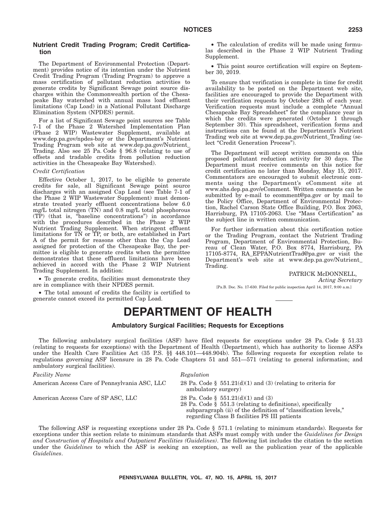# **Nutrient Credit Trading Program; Credit Certification**

The Department of Environmental Protection (Department) provides notice of its intention under the Nutrient Credit Trading Program (Trading Program) to approve a mass certification of pollutant reduction activities to generate credits by Significant Sewage point source discharges within the Commonwealth portion of the Chesapeake Bay watershed with annual mass load effluent limitations (Cap Load) in a National Pollutant Discharge Elimination System (NPDES) permit.

For a list of Significant Sewage point sources see Table 7-1 of the Phase 2 Watershed Implementation Plan (Phase 2 WIP) Wastewater Supplement, available at www.dep.pa.gov/npdes-bay or the Department's Nutrient Trading Program web site at www.dep.pa.gov/Nutrient\_ Trading. Also see 25 Pa. Code § 96.8 (relating to use of offsets and tradable credits from pollution reduction activities in the Chesapeake Bay Watershed).

#### *Credit Certification*

Effective October 1, 2017, to be eligible to generate credits for sale, all Significant Sewage point source discharges with an assigned Cap Load (see Table 7-1 of the Phase 2 WIP Wastewater Supplement) must demonstrate treated yearly effluent concentrations below 6.0 mg/L total nitrogen (TN) and 0.8 mg/L total phosphorous (TP) (that is, ''baseline concentrations'') in accordance with the procedures described in the Phase 2 WIP Nutrient Trading Supplement. When stringent effluent limitations for TN or TP, or both, are established in Part A of the permit for reasons other than the Cap Load assigned for protection of the Chesapeake Bay, the permittee is eligible to generate credits when the permittee demonstrates that these effluent limitations have been achieved in accord with the Phase 2 WIP Nutrient Trading Supplement. In addition:

• To generate credits, facilities must demonstrate they are in compliance with their NPDES permit.

• The total amount of credits the facility is certified to generate cannot exceed its permitted Cap Load.

• The calculation of credits will be made using formulas described in the Phase 2 WIP Nutrient Trading Supplement.

• This point source certification will expire on September 30, 2019.

To ensure that verification is complete in time for credit availability to be posted on the Department web site, facilities are encouraged to provide the Department with their verification requests by October 28th of each year. Verification requests must include a complete ''Annual Chesapeake Bay Spreadsheet'' for the compliance year in which the credits were generated (October 1 through September 30). This spreadsheet, verification forms and instructions can be found at the Department's Nutrient Trading web site at www.dep.pa.gov/Nutrient\_Trading (select "Credit Generation Process").

The Department will accept written comments on this proposed pollutant reduction activity for 30 days. The Department must receive comments on this notice for credit certification no later than Monday, May 15, 2017. Commentators are encouraged to submit electronic comments using the Department's eComment site at www.ahs.dep.pa.gov/eComment. Written comments can be submitted by e-mail to ecomment@pa.gov or by mail to the Policy Office, Department of Environmental Protection, Rachel Carson State Office Building, P.O. Box 2063, Harrisburg, PA 17105-2063. Use "Mass Certification" as the subject line in written communication.

For further information about this certification notice or the Trading Program, contact the Nutrient Trading Program, Department of Environmental Protection, Bureau of Clean Water, P.O. Box 8774, Harrisburg, PA 17105-8774, RA\_EPPANutrientTrad@pa.gov or visit the Department's web site at www.dep.pa.gov/Nutrient\_ Trading.

> PATRICK McDONNELL, *Acting Secretary*

[Pa.B. Doc. No. 17-630. Filed for public inspection April 14, 2017, 9:00 a.m.]

# **DEPARTMENT OF HEALTH**

#### **Ambulatory Surgical Facilities; Requests for Exceptions**

The following ambulatory surgical facilities (ASF) have filed requests for exceptions under 28 Pa. Code § 51.33 (relating to requests for exceptions) with the Department of Health (Department), which has authority to license ASFs under the Health Care Facilities Act (35 P.S. §§ 448.101—448.904b). The following requests for exception relate to regulations governing ASF licensure in 28 Pa. Code Chapters 51 and 551—571 (relating to general information; and ambulatory surgical facilities).

#### *Facility Name* Regulation

American Access Care of SP ASC, LLC 28 Pa. Code § 551.21(d)(1) and (3)

American Access Care of Pennsylvania ASC, LLC 28 Pa. Code § 551.21(d)(1) and (3) (relating to criteria for ambulatory surgery)

28 Pa. Code § 551.3 (relating to definitions), specifically subparagraph (ii) of the definition of "classification levels," regarding Class B facilities PS III patients

The following ASF is requesting exceptions under 28 Pa. Code § 571.1 (relating to minimum standards). Requests for exceptions under this section relate to minimum standards that ASFs must comply with under the *Guidelines for Design and Construction of Hospitals and Outpatient Facilities (Guidelines)*. The following list includes the citation to the section under the *Guidelines* to which the ASF is seeking an exception, as well as the publication year of the applicable *Guidelines*.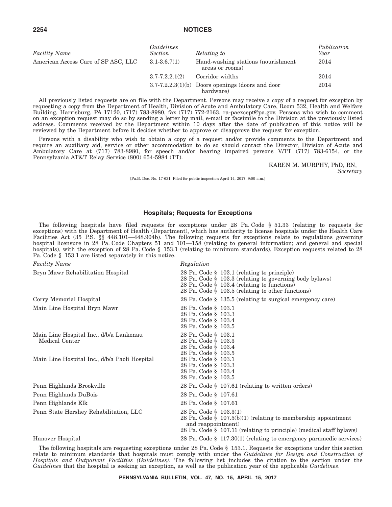| <i>Facility Name</i>                | Guidelines<br><b>Section</b>                                              | Relating to                                                     | Publication<br>Year |
|-------------------------------------|---------------------------------------------------------------------------|-----------------------------------------------------------------|---------------------|
| American Access Care of SP ASC, LLC | $3.1 - 3.6.7(1)$<br>Hand-washing stations (nourishment<br>areas or rooms) |                                                                 | 2014                |
|                                     | $3.7 - 7.2.2.1(2)$                                                        | Corridor widths                                                 | 2014                |
|                                     |                                                                           | $3.7-7.2.2.3(1)(b)$ Doors openings (doors and door<br>hardware) | 2014                |

All previously listed requests are on file with the Department. Persons may receive a copy of a request for exception by requesting a copy from the Department of Health, Division of Acute and Ambulatory Care, Room 532, Health and Welfare Building, Harrisburg, PA 17120, (717) 783-8980, fax (717) 772-2163, ra-paexcept@pa.gov. Persons who wish to comment on an exception request may do so by sending a letter by mail, e-mail or facsimile to the Division at the previously listed address. Comments received by the Department within 10 days after the date of publication of this notice will be reviewed by the Department before it decides whether to approve or disapprove the request for exception.

Persons with a disability who wish to obtain a copy of a request and/or provide comments to the Department and require an auxiliary aid, service or other accommodation to do so should contact the Director, Division of Acute and Ambulatory Care at (717) 783-8980, for speech and/or hearing impaired persons V/TT (717) 783-6154, or the Pennsylvania AT&T Relay Service (800) 654-5984 (TT).

KAREN M. MURPHY, PhD, RN,

*Secretary*

[Pa.B. Doc. No. 17-631. Filed for public inspection April 14, 2017, 9:00 a.m.]

# **Hospitals; Requests for Exceptions**

The following hospitals have filed requests for exceptions under 28 Pa. Code § 51.33 (relating to requests for exceptions) with the Department of Health (Department), which has authority to license hospitals under the Health Care Facilities Act (35 P.S. §§ 448.101—448.904b). The following requests for exceptions relate to regulations governing hospital licensure in 28 Pa. Code Chapters 51 and 101—158 (relating to general information; and general and special hospitals), with the exception of 28 Pa. Code § 153.1 (relating to minimum standards). Exception requests related to 28 Pa. Code § 153.1 are listed separately in this notice.

| <b>Facility Name</b>                                      | Regulation                                                                                                                                                                                                          |
|-----------------------------------------------------------|---------------------------------------------------------------------------------------------------------------------------------------------------------------------------------------------------------------------|
| Bryn Mawr Rehabilitation Hospital                         | 28 Pa. Code $\S$ 103.1 (relating to principle)<br>28 Pa. Code § 103.3 (relating to governing body bylaws)<br>28 Pa. Code $\S$ 103.4 (relating to functions)<br>28 Pa. Code $\S$ 103.5 (relating to other functions) |
| Corry Memorial Hospital                                   | 28 Pa. Code § 135.5 (relating to surgical emergency care)                                                                                                                                                           |
| Main Line Hospital Bryn Mawr                              | 28 Pa. Code § 103.1<br>28 Pa. Code § 103.3<br>28 Pa. Code § 103.4<br>28 Pa. Code § 103.5                                                                                                                            |
| Main Line Hospital Inc., d/b/a Lankenau<br>Medical Center | 28 Pa. Code § 103.1<br>28 Pa. Code § 103.3<br>28 Pa. Code § 103.4<br>28 Pa. Code § 103.5                                                                                                                            |
| Main Line Hospital Inc., d/b/a Paoli Hospital             | 28 Pa. Code § 103.1<br>28 Pa. Code § 103.3<br>28 Pa. Code § 103.4<br>28 Pa. Code § 103.5                                                                                                                            |
| Penn Highlands Brookville                                 | 28 Pa. Code $\S$ 107.61 (relating to written orders)                                                                                                                                                                |
| Penn Highlands DuBois                                     | 28 Pa. Code § 107.61                                                                                                                                                                                                |
| Penn Highlands Elk                                        | 28 Pa. Code § 107.61                                                                                                                                                                                                |
| Penn State Hershey Rehabilitation, LLC                    | 28 Pa. Code § 103.3(1)<br>28 Pa. Code $\S$ 107.5(b)(1) (relating to membership appointment<br>and reappointment)<br>28 Pa. Code § 107.11 (relating to principle) (medical staff bylaws)                             |
| Hanover Hospital                                          | 28 Pa. Code $\S$ 117.30(1) (relating to emergency paramedic services)                                                                                                                                               |

The following hospitals are requesting exceptions under 28 Pa. Code § 153.1. Requests for exceptions under this section relate to minimum standards that hospitals must comply with under the *Guidelines for Design and Construction of Hospitals and Outpatient Facilities (Guidelines)*. The following list includes the citation to the section under the *Guidelines* that the hospital is seeking an exception, as well as the publication year of the applicable *Guidelines*.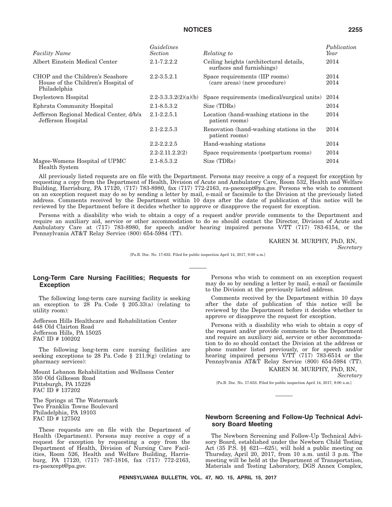| <b>Facility Name</b>                                                                    | Guidelines<br><b>Section</b> | Relating to                                                          | Publication<br>Year |
|-----------------------------------------------------------------------------------------|------------------------------|----------------------------------------------------------------------|---------------------|
| Albert Einstein Medical Center                                                          | $2.1 - 7.2.2.2$              | Ceiling heights (architectural details,<br>surfaces and furnishings) | 2014                |
| CHOP and the Children's Seashore<br>House of the Children's Hospital of<br>Philadelphia | $2.2 - 3.5.2.1$              | Space requirements (IIP rooms)<br>(care areas) (new procedure)       | 2014<br>2014        |
| Doylestown Hospital                                                                     | $2.2 - 3.3.3.2(2)(a)(b)$     | Space requirements (medical/surgical units)                          | 2014                |
| Ephrata Community Hospital                                                              | $2.1 - 8.5.3.2$              | Size (TDRs)                                                          | 2014                |
| Jefferson Regional Medical Center, d/b/a<br>Jefferson Hospital                          | $2.1 - 2.2.5.1$              | Location (hand-washing stations in the<br>patient rooms)             | 2014                |
|                                                                                         | $2.1 - 2.2.5.3$              | Renovation (hand-washing stations in the<br>patient rooms)           | 2014                |
|                                                                                         | $2.2 - 2.2.2.5$              | Hand-washing stations                                                | 2014                |
|                                                                                         | $2.2 - 2.11.2.2(2)$          | Space requirements (postpartum rooms)                                | 2014                |
| Magee-Womens Hospital of UPMC<br>Health System                                          | $2.1 - 8.5.3.2$              | Size (TDRs)                                                          | 2014                |

All previously listed requests are on file with the Department. Persons may receive a copy of a request for exception by requesting a copy from the Department of Health, Division of Acute and Ambulatory Care, Room 532, Health and Welfare Building, Harrisburg, PA 17120, (717) 783-8980, fax (717) 772-2163, ra-paexcept@pa.gov. Persons who wish to comment on an exception request may do so by sending a letter by mail, e-mail or facsimile to the Division at the previously listed address. Comments received by the Department within 10 days after the date of publication of this notice will be reviewed by the Department before it decides whether to approve or disapprove the request for exception.

Persons with a disability who wish to obtain a copy of a request and/or provide comments to the Department and require an auxiliary aid, service or other accommodation to do so should contact the Director, Division of Acute and Ambulatory Care at (717) 783-8980, for speech and/or hearing impaired persons V/TT (717) 783-6154, or the Pennsylvania AT&T Relay Service (800) 654-5984 (TT).

KAREN M. MURPHY, PhD, RN,

*Secretary*

[Pa.B. Doc. No. 17-632. Filed for public inspection April 14, 2017, 9:00 a.m.]

# **Long-Term Care Nursing Facilities; Requests for Exception**

The following long-term care nursing facility is seeking an exception to 28 Pa. Code § 205.33(a) (relating to utility room):

Jefferson Hills Healthcare and Rehabilitation Center 448 Old Clairton Road Jefferson Hills, PA 15025 FAC ID # 100202

The following long-term care nursing facilities are seeking exceptions to 28 Pa. Code § 211.9(g) (relating to pharmacy services):

Mount Lebanon Rehabilitation and Wellness Center 350 Old Gilkeson Road Pittsburgh, PA 15228 FAC ID # 137202

The Springs at The Watermark Two Franklin Towne Boulevard Philadelphia, PA 19103 FAC ID # 127502

These requests are on file with the Department of Health (Department). Persons may receive a copy of a request for exception by requesting a copy from the Department of Health, Division of Nursing Care Facilities, Room 526, Health and Welfare Building, Harrisburg, PA 17120, (717) 787-1816, fax (717) 772-2163, ra-paexcept@pa.gov.

Persons who wish to comment on an exception request may do so by sending a letter by mail, e-mail or facsimile to the Division at the previously listed address.

Comments received by the Department within 10 days after the date of publication of this notice will be reviewed by the Department before it decides whether to approve or disapprove the request for exception.

Persons with a disability who wish to obtain a copy of the request and/or provide comments to the Department and require an auxiliary aid, service or other accommodation to do so should contact the Division at the address or phone number listed previously, or for speech and/or hearing impaired persons V/TT (717) 783-6514 or the Pennsylvania AT&T Relay Service (800) 654-5984 (TT).

KAREN M. MURPHY, PhD, RN, *Secretary*

[Pa.B. Doc. No. 17-633. Filed for public inspection April 14, 2017, 9:00 a.m.]

# **Newborn Screening and Follow-Up Technical Advisory Board Meeting**

The Newborn Screening and Follow-Up Technical Advisory Board, established under the Newborn Child Testing Act (35 P.S. §§ 621—625), will hold a public meeting on Thursday, April 20, 2017, from 10 a.m. until 3 p.m. The meeting will be held at the Department of Transportation, Materials and Testing Laboratory, DGS Annex Complex,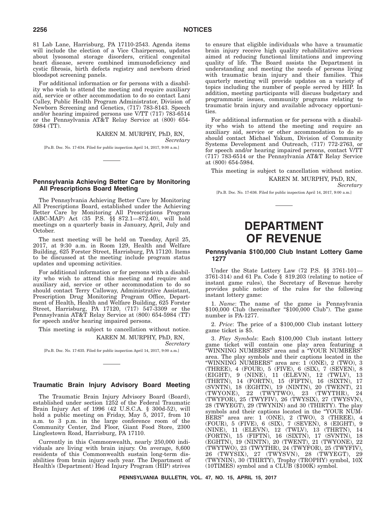81 Lab Lane, Harrisburg, PA 17110-2543. Agenda items will include the election of a Vice Chairperson, updates about lysosomal storage disorders, critical congenital heart disease, severe combined immunodeficiency and cystic fibrosis, birth defects registry and newborn dried bloodspot screening panels.

For additional information or for persons with a disability who wish to attend the meeting and require auxiliary aid, service or other accommodation to do so contact Lani Culley, Public Health Program Administrator, Division of Newborn Screening and Genetics, (717) 783-8143. Speech and/or hearing impaired persons use V/TT (717) 783-6514 or the Pennsylvania AT&T Relay Service at (800) 654- 5984 (TT).

> KAREN M. MURPHY, PhD, RN, *Secretary*

[Pa.B. Doc. No. 17-634. Filed for public inspection April 14, 2017, 9:00 a.m.]

# **Pennsylvania Achieving Better Care by Monitoring All Prescriptions Board Meeting**

The Pennsylvania Achieving Better Care by Monitoring All Prescriptions Board, established under the Achieving Better Care by Monitoring All Prescriptions Program (ABC-MAP) Act (35 P.S. §§ 872.1—872.40), will hold meetings on a quarterly basis in January, April, July and October.

The next meeting will be held on Tuesday, April 25, 2017, at 9:30 a.m. in Room 129, Health and Welfare Building, 625 Forster Street, Harrisburg, PA 17120. Items to be discussed at the meeting include program status updates and upcoming activities.

For additional information or for persons with a disability who wish to attend this meeting and require and auxiliary aid, service or other accommodation to do so should contact Terry Calloway, Administrative Assistant, Prescription Drug Monitoring Program Office, Department of Health, Health and Welfare Building, 625 Forster Street, Harrisburg, PA 17120, (717) 547-3309 or the Pennsylvania AT&T Relay Service at (800) 654-5984 (TT) for speech and/or hearing impaired persons.

This meeting is subject to cancellation without notice.

KAREN M. MURPHY, PhD, RN,

[Pa.B. Doc. No. 17-635. Filed for public inspection April 14, 2017, 9:00 a.m.]

# **Traumatic Brain Injury Advisory Board Meeting**

The Traumatic Brain Injury Advisory Board (Board), established under section 1252 of the Federal Traumatic Brain Injury Act of 1996 (42 U.S.C.A. § 300d-52), will hold a public meeting on Friday, May 5, 2017, from 10 a.m. to 3 p.m. in the large conference room of the Community Center, 2nd Floor, Giant Food Store, 2300 Linglestown Road, Harrisburg, PA 17110.

Currently in this Commonwealth, nearly 250,000 individuals are living with brain injury. On average, 8,600 residents of this Commonwealth sustain long-term disabilities from brain injury each year. The Department of Health's (Department) Head Injury Program (HIP) strives

to ensure that eligible individuals who have a traumatic brain injury receive high quality rehabilitative services aimed at reducing functional limitations and improving quality of life. The Board assists the Department in understanding and meeting the needs of persons living with traumatic brain injury and their families. This quarterly meeting will provide updates on a variety of topics including the number of people served by HIP. In addition, meeting participants will discuss budgetary and programmatic issues, community programs relating to traumatic brain injury and available advocacy opportunities.

For additional information or for persons with a disability who wish to attend the meeting and require an auxiliary aid, service or other accommodation to do so should contact Michael Yakum, Division of Community Systems Development and Outreach, (717) 772-2763, or for speech and/or hearing impaired persons, contact V/TT (717) 783-6514 or the Pennsylvania AT&T Relay Service at (800) 654-5984.

This meeting is subject to cancellation without notice. KAREN M. MURPHY, PhD, RN,

*Secretary*

[Pa.B. Doc. No. 17-636. Filed for public inspection April 14, 2017, 9:00 a.m.]

# **DEPARTMENT OF REVENUE**

### **Pennsylvania \$100,000 Club Instant Lottery Game 1277**

Under the State Lottery Law (72 P.S. §§ 3761-101— 3761-314) and 61 Pa. Code § 819.203 (relating to notice of instant game rules), the Secretary of Revenue hereby provides public notice of the rules for the following instant lottery game:

1. *Name*: The name of the game is Pennsylvania \$100,000 Club (hereinafter "\$100,000 Club"). The game number is PA-1277.

2. *Price*: The price of a \$100,000 Club instant lottery game ticket is \$5.

3. *Play Symbols*: Each \$100,000 Club instant lottery game ticket will contain one play area featuring a ''WINNING NUMBERS'' area and a ''YOUR NUMBERS'' area. The play symbols and their captions located in the ''WINNING NUMBERS'' area are: 1 (ONE), 2 (TWO), 3 (THREE), 4 (FOUR), 5 (FIVE), 6 (SIX), 7 (SEVEN), 8 (EIGHT), 9 (NINE), 11 (ELEVN), 12 (TWLV), 13 (THRTN), 14 (FORTN), 15 (FIFTN), 16 (SIXTN), 17 (SVNTN), 18 (EGHTN), 19 (NINTN), 20 (TWENT), 21  $(TWYONE)$ , 22  $(TWYTWO)$ , 23  $(TWYTHR)$ , (TWYFOR), 25 (TWYFIV), 26 (TWYSIX), 27 (TWYSVN), 28 (TWYEGT), 29 (TWYNIN) and 30 (THIRTY). The play symbols and their captions located in the "YOUR NUM-BERS" area are:  $1$  (ONE),  $2$  (TWO),  $3$  (THREE),  $4$ (FOUR), 5 (FIVE), 6 (SIX), 7 (SEVEN), 8 (EIGHT), 9 (NINE), 11 (ELEVN), 12 (TWLV), 13 (THRTN), 14 (FORTN), 15 (FIFTN), 16 (SIXTN), 17 (SVNTN), 18 (EGHTN), 19 (NINTN), 20 (TWENT), 21 (TWYONE), 22 (TWYTWO), 23 (TWYTHR), 24 (TWYFOR), 25 (TWYFIV), 26 (TWYSIX), 27 (TWYSVN), 28 (TWYEGT), 29 (TWYNIN), 30 (THIRTY), Trophy (TROPHY) symbol, 10X (10TIMES) symbol and a CLUB (\$100K) symbol.

*Secretary*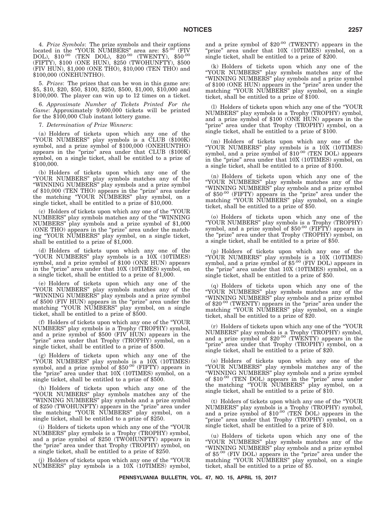4. *Prize Symbols*: The prize symbols and their captions located in the ''YOUR NUMBERS'' area are: \$5.00 (FIV DOL), \$10.00 (TEN DOL), \$20.00 (TWENTY), \$50.00 (FIFTY), \$100 (ONE HUN), \$250 (TWOHUNFTY), \$500 (FIV HUN), \$1,000 (ONE THO), \$10,000 (TEN THO) and \$100,000 (ONEHUNTHO).

5. *Prizes*: The prizes that can be won in this game are: \$5, \$10, \$20, \$50, \$100, \$250, \$500, \$1,000, \$10,000 and \$100,000. The player can win up to 12 times on a ticket.

6. *Approximate Number of Tickets Printed For the* Game: Approximately 9,600,000 tickets will be printed for the \$100,000 Club instant lottery game.

7. *Determination of Prize Winners*:

(a) Holders of tickets upon which any one of the ''YOUR NUMBERS'' play symbols is a CLUB (\$100K) symbol, and a prize symbol of \$100,000 (ONEHUNTHO) appears in the "prize" area under that CLUB (\$100K) symbol, on a single ticket, shall be entitled to a prize of \$100,000.

(b) Holders of tickets upon which any one of the ''YOUR NUMBERS'' play symbols matches any of the ''WINNING NUMBERS'' play symbols and a prize symbol of \$10,000 (TEN THO) appears in the ''prize'' area under the matching ''YOUR NUMBERS'' play symbol, on a single ticket, shall be entitled to a prize of \$10,000.

(c) Holders of tickets upon which any one of the ''YOUR NUMBERS'' play symbols matches any of the ''WINNING NUMBERS'' play symbols and a prize symbol of \$1,000 (ONE THO) appears in the "prize" area under the matching ''YOUR NUMBERS'' play symbol, on a single ticket, shall be entitled to a prize of \$1,000.

(d) Holders of tickets upon which any one of the ''YOUR NUMBERS'' play symbols is a 10X (10TIMES) symbol, and a prize symbol of \$100 (ONE HUN) appears in the ''prize'' area under that 10X (10TIMES) symbol, on a single ticket, shall be entitled to a prize of \$1,000.

(e) Holders of tickets upon which any one of the ''YOUR NUMBERS'' play symbols matches any of the ''WINNING NUMBERS'' play symbols and a prize symbol of \$500 (FIV HUN) appears in the "prize" area under the matching "YOUR NUMBERS" play symbol, on a single ticket, shall be entitled to a prize of \$500.

(f) Holders of tickets upon which any one of the ''YOUR NUMBERS'' play symbols is a Trophy (TROPHY) symbol, and a prize symbol of \$500 (FIV HUN) appears in the "prize" area under that Trophy (TROPHY) symbol, on a single ticket, shall be entitled to a prize of \$500.

(g) Holders of tickets upon which any one of the "YOUR NUMBERS" play symbols is a 10X (10TIMES) symbol, and a prize symbol of \$50<sup>.00</sup> (FIFTY) appears in the "prize" area under that 10X (10TIMES) symbol, on a single ticket, shall be entitled to a prize of \$500.

(h) Holders of tickets upon which any one of the ''YOUR NUMBERS'' play symbols matches any of the ''WINNING NUMBERS'' play symbols and a prize symbol of \$250 (TWOHUNFTY) appears in the "prize" area under the matching ''YOUR NUMBERS'' play symbol, on a single ticket, shall be entitled to a prize of \$250.

(i) Holders of tickets upon which any one of the ''YOUR NUMBERS'' play symbols is a Trophy (TROPHY) symbol, and a prize symbol of \$250 (TWOHUNFTY) appears in the "prize" area under that Trophy (TROPHY) symbol, on a single ticket, shall be entitled to a prize of \$250.

(j) Holders of tickets upon which any one of the ''YOUR NUMBERS'' play symbols is a 10X (10TIMES) symbol,

and a prize symbol of \$20.00 (TWENTY) appears in the "prize" area under that  $10X$  (10TIMES) symbol, on a single ticket, shall be entitled to a prize of \$200.

(k) Holders of tickets upon which any one of the ''YOUR NUMBERS'' play symbols matches any of the ''WINNING NUMBERS'' play symbols and a prize symbol of \$100 (ONE HUN) appears in the "prize" area under the matching ''YOUR NUMBERS'' play symbol, on a single ticket, shall be entitled to a prize of \$100.

(l) Holders of tickets upon which any one of the ''YOUR NUMBERS'' play symbols is a Trophy (TROPHY) symbol, and a prize symbol of \$100 (ONE HUN) appears in the "prize" area under that Trophy (TROPHY) symbol, on a single ticket, shall be entitled to a prize of \$100.

(m) Holders of tickets upon which any one of the "YOUR NUMBERS" play symbols is a 10X (10TIMES) symbol, and a prize symbol of \$10<sup>.00</sup> (TEN DOL) appears in the "prize" area under that 10X (10TIMES) symbol, on a single ticket, shall be entitled to a prize of \$100.

(n) Holders of tickets upon which any one of the ''YOUR NUMBERS'' play symbols matches any of the ''WINNING NUMBERS'' play symbols and a prize symbol of  $$50^{.00}$  (FIFTY) appears in the "prize" area under the matching "YOUR NUMBERS" play symbol, on a single ticket, shall be entitled to a prize of \$50.

(o) Holders of tickets upon which any one of the ''YOUR NUMBERS'' play symbols is a Trophy (TROPHY) symbol, and a prize symbol of  $$50^{.00}$  (FIFTY) appears in the "prize" area under that Trophy (TROPHY) symbol, on a single ticket, shall be entitled to a prize of \$50.

(p) Holders of tickets upon which any one of the ''YOUR NUMBERS'' play symbols is a 10X (10TIMES) symbol, and a prize symbol of \$5.00 (FIV DOL) appears in the "prize" area under that 10X (10TIMES) symbol, on a single ticket, shall be entitled to a prize of \$50.

(q) Holders of tickets upon which any one of the ''YOUR NUMBERS'' play symbols matches any of the ''WINNING NUMBERS'' play symbols and a prize symbol of  $\$20^{.00}$  (TWENTY) appears in the "prize" area under the matching ''YOUR NUMBERS'' play symbol, on a single ticket, shall be entitled to a prize of \$20.

(r) Holders of tickets upon which any one of the ''YOUR NUMBERS'' play symbols is a Trophy (TROPHY) symbol, and a prize symbol of \$20.00 (TWENTY) appears in the "prize" area under that Trophy (TROPHY) symbol, on a single ticket, shall be entitled to a prize of \$20.

(s) Holders of tickets upon which any one of the ''YOUR NUMBERS'' play symbols matches any of the ''WINNING NUMBERS'' play symbols and a prize symbol of \$10.00 (TEN DOL) appears in the "prize" area under the matching ''YOUR NUMBERS'' play symbol, on a single ticket, shall be entitled to a prize of \$10.

(t) Holders of tickets upon which any one of the ''YOUR NUMBERS" play symbols is a Trophy (TROPHY) symbol, and a prize symbol of \$10<sup>.00</sup> (TEN DOL) appears in the "prize" area under that Trophy (TROPHY) symbol, on a single ticket, shall be entitled to a prize of \$10.

(u) Holders of tickets upon which any one of the ''YOUR NUMBERS'' play symbols matches any of the ''WINNING NUMBERS'' play symbols and a prize symbol of  $\$5^{.00}$  (FIV DOL) appears in the "prize" area under the matching "YOUR NUMBERS" play symbol, on a single ticket, shall be entitled to a prize of \$5.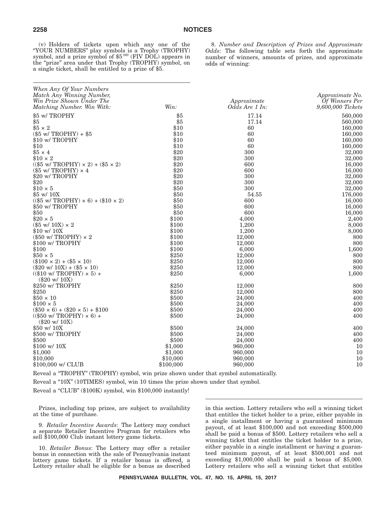(v) Holders of tickets upon which any one of the ''YOUR NUMBERS'' play symbols is a Trophy (TROPHY) symbol, and a prize symbol of \$5.00 (FIV DOL) appears in the "prize" area under that Trophy (TROPHY) symbol, on a single ticket, shall be entitled to a prize of \$5.

8. *Number and Description of Prizes and Approximate Odds*: The following table sets forth the approximate number of winners, amounts of prizes, and approximate odds of winning:

| When Any Of Your Numbers<br>Match Any Winning Number,<br>Win Prize Shown Under The<br>Matching Number. Win With: | Win:      | Approximate<br>Odds Are 1 In: | Approximate No.<br>Of Winners Per<br>9,600,000 Tickets |
|------------------------------------------------------------------------------------------------------------------|-----------|-------------------------------|--------------------------------------------------------|
| \$5 w/TROPHY                                                                                                     | \$5       | 17.14                         | 560,000                                                |
| \$5                                                                                                              | \$5       | 17.14                         | 560,000                                                |
| $$5 \times 2$                                                                                                    | \$10      | 60                            | 160,000                                                |
| $(\$5 w / TROPHY) + \$5$                                                                                         | \$10      | 60                            | 160,000                                                |
| \$10 w/ TROPHY                                                                                                   | \$10      | 60                            | 160,000                                                |
| \$10                                                                                                             | \$10      | 60                            | 160,000                                                |
| $$5 \times 4$                                                                                                    | \$20      | 300                           | 32,000                                                 |
| $$10 \times 2$                                                                                                   | \$20      | 300                           | 32,000                                                 |
| $((\$5 \le / \text{TROPHY}) \times 2) + (\$5 \times 2)$                                                          | \$20      | 600                           | 16,000                                                 |
| $(\$5$ w/ TROPHY) $\times$ 4                                                                                     | \$20      | 600                           | 16,000                                                 |
| \$20 w/ TROPHY                                                                                                   | \$20      | 300                           | 32,000                                                 |
| \$20                                                                                                             | \$20      | 300                           | 32,000                                                 |
| $$10 \times 5$                                                                                                   | \$50      | 300                           | 32,000                                                 |
| \$5 w/ 10X                                                                                                       | \$50      | 54.55                         | 176,000                                                |
| $((\$5 \le / \text{TROPHY}) \times 6) + (\$10 \times 2)$                                                         | \$50      | 600                           | 16,000                                                 |
| \$50 w/ TROPHY                                                                                                   | \$50      | 600                           | 16,000                                                 |
| \$50                                                                                                             | \$50      | 600                           | 16,000                                                 |
| $$20 \times 5$                                                                                                   | \$100     | 4,000                         | 2,400                                                  |
| $(\$5 \text{ w}/ 10 \text{X}) \times 2$                                                                          | \$100     | 1,200                         | 8,000                                                  |
| \$10 w/ 10X                                                                                                      | \$100     | 1,200                         | 8,000                                                  |
| $(\$50$ w/ TROPHY) $\times$ 2                                                                                    | \$100     | 12,000                        | 800                                                    |
| \$100 w/TROPHY                                                                                                   | \$100     | 12,000                        | 800                                                    |
| \$100                                                                                                            | \$100     | 6,000                         | 1,600                                                  |
| $$50 \times 5$                                                                                                   | \$250     | 12,000                        | 800                                                    |
| $(\$100 \times 2) + (\$5 \times 10)$                                                                             | \$250     | 12,000                        | 800                                                    |
| $(\$20 \text{ w}/ 10X) + ($5 \times 10)$                                                                         | \$250     | 12,000                        | 800                                                    |
| $((\$10 \text{ w}/ \text{TROPHY}) \times 5) +$                                                                   | \$250     | 6,000                         | 1,600                                                  |
| $(\$20 \text{ w}/ 10X)$                                                                                          |           |                               |                                                        |
| \$250 w/TROPHY                                                                                                   | \$250     | 12,000                        | 800                                                    |
| \$250                                                                                                            | \$250     | 12,000                        | 800                                                    |
| $$50 \times 10$                                                                                                  | \$500     | 24,000                        | 400                                                    |
| $$100 \times 5$                                                                                                  | \$500     | 24,000                        | 400                                                    |
| $(\$50 \times 6) + \$20 \times 5) + \$100$                                                                       | \$500     | 24.000                        | 400                                                    |
| $((\$50 \text{ w/TROPHY}) \times 6) +$                                                                           | \$500     | 24,000                        | 400                                                    |
| $(\$20 \text{ w}/ 10X)$                                                                                          |           |                               |                                                        |
| \$50 w/ 10X                                                                                                      | \$500     | 24,000                        | 400                                                    |
| \$500 w/ TROPHY                                                                                                  | \$500     | 24,000                        | 400                                                    |
| \$500                                                                                                            | \$500     | 24,000                        | 400                                                    |
| $$100 \text{ w}/10X$                                                                                             | \$1,000   | 960,000                       | 10                                                     |
| \$1,000                                                                                                          | \$1,000   | 960,000                       | 10                                                     |
| \$10,000                                                                                                         | \$10,000  | 960,000                       | 10                                                     |
| \$100,000 w/ CLUB                                                                                                | \$100,000 | 960,000                       | 10                                                     |

Reveal a ''TROPHY'' (TROPHY) symbol, win prize shown under that symbol automatically.

Reveal a "10X" (10TIMES) symbol, win 10 times the prize shown under that symbol.

Reveal a "CLUB" (\$100K) symbol, win \$100,000 instantly!

Prizes, including top prizes, are subject to availability at the time of purchase.

9. *Retailer Incentive Awards*: The Lottery may conduct a separate Retailer Incentive Program for retailers who sell \$100,000 Club instant lottery game tickets.

10. *Retailer Bonus*: The Lottery may offer a retailer bonus in connection with the sale of Pennsylvania instant lottery game tickets. If a retailer bonus is offered, a Lottery retailer shall be eligible for a bonus as described

in this section. Lottery retailers who sell a winning ticket that entitles the ticket holder to a prize, either payable in a single installment or having a guaranteed minimum payout, of at least \$100,000 and not exceeding \$500,000 shall be paid a bonus of \$500. Lottery retailers who sell a winning ticket that entitles the ticket holder to a prize, either payable in a single installment or having a guaranteed minimum payout, of at least \$500,001 and not exceeding \$1,000,000 shall be paid a bonus of \$5,000. Lottery retailers who sell a winning ticket that entitles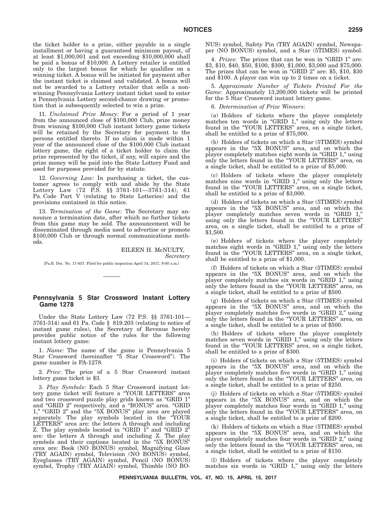the ticket holder to a prize, either payable in a single installment or having a guaranteed minimum payout, of at least \$1,000,001 and not exceeding \$10,000,000 shall be paid a bonus of \$10,000. A Lottery retailer is entitled only to the largest bonus for which he qualifies on a winning ticket. A bonus will be initiated for payment after the instant ticket is claimed and validated. A bonus will not be awarded to a Lottery retailer that sells a nonwinning Pennsylvania Lottery instant ticket used to enter a Pennsylvania Lottery second-chance drawing or promotion that is subsequently selected to win a prize.

11. *Unclaimed Prize Money*: For a period of 1 year from the announced close of \$100,000 Club, prize money from winning \$100,000 Club instant lottery game tickets will be retained by the Secretary for payment to the persons entitled thereto. If no claim is made within 1 year of the announced close of the \$100,000 Club instant lottery game, the right of a ticket holder to claim the prize represented by the ticket, if any, will expire and the prize money will be paid into the State Lottery Fund and used for purposes provided for by statute.

12. *Governing Law*: In purchasing a ticket, the customer agrees to comply with and abide by the State Lottery Law (72 P.S. §§ 3761-101—3761-314), 61 Pa. Code Part V (relating to State Lotteries) and the provisions contained in this notice.

13. *Termination of the Game*: The Secretary may announce a termination date, after which no further tickets from this game may be sold. The announcement will be disseminated through media used to advertise or promote \$100,000 Club or through normal communications methods.

#### EILEEN H. McNULTY, *Secretary*

[Pa.B. Doc. No. 17-637. Filed for public inspection April 14, 2017, 9:00 a.m.]

# **Pennsylvania 5 Star Crossword Instant Lottery Game 1278**

Under the State Lottery Law (72 P.S. §§ 3761-101— 3761-314) and 61 Pa. Code § 819.203 (relating to notice of instant game rules), the Secretary of Revenue hereby provides public notice of the rules for the following instant lottery game:

1. *Name*: The name of the game is Pennsylvania 5 Star Crossword (hereinafter "5 Star Crossword"). The game number is PA-1278.

2. *Price*: The price of a 5 Star Crossword instant lottery game ticket is \$3.

3. *Play Symbols*: Each 5 Star Crossword instant lottery game ticket will feature a ''YOUR LETTERS'' area and two crossword puzzle play grids known as ''GRID 1'' and ''GRID 2'' respectively, and a ''BONUS'' area. ''GRID 1," "GRID 2" and the "5X BONUS" play area are played separately. The play symbols located in the "YOUR LETTERS'' area are: the letters A through and including Z. The play symbols located in "GRID 1" and "GRID 2" are: the letters A through and including Z. The play symbols and their captions located in the "5X BONUS" area are: Book (NO BONUS) symbol, Magnifying Glass (TRY AGAIN) symbol, Television (NO BONUS) symbol, Eyeglasses (TRY AGAIN) symbol, Pencil (NO BONUS) symbol, Trophy (TRY AGAIN) symbol, Thimble (NO BO- NUS) symbol, Safety Pin (TRY AGAIN) symbol, Newspaper (NO BONUS) symbol, and a Star (5TIMES) symbol.

4. *Prizes*: The prizes that can be won in ''GRID 1'' are: \$3, \$10, \$40, \$50, \$100, \$300, \$1,000, \$3,000 and \$75,000. The prizes that can be won in "GRID  $2$ " are: \$5, \$10, \$30 and \$100. A player can win up to 2 times on a ticket.

5. *Approximate Number of Tickets Printed For the Game*: Approximately 13,200,000 tickets will be printed for the 5 Star Crossword instant lottery game.

6. *Determination of Prize Winners*:

(a) Holders of tickets where the player completely matches ten words in "GRID 1," using only the letters found in the ''YOUR LETTERS'' area, on a single ticket, shall be entitled to a prize of \$75,000.

(b) Holders of tickets on which a Star (5TIMES) symbol appears in the "5X BONUS" area, and on which the player completely matches eight words in ''GRID 1,'' using only the letters found in the ''YOUR LETTERS'' area, on a single ticket, shall be entitled to a prize of \$5,000.

(c) Holders of tickets where the player completely matches nine words in "GRID 1," using only the letters found in the "YOUR LETTERS" area, on a single ticket, shall be entitled to a prize of \$3,000.

(d) Holders of tickets on which a Star (5TIMES) symbol appears in the "5X BONUS" area, and on which the player completely matches seven words in ''GRID 1,'' using only the letters found in the ''YOUR LETTERS'' area, on a single ticket, shall be entitled to a prize of \$1,500.

(e) Holders of tickets where the player completely matches eight words in "GRID 1," using only the letters found in the "YOUR LETTERS" area, on a single ticket, shall be entitled to a prize of \$1,000.

(f) Holders of tickets on which a Star (5TIMES) symbol appears in the "5X BONUS" area, and on which the player completely matches six words in ''GRID 1,'' using only the letters found in the "YOUR LETTERS" area, on a single ticket, shall be entitled to a prize of \$500.

(g) Holders of tickets on which a Star (5TIMES) symbol appears in the "5X BONUS" area, and on which the player completely matches five words in "GRID 2," using only the letters found in the ''YOUR LETTERS'' area, on a single ticket, shall be entitled to a prize of \$500.

(h) Holders of tickets where the player completely matches seven words in "GRID 1," using only the letters found in the "YOUR LETTERS" area, on a single ticket, shall be entitled to a prize of \$300.

(i) Holders of tickets on which a Star (5TIMES) symbol appears in the "5X BONUS" area, and on which the player completely matches five words in "GRID 1," using only the letters found in the ''YOUR LETTERS'' area, on a single ticket, shall be entitled to a prize of \$250.

(j) Holders of tickets on which a Star (5TIMES) symbol appears in the "5X BONUS" area, and on which the player completely matches four words in "GRID 1," using only the letters found in the "YOUR LETTERS" area, on a single ticket, shall be entitled to a prize of \$200.

(k) Holders of tickets on which a Star (5TIMES) symbol appears in the "5X BONUS" area, and on which the player completely matches four words in "GRID 2," using only the letters found in the ''YOUR LETTERS'' area, on a single ticket, shall be entitled to a prize of \$150.

(l) Holders of tickets where the player completely matches six words in "GRID 1," using only the letters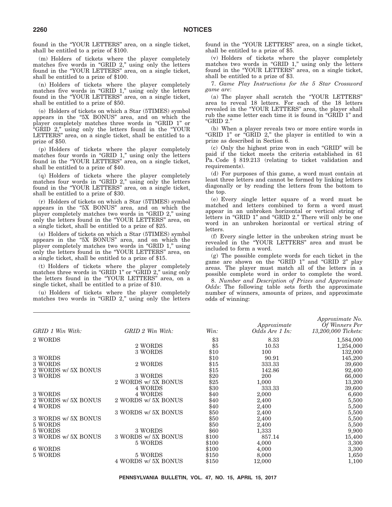found in the "YOUR LETTERS" area, on a single ticket, shall be entitled to a prize of \$100.

(m) Holders of tickets where the player completely matches five words in "GRID 2," using only the letters found in the ''YOUR LETTERS'' area, on a single ticket, shall be entitled to a prize of \$100.

(n) Holders of tickets where the player completely matches five words in "GRID 1," using only the letters found in the "YOUR LETTERS" area, on a single ticket, shall be entitled to a prize of \$50.

(o) Holders of tickets on which a Star (5TIMES) symbol appears in the "5X BONUS" area, and on which the player completely matches three words in ''GRID 1'' or ''GRID 2,'' using only the letters found in the ''YOUR LETTERS" area, on a single ticket, shall be entitled to a prize of \$50.

(p) Holders of tickets where the player completely matches four words in "GRID 1," using only the letters found in the ''YOUR LETTERS'' area, on a single ticket, shall be entitled to a prize of \$40.

(q) Holders of tickets where the player completely matches four words in "GRID 2," using only the letters found in the ''YOUR LETTERS'' area, on a single ticket, shall be entitled to a prize of \$30.

(r) Holders of tickets on which a Star (5TIMES) symbol appears in the "5X BONUS" area, and on which the player completely matches two words in "GRID 2," using only the letters found in the "YOUR LETTERS" area, on a single ticket, shall be entitled to a prize of \$25.

(s) Holders of tickets on which a Star (5TIMES) symbol appears in the "5X BONUS" area, and on which the player completely matches two words in "GRID 1," using only the letters found in the ''YOUR LETTERS'' area, on a single ticket, shall be entitled to a prize of \$15.

(t) Holders of tickets where the player completely matches three words in "GRID 1" or "GRID 2," using only the letters found in the "YOUR LETTERS" area, on a single ticket, shall be entitled to a prize of \$10.

(u) Holders of tickets where the player completely matches two words in "GRID 2," using only the letters found in the "YOUR LETTERS" area, on a single ticket, shall be entitled to a prize of \$5.

(v) Holders of tickets where the player completely matches two words in "GRID 1," using only the letters found in the ''YOUR LETTERS'' area, on a single ticket, shall be entitled to a prize of \$3.

7. *Game Play Instructions for the 5 Star Crossword game are*:

(a) The player shall scratch the ''YOUR LETTERS'' area to reveal 18 letters. For each of the 18 letters revealed in the ''YOUR LETTERS'' area, the player shall rub the same letter each time it is found in "GRID 1" and ''GRID 2.''

(b) When a player reveals two or more entire words in "GRID 1" or "GRID 2," the player is entitled to win a prize as described in Section 6.

(c) Only the highest prize won in each ''GRID'' will be paid if the ticket meets the criteria established in 61 Pa. Code § 819.213 (relating to ticket validation and requirements).

(d) For purposes of this game, a word must contain at least three letters and cannot be formed by linking letters diagonally or by reading the letters from the bottom to the top.

(e) Every single letter square of a word must be matched and letters combined to form a word must appear in an unbroken horizontal or vertical string of letters in "GRID 1" and "GRID 2." There will only be one word in an unbroken horizontal or vertical string of letters.

(f) Every single letter in the unbroken string must be revealed in the ''YOUR LETTERS'' area and must be included to form a word.

(g) The possible complete words for each ticket in the game are shown on the "GRID 1" and "GRID 2" play areas. The player must match all of the letters in a possible complete word in order to complete the word.

8. *Number and Description of Prizes and Approximate Odds*: The following table sets forth the approximate number of winners, amounts of prizes, and approximate odds of winning:

*Approximate No.*

| GRID 1 Win With:    | GRID 2 Win With:    | Win:  | Approximate<br>Odds Are 1 In: | $\Delta$<br>Of Winners Per<br>13,200,000 Tickets: |
|---------------------|---------------------|-------|-------------------------------|---------------------------------------------------|
| 2 WORDS             |                     | \$3   | 8.33                          | 1,584,000                                         |
|                     | 2 WORDS             | \$5   | 10.53                         | 1,254,000                                         |
|                     | 3 WORDS             | \$10  | 100                           | 132,000                                           |
| 3 WORDS             |                     | \$10  | 90.91                         | 145,200                                           |
| 3 WORDS             | 2 WORDS             | \$15  | 333.33                        | 39,600                                            |
| 2 WORDS w/ 5X BONUS |                     | \$15  | 142.86                        | 92,400                                            |
| 3 WORDS             | 3 WORDS             | \$20  | 200                           | 66,000                                            |
|                     | 2 WORDS w/ 5X BONUS | \$25  | 1,000                         | 13,200                                            |
|                     | 4 WORDS             | \$30  | 333.33                        | 39,600                                            |
| 3 WORDS             | 4 WORDS             | \$40  | 2,000                         | 6,600                                             |
| 2 WORDS w/ 5X BONUS | 2 WORDS w/ 5X BONUS | \$40  | 2,400                         | 5,500                                             |
| 4 WORDS             |                     | \$40  | 2,400                         | 5,500                                             |
|                     | 3 WORDS w/ 5X BONUS | \$50  | 2,400                         | 5,500                                             |
| 3 WORDS w/ 5X BONUS |                     | \$50  | 2,400                         | 5,500                                             |
| 5 WORDS             |                     | \$50  | 2,400                         | 5,500                                             |
| 5 WORDS             | 3 WORDS             | \$60  | 1,333                         | 9,900                                             |
| 3 WORDS w/ 5X BONUS | 3 WORDS w/ 5X BONUS | \$100 | 857.14                        | 15,400                                            |
|                     | 5 WORDS             | \$100 | 4,000                         | 3,300                                             |
| 6 WORDS             |                     | \$100 | 4,000                         | 3,300                                             |
| 5 WORDS             | 5 WORDS             | \$150 | 8,000                         | 1,650                                             |
|                     | 4 WORDS w/ 5X BONUS | \$150 | 12,000                        | 1,100                                             |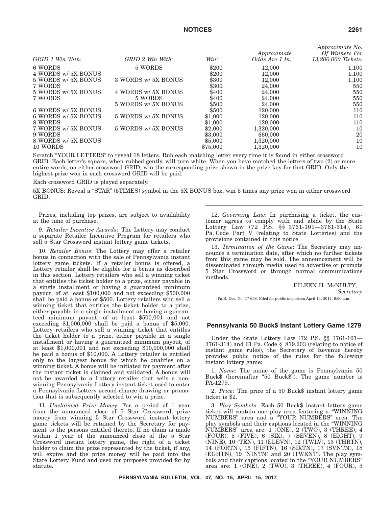| GRID 1 Win With:    | $GRID$ 2 Win With:  | Win:     | Approximate<br>Odds Are 1 In: | <i>Approximate Ivo.</i><br>Of Winners Per<br>13,200,000 Tickets: |
|---------------------|---------------------|----------|-------------------------------|------------------------------------------------------------------|
| 6 WORDS             | 5 WORDS             | \$200    | 12,000                        | 1,100                                                            |
| 4 WORDS w/ 5X BONUS |                     | \$200    | 12,000                        | 1,100                                                            |
| 5 WORDS w/ 5X BONUS | 3 WORDS w/ 5X BONUS | \$300    | 12,000                        | 1,100                                                            |
| 7 WORDS             |                     | \$300    | 24,000                        | 550                                                              |
| 5 WORDS w/ 5X BONUS | 4 WORDS w/ 5X BONUS | \$400    | 24,000                        | 550                                                              |
| 7 WORDS             | 5 WORDS             | \$400    | 24,000                        | 550                                                              |
|                     | 5 WORDS w/ 5X BONUS | \$500    | 24,000                        | 550                                                              |
| 6 WORDS w/ 5X BONUS |                     | \$500    | 120,000                       | 110                                                              |
| 6 WORDS w/ 5X BONUS | 5 WORDS w/ 5X BONUS | \$1,000  | 120,000                       | 110                                                              |
| 8 WORDS             |                     | \$1,000  | 120,000                       | 110                                                              |
| 7 WORDS w/ 5X BONUS | 5 WORDS w/ 5X BONUS | \$2,000  | 1,320,000                     | 10                                                               |
| 9 WORDS             |                     | \$3,000  | 660,000                       | 20                                                               |
| 8 WORDS w/ 5X BONUS |                     | \$5,000  | 1,320,000                     | 10                                                               |
| 10 WORDS            |                     | \$75,000 | 1,320,000                     | 10                                                               |
|                     |                     |          |                               |                                                                  |

Scratch ''YOUR LETTERS'' to reveal 18 letters. Rub each matching letter every time it is found in either crossword GRID. Each letter's square, when rubbed gently, will turn white. When you have matched the letters of two (2) or more entire words, on either crossword GRID, win the corresponding prize shown in the prize key for that GRID. Only the highest prize won in each crossword GRID will be paid.

Each crossword GRID is played separately.

5X BONUS: Reveal a "STAR" (5TIMES) symbol in the 5X BONUS box, win 5 times any prize won in either crossword GRID.

Prizes, including top prizes, are subject to availability at the time of purchase.

9. *Retailer Incentive Awards*: The Lottery may conduct a separate Retailer Incentive Program for retailers who sell 5 Star Crossword instant lottery game tickets.

10. *Retailer Bonus*: The Lottery may offer a retailer bonus in connection with the sale of Pennsylvania instant lottery game tickets. If a retailer bonus is offered, a Lottery retailer shall be eligible for a bonus as described in this section. Lottery retailers who sell a winning ticket that entitles the ticket holder to a prize, either payable in a single installment or having a guaranteed minimum payout, of at least \$100,000 and not exceeding \$500,000 shall be paid a bonus of \$500. Lottery retailers who sell a winning ticket that entitles the ticket holder to a prize, either payable in a single installment or having a guaranteed minimum payout, of at least \$500,001 and not exceeding \$1,000,000 shall be paid a bonus of \$5,000. Lottery retailers who sell a winning ticket that entitles the ticket holder to a prize, either payable in a single installment or having a guaranteed minimum payout, of at least \$1,000,001 and not exceeding \$10,000,000 shall be paid a bonus of \$10,000. A Lottery retailer is entitled only to the largest bonus for which he qualifies on a winning ticket. A bonus will be initiated for payment after the instant ticket is claimed and validated. A bonus will not be awarded to a Lottery retailer that sells a nonwinning Pennsylvania Lottery instant ticket used to enter a Pennsylvania Lottery second-chance drawing or promotion that is subsequently selected to win a prize.

11. *Unclaimed Prize Money*: For a period of 1 year from the announced close of 5 Star Crossword, prize money from winning 5 Star Crossword instant lottery game tickets will be retained by the Secretary for payment to the persons entitled thereto. If no claim is made within 1 year of the announced close of the 5 Star Crossword instant lottery game, the right of a ticket holder to claim the prize represented by the ticket, if any, will expire and the prize money will be paid into the State Lottery Fund and used for purposes provided for by statute.

12. *Governing Law*: In purchasing a ticket, the customer agrees to comply with and abide by the State Lottery Law (72 P.S. §§ 3761-101—3761-314), 61 Pa. Code Part V (relating to State Lotteries) and the provisions contained in this notice.

13. *Termination of the Game*: The Secretary may announce a termination date, after which no further tickets from this game may be sold. The announcement will be disseminated through media used to advertise or promote 5 Star Crossword or through normal communications methods.

EILEEN H. McNULTY,

*Secretary*

[Pa.B. Doc. No. 17-638. Filed for public inspection April 14, 2017, 9:00 a.m.]

# **Pennsylvania 50 Buck\$ Instant Lottery Game 1279**

Under the State Lottery Law (72 P.S. §§ 3761-101— 3761-314) and 61 Pa. Code § 819.203 (relating to notice of instant game rules), the Secretary of Revenue hereby provides public notice of the rules for the following instant lottery game:

1. *Name*: The name of the game is Pennsylvania 50 Buck $\frac{1}{2}$  (hereinafter "50 Buck $\frac{1}{2}$ "). The game number is PA-1279.

2. *Price*: The price of a 50 Buck\$ instant lottery game ticket is \$2.

3. *Play Symbols*: Each 50 Buck\$ instant lottery game ticket will contain one play area featuring a ''WINNING NUMBERS'' area and a ''YOUR NUMBERS'' area. The play symbols and their captions located in the ''WINNING NUMBERS'' area are: 1 (ONE), 2 (TWO), 3 (THREE), 4 (FOUR), 5 (FIVE), 6 (SIX), 7 (SEVEN), 8 (EIGHT), 9 (NINE), 10 (TEN), 11 (ELEVN), 12 (TWLV), 13 (THRTN), 14 (FORTN), 15 (FIFTN), 16 (SIXTN), 17 (SVNTN), 18 (EGHTN), 19 (NINTN) and 20 (TWENT). The play symbols and their captions located in the ''YOUR NUMBERS'' area are: 1 (ONE), 2 (TWO), 3 (THREE), 4 (FOUR), 5

*Approximate No.*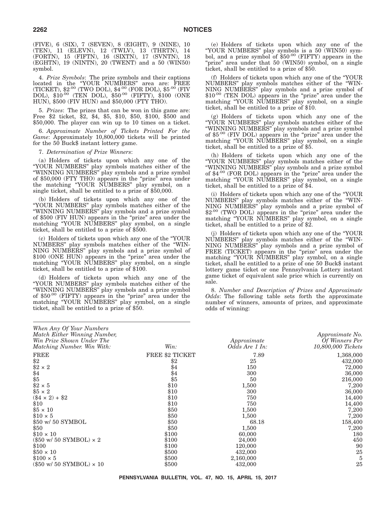(FIVE), 6 (SIX), 7 (SEVEN), 8 (EIGHT), 9 (NINE), 10 (TEN), 11 (ELEVN), 12 (TWLV), 13 (THRTN), 14 (FORTN), 15 (FIFTN), 16 (SIXTN), 17 (SVNTN), 18 (EGHTN), 19 (NINTN), 20 (TWENT) and a 50 (WIN50) symbol.

4. *Prize Symbols*: The prize symbols and their captions located in the "YOUR NUMBERS" area are: FREE (TICKET), \$2.00 (TWO DOL), \$4.00 (FOR DOL), \$5.00 (FIV  ${\rm DOL}$ ),  $$10^{-00}$  (TEN DOL),  $$50^{-00}$  (FIFTY),  $$100$  (ONE HUN), \$500 (FIV HUN) and \$50,000 (FTY THO).

5. *Prizes*: The prizes that can be won in this game are: Free \$2 ticket, \$2, \$4, \$5, \$10, \$50, \$100, \$500 and \$50,000. The player can win up to 10 times on a ticket.

6. *Approximate Number of Tickets Printed For the Game*: Approximately 10,800,000 tickets will be printed for the 50 Buck\$ instant lottery game.

7. *Determination of Prize Winners*:

(a) Holders of tickets upon which any one of the ''YOUR NUMBERS'' play symbols matches either of the ''WINNING NUMBERS'' play symbols and a prize symbol of \$50,000 (FTY THO) appears in the "prize" area under the matching ''YOUR NUMBERS'' play symbol, on a single ticket, shall be entitled to a prize of \$50,000.

(b) Holders of tickets upon which any one of the ''YOUR NUMBERS'' play symbols matches either of the ''WINNING NUMBERS'' play symbols and a prize symbol of \$500 (FIV HUN) appears in the "prize" area under the matching ''YOUR NUMBERS'' play symbol, on a single ticket, shall be entitled to a prize of \$500.

(c) Holders of tickets upon which any one of the ''YOUR NUMBERS'' play symbols matches either of the ''WIN-NING NUMBERS'' play symbols and a prize symbol of \$100 (ONE HUN) appears in the "prize" area under the matching ''YOUR NUMBERS'' play symbol, on a single ticket, shall be entitled to a prize of \$100.

(d) Holders of tickets upon which any one of the ''YOUR NUMBERS'' play symbols matches either of the "WINNING NUMBERS" play symbols and a prize symbol of \$50.00 (FIFTY) appears in the ''prize'' area under the matching "YOUR NUMBERS" play symbol, on a single ticket, shall be entitled to a prize of \$50.

(e) Holders of tickets upon which any one of the "YOUR NUMBERS" play symbols is a 50 (WIN50) symbol, and a prize symbol of \$50<sup>.00</sup> (FIFTY) appears in the "prize" area under that 50 (WIN50) symbol, on a single ticket, shall be entitled to a prize of \$50.

(f) Holders of tickets upon which any one of the ''YOUR NUMBERS'' play symbols matches either of the ''WIN-NING NUMBERS'' play symbols and a prize symbol of \$10<sup>.00</sup> (TEN DOL) appears in the "prize" area under the matching "YOUR NUMBERS" play symbol, on a single ticket, shall be entitled to a prize of \$10.

(g) Holders of tickets upon which any one of the ''YOUR NUMBERS'' play symbols matches either of the ''WINNING NUMBERS'' play symbols and a prize symbol of \$5.00 (FIV DOL) appears in the "prize" area under the matching ''YOUR NUMBERS'' play symbol, on a single ticket, shall be entitled to a prize of \$5.

(h) Holders of tickets upon which any one of the ''YOUR NUMBERS'' play symbols matches either of the ''WINNING NUMBERS'' play symbols and a prize symbol of \$4.00 (FOR DOL) appears in the "prize" area under the matching ''YOUR NUMBERS'' play symbol, on a single ticket, shall be entitled to a prize of \$4.

(i) Holders of tickets upon which any one of the ''YOUR NUMBERS'' play symbols matches either of the ''WIN-NING NUMBERS" play symbols and a prize symbol of \$2.00 (TWO DOL) appears in the "prize" area under the matching ''YOUR NUMBERS'' play symbol, on a single ticket, shall be entitled to a prize of \$2.

(j) Holders of tickets upon which any one of the ''YOUR NUMBERS'' play symbols matches either of the ''WIN-NING NUMBERS'' play symbols and a prize symbol of FREE (TICKET) appears in the "prize" area under the matching "YOUR NUMBERS" play symbol, on a single ticket, shall be entitled to a prize of one 50 Buck\$ instant lottery game ticket or one Pennsylvania Lottery instant game ticket of equivalent sale price which is currently on sale.

8. *Number and Description of Prizes and Approximate Odds*: The following table sets forth the approximate number of winners, amounts of prizes, and approximate odds of winning:

| When Any Of Your Numbers<br>Match Either Winning Number,<br>Win Prize Shown Under The<br>Matching Number. Win With: | Win:                   | Approximate<br>Odds Are 1 In: | Approximate No.<br>Of Winners Per<br>10,800,000 Tickets |
|---------------------------------------------------------------------------------------------------------------------|------------------------|-------------------------------|---------------------------------------------------------|
| <b>FREE</b>                                                                                                         | <b>FREE \$2 TICKET</b> | 7.89                          | 1,368,000                                               |
| $\$2$                                                                                                               | $\$2$                  | 25                            | 432,000                                                 |
| $$2 \times 2$                                                                                                       | \$4                    | 150                           | 72,000                                                  |
|                                                                                                                     |                        | 300                           | 36,000                                                  |
| $$4$<br>$$5$                                                                                                        | $$4\n$5\n$10$          | 50                            | 216,000                                                 |
| $$2 \times 5$                                                                                                       |                        | 1,500                         | 7,200                                                   |
| $$5 \times 2$                                                                                                       | \$10                   | 300                           | 36,000                                                  |
| $(\$4 \times 2) + \$2$                                                                                              | \$10                   | 750                           | 14,400                                                  |
| \$10                                                                                                                | \$10                   | 750                           | 14,400                                                  |
| $$5 \times 10$                                                                                                      | \$50                   | 1,500                         | 7,200                                                   |
| $$10 \times 5$                                                                                                      | \$50                   | 1,500                         | 7,200                                                   |
| \$50 w/ 50 SYMBOL                                                                                                   | \$50                   | 68.18                         | 158,400                                                 |
| \$50                                                                                                                | \$50                   | 1,500                         | 7,200                                                   |
| $$10 \times 10$                                                                                                     | \$100                  | 60,000                        | 180                                                     |
| $(\$50 \text{ w} / 50 \text{ SYMBOL}) \times 2$                                                                     | \$100                  | 24,000                        | 450                                                     |
| \$100                                                                                                               | \$100                  | 120,000                       | 90                                                      |
| $$50 \times 10$                                                                                                     | \$500                  | 432,000                       | 25                                                      |
| $$100 \times 5$                                                                                                     | \$500                  | 2,160,000                     | 5                                                       |
| $(\$50 \text{ w} / 50 \text{ SYMBOL}) \times 10$                                                                    | \$500                  | 432,000                       | 25                                                      |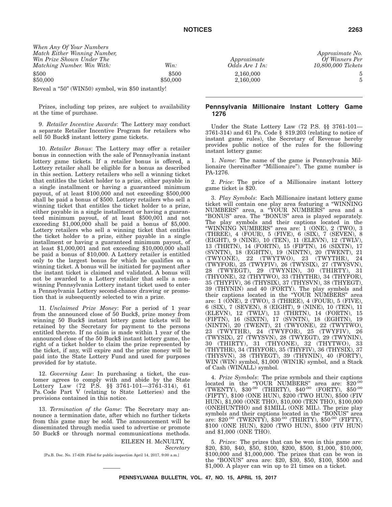| When Any Of Your Numbers<br>Match Either Winning Number,<br>Win Prize Shown Under The<br>Matching Number. Win With: | Win:     | Approximate<br>Odds Are 1 In: | Approximate No.<br>Of Winners Per<br>10,800,000 Tickets |
|---------------------------------------------------------------------------------------------------------------------|----------|-------------------------------|---------------------------------------------------------|
| \$500                                                                                                               | \$500    | 2,160,000                     |                                                         |
| \$50,000                                                                                                            | \$50,000 | 2,160,000                     |                                                         |
| Reveal a "50" (WIN50) symbol, win \$50 instantly!                                                                   |          |                               |                                                         |

Prizes, including top prizes, are subject to availability at the time of purchase.

9. *Retailer Incentive Awards*: The Lottery may conduct a separate Retailer Incentive Program for retailers who sell 50 Buck\$ instant lottery game tickets.

10. *Retailer Bonus*: The Lottery may offer a retailer bonus in connection with the sale of Pennsylvania instant lottery game tickets. If a retailer bonus is offered, a Lottery retailer shall be eligible for a bonus as described in this section. Lottery retailers who sell a winning ticket that entitles the ticket holder to a prize, either payable in a single installment or having a guaranteed minimum payout, of at least \$100,000 and not exceeding \$500,000 shall be paid a bonus of \$500. Lottery retailers who sell a winning ticket that entitles the ticket holder to a prize, either payable in a single installment or having a guaranteed minimum payout, of at least \$500,001 and not exceeding \$1,000,000 shall be paid a bonus of \$5,000. Lottery retailers who sell a winning ticket that entitles the ticket holder to a prize, either payable in a single installment or having a guaranteed minimum payout, of at least \$1,000,001 and not exceeding \$10,000,000 shall be paid a bonus of \$10,000. A Lottery retailer is entitled only to the largest bonus for which he qualifies on a winning ticket. A bonus will be initiated for payment after the instant ticket is claimed and validated. A bonus will not be awarded to a Lottery retailer that sells a nonwinning Pennsylvania Lottery instant ticket used to enter a Pennsylvania Lottery second-chance drawing or promotion that is subsequently selected to win a prize.

11. *Unclaimed Prize Money*: For a period of 1 year from the announced close of 50 Buck\$, prize money from winning 50 Buck\$ instant lottery game tickets will be retained by the Secretary for payment to the persons entitled thereto. If no claim is made within 1 year of the announced close of the 50 Buck\$ instant lottery game, the right of a ticket holder to claim the prize represented by the ticket, if any, will expire and the prize money will be paid into the State Lottery Fund and used for purposes provided for by statute.

12. *Governing Law*: In purchasing a ticket, the customer agrees to comply with and abide by the State Lottery Law (72 P.S. §§ 3761-101—3761-314), 61 Pa. Code Part V (relating to State Lotteries) and the provisions contained in this notice.

13. *Termination of the Game*: The Secretary may announce a termination date, after which no further tickets from this game may be sold. The announcement will be disseminated through media used to advertise or promote 50 Buck\$ or through normal communications methods.

> EILEEN H. McNULTY, *Secretary*

[Pa.B. Doc. No. 17-639. Filed for public inspection April 14, 2017, 9:00 a.m.]

# *Approximate Odds Are 1 In: Approximate No. Of Winners Per 10,800,000 Tickets*

### **Pennsylvania Millionaire Instant Lottery Game 1276**

Under the State Lottery Law (72 P.S. §§ 3761-101— 3761-314) and 61 Pa. Code § 819.203 (relating to notice of instant game rules), the Secretary of Revenue hereby provides public notice of the rules for the following instant lottery game:

1. *Name*: The name of the game is Pennsylvania Millionaire (hereinafter ''Millionaire''). The game number is PA-1276.

2. *Price*: The price of a Millionaire instant lottery game ticket is \$20.

3. *Play Symbols*: Each Millionaire instant lottery game ticket will contain one play area featuring a ''WINNING NUMBERS'' area, a ''YOUR NUMBERS'' area and a ''BONUS'' area. The ''BONUS'' area is played separately. The play symbols and their captions located in the ''WINNING NUMBERS'' area are: 1 (ONE), 2 (TWO), 3 (THREE), 4 (FOUR), 5 (FIVE), 6 (SIX), 7 (SEVEN), 8 (EIGHT), 9 (NINE), 10 (TEN), 11 (ELEVN), 12 (TWLV), 13 (THRTN), 14 (FORTN), 15 (FIFTN), 16 (SIXTN), 17 (SVNTN), 18 (EGHTN), 19 (NINTN), 20 (TWENT), 21 (TWYONE), 22 (TWYTWO), 23 (TWYTHR), 24 (TWYFOR), 25 (TWYFIV), 26 (TWYSIX), 27 (TWYSVN), 28 (TWYEGT), 29 (TWYNIN), 30 (THIRTY), 31 (THYONE), 32 (THYTWO), 33 (THYTHR), 34 (THYFOR), 35 (THYFIV), 36 (THYSIX), 37 (THYSVN), 38 (THYEGT), 39 (THYNIN) and 40 (FORTY). The play symbols and their captions located in the "YOUR NUMBERS" area are: 1 (ONE), 2 (TWO), 3 (THREE), 4 (FOUR), 5 (FIVE), 6 (SIX), 7 (SEVEN), 8 (EIGHT), 9 (NINE), 10 (TEN), 11 (ELEVN), 12 (TWLV), 13 (THRTN), 14 (FORTN), 15 (FIFTN), 16 (SIXTN), 17 (SVNTN), 18 (EGHTN), 19 (NINTN), 20 (TWENT), 21 (TWYONE), 22 (TWYTWO), 23 (TWYTHR), 24 (TWYFOR), 25 (TWYFIV), 26 (TWYSIX), 27 (TWYSVN), 28 (TWYEGT), 29 (TWYNIN), 30 (THIRTY), 31 (THYONE), 32 (THYTWO), 33 (THYTHR), 34 (THYFOR), 35 (THYFIV), 36 (THYSIX), 37 (THYSVN), 38 (THYEGT), 39 (THYNIN), 40 (FORTY), WIN (WIN) symbol, \$1,000 (WIN1K) symbol, and a Stack of Cash (WINALL) symbol.

4. *Prize Symbols*: The prize symbols and their captions located in the "YOUR NUMBERS" area are: \$20.00 (TWENTY), \$30.00 (THIRTY), \$40.00 (FORTY), \$50.00 (FIFTY), \$100 (ONE HUN), \$200 (TWO HUN), \$500 (FIV HUN), \$1,000 (ONE THO), \$10,000 (TEN THO), \$100,000 (ONEHUNTHO) and \$1MILL (ONE MIL). The prize play symbols and their captions located in the "BONUS" area are: \$20.00 (TWENTY), \$30.00 (THIRTY), \$50.00 (FIFTY), \$100 (ONE HUN), \$200 (TWO HUN), \$500 (FIV HUN) and \$1,000 (ONE THO).

5. *Prizes*: The prizes that can be won in this game are: \$20, \$30, \$40, \$50, \$100, \$200, \$500, \$1,000, \$10,000, \$100,000 and \$1,000,000. The prizes that can be won in the ''BONUS'' area are: \$20, \$30, \$50, \$100, \$500 and \$1,000. A player can win up to 21 times on a ticket.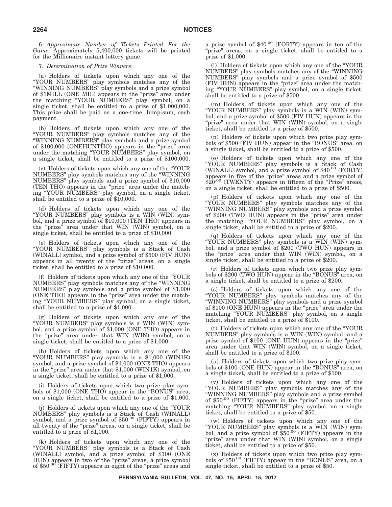6. *Approximate Number of Tickets Printed For the Game*: Approximately 5,400,000 tickets will be printed for the Millionaire instant lottery game.

# 7. *Determination of Prize Winners*:

(a) Holders of tickets upon which any one of the ''YOUR NUMBERS'' play symbols matches any of the ''WINNING NUMBERS'' play symbols and a prize symbol of \$1MILL (ONE MIL) appears in the "prize" area under the matching ''YOUR NUMBERS'' play symbol, on a single ticket, shall be entitled to a prize of \$1,000,000. This prize shall be paid as a one-time, lump-sum, cash payment.

(b) Holders of tickets upon which any one of the ''YOUR NUMBERS'' play symbols matches any of the ''WINNING NUMBERS'' play symbols and a prize symbol of \$100,000 (ONEHUNTHO) appears in the ''prize'' area under the matching ''YOUR NUMBERS'' play symbol, on a single ticket, shall be entitled to a prize of \$100,000.

(c) Holders of tickets upon which any one of the ''YOUR NUMBERS'' play symbols matches any of the ''WINNING NUMBERS'' play symbols and a prize symbol of \$10,000 (TEN THO) appears in the "prize" area under the matching ''YOUR NUMBERS'' play symbol, on a single ticket, shall be entitled to a prize of \$10,000.

(d) Holders of tickets upon which any one of the ''YOUR NUMBERS'' play symbols is a WIN (WIN) symbol, and a prize symbol of \$10,000 (TEN THO) appears in the "prize" area under that WIN (WIN) symbol, on a single ticket, shall be entitled to a prize of \$10,000.

(e) Holders of tickets upon which any one of the ''YOUR NUMBERS'' play symbols is a Stack of Cash (WINALL) symbol, and a prize symbol of \$500 (FIV HUN) appears in all twenty of the "prize" areas, on a single ticket, shall be entitled to a prize of \$10,000.

(f) Holders of tickets upon which any one of the ''YOUR NUMBERS'' play symbols matches any of the ''WINNING NUMBERS'' play symbols and a prize symbol of \$1,000 (ONE THO) appears in the "prize" area under the matching ''YOUR NUMBERS'' play symbol, on a single ticket, shall be entitled to a prize of \$1,000.

(g) Holders of tickets upon which any one of the "YOUR NUMBERS" play symbols is a WIN (WIN) symbol, and a prize symbol of \$1,000 (ONE THO) appears in the "prize" area under that WIN (WIN) symbol, on a single ticket, shall be entitled to a prize of \$1,000.

(h) Holders of tickets upon which any one of the ''YOUR NUMBERS'' play symbols is a \$1,000 (WIN1K) symbol, and a prize symbol of \$1,000 (ONE THO) appears in the "prize" area under that \$1,000 (WIN1K) symbol, on a single ticket, shall be entitled to a prize of \$1,000.

(i) Holders of tickets upon which two prize play symbols of \$1,000 (ONE THO) appear in the ''BONUS'' area, on a single ticket, shall be entitled to a prize of \$1,000.

(j) Holders of tickets upon which any one of the ''YOUR NUMBERS'' play symbols is a Stack of Cash (WINALL) symbol, and a prize symbol of \$50.00 (FIFTY) appears in all twenty of the "prize" areas, on a single ticket, shall be entitled to a prize of \$1,000.

(k) Holders of tickets upon which any one of the ''YOUR NUMBERS'' play symbols is a Stack of Cash (WINALL) symbol, and a prize symbol of \$100 (ONE HUN) appears in two of the "prize" areas, a prize symbol of \$50.00 (FIFTY) appears in eight of the "prize" areas and a prize symbol of \$40.00 (FORTY) appears in ten of the "prize" areas, on a single ticket, shall be entitled to a prize of \$1,000.

(l) Holders of tickets upon which any one of the ''YOUR NUMBERS'' play symbols matches any of the ''WINNING NUMBERS'' play symbols and a prize symbol of \$500 (FIV HUN) appears in the ''prize'' area under the matching ''YOUR NUMBERS'' play symbol, on a single ticket, shall be entitled to a prize of \$500.

(m) Holders of tickets upon which any one of the ''YOUR NUMBERS'' play symbols is a WIN (WIN) symbol, and a prize symbol of \$500 (FIV HUN) appears in the "prize" area under that WIN (WIN) symbol, on a single ticket, shall be entitled to a prize of \$500.

(n) Holders of tickets upon which two prize play symbols of \$500 (FIV HUN) appear in the ''BONUS'' area, on a single ticket, shall be entitled to a prize of \$500.

(o) Holders of tickets upon which any one of the ''YOUR NUMBERS'' play symbols is a Stack of Cash (WINALL) symbol, and a prize symbol of \$40.00 (FORTY) appears in five of the "prize" areas and a prize symbol of  $$20^{.00}$  (TWENTY) appears in fifteen of the "Prize" areas, on a single ticket, shall be entitled to a prize of \$500.

(p) Holders of tickets upon which any one of the ''YOUR NUMBERS'' play symbols matches any of the ''WINNING NUMBERS'' play symbols and a prize symbol of \$200 (TWO HUN) appears in the "prize" area under the matching ''YOUR NUMBERS'' play symbol, on a single ticket, shall be entitled to a prize of \$200.

(q) Holders of tickets upon which any one of the "YOUR NUMBERS" play symbols is a WIN (WIN) symbol, and a prize symbol of \$200 (TWO HUN) appears in the "prize" area under that WIN (WIN) symbol, on a single ticket, shall be entitled to a prize of \$200.

(r) Holders of tickets upon which two prize play symbols of \$200 (TWO HUN) appear in the "BONUS" area, on a single ticket, shall be entitled to a prize of \$200.

(s) Holders of tickets upon which any one of the ''YOUR NUMBERS'' play symbols matches any of the ''WINNING NUMBERS'' play symbols and a prize symbol of \$100 (ONE HUN) appears in the "prize" area under the matching ''YOUR NUMBERS'' play symbol, on a single ticket, shall be entitled to a prize of \$100.

(t) Holders of tickets upon which any one of the ''YOUR NUMBERS'' play symbols is a WIN (WIN) symbol, and a prize symbol of \$100 (ONE HUN) appears in the "prize" area under that WIN (WIN) symbol, on a single ticket, shall be entitled to a prize of \$100.

(u) Holders of tickets upon which two prize play symbols of \$100 (ONE HUN) appear in the ''BONUS'' area, on a single ticket, shall be entitled to a prize of \$100.

(v) Holders of tickets upon which any one of the ''YOUR NUMBERS'' play symbols matches any of the ''WINNING NUMBERS'' play symbols and a prize symbol of \$50.00 (FIFTY) appears in the "prize" area under the matching "YOUR NUMBERS" play symbol, on a single ticket, shall be entitled to a prize of \$50.

(w) Holders of tickets upon which any one of the "YOUR NUMBERS" play symbols is a WIN (WIN) symbol, and a prize symbol of  $$50\,^{\,00}$  (FIFTY) appears in the "prize" area under that WIN (WIN) symbol, on a single ticket, shall be entitled to a prize of \$50.

(x) Holders of tickets upon which two prize play symbols of \$50.00 (FIFTY) appear in the "BONUS" area, on a single ticket, shall be entitled to a prize of \$50.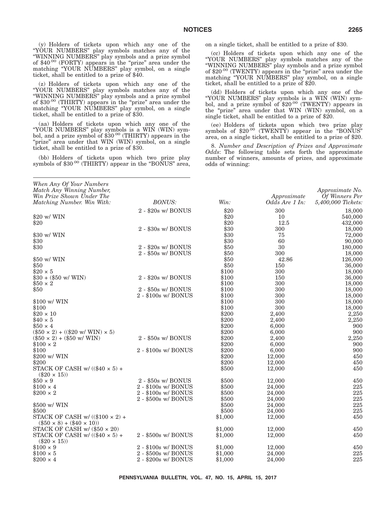(y) Holders of tickets upon which any one of the ''YOUR NUMBERS'' play symbols matches any of the ''WINNING NUMBERS'' play symbols and a prize symbol of \$40.00 (FORTY) appears in the "prize" area under the matching "YOUR NUMBERS" play symbol, on a single ticket, shall be entitled to a prize of \$40.

(z) Holders of tickets upon which any one of the ''YOUR NUMBERS'' play symbols matches any of the ''WINNING NUMBERS'' play symbols and a prize symbol of  $\$30^{.00}$  (THIRTY) appears in the "prize" area under the matching "YOUR NUMBERS" play symbol, on a single ticket, shall be entitled to a prize of \$30.

(aa) Holders of tickets upon which any one of the ''YOUR NUMBERS'' play symbols is a WIN (WIN) sym-bol, and a prize symbol of \$30.00 (THIRTY) appears in the "prize" area under that WIN (WIN) symbol, on a single ticket, shall be entitled to a prize of \$30.

(bb) Holders of tickets upon which two prize play symbols of  $$30^{.00}$  (THIRTY) appear in the "BONUS" area, on a single ticket, shall be entitled to a prize of \$30.

(cc) Holders of tickets upon which any one of the ''YOUR NUMBERS'' play symbols matches any of the ''WINNING NUMBERS'' play symbols and a prize symbol of \$20.00 (TWENTY) appears in the "prize" area under the matching ''YOUR NUMBERS'' play symbol, on a single ticket, shall be entitled to a prize of \$20.

(dd) Holders of tickets upon which any one of the "YOUR NUMBERS" play symbols is a WIN (WIN) symbol, and a prize symbol of \$20<sup>.00</sup> (TWENTY) appears in the ''prize'' area under that WIN (WIN) symbol, on a single ticket, shall be entitled to a prize of \$20.

(ee) Holders of tickets upon which two prize play symbols of  $$20^{.00}$  (TWENTY) appear in the "BONUS" area, on a single ticket, shall be entitled to a prize of \$20.

8. *Number and Description of Prizes and Approximate Odds*: The following table sets forth the approximate number of winners, amounts of prizes, and approximate odds of winning:

| When Any Of Your Numbers                                                       |                              |         |                |                    |
|--------------------------------------------------------------------------------|------------------------------|---------|----------------|--------------------|
| Match Any Winning Number,                                                      |                              |         |                | Approximate No.    |
| Win Prize Shown Under The                                                      |                              |         | Approximate    | Of Winners Per     |
| Matching Number. Win With:                                                     | <b>BONUS:</b>                | Win:    | Odds Are 1 In: | 5,400,000 Tickets: |
|                                                                                | 2 - \$20s w/ BONUS           | \$20    | 300            | 18,000             |
| \$20 w/ WIN                                                                    |                              | \$20    | 10             | 540,000            |
| \$20                                                                           |                              | \$20    | 12.5           | 432,000            |
|                                                                                | $2 - $30s \le  BONUS$        | \$30    | 300            | 18,000             |
| \$30 w/ WIN                                                                    |                              | \$30    | 75             | 72,000             |
| \$30                                                                           |                              | \$30    | 60             | 90,000             |
| \$30                                                                           | 2 - \$20s w/ BONUS           | \$50    | 30             | 180,000            |
|                                                                                | $2 - $50s \le  BONUS$        | \$50    | 300            | 18,000             |
| \$50 w/ WIN                                                                    |                              | \$50    | 42.86          | 126,000            |
| \$50                                                                           |                              | \$50    | 150            | 36,000             |
| $$20 \times 5$                                                                 |                              | \$100   | 300            | 18,000             |
| $$30 + ($50 \text{ w}/\text{WIN})$$                                            | 2 - \$20s w/ BONUS           | \$100   | 150            | 36,000             |
| $$50 \times 2$                                                                 |                              | \$100   | 300            | 18,000             |
| \$50                                                                           | 2 - \$50s w/ BONUS           | \$100   | 300            | 18,000             |
|                                                                                | $2 - $100s \le BONUS$        | \$100   | 300            | 18,000             |
| \$100 w/ WIN                                                                   |                              | \$100   | 300            | 18,000             |
| \$100                                                                          |                              | \$100   | 300            | 18,000             |
| $$20 \times 10$                                                                |                              | \$200   | 2,400          | 2,250              |
| $$40 \times 5$                                                                 |                              | \$200   | 2,400          | 2,250              |
| $$50 \times 4$                                                                 |                              | \$200   | 6,000          | 900                |
| $(\$50 \times 2) + ((\$20 \text{ w} / \text{WIN}) \times 5)$                   |                              | \$200   | 6,000          | 900                |
| $(\$50 \times 2) + \$50$ w/ WIN)                                               | 2 - \$50s w/ BONUS           | \$200   | 2,400          | 2,250              |
| $$100 \times 2$                                                                |                              | \$200   | 6,000          | 900                |
| \$100                                                                          | $2 - $100s \le BONUS$        | \$200   | 6,000          | 900                |
| \$200 w/ WIN                                                                   |                              | \$200   | 12,000         | 450                |
| \$200                                                                          |                              | \$200   | 12,000         | 450                |
| STACK OF CASH w/ $((\$40 \times 5)$ +<br>$(\$20 \times 15)$                    |                              | \$500   | 12,000         | 450                |
| $$50 \times 9$                                                                 | 2 - \$50s w/ BONUS           | \$500   | 12,000         | 450                |
| $$100 \times 4$                                                                | $2 - $100s \le \text{BONUS}$ | \$500   | 24,000         | 225                |
| $$200 \times 2$                                                                | 2 - \$100s w/ BONUS          | \$500   | 24,000         | 225                |
|                                                                                | 2 - \$500s w/ BONUS          | \$500   | 24,000         | 225                |
| \$500 w/ WIN                                                                   |                              | \$500   | 24,000         | 225                |
| \$500                                                                          |                              | \$500   | 24,000         | 225                |
| STACK OF CASH w/ $((\$100 \times 2) +$<br>$(\$50 \times 8) + (\$40 \times 10)$ |                              | \$1,000 | 12,000         | 450                |
| STACK OF CASH w/ $(\$50 \times 20)$                                            |                              | \$1,000 | 12,000         | 450                |
| STACK OF CASH w/ $((\$40 \times 5)$ +                                          | 2 - \$500s w/ BONUS          | \$1,000 | 12,000         | 450                |
| $(\$20 \times 15)$                                                             |                              |         |                |                    |
| $$100 \times 9$                                                                | $2 - $100s \le BONUS$        | \$1,000 | 12,000         | 450                |
| $$100 \times 5$                                                                | 2 - \$500s w/ BONUS          | \$1,000 | 24,000         | 225                |
| $$200 \times 4$                                                                | 2 - \$200s w/ BONUS          | \$1,000 | 24,000         | 225                |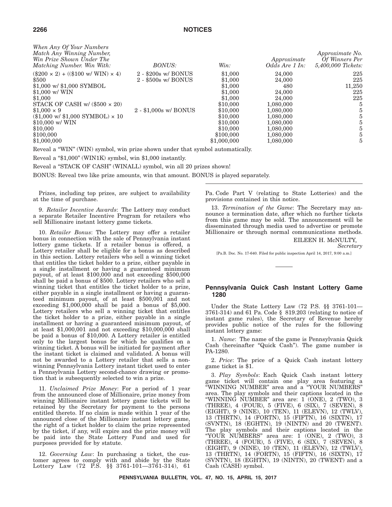| When Any Of Your Numbers<br>Match Any Winning Number,<br>Win Prize Shown Under The<br><i>Matching Number. Win With:</i> | <b>BONUS:</b>                | Win:        | Approximate<br>Odds Are 1 In: | <i>Approximate No.</i><br>Of Winners Per<br>5,400,000 Tickets: |
|-------------------------------------------------------------------------------------------------------------------------|------------------------------|-------------|-------------------------------|----------------------------------------------------------------|
| $(\$200 \times 2) + ((\$100 \text{ w/WIN}) \times 4)$                                                                   | $2 - $200s \le \text{BONUS}$ | \$1,000     | 24,000                        | 225                                                            |
| \$500                                                                                                                   | $2 - $500s \le \text{BONUS}$ | \$1,000     | 24,000                        | 225                                                            |
| $$1,000 \text{ w}$ \$1,000 SYMBOL                                                                                       |                              | \$1,000     | 480                           | 11,250                                                         |
| $$1.000 \text{ w} / \text{WIN}$                                                                                         |                              | \$1,000     | 24,000                        | 225                                                            |
| \$1,000                                                                                                                 |                              | \$1,000     | 24,000                        | 225                                                            |
| STACK OF CASH w/ $(\$500 \times 20)$                                                                                    |                              | \$10,000    | 1,080,000                     | 5                                                              |
| $$1.000 \times 9$                                                                                                       | $2 - $1,000s$ w/ BONUS       | \$10,000    | 1,080,000                     | 5                                                              |
| $(\$1,000 \text{ w}$ / $\$1,000 \text{ SYMBOL} \times 10$                                                               |                              | \$10,000    | 1,080,000                     | 5                                                              |
| $$10,000 \text{ w} / \text{WIN}$                                                                                        |                              | \$10,000    | 1,080,000                     | 5                                                              |
| \$10,000                                                                                                                |                              | \$10,000    | 1,080,000                     | 5                                                              |
| \$100,000                                                                                                               |                              | \$100,000   | 1,080,000                     | 5                                                              |
| \$1,000,000                                                                                                             |                              | \$1,000,000 | 1,080,000                     | 5                                                              |

Reveal a ''WIN'' (WIN) symbol, win prize shown under that symbol automatically.

Reveal a "\$1,000" (WIN1K) symbol, win \$1,000 instantly.

Reveal a "STACK OF CASH" (WINALL) symbol, win all 20 prizes shown!

BONUS: Reveal two like prize amounts, win that amount. BONUS is played separately.

Prizes, including top prizes, are subject to availability at the time of purchase.

9. *Retailer Incentive Awards*: The Lottery may conduct a separate Retailer Incentive Program for retailers who sell Millionaire instant lottery game tickets.

10. *Retailer Bonus*: The Lottery may offer a retailer bonus in connection with the sale of Pennsylvania instant lottery game tickets. If a retailer bonus is offered, a Lottery retailer shall be eligible for a bonus as described in this section. Lottery retailers who sell a winning ticket that entitles the ticket holder to a prize, either payable in a single installment or having a guaranteed minimum payout, of at least \$100,000 and not exceeding \$500,000 shall be paid a bonus of \$500. Lottery retailers who sell a winning ticket that entitles the ticket holder to a prize, either payable in a single installment or having a guaranteed minimum payout, of at least \$500,001 and not exceeding \$1,000,000 shall be paid a bonus of \$5,000. Lottery retailers who sell a winning ticket that entitles the ticket holder to a prize, either payable in a single installment or having a guaranteed minimum payout, of at least \$1,000,001 and not exceeding \$10,000,000 shall be paid a bonus of \$10,000. A Lottery retailer is entitled only to the largest bonus for which he qualifies on a winning ticket. A bonus will be initiated for payment after the instant ticket is claimed and validated. A bonus will not be awarded to a Lottery retailer that sells a nonwinning Pennsylvania Lottery instant ticket used to enter a Pennsylvania Lottery second-chance drawing or promotion that is subsequently selected to win a prize.

11. *Unclaimed Prize Money*: For a period of 1 year from the announced close of Millionaire, prize money from winning Millionaire instant lottery game tickets will be retained by the Secretary for payment to the persons entitled thereto. If no claim is made within 1 year of the announced close of the Millionaire instant lottery game, the right of a ticket holder to claim the prize represented by the ticket, if any, will expire and the prize money will be paid into the State Lottery Fund and used for purposes provided for by statute.

12. *Governing Law*: In purchasing a ticket, the customer agrees to comply with and abide by the State Lottery Law (72 P.S. §§ 3761-101—3761-314), 61

Pa. Code Part V (relating to State Lotteries) and the provisions contained in this notice.

13. *Termination of the Game*: The Secretary may announce a termination date, after which no further tickets from this game may be sold. The announcement will be disseminated through media used to advertise or promote Millionaire or through normal communications methods.

EILEEN H. McNULTY,

*Secretary*

[Pa.B. Doc. No. 17-640. Filed for public inspection April 14, 2017, 9:00 a.m.]

# **Pennsylvania Quick Cash Instant Lottery Game 1280**

Under the State Lottery Law (72 P.S. §§ 3761-101— 3761-314) and 61 Pa. Code § 819.203 (relating to notice of instant game rules), the Secretary of Revenue hereby provides public notice of the rules for the following instant lottery game:

1. *Name*: The name of the game is Pennsylvania Quick Cash (hereinafter ''Quick Cash''). The game number is PA-1280.

2. *Price*: The price of a Quick Cash instant lottery game ticket is \$1.

3. *Play Symbols*: Each Quick Cash instant lottery game ticket will contain one play area featuring a ''WINNING NUMBER'' area and a ''YOUR NUMBERS'' area. The play symbols and their captions located in the ''WINNING NUMBER'' area are: 1 (ONE), 2 (TWO), 3 (THREE), 4 (FOUR), 5 (FIVE), 6 (SIX), 7 (SEVEN), 8 (EIGHT), 9 (NINE), 10 (TEN), 11 (ELEVN), 12 (TWLV), 13 (THRTN), 14 (FORTN), 15 (FIFTN), 16 (SIXTN), 17 (SVNTN), 18 (EGHTN), 19 (NINTN) and 20 (TWENT). The play symbols and their captions located in the ''YOUR NUMBERS'' area are: 1 (ONE), 2 (TWO), 3 (THREE), 4 (FOUR), 5 (FIVE), 6 (SIX), 7 (SEVEN), 8 (EIGHT), 9 (NINE), 10 (TEN), 11 (ELEVN), 12 (TWLV), 13 (THRTN), 14 (FORTN), 15 (FIFTN), 16 (SIXTN), 17 (SVNTN), 18 (EGHTN), 19 (NINTN), 20 (TWENT) and a Cash (CASH) symbol.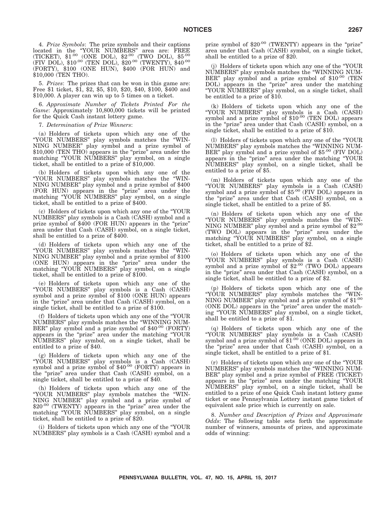4. *Prize Symbols*: The prize symbols and their captions located in the "YOUR NUMBERS" area are: FREE<br>(TICKET), \$1<sup>.00</sup> (ONE DOL), \$2<sup>.00</sup> (TWO DOL), \$5<sup>.00</sup> (FIV DOL), \$10.00 (TEN DOL), \$20.00 (TWENTY), \$40.00 (FORTY), \$100 (ONE HUN), \$400 (FOR HUN) and \$10,000 (TEN THO).

5. *Prizes*: The prizes that can be won in this game are: Free \$1 ticket, \$1, \$2, \$5, \$10, \$20, \$40, \$100, \$400 and \$10,000. A player can win up to 5 times on a ticket.

6. *Approximate Number of Tickets Printed For the Game*: Approximately 10,800,000 tickets will be printed for the Quick Cash instant lottery game.

7. *Determination of Prize Winners*:

(a) Holders of tickets upon which any one of the ''YOUR NUMBERS'' play symbols matches the ''WIN-NING NUMBER'' play symbol and a prize symbol of \$10,000 (TEN THO) appears in the "prize" area under the matching "YOUR NUMBERS" play symbol, on a single ticket, shall be entitled to a prize of \$10,000.

(b) Holders of tickets upon which any one of the ''YOUR NUMBERS'' play symbols matches the ''WIN-NING NUMBER'' play symbol and a prize symbol of \$400 (FOR HUN) appears in the "prize" area under the matching "YOUR NUMBERS" play symbol, on a single ticket, shall be entitled to a prize of \$400.

(c) Holders of tickets upon which any one of the ''YOUR NUMBERS'' play symbols is a Cash (CASH) symbol and a prize symbol of \$400 (FOR HUN) appears in the "prize" area under that Cash (CASH) symbol, on a single ticket, shall be entitled to a prize of \$400.

(d) Holders of tickets upon which any one of the ''YOUR NUMBERS'' play symbols matches the ''WIN-NING NUMBER'' play symbol and a prize symbol of \$100 (ONE HUN) appears in the "prize" area under the matching "YOUR NUMBERS" play symbol, on a single ticket, shall be entitled to a prize of \$100.

(e) Holders of tickets upon which any one of the ''YOUR NUMBERS'' play symbols is a Cash (CASH) symbol and a prize symbol of \$100 (ONE HUN) appears in the "prize" area under that Cash (CASH) symbol, on a single ticket, shall be entitled to a prize of \$100.

(f) Holders of tickets upon which any one of the ''YOUR NUMBERS'' play symbols matches the ''WINNING NUM-BER'' play symbol and a prize symbol of \$40.00 (FORTY) appears in the "prize" area under the matching "YOUR NUMBERS'' play symbol, on a single ticket, shall be entitled to a prize of \$40.

(g) Holders of tickets upon which any one of the "YOUR NUMBERS" play symbols is a Cash (CASH)<br>symbol and a prize symbol of \$40.00 (FORTY) appears in the "prize" area under that Cash (CASH) symbol, on a single ticket, shall be entitled to a prize of \$40.

(h) Holders of tickets upon which any one of the ''YOUR NUMBERS'' play symbols matches the ''WIN-NING NUMBER'' play symbol and a prize symbol of \$20<sup>.00</sup> (TWENTY) appears in the "prize" area under the matching "YOUR NUMBERS" play symbol, on a single ticket, shall be entitled to a prize of \$20.

(i) Holders of tickets upon which any one of the ''YOUR NUMBERS'' play symbols is a Cash (CASH) symbol and a

prize symbol of \$20.00 (TWENTY) appears in the "prize" area under that Cash (CASH) symbol, on a single ticket, shall be entitled to a prize of \$20.

(j) Holders of tickets upon which any one of the ''YOUR NUMBERS'' play symbols matches the ''WINNING NUM-BER" play symbol and a prize symbol of \$10.00 (TEN DOL) appears in the "prize" area under the matching ''YOUR NUMBERS'' play symbol, on a single ticket, shall be entitled to a prize of \$10.

(k) Holders of tickets upon which any one of the "YOUR NUMBERS" play symbols is a Cash (CASH)<br>symbol and a prize symbol of \$10<sup>.00</sup> (TEN DOL) appears in the "prize" area under that Cash (CASH) symbol, on a single ticket, shall be entitled to a prize of \$10.

(l) Holders of tickets upon which any one of the ''YOUR NUMBERS'' play symbols matches the ''WINNING NUM-BER'' play symbol and a prize symbol of \$5.00 (FIV DOL) appears in the "prize" area under the matching "YOUR NUMBERS'' play symbol, on a single ticket, shall be entitled to a prize of \$5.

(m) Holders of tickets upon which any one of the ''YOUR NUMBERS'' play symbols is a Cash (CASH) symbol and a prize symbol of \$5.00 (FIV DOL) appears in the "prize" area under that Cash (CASH) symbol, on a single ticket, shall be entitled to a prize of \$5.

(n) Holders of tickets upon which any one of the ''YOUR NUMBERS'' play symbols matches the ''WIN-NING NUMBER'' play symbol and a prize symbol of \$2.00 (TWO DOL) appears in the ''prize'' area under the matching "YOUR NUMBERS" play symbol, on a single ticket, shall be entitled to a prize of \$2.

(o) Holders of tickets upon which any one of the "YOUR NUMBERS" play symbols is a Cash (CASH)<br>symbol and a prize symbol of \$2<sup>.00</sup> (TWO DOL) appears in the "prize" area under that Cash (CASH) symbol, on a single ticket, shall be entitled to a prize of \$2.

(p) Holders of tickets upon which any one of the ''YOUR NUMBERS'' play symbols matches the ''WIN-NING NUMBER'' play symbol and a prize symbol of \$1.00 (ONE DOL) appears in the "prize" area under the matching ''YOUR NUMBERS'' play symbol, on a single ticket, shall be entitled to a prize of \$1.

(q) Holders of tickets upon which any one of the ''YOUR NUMBERS'' play symbols is a Cash (CASH) symbol and a prize symbol of \$1.00 (ONE DOL) appears in the "prize" area under that Cash (CASH) symbol, on a single ticket, shall be entitled to a prize of \$1.

(r) Holders of tickets upon which any one of the ''YOUR NUMBERS'' play symbols matches the ''WINNING NUM-BER'' play symbol and a prize symbol of FREE (TICKET) appears in the ''prize'' area under the matching ''YOUR NUMBERS'' play symbol, on a single ticket, shall be entitled to a prize of one Quick Cash instant lottery game ticket or one Pennsylvania Lottery instant game ticket of equivalent sale price which is currently on sale.

8. *Number and Description of Prizes and Approximate Odds*: The following table sets forth the approximate number of winners, amounts of prizes, and approximate odds of winning: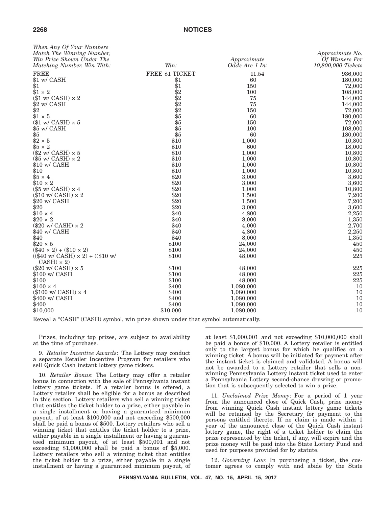| When Any Of Your Numbers<br>Match The Winning Number,<br>Win Prize Shown Under The<br>Matching Number. Win With: | Win:            | Approximate<br>Odds Are 1 In: | Approximate No.<br>Of Winners Per<br>10,800,000 Tickets |
|------------------------------------------------------------------------------------------------------------------|-----------------|-------------------------------|---------------------------------------------------------|
| <b>FREE</b>                                                                                                      | FREE \$1 TICKET | 11.54                         | 936,000                                                 |
| \$1 w/ CASH                                                                                                      | \$1             | 60                            | 180,000                                                 |
| \$1                                                                                                              | \$1             | 150                           | 72,000                                                  |
| $$1 \times 2$                                                                                                    | \$2             | 100                           | 108,000                                                 |
| $(\$1 w / CASH) \times 2$                                                                                        | $\dot{\$2}$     | 75                            | 144,000                                                 |
| \$2 w/ CASH                                                                                                      | \$2             | 75                            | 144,000                                                 |
| \$2                                                                                                              | \$2             | 150                           | 72,000                                                  |
| $$1 \times 5$                                                                                                    | \$5             | 60                            | 180,000                                                 |
| $(\$1 \text{ w/CASH}) \times 5$                                                                                  | \$5             | 150                           | 72,000                                                  |
| \$5 w/ CASH                                                                                                      | \$5             | 100                           | 108,000                                                 |
| \$5                                                                                                              | \$5             | 60                            | 180,000                                                 |
| $$2 \times 5$                                                                                                    | \$10            | 1,000                         | 10,800                                                  |
| $$5 \times 2$                                                                                                    | \$10            | 600                           | 18,000                                                  |
| $(\$2$ w/ CASH) $\times$ 5                                                                                       | \$10            | 1,000                         | 10,800                                                  |
| $(\$5$ w/ CASH) $\times$ 2                                                                                       | \$10            | 1,000                         | 10,800                                                  |
| \$10 w/ CASH                                                                                                     | \$10            | 1,000                         | 10,800                                                  |
| \$10                                                                                                             | \$10            | 1,000                         | 10,800                                                  |
| $$5 \times 4$                                                                                                    | \$20            | 3,000                         | 3,600                                                   |
| $$10 \times 2$                                                                                                   | \$20            | 3,000                         | 3,600                                                   |
|                                                                                                                  |                 |                               |                                                         |
| $(\$5$ w/ CASH) $\times$ 4                                                                                       | \$20            | 1,000                         | 10,800                                                  |
| $(\$10 \text{ w/CASH}) \times 2$                                                                                 | \$20            | 1,500                         | 7,200                                                   |
| \$20 w/ CASH                                                                                                     | \$20            | 1,500                         | 7,200                                                   |
| \$20                                                                                                             | \$20            | 3,000                         | 3,600                                                   |
| $$10 \times 4$                                                                                                   | \$40            | 4,800                         | 2,250                                                   |
| $$20 \times 2$                                                                                                   | \$40            | 8,000                         | 1,350                                                   |
| $(\$20 \text{ w/CASH}) \times 2$                                                                                 | \$40            | 4,000                         | 2,700                                                   |
| \$40 w/ CASH                                                                                                     | \$40            | 4,800                         | 2,250                                                   |
| \$40                                                                                                             | \$40            | 8,000                         | 1,350                                                   |
| $$20 \times 5$                                                                                                   | \$100           | 24,000                        | 450                                                     |
| $(\$40 \times 2) + ($10 \times 2)$                                                                               | \$100           | 24,000                        | 450                                                     |
| $((\$40 \text{ w/CASH}) \times 2) + ((\$10 \text{ w/C})$<br>$CASH) \times 2$                                     | \$100           | 48,000                        | 225                                                     |
| $(\$20 \text{ w/CASH}) \times 5$                                                                                 | \$100           | 48,000                        | 225                                                     |
| \$100 w/ CASH                                                                                                    | \$100           | 48,000                        | 225                                                     |
| \$100                                                                                                            | \$100           | 48,000                        | 225                                                     |
| $$100 \times 4$                                                                                                  | \$400           | 1,080,000                     | 10                                                      |
| $(\$100 \text{ w/CASH}) \times 4$                                                                                | \$400           | 1,080,000                     | 10                                                      |
| \$400 w/ CASH                                                                                                    | \$400           | 1,080,000                     | 10                                                      |
| \$400                                                                                                            | \$400           | 1,080,000                     | 10                                                      |
| \$10,000                                                                                                         | \$10,000        | 1,080,000                     | 10                                                      |
|                                                                                                                  |                 |                               |                                                         |

Reveal a "CASH" (CASH) symbol, win prize shown under that symbol automatically.

Prizes, including top prizes, are subject to availability at the time of purchase.

9. *Retailer Incentive Awards*: The Lottery may conduct a separate Retailer Incentive Program for retailers who sell Quick Cash instant lottery game tickets.

10. *Retailer Bonus*: The Lottery may offer a retailer bonus in connection with the sale of Pennsylvania instant lottery game tickets. If a retailer bonus is offered, a Lottery retailer shall be eligible for a bonus as described in this section. Lottery retailers who sell a winning ticket that entitles the ticket holder to a prize, either payable in a single installment or having a guaranteed minimum payout, of at least \$100,000 and not exceeding \$500,000 shall be paid a bonus of \$500. Lottery retailers who sell a winning ticket that entitles the ticket holder to a prize, either payable in a single installment or having a guaranteed minimum payout, of at least \$500,001 and not exceeding \$1,000,000 shall be paid a bonus of \$5,000. Lottery retailers who sell a winning ticket that entitles the ticket holder to a prize, either payable in a single installment or having a guaranteed minimum payout, of

at least \$1,000,001 and not exceeding \$10,000,000 shall be paid a bonus of \$10,000. A Lottery retailer is entitled only to the largest bonus for which he qualifies on a winning ticket. A bonus will be initiated for payment after the instant ticket is claimed and validated. A bonus will not be awarded to a Lottery retailer that sells a nonwinning Pennsylvania Lottery instant ticket used to enter a Pennsylvania Lottery second-chance drawing or promotion that is subsequently selected to win a prize.

11. *Unclaimed Prize Money*: For a period of 1 year from the announced close of Quick Cash, prize money from winning Quick Cash instant lottery game tickets will be retained by the Secretary for payment to the persons entitled thereto. If no claim is made within 1 year of the announced close of the Quick Cash instant lottery game, the right of a ticket holder to claim the prize represented by the ticket, if any, will expire and the prize money will be paid into the State Lottery Fund and used for purposes provided for by statute.

12. *Governing Law*: In purchasing a ticket, the customer agrees to comply with and abide by the State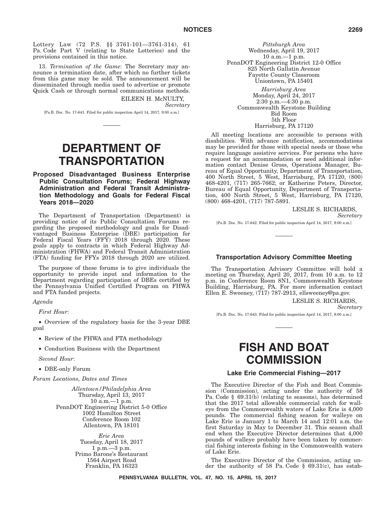Lottery Law (72 P.S. §§ 3761-101—3761-314), 61 Pa. Code Part V (relating to State Lotteries) and the provisions contained in this notice.

13. *Termination of the Game*: The Secretary may announce a termination date, after which no further tickets from this game may be sold. The announcement will be disseminated through media used to advertise or promote Quick Cash or through normal communications methods.

> EILEEN H. McNULTY, *Secretary*

[Pa.B. Doc. No. 17-641. Filed for public inspection April 14, 2017, 9:00 a.m.]

# **DEPARTMENT OF TRANSPORTATION**

# **Proposed Disadvantaged Business Enterprise Public Consultation Forums; Federal Highway Administration and Federal Transit Administration Methodology and Goals for Federal Fiscal Years 2018—2020**

The Department of Transportation (Department) is providing notice of its Public Consultation Forums regarding the proposed methodology and goals for Disadvantaged Business Enterprise (DBE) participation for Federal Fiscal Years (FFY) 2018 through 2020. These goals apply to contracts in which Federal Highway Administration (FHWA) and Federal Transit Administration (FTA) funding for FFYs 2018 through 2020 are utilized.

The purpose of these forums is to give individuals the opportunity to provide input and information to the Department regarding participation of DBEs certified by the Pennsylvania Unified Certified Program on FHWA and FTA funded projects.

*Agenda*

*First Hour*:

• Overview of the regulatory basis for the 3-year DBE goal

• Review of the FHWA and FTA methodology

• Conduction Business with the Department

*Second Hour*:

• DBE-only Forum

*Forum Locations, Dates and Times*

*Allentown/Philadelphia Area* Thursday, April 13, 2017 10 a.m.—1 p.m. PennDOT Engineering District 5-0 Office 1002 Hamilton Street Conference Room 102 Allentown, PA 18101

> *Erie Area* Tuesday, April 18, 2017 1 p.m.—3 p.m. Primo Barone's Restaurant 1564 Airport Road Franklin, PA 16323

*Pittsburgh Area* Wednesday, April 19, 2017 10 a.m.—1 p.m. PennDOT Engineering District 12-0 Office 825 North Gallatin Avenue Fayette County Classroom Uniontown, PA 15401

*Harrisburg Area* Monday, April 24, 2017 2:30 p.m.—4:30 p.m. Commonwealth Keystone Building Bid Room 5th Floor Harrisburg, PA 17120

All meeting locations are accessible to persons with disabilities. With advance notification, accommodations may be provided for those with special needs or those who require language assistive services. For persons who have a request for an accommodation or need additional information contact Denise Gross, Operations Manager, Bureau of Equal Opportunity, Department of Transportation, 400 North Street, 5 West, Harrisburg, PA 17120, (800) 468-4201, (717) 265-7662; or Katherine Peters, Director, Bureau of Equal Opportunity, Department of Transportation, 400 North Street, 5 West, Harrisburg, PA 17120, (800) 468-4201, (717) 787-5891.

LESLIE S. RICHARDS,

*Secretary*

[Pa.B. Doc. No. 17-642. Filed for public inspection April 14, 2017, 9:00 a.m.]

# **Transportation Advisory Committee Meeting**

The Transportation Advisory Committee will hold a meeting on Thursday, April 20, 2017, from 10 a.m. to 12 p.m. in Conference Room 8N1, Commonwealth Keystone Building, Harrisburg, PA. For more information contact Ellen E. Sweeney, (717) 787-2913, ellsweeney@pa.gov.

LESLIE S. RICHARDS,

*Secretary*

[Pa.B. Doc. No. 17-643. Filed for public inspection April 14, 2017, 9:00 a.m.]

# **FISH AND BOAT COMMISSION**

### **Lake Erie Commercial Fishing—2017**

The Executive Director of the Fish and Boat Commission (Commission), acting under the authority of 58 Pa. Code § 69.31(b) (relating to seasons), has determined that the 2017 total allowable commercial catch for walleye from the Commonwealth waters of Lake Erie is 4,000 pounds. The commercial fishing season for walleye on Lake Erie is January 1 to March 14 and 12:01 a.m. the first Saturday in May to December 31. This season shall end when the Executive Director determines that 4,000 pounds of walleye probably have been taken by commercial fishing interests fishing in the Commonwealth waters of Lake Erie.

The Executive Director of the Commission, acting under the authority of 58 Pa. Code § 69.31(c), has estab-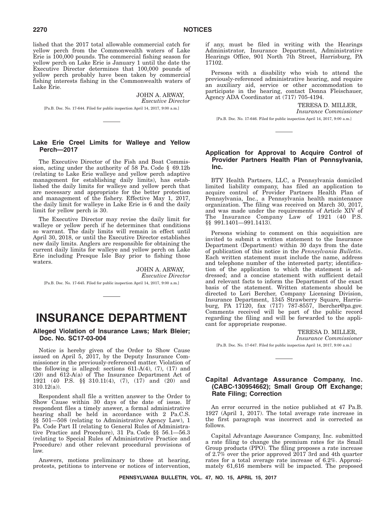lished that the 2017 total allowable commercial catch for yellow perch from the Commonwealth waters of Lake Erie is 100,000 pounds. The commercial fishing season for yellow perch on Lake Erie is January 1 until the date the Executive Director determines that 100,000 pounds of yellow perch probably have been taken by commercial fishing interests fishing in the Commonwealth waters of Lake Erie.

> JOHN A. ARWAY, *Executive Director*

[Pa.B. Doc. No. 17-644. Filed for public inspection April 14, 2017, 9:00 a.m.]

# **Lake Erie Creel Limits for Walleye and Yellow Perch—2017**

The Executive Director of the Fish and Boat Commission, acting under the authority of 58 Pa. Code § 69.12b (relating to Lake Erie walleye and yellow perch adaptive management for establishing daily limits), has established the daily limits for walleye and yellow perch that are necessary and appropriate for the better protection and management of the fishery. Effective May 1, 2017, the daily limit for walleye in Lake Erie is 6 and the daily limit for yellow perch is 30.

The Executive Director may revise the daily limit for walleye or yellow perch if he determines that conditions so warrant. The daily limits will remain in effect until April 30, 2018, or until the Executive Director establishes new daily limits. Anglers are responsible for obtaining the current daily limits for walleye and yellow perch on Lake Erie including Presque Isle Bay prior to fishing those waters.

JOHN A. ARWAY, *Executive Director* [Pa.B. Doc. No. 17-645. Filed for public inspection April 14, 2017, 9:00 a.m.]

# **INSURANCE DEPARTMENT**

# **Alleged Violation of Insurance Laws; Mark Bleier; Doc. No. SC17-03-004**

Notice is hereby given of the Order to Show Cause issued on April 5, 2017, by the Deputy Insurance Commissioner in the previously-referenced matter. Violation of the following is alleged: sections  $611-A(4)$ ,  $(7)$ ,  $(17)$  and (20) and 612-A(a) of The Insurance Department Act of 1921 (40 P.S. §§ 310.11(4), (7), (17) and (20) and 310.12(a)).

Respondent shall file a written answer to the Order to Show Cause within 30 days of the date of issue. If respondent files a timely answer, a formal administrative hearing shall be held in accordance with 2 Pa.C.S. §§ 501—508 (relating to Administrative Agency Law), 1 Pa. Code Part II (relating to General Rules of Administrative Practice and Procedure), 31 Pa. Code §§ 56.1—56.3 (relating to Special Rules of Administrative Practice and Procedure) and other relevant procedural provisions of law.

Answers, motions preliminary to those at hearing, protests, petitions to intervene or notices of intervention, if any, must be filed in writing with the Hearings Administrator, Insurance Department, Administrative Hearings Office, 901 North 7th Street, Harrisburg, PA 17102.

Persons with a disability who wish to attend the previously-referenced administrative hearing, and require an auxiliary aid, service or other accommodation to participate in the hearing, contact Donna Fleischauer, Agency ADA Coordinator at (717) 705-4194.

TERESA D. MILLER,

*Insurance Commissioner*

[Pa.B. Doc. No. 17-646. Filed for public inspection April 14, 2017, 9:00 a.m.]

# **Application for Approval to Acquire Control of Provider Partners Health Plan of Pennsylvania, Inc.**

BTY Health Partners, LLC, a Pennsylvania domiciled limited liability company, has filed an application to acquire control of Provider Partners Health Plan of Pennsylvania, Inc., a Pennsylvania health maintenance organization. The filing was received on March 30, 2017, and was made under the requirements of Article XIV of The Insurance Company Law of 1921 (40 P.S. §§ 991.1401—991.1413).

Persons wishing to comment on this acquisition are invited to submit a written statement to the Insurance Department (Department) within 30 days from the date of publication of this notice in the *Pennsylvania Bulletin*. Each written statement must include the name, address and telephone number of the interested party; identification of the application to which the statement is addressed; and a concise statement with sufficient detail and relevant facts to inform the Department of the exact basis of the statement. Written statements should be directed to Lori Bercher, Company Licensing Division, Insurance Department, 1345 Strawberry Square, Harrisburg, PA 17120, fax (717) 787-8557, lbercher@pa.gov. Comments received will be part of the public record regarding the filing and will be forwarded to the applicant for appropriate response.

#### TERESA D. MILLER, *Insurance Commissioner*

[Pa.B. Doc. No. 17-647. Filed for public inspection April 14, 2017, 9:00 a.m.]

# **Capital Advantage Assurance Company, Inc. (CABC-130954662); Small Group Off Exchange; Rate Filing; Correction**

An error occurred in the notice published at 47 Pa.B. 1927 (April 1, 2017). The total average rate increase in the first paragraph was incorrect and is corrected as follows.

Capital Advantage Assurance Company, Inc. submitted a rate filing to change the premium rates for its Small Group products (PPO). The filing proposes a rate increase of 2.7% over the prior approved 2017 3rd and 4th quarter rates for a total average rate increase of 6.2%. Approximately 61,616 members will be impacted. The proposed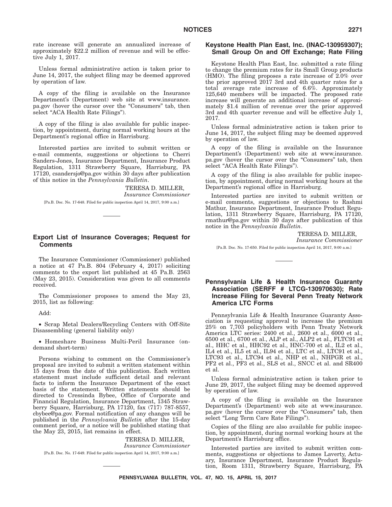rate increase will generate an annualized increase of approximately \$22.2 million of revenue and will be effective July 1, 2017.

Unless formal administrative action is taken prior to June 14, 2017, the subject filing may be deemed approved by operation of law.

A copy of the filing is available on the Insurance Department's (Department) web site at www.insurance. pa.gov (hover the cursor over the ''Consumers'' tab, then select "ACA Health Rate Filings").

A copy of the filing is also available for public inspection, by appointment, during normal working hours at the Department's regional office in Harrisburg.

Interested parties are invited to submit written or e-mail comments, suggestions or objections to Cherri Sanders-Jones, Insurance Department, Insurance Product Regulation, 1311 Strawberry Square, Harrisburg, PA 17120, csandersjo@pa.gov within 30 days after publication of this notice in the *Pennsylvania Bulletin*.

> TERESA D. MILLER, *Insurance Commissioner*

[Pa.B. Doc. No. 17-648. Filed for public inspection April 14, 2017, 9:00 a.m.]

# **Export List of Insurance Coverages; Request for Comments**

The Insurance Commissioner (Commissioner) published a notice at 47 Pa.B. 804 (February 4, 2017) soliciting comments to the export list published at 45 Pa.B. 2563 (May 23, 2015). Consideration was given to all comments received.

The Commissioner proposes to amend the May 23, 2015, list as following:

Add:

• Scrap Metal Dealers/Recycling Centers with Off-Site Disassembling (general liability only)

• Homeshare Business Multi-Peril Insurance (ondemand short-term)

Persons wishing to comment on the Commissioner's proposal are invited to submit a written statement within 15 days from the date of this publication. Each written statement must include sufficient detail and relevant facts to inform the Insurance Department of the exact basis of the statement. Written statements should be directed to Cressinda Bybee, Office of Corporate and Financial Regulation, Insurance Department, 1345 Strawberry Square, Harrisburg, PA 17120, fax (717) 787-8557, cbybee@pa.gov. Formal notification of any changes will be published in the *Pennsylvania Bulletin* after the 15-day comment period, or a notice will be published stating that the May 23, 2015, list remains in effect.

# TERESA D. MILLER,

*Insurance Commissioner*

[Pa.B. Doc. No. 17-649. Filed for public inspection April 14, 2017, 9:00 a.m.]

# **Keystone Health Plan East, Inc. (INAC-130959307); Small Group On and Off Exchange; Rate Filing**

Keystone Health Plan East, Inc. submitted a rate filing to change the premium rates for its Small Group products (HMO). The filing proposes a rate increase of 2.0% over the prior approved 2017 3rd and 4th quarter rates for a total average rate increase of 6.6%. Approximately 125,640 members will be impacted. The proposed rate increase will generate an additional increase of approximately \$1.4 million of revenue over the prior approved 3rd and 4th quarter revenue and will be effective July 1, 2017.

Unless formal administrative action is taken prior to June 14, 2017, the subject filing may be deemed approved by operation of law.

A copy of the filing is available on the Insurance Department's (Department) web site at www.insurance. pa.gov (hover the cursor over the "Consumers" tab, then select "ACA Health Rate Filings").

A copy of the filing is also available for public inspection, by appointment, during normal working hours at the Department's regional office in Harrisburg.

Interested parties are invited to submit written or e-mail comments, suggestions or objections to Rashmi Mathur, Insurance Department, Insurance Product Regulation, 1311 Strawberry Square, Harrisburg, PA 17120, rmathur@pa.gov within 30 days after publication of this notice in the *Pennsylvania Bulletin*.

TERESA D. MILLER,

*Insurance Commissioner*

[Pa.B. Doc. No. 17-650. Filed for public inspection April 14, 2017, 9:00 a.m.]

# **Pennsylvania Life & Health Insurance Guaranty Association (SERFF # LTCG-130970630); Rate Increase Filing for Several Penn Treaty Network America LTC Forms**

Pennsylvania Life & Health Insurance Guaranty Association is requesting approval to increase the premium 25% on 7,703 policyholders with Penn Treaty Network America LTC series: 2400 et al., 2600 et al., 6000 et al., 6500 et al., 6700 et al., ALP et al., ALP2 et al., FLTC91 et al., HHC et al., HHC92 et al., HNC-700 et al., IL2 et al., IL4 et al., IL5 et al., IL94 et al., LTC et al., LTC91 et al., LTC93 et al., LTC94 et al., NHP et al., NHPGR et al., PF2 et al., PF3 et al., SLS et al., SNCC et al. and SR400 et al.

Unless formal administrative action is taken prior to June 29, 2017, the subject filing may be deemed approved by operation of law.

A copy of the filing is available on the Insurance Department's (Department) web site at www.insurance. pa.gov (hover the cursor over the "Consumers" tab, then select "Long Term Care Rate Filings").

Copies of the filing are also available for public inspection, by appointment, during normal working hours at the Department's Harrisburg office.

Interested parties are invited to submit written comments, suggestions or objections to James Laverty, Actuary, Insurance Department, Insurance Product Regulation, Room 1311, Strawberry Square, Harrisburg, PA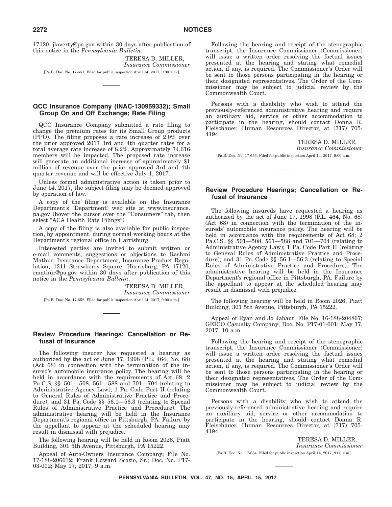17120, jlaverty@pa.gov within 30 days after publication of this notice in the *Pennsylvania Bulletin*.

> TERESA D. MILLER, *Insurance Commissioner*

[Pa.B. Doc. No. 17-651. Filed for public inspection April 14, 2017, 9:00 a.m.]

# **QCC Insurance Company (INAC-130959332); Small Group On and Off Exchange; Rate Filing**

QCC Insurance Company submitted a rate filing to change the premium rates for its Small Group products (PPO). The filing proposes a rate increase of 2.0% over the prior approved 2017 3rd and 4th quarter rates for a total average rate increase of 8.2%. Approximately 74,616 members will be impacted. The proposed rate increase will generate an additional increase of approximately \$1 million of revenue over the prior approved 3rd and 4th quarter revenue and will be effective July 1, 2017.

Unless formal administrative action is taken prior to June 14, 2017, the subject filing may be deemed approved by operation of law.

A copy of the filing is available on the Insurance Department's (Department) web site at www.insurance. pa.gov (hover the cursor over the ''Consumers'' tab, then select "ACA Health Rate Filings").

A copy of the filing is also available for public inspection, by appointment, during normal working hours at the Department's regional office in Harrisburg.

Interested parties are invited to submit written or e-mail comments, suggestions or objections to Rashmi Mathur, Insurance Department, Insurance Product Regulation, 1311 Strawberry Square, Harrisburg, PA 17120, rmathur@pa.gov within 30 days after publication of this notice in the *Pennsylvania Bulletin*.

> TERESA D. MILLER, *Insurance Commissioner*

[Pa.B. Doc. No. 17-652. Filed for public inspection April 14, 2017, 9:00 a.m.]

# **Review Procedure Hearings; Cancellation or Refusal of Insurance**

The following insurer has requested a hearing as authorized by the act of June 17, 1998 (P.L. 464, No. 68) (Act 68) in connection with the termination of the insured's automobile insurance policy. The hearing will be held in accordance with the requirements of Act 68; 2 Pa.C.S. §§ 501—508, 561—588 and 701—704 (relating to Administrative Agency Law); 1 Pa. Code Part II (relating to General Rules of Administrative Practice and Procedure); and 31 Pa. Code §§ 56.1—56.3 (relating to Special Rules of Administrative Practice and Procedure). The administrative hearing will be held in the Insurance Department's regional office in Pittsburgh, PA. Failure by the appellant to appear at the scheduled hearing may result in dismissal with prejudice.

The following hearing will be held in Room 2026, Piatt Building, 301 5th Avenue, Pittsburgh, PA 15222.

Appeal of Auto-Owners Insurance Company; File No. 17-188-206632; Frank Edward Scozio, Sr.; Doc. No. P17- 03-002; May 17, 2017, 9 a.m.

Following the hearing and receipt of the stenographic transcript, the Insurance Commissioner (Commissioner) will issue a written order resolving the factual issues presented at the hearing and stating what remedial action, if any, is required. The Commissioner's Order will be sent to those persons participating in the hearing or their designated representatives. The Order of the Commissioner may be subject to judicial review by the Commonwealth Court.

Persons with a disability who wish to attend the previously-referenced administrative hearing and require an auxiliary aid, service or other accommodation to participate in the hearing, should contact Donna R. Fleischauer, Human Resources Director, at (717) 705- 4194.

> TERESA D. MILLER, *Insurance Commissioner*

[Pa.B. Doc. No. 17-653. Filed for public inspection April 14, 2017, 9:00 a.m.]

# **Review Procedure Hearings; Cancellation or Refusal of Insurance**

The following insureds have requested a hearing as authorized by the act of June 17, 1998 (P.L. 464, No. 68) (Act 68) in connection with the termination of the insureds' automobile insurance policy. The hearing will be held in accordance with the requirements of Act 68; 2 Pa.C.S. §§ 501—508, 561—588 and 701—704 (relating to Administrative Agency Law); 1 Pa. Code Part II (relating to General Rules of Administrative Practice and Procedure); and 31 Pa. Code §§ 56.1—56.3 (relating to Special Rules of Administrative Practice and Procedure). The administrative hearing will be held in the Insurance Department's regional office in Pittsburgh, PA. Failure by the appellant to appear at the scheduled hearing may result in dismissal with prejudice.

The following hearing will be held in Room 2026, Piatt Building, 301 5th Avenue, Pittsburgh, PA 15222.

Appeal of Ryan and Jo Jabaut; File No. 16-188-204867; GEICO Casualty Company; Doc. No. P17-01-001; May 17, 2017, 10 a.m.

Following the hearing and receipt of the stenographic transcript, the Insurance Commissioner (Commissioner) will issue a written order resolving the factual issues presented at the hearing and stating what remedial action, if any, is required. The Commissioner's Order will be sent to those persons participating in the hearing or their designated representatives. The Order of the Commissioner may be subject to judicial review by the Commonwealth Court.

Persons with a disability who wish to attend the previously-referenced administrative hearing and require an auxiliary aid, service or other accommodation to participate in the hearing, should contact Donna R. Fleischauer, Human Resources Director, at (717) 705- 4194.

> TERESA D. MILLER, *Insurance Commissioner*

[Pa.B. Doc. No. 17-654. Filed for public inspection April 14, 2017, 9:00 a.m.]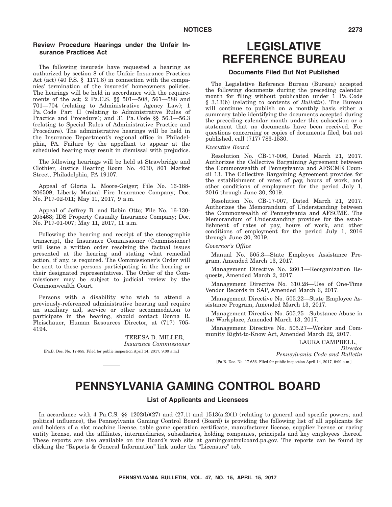# **Review Procedure Hearings under the Unfair Insurance Practices Act**

The following insureds have requested a hearing as authorized by section 8 of the Unfair Insurance Practices Act (act) (40 P.S. § 1171.8) in connection with the companies' termination of the insureds' homeowners policies. The hearings will be held in accordance with the requirements of the act; 2 Pa.C.S. §§ 501—508, 561—588 and 701—704 (relating to Administrative Agency Law); 1 Pa. Code Part II (relating to Administrative Rules of Practice and Procedure); and 31 Pa. Code §§ 56.1—56.3 (relating to Special Rules of Administrative Practice and Procedure). The administrative hearings will be held in the Insurance Department's regional office in Philadelphia, PA. Failure by the appellant to appear at the scheduled hearing may result in dismissal with prejudice.

The following hearings will be held at Strawbridge and Clothier, Justice Hearing Room No. 4030, 801 Market Street, Philadelphia, PA 19107.

Appeal of Gloria L. Moore-Geiger; File No. 16-188- 206509; Liberty Mutual Fire Insurance Company; Doc. No. P17-02-011; May 11, 2017, 9 a.m.

Appeal of Jeffrey B. and Robin Otto; File No. 16-130- 205463; IDS Property Casualty Insurance Company; Doc. No. P17-01-007; May 11, 2017, 11 a.m.

Following the hearing and receipt of the stenographic transcript, the Insurance Commissioner (Commissioner) will issue a written order resolving the factual issues presented at the hearing and stating what remedial action, if any, is required. The Commissioner's Order will be sent to those persons participating in the hearing or their designated representatives. The Order of the Commissioner may be subject to judicial review by the Commonwealth Court.

Persons with a disability who wish to attend a previously-referenced administrative hearing and require an auxiliary aid, service or other accommodation to participate in the hearing, should contact Donna R. Fleischauer, Human Resources Director, at (717) 705- 4194.

> TERESA D. MILLER, *Insurance Commissioner*

[Pa.B. Doc. No. 17-655. Filed for public inspection April 14, 2017, 9:00 a.m.]

# **LEGISLATIVE REFERENCE BUREAU**

# **Documents Filed But Not Published**

The Legislative Reference Bureau (Bureau) accepted the following documents during the preceding calendar month for filing without publication under  $\overline{1}$  Pa. Code § 3.13(b) (relating to contents of *Bulletin*). The Bureau will continue to publish on a monthly basis either a summary table identifying the documents accepted during the preceding calendar month under this subsection or a statement that no documents have been received. For questions concerning or copies of documents filed, but not published, call (717) 783-1530.

#### *Executive Board*

Resolution No. CB-17-006, Dated March 21, 2017. Authorizes the Collective Bargaining Agreement between the Commonwealth of Pennsylvania and AFSCME Council 13. The Collective Bargaining Agreement provides for the establishment of rates of pay, hours of work, and other conditions of employment for the period July 1, 2016 through June 30, 2019.

Resolution No. CB-17-007, Dated March 21, 2017. Authorizes the Memorandum of Understanding between the Commonwealth of Pennsylvania and AFSCME. The Memorandum of Understanding provides for the establishment of rates of pay, hours of work, and other conditions of employment for the period July 1, 2016 through June 30, 2019.

#### *Governor's Office*

Manual No. 505.3—State Employee Assistance Program, Amended March 13, 2017.

Management Directive No. 260.1—Reorganization Requests, Amended March 2, 2017.

Management Directive No. 310.28—Use of One-Time Vendor Records in SAP, Amended March 6, 2017.

Management Directive No. 505.22—State Employee Assistance Program, Amended March 13, 2017.

Management Directive No. 505.25—Substance Abuse in the Workplace, Amended March 13, 2017.

Management Directive No. 505.27—Worker and Community Right-to-Know Act, Amended March 22, 2017.

LAURA CAMPBELL,

*Director Pennsylvania Code and Bulletin* [Pa.B. Doc. No. 17-656. Filed for public inspection April 14, 2017, 9:00 a.m.]

# **PENNSYLVANIA GAMING CONTROL BOARD**

# **List of Applicants and Licensees**

In accordance with 4 Pa.C.S.  $\S$  1202(b)(27) and (27.1) and 1513(a.2)(1) (relating to general and specific powers; and political influence), the Pennsylvania Gaming Control Board (Board) is providing the following list of all applicants for and holders of a slot machine license, table game operation certificate, manufacturer license, supplier license or racing entity license, and the affiliates, intermediaries, subsidiaries, holding companies, principals and key employees thereof. These reports are also available on the Board's web site at gamingcontrolboard.pa.gov. The reports can be found by clicking the "Reports & General Information" link under the "Licensure" tab.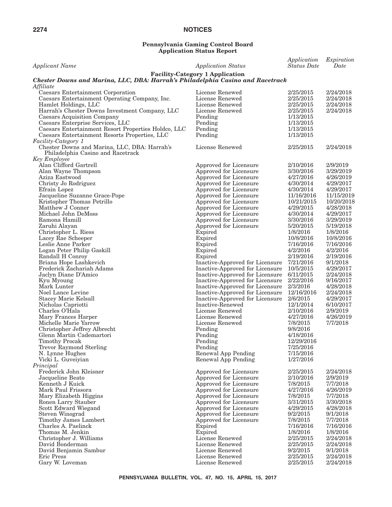#### **Pennsylvania Gaming Control Board Application Status Report**

| <b>Applicant Name</b>                                                                       | <b>Application Status</b>                        | Application<br><b>Status</b> Date | Expiration<br>Date   |
|---------------------------------------------------------------------------------------------|--------------------------------------------------|-----------------------------------|----------------------|
|                                                                                             | <b>Facility-Category 1 Application</b>           |                                   |                      |
| Chester Downs and Marina, LLC, DBA: Harrah's Philadelphia Casino and Racetrack<br>Affiliate |                                                  |                                   |                      |
| Caesars Entertainment Corporation                                                           | License Renewed                                  | 2/25/2015                         | 2/24/2018            |
| Caesars Entertainment Operating Company, Inc.                                               | License Renewed                                  | 2/25/2015                         | 2/24/2018            |
| Hamlet Holdings, LLC                                                                        | License Renewed                                  | 2/25/2015                         | 2/24/2018            |
| Harrah's Chester Downs Investment Company, LLC                                              | License Renewed                                  | 2/25/2015                         | 2/24/2018            |
| Caesars Acquisition Company                                                                 | Pending                                          | 1/13/2015                         |                      |
| Caesars Enterprise Services, LLC                                                            | Pending                                          | 1/13/2015                         |                      |
| Caesars Entertainment Resort Properties Holdco, LLC                                         | Pending                                          | 1/13/2015                         |                      |
| Caesars Entertainment Resorts Properties, LLC<br>Facility-Category 1                        | Pending                                          | 1/13/2015                         |                      |
| Chester Downs and Marina, LLC, DBA: Harrah's                                                | License Renewed                                  | 2/25/2015                         | 2/24/2018            |
| Philadelphia Casino and Racetrack                                                           |                                                  |                                   |                      |
| <b>Key Employee</b>                                                                         |                                                  |                                   |                      |
| Alan Clifford Gartrell                                                                      | Approved for Licensure                           | 2/10/2016                         | 2/9/2019             |
| Alan Wayne Thompson                                                                         | Approved for Licensure                           | 3/30/2016                         | 3/29/2019            |
| Aziza Eastwood                                                                              | Approved for Licensure                           | 4/27/2016                         | 4/26/2019            |
| Christy Jo Rodriguez                                                                        | Approved for Licensure                           | 4/30/2014                         | 4/29/2017            |
| Efrain Lopez                                                                                | Approved for Licensure                           | 4/30/2014                         | 4/29/2017            |
| Jacqueline Suzanne Grace-Pope                                                               | Approved for Licensure                           | 11/16/2016                        | 11/15/2019           |
| Kristopher Thomas Petrillo                                                                  | Approved for Licensure                           | 10/21/2015                        | 10/20/2018           |
| Matthew J Conner                                                                            | Approved for Licensure                           | 4/29/2015                         | 4/28/2018            |
| Michael John DeMoss                                                                         | Approved for Licensure                           | 4/30/2014                         | 4/29/2017            |
| Ramona Hamill                                                                               | Approved for Licensure                           | 3/30/2016                         | 3/29/2019            |
| Zaruhi Alayan                                                                               | Approved for Licensure                           | 5/20/2015                         | 5/19/2018            |
| Christopher L. Riess                                                                        | Expired                                          | 1/8/2016                          | 1/8/2016             |
| Lacey Rae Scheeper                                                                          | Expired                                          | 10/8/2016                         | 10/8/2016            |
| Leslie Anne Parker                                                                          | Expired                                          | 7/16/2016                         | 7/16/2016            |
| Logan Peter Philip Gaskill                                                                  | Expired                                          | 4/2/2016                          | 4/2/2016             |
| Randall H Conroy                                                                            | Expired                                          | 2/19/2016                         | 2/19/2016            |
| Briana Hope Lashkevich                                                                      | Inactive-Approved for Licensure                  | 7/21/2016                         | 9/1/2018             |
| Frederick Zachariah Adams                                                                   | Inactive-Approved for Licensure 10/5/2015        |                                   | 4/29/2017            |
| Jaclyn Diane D'Amico                                                                        | Inactive-Approved for Licensure                  | 6/11/2015                         | 2/24/2018            |
| Kyu Myoung                                                                                  | Inactive-Approved for Licensure                  | 2/22/2016                         | 9/16/2017            |
| Mark Lunter                                                                                 | Inactive-Approved for Licensure                  | 2/3/2016                          | 4/28/2018            |
| Noel Lance Levine                                                                           | Inactive-Approved for Licensure                  | 12/16/2016                        | 2/24/2018            |
| Stacey Marie Kelsall                                                                        | Inactive-Approved for Licensure                  | 2/6/2015                          | 4/29/2017            |
| Nicholas Capriotti                                                                          | Inactive-Renewed                                 | 12/1/2014                         | 6/10/2017            |
| Charles O'Hala                                                                              | License Renewed                                  | 2/10/2016                         | 2/9/2019             |
| Mary Frances Harper                                                                         | License Renewed                                  | 4/27/2016                         | 4/26/2019            |
| Michelle Marie Yarrow                                                                       | License Renewed                                  | 7/8/2015                          | 7/7/2018             |
| Christopher Jeffrey Albrecht                                                                | Pending                                          | 9/8/2016                          |                      |
| Glenn Martin Cademartori                                                                    | Pending                                          | 4/18/2016                         |                      |
| Timothy Procak                                                                              | Pending                                          | 12/29/2016                        |                      |
| Trevor Raymond Sterling                                                                     | Pending                                          | 7/25/2016<br>7/15/2016            |                      |
| N. Lynne Hughes                                                                             | Renewal App Pending                              | 1/27/2016                         |                      |
| Vicki L. Guveiyian                                                                          | Renewal App Pending                              |                                   |                      |
| Principal<br>Frederick John Kleisner                                                        | Approved for Licensure                           | 2/25/2015                         | 2/24/2018            |
| Jacqueline Beato                                                                            | Approved for Licensure                           | 2/10/2016                         | 2/9/2019             |
| Kenneth J Kuick                                                                             | Approved for Licensure                           | 7/8/2015                          | 7/7/2018             |
| Mark Paul Frissora                                                                          | Approved for Licensure                           | 4/27/2016                         | 4/26/2019            |
| Mary Elizabeth Higgins                                                                      |                                                  | 7/8/2015                          | 7/7/2018             |
| Ronen Larry Stauber                                                                         | Approved for Licensure                           | 3/31/2015                         | 3/30/2018            |
|                                                                                             | Approved for Licensure                           |                                   | 4/28/2018            |
| Scott Edward Wiegand                                                                        | Approved for Licensure                           | 4/29/2015                         |                      |
| Steven Winograd                                                                             | Approved for Licensure<br>Approved for Licensure | 9/2/2015<br>7/8/2015              | 9/1/2018<br>7/7/2018 |
| Timothy James Lambert<br>Charles A. Paelinck                                                | Expired                                          | 7/16/2016                         | 7/16/2016            |
| Thomas M. Jenkin                                                                            | Expired                                          | 1/8/2016                          | 1/8/2016             |
| Christopher J. Williams                                                                     | License Renewed                                  | 2/25/2015                         | 2/24/2018            |
| David Bonderman                                                                             | License Renewed                                  | 2/25/2015                         | 2/24/2018            |
| David Benjamin Sambur                                                                       | License Renewed                                  | 9/2/2015                          | 9/1/2018             |
| Eric Press                                                                                  | License Renewed                                  | 2/25/2015                         | 2/24/2018            |
| Gary W. Loveman                                                                             | License Renewed                                  | 2/25/2015                         | 2/24/2018            |
|                                                                                             |                                                  |                                   |                      |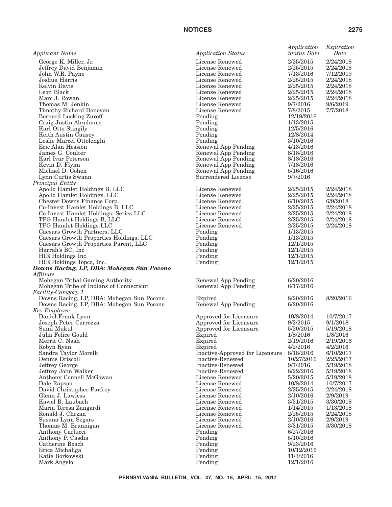| <b>Applicant Name</b>                     | <b>Application Status</b>                  | Application<br><b>Status Date</b> | Expiration<br>Date |
|-------------------------------------------|--------------------------------------------|-----------------------------------|--------------------|
| George K. Miller, Jr.                     | License Renewed                            | 2/25/2015                         | 2/24/2018          |
| Jeffrey David Benjamin                    | License Renewed                            | 2/25/2015                         | 2/24/2018          |
| John W.R. Payne                           | License Renewed                            | 7/13/2016                         | 7/12/2019          |
| Joshua Harris                             | License Renewed                            | 2/25/2015                         | 2/24/2018          |
| Kelvin Davis                              | License Renewed                            | 2/25/2015                         | 2/24/2018          |
| Leon Black                                | License Renewed                            | 2/25/2015                         | 2/24/2018          |
| Marc J. Rowan                             | License Renewed                            | 2/25/2015                         | 2/24/2018          |
| Thomas M. Jenkin                          | License Renewed                            | 9/7/2016                          | 9/6/2019           |
| Timothy Richard Donovan                   | License Renewed                            | 7/8/2015                          | 7/7/2018           |
| Bernard Lucking Zuroff                    | Pending                                    | 12/19/2016                        |                    |
| Craig Justin Abrahams                     | Pending                                    | 1/13/2015                         |                    |
| Karl Otto Stingily                        | Pending                                    | 12/5/2016                         |                    |
| Keith Austin Causey                       | Pending                                    | 12/8/2014                         |                    |
| Leslie Marcel Ottolenghi                  | Pending                                    | 3/10/2016                         |                    |
| Eric Alan Hession                         | Renewal App Pending                        | 4/13/2016                         |                    |
| James G. Coulter<br>Karl Ivar Peterson    | Renewal App Pending                        | 8/18/2016<br>8/18/2016            |                    |
| Kevin D. Flynn                            | Renewal App Pending                        | 7/18/2016                         |                    |
| Michael D. Cohen                          | Renewal App Pending<br>Renewal App Pending | 5/16/2016                         |                    |
| Lynn Curtis Swann                         | Surrendered License                        | 9/7/2016                          |                    |
| Principal Entity                          |                                            |                                   |                    |
| Apollo Hamlet Holdings B, LLC             | License Renewed                            | 2/25/2015                         | 2/24/2018          |
| Apollo Hamlet Holdings, LLC               | License Renewed                            | 2/25/2015                         | 2/24/2018          |
| Chester Downs Finance Corp.               | License Renewed                            | 6/10/2015                         | 6/9/2018           |
| Co-Invest Hamlet Holdings B, LLC          | License Renewed                            | 2/25/2015                         | 2/24/2018          |
| Co-Invest Hamlet Holdings, Series LLC     | License Renewed                            | 2/25/2015                         | 2/24/2018          |
| TPG Hamlet Holdings B, LLC                | License Renewed                            | 2/25/2015                         | 2/24/2018          |
| TPG Hamlet Holdings LLC                   | License Renewed                            | 2/25/2015                         | 2/24/2018          |
| Caesars Growth Partners, LLC              | Pending                                    | 1/13/2015                         |                    |
| Caesars Growth Properties Holdings, LLC   | Pending                                    | 1/13/2015                         |                    |
| Caesars Growth Properties Parent, LLC     | Pending                                    | 12/1/2015                         |                    |
| Harrah's BC, Inc                          | Pending                                    | 12/1/2015                         |                    |
| HIE Holdings Inc.                         | Pending                                    | 12/1/2015                         |                    |
| HIE Holdings Topco, Inc.                  | Pending                                    | 12/1/2015                         |                    |
| Downs Racing, LP, DBA: Mohegan Sun Pocono |                                            |                                   |                    |
| Affiliate                                 |                                            |                                   |                    |
| Mohegan Tribal Gaming Authority           | Renewal App Pending                        | 6/20/2016                         |                    |
| Mohegan Tribe of Indians of Connecticut   | Renewal App Pending                        | 6/17/2016                         |                    |
| Facility-Category 1                       |                                            |                                   |                    |
| Downs Racing, LP, DBA: Mohegan Sun Pocono | Expired                                    | 8/20/2016<br>6/20/2016            | 8/20/2016          |
| Downs Racing, LP, DBA: Mohegan Sun Pocono | Renewal App Pending                        |                                   |                    |
| <b>Key Employee</b><br>Daniel Frank Lynn  | Approved for Licensure                     | 10/8/2014                         | 10/7/2017          |
| Joseph Peter Carrozza                     | Approved for Licensure                     | 9/2/2015                          | 9/1/2018           |
| Sunil Mukul                               | Approved for Licensure                     | 5/20/2015                         | 5/19/2018          |
| Julia Felice Gould                        | Expired                                    | 1/8/2016                          | 1/8/2016           |
| Merrit C. Nash                            | Expired                                    | 2/19/2016                         | 2/19/2016          |
| Robyn Ryan                                | Expired                                    | 4/2/2016                          | 4/2/2016           |
| Sandra Taylor Morelli                     | Inactive-Approved for Licensure            | 8/18/2016                         | 6/10/2017          |
| Dennis Driscoll                           | Inactive-Renewed                           | 10/27/2016                        | 2/25/2017          |
| Jeffrey George                            | Inactive-Renewed                           | 9/7/2016                          | 5/19/2018          |
| Jeffrey John Walker                       | Inactive-Renewed                           | 8/22/2016                         | 5/19/2018          |
| Anthony Connell McGowan                   | License Renewed                            | 5/20/2015                         | 5/19/2018          |
| Dale Rapson                               | License Renewed                            | 10/8/2014                         | 10/7/2017          |
| David Christopher Parfrey                 | License Renewed                            | 2/25/2015                         | 2/24/2018          |
| Glenn J. Lawless                          | License Renewed                            | 2/10/2016                         | 2/9/2019           |
| Kawel B. Laubach                          | License Renewed                            | 3/31/2015                         | 3/30/2018          |
| Maria Teresa Zangardi                     | License Renewed                            | 1/14/2015                         | 1/13/2018          |
| Ronald J. Chrzan                          | License Renewed                            | 2/25/2015                         | 2/24/2018          |
| Susana Lynn Segars                        | License Renewed                            | 2/10/2016                         | 2/9/2019           |
| Thomas M. Brannigan                       | License Renewed                            | 3/31/2015                         | 3/30/2018          |
| Anthony Carlucci                          | Pending                                    | 6/27/2016                         |                    |
| Anthony P. Casdia                         | Pending                                    | 5/10/2016                         |                    |
| Catherine Beach                           | Pending                                    | 9/23/2016                         |                    |
| Erica Michaliga                           | Pending                                    | 10/12/2016                        |                    |
| Katie Borkowski                           | Pending                                    | 11/3/2016                         |                    |
| Mark Angelo                               | Pending                                    | 12/1/2016                         |                    |
|                                           |                                            |                                   |                    |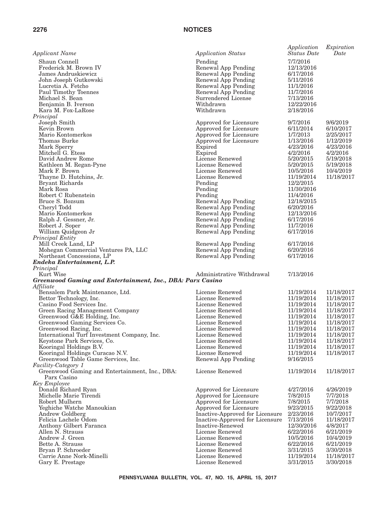| Applicant Name                                             | <b>Application Status</b>       | Application<br><b>Status</b> Date | Expiration<br>Date |
|------------------------------------------------------------|---------------------------------|-----------------------------------|--------------------|
| Shaun Connell                                              | Pending                         | 7/7/2016                          |                    |
| Frederick M. Brown IV                                      | Renewal App Pending             | 12/13/2016                        |                    |
| James Andruskiewicz                                        | Renewal App Pending             | 6/17/2016                         |                    |
| John Joseph Gutkowski                                      | Renewal App Pending             | 5/11/2016                         |                    |
| Lucretia A. Fetcho                                         | Renewal App Pending             | 11/1/2016                         |                    |
| Paul Timothy Toennes                                       | Renewal App Pending             | 11/7/2016                         |                    |
| Michael S. Bean                                            | Surrendered License             | 7/13/2016                         |                    |
| Benjamin B. Iverson                                        | Withdrawn                       | 12/22/2016                        |                    |
| Kara M. Fox-LaRose                                         | Withdrawn                       | 2/18/2016                         |                    |
| Principal                                                  |                                 |                                   |                    |
| Joseph Smith                                               | Approved for Licensure          | 9/7/2016                          | 9/6/2019           |
| Kevin Brown                                                | Approved for Licensure          | 6/11/2014                         | 6/10/2017          |
| Mario Kontomerkos                                          | Approved for Licensure          | 1/7/2013                          | 2/25/2017          |
| Thomas Burke                                               | Approved for Licensure          | 1/13/2016                         | 1/12/2019          |
| Mark Sperry                                                | Expired                         | 4/23/2016                         | 4/23/2016          |
| Mitchell G. Etess                                          | Expired                         | 4/2/2016                          | 4/2/2016           |
| David Andrew Rome                                          | License Renewed                 | 5/20/2015                         | 5/19/2018          |
| Kathleen M. Regan-Pyne                                     | License Renewed                 | 5/20/2015                         | 5/19/2018          |
| Mark F. Brown                                              | License Renewed                 | 10/5/2016                         | 10/4/2019          |
| Thayne D. Hutchins, Jr.                                    | License Renewed                 | 11/19/2014                        | 11/18/2017         |
| Bryant Richards                                            | Pending                         | 12/2/2015                         |                    |
| Mark Rosa                                                  | Pending                         | 11/30/2016                        |                    |
| Robert C Rubenstein                                        | Pending                         | 11/4/2016                         |                    |
| Bruce S. Bozsum                                            | Renewal App Pending             | 12/18/2015                        |                    |
| Cheryl Todd                                                | Renewal App Pending             | 6/20/2016                         |                    |
| Mario Kontomerkos                                          | Renewal App Pending             | 12/13/2016                        |                    |
| Ralph J. Gessner, Jr.                                      | Renewal App Pending             | 6/17/2016                         |                    |
| Robert J. Soper                                            | Renewal App Pending             | 11/7/2016                         |                    |
| William Quidgeon Jr                                        | Renewal App Pending             | 6/17/2016                         |                    |
| Principal Entity                                           |                                 |                                   |                    |
| Mill Creek Land, LP                                        | Renewal App Pending             | 6/17/2016                         |                    |
| Mohegan Commercial Ventures PA, LLC                        | Renewal App Pending             | 6/20/2016                         |                    |
| Northeast Concessions, LP                                  | Renewal App Pending             | 6/17/2016                         |                    |
| Endeka Entertainment, L.P.                                 |                                 |                                   |                    |
| Principal                                                  |                                 |                                   |                    |
| Kurt Wise                                                  | Administrative Withdrawal       | 7/13/2016                         |                    |
| Greenwood Gaming and Entertainment, Inc., DBA: Parx Casino |                                 |                                   |                    |
| Affiliate                                                  |                                 |                                   |                    |
| Bensalem Park Maintenance, Ltd.                            | License Renewed                 | 11/19/2014                        | 11/18/2017         |
| Bettor Technology, Inc.                                    | License Renewed                 | 11/19/2014                        | 11/18/2017         |
| Casino Food Services Inc.                                  | License Renewed                 | 11/19/2014                        | 11/18/2017         |
| Green Racing Management Company                            | License Renewed                 | 11/19/2014                        | 11/18/2017         |
| Greenwood G&E Holding, Inc.                                | License Renewed                 | 11/19/2014                        | 11/18/2017         |
| Greenwood Gaming Services Co.                              | License Renewed                 | 11/19/2014                        | 11/18/2017         |
| Greenwood Racing, Inc.                                     | License Renewed                 | 11/19/2014                        | 11/18/2017         |
| International Turf Investment Company, Inc.                | License Renewed                 | 11/19/2014                        | 11/18/2017         |
| Keystone Park Services, Co.                                | License Renewed                 | 11/19/2014                        | 11/18/2017         |
| Kooringal Holdings B.V.                                    | License Renewed                 | 11/19/2014                        | 11/18/2017         |
| Kooringal Holdings Curacao N.V.                            | License Renewed                 | 11/19/2014                        | 11/18/2017         |
| Greenwood Table Game Services, Inc.                        | Renewal App Pending             | 9/16/2015                         |                    |
| <i>Facility-Category 1</i>                                 |                                 |                                   |                    |
| Greenwood Gaming and Entertainment, Inc., DBA:             | License Renewed                 | 11/19/2014                        | 11/18/2017         |
| Parx Casino                                                |                                 |                                   |                    |
| <b>Key Employee</b>                                        |                                 |                                   |                    |
| Donald Richard Ryan                                        | Approved for Licensure          | 4/27/2016                         | 4/26/2019          |
| Michelle Marie Tirendi                                     | Approved for Licensure          | 7/8/2015                          | 7/7/2018           |
| Robert Mulhern                                             | Approved for Licensure          | 7/8/2015                          | 7/7/2018           |
| Yeghiche Watche Manoukian                                  | Approved for Licensure          | 9/23/2015                         | 9/22/2018          |
| Andrew Goldberg                                            | Inactive-Approved for Licensure | 2/23/2016                         | 10/7/2017          |
| Felicia Lachele Odom                                       | Inactive-Approved for Licensure | 7/13/2016                         | 11/18/2017         |
| Anthony Gilbert Faranca                                    | Inactive-Renewed                | 12/30/2016                        | 4/8/2017           |
| Allen N. Strauss                                           | License Renewed                 | 6/22/2016                         | 6/21/2019          |
| Andrew J. Green                                            | License Renewed                 | 10/5/2016                         | 10/4/2019          |
| Bette A. Strauss                                           | License Renewed                 | 6/22/2016                         | 6/21/2019          |
| Bryan P. Schroeder                                         | License Renewed                 | 3/31/2015                         | 3/30/2018          |
| Carrie Anne Nork-Minelli                                   | License Renewed                 | 11/19/2014                        | 11/18/2017         |
| Gary E. Prestage                                           | License Renewed                 | 3/31/2015                         | 3/30/2018          |
|                                                            |                                 |                                   |                    |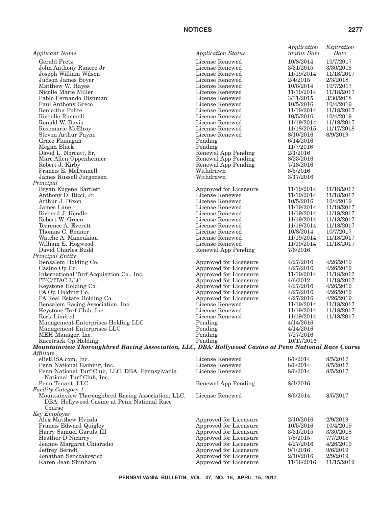| <b>Applicant Name</b>                                                                                                         | <b>Application Status</b>                        | Application<br><b>Status</b> Date | Expiration<br>Date       |
|-------------------------------------------------------------------------------------------------------------------------------|--------------------------------------------------|-----------------------------------|--------------------------|
| Gerald Fretz                                                                                                                  | License Renewed                                  | 10/8/2014                         | 10/7/2017                |
| John Anthony Ranere Jr                                                                                                        | License Renewed                                  | 3/31/2015                         | 3/30/2018                |
| Joseph William Wilson                                                                                                         | License Renewed                                  | 11/19/2014                        | 11/18/2017               |
| Judson James Boyer                                                                                                            | License Renewed                                  | 2/4/2015                          | 2/3/2018                 |
| Matthew W. Hayes                                                                                                              | License Renewed                                  | 10/8/2014                         | 10/7/2017                |
| Nicolle Marie Miller                                                                                                          | License Renewed                                  | 11/19/2014                        | 11/18/2017               |
| Pablo Fernando Dishman                                                                                                        | License Renewed                                  | 3/31/2015                         | 3/30/2018                |
| Paul Anthony Greco                                                                                                            | License Renewed                                  | 10/5/2016                         | 10/4/2019                |
| Remaitha Polite                                                                                                               | License Renewed                                  | 11/19/2014                        | 11/18/2017               |
| Richelle Ruemeli<br>Ronald W. Davis                                                                                           | License Renewed<br>License Renewed               | 10/5/2016<br>11/19/2014           | 10/4/2019                |
| Rosemarie McElroy                                                                                                             | License Renewed                                  | 11/18/2015                        | 11/18/2017<br>11/17/2018 |
| <b>Steven Arthur Fayne</b>                                                                                                    | License Renewed                                  | 8/10/2016                         | 8/9/2019                 |
| Grace Flanagan                                                                                                                | Pending                                          | 6/14/2016                         |                          |
| Megan Black                                                                                                                   | Pending                                          | 11/7/2016                         |                          |
| David L. Norcutt, Sr.                                                                                                         | Renewal App Pending                              | 2/1/2016                          |                          |
| Marc Allen Oppenheimer                                                                                                        | Renewal App Pending                              | 8/23/2016                         |                          |
| Robert J. Kirby                                                                                                               | Renewal App Pending                              | 7/18/2016                         |                          |
| Francis E. McDonnell                                                                                                          | Withdrawn                                        | 8/5/2016                          |                          |
| James Russell Jurgensen                                                                                                       | Withdrawn                                        | 3/17/2016                         |                          |
| Principal                                                                                                                     |                                                  |                                   |                          |
| Bryan Eugene Bartlett                                                                                                         | Approved for Licensure                           | 11/19/2014                        | 11/18/2017               |
| Anthony D. Ricci, Jr.                                                                                                         | License Renewed                                  | 11/19/2014                        | 11/18/2017               |
| Arthur J. Dixon                                                                                                               | License Renewed                                  | 10/5/2016                         | 10/4/2019                |
| James Lane                                                                                                                    | License Renewed                                  | 11/19/2014                        | 11/18/2017               |
| Richard J. Kendle                                                                                                             | License Renewed                                  | 11/19/2014                        | 11/18/2017               |
| Robert W. Green                                                                                                               | License Renewed                                  | 11/19/2014                        | 11/18/2017               |
| Terrence A. Everett                                                                                                           | License Renewed                                  | 11/19/2014                        | 11/18/2017               |
| Thomas C. Bonner<br>Watche A. Manoukian                                                                                       | License Renewed<br>License Renewed               | 10/8/2014<br>11/19/2014           | 10/7/2017<br>11/18/2017  |
| William E. Hogwood                                                                                                            | License Renewed                                  | 11/19/2014                        | 11/18/2017               |
| David Charles Budd                                                                                                            | Renewal App Pending                              | 7/6/2016                          |                          |
| Principal Entity                                                                                                              |                                                  |                                   |                          |
| Bensalem Holding Co.                                                                                                          | Approved for Licensure                           | 4/27/2016                         | 4/26/2019                |
| Casino Op Co.                                                                                                                 | Approved for Licensure                           | 4/27/2016                         | 4/26/2019                |
| International Turf Acquisition Co., Inc.                                                                                      | Approved for Licensure                           | 11/19/2014                        | 11/18/2017               |
| <b>ITIC/ITAC LLC</b>                                                                                                          | Approved for Licensure                           | 4/6/2012                          | 11/18/2017               |
| Keystone Holding Co.                                                                                                          | Approved for Licensure                           | 4/27/2016                         | 4/26/2019                |
| PA Op Holding Co.                                                                                                             | Approved for Licensure                           | 4/27/2016                         | 4/26/2019                |
| PA Real Estate Holding Co.                                                                                                    | Approved for Licensure                           | 4/27/2016                         | 4/26/2019                |
| Bensalem Racing Association, Inc.                                                                                             | License Renewed                                  | 11/19/2014                        | 11/18/2017               |
| Keystone Turf Club, Inc.                                                                                                      | License Renewed                                  | 11/19/2014                        | 11/18/2017               |
| Rock Limited                                                                                                                  | License Renewed                                  | 11/19/2014                        | 11/18/2017               |
| Management Enterprises Holding LLC                                                                                            | Pending                                          | 4/14/2016                         |                          |
| Management Enterprises LLC                                                                                                    | Pending                                          | 4/14/2016                         |                          |
| MEH Manager, Inc.                                                                                                             | Pending                                          | 7/27/2016<br>10/17/2016           |                          |
| Racetrack Op Holding<br>Mountainview Thoroughbred Racing Association, LLC, DBA: Hollywood Casino at Penn National Race Course | Pending                                          |                                   |                          |
| Affiliate                                                                                                                     |                                                  |                                   |                          |
| eBetUSA.com, Inc.                                                                                                             | License Renewed                                  | 8/6/2014                          | 8/5/2017                 |
| Penn National Gaming, Inc.                                                                                                    | License Renewed                                  | 8/6/2014                          | 8/5/2017                 |
| Penn National Turf Club, LLC, DBA: Pennsylvania                                                                               | License Renewed                                  | 8/6/2014                          | 8/5/2017                 |
| National Turf Club, Inc.                                                                                                      |                                                  |                                   |                          |
| Penn Tenant, LLC                                                                                                              | Renewal App Pending                              | 8/1/2016                          |                          |
| Facility-Category 1                                                                                                           |                                                  |                                   |                          |
| Mountainview Thoroughbred Racing Association, LLC,                                                                            | License Renewed                                  | 8/6/2014                          | 8/5/2017                 |
| DBA: Hollywood Casino at Penn National Race                                                                                   |                                                  |                                   |                          |
| Course                                                                                                                        |                                                  |                                   |                          |
| Key Employee                                                                                                                  |                                                  |                                   |                          |
| Alex Matthew Hvizda                                                                                                           | Approved for Licensure                           | 2/10/2016                         | 2/9/2019                 |
| Francis Edward Quigley                                                                                                        | Approved for Licensure                           | 10/5/2016                         | 10/4/2019                |
| Harry Samuel Garula III                                                                                                       | Approved for Licensure                           | 3/31/2015                         | 3/30/2018                |
| Heather D Nicarry                                                                                                             | Approved for Licensure                           | 7/8/2015                          | 7/7/2018                 |
| Jeanne Margaret Chiaradio<br>Jeffrey Berndt                                                                                   | Approved for Licensure<br>Approved for Licensure | 4/27/2016<br>9/7/2016             | 4/26/2019<br>9/6/2019    |
| Jonathan Senczakowicz                                                                                                         | Approved for Licensure                           | 2/10/2016                         | 2/9/2019                 |
| Karen Jean Shinham                                                                                                            | Approved for Licensure                           | 11/16/2016                        | 11/15/2019               |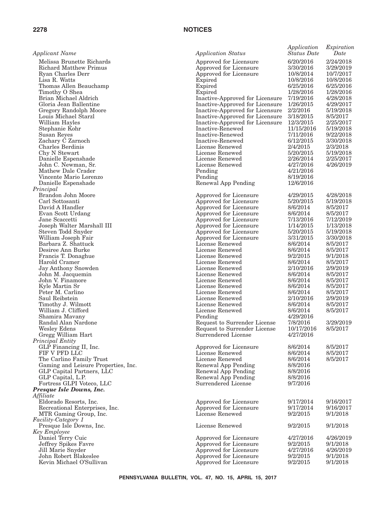| <b>Applicant Name</b>                                                           | <b>Application Status</b>                                                  | Application<br><b>Status</b> Date   | Expiration<br>Date                  |
|---------------------------------------------------------------------------------|----------------------------------------------------------------------------|-------------------------------------|-------------------------------------|
| Melissa Brunette Richards<br><b>Richard Matthew Primus</b><br>Ryan Charles Derr | Approved for Licensure<br>Approved for Licensure<br>Approved for Licensure | 6/20/2016<br>3/30/2016<br>10/8/2014 | 2/24/2018<br>3/29/2019<br>10/7/2017 |
| Lisa R. Watts                                                                   | Expired                                                                    | 10/8/2016                           | 10/8/2016                           |
| Thomas Allen Beauchamp                                                          | Expired                                                                    | 6/25/2016<br>1/28/2016              | 6/25/2016                           |
| Timothy O Shea<br>Brian Michael Aldrich                                         | Expired<br>Inactive-Approved for Licensure                                 | 7/19/2016                           | 1/28/2016<br>4/28/2018              |
| Gloria Jean Ballentine                                                          | Inactive-Approved for Licensure                                            | 1/26/2015                           | 4/29/2017                           |
| Gregory Randolph Moore                                                          | Inactive-Approved for Licensure                                            | 2/2/2016                            | 5/19/2018                           |
| Louis Michael Starzl                                                            | Inactive-Approved for Licensure                                            | 3/18/2015                           | 8/5/2017                            |
| William Hayles                                                                  | Inactive-Approved for Licensure                                            | 12/3/2015                           | 2/25/2017                           |
| Stephanie Kohr                                                                  | Inactive-Renewed                                                           | 11/15/2016                          | 5/19/2018                           |
| Susan Reyes                                                                     | Inactive-Renewed                                                           | 7/11/2016                           | 9/22/2018                           |
| Zachary C Zarnoch                                                               | Inactive-Renewed                                                           | 6/12/2015                           | 3/30/2018                           |
| Charles Berdinis<br>Chy N Stewart                                               | License Renewed<br>License Renewed                                         | 2/4/2015<br>5/20/2015               | 2/3/2018<br>5/19/2018               |
| Danielle Espenshade                                                             | License Renewed                                                            | 2/26/2014                           | 2/25/2017                           |
| John C. Newman, Sr.                                                             | License Renewed                                                            | 4/27/2016                           | 4/26/2019                           |
| Mathew Dale Crader                                                              | Pending                                                                    | 4/21/2016                           |                                     |
| Vincente Mario Lorenzo                                                          | Pending                                                                    | 8/19/2016                           |                                     |
| Danielle Espenshade                                                             | Renewal App Pending                                                        | 12/6/2016                           |                                     |
| Principal                                                                       |                                                                            |                                     |                                     |
| Brandon John Moore<br>Carl Sottosanti                                           | Approved for Licensure                                                     | 4/29/2015<br>5/20/2015              | 4/28/2018<br>5/19/2018              |
| David A Handler                                                                 | Approved for Licensure<br>Approved for Licensure                           | 8/6/2014                            | 8/5/2017                            |
| Evan Scott Urdang                                                               | Approved for Licensure                                                     | 8/6/2014                            | 8/5/2017                            |
| Jane Scaccetti                                                                  | Approved for Licensure                                                     | 7/13/2016                           | 7/12/2019                           |
| Joseph Walter Marshall III                                                      | Approved for Licensure                                                     | 1/14/2015                           | 1/13/2018                           |
| Steven Todd Snyder                                                              | Approved for Licensure                                                     | 5/20/2015                           | 5/19/2018                           |
| William Joseph Fair                                                             | Approved for Licensure                                                     | 3/31/2015                           | 3/30/2018                           |
| Barbara Z. Shattuck                                                             | License Renewed                                                            | 8/6/2014                            | 8/5/2017                            |
| Desiree Ann Burke<br>Francis T. Donaghue                                        | License Renewed<br>License Renewed                                         | 8/6/2014<br>9/2/2015                | 8/5/2017<br>9/1/2018                |
| Harold Cramer                                                                   | License Renewed                                                            | 8/6/2014                            | 8/5/2017                            |
| Jay Anthony Snowden                                                             | License Renewed                                                            | 2/10/2016                           | 2/9/2019                            |
| John M. Jacquemin                                                               | License Renewed                                                            | 8/6/2014                            | 8/5/2017                            |
| John V. Finamore                                                                | License Renewed                                                            | 8/6/2014                            | 8/5/2017                            |
| Kyle Martin Sr                                                                  | License Renewed                                                            | 8/6/2014                            | 8/5/2017                            |
| Peter M. Carlino                                                                | License Renewed                                                            | 8/6/2014                            | 8/5/2017                            |
| Saul Reibstein                                                                  | License Renewed<br>License Renewed                                         | 2/10/2016<br>8/6/2014               | 2/9/2019<br>8/5/2017                |
| Timothy J. Wilmott<br>William J. Clifford                                       | License Renewed                                                            | 8/6/2014                            | 8/5/2017                            |
| Shamira Mavany                                                                  | Pending                                                                    | 4/29/2016                           |                                     |
| Randal Alan Nardone                                                             | Request to Surrender License                                               | 7/8/2016                            | 3/29/2019                           |
| Wesley Edens                                                                    | Request to Surrender License                                               | 10/17/2016                          | 8/5/2017                            |
| Gregg William Hart                                                              | Surrendered License                                                        | 4/27/2016                           |                                     |
| Principal Entity                                                                |                                                                            |                                     |                                     |
| GLP Financing II, Inc.<br>FIF V PFD LLC                                         | Approved for Licensure<br>License Renewed                                  | 8/6/2014<br>8/6/2014                | 8/5/2017<br>8/5/2017                |
| The Carlino Family Trust                                                        | License Renewed                                                            | 8/6/2014                            | 8/5/2017                            |
| Gaming and Leisure Properties, Inc.                                             | Renewal App Pending                                                        | 8/8/2016                            |                                     |
| GLP Capital Partners, LLC                                                       | Renewal App Pending                                                        | 8/8/2016                            |                                     |
| GLP Capital, L.P.                                                               | Renewal App Pending                                                        | 8/8/2016                            |                                     |
| Fortress GLPI Voteco, LLC                                                       | Surrendered License                                                        | 9/7/2016                            |                                     |
| Presque Isle Downs, Inc.                                                        |                                                                            |                                     |                                     |
| Affiliate                                                                       |                                                                            | 9/17/2014                           | 9/16/2017                           |
| Eldorado Resorts, Inc.<br>Recreational Enterprises, Inc.                        | Approved for Licensure<br>Approved for Licensure                           | 9/17/2014                           | 9/16/2017                           |
| MTR Gaming Group, Inc.                                                          | License Renewed                                                            | 9/2/2015                            | 9/1/2018                            |
| Facility-Category 1                                                             |                                                                            |                                     |                                     |
| Presque Isle Downs, Inc.                                                        | License Renewed                                                            | 9/2/2015                            | 9/1/2018                            |
| Key Employee                                                                    |                                                                            |                                     |                                     |
| Daniel Terry Cuic                                                               | Approved for Licensure                                                     | 4/27/2016                           | 4/26/2019                           |
| Jeffrey Spikes Favre                                                            | Approved for Licensure                                                     | 9/2/2015                            | 9/1/2018                            |
| Jill Marie Snyder<br>John Robert Blakeslee                                      | Approved for Licensure<br>Approved for Licensure                           | 4/27/2016<br>9/2/2015               | 4/26/2019<br>9/1/2018               |
| Kevin Michael O'Sullivan                                                        | Approved for Licensure                                                     | 9/2/2015                            | 9/1/2018                            |
|                                                                                 |                                                                            |                                     |                                     |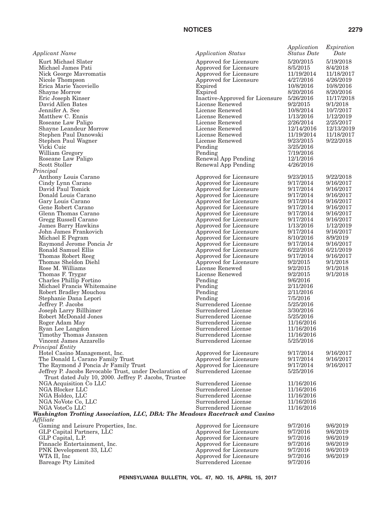| <b>Applicant Name</b>                                                                         | <b>Application Status</b>                        | Application<br><b>Status Date</b> | Expiration<br>Date     |
|-----------------------------------------------------------------------------------------------|--------------------------------------------------|-----------------------------------|------------------------|
| Kurt Michael Slater                                                                           | Approved for Licensure                           | 5/20/2015                         | 5/19/2018              |
| Michael James Pati                                                                            | Approved for Licensure                           | 8/5/2015                          | 8/4/2018               |
| Nick George Mavromatis                                                                        | Approved for Licensure                           | 11/19/2014                        | 11/18/2017             |
| Nicole Thompson                                                                               | Approved for Licensure                           | 4/27/2016                         | 4/26/2019              |
| Erica Marie Yacoviello                                                                        | Expired                                          | 10/8/2016                         | 10/8/2016              |
| <b>Shayne Morrow</b>                                                                          | Expired                                          | 8/20/2016                         | 8/20/2016              |
| Eric Joseph Kinser                                                                            | Inactive-Approved for Licensure                  | 5/26/2016                         | 11/17/2018             |
| David Allen Bates                                                                             | License Renewed                                  | 9/2/2015                          | 9/1/2018               |
| Jennifer A. See<br>Matthew C. Ennis                                                           | License Renewed<br>License Renewed               | 10/8/2014<br>1/13/2016            | 10/7/2017<br>1/12/2019 |
| Roseane Law Paligo                                                                            | License Renewed                                  | 2/26/2014                         | 2/25/2017              |
| Shayne Leandeur Morrow                                                                        | License Renewed                                  | 12/14/2016                        | 12/13/2019             |
| Stephen Paul Danowski                                                                         | License Renewed                                  | 11/19/2014                        | 11/18/2017             |
| Stephen Paul Wagner                                                                           | License Renewed                                  | 9/23/2015                         | 9/22/2018              |
| Vicki Cuic                                                                                    | Pending                                          | 3/25/2016                         |                        |
| William Gregory                                                                               | Pending                                          | 7/19/2016                         |                        |
| Roseane Law Paligo                                                                            | Renewal App Pending                              | 12/1/2016                         |                        |
| Scott Stoller                                                                                 | Renewal App Pending                              | 4/26/2016                         |                        |
| Principal                                                                                     |                                                  |                                   |                        |
| Anthony Louis Carano                                                                          | Approved for Licensure                           | 9/23/2015                         | 9/22/2018              |
| Cindy Lynn Carano                                                                             | Approved for Licensure                           | 9/17/2014                         | 9/16/2017              |
| David Paul Tomick                                                                             | Approved for Licensure                           | 9/17/2014                         | 9/16/2017              |
| Donald Louis Carano<br>Gary Louis Carano                                                      | Approved for Licensure<br>Approved for Licensure | 9/17/2014<br>9/17/2014            | 9/16/2017<br>9/16/2017 |
| Gene Robert Carano                                                                            | Approved for Licensure                           | 9/17/2014                         | 9/16/2017              |
| Glenn Thomas Carano                                                                           | Approved for Licensure                           | 9/17/2014                         | 9/16/2017              |
| Gregg Russell Carano                                                                          | Approved for Licensure                           | 9/17/2014                         | 9/16/2017              |
| <b>James Barry Hawkins</b>                                                                    | Approved for Licensure                           | 1/13/2016                         | 1/12/2019              |
| John James Frankovich                                                                         | Approved for Licensure                           | 9/17/2014                         | 9/16/2017              |
| Michael E Pegram                                                                              | Approved for Licensure                           | 8/10/2016                         | 8/9/2019               |
| Raymond Jerome Poncia Jr                                                                      | Approved for Licensure                           | 9/17/2014                         | 9/16/2017              |
| Ronald Samuel Ellis                                                                           | Approved for Licensure                           | 6/22/2016                         | 6/21/2019              |
| Thomas Robert Reeg                                                                            | Approved for Licensure                           | 9/17/2014                         | 9/16/2017              |
| Thomas Sheldon Diehl<br>Rose M. Williams                                                      | Approved for Licensure<br>License Renewed        | 9/2/2015                          | 9/1/2018               |
| Thomas F. Trygar                                                                              | License Renewed                                  | 9/2/2015<br>9/2/2015              | 9/1/2018<br>9/1/2018   |
| Charles Phillip Fortino                                                                       | Pending                                          | 9/6/2016                          |                        |
| Michael Francis Whitemaine                                                                    | Pending                                          | 2/11/2016                         |                        |
| Robert Bradley Mouchou                                                                        | Pending                                          | 2/11/2016                         |                        |
| Stephanie Dana Lepori                                                                         | Pending                                          | 7/5/2016                          |                        |
| Jeffrey P. Jacobs                                                                             | Surrendered License                              | 5/25/2016                         |                        |
| Joseph Larry Billhimer                                                                        | Surrendered License                              | 3/30/2016                         |                        |
| Robert McDonald Jones                                                                         | Surrendered License                              | 5/25/2016                         |                        |
| Roger Adam May                                                                                | Surrendered License                              | 11/16/2016                        |                        |
| Ryan Lee Langdon                                                                              | Surrendered License                              | 11/16/2016                        |                        |
| Timothy Thomas Janszen<br>Vincent James Azzarello                                             | Surrendered License<br>Surrendered License       | 11/16/2016<br>5/25/2016           |                        |
| Principal Entity                                                                              |                                                  |                                   |                        |
| Hotel Casino Management, Inc.                                                                 | Approved for Licensure                           | 9/17/2014                         | 9/16/2017              |
| The Donald L Carano Family Trust                                                              | Approved for Licensure                           | 9/17/2014                         | 9/16/2017              |
| The Raymond J Poncia Jr Family Trust                                                          | Approved for Licensure                           | 9/17/2014                         | 9/16/2017              |
| Jeffrey P. Jacobs Revocable Trust, under Declaration of                                       | Surrendered License                              | 5/25/2016                         |                        |
| Trust dated July 10, 2000. Jeffrey P. Jacobs, Trustee                                         |                                                  |                                   |                        |
| NGA Acquisition Co LLC                                                                        | Surrendered License                              | 11/16/2016                        |                        |
| NGA Blocker LLC                                                                               | Surrendered License                              | 11/16/2016                        |                        |
| NGA Holdco, LLC                                                                               | Surrendered License                              | 11/16/2016                        |                        |
| NGA NoVote Co, LLC                                                                            | Surrendered License                              | 11/16/2016                        |                        |
| NGA VoteCo LLC<br>Washington Trotting Association, LLC, DBA: The Meadows Racetrack and Casino | Surrendered License                              | 11/16/2016                        |                        |
| Affiliate                                                                                     |                                                  |                                   |                        |
| Gaming and Leisure Properties, Inc.                                                           | Approved for Licensure                           | 9/7/2016                          | 9/6/2019               |
| GLP Capital Partners, LLC                                                                     | Approved for Licensure                           | 9/7/2016                          | 9/6/2019               |
| GLP Capital, L.P.                                                                             | Approved for Licensure                           | 9/7/2016                          | 9/6/2019               |
| Pinnacle Entertainment, Inc.                                                                  | Approved for Licensure                           | 9/7/2016                          | 9/6/2019               |
| PNK Development 33, LLC                                                                       | Approved for Licensure                           | 9/7/2016                          | 9/6/2019               |
| WTA II, Inc                                                                                   | Approved for Licensure                           | 9/7/2016                          | 9/6/2019               |
| <b>Bareage Pty Limited</b>                                                                    | Surrendered License                              | 9/7/2016                          |                        |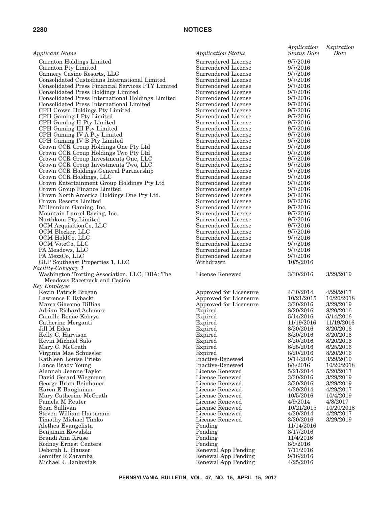| Applicant Name                                                               | <b>Application Status</b>                  | Application<br><b>Status Date</b> | Expiration<br>Date     |
|------------------------------------------------------------------------------|--------------------------------------------|-----------------------------------|------------------------|
| Cairnton Holdings Limited                                                    | Surrendered License                        | 9/7/2016                          |                        |
| Cairnton Pty Limited                                                         | Surrendered License                        | 9/7/2016                          |                        |
| Cannery Casino Resorts, LLC                                                  | Surrendered License                        | 9/7/2016                          |                        |
| Consolidated Custodians International Limited                                | Surrendered License                        | 9/7/2016                          |                        |
| Consolidated Press Financial Services PTY Limited                            | Surrendered License                        | 9/7/2016                          |                        |
| <b>Consolidated Press Holdings Limited</b>                                   | Surrendered License                        | 9/7/2016                          |                        |
| Consolidated Press International Holdings Limited                            | Surrendered License                        | 9/7/2016                          |                        |
| Consolidated Press International Limited                                     | Surrendered License                        | 9/7/2016                          |                        |
| CPH Crown Holdings Pty Limited                                               | Surrendered License<br>Surrendered License | 9/7/2016<br>9/7/2016              |                        |
| CPH Gaming I Pty Limited<br>CPH Gaming II Pty Limited                        | Surrendered License                        | 9/7/2016                          |                        |
| CPH Gaming III Pty Limited                                                   | Surrendered License                        | 9/7/2016                          |                        |
| CPH Gaming IV A Pty Limited                                                  | Surrendered License                        | 9/7/2016                          |                        |
| CPH Gaming IV B Pty Limited                                                  | Surrendered License                        | 9/7/2016                          |                        |
| Crown CCR Group Holdings One Pty Ltd                                         | Surrendered License                        | 9/7/2016                          |                        |
| Crown CCR Group Holdings Two Pty Ltd                                         | Surrendered License                        | 9/7/2016                          |                        |
| Crown CCR Group Investments One, LLC                                         | Surrendered License                        | 9/7/2016                          |                        |
| Crown CCR Group Investments Two, LLC                                         | Surrendered License                        | 9/7/2016                          |                        |
| Crown CCR Holdings General Partnership                                       | Surrendered License                        | 9/7/2016                          |                        |
| Crown CCR Holdings, LLC                                                      | Surrendered License                        | 9/7/2016                          |                        |
| Crown Entertainment Group Holdings Pty Ltd                                   | Surrendered License                        | 9/7/2016                          |                        |
| Crown Group Finance Limited                                                  | Surrendered License<br>Surrendered License | 9/7/2016                          |                        |
| Crown North America Holdings One Pty Ltd.<br>Crown Resorts Limited           | Surrendered License                        | 9/7/2016<br>9/7/2016              |                        |
| Millennium Gaming, Inc.                                                      | Surrendered License                        | 9/7/2016                          |                        |
| Mountain Laurel Racing, Inc.                                                 | Surrendered License                        | 9/7/2016                          |                        |
| Northkom Pty Limited                                                         | Surrendered License                        | 9/7/2016                          |                        |
| OCM AcquisitionCo, LLC                                                       | Surrendered License                        | 9/7/2016                          |                        |
| OCM Blocker, LLC                                                             | Surrendered License                        | 9/7/2016                          |                        |
| OCM HoldCo, LLC                                                              | Surrendered License                        | 9/7/2016                          |                        |
| OCM VoteCo, LLC                                                              | Surrendered License                        | 9/7/2016                          |                        |
| PA Meadows, LLC                                                              | Surrendered License                        | 9/7/2016                          |                        |
| PA MezzCo, LLC                                                               | Surrendered License                        | 9/7/2016                          |                        |
| GLP Southeast Properties 1, LLC                                              | Withdrawn                                  | 10/5/2016                         |                        |
| <i>Facility-Category 1</i><br>Washington Trotting Association, LLC, DBA: The | License Renewed                            | 3/30/2016                         | 3/29/2019              |
| Meadows Racetrack and Casino                                                 |                                            |                                   |                        |
| Key Employee                                                                 |                                            |                                   |                        |
| Kevin Patrick Brogan                                                         | Approved for Licensure                     | 4/30/2014                         | 4/29/2017              |
| Lawrence E Rybacki                                                           | Approved for Licensure                     | 10/21/2015                        | 10/20/2018             |
| Marco Giacomo DiBias                                                         | Approved for Licensure                     | 3/30/2016                         | 3/29/2019              |
| Adrian Richard Ashmore                                                       | Expired                                    | 8/20/2016                         | 8/20/2016              |
| Camille Renae Kobrys                                                         | Expired                                    | 5/14/2016                         | 5/14/2016              |
| Catherine Morganti                                                           | Expired                                    | 11/19/2016                        | 11/19/2016             |
| Jill M Eden                                                                  | Expired                                    | 8/20/2016                         | 8/20/2016              |
| Kelly C. Harvison                                                            | Expired                                    | 8/20/2016                         | 8/20/2016              |
| Kevin Michael Salo                                                           | Expired                                    | 8/20/2016                         | 8/20/2016<br>6/25/2016 |
| Mary C. McGrath<br>Virginia Mae Schussler                                    | Expired<br>Expired                         | 6/25/2016<br>8/20/2016            | 8/20/2016              |
| Kathleen Louise Prieto                                                       | Inactive-Renewed                           | 9/14/2016                         | 3/29/2019              |
| Lance Brady Young                                                            | Inactive-Renewed                           | 8/8/2016                          | 10/20/2018             |
| Alannah Jeanne Taylor                                                        | License Renewed                            | 5/21/2014                         | 5/20/2017              |
| David Gerard Wiegmann                                                        | License Renewed                            | 3/30/2016                         | 3/29/2019              |
| George Brian Beinhauer                                                       | License Renewed                            | 3/30/2016                         | 3/29/2019              |
| Karen E Baughman                                                             | License Renewed                            | 4/30/2014                         | 4/29/2017              |
| Mary Catherine McGrath                                                       | License Renewed                            | 10/5/2016                         | 10/4/2019              |
| Pamela M Reuter                                                              | License Renewed                            | 4/9/2014                          | 4/8/2017               |
| Sean Sullivan                                                                | License Renewed                            | 10/21/2015                        | 10/20/2018             |
| Steven William Hartmann                                                      | License Renewed                            | 4/30/2014                         | 4/29/2017              |
| Timothy Michael Timko                                                        | License Renewed                            | 3/30/2016                         | 3/29/2019              |
| Alethea Evangelista                                                          | Pending                                    | 11/14/2016<br>8/17/2016           |                        |
| Benjamin Kowalski<br>Brandi Ann Kruse                                        | Pending<br>Pending                         | 11/4/2016                         |                        |
| Rodney Ernest Centers                                                        | Pending                                    | 8/9/2016                          |                        |
| Deborah L. Hauser                                                            | Renewal App Pending                        | 7/11/2016                         |                        |
| Jennifer R Zaramba                                                           | Renewal App Pending                        | 9/16/2016                         |                        |
| Michael J. Jankoviak                                                         | Renewal App Pending                        | 4/25/2016                         |                        |
|                                                                              |                                            |                                   |                        |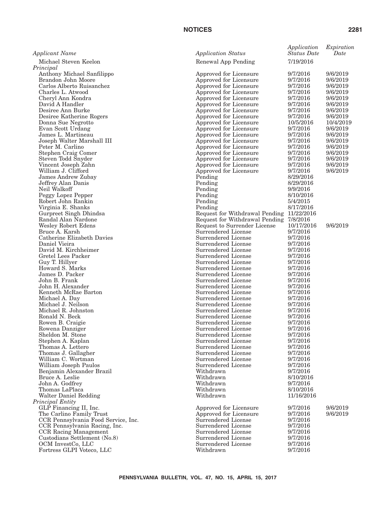| Applicant Name                                     | <b>Application Status</b>                |
|----------------------------------------------------|------------------------------------------|
| Michael Steven Keelon                              | Renewal App Pend                         |
| Principal                                          |                                          |
| Anthony Michael Sanfilippo                         | Approved for Licer                       |
| Brandon John Moore                                 | Approved for Licer                       |
| Carlos Alberto Ruisanchez                          | Approved for Licer                       |
| Charles L. Atwood                                  | Approved for Licer                       |
| Cheryl Ann Kondra                                  | Approved for Licer                       |
| David A Handler                                    | Approved for Licer                       |
| Desiree Ann Burke<br>Desiree Katherine Rogers      | Approved for Licer<br>Approved for Licer |
| Donna Sue Negrotto                                 | Approved for Licer                       |
| Evan Scott Urdang                                  | Approved for Licer                       |
| James L. Martineau                                 | Approved for Licer                       |
| Joseph Walter Marshall III                         | Approved for Licer                       |
| Peter M. Carlino                                   | Approved for Licer                       |
| Stephen Craig Comer                                | Approved for Licer                       |
| Steven Todd Snyder                                 | Approved for Licer                       |
| Vincent Joseph Zahn                                | Approved for Licer                       |
| William J. Clifford                                | Approved for Licer                       |
| <b>James Andrew Zubay</b>                          | Pending                                  |
| Jeffrey Alan Danis                                 | Pending                                  |
| Neil Walkoff                                       | Pending                                  |
| Peggy Lopez Pepper                                 | Pending                                  |
| Robert John Rankin<br>Virginia E. Shanks           | Pending<br>Pending                       |
| Gurpreet Singh Dhindsa                             | Request for Withdi                       |
| Randal Alan Nardone                                | Request for Withdi                       |
| Wesley Robert Edens                                | Request to Surreno                       |
| Bruce A. Karsh                                     | Surrendered Licen                        |
| Catherine Elizabeth Davies                         | Surrendered Licen                        |
| Daniel Vieira                                      | Surrendered Licen                        |
| David M. Kirchheimer                               | Surrendered Licen                        |
| Gretel Lees Packer                                 | Surrendered Licen                        |
| Guy T. Hillyer                                     | Surrendered Licen                        |
| Howard S. Marks                                    | Surrendered Licen                        |
| James D. Packer                                    | Surrendered Licen                        |
| John B. Frank<br>John H. Alexander                 | Surrendered Licen<br>Surrendered Licen   |
| Kenneth McRae Barton                               | Surrendered Licen                        |
| Michael A. Day                                     | Surrendered Licen                        |
| Michael J. Neilson                                 | Surrendered Licen                        |
| Michael R. Johnston                                | Surrendered Licen                        |
| Ronald N. Beck                                     | Surrendered Licen                        |
| Rowen B. Craigie                                   | Surrendered Licen                        |
| Rowena Danziger                                    | Surrendered Licen                        |
| Sheldon M. Stone                                   | Surrendered Licen                        |
| Stephen A. Kaplan                                  | Surrendered Licen                        |
| Thomas A. Lettero                                  | Surrendered Licen                        |
| Thomas J. Gallagher                                | Surrendered Licen<br>Surrendered Licen   |
| William C. Wortman                                 | Surrendered Licen                        |
| William Joseph Paulos<br>Benjamin Alexander Brazil | Withdrawn                                |
| Bruce A. Leslie                                    | Withdrawn                                |
| John A. Godfrey                                    | Withdrawn                                |
| Thomas LaPlaca                                     | Withdrawn                                |
| Walter Daniel Redding                              | Withdrawn                                |
| Principal Entity                                   |                                          |
| GLP Financing II, Inc.                             | Approved for Licer                       |
| The Carlino Family Trust                           | Approved for Licer                       |
| CCR Pennsylvania Food Service, Inc.                | Surrendered Licen                        |
| CCR Pennsylvania Racing, Inc.                      | Surrendered Licen                        |
| CCR Racing Management                              | Surrendered Licen                        |
| Custodians Settlement (No.8)                       | Surrendered Licen                        |
| OCM InvestCo, LLC                                  | Surrendered Licen<br>Withdrawn           |
| Fortress GLPI Voteco, LLC                          |                                          |

| pplicant Name                                                                                                                                                                                                                                                                                                                                                                                                                                                                                                                                                                                                                                                               | <b>Application Status</b>                                                                                                                                                                                                                                                                                                                                                                                                                                                                                                                                                                                                                                                                 | Application<br><i><b>Status Date</b></i>                                                                                                                                                                                                                                                                                                                       | Expiration<br>Date                                                                                                    |
|-----------------------------------------------------------------------------------------------------------------------------------------------------------------------------------------------------------------------------------------------------------------------------------------------------------------------------------------------------------------------------------------------------------------------------------------------------------------------------------------------------------------------------------------------------------------------------------------------------------------------------------------------------------------------------|-------------------------------------------------------------------------------------------------------------------------------------------------------------------------------------------------------------------------------------------------------------------------------------------------------------------------------------------------------------------------------------------------------------------------------------------------------------------------------------------------------------------------------------------------------------------------------------------------------------------------------------------------------------------------------------------|----------------------------------------------------------------------------------------------------------------------------------------------------------------------------------------------------------------------------------------------------------------------------------------------------------------------------------------------------------------|-----------------------------------------------------------------------------------------------------------------------|
| Michael Steven Keelon<br>incipal                                                                                                                                                                                                                                                                                                                                                                                                                                                                                                                                                                                                                                            | Renewal App Pending                                                                                                                                                                                                                                                                                                                                                                                                                                                                                                                                                                                                                                                                       | 7/19/2016                                                                                                                                                                                                                                                                                                                                                      |                                                                                                                       |
| Anthony Michael Sanfilippo<br>Brandon John Moore<br>Carlos Alberto Ruisanchez<br>Charles L. Atwood<br>Cheryl Ann Kondra<br>David A Handler<br>Desiree Ann Burke                                                                                                                                                                                                                                                                                                                                                                                                                                                                                                             | Approved for Licensure<br>Approved for Licensure<br>Approved for Licensure<br>Approved for Licensure<br>Approved for Licensure<br>Approved for Licensure<br>Approved for Licensure                                                                                                                                                                                                                                                                                                                                                                                                                                                                                                        | 9/7/2016<br>9/7/2016<br>9/7/2016<br>9/7/2016<br>9/7/2016<br>9/7/2016<br>9/7/2016                                                                                                                                                                                                                                                                               | 9/6/2019<br>9/6/2019<br>9/6/2019<br>9/6/2019<br>9/6/2019<br>9/6/2019<br>9/6/2019                                      |
| Desiree Katherine Rogers<br>Donna Sue Negrotto<br>Evan Scott Urdang<br>James L. Martineau<br>Joseph Walter Marshall III<br>Peter M. Carlino<br>Stephen Craig Comer<br>Steven Todd Snyder<br>Vincent Joseph Zahn<br>William J. Clifford<br><b>James Andrew Zubay</b><br>Jeffrey Alan Danis<br>Neil Walkoff<br>Peggy Lopez Pepper<br>Robert John Rankin<br>Virginia E. Shanks<br>Gurpreet Singh Dhindsa                                                                                                                                                                                                                                                                       | Approved for Licensure<br>Approved for Licensure<br>Approved for Licensure<br>Approved for Licensure<br>Approved for Licensure<br>Approved for Licensure<br>Approved for Licensure<br>Approved for Licensure<br>Approved for Licensure<br>Approved for Licensure<br>Pending<br>Pending<br>Pending<br>Pending<br>Pending<br>Pending<br>Request for Withdrawal Pending 11/22/2016                                                                                                                                                                                                                                                                                                           | 9/7/2016<br>10/5/2016<br>9/7/2016<br>9/7/2016<br>9/7/2016<br>9/7/2016<br>9/7/2016<br>9/7/2016<br>9/7/2016<br>9/7/2016<br>8/29/2016<br>8/29/2016<br>9/9/2016<br>8/10/2016<br>5/4/2015<br>8/17/2016                                                                                                                                                              | 9/6/2019<br>10/4/2019<br>9/6/2019<br>9/6/2019<br>9/6/2019<br>9/6/2019<br>9/6/2019<br>9/6/2019<br>9/6/2019<br>9/6/2019 |
| Randal Alan Nardone<br>Wesley Robert Edens<br>Bruce A. Karsh<br>Catherine Elizabeth Davies<br>Daniel Vieira<br>David M. Kirchheimer<br>Gretel Lees Packer<br>Guy T. Hillyer<br>Howard S. Marks<br>James D. Packer<br>John B. Frank<br>John H. Alexander<br>Kenneth McRae Barton<br>Michael A. Day<br>Michael J. Neilson<br>Michael R. Johnston<br>Ronald N. Beck<br>Rowen B. Craigie<br>Rowena Danziger<br>Sheldon M. Stone<br>Stephen A. Kaplan<br>Thomas A. Lettero<br>Thomas J. Gallagher<br>William C. Wortman<br>William Joseph Paulos<br>Benjamin Alexander Brazil<br>Bruce A. Leslie<br>John A. Godfrey<br>Thomas LaPlaca<br>Walter Daniel Redding<br>incipal Entity | Request for Withdrawal Pending 7/8/2016<br>Request to Surrender License<br>Surrendered License<br>Surrendered License<br>Surrendered License<br>Surrendered License<br>Surrendered License<br>Surrendered License<br>Surrendered License<br>Surrendered License<br>Surrendered License<br>Surrendered License<br>Surrendered License<br>Surrendered License<br>Surrendered License<br>Surrendered License<br>Surrendered License<br>Surrendered License<br>Surrendered License<br>Surrendered License<br>Surrendered License<br>Surrendered License<br>Surrendered License<br>Surrendered License<br>Surrendered License<br>Withdrawn<br>Withdrawn<br>Withdrawn<br>Withdrawn<br>Withdrawn | 10/17/2016<br>9/7/2016<br>9/7/2016<br>9/7/2016<br>9/7/2016<br>9/7/2016<br>9/7/2016<br>9/7/2016<br>9/7/2016<br>9/7/2016<br>9/7/2016<br>9/7/2016<br>9/7/2016<br>9/7/2016<br>9/7/2016<br>9/7/2016<br>9/7/2016<br>9/7/2016<br>9/7/2016<br>9/7/2016<br>9/7/2016<br>9/7/2016<br>9/7/2016<br>9/7/2016<br>9/7/2016<br>8/10/2016<br>9/7/2016<br>8/10/2016<br>11/16/2016 | 9/6/2019                                                                                                              |
| GLP Financing II, Inc.<br>The Carlino Family Trust<br>CCR Pennsylvania Food Service, Inc.<br>CCR Pennsylvania Racing, Inc.<br>CCR Racing Management<br>Custodians Settlement (No.8)<br>OCM InvestCo, LLC<br>Fortress GLPI Voteco, LLC                                                                                                                                                                                                                                                                                                                                                                                                                                       | Approved for Licensure<br>Approved for Licensure<br>Surrendered License<br>Surrendered License<br>Surrendered License<br>Surrendered License<br>Surrendered License<br>Withdrawn                                                                                                                                                                                                                                                                                                                                                                                                                                                                                                          | 9/7/2016<br>9/7/2016<br>9/7/2016<br>9/7/2016<br>9/7/2016<br>9/7/2016<br>9/7/2016<br>9/7/2016                                                                                                                                                                                                                                                                   | 9/6/2019<br>9/6/2019                                                                                                  |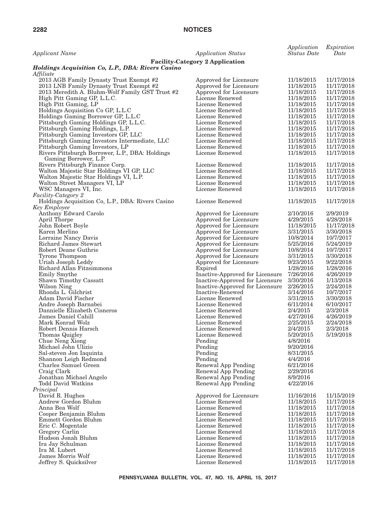| <b>Applicant Name</b>                                          | <b>Application Status</b>                        | Application<br><b>Status Date</b> | Expiration<br>Date |
|----------------------------------------------------------------|--------------------------------------------------|-----------------------------------|--------------------|
|                                                                | <b>Facility-Category 2 Application</b>           |                                   |                    |
| Holdings Acquisition Co, L.P., DBA: Rivers Casino<br>Affiliate |                                                  |                                   |                    |
| 2013 AGB Family Dynasty Trust Exempt #2                        | Approved for Licensure                           | 11/18/2015                        | 11/17/2018         |
| 2013 LNB Family Dynasty Trust Exempt #2                        | Approved for Licensure                           | 11/18/2015                        | 11/17/2018         |
| 2013 Meredith A. Bluhm-Wolf Family GST Trust #2                | Approved for Licensure                           | 11/18/2015                        | 11/17/2018         |
| High Pitt Gaming GP, L.L.C.                                    | License Renewed                                  | 11/18/2015                        | 11/17/2018         |
| High Pitt Gaming, LP                                           | License Renewed                                  | 11/18/2015                        | 11/17/2018         |
| Holdings Acquisition Co GP, L.L.C                              | License Renewed                                  | 11/18/2015                        | 11/17/2018         |
| Holdings Gaming Borrower GP, L.L.C                             | License Renewed                                  | 11/18/2015                        | 11/17/2018         |
| Pittsburgh Gaming Holdings GP, L.L.C.                          | License Renewed                                  | 11/18/2015                        | 11/17/2018         |
| Pittsburgh Gaming Holdings, L.P.                               | License Renewed                                  | 11/18/2015                        | 11/17/2018         |
| Pittsburgh Gaming Investors GP, LLC                            | License Renewed                                  | 11/18/2015                        | 11/17/2018         |
| Pittsburgh Gaming Investors Intermediate, LLC                  | License Renewed                                  | 11/18/2015                        | 11/17/2018         |
| Pittsburgh Gaming Investors, LP                                | License Renewed                                  | 11/18/2015                        | 11/17/2018         |
| Rivers Pittsburgh Borrower, L.P., DBA: Holdings                | License Renewed                                  | 11/18/2015                        | 11/17/2018         |
| Gaming Borrower, L.P.                                          |                                                  |                                   |                    |
| Rivers Pittsburgh Finance Corp.                                | License Renewed                                  | 11/18/2015                        | 11/17/2018         |
| Walton Majestic Star Holdings VI GP, LLC                       | License Renewed                                  | 11/18/2015                        | 11/17/2018         |
| Walton Majestic Star Holdings VI, L.P.                         | License Renewed                                  | 11/18/2015                        | 11/17/2018         |
| Walton Street Managers VI, LP                                  | License Renewed                                  | 11/18/2015                        | 11/17/2018         |
| WSC Managers VI, Inc.                                          | License Renewed                                  | 11/18/2015                        | 11/17/2018         |
| Facility-Category 2                                            |                                                  |                                   |                    |
| Holdings Acquisition Co, L.P., DBA: Rivers Casino              | License Renewed                                  | 11/18/2015                        | 11/17/2018         |
| <b>Key Employee</b><br>Anthony Edward Carolo                   |                                                  |                                   | 2/9/2019           |
| April Thorpe                                                   | Approved for Licensure<br>Approved for Licensure | 2/10/2016<br>4/29/2015            | 4/28/2018          |
| John Robert Boyle                                              | Approved for Licensure                           | 11/18/2015                        | 11/17/2018         |
| Karen Merlino                                                  | Approved for Licensure                           | 3/31/2015                         | 3/30/2018          |
| Lorraine Nancy Davis                                           | Approved for Licensure                           | 10/8/2014                         | 10/7/2017          |
| Richard James Stewart                                          | Approved for Licensure                           | 5/25/2016                         | 5/24/2019          |
| Robert Deane Guthrie                                           | Approved for Licensure                           | 10/8/2014                         | 10/7/2017          |
| Tyrone Thompson                                                | Approved for Licensure                           | 3/31/2015                         | 3/30/2018          |
| Uriah Joseph Leddy                                             | Approved for Licensure                           | 9/23/2015                         | 9/22/2018          |
| Richard Allan Fitzsimmons                                      | Expired                                          | 1/28/2016                         | 1/28/2016          |
| Emily Smythe                                                   | Inactive-Approved for Licensure                  | 7/26/2016                         | 4/26/2019          |
| Shawn Timothy Cassatt                                          | Inactive-Approved for Licensure                  | 3/30/2016                         | 1/13/2018          |
| Wilson Ning                                                    | Inactive-Approved for Licensure                  | 2/26/2015                         | 2/24/2018          |
| Rhonda L. Gilchrist                                            | Inactive-Renewed                                 | 3/14/2016                         | 10/7/2017          |
| Adam David Fischer                                             | License Renewed                                  | 3/31/2015                         | 3/30/2018          |
| Andre Joseph Barnabei                                          | License Renewed                                  | 6/11/2014                         | 6/10/2017          |
| Dannielle Elizabeth Cisneros                                   | License Renewed                                  | 2/4/2015                          | 2/3/2018           |
| James Daniel Cahill                                            | License Renewed                                  | 4/27/2016                         | 4/26/2019          |
| Mark Konrad Wolz                                               | License Renewed                                  | 2/25/2015                         | 2/24/2018          |
| Robert Dennis Harsch                                           | License Renewed                                  | 2/4/2015                          | 2/3/2018           |
| Thomas Quigley                                                 | License Renewed                                  | 5/20/2015                         | 5/19/2018          |
| Chue Neng Xiong                                                | Pending                                          | 4/8/2016                          |                    |
| Michael John Ulizio                                            | Pending                                          | 9/20/2016                         |                    |
| Sal-steven Jon Iaquinta                                        | Pending                                          | 8/31/2015<br>4/4/2016             |                    |
| Shannon Leigh Redmond<br>Charles Samuel Green                  | Pending<br>Renewal App Pending                   | 6/21/2016                         |                    |
| Craig Clark                                                    | Renewal App Pending                              | 2/29/2016                         |                    |
| Jonathan Michael Angelo                                        | Renewal App Pending                              | 8/9/2016                          |                    |
| <b>Todd David Watkins</b>                                      | Renewal App Pending                              | 4/22/2016                         |                    |
| Principal                                                      |                                                  |                                   |                    |
| David R. Hughes                                                | Approved for Licensure                           | 11/16/2016                        | 11/15/2019         |
| Andrew Gordon Bluhm                                            | License Renewed                                  | 11/18/2015                        | 11/17/2018         |
| Anna Bea Wolf                                                  | License Renewed                                  | 11/18/2015                        | 11/17/2018         |
| Cooper Benjamin Bluhm                                          | License Renewed                                  | 11/18/2015                        | 11/17/2018         |
| Emmett Gordon Bluhm                                            | License Renewed                                  | 11/18/2015                        | 11/17/2018         |
| Eric C. Mogentale                                              | License Renewed                                  | 11/18/2015                        | 11/17/2018         |
| Gregory Carlin                                                 | License Renewed                                  | 11/18/2015                        | 11/17/2018         |
| Hudson Jonah Bluhm                                             | License Renewed                                  | 11/18/2015                        | 11/17/2018         |
| Ira Jay Schulman                                               | License Renewed                                  | 11/18/2015                        | 11/17/2018         |
| Ira M. Lubert                                                  | License Renewed                                  | 11/18/2015                        | 11/17/2018         |
| James Morris Wolf                                              | License Renewed                                  | 11/18/2015                        | 11/17/2018         |
| Jeffrey S. Quicksilver                                         | License Renewed                                  | 11/18/2015                        | 11/17/2018         |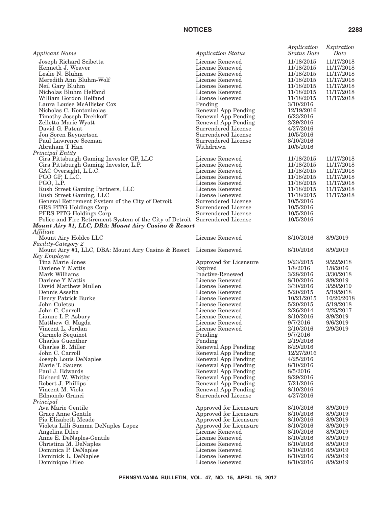| <b>Applicant Name</b>                                                        | <b>Application Status</b>                  | Application<br><b>Status</b> Date | Expiration<br>Date |
|------------------------------------------------------------------------------|--------------------------------------------|-----------------------------------|--------------------|
| Joseph Richard Scibetta                                                      | License Renewed                            | 11/18/2015                        | 11/17/2018         |
| Kenneth J. Weaver                                                            | License Renewed                            | 11/18/2015                        | 11/17/2018         |
| Leslie N. Bluhm                                                              | License Renewed                            | 11/18/2015                        | 11/17/2018         |
| Meredith Ann Bluhm-Wolf                                                      | License Renewed                            | 11/18/2015                        | 11/17/2018         |
| Neil Gary Bluhm                                                              | License Renewed                            | 11/18/2015                        | 11/17/2018         |
| Nicholas Bluhm Helfand                                                       | License Renewed                            | 11/18/2015                        | 11/17/2018         |
| William Gordon Helfand                                                       | License Renewed                            | 11/18/2015                        | 11/17/2018         |
| Laura Louise McAllister Cox                                                  | Pending                                    | 3/10/2016                         |                    |
| Nicholas C. Kontonicolas                                                     | Renewal App Pending                        | 12/19/2016                        |                    |
| Timothy Joseph Drehkoff                                                      | Renewal App Pending                        | 6/23/2016                         |                    |
| Zelletta Marie Wyatt                                                         | Renewal App Pending                        | 2/29/2016                         |                    |
| David G. Patent                                                              | Surrendered License                        | 4/27/2016                         |                    |
| Jon Soren Reynertson<br>Paul Lawrence Seeman                                 | Surrendered License<br>Surrendered License | 10/5/2016<br>8/10/2016            |                    |
| Abraham T Han                                                                | Withdrawn                                  | 10/5/2016                         |                    |
| Principal Entity                                                             |                                            |                                   |                    |
| Cira Pittsburgh Gaming Investor GP, LLC                                      | License Renewed                            | 11/18/2015                        | 11/17/2018         |
| Cira Pittsburgh Gaming Investor, L.P.                                        | License Renewed                            | 11/18/2015                        | 11/17/2018         |
| GAC Oversight, L.L.C.                                                        | License Renewed                            | 11/18/2015                        | 11/17/2018         |
| PGO GP, L.L.C.                                                               | License Renewed                            | 11/18/2015                        | 11/17/2018         |
| PGO, L.P.                                                                    | License Renewed                            | 11/18/2015                        | 11/17/2018         |
| Rush Street Gaming Partners, LLC                                             | License Renewed                            | 11/18/2015                        | 11/17/2018         |
| Rush Street Gaming, LLC                                                      | License Renewed                            | 11/18/2015                        | 11/17/2018         |
| General Retirement System of the City of Detroit                             | Surrendered License                        | 10/5/2016                         |                    |
| <b>GRS PITG Holdings Corp</b>                                                | Surrendered License                        | 10/5/2016                         |                    |
| PFRS PITG Holdings Corp                                                      | Surrendered License                        | 10/5/2016                         |                    |
| Police and Fire Retirement System of the City of Detroit Surrendered License |                                            | 10/5/2016                         |                    |
| Mount Airy #1, LLC, DBA: Mount Airy Casino & Resort                          |                                            |                                   |                    |
| Affiliate                                                                    | License Renewed                            | 8/10/2016                         | 8/9/2019           |
| Mount Airy Holdco LLC                                                        |                                            |                                   |                    |
| Facility-Category 2<br>Mount Airy #1, LLC, DBA: Mount Airy Casino & Resort   | License Renewed                            | 8/10/2016                         | 8/9/2019           |
| Key Employee                                                                 |                                            |                                   |                    |
| Tina Marie Jones                                                             | Approved for Licensure                     | 9/23/2015                         | 9/22/2018          |
| Darlene Y Mattis                                                             | Expired                                    | 1/8/2016                          | 1/8/2016           |
| Mark Williams                                                                | Inactive-Renewed                           | 3/28/2016                         | 3/30/2018          |
| Darlene Y Mattis                                                             | License Renewed                            | 8/10/2016                         | 8/9/2019           |
| David Matthew Mullen                                                         | License Renewed                            | 3/30/2016                         | 3/29/2019          |
| Dennis Asselta                                                               | License Renewed                            | 5/20/2015                         | 5/19/2018          |
| Henry Patrick Burke                                                          | License Renewed                            | 10/21/2015                        | 10/20/2018         |
| John Culetsu                                                                 | License Renewed                            | 5/20/2015                         | 5/19/2018          |
| John C. Carroll                                                              | License Renewed                            | 2/26/2014                         | 2/25/2017          |
| Lianne L.P. Asbury                                                           | License Renewed                            | 8/10/2016                         | 8/9/2019           |
| Matthew G. Magda                                                             | License Renewed                            | 9/7/2016                          | 9/6/2019           |
| Vincent L. Jordan                                                            | License Renewed                            | 2/10/2016                         | 2/9/2019           |
| Carmelo Sequinot                                                             | Pending                                    | 9/7/2016                          |                    |
| Charles Guenther<br>Charles B. Miller                                        | Pending                                    | 2/19/2016<br>8/29/2016            |                    |
| John C. Carroll                                                              | Renewal App Pending<br>Renewal App Pending | 12/27/2016                        |                    |
| Joseph Louis DeNaples                                                        | Renewal App Pending                        | 4/25/2016                         |                    |
| Marie T. Sauers                                                              | Renewal App Pending                        | 8/10/2016                         |                    |
| Paul J. Edwards                                                              | Renewal App Pending                        | 8/5/2016                          |                    |
| Richard W. Whitby                                                            | Renewal App Pending                        | 8/29/2016                         |                    |
| Robert J. Phillips                                                           | Renewal App Pending                        | 7/21/2016                         |                    |
| Vincent M. Viola                                                             | Renewal App Pending                        | 8/10/2016                         |                    |
| Edmondo Granci                                                               | Surrendered License                        | 4/27/2016                         |                    |
| Principal                                                                    |                                            |                                   |                    |
| Ava Marie Gentile                                                            | Approved for Licensure                     | 8/10/2016                         | 8/9/2019           |
| Grace Anne Gentile                                                           | Approved for Licensure                     | 8/10/2016                         | 8/9/2019           |
| Pia Elizabeth Meade                                                          | Approved for Licensure                     | 8/10/2016                         | 8/9/2019           |
| Violeta Lilli Summa DeNaples Lopez                                           | Approved for Licensure                     | 8/10/2016                         | 8/9/2019           |
| Angelina Dileo                                                               | License Renewed                            | 8/10/2016                         | 8/9/2019           |
| Anne E. DeNaples-Gentile                                                     | License Renewed                            | 8/10/2016                         | 8/9/2019           |
| Christina M. DeNaples                                                        | License Renewed                            | 8/10/2016                         | 8/9/2019           |
| Dominica P. DeNaples                                                         | License Renewed                            | 8/10/2016                         | 8/9/2019           |
| Dominick L. DeNaples                                                         | License Renewed                            | 8/10/2016                         | 8/9/2019           |
| Dominique Dileo                                                              | License Renewed                            | 8/10/2016                         | 8/9/2019           |
|                                                                              |                                            |                                   |                    |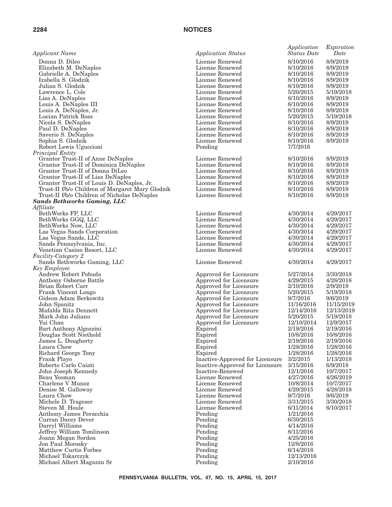| <b>Applicant Name</b>                            | <b>Application Status</b>                        | Application<br><b>Status Date</b> | Expiration<br>Date     |
|--------------------------------------------------|--------------------------------------------------|-----------------------------------|------------------------|
| Donna D. Dileo                                   | License Renewed                                  | 8/10/2016                         | 8/9/2019               |
| Elizabeth M. DeNaples                            | License Renewed                                  | 8/10/2016                         | 8/9/2019               |
| Gabrielle A. DeNaples                            | License Renewed                                  | 8/10/2016                         | 8/9/2019               |
| Izabella S. Glodzik                              | License Renewed                                  | 8/10/2016                         | 8/9/2019               |
| Julian S. Glodzik                                | License Renewed                                  | 8/10/2016                         | 8/9/2019               |
| Lawrence L. Cole                                 | License Renewed                                  | 5/20/2015                         | 5/19/2018              |
| Lisa A. DeNaples                                 | License Renewed                                  | 8/10/2016                         | 8/9/2019               |
| Louis A. DeNaples III                            | License Renewed                                  | 8/10/2016                         | 8/9/2019               |
| Louis A. DeNaples, Jr.                           | License Renewed                                  | 8/10/2016                         | 8/9/2019               |
| Lucian Patrick Ross                              | License Renewed                                  | 5/20/2015                         | 5/19/2018              |
| Nicola S. DeNaples                               | License Renewed                                  | 8/10/2016                         | 8/9/2019               |
| Paul D. DeNaples                                 | License Renewed                                  | 8/10/2016                         | 8/9/2019               |
| Saverio S. DeNaples                              | License Renewed<br>License Renewed               | 8/10/2016<br>8/10/2016            | 8/9/2019<br>8/9/2019   |
| Sophia S. Glodzik                                |                                                  | 7/7/2016                          |                        |
| Robert Lewis Uguccioni<br>Principal Entity       | Pending                                          |                                   |                        |
| Grantor Trust-II of Anne DeNaples                | License Renewed                                  | 8/10/2016                         | 8/9/2019               |
| Grantor Trust-II of Dominica DeNaples            | License Renewed                                  | 8/10/2016                         | 8/9/2019               |
| Grantor Trust-II of Donna DiLeo                  | License Renewed                                  | 8/10/2016                         | 8/9/2019               |
| Grantor Trust-II of Lisa DeNaples                | License Renewed                                  | 8/10/2016                         | 8/9/2019               |
| Grantor Trust-II of Louis D. DeNaples, Jr.       | License Renewed                                  | 8/10/2016                         | 8/9/2019               |
| Trust-II f/b/o Children of Margaret Mary Glodzik | License Renewed                                  | 8/10/2016                         | 8/9/2019               |
| Trust-II f/b/o Children of Nicholas DeNaples     | License Renewed                                  | 8/10/2016                         | 8/9/2019               |
| <b>Sands Bethworks Gaming, LLC</b>               |                                                  |                                   |                        |
| Affiliate                                        |                                                  |                                   |                        |
| BethWorks FP, LLC                                | License Renewed                                  | 4/30/2014                         | 4/29/2017              |
| BethWorks GGQ, LLC                               | License Renewed                                  | 4/30/2014                         | 4/29/2017              |
| BethWorks Now, LLC                               | License Renewed                                  | 4/30/2014                         | 4/29/2017              |
| Las Vegas Sands Corporation                      | License Renewed                                  | 4/30/2014                         | 4/29/2017              |
| Las Vegas Sands, LLC                             | License Renewed                                  | 4/30/2014                         | 4/29/2017              |
| Sands Pennsylvania, Inc.                         | License Renewed                                  | 4/30/2014                         | 4/29/2017              |
| Venetian Casino Resort, LLC                      | License Renewed                                  | 4/30/2014                         | 4/29/2017              |
| <i>Facility-Category 2</i>                       |                                                  |                                   |                        |
| Sands Bethworks Gaming, LLC                      | License Renewed                                  | 4/30/2014                         | 4/29/2017              |
| Key Employee                                     |                                                  |                                   |                        |
| Andrew Robert Pobuda                             | Approved for Licensure                           | 5/27/2014                         | 3/30/2018              |
| Anthony Osborne Battle                           | Approved for Licensure                           | 4/29/2015                         | 4/28/2018              |
| Brian Robert Carr                                | Approved for Licensure                           | 2/10/2016                         | 2/9/2019               |
| Frank Vincent Longo                              | Approved for Licensure                           | 5/20/2015                         | 5/19/2018              |
| Gideon Adam Berkowitz                            | Approved for Licensure                           | 9/7/2016<br>11/16/2016            | 9/6/2019<br>11/15/2019 |
| John Spanitz<br>Mafalda Rita Dennett             | Approved for Licensure                           | 12/14/2016                        | 12/13/2019             |
| Mark John Juliano                                | Approved for Licensure<br>Approved for Licensure | 5/20/2015                         | 5/19/2018              |
| Yui Chan                                         | Approved for Licensure                           | 12/10/2014                        | 12/9/2017              |
| Bart Anthony Algozzini                           | Expired                                          | 2/19/2016                         | 2/19/2016              |
| Douglas Scott Niethold                           | Expired                                          | 10/8/2016                         | 10/8/2016              |
| James L. Dougherty                               | Expired                                          | 2/19/2016                         | 2/19/2016              |
| Laura Chow                                       | Expired                                          | 1/28/2016                         | 1/28/2016              |
| Richard George Tony                              | Expired                                          | 1/28/2016                         | 1/28/2016              |
| Frank Playo                                      | Inactive-Approved for Licensure                  | 3/2/2015                          | 1/13/2018              |
| Roberto Carlo Caiati                             | Inactive-Approved for Licensure                  | 3/15/2016                         | 6/9/2018               |
| John Joseph Kennedy                              | Inactive-Renewed                                 | 12/1/2016                         | 10/7/2017              |
| Beau Yeoman                                      | License Renewed                                  | 4/27/2016                         | 4/26/2019              |
| Charlene V Munoz                                 | License Renewed                                  | 10/8/2014                         | 10/7/2017              |
| Denise M. Galloway                               | License Renewed                                  | 4/29/2015                         | 4/28/2018              |
| Laura Chow                                       | License Renewed                                  | 9/7/2016                          | 9/6/2019               |
| Michele D. Trageser                              | License Renewed                                  | 3/31/2015                         | 3/30/2018              |
| Steven M. Houle                                  | License Renewed                                  | 6/11/2014                         | 6/10/2017              |
| Anthony James Peracchia                          | Pending                                          | 1/21/2016                         |                        |
| Curran Dacey Dever                               | Pending                                          | 6/30/2015                         |                        |
| Darryl Williams                                  | Pending                                          | 4/14/2016                         |                        |
| Jeffrey William Tomlinson                        | Pending                                          | 8/11/2016                         |                        |
| Joann Megan Sorden                               | Pending                                          | 4/25/2016                         |                        |
| Jon Paul Morosky                                 | Pending                                          | 12/8/2016                         |                        |
| Matthew Curtis Forbes                            | Pending                                          | 6/14/2016                         |                        |
| Michael Tokarczyk                                | Pending                                          | 12/13/2016                        |                        |
| Michael Albert Magazzu Sr                        | Pending                                          | 2/10/2016                         |                        |
|                                                  |                                                  |                                   |                        |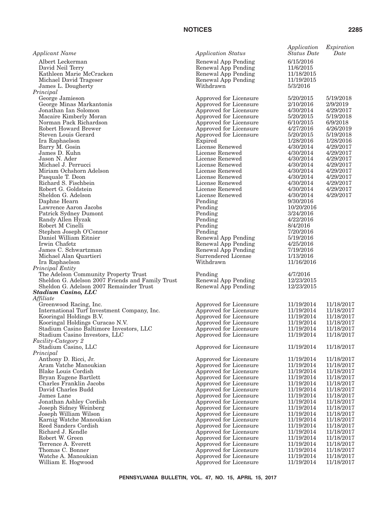| <b>Applicant Name</b>                                                    | <b>Application Status</b>                        | Application<br><b>Status Date</b> | Expiration<br>Date       |
|--------------------------------------------------------------------------|--------------------------------------------------|-----------------------------------|--------------------------|
| Albert Leckerman                                                         | Renewal App Pending                              | 6/15/2016                         |                          |
| David Neil Terry                                                         | Renewal App Pending                              | 11/6/2015                         |                          |
| Kathleen Marie McCracken                                                 | Renewal App Pending                              | 11/18/2015                        |                          |
| Michael David Trageser                                                   | Renewal App Pending                              | 11/19/2015                        |                          |
| James L. Dougherty                                                       | Withdrawn                                        | 5/3/2016                          |                          |
| Principal                                                                |                                                  |                                   | 5/19/2018                |
| George Jamieson<br>George Minas Markantonis                              | Approved for Licensure<br>Approved for Licensure | 5/20/2015<br>2/10/2016            | 2/9/2019                 |
| Jonathan Ian Solomon                                                     | Approved for Licensure                           | 4/30/2014                         | 4/29/2017                |
| Macaire Kimberly Moran                                                   | Approved for Licensure                           | 5/20/2015                         | 5/19/2018                |
| Norman Pack Richardson                                                   | Approved for Licensure                           | 6/10/2015                         | 6/9/2018                 |
| Robert Howard Brewer                                                     | Approved for Licensure                           | 4/27/2016                         | 4/26/2019                |
| Steven Louis Gerard                                                      | Approved for Licensure                           | 5/20/2015                         | 5/19/2018                |
| Ira Raphaelson                                                           | Expired                                          | 1/28/2016                         | 1/28/2016                |
| Barry M. Gosin                                                           | License Renewed                                  | 4/30/2014                         | 4/29/2017                |
| James D. Kuhn                                                            | License Renewed                                  | 4/30/2014                         | 4/29/2017                |
| Jason N. Ader                                                            | License Renewed                                  | 4/30/2014                         | 4/29/2017                |
| Michael J. Perrucci                                                      | License Renewed<br>License Renewed               | 4/30/2014                         | 4/29/2017                |
| Miriam Ochshorn Adelson<br>Pasquale T. Deon                              | License Renewed                                  | 4/30/2014<br>4/30/2014            | 4/29/2017<br>4/29/2017   |
| Richard S. Fischbein                                                     | License Renewed                                  | 4/30/2014                         | 4/29/2017                |
| Robert G. Goldstein                                                      | License Renewed                                  | 4/30/2014                         | 4/29/2017                |
| Sheldon G. Adelson                                                       | License Renewed                                  | 4/30/2014                         | 4/29/2017                |
| Daphne Hearn                                                             | Pending                                          | 9/30/2016                         |                          |
| Lawrence Aaron Jacobs                                                    | Pending                                          | 10/20/2016                        |                          |
| Patrick Sydney Dumont                                                    | Pending                                          | 3/24/2016                         |                          |
| Randy Allen Hyzak                                                        | Pending                                          | 4/22/2016                         |                          |
| Robert M Cinelli                                                         | Pending                                          | 8/4/2016                          |                          |
| Stephen Joseph O'Connor                                                  | Pending                                          | 7/20/2016                         |                          |
| Daniel William Eitnier                                                   | Renewal App Pending                              | 5/19/2016                         |                          |
| Irwin Chafetz<br>James C. Schwartzman                                    | Renewal App Pending                              | 4/25/2016                         |                          |
| Michael Alan Quartieri                                                   | Renewal App Pending<br>Surrendered License       | 7/19/2016<br>1/13/2016            |                          |
| Ira Raphaelson                                                           | Withdrawn                                        | 11/16/2016                        |                          |
| Principal Entity                                                         |                                                  |                                   |                          |
| The Adelson Community Property Trust                                     | Pending                                          | 4/7/2016                          |                          |
| Sheldon G. Adelson 2007 Friends and Family Trust                         | Renewal App Pending                              | 12/23/2015                        |                          |
| Sheldon G. Adelson 2007 Remainder Trust                                  | Renewal App Pending                              | 12/23/2015                        |                          |
| <b>Stadium Casino, LLC</b>                                               |                                                  |                                   |                          |
| Affiliate                                                                |                                                  |                                   |                          |
| Greenwood Racing, Inc.                                                   | Approved for Licensure                           | 11/19/2014                        | 11/18/2017               |
| International Turf Investment Company, Inc.                              | Approved for Licensure                           | 11/19/2014                        | 11/18/2017               |
| Kooringal Holdings B.V.                                                  | Approved for Licensure                           | 11/19/2014                        | 11/18/2017               |
| Kooringal Holdings Curacao N.V.                                          | Approved for Licensure                           | 11/19/2014<br>11/19/2014          | 11/18/2017<br>11/18/2017 |
| Stadium Casino Baltimore Investors, LLC<br>Stadium Casino Investors, LLC | Approved for Licensure<br>Approved for Licensure | 11/19/2014                        | 11/18/2017               |
| Facility-Category 2                                                      |                                                  |                                   |                          |
| Stadium Casino, LLC                                                      | Approved for Licensure                           | 11/19/2014                        | 11/18/2017               |
| Principal                                                                |                                                  |                                   |                          |
| Anthony D. Ricci, Jr.                                                    | Approved for Licensure                           | 11/19/2014                        | 11/18/2017               |
| Aram Vatche Manoukian                                                    | Approved for Licensure                           | 11/19/2014                        | 11/18/2017               |
| <b>Blake Louis Cordish</b>                                               | Approved for Licensure                           | 11/19/2014                        | 11/18/2017               |
| Bryan Eugene Bartlett                                                    | Approved for Licensure                           | 11/19/2014                        | 11/18/2017               |
| Charles Franklin Jacobs                                                  | Approved for Licensure                           | 11/19/2014                        | 11/18/2017               |
| David Charles Budd                                                       | Approved for Licensure                           | 11/19/2014                        | 11/18/2017               |
| James Lane                                                               | Approved for Licensure                           | 11/19/2014                        | 11/18/2017               |
| Jonathan Ashley Cordish                                                  | Approved for Licensure                           | 11/19/2014<br>11/19/2014          | 11/18/2017<br>11/18/2017 |
| Joseph Sidney Weinberg<br>Joseph William Wilson                          | Approved for Licensure<br>Approved for Licensure | 11/19/2014                        | 11/18/2017               |
| Karnig Watche Manoukian                                                  | Approved for Licensure                           | 11/19/2014                        | 11/18/2017               |
| Reed Sanders Cordish                                                     | Approved for Licensure                           | 11/19/2014                        | 11/18/2017               |
| Richard J. Kendle                                                        | Approved for Licensure                           | 11/19/2014                        | 11/18/2017               |
| Robert W. Green                                                          | Approved for Licensure                           | 11/19/2014                        | 11/18/2017               |
| Terrence A. Everett                                                      | Approved for Licensure                           | 11/19/2014                        | 11/18/2017               |
| Thomas C. Bonner                                                         | Approved for Licensure                           | 11/19/2014                        | 11/18/2017               |
| Watche A. Manoukian                                                      | Approved for Licensure                           | 11/19/2014                        | 11/18/2017               |
| William E. Hogwood                                                       | Approved for Licensure                           | 11/19/2014                        | 11/18/2017               |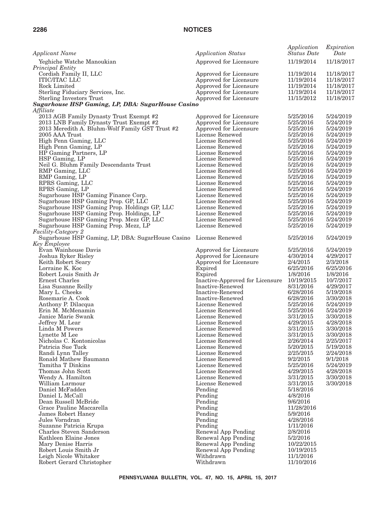| <b>Applicant Name</b>                                                      | <b>Application Status</b>                        | Application<br><b>Status</b> Date | Expiration<br>Date       |
|----------------------------------------------------------------------------|--------------------------------------------------|-----------------------------------|--------------------------|
| Yeghiche Watche Manoukian                                                  | Approved for Licensure                           | 11/19/2014                        | 11/18/2017               |
| Principal Entity                                                           |                                                  |                                   |                          |
| Cordish Family II, LLC                                                     | Approved for Licensure                           | 11/19/2014                        | 11/18/2017               |
| <b>ITIC/ITAC LLC</b>                                                       | Approved for Licensure                           | 11/19/2014                        | 11/18/2017               |
| Rock Limited<br>Sterling Fiduciary Services, Inc.                          | Approved for Licensure<br>Approved for Licensure | 11/19/2014<br>11/19/2014          | 11/18/2017<br>11/18/2017 |
| <b>Sterling Investors Trust</b>                                            | Approved for Licensure                           | 11/15/2012                        | 11/18/2017               |
| <b>Sugarhouse HSP Gaming, LP, DBA: SugarHouse Casino</b>                   |                                                  |                                   |                          |
| Affiliate                                                                  |                                                  |                                   |                          |
| 2013 AGB Family Dynasty Trust Exempt #2                                    | Approved for Licensure                           | 5/25/2016                         | 5/24/2019                |
| 2013 LNB Family Dynasty Trust Exempt #2                                    | Approved for Licensure                           | 5/25/2016                         | 5/24/2019                |
| 2013 Meredith A. Bluhm-Wolf Family GST Trust #2                            | Approved for Licensure                           | 5/25/2016                         | 5/24/2019                |
| 2005 AAA Trust<br>High Penn Gaming, LLC                                    | License Renewed<br>License Renewed               | 5/25/2016<br>5/25/2016            | 5/24/2019<br>5/24/2019   |
| High Penn Gaming, LP                                                       | License Renewed                                  | 5/25/2016                         | 5/24/2019                |
| HP Gaming Partners, LP                                                     | License Renewed                                  | 5/25/2016                         | 5/24/2019                |
| HSP Gaming, LP                                                             | License Renewed                                  | 5/25/2016                         | 5/24/2019                |
| Neil G. Bluhm Family Descendants Trust                                     | License Renewed                                  | 5/25/2016                         | 5/24/2019                |
| RMP Gaming, LLC                                                            | License Renewed                                  | 5/25/2016                         | 5/24/2019                |
| RMP Gaming, LP                                                             | License Renewed                                  | 5/25/2016                         | 5/24/2019                |
| RPRS Gaming, LLC                                                           | License Renewed                                  | 5/25/2016                         | 5/24/2019                |
| RPRS Gaming, LP                                                            | License Renewed<br>License Renewed               | 5/25/2016<br>5/25/2016            | 5/24/2019<br>5/24/2019   |
| Sugarhouse HSP Gaming Finance Corp.<br>Sugarhouse HSP Gaming Prop. GP, LLC | License Renewed                                  | 5/25/2016                         | 5/24/2019                |
| Sugarhouse HSP Gaming Prop. Holdings GP, LLC                               | License Renewed                                  | 5/25/2016                         | 5/24/2019                |
| Sugarhouse HSP Gaming Prop. Holdings, LP                                   | License Renewed                                  | 5/25/2016                         | 5/24/2019                |
| Sugarhouse HSP Gaming Prop. Mezz GP, LLC                                   | License Renewed                                  | 5/25/2016                         | 5/24/2019                |
| Sugarhouse HSP Gaming Prop. Mezz, LP                                       | License Renewed                                  | 5/25/2016                         | 5/24/2019                |
| <i>Facility-Category 2</i>                                                 |                                                  |                                   |                          |
| Sugarhouse HSP Gaming, LP, DBA: SugarHouse Casino                          | License Renewed                                  | 5/25/2016                         | 5/24/2019                |
| Key Employee<br>Evan Wainhouse Davis                                       | Approved for Licensure                           | 5/25/2016                         | 5/24/2019                |
| Joshua Ryker Risley                                                        | Approved for Licensure                           | 4/30/2014                         | 4/29/2017                |
| Keith Robert Seary                                                         | Approved for Licensure                           | 2/4/2015                          | 2/3/2018                 |
| Lorraine K. Koc                                                            | Expired                                          | 6/25/2016                         | 6/25/2016                |
| Robert Louis Smith Jr                                                      | Expired                                          | 1/8/2016                          | 1/8/2016                 |
| Ernest Charles                                                             | Inactive-Approved for Licensure                  | 10/19/2015                        | 10/7/2017                |
| Lisa Susanne Reilly                                                        | Inactive-Renewed                                 | 8/31/2016                         | 4/29/2017                |
| Mary L. Cheeks<br>Rosemarie A. Cook                                        | Inactive-Renewed<br>Inactive-Renewed             | 6/28/2016<br>6/28/2016            | 5/19/2018<br>3/30/2018   |
| Anthony P. Dilacqua                                                        | License Renewed                                  | 5/25/2016                         | 5/24/2019                |
| Erin M. McMenamin                                                          | License Renewed                                  | 5/25/2016                         | 5/24/2019                |
| Janice Marie Swank                                                         | License Renewed                                  | 3/31/2015                         | 3/30/2018                |
| Jeffrey M. Lear                                                            | License Renewed                                  | 4/29/2015                         | 4/28/2018                |
| Linda M Powers                                                             | License Renewed                                  | 3/31/2015                         | 3/30/2018                |
| Lynette M Lee                                                              | License Renewed                                  | 3/31/2015                         | 3/30/2018                |
| Nicholas C. Kontonicolas                                                   | License Renewed<br>License Renewed               | 2/26/2014                         | 2/25/2017                |
| Patricia Sue Tuck<br>Randi Lynn Talley                                     | License Renewed                                  | 5/20/2015<br>2/25/2015            | 5/19/2018<br>2/24/2018   |
| Ronald Mathew Baumann                                                      | License Renewed                                  | 9/2/2015                          | 9/1/2018                 |
| Tamitha T Dinkins                                                          | License Renewed                                  | 5/25/2016                         | 5/24/2019                |
| Thomas John Scott                                                          | License Renewed                                  | 4/29/2015                         | 4/28/2018                |
| Wendy A. Hamilton                                                          | License Renewed                                  | 3/31/2015                         | 3/30/2018                |
| William Larmour                                                            | License Renewed                                  | 3/31/2015                         | 3/30/2018                |
| Daniel McFadden                                                            | Pending                                          | 5/18/2016                         |                          |
| Daniel L McCall<br>Dean Russell McBride                                    | Pending<br>Pending                               | 4/8/2016<br>9/6/2016              |                          |
| Grace Pauline Maccarella                                                   | Pending                                          | 11/28/2016                        |                          |
| James Robert Haney                                                         | Pending                                          | 5/9/2016                          |                          |
| Jules Vorndran                                                             | Pending                                          | 4/28/2016                         |                          |
| Suzanne Patricia Krupa                                                     | Pending                                          | 1/11/2016                         |                          |
| Charles Steven Sanderson                                                   | Renewal App Pending                              | 2/8/2016                          |                          |
| Kathleen Elaine Jones                                                      | Renewal App Pending                              | 5/2/2016                          |                          |
| Mary Denise Harris                                                         | Renewal App Pending                              | 10/22/2015                        |                          |
| Robert Louis Smith Jr<br>Leigh Nicole Whitaker                             | Renewal App Pending<br>Withdrawn                 | 10/19/2015<br>11/1/2016           |                          |
| Robert Gerard Christopher                                                  | Withdrawn                                        | 11/10/2016                        |                          |
|                                                                            |                                                  |                                   |                          |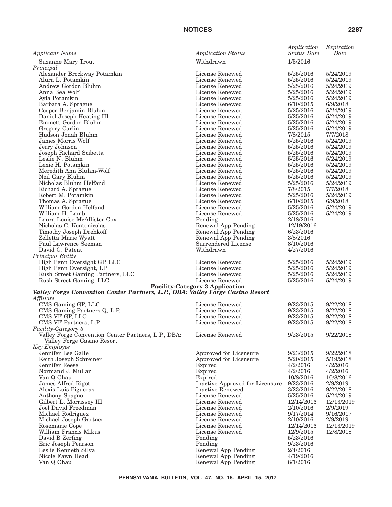| Applicant Name                                                                 | <b>Application Status</b>                                 | Application<br><b>Status Date</b> | Expiration<br>Date     |
|--------------------------------------------------------------------------------|-----------------------------------------------------------|-----------------------------------|------------------------|
| <b>Suzanne Mary Trout</b>                                                      | Withdrawn                                                 | 1/5/2016                          |                        |
| Principal                                                                      |                                                           |                                   |                        |
| Alexander Brockway Potamkin<br>Alura L. Potamkin                               | License Renewed<br>License Renewed                        | 5/25/2016<br>5/25/2016            | 5/24/2019<br>5/24/2019 |
| Andrew Gordon Bluhm                                                            | License Renewed                                           | 5/25/2016                         | 5/24/2019              |
| Anna Bea Wolf                                                                  | License Renewed                                           | 5/25/2016                         | 5/24/2019              |
| Ayla Potamkin                                                                  | License Renewed                                           | 5/25/2016                         | 5/24/2019              |
| Barbara A. Sprague                                                             | License Renewed                                           | 6/10/2015                         | 6/9/2018               |
| Cooper Benjamin Bluhm<br>Daniel Joseph Keating III                             | License Renewed<br>License Renewed                        | 5/25/2016<br>5/25/2016            | 5/24/2019<br>5/24/2019 |
| Emmett Gordon Bluhm                                                            | License Renewed                                           | 5/25/2016                         | 5/24/2019              |
| Gregory Carlin                                                                 | License Renewed                                           | 5/25/2016                         | 5/24/2019              |
| Hudson Jonah Bluhm                                                             | License Renewed                                           | 7/8/2015                          | 7/7/2018               |
| James Morris Wolf                                                              | License Renewed                                           | 5/25/2016                         | 5/24/2019              |
| Jerry Johnson                                                                  | License Renewed                                           | 5/25/2016                         | 5/24/2019              |
| Joseph Richard Scibetta<br>Leslie N. Bluhm                                     | License Renewed<br>License Renewed                        | 5/25/2016<br>5/25/2016            | 5/24/2019<br>5/24/2019 |
| Lexie H. Potamkin                                                              | License Renewed                                           | 5/25/2016                         | 5/24/2019              |
| Meredith Ann Bluhm-Wolf                                                        | License Renewed                                           | 5/25/2016                         | 5/24/2019              |
| Neil Gary Bluhm                                                                | License Renewed                                           | 5/25/2016                         | 5/24/2019              |
| Nicholas Bluhm Helfand                                                         | License Renewed                                           | 5/25/2016                         | 5/24/2019              |
| Richard A. Sprague                                                             | License Renewed                                           | 7/8/2015                          | 7/7/2018               |
| Robert M. Potamkin<br>Thomas A. Sprague                                        | License Renewed<br>License Renewed                        | 5/25/2016<br>6/10/2015            | 5/24/2019<br>6/9/2018  |
| William Gordon Helfand                                                         | License Renewed                                           | 5/25/2016                         | 5/24/2019              |
| William H. Lamb                                                                | License Renewed                                           | 5/25/2016                         | 5/24/2019              |
| Laura Louise McAllister Cox                                                    | Pending                                                   | 2/18/2016                         |                        |
| Nicholas C. Kontonicolas                                                       | Renewal App Pending                                       | 12/19/2016                        |                        |
| Timothy Joseph Drehkoff                                                        | Renewal App Pending                                       | 6/23/2016                         |                        |
| Zelletta Marie Wyatt<br>Paul Lawrence Seeman                                   | Renewal App Pending<br>Surrendered License                | 3/8/2016<br>8/10/2016             |                        |
| David G. Patent                                                                | Withdrawn                                                 | 4/27/2016                         |                        |
| Principal Entity                                                               |                                                           |                                   |                        |
| High Penn Oversight GP, LLC                                                    | License Renewed                                           | 5/25/2016                         | 5/24/2019              |
| High Penn Oversight, LP                                                        | License Renewed                                           | 5/25/2016                         | 5/24/2019              |
| Rush Street Gaming Partners, LLC                                               | License Renewed                                           | 5/25/2016                         | 5/24/2019              |
| Rush Street Gaming, LLC                                                        | License Renewed<br><b>Facility-Category 3 Application</b> | 5/25/2016                         | 5/24/2019              |
| Valley Forge Convention Center Partners, L.P., DBA: Valley Forge Casino Resort |                                                           |                                   |                        |
| Affiliate                                                                      |                                                           |                                   |                        |
| CMS Gaming GP, LLC                                                             | License Renewed                                           | 9/23/2015                         | 9/22/2018              |
| CMS Gaming Partners Q, L.P.                                                    | License Renewed                                           | 9/23/2015                         | 9/22/2018              |
| CMS VF GP, LLC                                                                 | License Renewed<br>License Renewed                        | 9/23/2015<br>9/23/2015            | 9/22/2018<br>9/22/2018 |
| CMS VF Partners, L.P.<br><i>Facility-Category 3</i>                            |                                                           |                                   |                        |
| Valley Forge Convention Center Partners, L.P., DBA:                            | License Renewed                                           | 9/23/2015                         | 9/22/2018              |
| Valley Forge Casino Resort                                                     |                                                           |                                   |                        |
| Key Employee                                                                   |                                                           |                                   |                        |
| Jennifer Lee Galle                                                             | Approved for Licensure                                    | 9/23/2015                         | 9/22/2018              |
| Keith Joseph Schreiner<br>Jennifer Reese                                       | Approved for Licensure<br>Expired                         | 5/20/2015<br>4/2/2016             | 5/19/2018<br>4/2/2016  |
| Normand J. Mullan                                                              | Expired                                                   | 4/2/2016                          | 4/2/2016               |
| Van Q Chau                                                                     | Expired                                                   | 10/8/2016                         | 10/8/2016              |
| James Alfred Rigot                                                             | Inactive-Approved for Licensure                           | 9/23/2016                         | 2/9/2019               |
| Alexis Luis Figueras                                                           | Inactive-Renewed                                          | 3/23/2016                         | 9/22/2018              |
| Anthony Spagno                                                                 | License Renewed                                           | 5/25/2016                         | 5/24/2019              |
| Gilbert L. Morrissey III<br>Joel David Freedman                                | License Renewed<br>License Renewed                        | 12/14/2016<br>2/10/2016           | 12/13/2019<br>2/9/2019 |
| Michael Rodriguez                                                              | License Renewed                                           | 9/17/2014                         | 9/16/2017              |
| Michael Joseph Gartner                                                         | License Renewed                                           | 2/10/2016                         | 2/9/2019               |
| Rosemarie Cope                                                                 | License Renewed                                           | 12/14/2016                        | 12/13/2019             |
| William Francis Mikus                                                          | License Renewed                                           | 12/9/2015                         | 12/8/2018              |
| David B Zerfing                                                                | Pending                                                   | 5/23/2016                         |                        |
| Eric Joseph Pearson                                                            | Pending                                                   | 9/23/2016                         |                        |
| Leslie Kenneth Silva<br>Nicole Fawn Head                                       | Renewal App Pending<br>Renewal App Pending                | 2/4/2016<br>4/19/2016             |                        |
| Van Q Chau                                                                     | Renewal App Pending                                       | 8/1/2016                          |                        |
|                                                                                |                                                           |                                   |                        |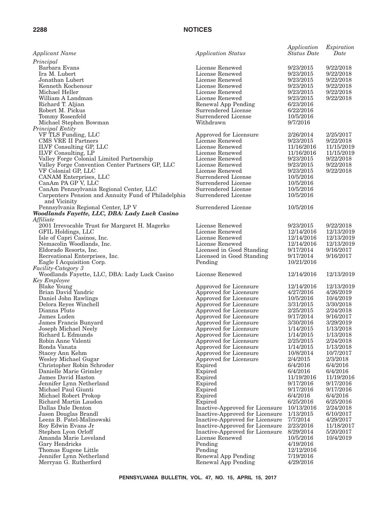| <b>Applicant Name</b>                                            | <b>Application Status</b>                        | Application<br><b>Status</b> Date | Expiration<br>Date      |
|------------------------------------------------------------------|--------------------------------------------------|-----------------------------------|-------------------------|
| Principal                                                        |                                                  |                                   |                         |
| Barbara Evans                                                    | License Renewed                                  | 9/23/2015                         | 9/22/2018               |
| Ira M. Lubert                                                    | License Renewed                                  | 9/23/2015                         | 9/22/2018               |
| Jonathan Lubert                                                  | License Renewed                                  | 9/23/2015                         | 9/22/2018               |
| Kenneth Kochenour                                                | License Renewed                                  | 9/23/2015                         | 9/22/2018               |
| Michael Heller                                                   | License Renewed                                  | 9/23/2015                         | 9/22/2018               |
| William A Landman                                                | License Renewed                                  | 9/23/2015                         | 9/22/2018               |
| Richard T. Aljian                                                | Renewal App Pending                              | 6/23/2016                         |                         |
| Robert M. Pickus                                                 | Surrendered License                              | 6/22/2016                         |                         |
| Tommy Rosenfeld                                                  | Surrendered License                              | 10/5/2016                         |                         |
| Michael Stephen Bowman                                           | Withdrawn                                        | 9/7/2016                          |                         |
| Principal Entity                                                 |                                                  |                                   |                         |
| VF TLS Funding, LLC                                              | Approved for Licensure                           | 2/26/2014                         | 2/25/2017               |
| CMS VRE II Partners                                              | License Renewed                                  | 9/23/2015                         | 9/22/2018               |
| <b>ILVF</b> Consulting GP, LLC                                   | License Renewed                                  | 11/16/2016                        | 11/15/2019              |
| ILVF Consulting, LP<br>Valley Forge Colonial Limited Partnership | License Renewed<br>License Renewed               | 11/16/2016<br>9/23/2015           | 11/15/2019<br>9/22/2018 |
| Valley Forge Convention Center Partners GP, LLC                  | License Renewed                                  | 9/23/2015                         | 9/22/2018               |
| VF Colonial GP, LLC                                              | License Renewed                                  | 9/23/2015                         | 9/22/2018               |
| CANAM Enterprises, LLC                                           | Surrendered License                              | 10/5/2016                         |                         |
| CanAm PA GP V, LLC                                               | Surrendered License                              | 10/5/2016                         |                         |
| CanAm Pennsylvania Regional Center, LLC                          | Surrendered License                              | 10/5/2016                         |                         |
| Carpenters Pension and Annuity Fund of Philadelphia              | Surrendered License                              | 10/5/2016                         |                         |
| and Vicinity                                                     |                                                  |                                   |                         |
| Pennsylvania Regional Center, LP V                               | Surrendered License                              | 10/5/2016                         |                         |
| Woodlands Fayette, LLC, DBA: Lady Luck Casino                    |                                                  |                                   |                         |
| Affiliate                                                        |                                                  |                                   |                         |
| 2001 Irrevocable Trust for Margaret H. Magerko                   | License Renewed                                  | 9/23/2015                         | 9/22/2018               |
| GFIL Holdings, LLC                                               | License Renewed                                  | 12/14/2016                        | 12/13/2019              |
| Isle of Capri Casinos, Inc.                                      | License Renewed                                  | 12/14/2016                        | 12/13/2019              |
| Nemacolin Woodlands, Inc.                                        | License Renewed                                  | 12/14/2016                        | 12/13/2019              |
| Eldorado Resorts, Inc.                                           | Licensed in Good Standing                        | 9/17/2014                         | 9/16/2017               |
| Recreational Enterprises, Inc.                                   | Licensed in Good Standing                        | 9/17/2014                         | 9/16/2017               |
| Eagle I Acquisition Corp.                                        | Pending                                          | 10/21/2016                        |                         |
| <i>Facility-Category 3</i>                                       |                                                  |                                   |                         |
| Woodlands Fayette, LLC, DBA: Lady Luck Casino                    | License Renewed                                  | 12/14/2016                        | 12/13/2019              |
| Key Employee                                                     |                                                  |                                   |                         |
| <b>Blake Young</b>                                               | Approved for Licensure                           | 12/14/2016                        | 12/13/2019              |
| Brian David Yandric                                              | Approved for Licensure                           | 4/27/2016                         | 4/26/2019               |
| Daniel John Rawlings                                             | Approved for Licensure                           | 10/5/2016                         | 10/4/2019               |
| Delora Reyes Winchell                                            | Approved for Licensure                           | 3/31/2015                         | 3/30/2018               |
| Dianna Pluto                                                     | Approved for Licensure                           | 2/25/2015                         | 2/24/2018               |
| James Luden                                                      | Approved for Licensure                           | 9/17/2014                         | 9/16/2017               |
| James Francis Bunyard                                            | Approved for Licensure                           | 3/30/2016                         | 3/29/2019               |
| Joseph Michael Neely<br>Richard L Edmunds                        | Approved for Licensure                           | 1/14/2015                         | 1/13/2018               |
|                                                                  | Approved for Licensure                           | 1/14/2015                         | 1/13/2018               |
| Robin Anne Valenti<br>Ronda Vanata                               | Approved for Licensure<br>Approved for Licensure | 2/25/2015<br>1/14/2015            | 2/24/2018<br>1/13/2018  |
| Stacey Ann Kehm                                                  | Approved for Licensure                           | 10/8/2014                         | 10/7/2017               |
| Wesley Michael Gugar                                             | Approved for Licensure                           | 2/4/2015                          | 2/3/2018                |
| Christopher Robin Schroder                                       | Expired                                          | 6/4/2016                          | 6/4/2016                |
| Danielle Marie Grimley                                           | Expired                                          | 6/4/2016                          | 6/4/2016                |
| James David Haston                                               | Expired                                          | 11/19/2016                        | 11/19/2016              |
| Jennifer Lynn Netherland                                         | Expired                                          | 9/17/2016                         | 9/17/2016               |
| Michael Paul Giunti                                              | Expired                                          | 9/17/2016                         | 9/17/2016               |
| Michael Robert Prokop                                            | Expired                                          | 6/4/2016                          | 6/4/2016                |
| Richard Martin Laudon                                            | Expired                                          | 6/25/2016                         | 6/25/2016               |
| Dallas Dale Denton                                               | Inactive-Approved for Licensure                  | 10/13/2016                        | 2/24/2018               |
| Jason Douglas Brandl                                             | Inactive-Approved for Licensure                  | 1/13/2015                         | 6/10/2017               |
| Leeza B. Patel-Malinowski                                        | Inactive-Approved for Licensure                  | 7/7/2014                          | 4/29/2017               |
| Roy Edwin Evans Jr                                               | Inactive-Approved for Licensure                  | 2/23/2016                         | 11/18/2017              |
| Stephen Lyon Orloff                                              | Inactive-Approved for Licensure                  | 8/29/2014                         | 5/20/2017               |
| Amanda Marie Loveland                                            | License Renewed                                  | 10/5/2016                         | 10/4/2019               |
| Gary Hendricks                                                   | Pending                                          | 4/19/2016                         |                         |
| Thomas Eugene Little                                             | Pending                                          | 12/12/2016                        |                         |
| Jennifer Lynn Netherland                                         | Renewal App Pending                              | 7/19/2016                         |                         |
| Merryan G. Rutherford                                            | Renewal App Pending                              | 4/29/2016                         |                         |
|                                                                  |                                                  |                                   |                         |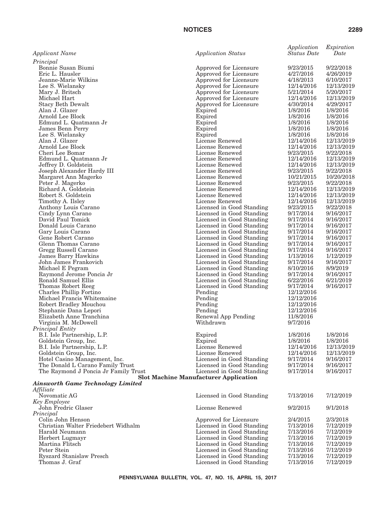|                                                                   |                                                        | Application              | Expiration               |
|-------------------------------------------------------------------|--------------------------------------------------------|--------------------------|--------------------------|
| Applicant Name                                                    | <b>Application Status</b>                              | <b>Status Date</b>       | Date                     |
| Principal                                                         |                                                        |                          |                          |
| Bonnie Susan Biumi                                                | Approved for Licensure                                 | 9/23/2015<br>4/27/2016   | 9/22/2018<br>4/26/2019   |
| Eric L. Hausler<br>Jeanne-Marie Wilkins                           | Approved for Licensure<br>Approved for Licensure       | 4/18/2013                | 6/10/2017                |
| Lee S. Wielansky                                                  | Approved for Licensure                                 | 12/14/2016               | 12/13/2019               |
| Mary J. Britsch                                                   | Approved for Licensure                                 | 5/21/2014                | 5/20/2017                |
| Michael Hart                                                      | Approved for Licensure                                 | 12/14/2016               | 12/13/2019               |
| <b>Stacy Beth Dewalt</b>                                          | Approved for Licensure                                 | 4/30/2014                | 4/29/2017                |
| Alan J. Glazer                                                    | Expired                                                | 1/8/2016                 | 1/8/2016                 |
| Arnold Lee Block                                                  | Expired                                                | 1/8/2016                 | 1/8/2016                 |
| Edmund L. Quatmann Jr                                             | Expired                                                | 1/8/2016                 | 1/8/2016                 |
| James Benn Perry                                                  | Expired                                                | 1/8/2016                 | 1/8/2016                 |
| Lee S. Wielansky<br>Alan J. Glazer                                | Expired<br>License Renewed                             | 1/8/2016<br>12/14/2016   | 1/8/2016<br>12/13/2019   |
| Arnold Lee Block                                                  | License Renewed                                        | 12/14/2016               | 12/13/2019               |
| Cheri Lee Bomar                                                   | License Renewed                                        | 9/23/2015                | 9/22/2018                |
| Edmund L. Quatmann Jr                                             | License Renewed                                        | 12/14/2016               | 12/13/2019               |
| Jeffrey D. Goldstein                                              | License Renewed                                        | 12/14/2016               | 12/13/2019               |
| Joseph Alexander Hardy III                                        | License Renewed                                        | 9/23/2015                | 9/22/2018                |
| Margaret Ann Magerko                                              | License Renewed                                        | 10/21/2015               | 10/20/2018               |
| Peter J. Magerko                                                  | License Renewed                                        | 9/23/2015                | 9/22/2018                |
| Richard A. Goldstein<br>Robert S. Goldstein                       | License Renewed<br>License Renewed                     | 12/14/2016<br>12/14/2016 | 12/13/2019<br>12/13/2019 |
| Timothy A. Ilsley                                                 | License Renewed                                        | 12/14/2016               | 12/13/2019               |
| Anthony Louis Carano                                              | Licensed in Good Standing                              | 9/23/2015                | 9/22/2018                |
| Cindy Lynn Carano                                                 | Licensed in Good Standing                              | 9/17/2014                | 9/16/2017                |
| David Paul Tomick                                                 | Licensed in Good Standing                              | 9/17/2014                | 9/16/2017                |
| Donald Louis Carano                                               | Licensed in Good Standing                              | 9/17/2014                | 9/16/2017                |
| Gary Louis Carano                                                 | Licensed in Good Standing                              | 9/17/2014                | 9/16/2017                |
| Gene Robert Carano                                                | Licensed in Good Standing                              | 9/17/2014                | 9/16/2017                |
| Glenn Thomas Carano                                               | Licensed in Good Standing                              | 9/17/2014                | 9/16/2017                |
| Gregg Russell Carano                                              | Licensed in Good Standing<br>Licensed in Good Standing | 9/17/2014<br>1/13/2016   | 9/16/2017<br>1/12/2019   |
| James Barry Hawkins<br>John James Frankovich                      | Licensed in Good Standing                              | 9/17/2014                | 9/16/2017                |
| Michael E Pegram                                                  | Licensed in Good Standing                              | 8/10/2016                | 8/9/2019                 |
| Raymond Jerome Poncia Jr                                          | Licensed in Good Standing                              | 9/17/2014                | 9/16/2017                |
| Ronald Samuel Ellis                                               | Licensed in Good Standing                              | 6/22/2016                | 6/21/2019                |
| Thomas Robert Reeg                                                | Licensed in Good Standing                              | 9/17/2014                | 9/16/2017                |
| Charles Phillip Fortino                                           | Pending                                                | 12/12/2016               |                          |
| Michael Francis Whitemaine                                        | Pending                                                | 12/12/2016               |                          |
| Robert Bradley Mouchou<br>Stephanie Dana Lepori                   | Pending<br>Pending                                     | 12/12/2016<br>12/12/2016 |                          |
| Elizabeth Anne Tranchina                                          | Renewal App Pending                                    | 11/8/2016                |                          |
| Virginia M. McDowell                                              | Withdrawn                                              | 9/7/2016                 |                          |
| Principal Entity                                                  |                                                        |                          |                          |
| B.I. Isle Partnership, L.P.                                       | Expired                                                | 1/8/2016                 | 1/8/2016                 |
| Goldstein Group, Inc.                                             | Expired                                                | 1/8/2016                 | 1/8/2016                 |
| B.I. Isle Partnership, L.P.                                       | License Renewed                                        | 12/14/2016               | 12/13/2019               |
| Goldstein Group, Inc.                                             | License Renewed                                        | 12/14/2016               | 12/13/2019               |
| Hotel Casino Management, Inc.<br>The Donald L Carano Family Trust | Licensed in Good Standing<br>Licensed in Good Standing | 9/17/2014<br>9/17/2014   | 9/16/2017<br>9/16/2017   |
| The Raymond J Poncia Jr Family Trust                              | Licensed in Good Standing                              | 9/17/2014                | 9/16/2017                |
|                                                                   | <b>Slot Machine Manufacturer Application</b>           |                          |                          |
| <b>Ainsworth Game Technology Limited</b>                          |                                                        |                          |                          |
| Affiliate                                                         |                                                        |                          |                          |
| Novomatic AG                                                      | Licensed in Good Standing                              | 7/13/2016                | 7/12/2019                |
| Key Employee                                                      |                                                        |                          |                          |
| John Fredric Glaser                                               | License Renewed                                        | 9/2/2015                 | 9/1/2018                 |
| Principal<br>Colin John Henson                                    | Approved for Licensure                                 | 2/4/2015                 | 2/3/2018                 |
| Christian Walter Friedebert Widhalm                               | Licensed in Good Standing                              | 7/13/2016                | 7/12/2019                |
| Harald Neumann                                                    | Licensed in Good Standing                              | 7/13/2016                | 7/12/2019                |
| Herbert Lugmayr                                                   | Licensed in Good Standing                              | 7/13/2016                | 7/12/2019                |
| Martina Flitsch                                                   | Licensed in Good Standing                              | 7/13/2016                | 7/12/2019                |
| Peter Stein                                                       | Licensed in Good Standing                              | 7/13/2016                | 7/12/2019                |
| Ryszard Stanislaw Presch                                          | Licensed in Good Standing                              | 7/13/2016                | 7/12/2019                |

Thomas J. Graf Licensed in Good Standing 7/13/2016 7/12/2019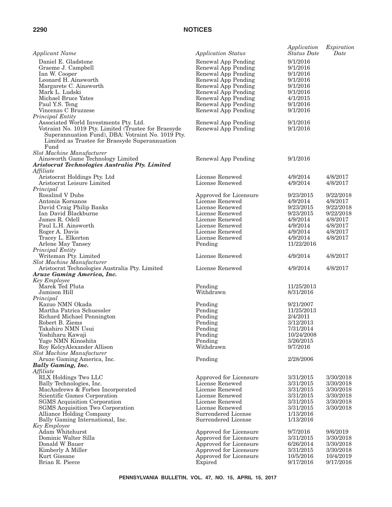| <b>Applicant Name</b>                                          | <b>Application Status</b>          | Application<br><b>Status Date</b> | Expiration<br>Date     |
|----------------------------------------------------------------|------------------------------------|-----------------------------------|------------------------|
| Daniel E. Gladstone                                            | Renewal App Pending                | 9/1/2016                          |                        |
| Graeme J. Campbell                                             | Renewal App Pending                | 9/1/2016                          |                        |
| Ian W. Cooper                                                  | Renewal App Pending                | 9/1/2016                          |                        |
| Leonard H. Ainsworth                                           | Renewal App Pending                | 9/1/2016                          |                        |
| Margarete C. Ainsworth                                         | Renewal App Pending                | 9/1/2016                          |                        |
| Mark L. Ludski                                                 | Renewal App Pending                | 9/1/2016                          |                        |
| Michael Bruce Yates                                            | Renewal App Pending                | 4/1/2015                          |                        |
| Paul Y.S. Teng                                                 | Renewal App Pending                | 9/1/2016                          |                        |
| Vincenzo C Bruzzese                                            | Renewal App Pending                | 9/1/2016                          |                        |
| Principal Entity                                               |                                    |                                   |                        |
| Associated World Investments Pty. Ltd.                         | Renewal App Pending                | 9/1/2016                          |                        |
| Votraint No. 1019 Pty. Limited (Trustee for Braesyde           | Renewal App Pending                | 9/1/2016                          |                        |
| Superannuation Fund), DBA: Votraint No. 1019 Pty.              |                                    |                                   |                        |
| Limited as Trustee for Braesyde Superannuation                 |                                    |                                   |                        |
| Fund                                                           |                                    |                                   |                        |
| Slot Machine Manufacturer                                      |                                    |                                   |                        |
| Ainsworth Game Technology Limited                              | Renewal App Pending                | 9/1/2016                          |                        |
| Aristocrat Technologies Australia Pty. Limited                 |                                    |                                   |                        |
| Affiliate                                                      |                                    |                                   |                        |
| Aristocrat Holdings Pty. Ltd                                   | License Renewed                    | 4/9/2014                          | 4/8/2017               |
| Aristocrat Leisure Limited                                     | License Renewed                    | 4/9/2014                          | 4/8/2017               |
| Principal                                                      |                                    |                                   |                        |
| Rosalind V Dubs                                                | Approved for Licensure             | 9/23/2015                         | 9/22/2018<br>4/8/2017  |
| Antonia Korsanos                                               | License Renewed<br>License Renewed | 4/9/2014                          |                        |
| David Craig Philip Banks<br>Ian David Blackburne               | License Renewed                    | 9/23/2015<br>9/23/2015            | 9/22/2018<br>9/22/2018 |
| James R. Odell                                                 | License Renewed                    | 4/9/2014                          |                        |
| Paul L.H. Ainsworth                                            | License Renewed                    | 4/9/2014                          | 4/8/2017<br>4/8/2017   |
| Roger A. Davis                                                 | License Renewed                    | 4/9/2014                          | 4/8/2017               |
| Tracey L. Elkerton                                             | License Renewed                    | 4/9/2014                          | 4/8/2017               |
| Arlene May Tansey                                              | Pending                            | 11/22/2016                        |                        |
| Principal Entity                                               |                                    |                                   |                        |
| Writeman Pty. Limited                                          | License Renewed                    | 4/9/2014                          | 4/8/2017               |
| Slot Machine Manufacturer                                      |                                    |                                   |                        |
| Aristocrat Technologies Australia Pty. Limited                 | License Renewed                    | 4/9/2014                          | 4/8/2017               |
| Aruze Gaming America, Inc.                                     |                                    |                                   |                        |
| Key Employee                                                   |                                    |                                   |                        |
| Marek Ted Pluta                                                | Pending                            | 11/25/2013                        |                        |
| Jamison Hill                                                   | Withdrawn                          | 8/31/2016                         |                        |
| Principal                                                      |                                    |                                   |                        |
| Kazuo NMN Okada                                                | Pending                            | 9/21/2007                         |                        |
| Martha Patrica Schuessler                                      | Pending                            | 11/25/2013                        |                        |
| Richard Michael Pennington                                     | Pending                            | 2/4/2011                          |                        |
| Robert B. Ziems                                                | Pending                            | 3/12/2013                         |                        |
| Takahiro NMN Usui                                              | Pending                            | 7/31/2014                         |                        |
| Yoshiharu Kawaji                                               | Pending                            | 10/24/2008                        |                        |
| Yugo NMN Kinoshita                                             | Pending<br>Withdrawn               | 3/26/2015                         |                        |
| Roy KelcyAlexander Allison                                     |                                    | 9/7/2016                          |                        |
| <b>Slot Machine Manufacturer</b><br>Aruze Gaming America, Inc. | Pending                            | 2/28/2006                         |                        |
| <b>Bally Gaming, Inc.</b>                                      |                                    |                                   |                        |
| Affiliate                                                      |                                    |                                   |                        |
| RLX Holdings Two LLC                                           | Approved for Licensure             | 3/31/2015                         | 3/30/2018              |
| Bally Technologies, Inc.                                       | License Renewed                    | 3/31/2015                         | 3/30/2018              |
| MacAndrews & Forbes Incorporated                               | License Renewed                    | 3/31/2015                         | 3/30/2018              |
| Scientific Games Corporation                                   | License Renewed                    | 3/31/2015                         | 3/30/2018              |
| <b>SGMS</b> Acquisition Corporation                            | License Renewed                    | 3/31/2015                         | 3/30/2018              |
| SGMS Acquisition Two Corporation                               | License Renewed                    | 3/31/2015                         | 3/30/2018              |
| Alliance Holding Company                                       | Surrendered License                | 1/13/2016                         |                        |
| Bally Gaming International, Inc.                               | Surrendered License                | 1/13/2016                         |                        |
| Key Employee                                                   |                                    |                                   |                        |
| Adam Whitehurst                                                | Approved for Licensure             | 9/7/2016                          | 9/6/2019               |
| Dominic Walter Silla                                           | Approved for Licensure             | 3/31/2015                         | 3/30/2018              |
| Donald W Bauer                                                 | Approved for Licensure             | 6/26/2014                         | 3/30/2018              |
| Kimberly A Miller                                              | Approved for Licensure             | 3/31/2015                         | 3/30/2018              |
| Kurt Gissane                                                   | Approved for Licensure             | 10/5/2016                         | 10/4/2019              |
| Brian R. Pierce                                                | Expired                            | 9/17/2016                         | 9/17/2016              |
|                                                                |                                    |                                   |                        |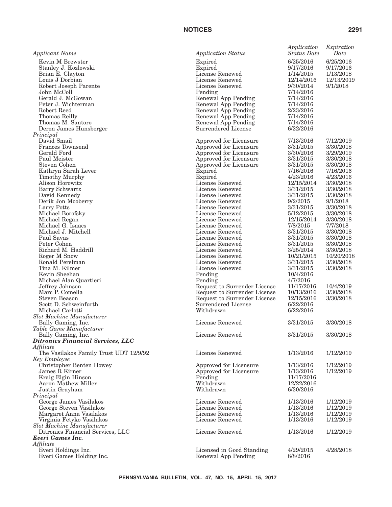| <b>Applicant Name</b>                                 | <b>Application Status</b>                           | Application<br><b>Status Date</b> | Expiration<br>Date     |
|-------------------------------------------------------|-----------------------------------------------------|-----------------------------------|------------------------|
| Kevin M Brewster                                      | Expired                                             | 6/25/2016                         | 6/25/2016              |
| Stanley J. Kozlowski                                  | Expired                                             | 9/17/2016                         | 9/17/2016              |
| Brian E. Clayton                                      | License Renewed                                     | 1/14/2015                         | 1/13/2018              |
| Louis J Dorbian                                       | License Renewed                                     | 12/14/2016                        | 12/13/2019             |
| Robert Joseph Parente                                 | License Renewed                                     | 9/30/2014                         | 9/1/2018               |
| John McColl                                           | Pending                                             | 7/14/2016                         |                        |
| Gerald J. McGowan<br>Peter J. Wichterman              | Renewal App Pending                                 | 7/14/2016                         |                        |
| Robert Reed                                           | Renewal App Pending<br>Renewal App Pending          | 7/14/2016<br>2/23/2016            |                        |
| Thomas Reilly                                         | Renewal App Pending                                 | 7/14/2016                         |                        |
| Thomas M. Santoro                                     | Renewal App Pending                                 | 7/14/2016                         |                        |
| Deron James Hunsberger                                | Surrendered License                                 | 6/22/2016                         |                        |
| Principal                                             |                                                     |                                   |                        |
| David Smail                                           | Approved for Licensure                              | 7/13/2016                         | 7/12/2019              |
| <b>Frances Townsend</b>                               | Approved for Licensure                              | 3/31/2015                         | 3/30/2018              |
| Gerald Ford                                           | Approved for Licensure                              | 3/30/2016                         | 3/29/2019              |
| Paul Meister                                          | Approved for Licensure                              | 3/31/2015                         | 3/30/2018              |
| Steven Cohen<br>Kathryn Sarah Lever                   | Approved for Licensure<br>Expired                   | 3/31/2015<br>7/16/2016            | 3/30/2018<br>7/16/2016 |
| Timothy Murphy                                        | Expired                                             | 4/23/2016                         | 4/23/2016              |
| Alison Horowitz                                       | License Renewed                                     | 12/15/2014                        | 3/30/2018              |
| Barry Schwartz                                        | License Renewed                                     | 3/31/2015                         | 3/30/2018              |
| David Kennedy                                         | License Renewed                                     | 3/31/2015                         | 3/30/2018              |
| Derik Jon Mooberry                                    | License Renewed                                     | 9/2/2015                          | 9/1/2018               |
| Larry Potts                                           | License Renewed                                     | 3/31/2015                         | 3/30/2018              |
| Michael Borofsky                                      | License Renewed                                     | 5/12/2015                         | 3/30/2018              |
| Michael Regan                                         | License Renewed                                     | 12/15/2014                        | 3/30/2018              |
| Michael G. Isaacs                                     | License Renewed                                     | 7/8/2015                          | 7/7/2018               |
| Michael J. Mitchell<br>Paul Savas                     | License Renewed<br>License Renewed                  | 3/31/2015<br>3/31/2015            | 3/30/2018<br>3/30/2018 |
| Peter Cohen                                           | License Renewed                                     | 3/31/2015                         | 3/30/2018              |
| Richard M. Haddrill                                   | License Renewed                                     | 3/25/2014                         | 3/30/2018              |
| Roger M Snow                                          | License Renewed                                     | 10/21/2015                        | 10/20/2018             |
| Ronald Perelman                                       | License Renewed                                     | 3/31/2015                         | 3/30/2018              |
| Tina M. Kilmer                                        | License Renewed                                     | 3/31/2015                         | 3/30/2018              |
| Kevin Sheehan                                         | Pending                                             | 10/4/2016                         |                        |
| Michael Alan Quartieri                                | Pending                                             | 4/7/2016                          |                        |
| Jeffrey Johnson                                       | Request to Surrender License                        | 11/17/2016                        | 10/4/2019              |
| Marc P. Comella                                       | Request to Surrender License                        | 10/13/2016                        | 3/30/2018              |
| <b>Steven Beason</b><br>Scott D. Schweinfurth         | Request to Surrender License<br>Surrendered License | 12/15/2016<br>6/22/2016           | 3/30/2018              |
| Michael Carlotti                                      | Withdrawn                                           | 6/22/2016                         |                        |
| Slot Machine Manufacturer                             |                                                     |                                   |                        |
| Bally Gaming, Inc.                                    | License Renewed                                     | 3/31/2015                         | 3/30/2018              |
| Table Game Manufacturer                               |                                                     |                                   |                        |
| Bally Gaming, Inc.                                    | License Renewed                                     | 3/31/2015                         | 3/30/2018              |
| <b>Ditronics Financial Services, LLC</b>              |                                                     |                                   |                        |
| Affiliate                                             |                                                     |                                   |                        |
| The Vasilakos Family Trust UDT 12/9/92                | License Renewed                                     | 1/13/2016                         | 1/12/2019              |
| Key Employee                                          |                                                     |                                   |                        |
| Christopher Benten Howey<br>James R Kirner            | Approved for Licensure<br>Approved for Licensure    | 1/13/2016<br>1/13/2016            | 1/12/2019<br>1/12/2019 |
| Kraig Elgin Hinson                                    | Pending                                             | 11/17/2016                        |                        |
| Aaron Mathew Miller                                   | Withdrawn                                           | 12/22/2016                        |                        |
| Justin Grayham                                        | Withdrawn                                           | 6/30/2016                         |                        |
| Principal                                             |                                                     |                                   |                        |
| George James Vasilakos                                | License Renewed                                     | 1/13/2016                         | 1/12/2019              |
| George Steven Vasilakos                               | License Renewed                                     | 1/13/2016                         | 1/12/2019              |
| Margaret Anna Vasilakos                               | License Renewed                                     | 1/13/2016                         | 1/12/2019              |
| Virginia Fetyko Vasilakos                             | License Renewed                                     | 1/13/2016                         | 1/12/2019              |
| Slot Machine Manufacturer                             |                                                     |                                   |                        |
| Ditronics Financial Services, LLC<br>Everi Games Inc. | License Renewed                                     | 1/13/2016                         | 1/12/2019              |
| Affiliate                                             |                                                     |                                   |                        |
| Everi Holdings Inc.                                   | Licensed in Good Standing                           | 4/29/2015                         | 4/28/2018              |
| Everi Games Holding Inc.                              | Renewal App Pending                                 | 8/8/2016                          |                        |
|                                                       |                                                     |                                   |                        |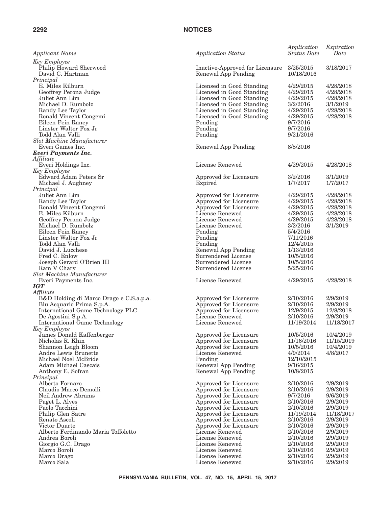| <i>Applicant Name</i>                                                                                                                                                                                                                                                                             | <b>Application Status</b>                                                                                                                                                                                                                                                                                                      | Application<br><b>Status</b> Date                                                                                                                                                  | Expiration<br>Date                                                                                                                                                     |
|---------------------------------------------------------------------------------------------------------------------------------------------------------------------------------------------------------------------------------------------------------------------------------------------------|--------------------------------------------------------------------------------------------------------------------------------------------------------------------------------------------------------------------------------------------------------------------------------------------------------------------------------|------------------------------------------------------------------------------------------------------------------------------------------------------------------------------------|------------------------------------------------------------------------------------------------------------------------------------------------------------------------|
| <b>Key Employee</b><br>Philip Howard Sherwood<br>David C. Hartman                                                                                                                                                                                                                                 | Inactive-Approved for Licensure<br>Renewal App Pending                                                                                                                                                                                                                                                                         | 3/25/2015<br>10/18/2016                                                                                                                                                            | 3/18/2017                                                                                                                                                              |
| Principal<br>E. Miles Kilburn<br>Geoffrey Perona Judge<br>Juliet Ann Lim<br>Michael D. Rumbolz<br>Randy Lee Taylor<br>Ronald Vincent Congemi<br>Eileen Fein Raney<br>Linster Walter Fox Jr<br>Todd Alan Valli<br>Slot Machine Manufacturer                                                        | Licensed in Good Standing<br>Licensed in Good Standing<br>Licensed in Good Standing<br>Licensed in Good Standing<br>Licensed in Good Standing<br>Licensed in Good Standing<br>Pending<br>Pending<br>Pending                                                                                                                    | 4/29/2015<br>4/29/2015<br>4/29/2015<br>3/2/2016<br>4/29/2015<br>4/29/2015<br>9/7/2016<br>9/7/2016<br>9/21/2016                                                                     | 4/28/2018<br>4/28/2018<br>4/28/2018<br>3/1/2019<br>4/28/2018<br>4/28/2018                                                                                              |
| Everi Games Inc.<br><b>Everi Payments Inc.</b><br>Affiliate                                                                                                                                                                                                                                       | Renewal App Pending                                                                                                                                                                                                                                                                                                            | 8/8/2016                                                                                                                                                                           |                                                                                                                                                                        |
| Everi Holdings Inc.<br><b>Key Employee</b>                                                                                                                                                                                                                                                        | License Renewed                                                                                                                                                                                                                                                                                                                | 4/29/2015                                                                                                                                                                          | 4/28/2018                                                                                                                                                              |
| Edward Adam Peters Sr<br>Michael J. Aughney<br>Principal                                                                                                                                                                                                                                          | Approved for Licensure<br>Expired                                                                                                                                                                                                                                                                                              | 3/2/2016<br>1/7/2017                                                                                                                                                               | 3/1/2019<br>1/7/2017                                                                                                                                                   |
| Juliet Ann Lim<br>Randy Lee Taylor<br>Ronald Vincent Congemi<br>E. Miles Kilburn<br>Geoffrey Perona Judge<br>Michael D. Rumbolz<br>Eileen Fein Raney<br>Linster Walter Fox Jr<br>Todd Alan Valli<br>David J. Lucchese<br>Fred C. Enlow<br>Joseph Gerard O'Brien III<br>Ram V Chary                | Approved for Licensure<br>Approved for Licensure<br>Approved for Licensure<br>License Renewed<br>License Renewed<br>License Renewed<br>Pending<br>Pending<br>Pending<br>Renewal App Pending<br>Surrendered License<br>Surrendered License<br>Surrendered License                                                               | 4/29/2015<br>4/29/2015<br>4/29/2015<br>4/29/2015<br>4/29/2015<br>3/2/2016<br>5/4/2016<br>7/11/2016<br>12/4/2015<br>1/13/2016<br>10/5/2016<br>10/5/2016<br>5/25/2016                | 4/28/2018<br>4/28/2018<br>4/28/2018<br>4/28/2018<br>4/28/2018<br>3/1/2019                                                                                              |
| Slot Machine Manufacturer<br>Everi Payments Inc.<br><b>IGT</b>                                                                                                                                                                                                                                    | License Renewed                                                                                                                                                                                                                                                                                                                | 4/29/2015                                                                                                                                                                          | 4/28/2018                                                                                                                                                              |
| Affiliate<br>B&D Holding di Marco Drago e C.S.a.p.a.<br>Blu Acquario Prima S.p.A.<br>International Game Technology PLC<br>De Agostini S.p.A.<br><b>International Game Technology</b><br>Key Employee                                                                                              | Approved for Licensure<br>Approved for Licensure<br>Approved for Licensure<br>License Renewed<br>License Renewed                                                                                                                                                                                                               | 2/10/2016<br>2/10/2016<br>12/9/2015<br>2/10/2016<br>11/19/2014                                                                                                                     | 2/9/2019<br>2/9/2019<br>12/8/2018<br>2/9/2019<br>11/18/2017                                                                                                            |
| James Donald Kaffenberger<br>Nicholas R. Khin<br>Shannon Leigh Bloom<br>Andre Lewis Brunette<br>Michael Noel McBride<br>Adam Michael Cascais<br>Anthony E. Sofran                                                                                                                                 | Approved for Licensure<br>Approved for Licensure<br>Approved for Licensure<br>License Renewed<br>Pending<br>Renewal App Pending<br>Renewal App Pending                                                                                                                                                                         | 10/5/2016<br>11/16/2016<br>10/5/2016<br>4/9/2014<br>12/10/2015<br>9/16/2015<br>10/8/2015                                                                                           | 10/4/2019<br>11/15/2019<br>10/4/2019<br>4/8/2017                                                                                                                       |
| Principal<br>Alberto Fornaro<br>Claudio Marco Demolli<br>Neil Andrew Abrams<br>Paget L. Alves<br>Paolo Tacchini<br>Philip Glen Satre<br>Renato Ascoli<br>Victor Duarte<br>Alberto Ferdinando Maria Toffoletto<br>Andrea Boroli<br>Giorgio G.C. Drago<br>Marco Boroli<br>Marco Drago<br>Marco Sala | Approved for Licensure<br>Approved for Licensure<br>Approved for Licensure<br>Approved for Licensure<br>Approved for Licensure<br>Approved for Licensure<br>Approved for Licensure<br>Approved for Licensure<br>License Renewed<br>License Renewed<br>License Renewed<br>License Renewed<br>License Renewed<br>License Renewed | 2/10/2016<br>2/10/2016<br>9/7/2016<br>2/10/2016<br>2/10/2016<br>11/19/2014<br>2/10/2016<br>2/10/2016<br>2/10/2016<br>2/10/2016<br>2/10/2016<br>2/10/2016<br>2/10/2016<br>2/10/2016 | 2/9/2019<br>2/9/2019<br>9/6/2019<br>2/9/2019<br>2/9/2019<br>11/18/2017<br>2/9/2019<br>2/9/2019<br>2/9/2019<br>2/9/2019<br>2/9/2019<br>2/9/2019<br>2/9/2019<br>2/9/2019 |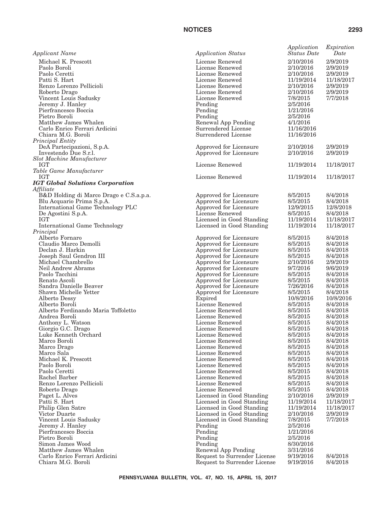| <b>Applicant Name</b>                                          | <b>Application Status</b>                        | Application<br><b>Status</b> Date | Expiration<br>Date |
|----------------------------------------------------------------|--------------------------------------------------|-----------------------------------|--------------------|
| Michael K. Prescott                                            | License Renewed                                  | 2/10/2016                         | 2/9/2019           |
| Paolo Boroli                                                   | License Renewed                                  | 2/10/2016                         | 2/9/2019           |
| Paolo Ceretti                                                  | License Renewed                                  | 2/10/2016                         | 2/9/2019           |
| Patti S. Hart                                                  | License Renewed                                  | 11/19/2014                        | 11/18/2017         |
| Renzo Lorenzo Pellicioli                                       | License Renewed                                  | 2/10/2016                         | 2/9/2019           |
| Roberto Drago                                                  | License Renewed                                  | 2/10/2016                         | 2/9/2019           |
| Vincent Louis Sadusky                                          | License Renewed                                  | 7/8/2015                          | 7/7/2018           |
| Jeremy J. Hanley                                               | Pending                                          | 2/5/2016                          |                    |
| Pierfrancesco Boccia                                           | Pending                                          | 1/21/2016                         |                    |
| Pietro Boroli                                                  | Pending                                          | 2/5/2016                          |                    |
| Matthew James Whalen                                           | Renewal App Pending                              | 4/1/2016                          |                    |
| Carlo Enrico Ferrari Ardicini                                  | Surrendered License                              | 11/16/2016                        |                    |
| Chiara M.G. Boroli                                             | Surrendered License                              | 11/16/2016                        |                    |
| Principal Entity                                               |                                                  |                                   |                    |
| DeA Partecipazioni, S.p.A.                                     | Approved for Licensure                           | 2/10/2016                         | 2/9/2019           |
| Investendo Due S.r.l.                                          | Approved for Licensure                           | 2/10/2016                         | 2/9/2019           |
| <b>Slot Machine Manufacturer</b>                               |                                                  |                                   |                    |
| <b>IGT</b>                                                     | License Renewed                                  | 11/19/2014                        | 11/18/2017         |
| Table Game Manufacturer                                        | License Renewed                                  |                                   |                    |
| IGT                                                            |                                                  | 11/19/2014                        | 11/18/2017         |
| <b>IGT Global Solutions Corporation</b>                        |                                                  |                                   |                    |
| Affiliate                                                      |                                                  | 8/5/2015                          | 8/4/2018           |
| B&D Holding di Marco Drago e C.S.a.p.a.                        | Approved for Licensure                           | 8/5/2015                          | 8/4/2018           |
| Blu Acquario Prima S.p.A.<br>International Game Technology PLC | Approved for Licensure<br>Approved for Licensure | 12/9/2015                         | 12/8/2018          |
| De Agostini S.p.A.                                             | License Renewed                                  | 8/5/2015                          | 8/4/2018           |
| IGT                                                            | Licensed in Good Standing                        | 11/19/2014                        | 11/18/2017         |
| International Game Technology                                  | Licensed in Good Standing                        | 11/19/2014                        | 11/18/2017         |
| Principal                                                      |                                                  |                                   |                    |
| Alberto Fornaro                                                | Approved for Licensure                           | 8/5/2015                          | 8/4/2018           |
| Claudio Marco Demolli                                          | Approved for Licensure                           | 8/5/2015                          | 8/4/2018           |
| Declan J. Harkin                                               | Approved for Licensure                           | 8/5/2015                          | 8/4/2018           |
| Joseph Saul Gendron III                                        | Approved for Licensure                           | 8/5/2015                          | 8/4/2018           |
| Michael Chambrello                                             | Approved for Licensure                           | 2/10/2016                         | 2/9/2019           |
| Neil Andrew Abrams                                             | Approved for Licensure                           | 9/7/2016                          | 9/6/2019           |
| Paolo Tacchini                                                 | Approved for Licensure                           | 8/5/2015                          | 8/4/2018           |
| Renato Ascoli                                                  | Approved for Licensure                           | 8/5/2015                          | 8/4/2018           |
| Sandra Danielle Beaver                                         | Approved for Licensure                           | 7/26/2016                         | 8/4/2018           |
| Shawn Michelle Yetter                                          | Approved for Licensure                           | 8/5/2015                          | 8/4/2018           |
| Alberto Dessy                                                  | Expired                                          | 10/8/2016                         | 10/8/2016          |
| Alberto Boroli                                                 | License Renewed                                  | 8/5/2015                          | 8/4/2018           |
| Alberto Ferdinando Maria Toffoletto                            | License Renewed                                  | 8/5/2015                          | 8/4/2018           |
| Andrea Boroli                                                  | License Renewed                                  | 8/5/2015                          | 8/4/2018           |
| Anthony L. Watson                                              | License Renewed                                  | 8/5/2015                          | 8/4/2018           |
| Giorgio G.C. Drago                                             | License Renewed                                  | 8/5/2015                          | 8/4/2018           |
| Luke Kenneth Orchard                                           | License Renewed                                  | 8/5/2015                          | 8/4/2018           |
| Marco Boroli                                                   | License Renewed                                  | 8/5/2015                          | 8/4/2018           |
| Marco Drago                                                    | License Renewed                                  | 8/5/2015                          | 8/4/2018           |
| Marco Sala                                                     | License Renewed                                  | 8/5/2015                          | 8/4/2018           |
| Michael K. Prescott                                            | License Renewed                                  | 8/5/2015                          | 8/4/2018           |
| Paolo Boroli                                                   | License Renewed                                  | 8/5/2015                          | 8/4/2018           |
| Paolo Ceretti                                                  | License Renewed                                  | 8/5/2015                          | 8/4/2018           |
| Rachel Barber                                                  | License Renewed                                  | 8/5/2015                          | 8/4/2018           |
| Renzo Lorenzo Pellicioli                                       | License Renewed                                  | 8/5/2015                          | 8/4/2018           |
| Roberto Drago                                                  | License Renewed                                  | 8/5/2015                          | 8/4/2018           |
| Paget L. Alves                                                 | Licensed in Good Standing                        | 2/10/2016                         | 2/9/2019           |
| Patti S. Hart                                                  | Licensed in Good Standing                        | 11/19/2014                        | 11/18/2017         |
| Philip Glen Satre                                              | Licensed in Good Standing                        | 11/19/2014                        | 11/18/2017         |
| Victor Duarte                                                  | Licensed in Good Standing                        | 2/10/2016                         | 2/9/2019           |
| Vincent Louis Sadusky                                          | Licensed in Good Standing                        | 7/8/2015                          | 7/7/2018           |
| Jeremy J. Hanley                                               | Pending                                          | 2/5/2016                          |                    |
| Pierfrancesco Boccia                                           | Pending                                          | 1/21/2016                         |                    |
| Pietro Boroli                                                  | Pending                                          | 2/5/2016                          |                    |
| Simon James Wood                                               | Pending                                          | 8/30/2016                         |                    |
| Matthew James Whalen                                           | Renewal App Pending                              | 3/31/2016                         |                    |
| Carlo Enrico Ferrari Ardicini                                  | Request to Surrender License                     | 9/19/2016                         | 8/4/2018           |
| Chiara M.G. Boroli                                             | Request to Surrender License                     | 9/19/2016                         | 8/4/2018           |
|                                                                |                                                  |                                   |                    |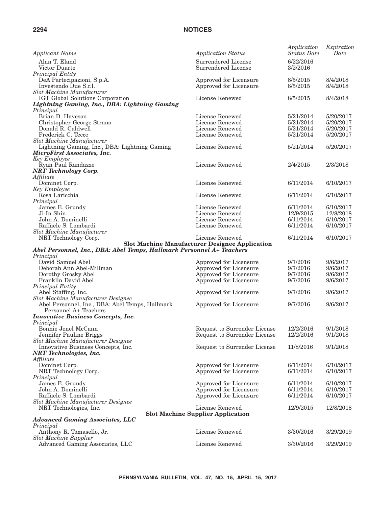| <b>Applicant Name</b>                                                    | <b>Application Status</b>                             | Application<br><b>Status Date</b> | Expiration<br>Date |
|--------------------------------------------------------------------------|-------------------------------------------------------|-----------------------------------|--------------------|
| Alan T. Eland                                                            | Surrendered License                                   | 6/22/2016                         |                    |
| Victor Duarte                                                            | Surrendered License                                   | 3/2/2016                          |                    |
| Principal Entity                                                         |                                                       |                                   |                    |
| DeA Partecipazioni, S.p.A.                                               | Approved for Licensure                                | 8/5/2015                          | 8/4/2018           |
| Investendo Due S.r.l.                                                    | Approved for Licensure                                | 8/5/2015                          | 8/4/2018           |
| Slot Machine Manufacturer                                                |                                                       |                                   |                    |
| IGT Global Solutions Corporation                                         | License Renewed                                       | 8/5/2015                          | 8/4/2018           |
| Lightning Gaming, Inc., DBA: Lightning Gaming<br>Principal               |                                                       |                                   |                    |
| Brian D. Haveson                                                         | License Renewed                                       | 5/21/2014                         | 5/20/2017          |
| Christopher George Strano                                                | License Renewed                                       | 5/21/2014                         | 5/20/2017          |
| Donald R. Caldwell                                                       | License Renewed                                       | 5/21/2014                         | 5/20/2017          |
| Frederick C. Tecce                                                       | License Renewed                                       | 5/21/2014                         | 5/20/2017          |
| <b>Slot Machine Manufacturer</b>                                         |                                                       |                                   |                    |
| Lightning Gaming, Inc., DBA: Lightning Gaming                            | License Renewed                                       | 5/21/2014                         | 5/20/2017          |
| MicroFirst Associates, Inc.                                              |                                                       |                                   |                    |
| Key Employee                                                             |                                                       |                                   |                    |
| Ryan Paul Randazzo                                                       | License Renewed                                       | 2/4/2015                          | 2/3/2018           |
| <b>NRT</b> Technology Corp.<br>Affiliate                                 |                                                       |                                   |                    |
| Dominet Corp.                                                            | License Renewed                                       | 6/11/2014                         | 6/10/2017          |
| <b>Key Employee</b>                                                      |                                                       |                                   |                    |
| Rosa Laricchia                                                           | License Renewed                                       | 6/11/2014                         | 6/10/2017          |
| Principal                                                                |                                                       |                                   |                    |
| James E. Grundy                                                          | License Renewed                                       | 6/11/2014                         | 6/10/2017          |
| Ji-In Shin                                                               | License Renewed                                       | 12/9/2015                         | 12/8/2018          |
| John A. Dominelli                                                        | License Renewed                                       | 6/11/2014                         | 6/10/2017          |
| Raffaele S. Lombardi                                                     | License Renewed                                       | 6/11/2014                         | 6/10/2017          |
| <b>Slot Machine Manufacturer</b>                                         |                                                       |                                   |                    |
| NRT Technology Corp.                                                     | License Renewed                                       | 6/11/2014                         | 6/10/2017          |
| Abel Personnel, Inc., DBA: Abel Temps, Hallmark Personnel A+ Teachers    | <b>Slot Machine Manufacturer Designee Application</b> |                                   |                    |
| Principal                                                                |                                                       |                                   |                    |
| David Samuel Abel                                                        | Approved for Licensure                                | 9/7/2016                          | 9/6/2017           |
| Deborah Ann Abel-Millman                                                 | Approved for Licensure                                | 9/7/2016                          | 9/6/2017           |
| Dorothy Grosky Abel                                                      | Approved for Licensure                                | 9/7/2016                          | 9/6/2017           |
| Franklin David Abel                                                      | Approved for Licensure                                | 9/7/2016                          | 9/6/2017           |
| Principal Entity                                                         |                                                       |                                   |                    |
| Abel Staffing, Inc.                                                      | Approved for Licensure                                | 9/7/2016                          | 9/6/2017           |
| Slot Machine Manufacturer Designee                                       |                                                       |                                   |                    |
| Abel Personnel, Inc., DBA: Abel Temps, Hallmark<br>Personnel A+ Teachers | Approved for Licensure                                | 9/7/2016                          | 9/6/2017           |
| <b>Innovative Business Concepts, Inc.</b>                                |                                                       |                                   |                    |
| Principal                                                                |                                                       |                                   |                    |
| Bonnie Jenel McCann                                                      | Request to Surrender License                          | 12/2/2016                         | 9/1/2018           |
| Jennifer Pauline Briggs                                                  | Request to Surrender License                          | 12/2/2016                         | 9/1/2018           |
| Slot Machine Manufacturer Designee                                       |                                                       |                                   |                    |
| Innovative Business Concepts, Inc.                                       | Request to Surrender License                          | 11/8/2016                         | 9/1/2018           |
| <b>NRT</b> Technologies, Inc.                                            |                                                       |                                   |                    |
| Affiliate                                                                |                                                       |                                   |                    |
| Dominet Corp.                                                            | Approved for Licensure                                | 6/11/2014                         | 6/10/2017          |
| NRT Technology Corp.<br>Principal                                        | Approved for Licensure                                | 6/11/2014                         | 6/10/2017          |
| James E. Grundy                                                          | Approved for Licensure                                | 6/11/2014                         | 6/10/2017          |
| John A. Dominelli                                                        | Approved for Licensure                                | 6/11/2014                         | 6/10/2017          |
| Raffaele S. Lombardi                                                     | Approved for Licensure                                | 6/11/2014                         | 6/10/2017          |
| Slot Machine Manufacturer Designee                                       |                                                       |                                   |                    |
| NRT Technologies, Inc.                                                   | License Renewed                                       | 12/9/2015                         | 12/8/2018          |
|                                                                          | <b>Slot Machine Supplier Application</b>              |                                   |                    |
| <b>Advanced Gaming Associates, LLC</b>                                   |                                                       |                                   |                    |
| Principal                                                                | License Renewed                                       |                                   |                    |
| Anthony R. Tomasello, Jr.<br><b>Slot Machine Supplier</b>                |                                                       | 3/30/2016                         | 3/29/2019          |
| Advanced Gaming Associates, LLC                                          | License Renewed                                       | 3/30/2016                         | 3/29/2019          |
|                                                                          |                                                       |                                   |                    |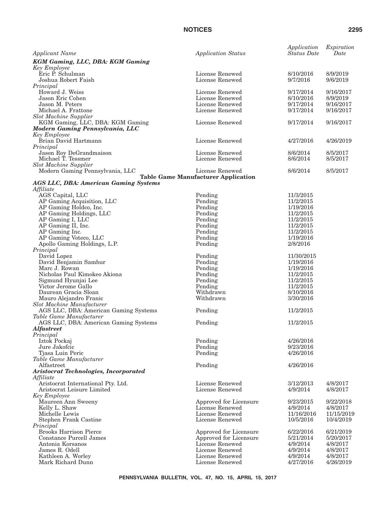| <b>Applicant Name</b>                                              | <b>Application Status</b>                  | Application<br><b>Status</b> Date | Expiration<br>Date     |
|--------------------------------------------------------------------|--------------------------------------------|-----------------------------------|------------------------|
| <b>KGM Gaming, LLC, DBA: KGM Gaming</b>                            |                                            |                                   |                        |
| Key Employee<br>Eric P. Schulman                                   | License Renewed                            | 8/10/2016                         | 8/9/2019               |
| Joshua Robert Faish                                                | License Renewed                            | 9/7/2016                          | 9/6/2019               |
| Principal                                                          |                                            |                                   |                        |
| Howard J. Weiss                                                    | License Renewed                            | 9/17/2014                         | 9/16/2017              |
| Jason Eric Cohen                                                   | License Renewed                            | 8/10/2016                         | 8/9/2019               |
| Jason M. Peters                                                    | License Renewed                            | 9/17/2014                         | 9/16/2017              |
| Michael A. Frattone                                                | License Renewed                            | 9/17/2014                         | 9/16/2017              |
| <b>Slot Machine Supplier</b><br>KGM Gaming, LLC, DBA: KGM Gaming   | License Renewed                            | 9/17/2014                         | 9/16/2017              |
| Modern Gaming Pennsylvania, LLC                                    |                                            |                                   |                        |
| Key Employee                                                       |                                            |                                   |                        |
| Brian David Hartmann                                               | License Renewed                            | 4/27/2016                         | 4/26/2019              |
| Principal                                                          |                                            |                                   |                        |
| Jason Roy DeGrandmaison                                            | License Renewed                            | 8/6/2014                          | 8/5/2017               |
| Michael T. Tessmer<br><b>Slot Machine Supplier</b>                 | License Renewed                            | 8/6/2014                          | 8/5/2017               |
| Modern Gaming Pennsylvania, LLC                                    | License Renewed                            | 8/6/2014                          | 8/5/2017               |
|                                                                    | <b>Table Game Manufacturer Application</b> |                                   |                        |
| <b>AGS LLC, DBA: American Gaming Systems</b>                       |                                            |                                   |                        |
| Affiliate                                                          |                                            |                                   |                        |
| AGS Capital, LLC                                                   | Pending                                    | 11/3/2015                         |                        |
| AP Gaming Acquisition, LLC<br>AP Gaming Holdco, Inc.               | Pending<br>Pending                         | 11/2/2015<br>1/19/2016            |                        |
| AP Gaming Holdings, LLC                                            | Pending                                    | 11/2/2015                         |                        |
| AP Gaming I, LLC                                                   | Pending                                    | 11/2/2015                         |                        |
| AP Gaming II, Inc.                                                 | Pending                                    | 11/2/2015                         |                        |
| AP Gaming Inc.                                                     | Pending                                    | 11/2/2015                         |                        |
| AP Gaming Voteco, LLC                                              | Pending                                    | 1/19/2016                         |                        |
| Apollo Gaming Holdings, L.P.                                       | Pending                                    | 2/8/2016                          |                        |
| Principal                                                          |                                            |                                   |                        |
| David Lopez<br>David Benjamin Sambur                               | Pending<br>Pending                         | 11/30/2015<br>1/19/2016           |                        |
| Marc J. Rowan                                                      | Pending                                    | 1/19/2016                         |                        |
| Nicholas Paul Kimokeo Akiona                                       | Pending                                    | 11/2/2015                         |                        |
| Sigmund Hyunjai Lee                                                | Pending                                    | 11/2/2015                         |                        |
| Victor Jerome Gallo                                                | Pending                                    | 11/2/2015                         |                        |
| Daurean Gracia Sloan                                               | Withdrawn                                  | 8/10/2016                         |                        |
| Mauro Alejandro Franic                                             | Withdrawn                                  | 3/30/2016                         |                        |
| Slot Machine Manufacturer<br>AGS LLC, DBA: American Gaming Systems |                                            | 11/2/2015                         |                        |
| Table Game Manufacturer                                            | Pending                                    |                                   |                        |
| AGS LLC, DBA: American Gaming Systems                              | Pending                                    | 11/2/2015                         |                        |
| <b>Alfastreet</b>                                                  |                                            |                                   |                        |
| Principal                                                          |                                            |                                   |                        |
| Iztok Pockaj                                                       | Pending                                    | 4/26/2016                         |                        |
| Jure Jakofcic<br>Tjasa Luin Peric                                  | Pending<br>Pending                         | 9/23/2016<br>4/26/2016            |                        |
| Table Game Manufacturer                                            |                                            |                                   |                        |
| Alfastreet                                                         | Pending                                    | 4/26/2016                         |                        |
| Aristocrat Technologies, Incorporated                              |                                            |                                   |                        |
| Affiliate                                                          |                                            |                                   |                        |
| Aristocrat International Pty. Ltd.                                 | License Renewed                            | 3/12/2013                         | 4/8/2017               |
| Aristocrat Leisure Limited<br>Key Employee                         | License Renewed                            | 4/9/2014                          | 4/8/2017               |
| Maureen Ann Sweeny                                                 | Approved for Licensure                     | 9/23/2015                         | 9/22/2018              |
| Kelly L. Shaw                                                      | License Renewed                            | 4/9/2014                          | 4/8/2017               |
| Michelle Lewis                                                     | License Renewed                            | 11/16/2016                        | 11/15/2019             |
| Stephen Frank Castine                                              | License Renewed                            | 10/5/2016                         | 10/4/2019              |
| Principal                                                          |                                            |                                   |                        |
| <b>Brooks Harrison Pierce</b><br>Constance Purcell James           | Approved for Licensure                     | 6/22/2016<br>5/21/2014            | 6/21/2019<br>5/20/2017 |
| Antonia Korsanos                                                   | Approved for Licensure<br>License Renewed  | 4/9/2014                          | 4/8/2017               |
| James R. Odell                                                     | License Renewed                            | 4/9/2014                          | 4/8/2017               |
| Kathleen A. Worley                                                 | License Renewed                            | 4/9/2014                          | 4/8/2017               |
| Mark Richard Dunn                                                  | License Renewed                            | 4/27/2016                         | 4/26/2019              |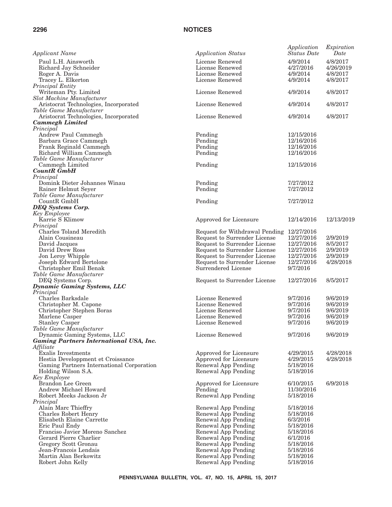| <b>Applicant Name</b>                                            | <b>Application Status</b>      | Application<br><b>Status Date</b> | Expiration<br>Date |
|------------------------------------------------------------------|--------------------------------|-----------------------------------|--------------------|
| Paul L.H. Ainsworth                                              | License Renewed                | 4/9/2014                          | 4/8/2017           |
| Richard Jay Schneider                                            | License Renewed                | 4/27/2016                         | 4/26/2019          |
| Roger A. Davis                                                   | License Renewed                | 4/9/2014                          | 4/8/2017           |
| Tracey L. Elkerton                                               | License Renewed                | 4/9/2014                          | 4/8/2017           |
| Principal Entity                                                 |                                |                                   |                    |
| Writeman Pty. Limited                                            | License Renewed                | 4/9/2014                          | 4/8/2017           |
| Slot Machine Manufacturer                                        |                                |                                   |                    |
| Aristocrat Technologies, Incorporated                            | License Renewed                | 4/9/2014                          | 4/8/2017           |
| Table Game Manufacturer<br>Aristocrat Technologies, Incorporated | License Renewed                | 4/9/2014                          | 4/8/2017           |
| <b>Cammegh Limited</b>                                           |                                |                                   |                    |
| Principal                                                        |                                |                                   |                    |
| Andrew Paul Cammegh                                              | Pending                        | 12/15/2016                        |                    |
| Barbara Grace Cammegh                                            | Pending                        | 12/16/2016                        |                    |
| Frank Reginald Cammegh                                           | Pending                        | 12/16/2016                        |                    |
| Richard William Cammegh                                          | Pending                        | 12/16/2016                        |                    |
| Table Game Manufacturer                                          |                                |                                   |                    |
| Cammegh Limited                                                  | Pending                        | 12/15/2016                        |                    |
| <b>CountR</b> GmbH                                               |                                |                                   |                    |
| Principal                                                        |                                |                                   |                    |
| Domink Dieter Johannes Winau                                     | Pending                        | 7/27/2012                         |                    |
| Rainer Helmut Seyer                                              | Pending                        | 7/27/2012                         |                    |
| Table Game Manufacturer<br>CountR GmbH                           |                                |                                   |                    |
|                                                                  | Pending                        | 7/27/2012                         |                    |
| <b>DEQ</b> Systems Corp.<br>Key Employee                         |                                |                                   |                    |
| Karrie S Klimow                                                  | Approved for Licensure         | 12/14/2016                        | 12/13/2019         |
| Principal                                                        |                                |                                   |                    |
| Charles Toland Meredith                                          | Request for Withdrawal Pending | 12/27/2016                        |                    |
| Alain Cousineau                                                  | Request to Surrender License   | 12/27/2016                        | 2/9/2019           |
| David Jacques                                                    | Request to Surrender License   | 12/27/2016                        | 8/5/2017           |
| David Drew Ross                                                  | Request to Surrender License   | 12/27/2016                        | 2/9/2019           |
| Jon Leroy Whipple                                                | Request to Surrender License   | 12/27/2016                        | 2/9/2019           |
| Joseph Edward Bertolone                                          | Request to Surrender License   | 12/27/2016                        | 4/28/2018          |
| Christopher Emil Benak                                           | Surrendered License            | 9/7/2016                          |                    |
| Table Game Manufacturer                                          |                                |                                   |                    |
| DEQ Systems Corp.                                                | Request to Surrender License   | 12/27/2016                        | 8/5/2017           |
| <b>Dynamic Gaming Systems, LLC</b>                               |                                |                                   |                    |
| Principal<br>Charles Barksdale                                   | License Renewed                | 9/7/2016                          | 9/6/2019           |
| Christopher M. Capone                                            | License Renewed                | 9/7/2016                          | 9/6/2019           |
| Christopher Stephen Boras                                        | License Renewed                | 9/7/2016                          | 9/6/2019           |
| Marlene Casper                                                   | License Renewed                | 9/7/2016                          | 9/6/2019           |
| <b>Stanley Casper</b>                                            | License Renewed                | 9/7/2016                          | 9/6/2019           |
| Table Game Manufacturer                                          |                                |                                   |                    |
| Dynamic Gaming Systems, LLC                                      | License Renewed                | 9/7/2016                          | 9/6/2019           |
| <b>Gaming Partners International USA, Inc.</b>                   |                                |                                   |                    |
| Affiliate                                                        |                                |                                   |                    |
| Exalis Investments                                               | Approved for Licensure         | 4/29/2015                         | 4/28/2018          |
| Hestia Developpment et Croissance                                | Approved for Licensure         | 4/29/2015                         | 4/28/2018          |
| Gaming Partners International Corporation                        | Renewal App Pending            | 5/18/2016                         |                    |
| Holding Wilson S.A.                                              | Renewal App Pending            | 5/18/2016                         |                    |
| Key Employee<br>Brandon Lee Green                                | Approved for Licensure         | 6/10/2015                         | 6/9/2018           |
| Andrew Michael Howard                                            | Pending                        | 11/30/2016                        |                    |
| Robert Meeks Jackson Jr                                          | Renewal App Pending            | 5/18/2016                         |                    |
| Principal                                                        |                                |                                   |                    |
| Alain Marc Thieffry                                              | Renewal App Pending            | 5/18/2016                         |                    |
| <b>Charles Robert Henry</b>                                      | Renewal App Pending            | 5/18/2016                         |                    |
| Elisabeth Elaine Carrette                                        | Renewal App Pending            | 6/3/2016                          |                    |
| Eric Paul Endy                                                   | Renewal App Pending            | 5/18/2016                         |                    |
| Franciso Javier Moreno Sanchez                                   | Renewal App Pending            | 5/18/2016                         |                    |
| Gerard Pierre Charlier                                           | Renewal App Pending            | 6/1/2016                          |                    |
| Gregory Scott Gronau                                             | Renewal App Pending            | 5/18/2016                         |                    |
| Jean-Francois Lendais                                            | Renewal App Pending            | 5/18/2016                         |                    |
| Martin Alan Berkowitz                                            | Renewal App Pending            | 5/18/2016                         |                    |
| Robert John Kelly                                                | Renewal App Pending            | 5/18/2016                         |                    |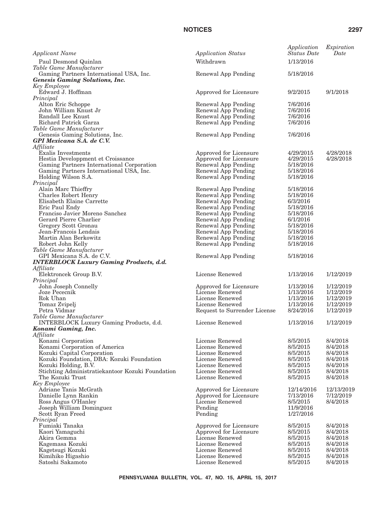| Applicant Name                                                                   | <b>Application Status</b>                  | Application<br><b>Status</b> Date | Expiration<br>Date   |
|----------------------------------------------------------------------------------|--------------------------------------------|-----------------------------------|----------------------|
| Paul Desmond Quinlan                                                             | Withdrawn                                  | 1/13/2016                         |                      |
| Table Game Manufacturer                                                          |                                            |                                   |                      |
| Gaming Partners International USA, Inc.<br><b>Genesis Gaming Solutions, Inc.</b> | Renewal App Pending                        | 5/18/2016                         |                      |
| Key Employee                                                                     |                                            |                                   |                      |
| Edward J. Hoffman                                                                | Approved for Licensure                     | 9/2/2015                          | 9/1/2018             |
| Principal                                                                        |                                            |                                   |                      |
| Alton Eric Schoppe<br>John William Knust Jr                                      | Renewal App Pending<br>Renewal App Pending | 7/6/2016<br>7/6/2016              |                      |
| Randall Lee Knust                                                                | Renewal App Pending                        | 7/6/2016                          |                      |
| Richard Patrick Garza                                                            | Renewal App Pending                        | 7/6/2016                          |                      |
| Table Game Manufacturer                                                          |                                            |                                   |                      |
| Genesis Gaming Solutions, Inc.                                                   | Renewal App Pending                        | 7/6/2016                          |                      |
| GPI Mexicana S.A. de C.V.<br>Affiliate                                           |                                            |                                   |                      |
| Exalis Investments                                                               | Approved for Licensure                     | 4/29/2015                         | 4/28/2018            |
| Hestia Developpment et Croissance                                                | Approved for Licensure                     | 4/29/2015                         | 4/28/2018            |
| Gaming Partners International Corporation                                        | Renewal App Pending                        | 5/18/2016                         |                      |
| Gaming Partners International USA, Inc.                                          | Renewal App Pending                        | 5/18/2016                         |                      |
| Holding Wilson S.A.<br>Principal                                                 | Renewal App Pending                        | 5/18/2016                         |                      |
| Alain Marc Thieffry                                                              | Renewal App Pending                        | 5/18/2016                         |                      |
| Charles Robert Henry                                                             | Renewal App Pending                        | 5/18/2016                         |                      |
| Elisabeth Elaine Carrette                                                        | Renewal App Pending                        | 6/3/2016                          |                      |
| Eric Paul Endy                                                                   | Renewal App Pending                        | 5/18/2016                         |                      |
| Franciso Javier Moreno Sanchez<br>Gerard Pierre Charlier                         | Renewal App Pending<br>Renewal App Pending | 5/18/2016<br>6/1/2016             |                      |
| Gregory Scott Gronau                                                             | Renewal App Pending                        | 5/18/2016                         |                      |
| Jean-Francois Lendais                                                            | Renewal App Pending                        | 5/18/2016                         |                      |
| Martin Alan Berkowitz                                                            | Renewal App Pending                        | 5/18/2016                         |                      |
| Robert John Kelly                                                                | Renewal App Pending                        | 5/18/2016                         |                      |
| Table Game Manufacturer<br>GPI Mexicana S.A. de C.V.                             | Renewal App Pending                        | 5/18/2016                         |                      |
| <b>INTERBLOCK Luxury Gaming Products, d.d.</b>                                   |                                            |                                   |                      |
| Affiliate                                                                        |                                            |                                   |                      |
| Elektroncek Group B.V.                                                           | License Renewed                            | 1/13/2016                         | 1/12/2019            |
| Principal<br>John Joseph Connelly                                                | Approved for Licensure                     | 1/13/2016                         | 1/12/2019            |
| Joze Pececnik                                                                    | License Renewed                            | 1/13/2016                         | 1/12/2019            |
| Rok Uhan                                                                         | License Renewed                            | 1/13/2016                         | 1/12/2019            |
| Tomaz Zvipelj                                                                    | License Renewed                            | 1/13/2016                         | 1/12/2019            |
| Petra Vidmar                                                                     | Request to Surrender License               | 8/24/2016                         | 1/12/2019            |
| Table Game Manufacturer<br>INTERBLOCK Luxury Gaming Products, d.d.               | License Renewed                            | 1/13/2016                         | 1/12/2019            |
| Konami Gaming, Inc.                                                              |                                            |                                   |                      |
| Affiliate                                                                        |                                            |                                   |                      |
| Konami Corporation                                                               | License Renewed                            | 8/5/2015                          | 8/4/2018             |
| Konami Corporation of America<br>Kozuki Capital Corporation                      | License Renewed<br>License Renewed         | 8/5/2015<br>8/5/2015              | 8/4/2018<br>8/4/2018 |
| Kozuki Foundation, DBA: Kozuki Foundation                                        | License Renewed                            | 8/5/2015                          | 8/4/2018             |
| Kozuki Holding, B.V.                                                             | License Renewed                            | 8/5/2015                          | 8/4/2018             |
| Stichting Administratiekantoor Kozuki Foundation                                 | License Renewed                            | 8/5/2015                          | 8/4/2018             |
| The Kozuki Trust                                                                 | License Renewed                            | 8/5/2015                          | 8/4/2018             |
| Key Employee<br>Adriane Tanis McGrath                                            | Approved for Licensure                     | 12/14/2016                        | 12/13/2019           |
| Danielle Lynn Rankin                                                             | Approved for Licensure                     | 7/13/2016                         | 7/12/2019            |
| Ross Angus O'Hanley                                                              | License Renewed                            | 8/5/2015                          | 8/4/2018             |
| Joseph William Dominguez                                                         | Pending                                    | 11/9/2016                         |                      |
| Scott Ryan Freed                                                                 | Pending                                    | 1/27/2016                         |                      |
| Principal<br>Fumiaki Tanaka                                                      | Approved for Licensure                     | 8/5/2015                          | 8/4/2018             |
| Kaori Yamaguchi                                                                  | Approved for Licensure                     | 8/5/2015                          | 8/4/2018             |
| Akira Gemma                                                                      | License Renewed                            | 8/5/2015                          | 8/4/2018             |
| Kagemasa Kozuki                                                                  | License Renewed                            | 8/5/2015                          | 8/4/2018             |
| Kagetsugi Kozuki                                                                 | License Renewed                            | 8/5/2015                          | 8/4/2018             |
| Kimihiko Higashio<br>Satoshi Sakamoto                                            | License Renewed<br>License Renewed         | 8/5/2015<br>8/5/2015              | 8/4/2018<br>8/4/2018 |
|                                                                                  |                                            |                                   |                      |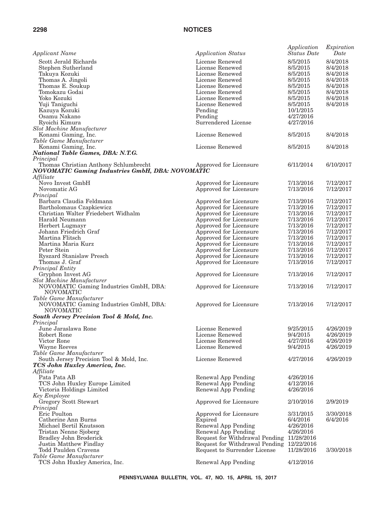| <b>Applicant Name</b>                                   | <b>Application Status</b>                 | Application<br><b>Status Date</b> | Expiration<br>Date     |
|---------------------------------------------------------|-------------------------------------------|-----------------------------------|------------------------|
| Scott Jerald Richards                                   | License Renewed                           | 8/5/2015                          | 8/4/2018               |
| Stephen Sutherland                                      | License Renewed                           | 8/5/2015                          | 8/4/2018               |
| Takuya Kozuki                                           | License Renewed                           | 8/5/2015                          | 8/4/2018               |
| Thomas A. Jingoli                                       | License Renewed                           | 8/5/2015                          | 8/4/2018               |
| Thomas E. Soukup                                        | License Renewed                           | 8/5/2015                          | 8/4/2018               |
| Tomokazu Godai                                          | License Renewed                           | 8/5/2015                          | 8/4/2018               |
| Yoko Kozuki                                             | License Renewed                           | 8/5/2015                          | 8/4/2018               |
| Yuji Taniguchi                                          | License Renewed                           | 8/5/2015                          | 8/4/2018               |
| Kazuya Kozuki                                           | Pending                                   | 10/1/2015                         |                        |
| Osamu Nakano                                            | Pending                                   | 4/27/2016                         |                        |
| Ryoichi Kimura                                          | Surrendered License                       | 4/27/2016                         |                        |
| Slot Machine Manufacturer                               |                                           |                                   |                        |
| Konami Gaming, Inc.                                     | License Renewed                           | 8/5/2015                          | 8/4/2018               |
| Table Game Manufacturer                                 |                                           |                                   |                        |
| Konami Gaming, Inc.                                     | License Renewed                           | 8/5/2015                          | 8/4/2018               |
| National Table Games, DBA: N.T.G.                       |                                           |                                   |                        |
| Principal<br>Thomas Christian Anthony Schlumbrecht      | Approved for Licensure                    | 6/11/2014                         | 6/10/2017              |
| <b>NOVOMATIC Gaming Industries GmbH, DBA: NOVOMATIC</b> |                                           |                                   |                        |
| Affiliate                                               |                                           |                                   |                        |
| Novo Invest GmbH                                        | Approved for Licensure                    | 7/13/2016                         | 7/12/2017              |
| Novomatic AG                                            | Approved for Licensure                    | 7/13/2016                         | 7/12/2017              |
| Principal                                               |                                           |                                   |                        |
| Barbara Claudia Feldmann                                | Approved for Licensure                    | 7/13/2016                         | 7/12/2017              |
| Bartholomaus Czapkiewicz                                | Approved for Licensure                    | 7/13/2016                         | 7/12/2017              |
| Christian Walter Friedebert Widhalm                     | Approved for Licensure                    | 7/13/2016                         | 7/12/2017              |
| Harald Neumann                                          | Approved for Licensure                    | 7/13/2016                         | 7/12/2017              |
| Herbert Lugmayr                                         | Approved for Licensure                    | 7/13/2016                         | 7/12/2017              |
|                                                         |                                           |                                   | 7/12/2017              |
| Johann Friedrich Graf<br>Martina Flitsch                | Approved for Licensure                    | 7/13/2016                         |                        |
| Martina Maria Kurz                                      | Approved for Licensure                    | 7/13/2016                         | 7/12/2017<br>7/12/2017 |
| Peter Stein                                             | Approved for Licensure                    | 7/13/2016                         |                        |
|                                                         | Approved for Licensure                    | 7/13/2016                         | 7/12/2017              |
| Ryszard Stanislaw Presch<br>Thomas J. Graf              | Approved for Licensure                    | 7/13/2016                         | 7/12/2017<br>7/12/2017 |
| Principal Entity                                        | Approved for Licensure                    | 7/13/2016                         |                        |
| Gryphon Invest AG                                       | Approved for Licensure                    | 7/13/2016                         | 7/12/2017              |
| Slot Machine Manufacturer                               |                                           |                                   |                        |
| NOVOMATIC Gaming Industries GmbH, DBA:                  | Approved for Licensure                    | 7/13/2016                         | 7/12/2017              |
| <b>NOVOMATIC</b>                                        |                                           |                                   |                        |
| Table Game Manufacturer                                 |                                           |                                   |                        |
| NOVOMATIC Gaming Industries GmbH, DBA:                  | Approved for Licensure                    | 7/13/2016                         | 7/12/2017              |
| <b>NOVOMATIC</b>                                        |                                           |                                   |                        |
| South Jersey Precision Tool & Mold, Inc.                |                                           |                                   |                        |
| Principal                                               |                                           |                                   |                        |
| June Jaraslawa Rone                                     | License Renewed                           | 9/25/2015                         | 4/26/2019              |
| Robert Rone                                             | License Renewed                           | 9/4/2015                          | 4/26/2019              |
| Victor Rone                                             | License Renewed                           | 4/27/2016                         | 4/26/2019              |
| Wayne Reeves                                            | License Renewed                           | 9/4/2015                          | 4/26/2019              |
| Table Game Manufacturer                                 |                                           |                                   |                        |
| South Jersey Precision Tool & Mold, Inc.                | License Renewed                           | 4/27/2016                         | 4/26/2019              |
| TCS John Huxley America, Inc.                           |                                           |                                   |                        |
| Affiliate                                               |                                           |                                   |                        |
| Pata Pata AB                                            | Renewal App Pending                       | 4/26/2016                         |                        |
| TCS John Huxley Europe Limited                          | Renewal App Pending                       | 4/12/2016                         |                        |
| Victoria Holdings Limited                               | Renewal App Pending                       | 4/26/2016                         |                        |
| <b>Key Employee</b>                                     |                                           |                                   |                        |
| Gregory Scott Stewart                                   | Approved for Licensure                    | 2/10/2016                         | 2/9/2019               |
| Principal                                               |                                           |                                   |                        |
| Eric Poulton                                            | Approved for Licensure                    | 3/31/2015                         | 3/30/2018              |
| Catherine Ann Burns                                     | Expired                                   | 6/4/2016                          | 6/4/2016               |
| Michael Bertil Knutsson                                 | Renewal App Pending                       | 4/26/2016                         |                        |
| Tristan Nenne Sjoberg                                   | Renewal App Pending                       | 4/26/2016                         |                        |
| Bradley John Broderick                                  | Request for Withdrawal Pending 11/28/2016 |                                   |                        |
| Justin Matthew Findlay                                  | Request for Withdrawal Pending            | 12/22/2016                        |                        |
| Todd Paulden Cravens                                    | Request to Surrender License              | 11/28/2016                        | 3/30/2018              |
| Table Game Manufacturer                                 |                                           |                                   |                        |
| TCS John Huxley America, Inc.                           | Renewal App Pending                       | 4/12/2016                         |                        |
|                                                         |                                           |                                   |                        |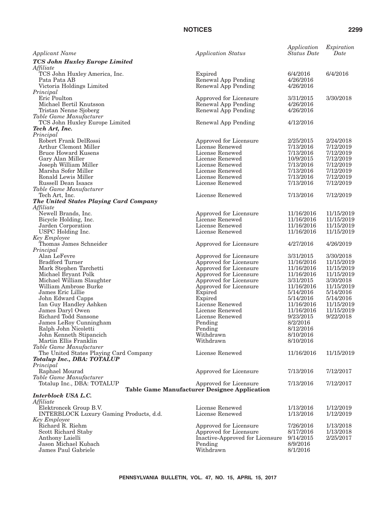*Applicant Name Application Status*

*TCS John Huxley Europe Limited*

| <b>NOTICES</b>                                                       |                                                        | 2299                                                   |
|----------------------------------------------------------------------|--------------------------------------------------------|--------------------------------------------------------|
| <b>Application Status</b>                                            | Application<br>Status Date                             | Expiration<br>Date                                     |
| Expired<br>Renewal App Pending<br>Renewal App Pending                | 6/4/2016<br>4/26/2016<br>4/26/2016                     | 6/4/2016                                               |
| Approved for Licensure<br>Renewal App Pending<br>Renewal App Pending | 3/31/2015<br>4/26/2016<br>4/26/2016                    | 3/30/2018                                              |
| Renewal App Pending                                                  | 4/12/2016                                              |                                                        |
| Approved for Licensure<br>License Renewed                            | 2/25/2015<br>7/13/2016<br>$H / A \cap I \cap A \neq A$ | 2/24/2018<br>7/12/2019<br>$H / A \cap I \cap A \cap A$ |

| Affiliate                               |                                              |                       |            |
|-----------------------------------------|----------------------------------------------|-----------------------|------------|
| TCS John Huxley America, Inc.           | Expired                                      | 6/4/2016              | 6/4/2016   |
| Pata Pata AB                            | Renewal App Pending                          | 4/26/2016             |            |
| Victoria Holdings Limited               | Renewal App Pending                          | 4/26/2016             |            |
| Principal                               |                                              |                       |            |
| Eric Poulton                            | Approved for Licensure                       | 3/31/2015             | 3/30/2018  |
| Michael Bertil Knutsson                 | Renewal App Pending                          | 4/26/2016             |            |
| Tristan Nenne Sjoberg                   | Renewal App Pending                          | 4/26/2016             |            |
| Table Game Manufacturer                 |                                              |                       |            |
| TCS John Huxley Europe Limited          | Renewal App Pending                          | 4/12/2016             |            |
| Tech Art, Inc.                          |                                              |                       |            |
| Principal                               |                                              |                       |            |
| Robert Frank DelRossi                   | Approved for Licensure                       | 2/25/2015             | 2/24/2018  |
| Arthur Clemont Miller                   | License Renewed                              | 7/13/2016             | 7/12/2019  |
| <b>Bruce Howard Kusens</b>              | License Renewed                              | 7/13/2016             | 7/12/2019  |
| Gary Alan Miller                        | License Renewed                              | 10/9/2015             | 7/12/2019  |
| Joseph William Miller                   | License Renewed                              | 7/13/2016             | 7/12/2019  |
| Marsha Sofer Miller                     | License Renewed                              | 7/13/2016             | 7/12/2019  |
| Ronald Lewis Miller                     | License Renewed                              | 7/13/2016             | 7/12/2019  |
| Russell Dean Isaacs                     | License Renewed                              | 7/13/2016             | 7/12/2019  |
| Table Game Manufacturer                 |                                              |                       |            |
| Tech Art, Inc.                          | License Renewed                              | 7/13/2016             | 7/12/2019  |
| The United States Playing Card Company  |                                              |                       |            |
| Affiliate                               |                                              |                       |            |
| Newell Brands, Inc.                     | Approved for Licensure                       | 11/16/2016            | 11/15/2019 |
| Bicycle Holding, Inc.                   | License Renewed                              | 11/16/2016            | 11/15/2019 |
| Jarden Corporation                      | License Renewed                              | 11/16/2016            | 11/15/2019 |
| USPC Holding Inc.                       | License Renewed                              | 11/16/2016            | 11/15/2019 |
| Key Employee                            |                                              |                       |            |
| Thomas James Schneider                  | Approved for Licensure                       | 4/27/2016             | 4/26/2019  |
| Principal                               |                                              |                       |            |
| Alan LeFevre                            | Approved for Licensure                       | 3/31/2015             | 3/30/2018  |
| <b>Bradford Turner</b>                  | Approved for Licensure                       | 11/16/2016            | 11/15/2019 |
| Mark Stephen Tarchetti                  | Approved for Licensure                       | 11/16/2016            | 11/15/2019 |
| Michael Bryant Polk                     | Approved for Licensure                       | 11/16/2016            | 11/15/2019 |
| Michael William Slaughter               | Approved for Licensure                       | 3/31/2015             | 3/30/2018  |
| William Ambrose Burke                   | Approved for Licensure                       | 11/16/2016            | 11/15/2019 |
| James Eric Lillie                       | Expired                                      | 5/14/2016             | 5/14/2016  |
| John Edward Capps                       | Expired                                      | 5/14/2016             | 5/14/2016  |
| Ian Guy Handley Ashken                  | License Renewed                              | 11/16/2016            | 11/15/2019 |
| James Daryl Owen                        | License Renewed                              | 11/16/2016            | 11/15/2019 |
| Richard Todd Sansone                    | License Renewed                              | 9/23/2015             | 9/22/2018  |
| James LeRoy Cunningham                  | Pending                                      | 8/2/2016              |            |
| Ralph John Nicoletti                    | Pending                                      | 8/12/2016             |            |
| John Kenneth Stipancich                 | Withdrawn                                    | 8/10/2016             |            |
| Martin Ellis Franklin                   | Withdrawn                                    | 8/10/2016             |            |
| Table Game Manufacturer                 |                                              |                       |            |
| The United States Playing Card Company  | License Renewed                              | 11/16/2016 11/15/2019 |            |
| <b>Totalup Inc., DBA: TOTALUP</b>       |                                              |                       |            |
| Principal                               |                                              |                       |            |
| Raphael Mourad                          | Approved for Licensure                       | 7/13/2016             | 7/12/2017  |
| Table Game Manufacturer                 |                                              |                       |            |
| Totalup Inc., DBA: TOTALUP              | Approved for Licensure                       | 7/13/2016             | 7/12/2017  |
|                                         | Table Game Manufacturer Designee Application |                       |            |
| Interblock USA L.C.<br>Affiliate        |                                              |                       |            |
| Elektroncek Group B.V.                  | License Renewed                              | 1/13/2016             | 1/12/2019  |
| INTERBLOCK Luxury Gaming Products, d.d. | License Renewed                              | 1/13/2016             | 1/12/2019  |
| Key Employee                            |                                              |                       |            |
| Richard R. Riehm                        | Approved for Licensure                       | 7/26/2016             | 1/13/2018  |
| Scott Richard Staby                     | Approved for Licensure                       | 8/17/2016             | 1/13/2018  |
| Anthony Laielli                         | Inactive-Approved for Licensure              | 9/14/2015             | 2/25/2017  |
| Jason Michael Kubach                    | Pending                                      | 8/9/2016              |            |
| James Paul Gabriele                     | Withdrawn                                    | 8/1/2016              |            |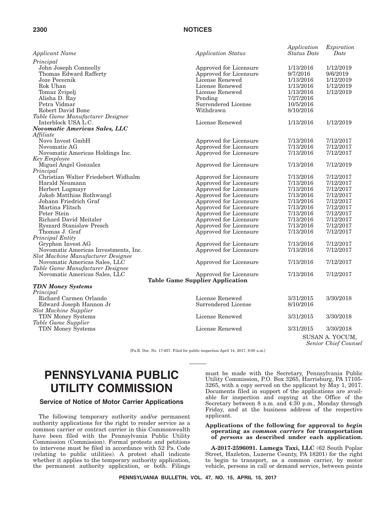| <b>Applicant Name</b>                | <b>Application Status</b>              | Application<br><b>Status Date</b> | Expiration<br>Date |
|--------------------------------------|----------------------------------------|-----------------------------------|--------------------|
| Principal                            |                                        |                                   |                    |
| John Joseph Conneelly                | Approved for Licensure                 | 1/13/2016                         | 1/12/2019          |
| Thomas Edward Rafferty               | Approved for Licensure                 | 9/7/2016                          | 9/6/2019           |
| Joze Pececnik                        | License Renewed                        | 1/13/2016                         | 1/12/2019          |
| Rok Uhan                             | License Renewed                        | 1/13/2016                         | 1/12/2019          |
| Tomaz Zvipelj                        | License Renewed                        | 1/13/2016                         | 1/12/2019          |
| Alisha D. Ray                        | Pending                                | 7/27/2016                         |                    |
| Petra Vidmar                         | Surrendered License                    | 10/5/2016                         |                    |
| Robert David Bone                    | Withdrawn                              | 8/10/2016                         |                    |
| Table Game Manufacturer Designee     |                                        |                                   |                    |
| Interblock USA L.C.                  | License Renewed                        | 1/13/2016                         | 1/12/2019          |
| <b>Novomatic Americas Sales, LLC</b> |                                        |                                   |                    |
| Affiliate                            |                                        |                                   |                    |
| Novo Invest GmbH                     | Approved for Licensure                 | 7/13/2016                         | 7/12/2017          |
| Novomatic AG                         | Approved for Licensure                 | 7/13/2016                         | 7/12/2017          |
| Novomatic Americas Holdings Inc.     | Approved for Licensure                 | 7/13/2016                         | 7/12/2017          |
| <b>Key Employee</b>                  |                                        |                                   |                    |
| Miguel Angel Gonzalez                | Approved for Licensure                 | 7/13/2016                         | 7/12/2019          |
| Principal                            |                                        |                                   |                    |
| Christian Walter Friedebert Widhalm  | Approved for Licensure                 | 7/13/2016                         | 7/12/2017          |
| Harald Neumann                       | Approved for Licensure                 | 7/13/2016                         | 7/12/2017          |
| Herbert Lugmayr                      | Approved for Licensure                 | 7/13/2016                         | 7/12/2017          |
| Jakob Matthias Rothwangl             | Approved for Licensure                 | 7/13/2016                         | 7/12/2017          |
| Johann Friedrich Graf                | Approved for Licensure                 | 7/13/2016                         | 7/12/2017          |
| Martina Flitsch                      | Approved for Licensure                 | 7/13/2016                         | 7/12/2017          |
| Peter Stein                          | Approved for Licensure                 | 7/13/2016                         | 7/12/2017          |
| Richard David Meitzler               | Approved for Licensure                 | 7/13/2016                         | 7/12/2017          |
| Ryszard Stanislaw Presch             | Approved for Licensure                 | 7/13/2016                         | 7/12/2017          |
| Thomas J. Graf                       | Approved for Licensure                 | 7/13/2016                         | 7/12/2017          |
| Principal Entity                     |                                        |                                   |                    |
| Gryphon Invest AG                    | Approved for Licensure                 | 7/13/2016                         | 7/12/2017          |
| Novomatic Americas Investments, Inc. | Approved for Licensure                 | 7/13/2016                         | 7/12/2017          |
| Slot Machine Manufacturer Designee   |                                        |                                   |                    |
| Novomatic Americas Sales, LLC        | Approved for Licensure                 | 7/13/2016                         | 7/12/2017          |
| Table Game Manufacturer Designee     |                                        |                                   |                    |
| Novomatic Americas Sales, LLC        | Approved for Licensure                 | 7/13/2016                         | 7/12/2017          |
|                                      | <b>Table Game Supplier Application</b> |                                   |                    |
| <b>TDN Money Systems</b>             |                                        |                                   |                    |
| Principal                            |                                        |                                   |                    |
| Richard Carmen Orlando               | License Renewed                        | 3/31/2015                         | 3/30/2018          |
| Edward Joseph Hannon Jr              | Surrendered License                    | 8/10/2016                         |                    |
| <b>Slot Machine Supplier</b>         |                                        |                                   |                    |
| TDN Money Systems                    | License Renewed                        | 3/31/2015                         | 3/30/2018          |
| Table Game Supplier                  |                                        |                                   |                    |
| TDN Money Systems                    | License Renewed                        | 3/31/2015                         | 3/30/2018          |
|                                      |                                        |                                   | SUSAN A. YOCUM.    |

*Senior Chief Counsel*

[Pa.B. Doc. No. 17-657. Filed for public inspection April 14, 2017, 9:00 a.m.]

# **PENNSYLVANIA PUBLIC UTILITY COMMISSION**

#### **Service of Notice of Motor Carrier Applications**

The following temporary authority and/or permanent authority applications for the right to render service as a common carrier or contract carrier in this Commonwealth have been filed with the Pennsylvania Public Utility Commission (Commission). Formal protests and petitions to intervene must be filed in accordance with 52 Pa. Code (relating to public utilities). A protest shall indicate whether it applies to the temporary authority application, the permanent authority application, or both. Filings

must be made with the Secretary, Pennsylvania Public Utility Commission, P.O. Box 3265, Harrisburg, PA 17105- 3265, with a copy served on the applicant by May 1, 2017. Documents filed in support of the applications are available for inspection and copying at the Office of the Secretary between 8 a.m. and 4:30 p.m., Monday through Friday, and at the business address of the respective applicant.

#### **Applications of the following for approval to** *begin* **operating as** *common carriers* **for transportation of** *persons* **as described under each application.**

**A-2017-2596091. Lamega Taxi, LLC** (62 South Poplar Street, Hazleton, Luzerne County, PA 18201) for the right to begin to transport, as a common carrier, by motor vehicle, persons in call or demand service, between points

**PENNSYLVANIA BULLETIN, VOL. 47, NO. 15, APRIL 15, 2017**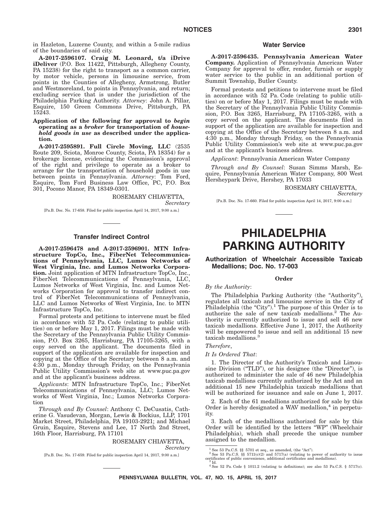in Hazleton, Luzerne County, and within a 5-mile radius of the boundaries of said city.

**A-2017-2596107. Craig M. Leonard, t/a iDrive iDeliver** (P.O. Box 11422, Pittsburgh, Allegheny County, PA 15238) for the right to transport as a common carrier, by motor vehicle, persons in limousine service, from points in the Counties of Allegheny, Armstrong, Butler and Westmoreland, to points in Pennsylvania, and return; excluding service that is under the jurisdiction of the Philadelphia Parking Authority. *Attorney*: John A. Pillar, Esquire, 150 Green Commons Drive, Pittsburgh, PA 15243.

#### **Application of the following for approval to** *begin* **operating as a** *broker* **for transportation of** *household goods in use* **as described under the application.**

**A-2017-2595891. Full Circle Moving, LLC** (2535 Route 209, Sciota, Monroe County, Sciota, PA 18354) for a brokerage license, evidencing the Commission's approval of the right and privilege to operate as a broker to arrange for the transportation of household goods in use between points in Pennsylvania. *Attorney*: Tom Ford, Esquire, Tom Ford Business Law Office, PC, P.O. Box 301, Pocono Manor, PA 18349-0301.

> ROSEMARY CHIAVETTA, *Secretary*

[Pa.B. Doc. No. 17-658. Filed for public inspection April 14, 2017, 9:00 a.m.]

#### **Transfer Indirect Control**

**A-2017-2596478 and A-2017-2596901. MTN Infrastructure TopCo, Inc., FiberNet Telecommunications of Pennsylvania, LLC, Lumos Networks of West Virginia, Inc. and Lumos Networks Corporation.** Joint application of MTN Infrastructure TopCo, Inc., FiberNet Telecommunications of Pennsylvania, LLC, Lumos Networks of West Virginia, Inc. and Lumos Networks Corporation for approval to transfer indirect control of FiberNet Telecommunications of Pennsylvania, LLC and Lumos Networks of West Virginia, Inc. to MTN Infrastructure TopCo, Inc.

Formal protests and petitions to intervene must be filed in accordance with 52 Pa. Code (relating to public utilities) on or before May 1, 2017. Filings must be made with the Secretary of the Pennsylvania Public Utility Commission, P.O. Box 3265, Harrisburg, PA 17105-3265, with a copy served on the applicant. The documents filed in support of the application are available for inspection and copying at the Office of the Secretary between 8 a.m. and 4:30 p.m., Monday through Friday, on the Pennsylvania Public Utility Commission's web site at www.puc.pa.gov and at the applicant's business address.

*Applicants*: MTN Infrastructure TopCo, Inc.; FiberNet Telecommunications of Pennsylvania, LLC; Lumos Networks of West Virginia, Inc.; Lumos Networks Corporation

*Through and By Counsel*: Anthony C. DeCusatis, Catherine G. Vasudevan, Morgan, Lewis & Bockius, LLP, 1701 Market Street, Philadelphia, PA 19103-2921; and Michael Gruin, Esquire, Stevens and Lee, 17 North 2nd Street, 16th Floor, Harrisburg, PA 17101

#### ROSEMARY CHIAVETTA, *Secretary*

[Pa.B. Doc. No. 17-659. Filed for public inspection April 14, 2017, 9:00 a.m.]

### **Water Service**

**A-2017-2596435. Pennsylvania American Water Company.** Application of Pennsylvania American Water Company for approval to offer, render, furnish or supply water service to the public in an additional portion of Summit Township, Butler County.

Formal protests and petitions to intervene must be filed in accordance with 52 Pa. Code (relating to public utilities) on or before May 1, 2017. Filings must be made with the Secretary of the Pennsylvania Public Utility Commission, P.O. Box 3265, Harrisburg, PA 17105-3265, with a copy served on the applicant. The documents filed in support of the application are available for inspection and copying at the Office of the Secretary between 8 a.m. and 4:30 p.m., Monday through Friday, on the Pennsylvania Public Utility Commission's web site at www.puc.pa.gov and at the applicant's business address.

*Applicant*: Pennsylvania American Water Company

*Through and By Counsel*: Susan Simms Marsh, Esquire, Pennsylvania American Water Company, 800 West Hersheypark Drive, Hershey, PA 17033

ROSEMARY CHIAVETTA,

*Secretary*

[Pa.B. Doc. No. 17-660. Filed for public inspection April 14, 2017, 9:00 a.m.]

# **PHILADELPHIA PARKING AUTHORITY**

#### **Authorization of Wheelchair Accessible Taxicab Medallions; Doc. No. 17-003**

#### **Order**

*By the Authority*:

The Philadelphia Parking Authority (the "Authority"), regulates all taxicab and limousine service in the City of Philadelphia (the "City").<sup>1</sup> The purpose of this Order is to authorize the sale of new taxicab medallions.2 The Authority is currently authorized to issue and sell 46 new taxicab medallions. Effective June 1, 2017, the Authority will be empowered to issue and sell an additional 15 new taxicab medallions.<sup>3</sup>

#### *Therefore*,

#### *It Is Ordered That*:

1. The Director of the Authority's Taxicab and Limousine Division ("TLD"), or his designee (the "Director"), is authorized to administer the sale of 46 new Philadelphia taxicab medallions currently authorized by the Act and an additional 15 new Philadelphia taxicab medallions that will be authorized for issuance and sale on June 1, 2017.

2. Each of the 61 medallions authorized for sale by this Order is hereby designated a WAV medallion, $4$  in perpetuity.

3. Each of the medallions authorized for sale by this Order will be identified by the letters ''WP'' (Wheelchair Philadelphia), which shall precede the unique number assigned to the medallion.

<sup>&</sup>lt;sup>1</sup> See 53 Pa.C.S. §§ 5701 et seq., as amended, (the "Act").<br><sup>2</sup> See 53 Pa.C.S. §§ 5711(c)(2) and 5717(a) (relating to power of authority to issue certificates of public convenience, additional certificates and medallions).<br><sup>3</sup> Id. 4<br><sup>4</sup> See 52 Pa. Code § 1011.2 (relating to definitions); see also 53 Pa.C.S. § 5717(c).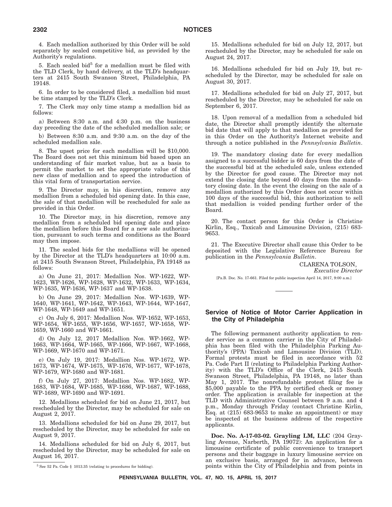4. Each medallion authorized by this Order will be sold separately by sealed competitive bid, as provided by the Authority's regulations.

5. Each sealed bid $5$  for a medallion must be filed with the TLD Clerk, by hand delivery, at the TLD's headquarters at 2415 South Swanson Street, Philadelphia, PA 19148.

6. In order to be considered filed, a medallion bid must be time stamped by the TLD's Clerk.

7. The Clerk may only time stamp a medallion bid as follows:

a) Between 8:30 a.m. and 4:30 p.m. on the business day preceding the date of the scheduled medallion sale; or

b) Between 8:30 a.m. and 9:30 a.m. on the day of the scheduled medallion sale.

8. The upset price for each medallion will be \$10,000. The Board does not set this minimum bid based upon an understanding of fair market value, but as a basis to permit the market to set the appropriate value of this new class of medallion and to speed the introduction of this vital form of transportation service.

9. The Director may, in his discretion, remove any medallion from a scheduled bid opening date. In this case, the sale of that medallion will be rescheduled for sale as provided in this Order.

10. The Director may, in his discretion, remove any medallion from a scheduled bid opening date and place the medallion before this Board for a new sale authorization, pursuant to such terms and conditions as the Board may then impose.

11. The sealed bids for the medallions will be opened by the Director at the TLD's headquarters at 10:00 a.m. at 2415 South Swanson Street, Philadelphia, PA 19148 as follows:

a) On June 21, 2017: Medallion Nos. WP-1622, WP-1623, WP-1626, WP-1628, WP-1632, WP-1633, WP-1634, WP-1635, WP-1636, WP-1637 and WP-1638.

b) On June 29, 2017: Medallion Nos. WP-1639, WP-1640, WP-1641, WP-1642, WP-1643, WP-1644, WP-1647, WP-1648, WP-1649 and WP-1651.

c) On July 6, 2017: Medallion Nos. WP-1652, WP-1653, WP-1654, WP-1655, WP-1656, WP-1657, WP-1658, WP-1659, WP-1660 and WP-1661.

d) On July 12, 2017 Medallion Nos. WP-1662, WP-1663, WP-1664, WP-1665, WP-1666, WP-1667, WP-1668, WP-1669, WP-1670 and WP-1671.

e) On July 19, 2017: Medallion Nos. WP-1672, WP-1673, WP-1674, WP-1675, WP-1676, WP-1677, WP-1678, WP-1679, WP-1680 and WP-1681.

f) On July 27, 2017: Medallion Nos. WP-1682, WP-1683, WP-1684, WP-1685, WP-1686, WP-1687, WP-1688, WP-1689, WP-1690 and WP-1691.

12. Medallions scheduled for bid on June 21, 2017, but rescheduled by the Director, may be scheduled for sale on August 2, 2017.

13. Medallions scheduled for bid on June 29, 2017, but rescheduled by the Director, may be scheduled for sale on August 9, 2017.

14. Medallions scheduled for bid on July 6, 2017, but rescheduled by the Director, may be scheduled for sale on August 16, 2017.

15. Medallions scheduled for bid on July 12, 2017, but rescheduled by the Director, may be scheduled for sale on August 24, 2017.

16. Medallions scheduled for bid on July 19, but rescheduled by the Director, may be scheduled for sale on August 30, 2017.

17. Medallions scheduled for bid on July 27, 2017, but rescheduled by the Director, may be scheduled for sale on September 6, 2017.

18. Upon removal of a medallion from a scheduled bid date, the Director shall promptly identify the alternate bid date that will apply to that medallion as provided for in this Order on the Authority's Internet website and through a notice published in the *Pennsylvania Bulletin*.

19. The mandatory closing date for every medallion assigned to a successful bidder is 60 days from the date of the successful bid at the scheduled sale, unless extended by the Director for good cause. The Director may not extend the closing date beyond 40 days from the mandatory closing date. In the event the closing on the sale of a medallion authorized by this Order does not occur within 100 days of the successful bid, this authorization to sell that medallion is voided pending further order of the Board.

20. The contact person for this Order is Christine Kirlin, Esq., Taxicab and Limousine Division, (215) 683- 9653.

21. The Executive Director shall cause this Order to be deposited with the Legislative Reference Bureau for publication in the *Pennsylvania Bulletin*.

> CLARENA TOLSON, *Executive Director*

[Pa.B. Doc. No. 17-661. Filed for public inspection April 14, 2017, 9:00 a.m.]

### **Service of Notice of Motor Carrier Application in the City of Philadelphia**

The following permanent authority application to render service as a common carrier in the City of Philadelphia has been filed with the Philadelphia Parking Authority's (PPA) Taxicab and Limousine Division (TLD). Formal protests must be filed in accordance with 52 Pa. Code Part II (relating to Philadelphia Parking Authority) with the TLD's Office of the Clerk, 2415 South Swanson Street, Philadelphia, PA 19148, no later than May 1, 2017. The nonrefundable protest filing fee is \$5,000 payable to the PPA by certified check or money order. The application is available for inspection at the TLD with Administrative Counsel between 9 a.m. and 4 p.m., Monday through Friday (contact Christine Kirlin, Esq. at  $(215)$  683-9653 to make an appointment) or may be inspected at the business address of the respective applicants.

**Doc. No. A-17-03-02. Grayling LM, LLC** (204 Grayling Avenue, Narberth, PA 19072): An application for a limousine certificate of public convenience to transport persons and their baggage in luxury limousine service on an exclusive basis, arranged for in advance, between <sup>5</sup> See 52 Pa. Code § 1013.35 (relating to procedures for bidding). points within the City of Philadelphia and from points in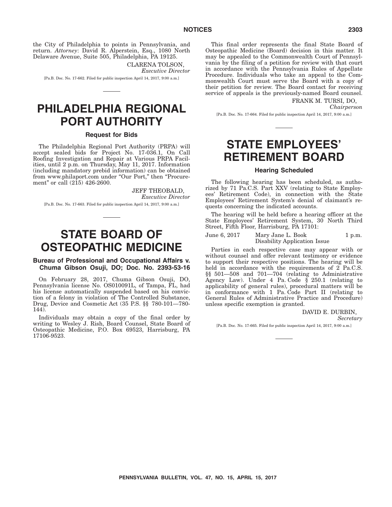the City of Philadelphia to points in Pennsylvania, and return. *Attorney*: David R. Alperstein, Esq., 1080 North Delaware Avenue, Suite 505, Philadelphia, PA 19125.

CLARENA TOLSON, *Executive Director*

[Pa.B. Doc. No. 17-662. Filed for public inspection April 14, 2017, 9:00 a.m.]

# **PHILADELPHIA REGIONAL PORT AUTHORITY**

#### **Request for Bids**

The Philadelphia Regional Port Authority (PRPA) will accept sealed bids for Project No. 17-036.1, On Call Roofing Investigation and Repair at Various PRPA Facilities, until 2 p.m. on Thursday, May 11, 2017. Information (including mandatory prebid information) can be obtained from www.philaport.com under "Our Port," then "Procurement" or call (215) 426-2600.

> JEFF THEOBALD, *Executive Director*

[Pa.B. Doc. No. 17-663. Filed for public inspection April 14, 2017, 9:00 a.m.]

# **STATE BOARD OF OSTEOPATHIC MEDICINE**

### **Bureau of Professional and Occupational Affairs v. Chuma Gibson Osuji, DO; Doc. No. 2393-53-16**

On February 28, 2017, Chuma Gibson Osuji, DO, Pennsylvania license No. OS010091L, of Tampa, FL, had his license automatically suspended based on his conviction of a felony in violation of The Controlled Substance, Drug, Device and Cosmetic Act (35 P.S. §§ 780-101—780- 144).

Individuals may obtain a copy of the final order by writing to Wesley J. Rish, Board Counsel, State Board of Osteopathic Medicine, P.O. Box 69523, Harrisburg, PA 17106-9523.

This final order represents the final State Board of Osteopathic Medicine (Board) decision in this matter. It may be appealed to the Commonwealth Court of Pennsylvania by the filing of a petition for review with that court in accordance with the Pennsylvania Rules of Appellate Procedure. Individuals who take an appeal to the Commonwealth Court must serve the Board with a copy of their petition for review. The Board contact for receiving service of appeals is the previously-named Board counsel.

> FRANK M. TURSI, DO, *Chairperson*

[Pa.B. Doc. No. 17-664. Filed for public inspection April 14, 2017, 9:00 a.m.]

# **STATE EMPLOYEES' RETIREMENT BOARD**

#### **Hearing Scheduled**

The following hearing has been scheduled, as authorized by 71 Pa.C.S. Part XXV (relating to State Employees' Retirement Code), in connection with the State Employees' Retirement System's denial of claimant's requests concerning the indicated accounts.

The hearing will be held before a hearing officer at the State Employees' Retirement System, 30 North Third Street, Fifth Floor, Harrisburg, PA 17101:

June 6, 2017 Mary Jane L. Book Disability Application Issue 1 p.m.

Parties in each respective case may appear with or without counsel and offer relevant testimony or evidence to support their respective positions. The hearing will be held in accordance with the requirements of 2 Pa.C.S. §§ 501—508 and 701—704 (relating to Administrative Agency Law). Under 4 Pa. Code § 250.1 (relating to applicability of general rules), procedural matters will be in conformance with 1 Pa. Code Part II (relating to General Rules of Administrative Practice and Procedure) unless specific exemption is granted.

#### DAVID E. DURBIN,

*Secretary*

[Pa.B. Doc. No. 17-665. Filed for public inspection April 14, 2017, 9:00 a.m.]